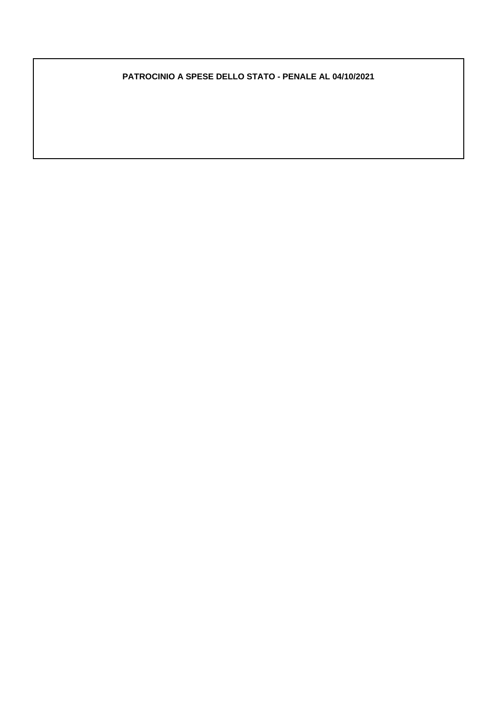#### **PATROCINIO A SPESE DELLO STATO - PENALE AL 04/10/2021**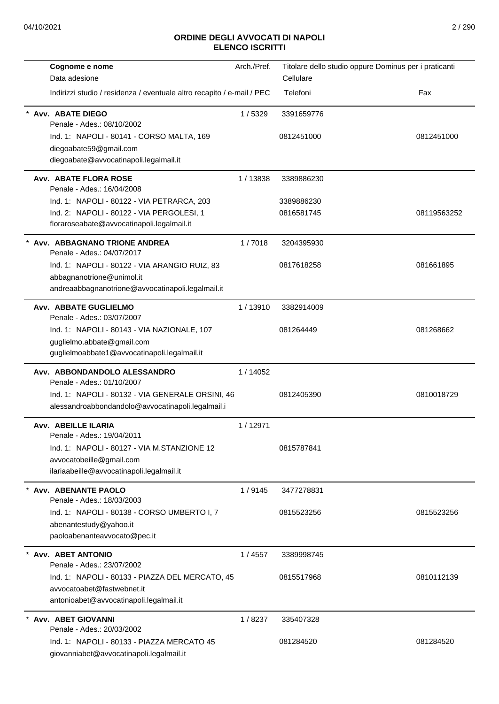| Cognome e nome                                                         | Arch./Pref. | Titolare dello studio oppure Dominus per i praticanti |             |
|------------------------------------------------------------------------|-------------|-------------------------------------------------------|-------------|
| Data adesione                                                          |             | Cellulare                                             |             |
| Indirizzi studio / residenza / eventuale altro recapito / e-mail / PEC |             | Telefoni                                              | Fax         |
| Avv. ABATE DIEGO                                                       | 1/5329      | 3391659776                                            |             |
| Penale - Ades.: 08/10/2002                                             |             |                                                       |             |
| Ind. 1: NAPOLI - 80141 - CORSO MALTA, 169                              |             | 0812451000                                            | 0812451000  |
| diegoabate59@gmail.com                                                 |             |                                                       |             |
| diegoabate@avvocatinapoli.legalmail.it                                 |             |                                                       |             |
| <b>Avv. ABATE FLORA ROSE</b>                                           | 1/13838     | 3389886230                                            |             |
| Penale - Ades.: 16/04/2008                                             |             |                                                       |             |
| Ind. 1: NAPOLI - 80122 - VIA PETRARCA, 203                             |             | 3389886230                                            |             |
| Ind. 2: NAPOLI - 80122 - VIA PERGOLESI, 1                              |             | 0816581745                                            | 08119563252 |
| floraroseabate@avvocatinapoli.legalmail.it                             |             |                                                       |             |
| Avv. ABBAGNANO TRIONE ANDREA                                           | 1/7018      | 3204395930                                            |             |
| Penale - Ades.: 04/07/2017                                             |             |                                                       |             |
| Ind. 1: NAPOLI - 80122 - VIA ARANGIO RUIZ, 83                          |             | 0817618258                                            | 081661895   |
| abbagnanotrione@unimol.it                                              |             |                                                       |             |
| andreaabbagnanotrione@avvocatinapoli.legalmail.it                      |             |                                                       |             |
| Avv. ABBATE GUGLIELMO                                                  | 1/13910     | 3382914009                                            |             |
| Penale - Ades.: 03/07/2007                                             |             |                                                       |             |
| Ind. 1: NAPOLI - 80143 - VIA NAZIONALE, 107                            |             | 081264449                                             | 081268662   |
| guglielmo.abbate@gmail.com                                             |             |                                                       |             |
| guglielmoabbate1@avvocatinapoli.legalmail.it                           |             |                                                       |             |
| Avv. ABBONDANDOLO ALESSANDRO<br>Penale - Ades.: 01/10/2007             | 1/14052     |                                                       |             |
| Ind. 1: NAPOLI - 80132 - VIA GENERALE ORSINI, 46                       |             | 0812405390                                            | 0810018729  |
| alessandroabbondandolo@avvocatinapoli.legalmail.i                      |             |                                                       |             |
| Avv. ABEILLE ILARIA                                                    | 1/12971     |                                                       |             |
| Penale - Ades.: 19/04/2011                                             |             |                                                       |             |
| Ind. 1: NAPOLI - 80127 - VIA M.STANZIONE 12                            |             | 0815787841                                            |             |
| avvocatobeille@gmail.com                                               |             |                                                       |             |
| ilariaabeille@avvocatinapoli.legalmail.it                              |             |                                                       |             |
| Avv. ABENANTE PAOLO                                                    | 1/9145      | 3477278831                                            |             |
| Penale - Ades.: 18/03/2003                                             |             |                                                       |             |
| Ind. 1: NAPOLI - 80138 - CORSO UMBERTO I, 7                            |             | 0815523256                                            | 0815523256  |
| abenantestudy@yahoo.it<br>paoloabenanteavvocato@pec.it                 |             |                                                       |             |
|                                                                        |             |                                                       |             |
| Avv. ABET ANTONIO<br>Penale - Ades.: 23/07/2002                        | 1/4557      | 3389998745                                            |             |
|                                                                        |             |                                                       |             |
| Ind. 1: NAPOLI - 80133 - PIAZZA DEL MERCATO, 45                        |             | 0815517968                                            | 0810112139  |
| avvocatoabet@fastwebnet.it<br>antonioabet@avvocatinapoli.legalmail.it  |             |                                                       |             |
|                                                                        |             |                                                       |             |
| Avv. ABET GIOVANNI                                                     | 1/8237      | 335407328                                             |             |
| Penale - Ades.: 20/03/2002                                             |             |                                                       |             |
| Ind. 1: NAPOLI - 80133 - PIAZZA MERCATO 45                             |             | 081284520                                             | 081284520   |
| giovanniabet@avvocatinapoli.legalmail.it                               |             |                                                       |             |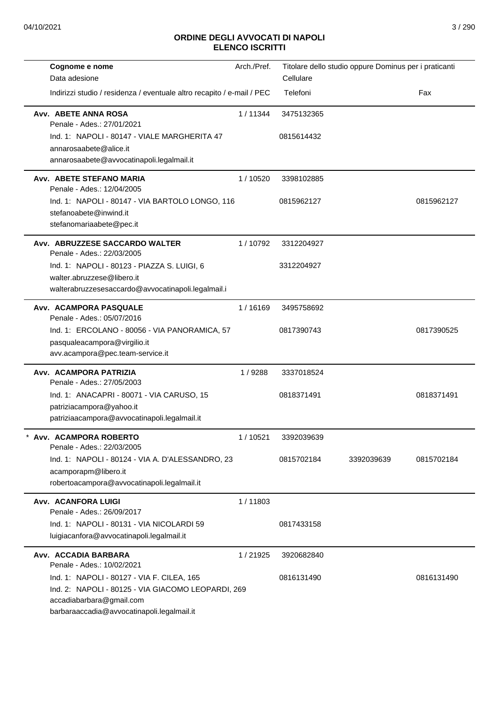| Cognome e nome<br>Data adesione                                                                                                                                            | Arch./Pref. | Cellulare  | Titolare dello studio oppure Dominus per i praticanti |            |
|----------------------------------------------------------------------------------------------------------------------------------------------------------------------------|-------------|------------|-------------------------------------------------------|------------|
| Indirizzi studio / residenza / eventuale altro recapito / e-mail / PEC                                                                                                     |             | Telefoni   |                                                       | Fax        |
| Avv. ABETE ANNA ROSA<br>Penale - Ades.: 27/01/2021                                                                                                                         | 1/11344     | 3475132365 |                                                       |            |
| Ind. 1: NAPOLI - 80147 - VIALE MARGHERITA 47<br>annarosaabete@alice.it<br>annarosaabete@avvocatinapoli.legalmail.it                                                        |             | 0815614432 |                                                       |            |
| Avv. ABETE STEFANO MARIA<br>Penale - Ades.: 12/04/2005                                                                                                                     | 1/10520     | 3398102885 |                                                       |            |
| Ind. 1: NAPOLI - 80147 - VIA BARTOLO LONGO, 116<br>stefanoabete@inwind.it<br>stefanomariaabete@pec.it                                                                      |             | 0815962127 |                                                       | 0815962127 |
| Avv. ABRUZZESE SACCARDO WALTER<br>Penale - Ades.: 22/03/2005                                                                                                               | 1/10792     | 3312204927 |                                                       |            |
| Ind. 1: NAPOLI - 80123 - PIAZZA S. LUIGI, 6<br>walter.abruzzese@libero.it<br>walterabruzzesesaccardo@avvocatinapoli.legalmail.i                                            |             | 3312204927 |                                                       |            |
| Avv. ACAMPORA PASQUALE<br>Penale - Ades.: 05/07/2016                                                                                                                       | 1/16169     | 3495758692 |                                                       |            |
| Ind. 1: ERCOLANO - 80056 - VIA PANORAMICA, 57<br>pasqualeacampora@virgilio.it<br>avv.acampora@pec.team-service.it                                                          |             | 0817390743 |                                                       | 0817390525 |
| Avv. ACAMPORA PATRIZIA<br>Penale - Ades.: 27/05/2003                                                                                                                       | 1/9288      | 3337018524 |                                                       |            |
| Ind. 1: ANACAPRI - 80071 - VIA CARUSO, 15<br>patriziacampora@yahoo.it<br>patriziaacampora@avvocatinapoli.legalmail.it                                                      |             | 0818371491 |                                                       | 0818371491 |
| Avv. ACAMPORA ROBERTO<br>Penale - Ades.: 22/03/2005                                                                                                                        | 1/10521     | 3392039639 |                                                       |            |
| Ind. 1: NAPOLI - 80124 - VIA A. D'ALESSANDRO, 23<br>acamporapm@libero.it<br>robertoacampora@avvocatinapoli.legalmail.it                                                    |             | 0815702184 | 3392039639                                            | 0815702184 |
| Avv. ACANFORA LUIGI<br>Penale - Ades.: 26/09/2017                                                                                                                          | 1/11803     |            |                                                       |            |
| Ind. 1: NAPOLI - 80131 - VIA NICOLARDI 59<br>luigiacanfora@avvocatinapoli.legalmail.it                                                                                     |             | 0817433158 |                                                       |            |
| Avv. ACCADIA BARBARA<br>Penale - Ades.: 10/02/2021                                                                                                                         | 1/21925     | 3920682840 |                                                       |            |
| Ind. 1: NAPOLI - 80127 - VIA F. CILEA, 165<br>Ind. 2: NAPOLI - 80125 - VIA GIACOMO LEOPARDI, 269<br>accadiabarbara@gmail.com<br>barbaraaccadia@avvocatinapoli.legalmail.it |             | 0816131490 |                                                       | 0816131490 |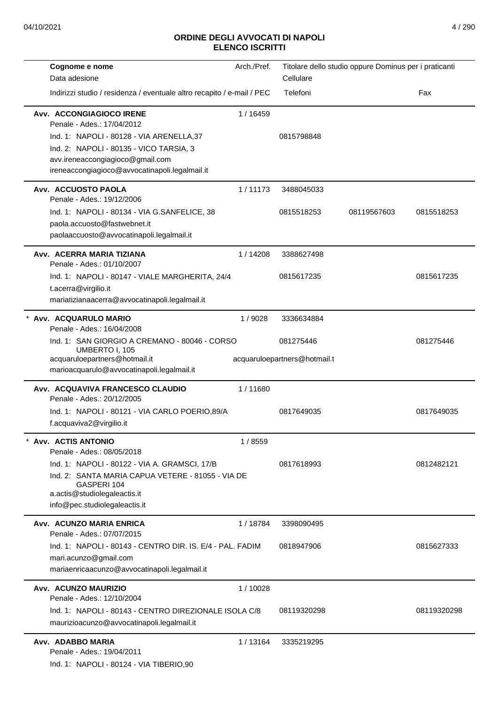| Cognome e nome                                                              | Arch./Pref. |                              | Titolare dello studio oppure Dominus per i praticanti |             |
|-----------------------------------------------------------------------------|-------------|------------------------------|-------------------------------------------------------|-------------|
| Data adesione                                                               |             | Cellulare                    |                                                       |             |
| Indirizzi studio / residenza / eventuale altro recapito / e-mail / PEC      |             | Telefoni                     |                                                       | Fax         |
| Avv. ACCONGIAGIOCO IRENE<br>Penale - Ades.: 17/04/2012                      | 1/16459     |                              |                                                       |             |
| Ind. 1: NAPOLI - 80128 - VIA ARENELLA, 37                                   |             | 0815798848                   |                                                       |             |
| Ind. 2: NAPOLI - 80135 - VICO TARSIA, 3                                     |             |                              |                                                       |             |
| avv.ireneaccongiagioco@gmail.com                                            |             |                              |                                                       |             |
| ireneaccongiagioco@avvocatinapoli.legalmail.it                              |             |                              |                                                       |             |
| Avv. ACCUOSTO PAOLA<br>Penale - Ades.: 19/12/2006                           | 1/11173     | 3488045033                   |                                                       |             |
| Ind. 1: NAPOLI - 80134 - VIA G.SANFELICE, 38                                |             | 0815518253                   | 08119567603                                           | 0815518253  |
| paola.accuosto@fastwebnet.it                                                |             |                              |                                                       |             |
| paolaaccuosto@avvocatinapoli.legalmail.it                                   |             |                              |                                                       |             |
| Avv. ACERRA MARIA TIZIANA                                                   | 1/14208     | 3388627498                   |                                                       |             |
| Penale - Ades.: 01/10/2007                                                  |             | 0815617235                   |                                                       | 0815617235  |
| Ind. 1: NAPOLI - 80147 - VIALE MARGHERITA, 24/4<br>t.acerra@virgilio.it     |             |                              |                                                       |             |
| mariatizianaacerra@avvocatinapoli.legalmail.it                              |             |                              |                                                       |             |
| * Avv. ACQUARULO MARIO<br>Penale - Ades.: 16/04/2008                        | 1/9028      | 3336634884                   |                                                       |             |
| Ind. 1: SAN GIORGIO A CREMANO - 80046 - CORSO<br>UMBERTO I, 105             |             | 081275446                    |                                                       | 081275446   |
| acquaruloepartners@hotmail.it<br>marioacquarulo@avvocatinapoli.legalmail.it |             | acquaruloepartners@hotmail.t |                                                       |             |
| Avv. ACQUAVIVA FRANCESCO CLAUDIO<br>Penale - Ades.: 20/12/2005              | 1/11680     |                              |                                                       |             |
| Ind. 1: NAPOLI - 80121 - VIA CARLO POERIO, 89/A<br>f.acquaviva2@virgilio.it |             | 0817649035                   |                                                       | 0817649035  |
| <b>Avv. ACTIS ANTONIO</b><br>Penale - Ades.: 08/05/2018                     | 1/8559      |                              |                                                       |             |
| Ind. 1: NAPOLI - 80122 - VIA A. GRAMSCI, 17/B                               |             | 0817618993                   |                                                       | 0812482121  |
| Ind. 2: SANTA MARIA CAPUA VETERE - 81055 - VIA DE                           |             |                              |                                                       |             |
| GASPERI 104<br>a.actis@studiolegaleactis.it                                 |             |                              |                                                       |             |
| info@pec.studiolegaleactis.it                                               |             |                              |                                                       |             |
| Avv. ACUNZO MARIA ENRICA<br>Penale - Ades.: 07/07/2015                      | 1 / 18784   | 3398090495                   |                                                       |             |
| Ind. 1: NAPOLI - 80143 - CENTRO DIR. IS. E/4 - PAL. FADIM                   |             | 0818947906                   |                                                       | 0815627333  |
| mari.acunzo@gmail.com                                                       |             |                              |                                                       |             |
| mariaenricaacunzo@avvocatinapoli.legalmail.it                               |             |                              |                                                       |             |
| Avv. ACUNZO MAURIZIO<br>Penale - Ades.: 12/10/2004                          | 1/10028     |                              |                                                       |             |
| Ind. 1: NAPOLI - 80143 - CENTRO DIREZIONALE ISOLA C/8                       |             | 08119320298                  |                                                       | 08119320298 |
| maurizioacunzo@avvocatinapoli.legalmail.it                                  |             |                              |                                                       |             |
| Avv. ADABBO MARIA                                                           | 1/13164     | 3335219295                   |                                                       |             |
| Penale - Ades.: 19/04/2011                                                  |             |                              |                                                       |             |
| Ind. 1: NAPOLI - 80124 - VIA TIBERIO,90                                     |             |                              |                                                       |             |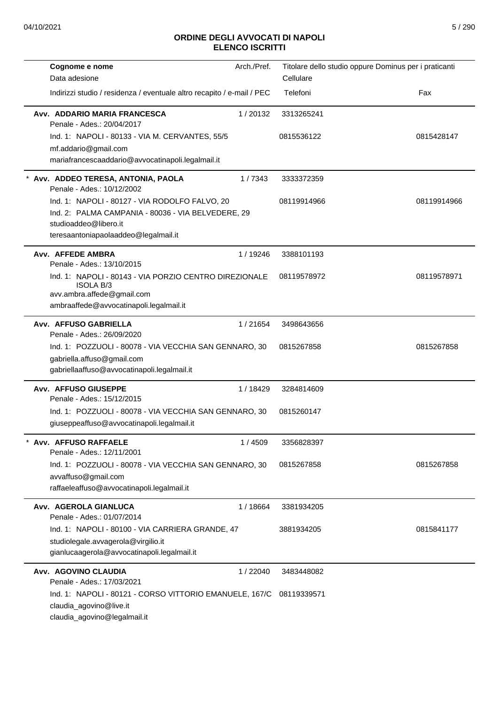| Arch./Pref.<br>Cognome e nome                                               | Titolare dello studio oppure Dominus per i praticanti |             |
|-----------------------------------------------------------------------------|-------------------------------------------------------|-------------|
| Data adesione                                                               | Cellulare                                             |             |
| Indirizzi studio / residenza / eventuale altro recapito / e-mail / PEC      | Telefoni                                              | Fax         |
| Avv. ADDARIO MARIA FRANCESCA<br>1/20132<br>Penale - Ades.: 20/04/2017       | 3313265241                                            |             |
| Ind. 1: NAPOLI - 80133 - VIA M. CERVANTES, 55/5                             | 0815536122                                            | 0815428147  |
| mf.addario@gmail.com                                                        |                                                       |             |
| mariafrancescaaddario@avvocatinapoli.legalmail.it                           |                                                       |             |
| * Avv. ADDEO TERESA, ANTONIA, PAOLA<br>1/7343<br>Penale - Ades.: 10/12/2002 | 3333372359                                            |             |
| Ind. 1: NAPOLI - 80127 - VIA RODOLFO FALVO, 20                              | 08119914966                                           | 08119914966 |
| Ind. 2: PALMA CAMPANIA - 80036 - VIA BELVEDERE, 29                          |                                                       |             |
| studioaddeo@libero.it                                                       |                                                       |             |
| teresaantoniapaolaaddeo@legalmail.it                                        |                                                       |             |
| Avv. AFFEDE AMBRA<br>1/19246<br>Penale - Ades.: 13/10/2015                  | 3388101193                                            |             |
| Ind. 1: NAPOLI - 80143 - VIA PORZIO CENTRO DIREZIONALE<br><b>ISOLA B/3</b>  | 08119578972                                           | 08119578971 |
| avv.ambra.affede@gmail.com                                                  |                                                       |             |
| ambraaffede@avvocatinapoli.legalmail.it                                     |                                                       |             |
| Avv. AFFUSO GABRIELLA<br>1/21654<br>Penale - Ades.: 26/09/2020              | 3498643656                                            |             |
| Ind. 1: POZZUOLI - 80078 - VIA VECCHIA SAN GENNARO, 30                      | 0815267858                                            | 0815267858  |
| gabriella.affuso@gmail.com                                                  |                                                       |             |
| gabriellaaffuso@avvocatinapoli.legalmail.it                                 |                                                       |             |
| Avv. AFFUSO GIUSEPPE<br>1/18429<br>Penale - Ades.: 15/12/2015               | 3284814609                                            |             |
| Ind. 1: POZZUOLI - 80078 - VIA VECCHIA SAN GENNARO, 30                      | 0815260147                                            |             |
| giuseppeaffuso@avvocatinapoli.legalmail.it                                  |                                                       |             |
| Avv. AFFUSO RAFFAELE<br>1/4509<br>Penale - Ades.: 12/11/2001                | 3356828397                                            |             |
| Ind. 1: POZZUOLI - 80078 - VIA VECCHIA SAN GENNARO, 30                      | 0815267858                                            | 0815267858  |
| avvaffuso@gmail.com                                                         |                                                       |             |
| raffaeleaffuso@avvocatinapoli.legalmail.it                                  |                                                       |             |
| Avv. AGEROLA GIANLUCA<br>1/18664                                            | 3381934205                                            |             |
| Penale - Ades.: 01/07/2014                                                  |                                                       |             |
| Ind. 1: NAPOLI - 80100 - VIA CARRIERA GRANDE, 47                            | 3881934205                                            | 0815841177  |
| studiolegale.avvagerola@virgilio.it                                         |                                                       |             |
| gianlucaagerola@avvocatinapoli.legalmail.it                                 |                                                       |             |
| Avv. AGOVINO CLAUDIA<br>1/22040                                             | 3483448082                                            |             |
| Penale - Ades.: 17/03/2021                                                  |                                                       |             |
| Ind. 1: NAPOLI - 80121 - CORSO VITTORIO EMANUELE, 167/C                     | 08119339571                                           |             |
| claudia_agovino@live.it                                                     |                                                       |             |
| claudia_agovino@legalmail.it                                                |                                                       |             |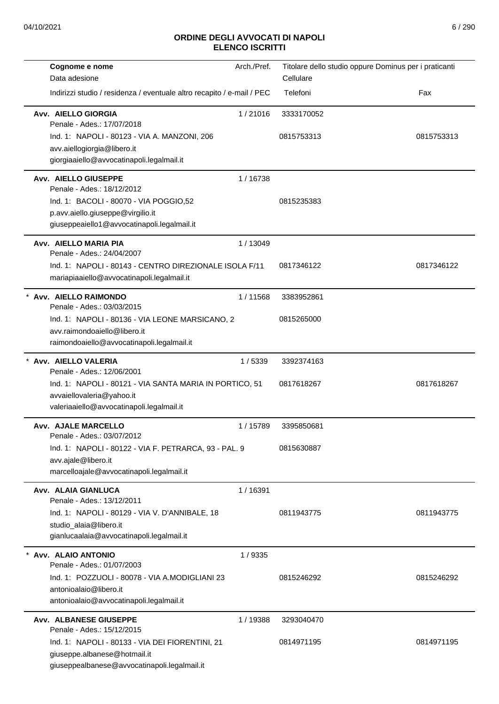| Cognome e nome                                                                   | Arch./Pref. | Titolare dello studio oppure Dominus per i praticanti |            |
|----------------------------------------------------------------------------------|-------------|-------------------------------------------------------|------------|
| Data adesione                                                                    |             | Cellulare                                             |            |
| Indirizzi studio / residenza / eventuale altro recapito / e-mail / PEC           |             | Telefoni                                              | Fax        |
| Avv. AIELLO GIORGIA<br>Penale - Ades.: 17/07/2018                                | 1/21016     | 3333170052                                            |            |
| Ind. 1: NAPOLI - 80123 - VIA A. MANZONI, 206                                     |             | 0815753313                                            | 0815753313 |
| avv.aiellogiorgia@libero.it                                                      |             |                                                       |            |
| giorgiaaiello@avvocatinapoli.legalmail.it                                        |             |                                                       |            |
| Avv. AIELLO GIUSEPPE<br>Penale - Ades.: 18/12/2012                               | 1/16738     |                                                       |            |
| Ind. 1: BACOLI - 80070 - VIA POGGIO,52                                           |             | 0815235383                                            |            |
| p.avv.aiello.giuseppe@virgilio.it<br>giuseppeaiello1@avvocatinapoli.legalmail.it |             |                                                       |            |
| Avv. AIELLO MARIA PIA<br>Penale - Ades.: 24/04/2007                              | 1/13049     |                                                       |            |
| Ind. 1: NAPOLI - 80143 - CENTRO DIREZIONALE ISOLA F/11                           |             | 0817346122                                            | 0817346122 |
| mariapiaaiello@avvocatinapoli.legalmail.it                                       |             |                                                       |            |
| Avv. AIELLO RAIMONDO<br>Penale - Ades.: 03/03/2015                               | 1/11568     | 3383952861                                            |            |
| Ind. 1: NAPOLI - 80136 - VIA LEONE MARSICANO, 2                                  |             | 0815265000                                            |            |
| avv.raimondoaiello@libero.it                                                     |             |                                                       |            |
| raimondoaiello@avvocatinapoli.legalmail.it                                       |             |                                                       |            |
| Avv. AIELLO VALERIA<br>Penale - Ades.: 12/06/2001                                | 1/5339      | 3392374163                                            |            |
| Ind. 1: NAPOLI - 80121 - VIA SANTA MARIA IN PORTICO, 51                          |             | 0817618267                                            | 0817618267 |
| avvaiellovaleria@yahoo.it                                                        |             |                                                       |            |
| valeriaaiello@avvocatinapoli.legalmail.it                                        |             |                                                       |            |
| Avv. AJALE MARCELLO<br>Penale - Ades.: 03/07/2012                                | 1/15789     | 3395850681                                            |            |
| Ind. 1: NAPOLI - 80122 - VIA F. PETRARCA, 93 - PAL. 9                            |             | 0815630887                                            |            |
| avv.ajale@libero.it                                                              |             |                                                       |            |
| marcelloajale@avvocatinapoli.legalmail.it                                        |             |                                                       |            |
| Avv. ALAIA GIANLUCA<br>Penale - Ades.: 13/12/2011                                | 1/16391     |                                                       |            |
| Ind. 1: NAPOLI - 80129 - VIA V. D'ANNIBALE, 18                                   |             | 0811943775                                            | 0811943775 |
| studio_alaia@libero.it                                                           |             |                                                       |            |
| gianlucaalaia@avvocatinapoli.legalmail.it                                        |             |                                                       |            |
| Avv. ALAIO ANTONIO                                                               | 1/9335      |                                                       |            |
| Penale - Ades.: 01/07/2003                                                       |             |                                                       |            |
| Ind. 1: POZZUOLI - 80078 - VIA A.MODIGLIANI 23                                   |             | 0815246292                                            | 0815246292 |
| antonioalaio@libero.it                                                           |             |                                                       |            |
| antonioalaio@avvocatinapoli.legalmail.it                                         |             |                                                       |            |
| Avv. ALBANESE GIUSEPPE                                                           | 1/19388     | 3293040470                                            |            |
| Penale - Ades.: 15/12/2015                                                       |             |                                                       |            |
| Ind. 1: NAPOLI - 80133 - VIA DEI FIORENTINI, 21                                  |             | 0814971195                                            | 0814971195 |
| giuseppe.albanese@hotmail.it                                                     |             |                                                       |            |
| giuseppealbanese@avvocatinapoli.legalmail.it                                     |             |                                                       |            |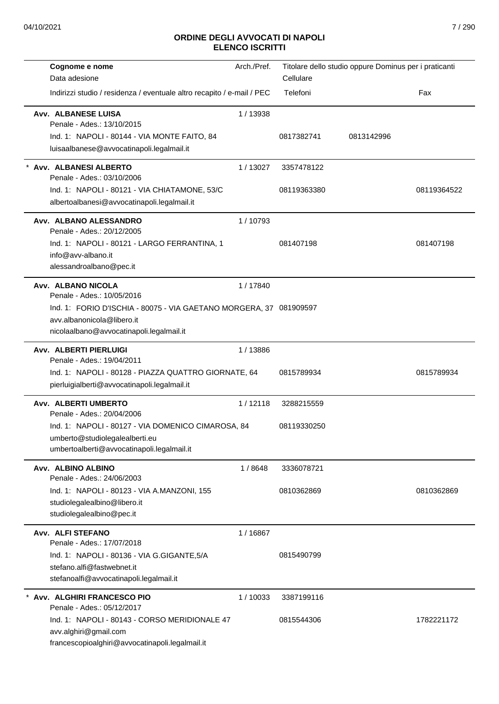| Cognome e nome                                                         | Arch./Pref. |             | Titolare dello studio oppure Dominus per i praticanti |             |
|------------------------------------------------------------------------|-------------|-------------|-------------------------------------------------------|-------------|
| Data adesione                                                          |             | Cellulare   |                                                       |             |
| Indirizzi studio / residenza / eventuale altro recapito / e-mail / PEC |             | Telefoni    |                                                       | Fax         |
| Avv. ALBANESE LUISA<br>Penale - Ades.: 13/10/2015                      | 1/13938     |             |                                                       |             |
| Ind. 1: NAPOLI - 80144 - VIA MONTE FAITO, 84                           |             | 0817382741  | 0813142996                                            |             |
| luisaalbanese@avvocatinapoli.legalmail.it                              |             |             |                                                       |             |
| Avv. ALBANESI ALBERTO<br>Penale - Ades.: 03/10/2006                    | 1/13027     | 3357478122  |                                                       |             |
| Ind. 1: NAPOLI - 80121 - VIA CHIATAMONE, 53/C                          |             | 08119363380 |                                                       | 08119364522 |
| albertoalbanesi@avvocatinapoli.legalmail.it                            |             |             |                                                       |             |
| Avv. ALBANO ALESSANDRO<br>Penale - Ades.: 20/12/2005                   | 1/10793     |             |                                                       |             |
| Ind. 1: NAPOLI - 80121 - LARGO FERRANTINA, 1                           |             | 081407198   |                                                       | 081407198   |
| info@avv-albano.it                                                     |             |             |                                                       |             |
| alessandroalbano@pec.it                                                |             |             |                                                       |             |
| Avv. ALBANO NICOLA                                                     | 1/17840     |             |                                                       |             |
| Penale - Ades.: 10/05/2016                                             |             |             |                                                       |             |
| Ind. 1: FORIO D'ISCHIA - 80075 - VIA GAETANO MORGERA, 37 081909597     |             |             |                                                       |             |
| avv.albanonicola@libero.it                                             |             |             |                                                       |             |
| nicolaalbano@avvocatinapoli.legalmail.it                               |             |             |                                                       |             |
| <b>Avv. ALBERTI PIERLUIGI</b><br>Penale - Ades.: 19/04/2011            | 1/13886     |             |                                                       |             |
| Ind. 1: NAPOLI - 80128 - PIAZZA QUATTRO GIORNATE, 64                   |             | 0815789934  |                                                       | 0815789934  |
| pierluigialberti@avvocatinapoli.legalmail.it                           |             |             |                                                       |             |
| Avv. ALBERTI UMBERTO                                                   | 1/12118     | 3288215559  |                                                       |             |
| Penale - Ades.: 20/04/2006                                             |             |             |                                                       |             |
| Ind. 1: NAPOLI - 80127 - VIA DOMENICO CIMAROSA, 84                     |             | 08119330250 |                                                       |             |
| umberto@studiolegalealberti.eu                                         |             |             |                                                       |             |
| umbertoalberti@avvocatinapoli.legalmail.it                             |             |             |                                                       |             |
| Avv. ALBINO ALBINO                                                     | 1/8648      | 3336078721  |                                                       |             |
| Penale - Ades.: 24/06/2003                                             |             |             |                                                       |             |
| Ind. 1: NAPOLI - 80123 - VIA A.MANZONI, 155                            |             | 0810362869  |                                                       | 0810362869  |
| studiolegalealbino@libero.it<br>studiolegalealbino@pec.it              |             |             |                                                       |             |
| Avv. ALFI STEFANO                                                      | 1/16867     |             |                                                       |             |
| Penale - Ades.: 17/07/2018                                             |             |             |                                                       |             |
| Ind. 1: NAPOLI - 80136 - VIA G.GIGANTE, 5/A                            |             | 0815490799  |                                                       |             |
| stefano.alfi@fastwebnet.it                                             |             |             |                                                       |             |
| stefanoalfi@avvocatinapoli.legalmail.it                                |             |             |                                                       |             |
| * Avv. ALGHIRI FRANCESCO PIO                                           | 1/10033     | 3387199116  |                                                       |             |
| Penale - Ades.: 05/12/2017                                             |             |             |                                                       |             |
| Ind. 1: NAPOLI - 80143 - CORSO MERIDIONALE 47                          |             | 0815544306  |                                                       | 1782221172  |
| avv.alghiri@gmail.com                                                  |             |             |                                                       |             |
| francescopioalghiri@avvocatinapoli.legalmail.it                        |             |             |                                                       |             |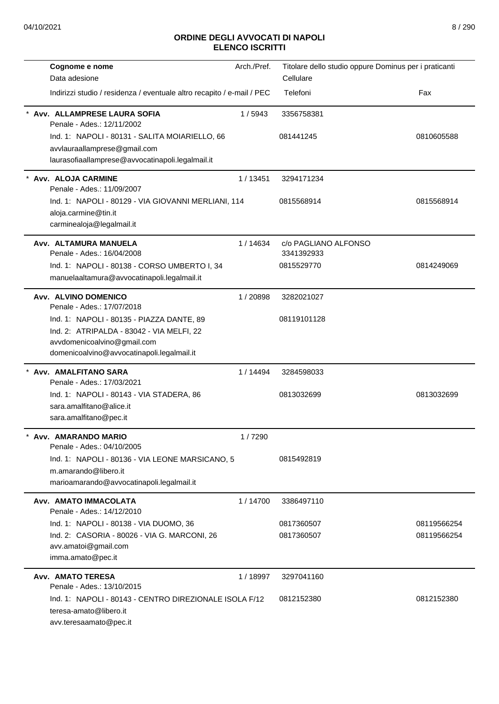| Cognome e nome                                                                              | Arch./Pref. | Titolare dello studio oppure Dominus per i praticanti |             |
|---------------------------------------------------------------------------------------------|-------------|-------------------------------------------------------|-------------|
| Data adesione                                                                               |             | Cellulare                                             |             |
| Indirizzi studio / residenza / eventuale altro recapito / e-mail / PEC                      |             | Telefoni                                              | Fax         |
| Avv. ALLAMPRESE LAURA SOFIA<br>Penale - Ades.: 12/11/2002                                   | 1/5943      | 3356758381                                            |             |
| Ind. 1: NAPOLI - 80131 - SALITA MOIARIELLO, 66                                              |             | 081441245                                             | 0810605588  |
| avvlauraallamprese@gmail.com                                                                |             |                                                       |             |
| laurasofiaallamprese@avvocatinapoli.legalmail.it                                            |             |                                                       |             |
| Avv. ALOJA CARMINE<br>Penale - Ades.: 11/09/2007                                            | 1/13451     | 3294171234                                            |             |
| Ind. 1: NAPOLI - 80129 - VIA GIOVANNI MERLIANI, 114                                         |             | 0815568914                                            | 0815568914  |
| aloja.carmine@tin.it                                                                        |             |                                                       |             |
| carminealoja@legalmail.it                                                                   |             |                                                       |             |
| Avv. ALTAMURA MANUELA                                                                       | 1 / 14634   | c/o PAGLIANO ALFONSO                                  |             |
| Penale - Ades.: 16/04/2008                                                                  |             | 3341392933<br>0815529770                              | 0814249069  |
| Ind. 1: NAPOLI - 80138 - CORSO UMBERTO I, 34<br>manuelaaltamura@avvocatinapoli.legalmail.it |             |                                                       |             |
|                                                                                             |             |                                                       |             |
| Avv. ALVINO DOMENICO<br>Penale - Ades.: 17/07/2018                                          | 1/20898     | 3282021027                                            |             |
| Ind. 1: NAPOLI - 80135 - PIAZZA DANTE, 89                                                   |             | 08119101128                                           |             |
| Ind. 2: ATRIPALDA - 83042 - VIA MELFI, 22                                                   |             |                                                       |             |
| avvdomenicoalvino@gmail.com                                                                 |             |                                                       |             |
| domenicoalvino@avvocatinapoli.legalmail.it                                                  |             |                                                       |             |
| Avv. AMALFITANO SARA<br>Penale - Ades.: 17/03/2021                                          | 1 / 14494   | 3284598033                                            |             |
| Ind. 1: NAPOLI - 80143 - VIA STADERA, 86                                                    |             | 0813032699                                            | 0813032699  |
| sara.amalfitano@alice.it                                                                    |             |                                                       |             |
| sara.amalfitano@pec.it                                                                      |             |                                                       |             |
| Avv. AMARANDO MARIO<br>Penale - Ades.: 04/10/2005                                           | 1/7290      |                                                       |             |
| Ind. 1: NAPOLI - 80136 - VIA LEONE MARSICANO, 5                                             |             | 0815492819                                            |             |
| m.amarando@libero.it                                                                        |             |                                                       |             |
| marioamarando@avvocatinapoli.legalmail.it                                                   |             |                                                       |             |
| Avv. AMATO IMMACOLATA                                                                       | 1/14700     | 3386497110                                            |             |
| Penale - Ades.: 14/12/2010                                                                  |             |                                                       |             |
| Ind. 1: NAPOLI - 80138 - VIA DUOMO, 36                                                      |             | 0817360507                                            | 08119566254 |
| Ind. 2: CASORIA - 80026 - VIA G. MARCONI, 26<br>avv.amatoi@gmail.com                        |             | 0817360507                                            | 08119566254 |
| imma.amato@pec.it                                                                           |             |                                                       |             |
| <b>Avv. AMATO TERESA</b>                                                                    | 1/18997     | 3297041160                                            |             |
| Penale - Ades.: 13/10/2015                                                                  |             |                                                       |             |
| Ind. 1: NAPOLI - 80143 - CENTRO DIREZIONALE ISOLA F/12                                      |             | 0812152380                                            | 0812152380  |
| teresa-amato@libero.it                                                                      |             |                                                       |             |
| avv.teresaamato@pec.it                                                                      |             |                                                       |             |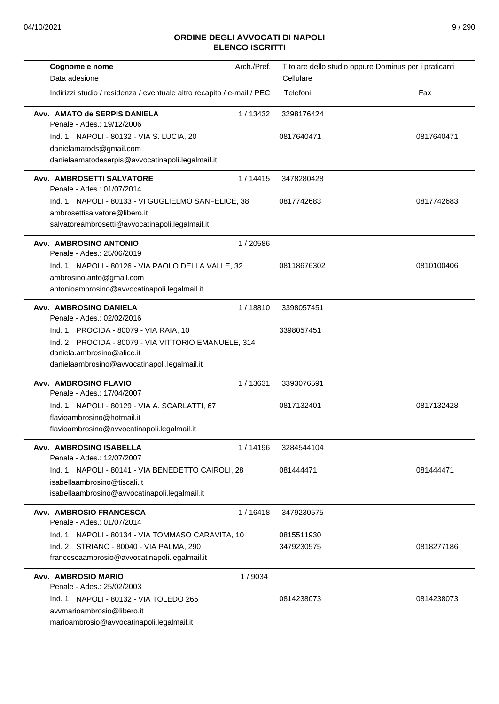| Cognome e nome                                                                   | Arch./Pref. |             | Titolare dello studio oppure Dominus per i praticanti |
|----------------------------------------------------------------------------------|-------------|-------------|-------------------------------------------------------|
| Data adesione                                                                    |             | Cellulare   |                                                       |
| Indirizzi studio / residenza / eventuale altro recapito / e-mail / PEC           |             | Telefoni    | Fax                                                   |
| Avv. AMATO de SERPIS DANIELA<br>Penale - Ades.: 19/12/2006                       | 1/13432     | 3298176424  |                                                       |
| Ind. 1: NAPOLI - 80132 - VIA S. LUCIA, 20                                        |             | 0817640471  | 0817640471                                            |
| danielamatods@gmail.com                                                          |             |             |                                                       |
| danielaamatodeserpis@avvocatinapoli.legalmail.it                                 |             |             |                                                       |
| Avv. AMBROSETTI SALVATORE<br>Penale - Ades.: 01/07/2014                          | 1/14415     | 3478280428  |                                                       |
| Ind. 1: NAPOLI - 80133 - VI GUGLIELMO SANFELICE, 38                              |             | 0817742683  | 0817742683                                            |
| ambrosettisalvatore@libero.it<br>salvatoreambrosetti@avvocatinapoli.legalmail.it |             |             |                                                       |
| Avv. AMBROSINO ANTONIO                                                           | 1/20586     |             |                                                       |
| Penale - Ades.: 25/06/2019                                                       |             |             |                                                       |
| Ind. 1: NAPOLI - 80126 - VIA PAOLO DELLA VALLE, 32                               |             | 08118676302 | 0810100406                                            |
| ambrosino.anto@gmail.com                                                         |             |             |                                                       |
| antonioambrosino@avvocatinapoli.legalmail.it                                     |             |             |                                                       |
| Avv. AMBROSINO DANIELA<br>Penale - Ades.: 02/02/2016                             | 1/18810     | 3398057451  |                                                       |
| Ind. 1: PROCIDA - 80079 - VIA RAIA, 10                                           |             | 3398057451  |                                                       |
| Ind. 2: PROCIDA - 80079 - VIA VITTORIO EMANUELE, 314                             |             |             |                                                       |
| daniela.ambrosino@alice.it                                                       |             |             |                                                       |
| danielaambrosino@avvocatinapoli.legalmail.it                                     |             |             |                                                       |
| <b>Avv. AMBROSINO FLAVIO</b><br>Penale - Ades.: 17/04/2007                       | 1/13631     | 3393076591  |                                                       |
| Ind. 1: NAPOLI - 80129 - VIA A. SCARLATTI, 67                                    |             | 0817132401  | 0817132428                                            |
| flavioambrosino@hotmail.it                                                       |             |             |                                                       |
| flavioambrosino@avvocatinapoli.legalmail.it                                      |             |             |                                                       |
| Avv. AMBROSINO ISABELLA<br>Penale - Ades.: 12/07/2007                            | 1 / 14196   | 3284544104  |                                                       |
| Ind. 1: NAPOLI - 80141 - VIA BENEDETTO CAIROLI, 28                               |             | 081444471   | 081444471                                             |
| isabellaambrosino@tiscali.it                                                     |             |             |                                                       |
| isabellaambrosino@avvocatinapoli.legalmail.it                                    |             |             |                                                       |
| Avv. AMBROSIO FRANCESCA<br>Penale - Ades.: 01/07/2014                            | 1/16418     | 3479230575  |                                                       |
| Ind. 1: NAPOLI - 80134 - VIA TOMMASO CARAVITA, 10                                |             | 0815511930  |                                                       |
| Ind. 2: STRIANO - 80040 - VIA PALMA, 290                                         |             | 3479230575  | 0818277186                                            |
| francescaambrosio@avvocatinapoli.legalmail.it                                    |             |             |                                                       |
| Avv. AMBROSIO MARIO                                                              | 1/9034      |             |                                                       |
| Penale - Ades.: 25/02/2003                                                       |             |             |                                                       |
| Ind. 1: NAPOLI - 80132 - VIA TOLEDO 265                                          |             | 0814238073  | 0814238073                                            |
| avymarioambrosio@libero.it<br>marioambrosio@avvocatinapoli.legalmail.it          |             |             |                                                       |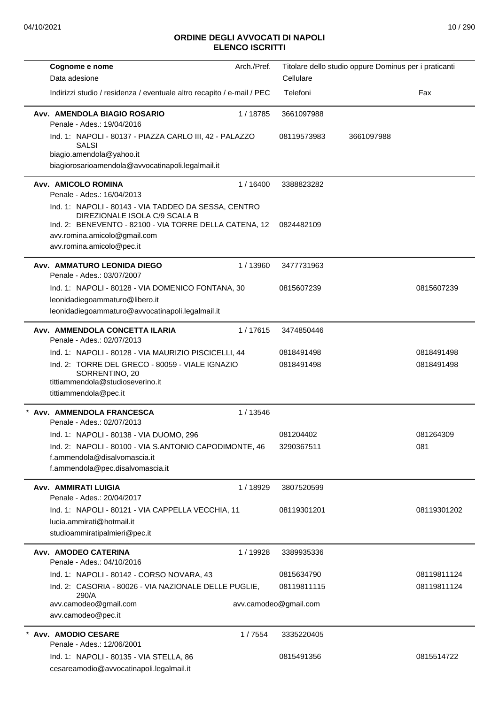|                      | Cognome e nome                                                                                                                                                                  | Arch./Pref. |                       | Titolare dello studio oppure Dominus per i praticanti |             |
|----------------------|---------------------------------------------------------------------------------------------------------------------------------------------------------------------------------|-------------|-----------------------|-------------------------------------------------------|-------------|
| Data adesione        |                                                                                                                                                                                 |             | Cellulare             |                                                       |             |
|                      | Indirizzi studio / residenza / eventuale altro recapito / e-mail / PEC                                                                                                          |             | Telefoni              |                                                       | Fax         |
|                      | Avv. AMENDOLA BIAGIO ROSARIO<br>Penale - Ades.: 19/04/2016                                                                                                                      | 1/18785     | 3661097988            |                                                       |             |
|                      | Ind. 1: NAPOLI - 80137 - PIAZZA CARLO III, 42 - PALAZZO<br><b>SALSI</b>                                                                                                         |             | 08119573983           | 3661097988                                            |             |
|                      | biagio.amendola@yahoo.it<br>biagiorosarioamendola@avvocatinapoli.legalmail.it                                                                                                   |             |                       |                                                       |             |
| Avv. AMICOLO ROMINA  | Penale - Ades.: 16/04/2013                                                                                                                                                      | 1 / 16400   | 3388823282            |                                                       |             |
|                      | Ind. 1: NAPOLI - 80143 - VIA TADDEO DA SESSA, CENTRO<br>DIREZIONALE ISOLA C/9 SCALA B<br>Ind. 2: BENEVENTO - 82100 - VIA TORRE DELLA CATENA, 12<br>avv.romina.amicolo@gmail.com |             | 0824482109            |                                                       |             |
|                      | avv.romina.amicolo@pec.it                                                                                                                                                       |             |                       |                                                       |             |
|                      | Avv. AMMATURO LEONIDA DIEGO<br>Penale - Ades.: 03/07/2007                                                                                                                       | 1/13960     | 3477731963            |                                                       |             |
|                      | Ind. 1: NAPOLI - 80128 - VIA DOMENICO FONTANA, 30<br>leonidadiegoammaturo@libero.it                                                                                             |             | 0815607239            |                                                       | 0815607239  |
|                      | leonidadiegoammaturo@avvocatinapoli.legalmail.it                                                                                                                                |             |                       |                                                       |             |
|                      | Avv. AMMENDOLA CONCETTA ILARIA<br>Penale - Ades.: 02/07/2013                                                                                                                    | 1/17615     | 3474850446            |                                                       |             |
|                      | Ind. 1: NAPOLI - 80128 - VIA MAURIZIO PISCICELLI, 44                                                                                                                            |             | 0818491498            |                                                       | 0818491498  |
|                      | Ind. 2: TORRE DEL GRECO - 80059 - VIALE IGNAZIO<br>SORRENTINO, 20<br>tittiammendola@studioseverino.it<br>tittiammendola@pec.it                                                  |             | 0818491498            |                                                       | 0818491498  |
|                      | * Avv. AMMENDOLA FRANCESCA<br>Penale - Ades.: 02/07/2013                                                                                                                        | 1/13546     |                       |                                                       |             |
|                      | Ind. 1: NAPOLI - 80138 - VIA DUOMO. 296                                                                                                                                         |             | 081204402             |                                                       | 081264309   |
|                      | Ind. 2: NAPOLI - 80100 - VIA S.ANTONIO CAPODIMONTE, 46                                                                                                                          |             | 3290367511            |                                                       | 081         |
|                      | f.ammendola@disalvomascia.it<br>f.ammendola@pec.disalvomascia.it                                                                                                                |             |                       |                                                       |             |
| Avv. AMMIRATI LUIGIA | Penale - Ades.: 20/04/2017                                                                                                                                                      | 1/18929     | 3807520599            |                                                       |             |
|                      | Ind. 1: NAPOLI - 80121 - VIA CAPPELLA VECCHIA, 11                                                                                                                               |             | 08119301201           |                                                       | 08119301202 |
|                      | lucia.ammirati@hotmail.it<br>studioammiratipalmieri@pec.it                                                                                                                      |             |                       |                                                       |             |
|                      | Avv. AMODEO CATERINA<br>Penale - Ades.: 04/10/2016                                                                                                                              | 1/19928     | 3389935336            |                                                       |             |
|                      | Ind. 1: NAPOLI - 80142 - CORSO NOVARA, 43                                                                                                                                       |             | 0815634790            |                                                       | 08119811124 |
|                      | Ind. 2: CASORIA - 80026 - VIA NAZIONALE DELLE PUGLIE,<br>290/A                                                                                                                  |             | 08119811115           |                                                       | 08119811124 |
|                      | avv.camodeo@gmail.com<br>avv.camodeo@pec.it                                                                                                                                     |             | avv.camodeo@gmail.com |                                                       |             |
| * Avv. AMODIO CESARE | Penale - Ades.: 12/06/2001                                                                                                                                                      | 1/7554      | 3335220405            |                                                       |             |
|                      | Ind. 1: NAPOLI - 80135 - VIA STELLA, 86<br>cesareamodio@avvocatinapoli.legalmail.it                                                                                             |             | 0815491356            |                                                       | 0815514722  |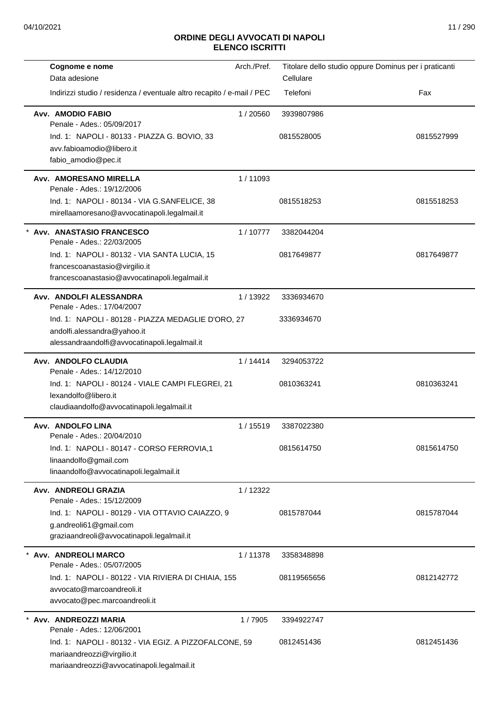| Cognome e nome                                                           | Arch./Pref. | Titolare dello studio oppure Dominus per i praticanti |            |
|--------------------------------------------------------------------------|-------------|-------------------------------------------------------|------------|
| Data adesione                                                            |             | Cellulare                                             |            |
| Indirizzi studio / residenza / eventuale altro recapito / e-mail / PEC   |             | Telefoni                                              | Fax        |
| Avv. AMODIO FABIO<br>Penale - Ades.: 05/09/2017                          | 1/20560     | 3939807986                                            |            |
| Ind. 1: NAPOLI - 80133 - PIAZZA G. BOVIO, 33                             |             | 0815528005                                            | 0815527999 |
| avv.fabioamodio@libero.it                                                |             |                                                       |            |
| fabio_amodio@pec.it                                                      |             |                                                       |            |
| Avv. AMORESANO MIRELLA<br>Penale - Ades.: 19/12/2006                     | 1/11093     |                                                       |            |
| Ind. 1: NAPOLI - 80134 - VIA G.SANFELICE, 38                             |             | 0815518253                                            | 0815518253 |
| mirellaamoresano@avvocatinapoli.legalmail.it                             |             |                                                       |            |
| * Avv. ANASTASIO FRANCESCO<br>Penale - Ades.: 22/03/2005                 | 1/10777     | 3382044204                                            |            |
| Ind. 1: NAPOLI - 80132 - VIA SANTA LUCIA, 15                             |             | 0817649877                                            | 0817649877 |
| francescoanastasio@virgilio.it                                           |             |                                                       |            |
| francescoanastasio@avvocatinapoli.legalmail.it                           |             |                                                       |            |
| Avv. ANDOLFI ALESSANDRA<br>Penale - Ades.: 17/04/2007                    | 1/13922     | 3336934670                                            |            |
| Ind. 1: NAPOLI - 80128 - PIAZZA MEDAGLIE D'ORO, 27                       |             | 3336934670                                            |            |
| andolfi.alessandra@yahoo.it                                              |             |                                                       |            |
| alessandraandolfi@avvocatinapoli.legalmail.it                            |             |                                                       |            |
| Avv. ANDOLFO CLAUDIA<br>Penale - Ades.: 14/12/2010                       | 1/14414     | 3294053722                                            |            |
| Ind. 1: NAPOLI - 80124 - VIALE CAMPI FLEGREI, 21                         |             | 0810363241                                            | 0810363241 |
| lexandolfo@libero.it                                                     |             |                                                       |            |
| claudiaandolfo@avvocatinapoli.legalmail.it                               |             |                                                       |            |
| Avv. ANDOLFO LINA<br>Penale - Ades.: 20/04/2010                          | 1/15519     | 3387022380                                            |            |
| Ind. 1: NAPOLI - 80147 - CORSO FERROVIA,1                                |             | 0815614750                                            | 0815614750 |
| linaandolfo@gmail.com                                                    |             |                                                       |            |
| linaandolfo@avvocatinapoli.legalmail.it                                  |             |                                                       |            |
| Avv. ANDREOLI GRAZIA<br>Penale - Ades.: 15/12/2009                       | 1/12322     |                                                       |            |
| Ind. 1: NAPOLI - 80129 - VIA OTTAVIO CAIAZZO, 9                          |             | 0815787044                                            | 0815787044 |
| g.andreoli61@gmail.com                                                   |             |                                                       |            |
| graziaandreoli@avvocatinapoli.legalmail.it                               |             |                                                       |            |
| * Avv. ANDREOLI MARCO<br>Penale - Ades.: 05/07/2005                      | 1/11378     | 3358348898                                            |            |
| Ind. 1: NAPOLI - 80122 - VIA RIVIERA DI CHIAIA, 155                      |             | 08119565656                                           | 0812142772 |
| avvocato@marcoandreoli.it                                                |             |                                                       |            |
| avvocato@pec.marcoandreoli.it                                            |             |                                                       |            |
| Avv. ANDREOZZI MARIA                                                     | 1/7905      | 3394922747                                            |            |
| Penale - Ades.: 12/06/2001                                               |             |                                                       |            |
| Ind. 1: NAPOLI - 80132 - VIA EGIZ. A PIZZOFALCONE, 59                    |             | 0812451436                                            | 0812451436 |
| mariaandreozzi@virgilio.it<br>mariaandreozzi@avvocatinapoli.legalmail.it |             |                                                       |            |
|                                                                          |             |                                                       |            |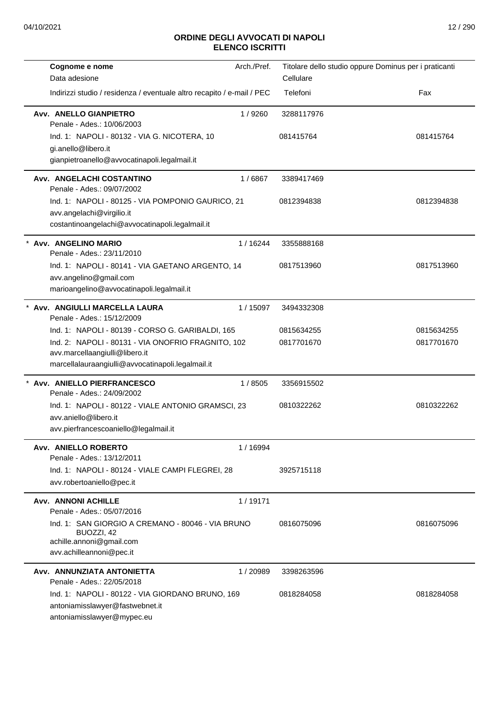| Cognome e nome                                                                                                                                                                                | Arch./Pref. | Titolare dello studio oppure Dominus per i praticanti |                          |
|-----------------------------------------------------------------------------------------------------------------------------------------------------------------------------------------------|-------------|-------------------------------------------------------|--------------------------|
| Data adesione                                                                                                                                                                                 |             | Cellulare                                             |                          |
| Indirizzi studio / residenza / eventuale altro recapito / e-mail / PEC                                                                                                                        |             | Telefoni                                              | Fax                      |
| Avv. ANELLO GIANPIETRO<br>Penale - Ades.: 10/06/2003                                                                                                                                          | 1/9260      | 3288117976                                            |                          |
| Ind. 1: NAPOLI - 80132 - VIA G. NICOTERA, 10<br>gi.anello@libero.it<br>gianpietroanello@avvocatinapoli.legalmail.it                                                                           |             | 081415764                                             | 081415764                |
| Avv. ANGELACHI COSTANTINO<br>Penale - Ades.: 09/07/2002                                                                                                                                       | 1/6867      | 3389417469                                            |                          |
| Ind. 1: NAPOLI - 80125 - VIA POMPONIO GAURICO, 21<br>avv.angelachi@virgilio.it<br>costantinoangelachi@avvocatinapoli.legalmail.it                                                             |             | 0812394838                                            | 0812394838               |
| * Avv. ANGELINO MARIO<br>Penale - Ades.: 23/11/2010                                                                                                                                           | 1/16244     | 3355888168                                            |                          |
| Ind. 1: NAPOLI - 80141 - VIA GAETANO ARGENTO, 14<br>avv.angelino@gmail.com<br>marioangelino@avvocatinapoli.legalmail.it                                                                       |             | 0817513960                                            | 0817513960               |
| * Avv. ANGIULLI MARCELLA LAURA<br>Penale - Ades.: 15/12/2009                                                                                                                                  | 1 / 15097   | 3494332308                                            |                          |
| Ind. 1: NAPOLI - 80139 - CORSO G. GARIBALDI, 165<br>Ind. 2: NAPOLI - 80131 - VIA ONOFRIO FRAGNITO, 102<br>avv.marcellaangiulli@libero.it<br>marcellalauraangiulli@avvocatinapoli.legalmail.it |             | 0815634255<br>0817701670                              | 0815634255<br>0817701670 |
| Avv. ANIELLO PIERFRANCESCO<br>Penale - Ades.: 24/09/2002                                                                                                                                      | 1/8505      | 3356915502                                            |                          |
| Ind. 1: NAPOLI - 80122 - VIALE ANTONIO GRAMSCI, 23<br>avv.aniello@libero.it<br>avv.pierfrancescoaniello@legalmail.it                                                                          |             | 0810322262                                            | 0810322262               |
| Avv. ANIELLO ROBERTO<br>Penale - Ades.: 13/12/2011                                                                                                                                            | 1 / 16994   |                                                       |                          |
| Ind. 1: NAPOLI - 80124 - VIALE CAMPI FLEGREI, 28<br>avv.robertoaniello@pec.it                                                                                                                 |             | 3925715118                                            |                          |
| <b>Avv. ANNONI ACHILLE</b><br>Penale - Ades.: 05/07/2016                                                                                                                                      | 1/19171     |                                                       |                          |
| Ind. 1: SAN GIORGIO A CREMANO - 80046 - VIA BRUNO<br>BUOZZI, 42<br>achille.annoni@gmail.com<br>avv.achilleannoni@pec.it                                                                       |             | 0816075096                                            | 0816075096               |
| Avv. ANNUNZIATA ANTONIETTA<br>Penale - Ades.: 22/05/2018                                                                                                                                      | 1/20989     | 3398263596                                            |                          |
| Ind. 1: NAPOLI - 80122 - VIA GIORDANO BRUNO, 169<br>antoniamisslawyer@fastwebnet.it<br>antoniamisslawyer@mypec.eu                                                                             |             | 0818284058                                            | 0818284058               |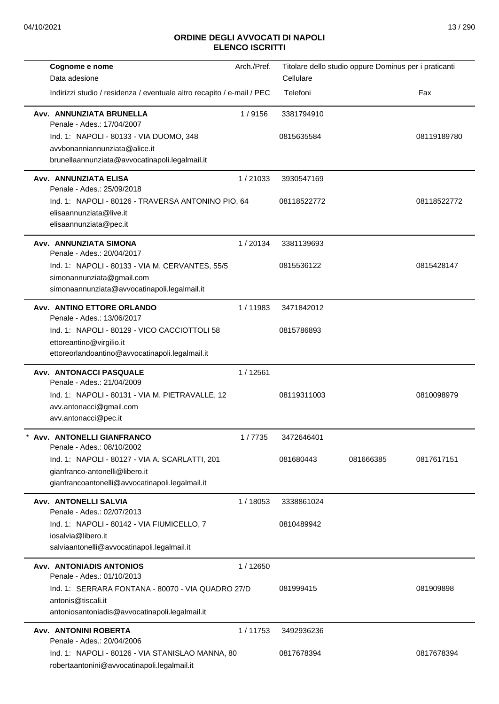| Cognome e nome<br>Data adesione                                                                                               | Arch./Pref. | Cellulare   | Titolare dello studio oppure Dominus per i praticanti |             |
|-------------------------------------------------------------------------------------------------------------------------------|-------------|-------------|-------------------------------------------------------|-------------|
| Indirizzi studio / residenza / eventuale altro recapito / e-mail / PEC                                                        |             | Telefoni    |                                                       | Fax         |
| Avv. ANNUNZIATA BRUNELLA<br>Penale - Ades.: 17/04/2007                                                                        | 1/9156      | 3381794910  |                                                       |             |
| Ind. 1: NAPOLI - 80133 - VIA DUOMO, 348<br>avvbonanniannunziata@alice.it                                                      |             | 0815635584  |                                                       | 08119189780 |
| brunellaannunziata@avvocatinapoli.legalmail.it                                                                                |             |             |                                                       |             |
| Avv. ANNUNZIATA ELISA<br>Penale - Ades.: 25/09/2018                                                                           | 1/21033     | 3930547169  |                                                       |             |
| Ind. 1: NAPOLI - 80126 - TRAVERSA ANTONINO PIO, 64<br>elisaannunziata@live.it<br>elisaannunziata@pec.it                       |             | 08118522772 |                                                       | 08118522772 |
| Avv. ANNUNZIATA SIMONA<br>Penale - Ades.: 20/04/2017                                                                          | 1/20134     | 3381139693  |                                                       |             |
| Ind. 1: NAPOLI - 80133 - VIA M. CERVANTES, 55/5<br>simonannunziata@gmail.com<br>simonaannunziata@avvocatinapoli.legalmail.it  |             | 0815536122  |                                                       | 0815428147  |
| Avv. ANTINO ETTORE ORLANDO<br>Penale - Ades.: 13/06/2017                                                                      | 1/11983     | 3471842012  |                                                       |             |
| Ind. 1: NAPOLI - 80129 - VICO CACCIOTTOLI 58<br>ettoreantino@virgilio.it<br>ettoreorlandoantino@avvocatinapoli.legalmail.it   |             | 0815786893  |                                                       |             |
| <b>Avv. ANTONACCI PASQUALE</b>                                                                                                | 1 / 12561   |             |                                                       |             |
| Penale - Ades.: 21/04/2009                                                                                                    |             |             |                                                       |             |
| Ind. 1: NAPOLI - 80131 - VIA M. PIETRAVALLE, 12<br>avv.antonacci@gmail.com<br>avv.antonacci@pec.it                            |             | 08119311003 |                                                       | 0810098979  |
| Avv. ANTONELLI GIANFRANCO<br>Penale - Ades.: 08/10/2002                                                                       | 1/7735      | 3472646401  |                                                       |             |
| Ind. 1: NAPOLI - 80127 - VIA A. SCARLATTI, 201<br>gianfranco-antonelli@libero.it                                              |             | 081680443   | 081666385                                             | 0817617151  |
| gianfrancoantonelli@avvocatinapoli.legalmail.it                                                                               |             |             |                                                       |             |
| <b>Avv. ANTONELLI SALVIA</b><br>Penale - Ades.: 02/07/2013                                                                    | 1/18053     | 3338861024  |                                                       |             |
| Ind. 1: NAPOLI - 80142 - VIA FIUMICELLO, 7<br>iosalvia@libero.it                                                              |             | 0810489942  |                                                       |             |
| salviaantonelli@avvocatinapoli.legalmail.it                                                                                   |             |             |                                                       |             |
| <b>Avv. ANTONIADIS ANTONIOS</b><br>Penale - Ades.: 01/10/2013                                                                 | 1/12650     |             |                                                       |             |
| Ind. 1: SERRARA FONTANA - 80070 - VIA QUADRO 27/D<br>antonis@tiscali.it<br>antoniosantoniadis@avvocatinapoli.legalmail.it     |             | 081999415   |                                                       | 081909898   |
| Avv. ANTONINI ROBERTA                                                                                                         | 1/11753     | 3492936236  |                                                       |             |
| Penale - Ades.: 20/04/2006<br>Ind. 1: NAPOLI - 80126 - VIA STANISLAO MANNA, 80<br>robertaantonini@avvocatinapoli.legalmail.it |             | 0817678394  |                                                       | 0817678394  |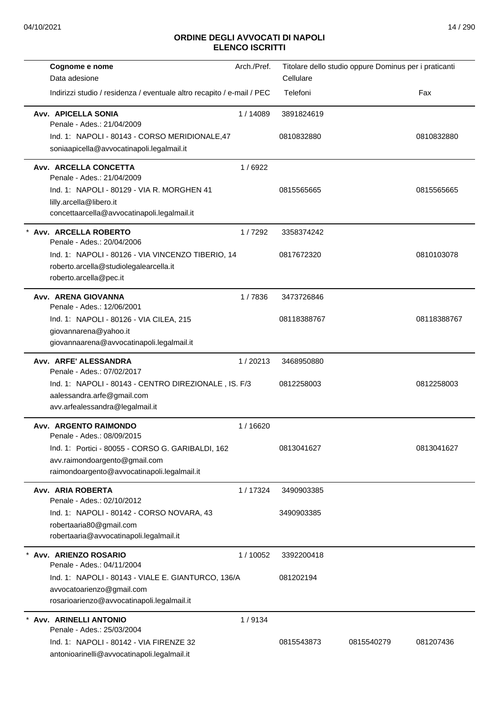| Cognome e nome<br>Data adesione                                                                                                   | Arch./Pref. | Cellulare   | Titolare dello studio oppure Dominus per i praticanti |             |
|-----------------------------------------------------------------------------------------------------------------------------------|-------------|-------------|-------------------------------------------------------|-------------|
| Indirizzi studio / residenza / eventuale altro recapito / e-mail / PEC                                                            |             | Telefoni    |                                                       | Fax         |
| <b>Avv. APICELLA SONIA</b><br>Penale - Ades.: 21/04/2009                                                                          | 1/14089     | 3891824619  |                                                       |             |
| Ind. 1: NAPOLI - 80143 - CORSO MERIDIONALE,47<br>soniaapicella@avvocatinapoli.legalmail.it                                        |             | 0810832880  |                                                       | 0810832880  |
| Avv. ARCELLA CONCETTA<br>Penale - Ades.: 21/04/2009                                                                               | 1/6922      |             |                                                       |             |
| Ind. 1: NAPOLI - 80129 - VIA R. MORGHEN 41<br>lilly.arcella@libero.it<br>concettaarcella@avvocatinapoli.legalmail.it              |             | 0815565665  |                                                       | 0815565665  |
| Avv. ARCELLA ROBERTO<br>Penale - Ades.: 20/04/2006                                                                                | 1/7292      | 3358374242  |                                                       |             |
| Ind. 1: NAPOLI - 80126 - VIA VINCENZO TIBERIO, 14<br>roberto.arcella@studiolegalearcella.it<br>roberto.arcella@pec.it             |             | 0817672320  |                                                       | 0810103078  |
| Avv. ARENA GIOVANNA<br>Penale - Ades.: 12/06/2001                                                                                 | 1/7836      | 3473726846  |                                                       |             |
| Ind. 1: NAPOLI - 80126 - VIA CILEA, 215<br>giovannarena@yahoo.it<br>giovannaarena@avvocatinapoli.legalmail.it                     |             | 08118388767 |                                                       | 08118388767 |
| Avv. ARFE' ALESSANDRA<br>Penale - Ades.: 07/02/2017                                                                               | 1/20213     | 3468950880  |                                                       |             |
| Ind. 1: NAPOLI - 80143 - CENTRO DIREZIONALE, IS. F/3<br>aalessandra.arfe@gmail.com<br>avv.arfealessandra@legalmail.it             |             | 0812258003  |                                                       | 0812258003  |
| Avv. ARGENTO RAIMONDO<br>Penale - Ades.: 08/09/2015                                                                               | 1/16620     |             |                                                       |             |
| Ind. 1: Portici - 80055 - CORSO G. GARIBALDI, 162<br>avv.raimondoargento@gmail.com<br>raimondoargento@avvocatinapoli.legalmail.it |             | 0813041627  |                                                       | 0813041627  |
| Avv. ARIA ROBERTA<br>Penale - Ades.: 02/10/2012                                                                                   | 1/17324     | 3490903385  |                                                       |             |
| Ind. 1: NAPOLI - 80142 - CORSO NOVARA, 43<br>robertaaria80@gmail.com<br>robertaaria@avvocatinapoli.legalmail.it                   |             | 3490903385  |                                                       |             |
| Avv. ARIENZO ROSARIO<br>Penale - Ades.: 04/11/2004                                                                                | 1/10052     | 3392200418  |                                                       |             |
| Ind. 1: NAPOLI - 80143 - VIALE E. GIANTURCO, 136/A<br>avvocatoarienzo@gmail.com<br>rosarioarienzo@avvocatinapoli.legalmail.it     |             | 081202194   |                                                       |             |
| Avv. ARINELLI ANTONIO<br>Penale - Ades.: 25/03/2004                                                                               | 1/9134      |             |                                                       |             |
| Ind. 1: NAPOLI - 80142 - VIA FIRENZE 32<br>antonioarinelli@avvocatinapoli.legalmail.it                                            |             | 0815543873  | 0815540279                                            | 081207436   |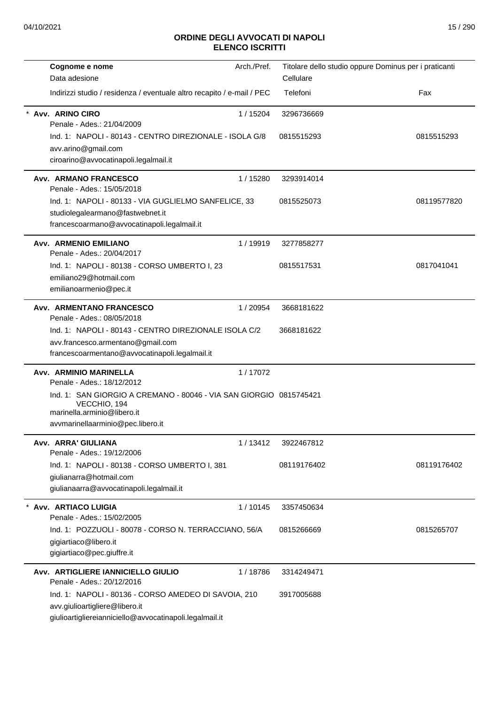| Cognome e nome                                                                                                                                                                                                 | Arch./Pref. | Titolare dello studio oppure Dominus per i praticanti |             |
|----------------------------------------------------------------------------------------------------------------------------------------------------------------------------------------------------------------|-------------|-------------------------------------------------------|-------------|
| Data adesione                                                                                                                                                                                                  |             | Cellulare                                             |             |
| Indirizzi studio / residenza / eventuale altro recapito / e-mail / PEC                                                                                                                                         |             | Telefoni                                              | Fax         |
| Avv. ARINO CIRO<br>Penale - Ades.: 21/04/2009                                                                                                                                                                  | 1/15204     | 3296736669                                            |             |
| Ind. 1: NAPOLI - 80143 - CENTRO DIREZIONALE - ISOLA G/8<br>avv.arino@gmail.com<br>ciroarino@avvocatinapoli.legalmail.it                                                                                        |             | 0815515293                                            | 0815515293  |
| <b>Avv. ARMANO FRANCESCO</b><br>Penale - Ades.: 15/05/2018                                                                                                                                                     | 1/15280     | 3293914014                                            |             |
| Ind. 1: NAPOLI - 80133 - VIA GUGLIELMO SANFELICE, 33<br>studiolegalearmano@fastwebnet.it<br>francescoarmano@avvocatinapoli.legalmail.it                                                                        |             | 0815525073                                            | 08119577820 |
| <b>Avv. ARMENIO EMILIANO</b><br>Penale - Ades.: 20/04/2017                                                                                                                                                     | 1 / 19919   | 3277858277                                            |             |
| Ind. 1: NAPOLI - 80138 - CORSO UMBERTO I, 23<br>emiliano29@hotmail.com<br>emilianoarmenio@pec.it                                                                                                               |             | 0815517531                                            | 0817041041  |
| Avv. ARMENTANO FRANCESCO<br>Penale - Ades.: 08/05/2018                                                                                                                                                         | 1/20954     | 3668181622                                            |             |
| Ind. 1: NAPOLI - 80143 - CENTRO DIREZIONALE ISOLA C/2<br>avv.francesco.armentano@gmail.com<br>francescoarmentano@avvocatinapoli.legalmail.it                                                                   |             | 3668181622                                            |             |
| Avv. ARMINIO MARINELLA<br>Penale - Ades.: 18/12/2012<br>Ind. 1: SAN GIORGIO A CREMANO - 80046 - VIA SAN GIORGIO 0815745421<br>VECCHIO, 194<br>marinella.arminio@libero.it<br>avvmarinellaarminio@pec.libero.it | 1/17072     |                                                       |             |
| Avv. ARRA' GIULIANA<br>Penale - Ades.: 19/12/2006                                                                                                                                                              | 1/13412     | 3922467812                                            |             |
| Ind. 1: NAPOLI - 80138 - CORSO UMBERTO I, 381<br>giulianarra@hotmail.com<br>giulianaarra@avvocatinapoli.legalmail.it                                                                                           |             | 08119176402                                           | 08119176402 |
| Avv. ARTIACO LUIGIA<br>Penale - Ades.: 15/02/2005                                                                                                                                                              | 1/10145     | 3357450634                                            |             |
| Ind. 1: POZZUOLI - 80078 - CORSO N. TERRACCIANO, 56/A<br>gigiartiaco@libero.it<br>gigiartiaco@pec.giuffre.it                                                                                                   |             | 0815266669                                            | 0815265707  |
| Avv. ARTIGLIERE IANNICIELLO GIULIO<br>Penale - Ades.: 20/12/2016                                                                                                                                               | 1/18786     | 3314249471                                            |             |
| Ind. 1: NAPOLI - 80136 - CORSO AMEDEO DI SAVOIA, 210<br>avv.giulioartigliere@libero.it<br>giulioartigliereianniciello@avvocatinapoli.legalmail.it                                                              |             | 3917005688                                            |             |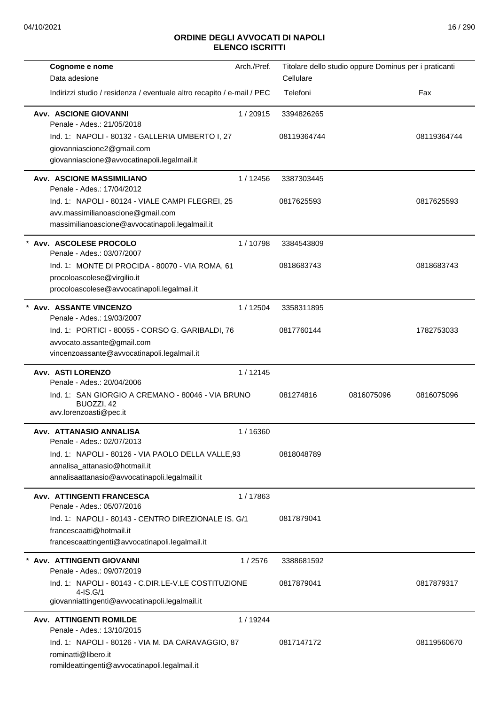| Cognome e nome<br>Data adesione                                                                                                    | Arch./Pref. | Titolare dello studio oppure Dominus per i praticanti<br>Cellulare |            |             |
|------------------------------------------------------------------------------------------------------------------------------------|-------------|--------------------------------------------------------------------|------------|-------------|
| Indirizzi studio / residenza / eventuale altro recapito / e-mail / PEC                                                             |             | Telefoni                                                           |            | Fax         |
| <b>Avv. ASCIONE GIOVANNI</b><br>Penale - Ades.: 21/05/2018                                                                         | 1/20915     | 3394826265                                                         |            |             |
| Ind. 1: NAPOLI - 80132 - GALLERIA UMBERTO I, 27<br>giovanniascione2@gmail.com<br>giovanniascione@avvocatinapoli.legalmail.it       |             | 08119364744                                                        |            | 08119364744 |
| <b>Avv. ASCIONE MASSIMILIANO</b>                                                                                                   | 1/12456     | 3387303445                                                         |            |             |
| Penale - Ades.: 17/04/2012                                                                                                         |             |                                                                    |            |             |
| Ind. 1: NAPOLI - 80124 - VIALE CAMPI FLEGREI, 25                                                                                   |             | 0817625593                                                         |            | 0817625593  |
| avv.massimilianoascione@gmail.com<br>massimilianoascione@avvocatinapoli.legalmail.it                                               |             |                                                                    |            |             |
| * Avv. ASCOLESE PROCOLO<br>Penale - Ades.: 03/07/2007                                                                              | 1/10798     | 3384543809                                                         |            |             |
| Ind. 1: MONTE DI PROCIDA - 80070 - VIA ROMA, 61                                                                                    |             | 0818683743                                                         |            | 0818683743  |
| procoloascolese@virgilio.it<br>procoloascolese@avvocatinapoli.legalmail.it                                                         |             |                                                                    |            |             |
| * Avv. ASSANTE VINCENZO<br>Penale - Ades.: 19/03/2007                                                                              | 1/12504     | 3358311895                                                         |            |             |
| Ind. 1: PORTICI - 80055 - CORSO G. GARIBALDI, 76                                                                                   |             | 0817760144                                                         |            | 1782753033  |
| avvocato.assante@gmail.com                                                                                                         |             |                                                                    |            |             |
| vincenzoassante@avvocatinapoli.legalmail.it                                                                                        |             |                                                                    |            |             |
| Avv. ASTI LORENZO<br>Penale - Ades.: 20/04/2006                                                                                    | 1/12145     |                                                                    |            |             |
| Ind. 1: SAN GIORGIO A CREMANO - 80046 - VIA BRUNO<br>BUOZZI, 42<br>avv.lorenzoasti@pec.it                                          |             | 081274816                                                          | 0816075096 | 0816075096  |
| Avv. ATTANASIO ANNALISA<br>Penale - Ades.: 02/07/2013                                                                              | 1/16360     |                                                                    |            |             |
| Ind. 1: NAPOLI - 80126 - VIA PAOLO DELLA VALLE, 93                                                                                 |             | 0818048789                                                         |            |             |
| annalisa_attanasio@hotmail.it<br>annalisaattanasio@avvocatinapoli.legalmail.it                                                     |             |                                                                    |            |             |
| Avv. ATTINGENTI FRANCESCA<br>Penale - Ades.: 05/07/2016                                                                            | 1/17863     |                                                                    |            |             |
| Ind. 1: NAPOLI - 80143 - CENTRO DIREZIONALE IS. G/1<br>francescaatti@hotmail.it<br>francescaattingenti@avvocatinapoli.legalmail.it |             | 0817879041                                                         |            |             |
| Avv. ATTINGENTI GIOVANNI                                                                                                           | 1/2576      | 3388681592                                                         |            |             |
| Penale - Ades.: 09/07/2019<br>Ind. 1: NAPOLI - 80143 - C.DIR.LE-V.LE COSTITUZIONE<br>$4 - IS.G/1$                                  |             | 0817879041                                                         |            | 0817879317  |
| giovanniattingenti@avvocatinapoli.legalmail.it                                                                                     |             |                                                                    |            |             |
| <b>Avv. ATTINGENTI ROMILDE</b><br>Penale - Ades.: 13/10/2015                                                                       | 1/19244     |                                                                    |            |             |
| Ind. 1: NAPOLI - 80126 - VIA M. DA CARAVAGGIO, 87<br>rominatti@libero.it<br>romildeattingenti@avvocatinapoli.legalmail.it          |             | 0817147172                                                         |            | 08119560670 |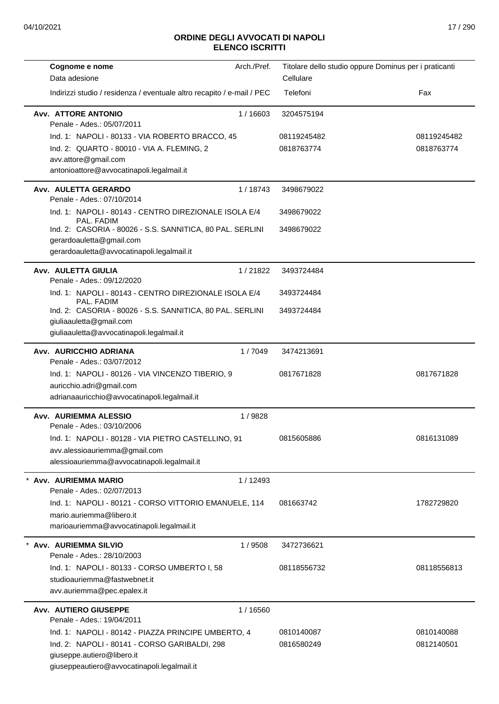| Cognome e nome                                                                   | Arch./Pref. | Titolare dello studio oppure Dominus per i praticanti |             |
|----------------------------------------------------------------------------------|-------------|-------------------------------------------------------|-------------|
| Data adesione                                                                    |             | Cellulare                                             |             |
| Indirizzi studio / residenza / eventuale altro recapito / e-mail / PEC           |             | Telefoni                                              | Fax         |
| <b>Avv. ATTORE ANTONIO</b><br>Penale - Ades.: 05/07/2011                         | 1/16603     | 3204575194                                            |             |
| Ind. 1: NAPOLI - 80133 - VIA ROBERTO BRACCO, 45                                  |             | 08119245482                                           | 08119245482 |
| Ind. 2: QUARTO - 80010 - VIA A. FLEMING, 2                                       |             | 0818763774                                            | 0818763774  |
| avv.attore@gmail.com                                                             |             |                                                       |             |
| antonioattore@avvocatinapoli.legalmail.it                                        |             |                                                       |             |
| Avv. AULETTA GERARDO<br>Penale - Ades.: 07/10/2014                               | 1/18743     | 3498679022                                            |             |
| Ind. 1: NAPOLI - 80143 - CENTRO DIREZIONALE ISOLA E/4<br>PAL. FADIM              |             | 3498679022                                            |             |
| Ind. 2: CASORIA - 80026 - S.S. SANNITICA, 80 PAL. SERLINI                        |             | 3498679022                                            |             |
| gerardoauletta@gmail.com                                                         |             |                                                       |             |
| gerardoauletta@avvocatinapoli.legalmail.it                                       |             |                                                       |             |
| Avv. AULETTA GIULIA<br>Penale - Ades.: 09/12/2020                                | 1/21822     | 3493724484                                            |             |
| Ind. 1: NAPOLI - 80143 - CENTRO DIREZIONALE ISOLA E/4<br>PAL. FADIM              |             | 3493724484                                            |             |
| Ind. 2: CASORIA - 80026 - S.S. SANNITICA, 80 PAL. SERLINI                        |             | 3493724484                                            |             |
| giuliaauletta@gmail.com                                                          |             |                                                       |             |
| giuliaauletta@avvocatinapoli.legalmail.it                                        |             |                                                       |             |
| Avv. AURICCHIO ADRIANA<br>Penale - Ades.: 03/07/2012                             | 1/7049      | 3474213691                                            |             |
| Ind. 1: NAPOLI - 80126 - VIA VINCENZO TIBERIO, 9                                 |             | 0817671828                                            | 0817671828  |
| auricchio.adri@gmail.com                                                         |             |                                                       |             |
| adrianaauricchio@avvocatinapoli.legalmail.it                                     |             |                                                       |             |
| Avv. AURIEMMA ALESSIO                                                            | 1/9828      |                                                       |             |
| Penale - Ades.: 03/10/2006<br>Ind. 1: NAPOLI - 80128 - VIA PIETRO CASTELLINO, 91 |             | 0815605886                                            | 0816131089  |
| avv.alessioauriemma@gmail.com                                                    |             |                                                       |             |
| alessioauriemma@avvocatinapoli.legalmail.it                                      |             |                                                       |             |
| Avv. AURIEMMA MARIO                                                              | 1/12493     |                                                       |             |
| Penale - Ades.: 02/07/2013                                                       |             |                                                       |             |
| Ind. 1: NAPOLI - 80121 - CORSO VITTORIO EMANUELE, 114                            |             | 081663742                                             | 1782729820  |
| mario.auriemma@libero.it                                                         |             |                                                       |             |
| marioauriemma@avvocatinapoli.legalmail.it                                        |             |                                                       |             |
| Avv. AURIEMMA SILVIO                                                             | 1 / 9508    | 3472736621                                            |             |
| Penale - Ades.: 28/10/2003                                                       |             |                                                       |             |
| Ind. 1: NAPOLI - 80133 - CORSO UMBERTO I, 58<br>studioauriemma@fastwebnet.it     |             | 08118556732                                           | 08118556813 |
| avv.auriemma@pec.epalex.it                                                       |             |                                                       |             |
| <b>Avv. AUTIERO GIUSEPPE</b>                                                     | 1 / 16560   |                                                       |             |
| Penale - Ades.: 19/04/2011                                                       |             |                                                       |             |
| Ind. 1: NAPOLI - 80142 - PIAZZA PRINCIPE UMBERTO, 4                              |             | 0810140087                                            | 0810140088  |
| Ind. 2: NAPOLI - 80141 - CORSO GARIBALDI, 298                                    |             | 0816580249                                            | 0812140501  |
| giuseppe.autiero@libero.it                                                       |             |                                                       |             |
| giuseppeautiero@avvocatinapoli.legalmail.it                                      |             |                                                       |             |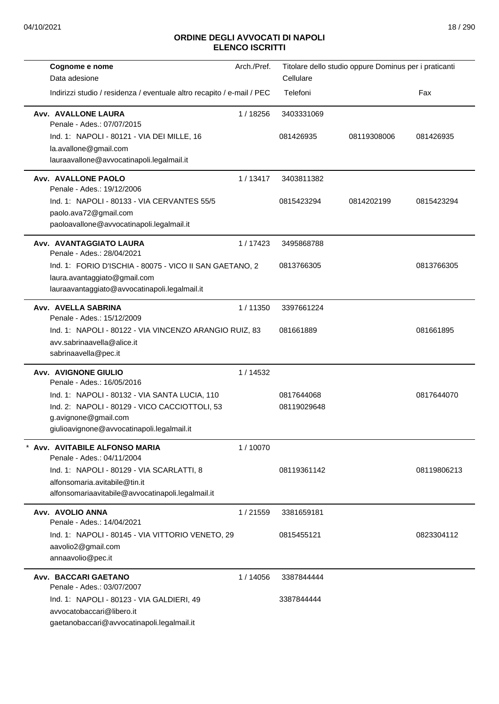| Cognome e nome                                                         | Arch./Pref. | Titolare dello studio oppure Dominus per i praticanti |             |             |
|------------------------------------------------------------------------|-------------|-------------------------------------------------------|-------------|-------------|
| Data adesione                                                          |             | Cellulare                                             |             |             |
| Indirizzi studio / residenza / eventuale altro recapito / e-mail / PEC |             | Telefoni                                              |             | Fax         |
| Avv. AVALLONE LAURA<br>Penale - Ades.: 07/07/2015                      | 1 / 18256   | 3403331069                                            |             |             |
| Ind. 1: NAPOLI - 80121 - VIA DEI MILLE, 16                             |             | 081426935                                             | 08119308006 | 081426935   |
| la.avallone@gmail.com                                                  |             |                                                       |             |             |
| lauraavallone@avvocatinapoli.legalmail.it                              |             |                                                       |             |             |
| Avv. AVALLONE PAOLO<br>Penale - Ades.: 19/12/2006                      | 1/13417     | 3403811382                                            |             |             |
| Ind. 1: NAPOLI - 80133 - VIA CERVANTES 55/5                            |             | 0815423294                                            | 0814202199  | 0815423294  |
| paolo.ava72@gmail.com                                                  |             |                                                       |             |             |
| paoloavallone@avvocatinapoli.legalmail.it                              |             |                                                       |             |             |
| Avv. AVANTAGGIATO LAURA<br>Penale - Ades.: 28/04/2021                  | 1/17423     | 3495868788                                            |             |             |
| Ind. 1: FORIO D'ISCHIA - 80075 - VICO II SAN GAETANO, 2                |             | 0813766305                                            |             | 0813766305  |
| laura.avantaggiato@gmail.com                                           |             |                                                       |             |             |
| lauraavantaggiato@avvocatinapoli.legalmail.it                          |             |                                                       |             |             |
| Avv. AVELLA SABRINA<br>Penale - Ades.: 15/12/2009                      | 1/11350     | 3397661224                                            |             |             |
| Ind. 1: NAPOLI - 80122 - VIA VINCENZO ARANGIO RUIZ, 83                 |             | 081661889                                             |             | 081661895   |
| avv.sabrinaavella@alice.it                                             |             |                                                       |             |             |
| sabrinaavella@pec.it                                                   |             |                                                       |             |             |
| <b>Avv. AVIGNONE GIULIO</b>                                            | 1/14532     |                                                       |             |             |
| Penale - Ades.: 16/05/2016                                             |             |                                                       |             |             |
| Ind. 1: NAPOLI - 80132 - VIA SANTA LUCIA, 110                          |             | 0817644068                                            |             | 0817644070  |
| Ind. 2: NAPOLI - 80129 - VICO CACCIOTTOLI, 53<br>g.avignone@gmail.com  |             | 08119029648                                           |             |             |
| giulioavignone@avvocatinapoli.legalmail.it                             |             |                                                       |             |             |
|                                                                        |             |                                                       |             |             |
| Avv. AVITABILE ALFONSO MARIA<br>Penale - Ades.: 04/11/2004             | 1/10070     |                                                       |             |             |
| Ind. 1: NAPOLI - 80129 - VIA SCARLATTI, 8                              |             | 08119361142                                           |             | 08119806213 |
| alfonsomaria.avitabile@tin.it                                          |             |                                                       |             |             |
| alfonsomariaavitabile@avvocatinapoli.legalmail.it                      |             |                                                       |             |             |
| Avv. AVOLIO ANNA<br>Penale - Ades.: 14/04/2021                         | 1/21559     | 3381659181                                            |             |             |
| Ind. 1: NAPOLI - 80145 - VIA VITTORIO VENETO, 29                       |             | 0815455121                                            |             | 0823304112  |
| aavolio2@gmail.com                                                     |             |                                                       |             |             |
| annaavolio@pec.it                                                      |             |                                                       |             |             |
| Avv. BACCARI GAETANO                                                   | 1/14056     | 3387844444                                            |             |             |
| Penale - Ades.: 03/07/2007                                             |             |                                                       |             |             |
| Ind. 1: NAPOLI - 80123 - VIA GALDIERI, 49                              |             | 3387844444                                            |             |             |
| avvocatobaccari@libero.it                                              |             |                                                       |             |             |
| gaetanobaccari@avvocatinapoli.legalmail.it                             |             |                                                       |             |             |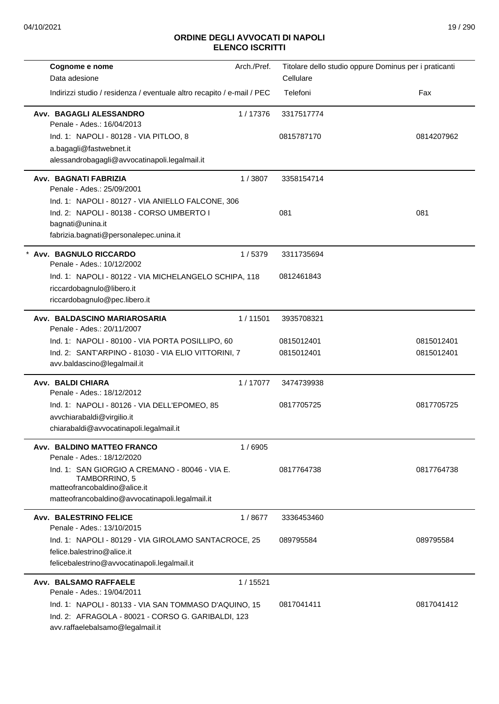| Cognome e nome                                                                         | Arch./Pref. | Titolare dello studio oppure Dominus per i praticanti |            |
|----------------------------------------------------------------------------------------|-------------|-------------------------------------------------------|------------|
| Data adesione                                                                          |             | Cellulare                                             |            |
| Indirizzi studio / residenza / eventuale altro recapito / e-mail / PEC                 |             | Telefoni                                              | Fax        |
| Avv. BAGAGLI ALESSANDRO<br>Penale - Ades.: 16/04/2013                                  | 1/17376     | 3317517774                                            |            |
| Ind. 1: NAPOLI - 80128 - VIA PITLOO, 8                                                 |             | 0815787170                                            | 0814207962 |
| a.bagagli@fastwebnet.it                                                                |             |                                                       |            |
| alessandrobagagli@avvocatinapoli.legalmail.it                                          |             |                                                       |            |
| Avv. BAGNATI FABRIZIA<br>Penale - Ades.: 25/09/2001                                    | 1/3807      | 3358154714                                            |            |
| Ind. 1: NAPOLI - 80127 - VIA ANIELLO FALCONE, 306                                      |             |                                                       |            |
| Ind. 2: NAPOLI - 80138 - CORSO UMBERTO I                                               |             | 081                                                   | 081        |
| bagnati@unina.it                                                                       |             |                                                       |            |
| fabrizia.bagnati@personalepec.unina.it                                                 |             |                                                       |            |
| Avv. BAGNULO RICCARDO<br>Penale - Ades.: 10/12/2002                                    | 1/5379      | 3311735694                                            |            |
| Ind. 1: NAPOLI - 80122 - VIA MICHELANGELO SCHIPA, 118                                  |             | 0812461843                                            |            |
| riccardobagnulo@libero.it                                                              |             |                                                       |            |
| riccardobagnulo@pec.libero.it                                                          |             |                                                       |            |
| Avv. BALDASCINO MARIAROSARIA<br>Penale - Ades.: 20/11/2007                             | 1/11501     | 3935708321                                            |            |
| Ind. 1: NAPOLI - 80100 - VIA PORTA POSILLIPO, 60                                       |             | 0815012401                                            | 0815012401 |
| Ind. 2: SANT'ARPINO - 81030 - VIA ELIO VITTORINI, 7<br>avv.baldascino@legalmail.it     |             | 0815012401                                            | 0815012401 |
| Avv. BALDI CHIARA<br>Penale - Ades.: 18/12/2012                                        | 1/17077     | 3474739938                                            |            |
| Ind. 1: NAPOLI - 80126 - VIA DELL'EPOMEO, 85                                           |             | 0817705725                                            | 0817705725 |
| avvchiarabaldi@virgilio.it                                                             |             |                                                       |            |
| chiarabaldi@avvocatinapoli.legalmail.it                                                |             |                                                       |            |
| Avv. BALDINO MATTEO FRANCO<br>Penale - Ades.: 18/12/2020                               | 1/6905      |                                                       |            |
| Ind. 1: SAN GIORGIO A CREMANO - 80046 - VIA E.                                         |             | 0817764738                                            | 0817764738 |
| TAMBORRINO, 5<br>matteofrancobaldino@alice.it                                          |             |                                                       |            |
| matteofrancobaldino@avvocatinapoli.legalmail.it                                        |             |                                                       |            |
| <b>Avv. BALESTRINO FELICE</b>                                                          | 1 / 8677    | 3336453460                                            |            |
| Penale - Ades.: 13/10/2015                                                             |             |                                                       |            |
| Ind. 1: NAPOLI - 80129 - VIA GIROLAMO SANTACROCE, 25                                   |             | 089795584                                             | 089795584  |
| felice.balestrino@alice.it                                                             |             |                                                       |            |
| felicebalestrino@avvocatinapoli.legalmail.it                                           |             |                                                       |            |
| Avv. BALSAMO RAFFAELE<br>Penale - Ades.: 19/04/2011                                    | 1/15521     |                                                       |            |
| Ind. 1: NAPOLI - 80133 - VIA SAN TOMMASO D'AQUINO, 15                                  |             | 0817041411                                            | 0817041412 |
| Ind. 2: AFRAGOLA - 80021 - CORSO G. GARIBALDI, 123<br>avv.raffaelebalsamo@legalmail.it |             |                                                       |            |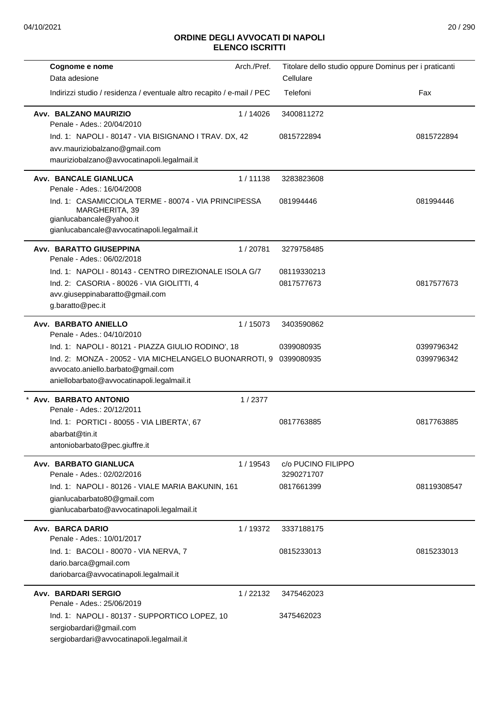| Arch./Pref.<br>Cognome e nome                                              | Titolare dello studio oppure Dominus per i praticanti |             |
|----------------------------------------------------------------------------|-------------------------------------------------------|-------------|
| Data adesione                                                              | Cellulare                                             |             |
| Indirizzi studio / residenza / eventuale altro recapito / e-mail / PEC     | Telefoni                                              | Fax         |
| Avv. BALZANO MAURIZIO<br>1/14026<br>Penale - Ades.: 20/04/2010             | 3400811272                                            |             |
| Ind. 1: NAPOLI - 80147 - VIA BISIGNANO I TRAV. DX, 42                      | 0815722894                                            | 0815722894  |
| avv.mauriziobalzano@gmail.com                                              |                                                       |             |
| mauriziobalzano@avvocatinapoli.legalmail.it                                |                                                       |             |
| Avv. BANCALE GIANLUCA<br>1/11138<br>Penale - Ades.: 16/04/2008             | 3283823608                                            |             |
| Ind. 1: CASAMICCIOLA TERME - 80074 - VIA PRINCIPESSA                       | 081994446                                             | 081994446   |
| MARGHERITA, 39                                                             |                                                       |             |
| gianlucabancale@yahoo.it                                                   |                                                       |             |
| gianlucabancale@avvocatinapoli.legalmail.it                                |                                                       |             |
| <b>Avv. BARATTO GIUSEPPINA</b><br>1/20781<br>Penale - Ades.: 06/02/2018    | 3279758485                                            |             |
| Ind. 1: NAPOLI - 80143 - CENTRO DIREZIONALE ISOLA G/7                      | 08119330213                                           |             |
| Ind. 2: CASORIA - 80026 - VIA GIOLITTI, 4                                  | 0817577673                                            | 0817577673  |
| avv.giuseppinabaratto@gmail.com                                            |                                                       |             |
| g.baratto@pec.it                                                           |                                                       |             |
| Avv. BARBATO ANIELLO<br>1/15073                                            | 3403590862                                            |             |
| Penale - Ades.: 04/10/2010                                                 |                                                       |             |
| Ind. 1: NAPOLI - 80121 - PIAZZA GIULIO RODINO', 18                         | 0399080935                                            | 0399796342  |
| Ind. 2: MONZA - 20052 - VIA MICHELANGELO BUONARROTI, 9                     | 0399080935                                            | 0399796342  |
| avvocato.aniello.barbato@gmail.com                                         |                                                       |             |
| aniellobarbato@avvocatinapoli.legalmail.it                                 |                                                       |             |
| Avv. BARBATO ANTONIO<br>1/2377<br>Penale - Ades.: 20/12/2011               |                                                       |             |
| Ind. 1: PORTICI - 80055 - VIA LIBERTA', 67                                 | 0817763885                                            | 0817763885  |
| abarbat@tin.it                                                             |                                                       |             |
| antoniobarbato@pec.giuffre.it                                              |                                                       |             |
| Avv. BARBATO GIANLUCA<br>1 / 19543                                         | c/o PUCINO FILIPPO                                    |             |
| Penale - Ades.: 02/02/2016                                                 | 3290271707                                            |             |
| Ind. 1: NAPOLI - 80126 - VIALE MARIA BAKUNIN, 161                          | 0817661399                                            | 08119308547 |
| gianlucabarbato80@gmail.com<br>gianlucabarbato@avvocatinapoli.legalmail.it |                                                       |             |
|                                                                            |                                                       |             |
| <b>Avv. BARCA DARIO</b><br>1/19372                                         | 3337188175                                            |             |
| Penale - Ades.: 10/01/2017                                                 |                                                       |             |
| Ind. 1: BACOLI - 80070 - VIA NERVA, 7                                      | 0815233013                                            | 0815233013  |
| dario.barca@gmail.com<br>dariobarca@avvocatinapoli.legalmail.it            |                                                       |             |
|                                                                            |                                                       |             |
| Avv. BARDARI SERGIO<br>1/22132                                             | 3475462023                                            |             |
| Penale - Ades.: 25/06/2019                                                 |                                                       |             |
| Ind. 1: NAPOLI - 80137 - SUPPORTICO LOPEZ, 10<br>sergiobardari@gmail.com   | 3475462023                                            |             |
| sergiobardari@avvocatinapoli.legalmail.it                                  |                                                       |             |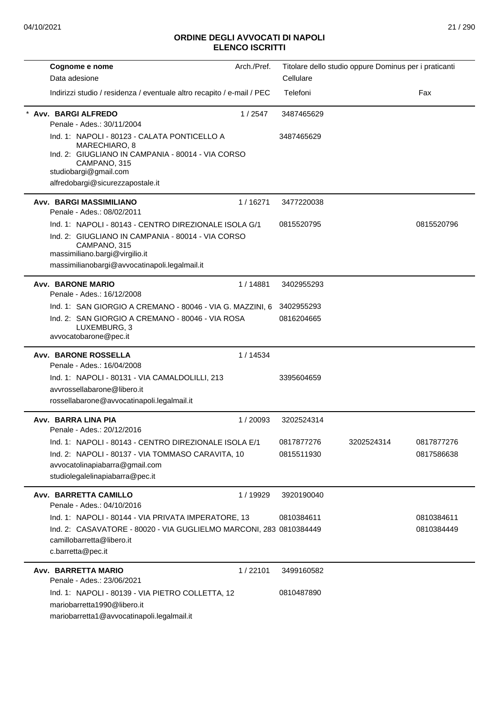| Cognome e nome                                                                             | Arch./Pref. |            | Titolare dello studio oppure Dominus per i praticanti |            |
|--------------------------------------------------------------------------------------------|-------------|------------|-------------------------------------------------------|------------|
| Data adesione                                                                              |             | Cellulare  |                                                       |            |
| Indirizzi studio / residenza / eventuale altro recapito / e-mail / PEC                     |             | Telefoni   |                                                       | Fax        |
| * Avv. BARGI ALFREDO                                                                       | 1/2547      | 3487465629 |                                                       |            |
| Penale - Ades.: 30/11/2004                                                                 |             |            |                                                       |            |
| Ind. 1: NAPOLI - 80123 - CALATA PONTICELLO A<br>MARECHIARO, 8                              |             | 3487465629 |                                                       |            |
| Ind. 2: GIUGLIANO IN CAMPANIA - 80014 - VIA CORSO<br>CAMPANO, 315<br>studiobargi@gmail.com |             |            |                                                       |            |
| alfredobargi@sicurezzapostale.it                                                           |             |            |                                                       |            |
| <b>Avv. BARGI MASSIMILIANO</b>                                                             | 1/16271     | 3477220038 |                                                       |            |
| Penale - Ades.: 08/02/2011                                                                 |             |            |                                                       |            |
| Ind. 1: NAPOLI - 80143 - CENTRO DIREZIONALE ISOLA G/1                                      |             | 0815520795 |                                                       | 0815520796 |
| Ind. 2: GIUGLIANO IN CAMPANIA - 80014 - VIA CORSO                                          |             |            |                                                       |            |
| CAMPANO, 315<br>massimiliano.bargi@virgilio.it                                             |             |            |                                                       |            |
| massimilianobargi@avvocatinapoli.legalmail.it                                              |             |            |                                                       |            |
|                                                                                            |             |            |                                                       |            |
| <b>Avv. BARONE MARIO</b><br>Penale - Ades.: 16/12/2008                                     | 1/14881     | 3402955293 |                                                       |            |
| Ind. 1: SAN GIORGIO A CREMANO - 80046 - VIA G. MAZZINI, 6                                  |             | 3402955293 |                                                       |            |
| Ind. 2: SAN GIORGIO A CREMANO - 80046 - VIA ROSA                                           |             | 0816204665 |                                                       |            |
| LUXEMBURG, 3<br>avvocatobarone@pec.it                                                      |             |            |                                                       |            |
| Avv. BARONE ROSSELLA                                                                       | 1/14534     |            |                                                       |            |
| Penale - Ades.: 16/04/2008                                                                 |             |            |                                                       |            |
| Ind. 1: NAPOLI - 80131 - VIA CAMALDOLILLI, 213                                             |             | 3395604659 |                                                       |            |
| avvrossellabarone@libero.it<br>rossellabarone@avvocatinapoli.legalmail.it                  |             |            |                                                       |            |
|                                                                                            |             |            |                                                       |            |
| Avv. BARRA LINA PIA                                                                        | 1/20093     | 3202524314 |                                                       |            |
| Penale - Ades.: 20/12/2016                                                                 |             |            |                                                       |            |
| Ind. 1: NAPOLI - 80143 - CENTRO DIREZIONALE ISOLA E/1                                      |             | 0817877276 | 3202524314                                            | 0817877276 |
| Ind. 2: NAPOLI - 80137 - VIA TOMMASO CARAVITA, 10<br>avvocatolinapiabarra@gmail.com        |             | 0815511930 |                                                       | 0817586638 |
| studiolegalelinapiabarra@pec.it                                                            |             |            |                                                       |            |
|                                                                                            |             |            |                                                       |            |
| Avv. BARRETTA CAMILLO<br>Penale - Ades.: 04/10/2016                                        | 1 / 19929   | 3920190040 |                                                       |            |
| Ind. 1: NAPOLI - 80144 - VIA PRIVATA IMPERATORE, 13                                        |             | 0810384611 |                                                       | 0810384611 |
| Ind. 2: CASAVATORE - 80020 - VIA GUGLIELMO MARCONI, 283 0810384449                         |             |            |                                                       | 0810384449 |
| camillobarretta@libero.it                                                                  |             |            |                                                       |            |
| c.barretta@pec.it                                                                          |             |            |                                                       |            |
| Avv. BARRETTA MARIO                                                                        | 1/22101     | 3499160582 |                                                       |            |
| Penale - Ades.: 23/06/2021                                                                 |             |            |                                                       |            |
| Ind. 1: NAPOLI - 80139 - VIA PIETRO COLLETTA, 12                                           |             | 0810487890 |                                                       |            |
| mariobarretta1990@libero.it                                                                |             |            |                                                       |            |
| mariobarretta1@avvocatinapoli.legalmail.it                                                 |             |            |                                                       |            |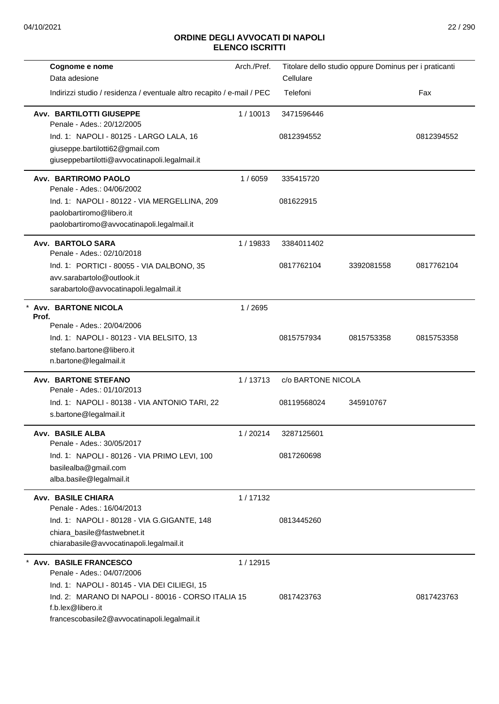| Cognome e nome<br>Data adesione                                                                                                                                         | Arch./Pref. | Titolare dello studio oppure Dominus per i praticanti<br>Cellulare |            |            |
|-------------------------------------------------------------------------------------------------------------------------------------------------------------------------|-------------|--------------------------------------------------------------------|------------|------------|
| Indirizzi studio / residenza / eventuale altro recapito / e-mail / PEC                                                                                                  |             | Telefoni                                                           |            | Fax        |
| <b>Avv. BARTILOTTI GIUSEPPE</b><br>Penale - Ades.: 20/12/2005                                                                                                           | 1/10013     | 3471596446                                                         |            |            |
| Ind. 1: NAPOLI - 80125 - LARGO LALA, 16<br>giuseppe.bartilotti62@gmail.com<br>giuseppebartilotti@avvocatinapoli.legalmail.it                                            |             | 0812394552                                                         |            | 0812394552 |
| Avv. BARTIROMO PAOLO<br>Penale - Ades.: 04/06/2002                                                                                                                      | 1/6059      | 335415720                                                          |            |            |
| Ind. 1: NAPOLI - 80122 - VIA MERGELLINA, 209<br>paolobartiromo@libero.it<br>paolobartiromo@avvocatinapoli.legalmail.it                                                  |             | 081622915                                                          |            |            |
| Avv. BARTOLO SARA<br>Penale - Ades.: 02/10/2018                                                                                                                         | 1/19833     | 3384011402                                                         |            |            |
| Ind. 1: PORTICI - 80055 - VIA DALBONO, 35<br>avv.sarabartolo@outlook.it<br>sarabartolo@avvocatinapoli.legalmail.it                                                      |             | 0817762104                                                         | 3392081558 | 0817762104 |
| <b>Avv. BARTONE NICOLA</b><br>Prof.                                                                                                                                     | 1/2695      |                                                                    |            |            |
| Penale - Ades.: 20/04/2006<br>Ind. 1: NAPOLI - 80123 - VIA BELSITO, 13<br>stefano.bartone@libero.it<br>n.bartone@legalmail.it                                           |             | 0815757934                                                         | 0815753358 | 0815753358 |
| <b>Avv. BARTONE STEFANO</b><br>Penale - Ades.: 01/10/2013                                                                                                               | 1/13713     | c/o BARTONE NICOLA                                                 |            |            |
| Ind. 1: NAPOLI - 80138 - VIA ANTONIO TARI, 22<br>s.bartone@legalmail.it                                                                                                 |             | 08119568024                                                        | 345910767  |            |
| Avv. BASILE ALBA<br>Penale - Ades.: 30/05/2017                                                                                                                          | 1/20214     | 3287125601                                                         |            |            |
| Ind. 1: NAPOLI - 80126 - VIA PRIMO LEVI, 100<br>basilealba@gmail.com<br>alba.basile@legalmail.it                                                                        |             | 0817260698                                                         |            |            |
| <b>Avv. BASILE CHIARA</b><br>Penale - Ades.: 16/04/2013                                                                                                                 | 1/17132     |                                                                    |            |            |
| Ind. 1: NAPOLI - 80128 - VIA G.GIGANTE, 148<br>chiara_basile@fastwebnet.it<br>chiarabasile@avvocatinapoli.legalmail.it                                                  |             | 0813445260                                                         |            |            |
| Avv. BASILE FRANCESCO<br>Penale - Ades.: 04/07/2006                                                                                                                     | 1/12915     |                                                                    |            |            |
| Ind. 1: NAPOLI - 80145 - VIA DEI CILIEGI, 15<br>Ind. 2: MARANO DI NAPOLI - 80016 - CORSO ITALIA 15<br>f.b.lex@libero.it<br>francescobasile2@avvocatinapoli.legalmail.it |             | 0817423763                                                         |            | 0817423763 |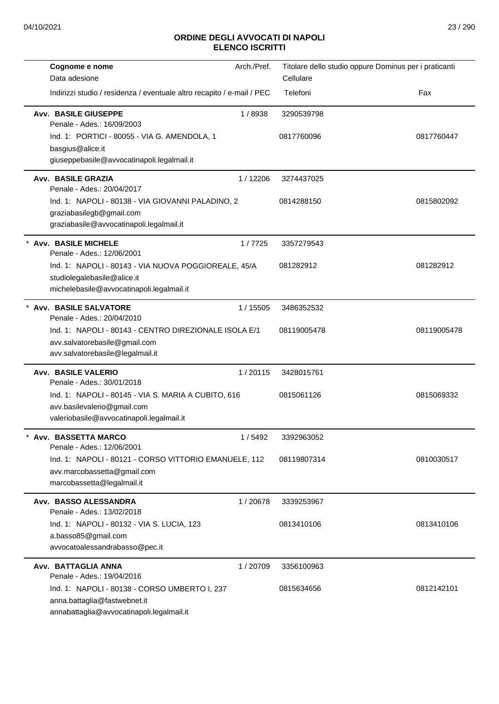| Cognome e nome                                                              | Arch./Pref.                                                            |             | Titolare dello studio oppure Dominus per i praticanti |
|-----------------------------------------------------------------------------|------------------------------------------------------------------------|-------------|-------------------------------------------------------|
| Data adesione                                                               |                                                                        | Cellulare   |                                                       |
|                                                                             | Indirizzi studio / residenza / eventuale altro recapito / e-mail / PEC | Telefoni    | Fax                                                   |
| <b>Avv. BASILE GIUSEPPE</b><br>Penale - Ades.: 16/09/2003                   | 1/8938                                                                 | 3290539798  |                                                       |
| Ind. 1: PORTICI - 80055 - VIA G. AMENDOLA, 1                                |                                                                        | 0817760096  | 0817760447                                            |
| basgius@alice.it                                                            |                                                                        |             |                                                       |
| giuseppebasile@avvocatinapoli.legalmail.it                                  |                                                                        |             |                                                       |
| Avv. BASILE GRAZIA<br>Penale - Ades.: 20/04/2017                            | 1/12206                                                                | 3274437025  |                                                       |
| Ind. 1: NAPOLI - 80138 - VIA GIOVANNI PALADINO, 2                           |                                                                        | 0814288150  | 0815802092                                            |
| graziabasilegb@gmail.com                                                    |                                                                        |             |                                                       |
| graziabasile@avvocatinapoli.legalmail.it                                    |                                                                        |             |                                                       |
| * Avv. BASILE MICHELE                                                       | 1/7725                                                                 | 3357279543  |                                                       |
| Penale - Ades.: 12/06/2001                                                  |                                                                        |             |                                                       |
|                                                                             | Ind. 1: NAPOLI - 80143 - VIA NUOVA POGGIOREALE, 45/A                   | 081282912   | 081282912                                             |
| studiolegalebasile@alice.it                                                 |                                                                        |             |                                                       |
| michelebasile@avvocatinapoli.legalmail.it                                   |                                                                        |             |                                                       |
| * Avv. BASILE SALVATORE<br>Penale - Ades.: 20/04/2010                       | 1 / 15505                                                              | 3486352532  |                                                       |
|                                                                             | Ind. 1: NAPOLI - 80143 - CENTRO DIREZIONALE ISOLA E/1                  | 08119005478 | 08119005478                                           |
| avv.salvatorebasile@gmail.com                                               |                                                                        |             |                                                       |
| avv.salvatorebasile@legalmail.it                                            |                                                                        |             |                                                       |
| Avv. BASILE VALERIO                                                         | 1/20115                                                                | 3428015761  |                                                       |
| Penale - Ades.: 30/01/2018                                                  |                                                                        |             |                                                       |
| Ind. 1: NAPOLI - 80145 - VIA S. MARIA A CUBITO, 616                         |                                                                        | 0815061126  | 0815069332                                            |
| avv.basilevalerio@gmail.com<br>valeriobasile@avvocatinapoli.legalmail.it    |                                                                        |             |                                                       |
|                                                                             |                                                                        |             |                                                       |
| <b>Avv. BASSETTA MARCO</b><br>Penale - Ades.: 12/06/2001                    | 1/5492                                                                 | 3392963052  |                                                       |
|                                                                             | Ind. 1: NAPOLI - 80121 - CORSO VITTORIO EMANUELE, 112                  | 08119807314 | 0810030517                                            |
| avv.marcobassetta@gmail.com                                                 |                                                                        |             |                                                       |
| marcobassetta@legalmail.it                                                  |                                                                        |             |                                                       |
| Avv. BASSO ALESSANDRA                                                       | 1/20678                                                                | 3339253967  |                                                       |
| Penale - Ades.: 13/02/2018                                                  |                                                                        |             |                                                       |
| Ind. 1: NAPOLI - 80132 - VIA S. LUCIA, 123                                  |                                                                        | 0813410106  | 0813410106                                            |
| a.basso85@gmail.com                                                         |                                                                        |             |                                                       |
| avvocatoalessandrabasso@pec.it                                              |                                                                        |             |                                                       |
| Avv. BATTAGLIA ANNA                                                         | 1/20709                                                                | 3356100963  |                                                       |
| Penale - Ades.: 19/04/2016<br>Ind. 1: NAPOLI - 80138 - CORSO UMBERTO I, 237 |                                                                        | 0815634656  | 0812142101                                            |
| anna.battaglia@fastwebnet.it                                                |                                                                        |             |                                                       |
| annabattaglia@avvocatinapoli.legalmail.it                                   |                                                                        |             |                                                       |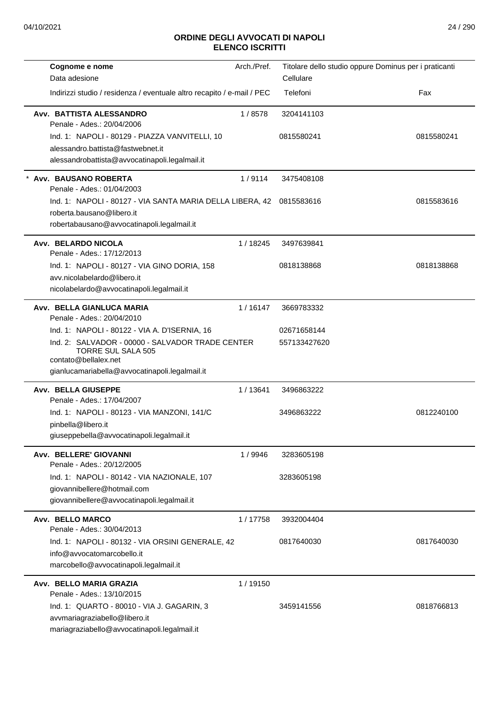| Cognome e nome                                                                                        | Arch./Pref. | Titolare dello studio oppure Dominus per i praticanti |            |
|-------------------------------------------------------------------------------------------------------|-------------|-------------------------------------------------------|------------|
| Data adesione                                                                                         |             | Cellulare                                             |            |
| Indirizzi studio / residenza / eventuale altro recapito / e-mail / PEC                                |             | Telefoni                                              | Fax        |
| Avv. BATTISTA ALESSANDRO<br>Penale - Ades.: 20/04/2006                                                | 1/8578      | 3204141103                                            |            |
| Ind. 1: NAPOLI - 80129 - PIAZZA VANVITELLI, 10                                                        |             | 0815580241                                            | 0815580241 |
| alessandro.battista@fastwebnet.it                                                                     |             |                                                       |            |
| alessandrobattista@avvocatinapoli.legalmail.it                                                        |             |                                                       |            |
| Avv. BAUSANO ROBERTA<br>Penale - Ades.: 01/04/2003                                                    | 1/9114      | 3475408108                                            |            |
| Ind. 1: NAPOLI - 80127 - VIA SANTA MARIA DELLA LIBERA, 42                                             |             | 0815583616                                            | 0815583616 |
| roberta.bausano@libero.it                                                                             |             |                                                       |            |
| robertabausano@avvocatinapoli.legalmail.it                                                            |             |                                                       |            |
| Avv. BELARDO NICOLA<br>Penale - Ades.: 17/12/2013                                                     | 1 / 18245   | 3497639841                                            |            |
| Ind. 1: NAPOLI - 80127 - VIA GINO DORIA, 158                                                          |             | 0818138868                                            | 0818138868 |
| avv.nicolabelardo@libero.it                                                                           |             |                                                       |            |
| nicolabelardo@avvocatinapoli.legalmail.it                                                             |             |                                                       |            |
| Avv. BELLA GIANLUCA MARIA<br>Penale - Ades.: 20/04/2010                                               | 1/16147     | 3669783332                                            |            |
| Ind. 1: NAPOLI - 80122 - VIA A. D'ISERNIA, 16                                                         |             | 02671658144                                           |            |
| Ind. 2: SALVADOR - 00000 - SALVADOR TRADE CENTER<br><b>TORRE SUL SALA 505</b><br>contato@bellalex.net |             | 557133427620                                          |            |
| gianlucamariabella@avvocatinapoli.legalmail.it                                                        |             |                                                       |            |
| <b>Avv. BELLA GIUSEPPE</b>                                                                            | 1/13641     | 3496863222                                            |            |
| Penale - Ades.: 17/04/2007<br>Ind. 1: NAPOLI - 80123 - VIA MANZONI, 141/C                             |             | 3496863222                                            | 0812240100 |
| pinbella@libero.it                                                                                    |             |                                                       |            |
| giuseppebella@avvocatinapoli.legalmail.it                                                             |             |                                                       |            |
| Avv. BELLERE' GIOVANNI<br>Penale - Ades.: 20/12/2005                                                  | 1/9946      | 3283605198                                            |            |
| Ind. 1: NAPOLI - 80142 - VIA NAZIONALE, 107                                                           |             | 3283605198                                            |            |
| giovannibellere@hotmail.com                                                                           |             |                                                       |            |
| giovannibellere@avvocatinapoli.legalmail.it                                                           |             |                                                       |            |
| Avv. BELLO MARCO<br>Penale - Ades.: 30/04/2013                                                        | 1/17758     | 3932004404                                            |            |
| Ind. 1: NAPOLI - 80132 - VIA ORSINI GENERALE, 42                                                      |             | 0817640030                                            | 0817640030 |
| info@avvocatomarcobello.it                                                                            |             |                                                       |            |
| marcobello@avvocatinapoli.legalmail.it                                                                |             |                                                       |            |
| Avv. BELLO MARIA GRAZIA                                                                               | 1/19150     |                                                       |            |
| Penale - Ades.: 13/10/2015                                                                            |             |                                                       |            |
| Ind. 1: QUARTO - 80010 - VIA J. GAGARIN, 3                                                            |             | 3459141556                                            | 0818766813 |
| avvmariagraziabello@libero.it<br>mariagraziabello@avvocatinapoli.legalmail.it                         |             |                                                       |            |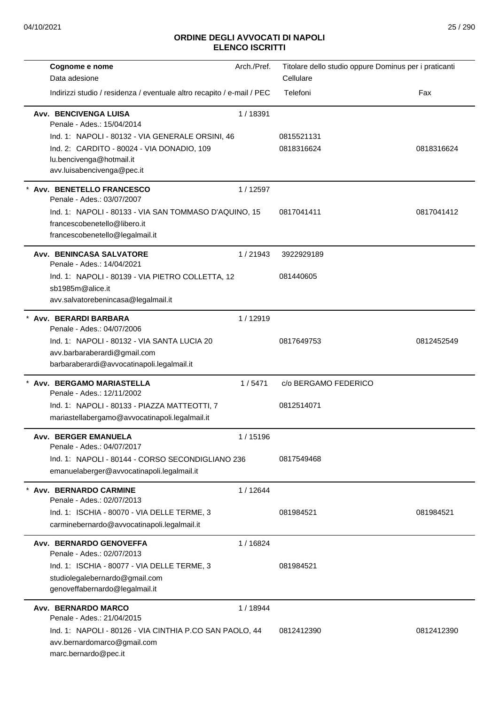|         | Cognome e nome                                                             | Arch./Pref. | Titolare dello studio oppure Dominus per i praticanti |            |
|---------|----------------------------------------------------------------------------|-------------|-------------------------------------------------------|------------|
|         | Data adesione                                                              |             | Cellulare                                             |            |
|         | Indirizzi studio / residenza / eventuale altro recapito / e-mail / PEC     |             | Telefoni                                              | Fax        |
|         | Avv. BENCIVENGA LUISA<br>Penale - Ades.: 15/04/2014                        | 1/18391     |                                                       |            |
|         | Ind. 1: NAPOLI - 80132 - VIA GENERALE ORSINI, 46                           |             | 0815521131                                            |            |
|         | Ind. 2: CARDITO - 80024 - VIA DONADIO, 109<br>lu.bencivenga@hotmail.it     |             | 0818316624                                            | 0818316624 |
|         | avv.luisabencivenga@pec.it                                                 |             |                                                       |            |
|         | * Avv. BENETELLO FRANCESCO<br>Penale - Ades.: 03/07/2007                   | 1/12597     |                                                       |            |
|         | Ind. 1: NAPOLI - 80133 - VIA SAN TOMMASO D'AQUINO, 15                      |             | 0817041411                                            | 0817041412 |
|         | francescobenetello@libero.it                                               |             |                                                       |            |
|         | francescobenetello@legalmail.it                                            |             |                                                       |            |
|         | Avv. BENINCASA SALVATORE<br>Penale - Ades.: 14/04/2021                     | 1/21943     | 3922929189                                            |            |
|         | Ind. 1: NAPOLI - 80139 - VIA PIETRO COLLETTA, 12                           |             | 081440605                                             |            |
|         | sb1985m@alice.it<br>avv.salvatorebenincasa@legalmail.it                    |             |                                                       |            |
|         | * Avv. BERARDI BARBARA                                                     | 1/12919     |                                                       |            |
|         | Penale - Ades.: 04/07/2006                                                 |             |                                                       |            |
|         | Ind. 1: NAPOLI - 80132 - VIA SANTA LUCIA 20                                |             | 0817649753                                            | 0812452549 |
|         | avv.barbaraberardi@gmail.com<br>barbaraberardi@avvocatinapoli.legalmail.it |             |                                                       |            |
|         |                                                                            |             |                                                       |            |
|         | * Avv. BERGAMO MARIASTELLA<br>Penale - Ades.: 12/11/2002                   | 1/5471      | c/o BERGAMO FEDERICO                                  |            |
|         | Ind. 1: NAPOLI - 80133 - PIAZZA MATTEOTTI, 7                               |             | 0812514071                                            |            |
|         | mariastellabergamo@avvocatinapoli.legalmail.it                             |             |                                                       |            |
|         | Avv. BERGER EMANUELA<br>Penale - Ades.: 04/07/2017                         | 1/15196     |                                                       |            |
|         | Ind. 1: NAPOLI - 80144 - CORSO SECONDIGLIANO 236                           |             | 0817549468                                            |            |
|         | emanuelaberger@avvocatinapoli.legalmail.it                                 |             |                                                       |            |
| $\star$ | Avv. BERNARDO CARMINE<br>Penale - Ades.: 02/07/2013                        | 1 / 12644   |                                                       |            |
|         | Ind. 1: ISCHIA - 80070 - VIA DELLE TERME, 3                                |             | 081984521                                             | 081984521  |
|         | carminebernardo@avvocatinapoli.legalmail.it                                |             |                                                       |            |
|         | Avv. BERNARDO GENOVEFFA<br>Penale - Ades.: 02/07/2013                      | 1/16824     |                                                       |            |
|         | Ind. 1: ISCHIA - 80077 - VIA DELLE TERME, 3                                |             | 081984521                                             |            |
|         | studiolegalebernardo@gmail.com                                             |             |                                                       |            |
|         | genoveffabernardo@legalmail.it                                             |             |                                                       |            |
|         | Avv. BERNARDO MARCO<br>Penale - Ades.: 21/04/2015                          | 1/18944     |                                                       |            |
|         | Ind. 1: NAPOLI - 80126 - VIA CINTHIA P.CO SAN PAOLO, 44                    |             | 0812412390                                            | 0812412390 |
|         | avv.bernardomarco@gmail.com<br>marc.bernardo@pec.it                        |             |                                                       |            |
|         |                                                                            |             |                                                       |            |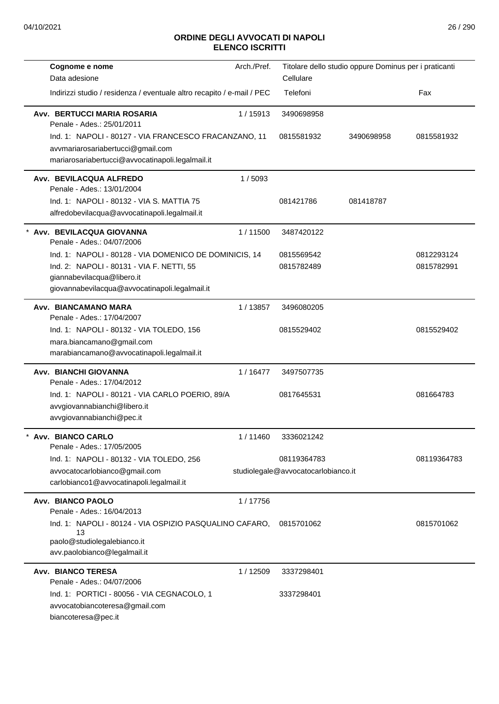| Cognome e nome                                                                                                                                 | Arch./Pref. |                                     | Titolare dello studio oppure Dominus per i praticanti |             |
|------------------------------------------------------------------------------------------------------------------------------------------------|-------------|-------------------------------------|-------------------------------------------------------|-------------|
| Data adesione                                                                                                                                  |             | Cellulare                           |                                                       |             |
| Indirizzi studio / residenza / eventuale altro recapito / e-mail / PEC                                                                         |             | Telefoni                            |                                                       | Fax         |
| Avv. BERTUCCI MARIA ROSARIA<br>Penale - Ades.: 25/01/2011                                                                                      | 1/15913     | 3490698958                          |                                                       |             |
| Ind. 1: NAPOLI - 80127 - VIA FRANCESCO FRACANZANO, 11<br>avvmariarosariabertucci@gmail.com<br>mariarosariabertucci@avvocatinapoli.legalmail.it |             | 0815581932                          | 3490698958                                            | 0815581932  |
| Avv. BEVILACQUA ALFREDO<br>Penale - Ades.: 13/01/2004                                                                                          | 1/5093      |                                     |                                                       |             |
| Ind. 1: NAPOLI - 80132 - VIA S. MATTIA 75                                                                                                      |             | 081421786                           | 081418787                                             |             |
| alfredobevilacqua@avvocatinapoli.legalmail.it                                                                                                  |             |                                     |                                                       |             |
| * Avv. BEVILACQUA GIOVANNA<br>Penale - Ades.: 04/07/2006                                                                                       | 1/11500     | 3487420122                          |                                                       |             |
| Ind. 1: NAPOLI - 80128 - VIA DOMENICO DE DOMINICIS, 14                                                                                         |             | 0815569542                          |                                                       | 0812293124  |
| Ind. 2: NAPOLI - 80131 - VIA F. NETTI, 55<br>giannabevilacqua@libero.it<br>giovannabevilacqua@avvocatinapoli.legalmail.it                      |             | 0815782489                          |                                                       | 0815782991  |
| Avv. BIANCAMANO MARA                                                                                                                           | 1/13857     | 3496080205                          |                                                       |             |
| Penale - Ades.: 17/04/2007                                                                                                                     |             |                                     |                                                       |             |
| Ind. 1: NAPOLI - 80132 - VIA TOLEDO, 156                                                                                                       |             | 0815529402                          |                                                       | 0815529402  |
| mara.biancamano@gmail.com                                                                                                                      |             |                                     |                                                       |             |
| marabiancamano@avvocatinapoli.legalmail.it                                                                                                     |             |                                     |                                                       |             |
| Avv. BIANCHI GIOVANNA<br>Penale - Ades.: 17/04/2012                                                                                            | 1/16477     | 3497507735                          |                                                       |             |
| Ind. 1: NAPOLI - 80121 - VIA CARLO POERIO, 89/A<br>avvgiovannabianchi@libero.it<br>avvgiovannabianchi@pec.it                                   |             | 0817645531                          |                                                       | 081664783   |
| Avv. BIANCO CARLO<br>Penale - Ades.: 17/05/2005                                                                                                | 1/11460     | 3336021242                          |                                                       |             |
| Ind. 1: NAPOLI - 80132 - VIA TOLEDO, 256                                                                                                       |             | 08119364783                         |                                                       | 08119364783 |
| avvocatocarlobianco@gmail.com<br>carlobianco1@avvocatinapoli.legalmail.it                                                                      |             | studiolegale@avvocatocarlobianco.it |                                                       |             |
| <b>Avv. BIANCO PAOLO</b><br>Penale - Ades.: 16/04/2013                                                                                         | 1/17756     |                                     |                                                       |             |
| Ind. 1: NAPOLI - 80124 - VIA OSPIZIO PASQUALINO CAFARO,<br>13<br>paolo@studiolegalebianco.it                                                   |             | 0815701062                          |                                                       | 0815701062  |
| avv.paolobianco@legalmail.it                                                                                                                   |             |                                     |                                                       |             |
| <b>Avv. BIANCO TERESA</b><br>Penale - Ades.: 04/07/2006                                                                                        | 1/12509     | 3337298401                          |                                                       |             |
| Ind. 1: PORTICI - 80056 - VIA CEGNACOLO, 1<br>avvocatobiancoteresa@gmail.com<br>biancoteresa@pec.it                                            |             | 3337298401                          |                                                       |             |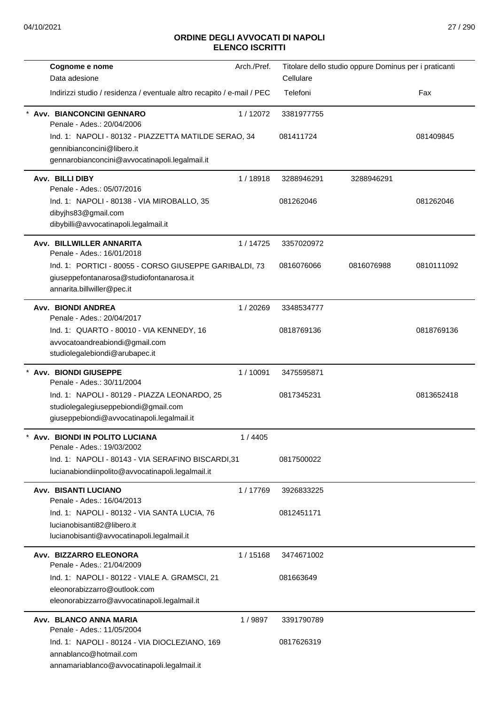| Cognome e nome                                                         | Arch./Pref. | Titolare dello studio oppure Dominus per i praticanti |            |            |
|------------------------------------------------------------------------|-------------|-------------------------------------------------------|------------|------------|
| Data adesione                                                          |             | Cellulare                                             |            |            |
| Indirizzi studio / residenza / eventuale altro recapito / e-mail / PEC |             | Telefoni                                              |            | Fax        |
| Avv. BIANCONCINI GENNARO<br>Penale - Ades.: 20/04/2006                 | 1/12072     | 3381977755                                            |            |            |
| Ind. 1: NAPOLI - 80132 - PIAZZETTA MATILDE SERAO, 34                   |             | 081411724                                             |            | 081409845  |
| gennibianconcini@libero.it                                             |             |                                                       |            |            |
| gennarobianconcini@avvocatinapoli.legalmail.it                         |             |                                                       |            |            |
| Avv. BILLI DIBY<br>Penale - Ades.: 05/07/2016                          | 1/18918     | 3288946291                                            | 3288946291 |            |
| Ind. 1: NAPOLI - 80138 - VIA MIROBALLO, 35                             |             | 081262046                                             |            | 081262046  |
| dibyjhs83@gmail.com                                                    |             |                                                       |            |            |
| dibybilli@avvocatinapoli.legalmail.it                                  |             |                                                       |            |            |
| Avv. BILLWILLER ANNARITA<br>Penale - Ades.: 16/01/2018                 | 1/14725     | 3357020972                                            |            |            |
| Ind. 1: PORTICI - 80055 - CORSO GIUSEPPE GARIBALDI, 73                 |             | 0816076066                                            | 0816076988 | 0810111092 |
| giuseppefontanarosa@studiofontanarosa.it<br>annarita.billwiller@pec.it |             |                                                       |            |            |
| Avv. BIONDI ANDREA<br>Penale - Ades.: 20/04/2017                       | 1/20269     | 3348534777                                            |            |            |
| Ind. 1: QUARTO - 80010 - VIA KENNEDY, 16                               |             | 0818769136                                            |            | 0818769136 |
| avvocatoandreabiondi@gmail.com                                         |             |                                                       |            |            |
| studiolegalebiondi@arubapec.it                                         |             |                                                       |            |            |
| Avv. BIONDI GIUSEPPE<br>Penale - Ades.: 30/11/2004                     | 1/10091     | 3475595871                                            |            |            |
| Ind. 1: NAPOLI - 80129 - PIAZZA LEONARDO, 25                           |             | 0817345231                                            |            | 0813652418 |
| studiolegalegiuseppebiondi@gmail.com                                   |             |                                                       |            |            |
| giuseppebiondi@avvocatinapoli.legalmail.it                             |             |                                                       |            |            |
| Avv. BIONDI IN POLITO LUCIANA<br>Penale - Ades.: 19/03/2002            | 1 / 4405    |                                                       |            |            |
| Ind. 1: NAPOLI - 80143 - VIA SERAFINO BISCARDI,31                      |             | 0817500022                                            |            |            |
| lucianabiondiinpolito@avvocatinapoli.legalmail.it                      |             |                                                       |            |            |
| <b>Avv. BISANTI LUCIANO</b><br>Penale - Ades.: 16/04/2013              | 1/17769     | 3926833225                                            |            |            |
| Ind. 1: NAPOLI - 80132 - VIA SANTA LUCIA, 76                           |             | 0812451171                                            |            |            |
| lucianobisanti82@libero.it                                             |             |                                                       |            |            |
| lucianobisanti@avvocatinapoli.legalmail.it                             |             |                                                       |            |            |
| Avv. BIZZARRO ELEONORA<br>Penale - Ades.: 21/04/2009                   | 1/15168     | 3474671002                                            |            |            |
| Ind. 1: NAPOLI - 80122 - VIALE A. GRAMSCI, 21                          |             | 081663649                                             |            |            |
| eleonorabizzarro@outlook.com                                           |             |                                                       |            |            |
| eleonorabizzarro@avvocatinapoli.legalmail.it                           |             |                                                       |            |            |
| Avv. BLANCO ANNA MARIA<br>Penale - Ades.: 11/05/2004                   | 1/9897      | 3391790789                                            |            |            |
| Ind. 1: NAPOLI - 80124 - VIA DIOCLEZIANO, 169                          |             | 0817626319                                            |            |            |
| annablanco@hotmail.com                                                 |             |                                                       |            |            |
| annamariablanco@avvocatinapoli.legalmail.it                            |             |                                                       |            |            |
|                                                                        |             |                                                       |            |            |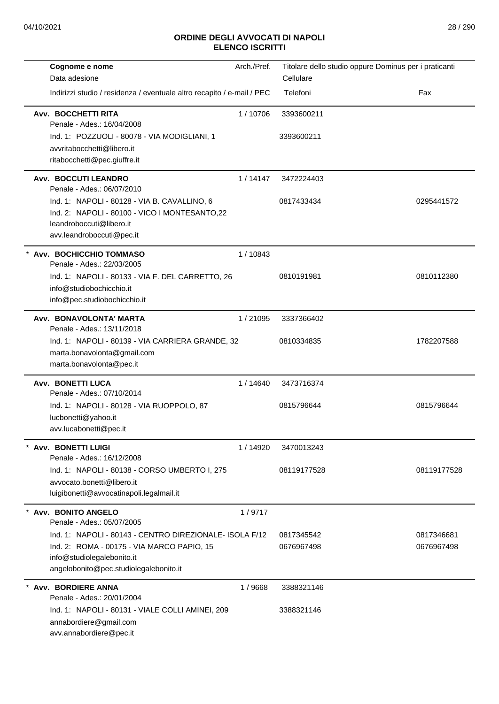| Cognome e nome                                                            | Arch./Pref. | Titolare dello studio oppure Dominus per i praticanti |             |
|---------------------------------------------------------------------------|-------------|-------------------------------------------------------|-------------|
| Data adesione                                                             |             | Cellulare                                             |             |
| Indirizzi studio / residenza / eventuale altro recapito / e-mail / PEC    |             | Telefoni                                              | Fax         |
| Avv. BOCCHETTI RITA<br>Penale - Ades.: 16/04/2008                         | 1/10706     | 3393600211                                            |             |
| Ind. 1: POZZUOLI - 80078 - VIA MODIGLIANI, 1                              |             | 3393600211                                            |             |
| avvritabocchetti@libero.it                                                |             |                                                       |             |
| ritabocchetti@pec.giuffre.it                                              |             |                                                       |             |
| Avv. BOCCUTI LEANDRO<br>Penale - Ades.: 06/07/2010                        | 1/14147     | 3472224403                                            |             |
| Ind. 1: NAPOLI - 80128 - VIA B. CAVALLINO, 6                              |             | 0817433434                                            | 0295441572  |
| Ind. 2: NAPOLI - 80100 - VICO I MONTESANTO,22<br>leandroboccuti@libero.it |             |                                                       |             |
| avv.leandroboccuti@pec.it                                                 |             |                                                       |             |
| * Avv. BOCHICCHIO TOMMASO<br>Penale - Ades.: 22/03/2005                   | 1/10843     |                                                       |             |
| Ind. 1: NAPOLI - 80133 - VIA F. DEL CARRETTO, 26                          |             | 0810191981                                            | 0810112380  |
| info@studiobochicchio.it                                                  |             |                                                       |             |
| info@pec.studiobochicchio.it                                              |             |                                                       |             |
| Avv. BONAVOLONTA' MARTA<br>Penale - Ades.: 13/11/2018                     | 1/21095     | 3337366402                                            |             |
| Ind. 1: NAPOLI - 80139 - VIA CARRIERA GRANDE, 32                          |             | 0810334835                                            | 1782207588  |
| marta.bonavolonta@gmail.com<br>marta.bonavolonta@pec.it                   |             |                                                       |             |
|                                                                           |             |                                                       |             |
| Avv. BONETTI LUCA<br>Penale - Ades.: 07/10/2014                           | 1/14640     | 3473716374                                            |             |
| Ind. 1: NAPOLI - 80128 - VIA RUOPPOLO, 87                                 |             | 0815796644                                            | 0815796644  |
| lucbonetti@yahoo.it<br>avv.lucabonetti@pec.it                             |             |                                                       |             |
|                                                                           |             |                                                       |             |
| * Avv. BONETTI LUIGI<br>Penale - Ades.: 16/12/2008                        | 1/14920     | 3470013243                                            |             |
| Ind. 1: NAPOLI - 80138 - CORSO UMBERTO I, 275                             |             | 08119177528                                           | 08119177528 |
| avvocato.bonetti@libero.it<br>luigibonetti@avvocatinapoli.legalmail.it    |             |                                                       |             |
|                                                                           |             |                                                       |             |
| Avv. BONITO ANGELO<br>Penale - Ades.: 05/07/2005                          | 1/9717      |                                                       |             |
| Ind. 1: NAPOLI - 80143 - CENTRO DIREZIONALE- ISOLA F/12                   |             | 0817345542                                            | 0817346681  |
| Ind. 2: ROMA - 00175 - VIA MARCO PAPIO, 15                                |             | 0676967498                                            | 0676967498  |
| info@studiolegalebonito.it<br>angelobonito@pec.studiolegalebonito.it      |             |                                                       |             |
| Avv. BORDIERE ANNA<br>Penale - Ades.: 20/01/2004                          | 1/9668      | 3388321146                                            |             |
| Ind. 1: NAPOLI - 80131 - VIALE COLLI AMINEI, 209                          |             | 3388321146                                            |             |
| annabordiere@gmail.com<br>avv.annabordiere@pec.it                         |             |                                                       |             |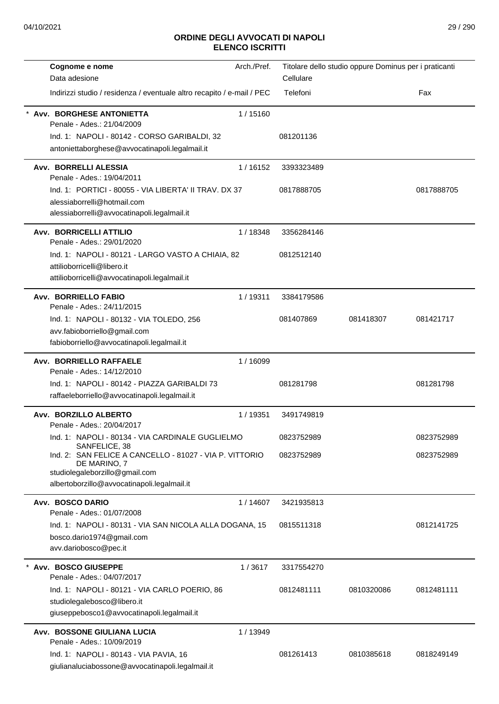| Cognome e nome                                                                             | Arch./Pref. |            | Titolare dello studio oppure Dominus per i praticanti |            |
|--------------------------------------------------------------------------------------------|-------------|------------|-------------------------------------------------------|------------|
| Data adesione                                                                              |             | Cellulare  |                                                       |            |
| Indirizzi studio / residenza / eventuale altro recapito / e-mail / PEC                     |             | Telefoni   |                                                       | Fax        |
| Avv. BORGHESE ANTONIETTA<br>Penale - Ades.: 21/04/2009                                     | 1/15160     |            |                                                       |            |
| Ind. 1: NAPOLI - 80142 - CORSO GARIBALDI, 32                                               |             | 081201136  |                                                       |            |
| antoniettaborghese@avvocatinapoli.legalmail.it                                             |             |            |                                                       |            |
| Avv. BORRELLI ALESSIA<br>Penale - Ades.: 19/04/2011                                        | 1/16152     | 3393323489 |                                                       |            |
| Ind. 1: PORTICI - 80055 - VIA LIBERTA' II TRAV. DX 37                                      |             | 0817888705 |                                                       | 0817888705 |
| alessiaborrelli@hotmail.com                                                                |             |            |                                                       |            |
| alessiaborrelli@avvocatinapoli.legalmail.it                                                |             |            |                                                       |            |
| <b>Avv. BORRICELLI ATTILIO</b><br>Penale - Ades.: 29/01/2020                               | 1/18348     | 3356284146 |                                                       |            |
| Ind. 1: NAPOLI - 80121 - LARGO VASTO A CHIAIA, 82                                          |             | 0812512140 |                                                       |            |
| attilioborricelli@libero.it                                                                |             |            |                                                       |            |
| attilioborricelli@avvocatinapoli.legalmail.it                                              |             |            |                                                       |            |
| Avv. BORRIELLO FABIO                                                                       | 1/19311     | 3384179586 |                                                       |            |
| Penale - Ades.: 24/11/2015<br>Ind. 1: NAPOLI - 80132 - VIA TOLEDO, 256                     |             | 081407869  | 081418307                                             | 081421717  |
| avv.fabioborriello@gmail.com                                                               |             |            |                                                       |            |
| fabioborriello@avvocatinapoli.legalmail.it                                                 |             |            |                                                       |            |
| Avv. BORRIELLO RAFFAELE                                                                    | 1/16099     |            |                                                       |            |
| Penale - Ades.: 14/12/2010                                                                 |             |            |                                                       |            |
| Ind. 1: NAPOLI - 80142 - PIAZZA GARIBALDI 73                                               |             | 081281798  |                                                       | 081281798  |
| raffaeleborriello@avvocatinapoli.legalmail.it                                              |             |            |                                                       |            |
| Avv. BORZILLO ALBERTO<br>Penale - Ades.: 20/04/2017                                        | 1/19351     | 3491749819 |                                                       |            |
| Ind. 1: NAPOLI - 80134 - VIA CARDINALE GUGLIELMO                                           |             | 0823752989 |                                                       | 0823752989 |
| SANFELICE, 38<br>Ind. 2: SAN FELICE A CANCELLO - 81027 - VIA P. VITTORIO<br>DE MARINO, 7   |             | 0823752989 |                                                       | 0823752989 |
| studiolegaleborzillo@gmail.com                                                             |             |            |                                                       |            |
| albertoborzillo@avvocatinapoli.legalmail.it                                                |             |            |                                                       |            |
| Avv. BOSCO DARIO<br>Penale - Ades.: 01/07/2008                                             | 1/14607     | 3421935813 |                                                       |            |
| Ind. 1: NAPOLI - 80131 - VIA SAN NICOLA ALLA DOGANA, 15                                    |             | 0815511318 |                                                       | 0812141725 |
| bosco.dario1974@gmail.com                                                                  |             |            |                                                       |            |
| avv.dariobosco@pec.it                                                                      |             |            |                                                       |            |
| * Avv. BOSCO GIUSEPPE<br>Penale - Ades.: 04/07/2017                                        | 1/3617      | 3317554270 |                                                       |            |
| Ind. 1: NAPOLI - 80121 - VIA CARLO POERIO, 86                                              |             | 0812481111 | 0810320086                                            | 0812481111 |
| studiolegalebosco@libero.it                                                                |             |            |                                                       |            |
| giuseppebosco1@avvocatinapoli.legalmail.it                                                 |             |            |                                                       |            |
| Avv. BOSSONE GIULIANA LUCIA                                                                | 1 / 13949   |            |                                                       |            |
| Penale - Ades.: 10/09/2019                                                                 |             |            |                                                       |            |
| Ind. 1: NAPOLI - 80143 - VIA PAVIA, 16<br>giulianaluciabossone@avvocatinapoli.legalmail.it |             | 081261413  | 0810385618                                            | 0818249149 |
|                                                                                            |             |            |                                                       |            |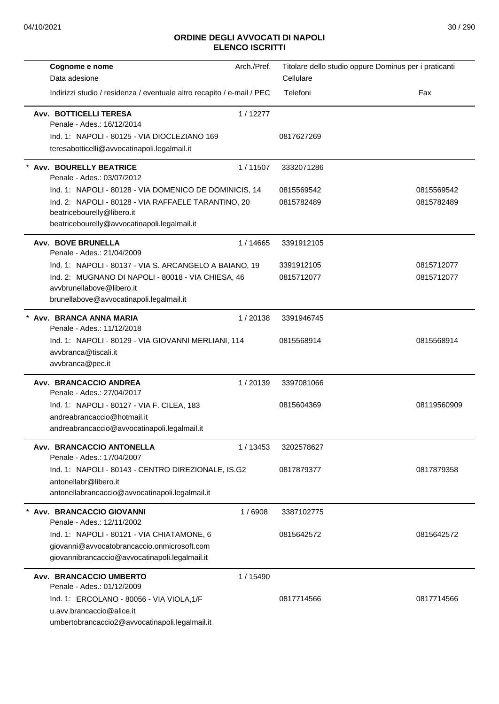| Cognome e nome<br>Data adesione                                                                                                             | Arch./Pref. | Cellulare  | Titolare dello studio oppure Dominus per i praticanti |
|---------------------------------------------------------------------------------------------------------------------------------------------|-------------|------------|-------------------------------------------------------|
| Indirizzi studio / residenza / eventuale altro recapito / e-mail / PEC                                                                      |             | Telefoni   | Fax                                                   |
| Avv. BOTTICELLI TERESA<br>Penale - Ades.: 16/12/2014                                                                                        | 1/12277     |            |                                                       |
| Ind. 1: NAPOLI - 80125 - VIA DIOCLEZIANO 169                                                                                                |             | 0817627269 |                                                       |
| teresabotticelli@avvocatinapoli.legalmail.it                                                                                                |             |            |                                                       |
| <b>Avv. BOURELLY BEATRICE</b><br>Penale - Ades.: 03/07/2012                                                                                 | 1/11507     | 3332071286 |                                                       |
| Ind. 1: NAPOLI - 80128 - VIA DOMENICO DE DOMINICIS, 14                                                                                      |             | 0815569542 | 0815569542                                            |
| Ind. 2: NAPOLI - 80128 - VIA RAFFAELE TARANTINO, 20<br>beatricebourelly@libero.it                                                           |             | 0815782489 | 0815782489                                            |
| beatricebourelly@avvocatinapoli.legalmail.it                                                                                                |             |            |                                                       |
| <b>Avv. BOVE BRUNELLA</b><br>Penale - Ades.: 21/04/2009                                                                                     | 1 / 14665   | 3391912105 |                                                       |
| Ind. 1: NAPOLI - 80137 - VIA S. ARCANGELO A BAIANO, 19                                                                                      |             | 3391912105 | 0815712077                                            |
| Ind. 2: MUGNANO DI NAPOLI - 80018 - VIA CHIESA, 46<br>avvbrunellabove@libero.it<br>brunellabove@avvocatinapoli.legalmail.it                 |             | 0815712077 | 0815712077                                            |
| Avv. BRANCA ANNA MARIA<br>Penale - Ades.: 11/12/2018                                                                                        | 1/20138     | 3391946745 |                                                       |
| Ind. 1: NAPOLI - 80129 - VIA GIOVANNI MERLIANI, 114<br>avvbranca@tiscali.it<br>avvbranca@pec.it                                             |             | 0815568914 | 0815568914                                            |
| Avv. BRANCACCIO ANDREA<br>Penale - Ades.: 27/04/2017                                                                                        | 1/20139     | 3397081066 |                                                       |
| Ind. 1: NAPOLI - 80127 - VIA F. CILEA, 183<br>andreabrancaccio@hotmail.it<br>andreabrancaccio@avvocatinapoli.legalmail.it                   |             | 0815604369 | 08119560909                                           |
| Avv. BRANCACCIO ANTONELLA<br>Penale - Ades.: 17/04/2007                                                                                     | 1 / 13453   | 3202578627 |                                                       |
| Ind. 1: NAPOLI - 80143 - CENTRO DIREZIONALE, IS.G2<br>antonellabr@libero.it<br>antonellabrancaccio@avvocatinapoli.legalmail.it              |             | 0817879377 | 0817879358                                            |
| Avv. BRANCACCIO GIOVANNI<br>Penale - Ades.: 12/11/2002                                                                                      | 1/6908      | 3387102775 |                                                       |
| Ind. 1: NAPOLI - 80121 - VIA CHIATAMONE, 6<br>giovanni@avvocatobrancaccio.onmicrosoft.com<br>giovannibrancaccio@avvocatinapoli.legalmail.it |             | 0815642572 | 0815642572                                            |
| Avv. BRANCACCIO UMBERTO<br>Penale - Ades.: 01/12/2009                                                                                       | 1 / 15490   |            |                                                       |
| Ind. 1: ERCOLANO - 80056 - VIA VIOLA, 1/F<br>u.avv.brancaccio@alice.it<br>umbertobrancaccio2@avvocatinapoli.legalmail.it                    |             | 0817714566 | 0817714566                                            |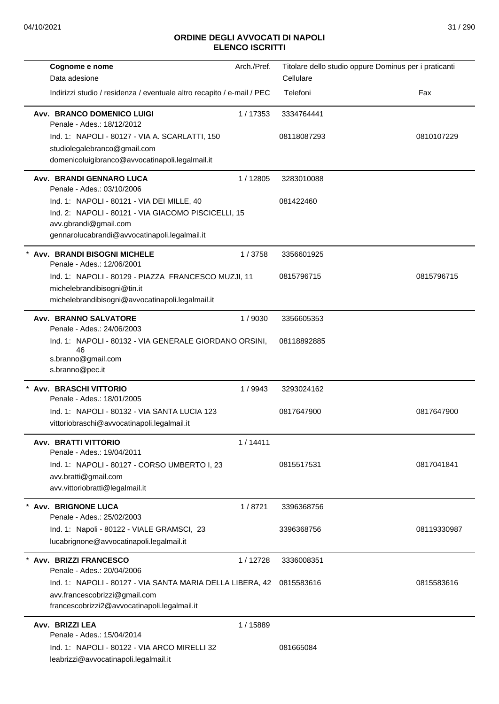| Cellulare<br>Data adesione<br>Telefoni<br>Indirizzi studio / residenza / eventuale altro recapito / e-mail / PEC<br>Avv. BRANCO DOMENICO LUIGI<br>1/17353<br>3334764441<br>Penale - Ades.: 18/12/2012<br>Ind. 1: NAPOLI - 80127 - VIA A. SCARLATTI, 150<br>08118087293<br>studiolegalebranco@gmail.com<br>domenicoluigibranco@avvocatinapoli.legalmail.it<br>Avv. BRANDI GENNARO LUCA<br>1/12805<br>3283010088<br>Penale - Ades.: 03/10/2006<br>Ind. 1: NAPOLI - 80121 - VIA DEI MILLE, 40<br>081422460<br>Ind. 2: NAPOLI - 80121 - VIA GIACOMO PISCICELLI, 15<br>avv.gbrandi@gmail.com<br>gennarolucabrandi@avvocatinapoli.legalmail.it<br>Avv. BRANDI BISOGNI MICHELE<br>1/3758<br>3356601925<br>Penale - Ades.: 12/06/2001<br>Ind. 1: NAPOLI - 80129 - PIAZZA FRANCESCO MUZJI, 11<br>0815796715<br>michelebrandibisogni@tin.it<br>michelebrandibisogni@avvocatinapoli.legalmail.it | Fax<br>0810107229<br>0815796715 |
|---------------------------------------------------------------------------------------------------------------------------------------------------------------------------------------------------------------------------------------------------------------------------------------------------------------------------------------------------------------------------------------------------------------------------------------------------------------------------------------------------------------------------------------------------------------------------------------------------------------------------------------------------------------------------------------------------------------------------------------------------------------------------------------------------------------------------------------------------------------------------------------|---------------------------------|
|                                                                                                                                                                                                                                                                                                                                                                                                                                                                                                                                                                                                                                                                                                                                                                                                                                                                                       |                                 |
|                                                                                                                                                                                                                                                                                                                                                                                                                                                                                                                                                                                                                                                                                                                                                                                                                                                                                       |                                 |
|                                                                                                                                                                                                                                                                                                                                                                                                                                                                                                                                                                                                                                                                                                                                                                                                                                                                                       |                                 |
|                                                                                                                                                                                                                                                                                                                                                                                                                                                                                                                                                                                                                                                                                                                                                                                                                                                                                       |                                 |
|                                                                                                                                                                                                                                                                                                                                                                                                                                                                                                                                                                                                                                                                                                                                                                                                                                                                                       |                                 |
|                                                                                                                                                                                                                                                                                                                                                                                                                                                                                                                                                                                                                                                                                                                                                                                                                                                                                       |                                 |
|                                                                                                                                                                                                                                                                                                                                                                                                                                                                                                                                                                                                                                                                                                                                                                                                                                                                                       |                                 |
|                                                                                                                                                                                                                                                                                                                                                                                                                                                                                                                                                                                                                                                                                                                                                                                                                                                                                       |                                 |
|                                                                                                                                                                                                                                                                                                                                                                                                                                                                                                                                                                                                                                                                                                                                                                                                                                                                                       |                                 |
|                                                                                                                                                                                                                                                                                                                                                                                                                                                                                                                                                                                                                                                                                                                                                                                                                                                                                       |                                 |
|                                                                                                                                                                                                                                                                                                                                                                                                                                                                                                                                                                                                                                                                                                                                                                                                                                                                                       |                                 |
|                                                                                                                                                                                                                                                                                                                                                                                                                                                                                                                                                                                                                                                                                                                                                                                                                                                                                       |                                 |
|                                                                                                                                                                                                                                                                                                                                                                                                                                                                                                                                                                                                                                                                                                                                                                                                                                                                                       |                                 |
|                                                                                                                                                                                                                                                                                                                                                                                                                                                                                                                                                                                                                                                                                                                                                                                                                                                                                       |                                 |
|                                                                                                                                                                                                                                                                                                                                                                                                                                                                                                                                                                                                                                                                                                                                                                                                                                                                                       |                                 |
| <b>Avv. BRANNO SALVATORE</b><br>1/9030<br>3356605353<br>Penale - Ades.: 24/06/2003                                                                                                                                                                                                                                                                                                                                                                                                                                                                                                                                                                                                                                                                                                                                                                                                    |                                 |
| Ind. 1: NAPOLI - 80132 - VIA GENERALE GIORDANO ORSINI,<br>08118892885<br>46                                                                                                                                                                                                                                                                                                                                                                                                                                                                                                                                                                                                                                                                                                                                                                                                           |                                 |
| s.branno@gmail.com                                                                                                                                                                                                                                                                                                                                                                                                                                                                                                                                                                                                                                                                                                                                                                                                                                                                    |                                 |
| s.branno@pec.it                                                                                                                                                                                                                                                                                                                                                                                                                                                                                                                                                                                                                                                                                                                                                                                                                                                                       |                                 |
| * Avv. BRASCHI VITTORIO<br>1/9943<br>3293024162<br>Penale - Ades.: 18/01/2005                                                                                                                                                                                                                                                                                                                                                                                                                                                                                                                                                                                                                                                                                                                                                                                                         |                                 |
| Ind. 1: NAPOLI - 80132 - VIA SANTA LUCIA 123<br>0817647900                                                                                                                                                                                                                                                                                                                                                                                                                                                                                                                                                                                                                                                                                                                                                                                                                            | 0817647900                      |
| vittoriobraschi@avvocatinapoli.legalmail.it                                                                                                                                                                                                                                                                                                                                                                                                                                                                                                                                                                                                                                                                                                                                                                                                                                           |                                 |
| <b>Avv. BRATTI VITTORIO</b><br>1/14411<br>Penale - Ades.: 19/04/2011                                                                                                                                                                                                                                                                                                                                                                                                                                                                                                                                                                                                                                                                                                                                                                                                                  |                                 |
| Ind. 1: NAPOLI - 80127 - CORSO UMBERTO I, 23<br>0815517531                                                                                                                                                                                                                                                                                                                                                                                                                                                                                                                                                                                                                                                                                                                                                                                                                            | 0817041841                      |
| avv.bratti@gmail.com                                                                                                                                                                                                                                                                                                                                                                                                                                                                                                                                                                                                                                                                                                                                                                                                                                                                  |                                 |
| avv.vittoriobratti@legalmail.it                                                                                                                                                                                                                                                                                                                                                                                                                                                                                                                                                                                                                                                                                                                                                                                                                                                       |                                 |
| * Avv. BRIGNONE LUCA<br>1/8721<br>3396368756<br>Penale - Ades.: 25/02/2003                                                                                                                                                                                                                                                                                                                                                                                                                                                                                                                                                                                                                                                                                                                                                                                                            |                                 |
| Ind. 1: Napoli - 80122 - VIALE GRAMSCI, 23<br>3396368756                                                                                                                                                                                                                                                                                                                                                                                                                                                                                                                                                                                                                                                                                                                                                                                                                              | 08119330987                     |
| lucabrignone@avvocatinapoli.legalmail.it                                                                                                                                                                                                                                                                                                                                                                                                                                                                                                                                                                                                                                                                                                                                                                                                                                              |                                 |
| * Avv. BRIZZI FRANCESCO<br>1/12728<br>3336008351                                                                                                                                                                                                                                                                                                                                                                                                                                                                                                                                                                                                                                                                                                                                                                                                                                      |                                 |
| Penale - Ades.: 20/04/2006                                                                                                                                                                                                                                                                                                                                                                                                                                                                                                                                                                                                                                                                                                                                                                                                                                                            |                                 |
| 0815583616<br>Ind. 1: NAPOLI - 80127 - VIA SANTA MARIA DELLA LIBERA, 42                                                                                                                                                                                                                                                                                                                                                                                                                                                                                                                                                                                                                                                                                                                                                                                                               | 0815583616                      |
| avv.francescobrizzi@gmail.com                                                                                                                                                                                                                                                                                                                                                                                                                                                                                                                                                                                                                                                                                                                                                                                                                                                         |                                 |
| francescobrizzi2@avvocatinapoli.legalmail.it                                                                                                                                                                                                                                                                                                                                                                                                                                                                                                                                                                                                                                                                                                                                                                                                                                          |                                 |
| Avv. BRIZZI LEA<br>1 / 15889                                                                                                                                                                                                                                                                                                                                                                                                                                                                                                                                                                                                                                                                                                                                                                                                                                                          |                                 |
| Penale - Ades.: 15/04/2014                                                                                                                                                                                                                                                                                                                                                                                                                                                                                                                                                                                                                                                                                                                                                                                                                                                            |                                 |
| Ind. 1: NAPOLI - 80122 - VIA ARCO MIRELLI 32<br>081665084                                                                                                                                                                                                                                                                                                                                                                                                                                                                                                                                                                                                                                                                                                                                                                                                                             |                                 |
| leabrizzi@avvocatinapoli.legalmail.it                                                                                                                                                                                                                                                                                                                                                                                                                                                                                                                                                                                                                                                                                                                                                                                                                                                 |                                 |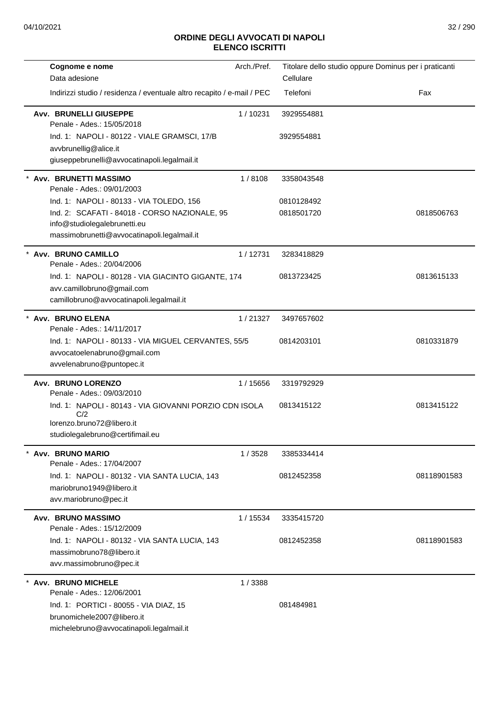| Cognome e nome                                                              | Arch./Pref. | Titolare dello studio oppure Dominus per i praticanti |             |
|-----------------------------------------------------------------------------|-------------|-------------------------------------------------------|-------------|
| Data adesione                                                               |             | Cellulare                                             |             |
| Indirizzi studio / residenza / eventuale altro recapito / e-mail / PEC      |             | Telefoni                                              | Fax         |
| <b>Avv. BRUNELLI GIUSEPPE</b><br>Penale - Ades.: 15/05/2018                 | 1/10231     | 3929554881                                            |             |
| Ind. 1: NAPOLI - 80122 - VIALE GRAMSCI, 17/B                                |             | 3929554881                                            |             |
| avvbrunellig@alice.it                                                       |             |                                                       |             |
| giuseppebrunelli@avvocatinapoli.legalmail.it                                |             |                                                       |             |
| * Avv. BRUNETTI MASSIMO<br>Penale - Ades.: 09/01/2003                       | 1/8108      | 3358043548                                            |             |
| Ind. 1: NAPOLI - 80133 - VIA TOLEDO, 156                                    |             | 0810128492                                            |             |
| Ind. 2: SCAFATI - 84018 - CORSO NAZIONALE, 95                               |             | 0818501720                                            | 0818506763  |
| info@studiolegalebrunetti.eu<br>massimobrunetti@avvocatinapoli.legalmail.it |             |                                                       |             |
| * Avv. BRUNO CAMILLO                                                        | 1/12731     | 3283418829                                            |             |
| Penale - Ades.: 20/04/2006                                                  |             |                                                       |             |
| Ind. 1: NAPOLI - 80128 - VIA GIACINTO GIGANTE, 174                          |             | 0813723425                                            | 0813615133  |
| avv.camillobruno@gmail.com<br>camillobruno@avvocatinapoli.legalmail.it      |             |                                                       |             |
|                                                                             |             |                                                       |             |
| * Avv. BRUNO ELENA<br>Penale - Ades.: 14/11/2017                            | 1/21327     | 3497657602                                            |             |
| Ind. 1: NAPOLI - 80133 - VIA MIGUEL CERVANTES, 55/5                         |             | 0814203101                                            | 0810331879  |
| avvocatoelenabruno@gmail.com                                                |             |                                                       |             |
| avvelenabruno@puntopec.it                                                   |             |                                                       |             |
| Avv. BRUNO LORENZO<br>Penale - Ades.: 09/03/2010                            | 1 / 15656   | 3319792929                                            |             |
| Ind. 1: NAPOLI - 80143 - VIA GIOVANNI PORZIO CDN ISOLA                      |             | 0813415122                                            | 0813415122  |
| C/2<br>lorenzo.bruno72@libero.it                                            |             |                                                       |             |
| studiolegalebruno@certifimail.eu                                            |             |                                                       |             |
| * Avv. BRUNO MARIO<br>Penale - Ades.: 17/04/2007                            | 1/3528      | 3385334414                                            |             |
| Ind. 1: NAPOLI - 80132 - VIA SANTA LUCIA, 143                               |             | 0812452358                                            | 08118901583 |
| mariobruno1949@libero.it                                                    |             |                                                       |             |
| avv.mariobruno@pec.it                                                       |             |                                                       |             |
| <b>Avv. BRUNO MASSIMO</b><br>Penale - Ades.: 15/12/2009                     | 1/15534     | 3335415720                                            |             |
| Ind. 1: NAPOLI - 80132 - VIA SANTA LUCIA, 143                               |             | 0812452358                                            | 08118901583 |
| massimobruno78@libero.it                                                    |             |                                                       |             |
| avv.massimobruno@pec.it                                                     |             |                                                       |             |
| <b>Avv. BRUNO MICHELE</b><br>Penale - Ades.: 12/06/2001                     | 1/3388      |                                                       |             |
| Ind. 1: PORTICI - 80055 - VIA DIAZ, 15                                      |             | 081484981                                             |             |
| brunomichele2007@libero.it                                                  |             |                                                       |             |
| michelebruno@avvocatinapoli.legalmail.it                                    |             |                                                       |             |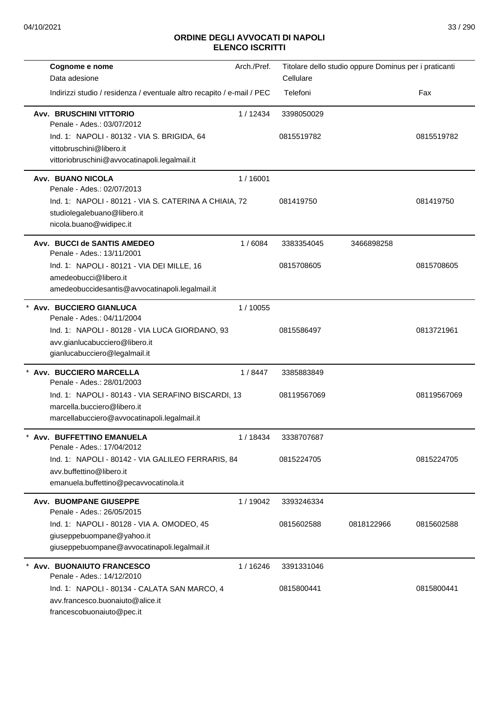| Cognome e nome                                                                                                                    | Arch./Pref. |                          | Titolare dello studio oppure Dominus per i praticanti |             |
|-----------------------------------------------------------------------------------------------------------------------------------|-------------|--------------------------|-------------------------------------------------------|-------------|
| Data adesione                                                                                                                     |             | Cellulare                |                                                       |             |
| Indirizzi studio / residenza / eventuale altro recapito / e-mail / PEC                                                            |             | Telefoni                 |                                                       | Fax         |
| <b>Avv. BRUSCHINI VITTORIO</b><br>Penale - Ades.: 03/07/2012<br>Ind. 1: NAPOLI - 80132 - VIA S. BRIGIDA, 64                       | 1/12434     | 3398050029<br>0815519782 |                                                       | 0815519782  |
| vittobruschini@libero.it<br>vittoriobruschini@avvocatinapoli.legalmail.it                                                         |             |                          |                                                       |             |
| <b>Avv. BUANO NICOLA</b><br>Penale - Ades.: 02/07/2013                                                                            | 1/16001     |                          |                                                       |             |
| Ind. 1: NAPOLI - 80121 - VIA S. CATERINA A CHIAIA, 72<br>studiolegalebuano@libero.it<br>nicola.buano@widipec.it                   |             | 081419750                |                                                       | 081419750   |
| Avv. BUCCI de SANTIS AMEDEO<br>Penale - Ades.: 13/11/2001                                                                         | 1/6084      | 3383354045               | 3466898258                                            |             |
| Ind. 1: NAPOLI - 80121 - VIA DEI MILLE, 16<br>amedeobucci@libero.it<br>amedeobuccidesantis@avvocatinapoli.legalmail.it            |             | 0815708605               |                                                       | 0815708605  |
| * Avv. BUCCIERO GIANLUCA<br>Penale - Ades.: 04/11/2004                                                                            | 1 / 10055   |                          |                                                       |             |
| Ind. 1: NAPOLI - 80128 - VIA LUCA GIORDANO, 93<br>avv.gianlucabucciero@libero.it<br>gianlucabucciero@legalmail.it                 |             | 0815586497               |                                                       | 0813721961  |
| * Avv. BUCCIERO MARCELLA<br>Penale - Ades.: 28/01/2003                                                                            | 1/8447      | 3385883849               |                                                       |             |
| Ind. 1: NAPOLI - 80143 - VIA SERAFINO BISCARDI, 13<br>marcella.bucciero@libero.it<br>marcellabucciero@avvocatinapoli.legalmail.it |             | 08119567069              |                                                       | 08119567069 |
| <b>Avv. BUFFETTINO EMANUELA</b><br>Penale - Ades.: 17/04/2012                                                                     | 1 / 18434   | 3338707687               |                                                       |             |
| Ind. 1: NAPOLI - 80142 - VIA GALILEO FERRARIS, 84<br>avv.buffettino@libero.it<br>emanuela.buffettino@pecavvocatinola.it           |             | 0815224705               |                                                       | 0815224705  |
| <b>Avv. BUOMPANE GIUSEPPE</b><br>Penale - Ades.: 26/05/2015                                                                       | 1/19042     | 3393246334               |                                                       |             |
| Ind. 1: NAPOLI - 80128 - VIA A. OMODEO, 45<br>giuseppebuompane@yahoo.it<br>giuseppebuompane@avvocatinapoli.legalmail.it           |             | 0815602588               | 0818122966                                            | 0815602588  |
| * Avv. BUONAIUTO FRANCESCO<br>Penale - Ades.: 14/12/2010                                                                          | 1/16246     | 3391331046               |                                                       |             |
| Ind. 1: NAPOLI - 80134 - CALATA SAN MARCO, 4<br>avv.francesco.buonaiuto@alice.it<br>francescobuonaiuto@pec.it                     |             | 0815800441               |                                                       | 0815800441  |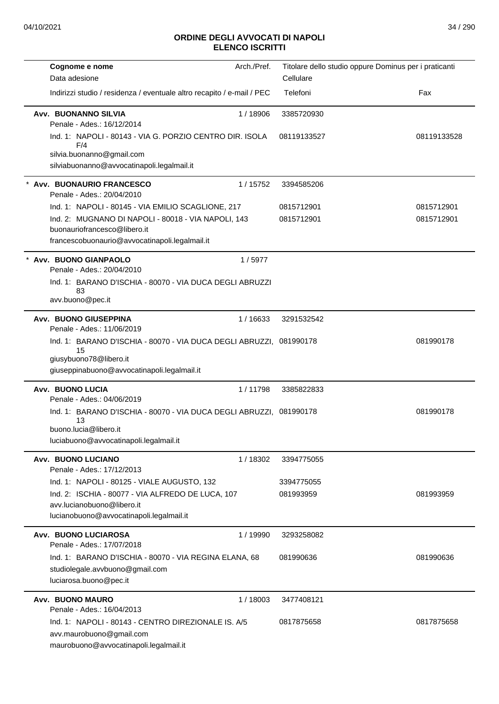| Arch./Pref.<br>Cognome e nome                                                                                                                      | Titolare dello studio oppure Dominus per i praticanti |             |
|----------------------------------------------------------------------------------------------------------------------------------------------------|-------------------------------------------------------|-------------|
| Data adesione                                                                                                                                      | Cellulare                                             |             |
| Indirizzi studio / residenza / eventuale altro recapito / e-mail / PEC                                                                             | Telefoni                                              | Fax         |
| Avv. BUONANNO SILVIA<br>1/18906<br>Penale - Ades.: 16/12/2014                                                                                      | 3385720930                                            |             |
| Ind. 1: NAPOLI - 80143 - VIA G. PORZIO CENTRO DIR. ISOLA<br>F/4                                                                                    | 08119133527                                           | 08119133528 |
| silvia.buonanno@gmail.com<br>silviabuonanno@avvocatinapoli.legalmail.it                                                                            |                                                       |             |
| * Avv. BUONAURIO FRANCESCO<br>1 / 15752<br>Penale - Ades.: 20/04/2010                                                                              | 3394585206                                            |             |
| Ind. 1: NAPOLI - 80145 - VIA EMILIO SCAGLIONE, 217                                                                                                 | 0815712901                                            | 0815712901  |
| Ind. 2: MUGNANO DI NAPOLI - 80018 - VIA NAPOLI, 143<br>buonauriofrancesco@libero.it                                                                | 0815712901                                            | 0815712901  |
| francescobuonaurio@avvocatinapoli.legalmail.it                                                                                                     |                                                       |             |
| Avv. BUONO GIANPAOLO<br>1/5977<br>Penale - Ades.: 20/04/2010                                                                                       |                                                       |             |
| Ind. 1: BARANO D'ISCHIA - 80070 - VIA DUCA DEGLI ABRUZZI<br>83<br>avv.buono@pec.it                                                                 |                                                       |             |
|                                                                                                                                                    |                                                       |             |
| Avv. BUONO GIUSEPPINA<br>1/16633<br>Penale - Ades.: 11/06/2019                                                                                     | 3291532542                                            |             |
| Ind. 1: BARANO D'ISCHIA - 80070 - VIA DUCA DEGLI ABRUZZI, 081990178<br>15<br>giusybuono78@libero.it<br>giuseppinabuono@avvocatinapoli.legalmail.it |                                                       | 081990178   |
| <b>Avv. BUONO LUCIA</b><br>1/11798<br>Penale - Ades.: 04/06/2019                                                                                   | 3385822833                                            |             |
| Ind. 1: BARANO D'ISCHIA - 80070 - VIA DUCA DEGLI ABRUZZI, 081990178<br>13<br>buono.lucia@libero.it<br>luciabuono@avvocatinapoli.legalmail.it       |                                                       | 081990178   |
| Avv. BUONO LUCIANO<br>1/18302                                                                                                                      | 3394775055                                            |             |
| Penale - Ades.: 17/12/2013                                                                                                                         |                                                       |             |
| Ind. 1: NAPOLI - 80125 - VIALE AUGUSTO, 132                                                                                                        | 3394775055                                            |             |
| Ind. 2: ISCHIA - 80077 - VIA ALFREDO DE LUCA, 107                                                                                                  | 081993959                                             | 081993959   |
| avv.lucianobuono@libero.it<br>lucianobuono@avvocatinapoli.legalmail.it                                                                             |                                                       |             |
|                                                                                                                                                    |                                                       |             |
| <b>Avv. BUONO LUCIAROSA</b><br>1 / 19990<br>Penale - Ades.: 17/07/2018                                                                             | 3293258082                                            |             |
| Ind. 1: BARANO D'ISCHIA - 80070 - VIA REGINA ELANA, 68<br>studiolegale.avvbuono@gmail.com<br>luciarosa.buono@pec.it                                | 081990636                                             | 081990636   |
| Avv. BUONO MAURO<br>1/18003<br>Penale - Ades.: 16/04/2013                                                                                          | 3477408121                                            |             |
| Ind. 1: NAPOLI - 80143 - CENTRO DIREZIONALE IS. A/5<br>avv.maurobuono@gmail.com<br>maurobuono@avvocatinapoli.legalmail.it                          | 0817875658                                            | 0817875658  |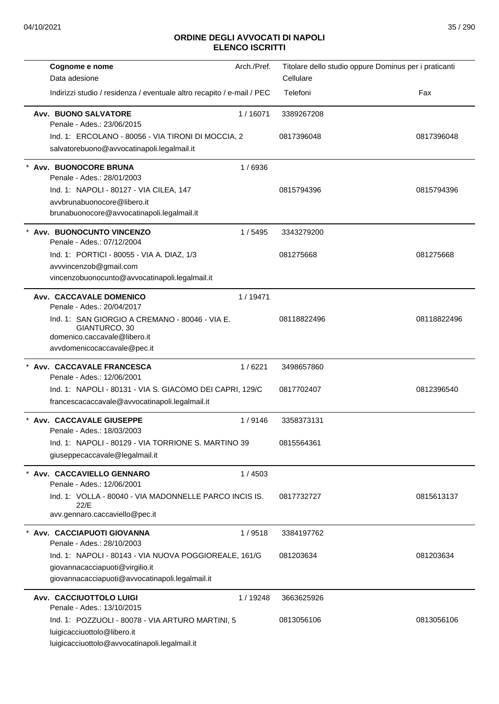| Cognome e nome                                                                                  | Arch./Pref. | Titolare dello studio oppure Dominus per i praticanti |             |
|-------------------------------------------------------------------------------------------------|-------------|-------------------------------------------------------|-------------|
| Data adesione                                                                                   |             | Cellulare                                             |             |
| Indirizzi studio / residenza / eventuale altro recapito / e-mail / PEC                          |             | Telefoni                                              | Fax         |
| <b>Avv. BUONO SALVATORE</b>                                                                     | 1/16071     | 3389267208                                            |             |
| Penale - Ades.: 23/06/2015                                                                      |             |                                                       |             |
| Ind. 1: ERCOLANO - 80056 - VIA TIRONI DI MOCCIA, 2                                              |             | 0817396048                                            | 0817396048  |
| salvatorebuono@avvocatinapoli.legalmail.it                                                      |             |                                                       |             |
| * Avv. BUONOCORE BRUNA<br>Penale - Ades.: 28/01/2003                                            | 1/6936      |                                                       |             |
| Ind. 1: NAPOLI - 80127 - VIA CILEA, 147                                                         |             | 0815794396                                            | 0815794396  |
| avvbrunabuonocore@libero.it                                                                     |             |                                                       |             |
| brunabuonocore@avvocatinapoli.legalmail.it                                                      |             |                                                       |             |
| * Avv. BUONOCUNTO VINCENZO<br>Penale - Ades.: 07/12/2004                                        | 1/5495      | 3343279200                                            |             |
| Ind. 1: PORTICI - 80055 - VIA A. DIAZ, 1/3                                                      |             | 081275668                                             | 081275668   |
| avvvincenzob@gmail.com                                                                          |             |                                                       |             |
| vincenzobuonocunto@avvocatinapoli.legalmail.it                                                  |             |                                                       |             |
| Avv. CACCAVALE DOMENICO<br>Penale - Ades.: 20/04/2017                                           | 1/19471     |                                                       |             |
| Ind. 1: SAN GIORGIO A CREMANO - 80046 - VIA E.<br>GIANTURCO, 30<br>domenico.caccavale@libero.it |             | 08118822496                                           | 08118822496 |
| avvdomenicocaccavale@pec.it                                                                     |             |                                                       |             |
|                                                                                                 |             |                                                       |             |
| * Avv. CACCAVALE FRANCESCA<br>Penale - Ades.: 12/06/2001                                        | 1/6221      | 3498657860                                            |             |
| Ind. 1: NAPOLI - 80131 - VIA S. GIACOMO DEI CAPRI, 129/C                                        |             | 0817702407                                            | 0812396540  |
| francescacaccavale@avvocatinapoli.legalmail.it                                                  |             |                                                       |             |
| * Avv. CACCAVALE GIUSEPPE<br>Penale - Ades.: 18/03/2003                                         | 1/9146      | 3358373131                                            |             |
| Ind. 1: NAPOLI - 80129 - VIA TORRIONE S. MARTINO 39                                             |             | 0815564361                                            |             |
| giuseppecaccavale@legalmail.it                                                                  |             |                                                       |             |
| * Avv. CACCAVIELLO GENNARO<br>Penale - Ades.: 12/06/2001                                        | 1/4503      |                                                       |             |
| Ind. 1: VOLLA - 80040 - VIA MADONNELLE PARCO INCIS IS.                                          |             | 0817732727                                            | 0815613137  |
| 22/E                                                                                            |             |                                                       |             |
| avv.gennaro.caccaviello@pec.it                                                                  |             |                                                       |             |
| Avv. CACCIAPUOTI GIOVANNA<br>Penale - Ades.: 28/10/2003                                         | 1/9518      | 3384197762                                            |             |
| Ind. 1: NAPOLI - 80143 - VIA NUOVA POGGIOREALE, 161/G                                           |             | 081203634                                             | 081203634   |
| giovannacacciapuoti@virgilio.it                                                                 |             |                                                       |             |
| giovannacacciapuoti@avvocatinapoli.legalmail.it                                                 |             |                                                       |             |
| Avv. CACCIUOTTOLO LUIGI                                                                         | 1 / 19248   | 3663625926                                            |             |
| Penale - Ades.: 13/10/2015                                                                      |             |                                                       |             |
| Ind. 1: POZZUOLI - 80078 - VIA ARTURO MARTINI, 5                                                |             | 0813056106                                            | 0813056106  |
| luigicacciuottolo@libero.it                                                                     |             |                                                       |             |
| luigicacciuottolo@avvocatinapoli.legalmail.it                                                   |             |                                                       |             |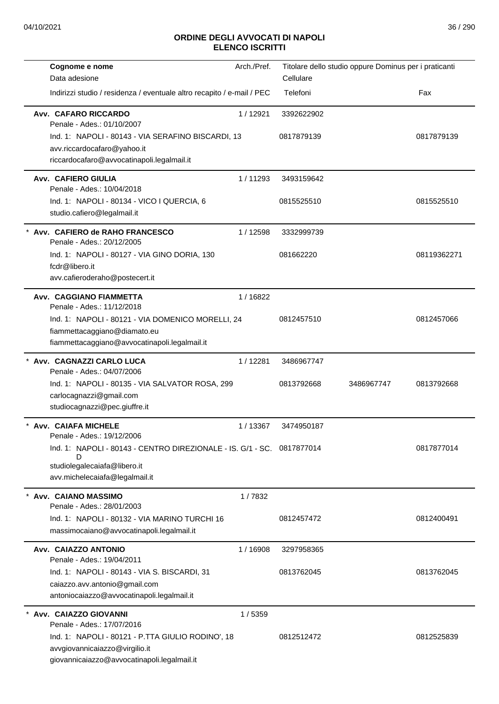| Cognome e nome                                                                                                                     | Arch./Pref. |            | Titolare dello studio oppure Dominus per i praticanti |             |
|------------------------------------------------------------------------------------------------------------------------------------|-------------|------------|-------------------------------------------------------|-------------|
| Data adesione                                                                                                                      |             | Cellulare  |                                                       |             |
| Indirizzi studio / residenza / eventuale altro recapito / e-mail / PEC                                                             |             | Telefoni   |                                                       | Fax         |
| <b>Avv. CAFARO RICCARDO</b><br>Penale - Ades.: 01/10/2007                                                                          | 1/12921     | 3392622902 |                                                       |             |
| Ind. 1: NAPOLI - 80143 - VIA SERAFINO BISCARDI, 13                                                                                 |             | 0817879139 |                                                       | 0817879139  |
| avv.riccardocafaro@yahoo.it<br>riccardocafaro@avvocatinapoli.legalmail.it                                                          |             |            |                                                       |             |
| Avv. CAFIERO GIULIA<br>Penale - Ades.: 10/04/2018                                                                                  | 1/11293     | 3493159642 |                                                       |             |
| Ind. 1: NAPOLI - 80134 - VICO I QUERCIA, 6<br>studio.cafiero@legalmail.it                                                          |             | 0815525510 |                                                       | 0815525510  |
| * Avv. CAFIERO de RAHO FRANCESCO<br>Penale - Ades.: 20/12/2005                                                                     | 1/12598     | 3332999739 |                                                       |             |
| Ind. 1: NAPOLI - 80127 - VIA GINO DORIA, 130<br>fcdr@libero.it<br>avv.cafieroderaho@postecert.it                                   |             | 081662220  |                                                       | 08119362271 |
| Avv. CAGGIANO FIAMMETTA                                                                                                            | 1/16822     |            |                                                       |             |
| Penale - Ades.: 11/12/2018                                                                                                         |             |            |                                                       |             |
| Ind. 1: NAPOLI - 80121 - VIA DOMENICO MORELLI, 24                                                                                  |             | 0812457510 |                                                       | 0812457066  |
| fiammettacaggiano@diamato.eu<br>fiammettacaggiano@avvocatinapoli.legalmail.it                                                      |             |            |                                                       |             |
| * Avv. CAGNAZZI CARLO LUCA<br>Penale - Ades.: 04/07/2006                                                                           | 1/12281     | 3486967747 |                                                       |             |
| Ind. 1: NAPOLI - 80135 - VIA SALVATOR ROSA, 299                                                                                    |             | 0813792668 | 3486967747                                            | 0813792668  |
| carlocagnazzi@gmail.com<br>studiocagnazzi@pec.giuffre.it                                                                           |             |            |                                                       |             |
| <b>Avv. CAIAFA MICHELE</b><br>Penale - Ades.: 19/12/2006                                                                           | 1/13367     | 3474950187 |                                                       |             |
| Ind. 1: NAPOLI - 80143 - CENTRO DIREZIONALE - IS. G/1 - SC. 0817877014                                                             |             |            |                                                       | 0817877014  |
| D<br>studiolegalecaiafa@libero.it<br>avv.michelecaiafa@legalmail.it                                                                |             |            |                                                       |             |
| Avv. CAIANO MASSIMO<br>Penale - Ades.: 28/01/2003                                                                                  | 1/7832      |            |                                                       |             |
| Ind. 1: NAPOLI - 80132 - VIA MARINO TURCHI 16                                                                                      |             | 0812457472 |                                                       | 0812400491  |
| massimocaiano@avvocatinapoli.legalmail.it                                                                                          |             |            |                                                       |             |
| Avv. CAIAZZO ANTONIO<br>Penale - Ades.: 19/04/2011                                                                                 | 1/16908     | 3297958365 |                                                       |             |
| Ind. 1: NAPOLI - 80143 - VIA S. BISCARDI, 31                                                                                       |             | 0813762045 |                                                       | 0813762045  |
| caiazzo.avv.antonio@gmail.com<br>antoniocaiazzo@avvocatinapoli.legalmail.it                                                        |             |            |                                                       |             |
| Avv. CAIAZZO GIOVANNI<br>Penale - Ades.: 17/07/2016                                                                                | 1/5359      |            |                                                       |             |
| Ind. 1: NAPOLI - 80121 - P.TTA GIULIO RODINO', 18<br>avvgiovannicaiazzo@virgilio.it<br>giovannicaiazzo@avvocatinapoli.legalmail.it |             | 0812512472 |                                                       | 0812525839  |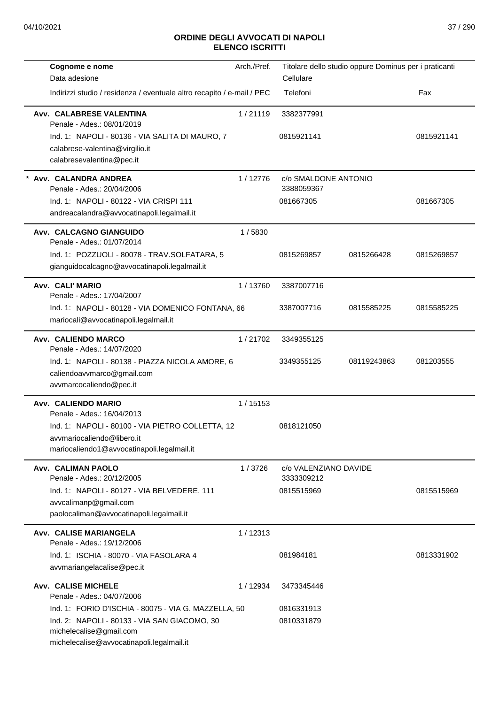| Cognome e nome                                                                                | Arch./Pref. |                                     | Titolare dello studio oppure Dominus per i praticanti |            |
|-----------------------------------------------------------------------------------------------|-------------|-------------------------------------|-------------------------------------------------------|------------|
| Data adesione                                                                                 |             | Cellulare                           |                                                       |            |
| Indirizzi studio / residenza / eventuale altro recapito / e-mail / PEC                        |             | Telefoni                            |                                                       | Fax        |
| Avv. CALABRESE VALENTINA<br>Penale - Ades.: 08/01/2019                                        | 1/21119     | 3382377991                          |                                                       |            |
| Ind. 1: NAPOLI - 80136 - VIA SALITA DI MAURO, 7                                               |             | 0815921141                          |                                                       | 0815921141 |
| calabrese-valentina@virgilio.it                                                               |             |                                     |                                                       |            |
| calabresevalentina@pec.it                                                                     |             |                                     |                                                       |            |
| Avv. CALANDRA ANDREA<br>Penale - Ades.: 20/04/2006                                            | 1/12776     | c/o SMALDONE ANTONIO<br>3388059367  |                                                       |            |
| Ind. 1: NAPOLI - 80122 - VIA CRISPI 111                                                       |             | 081667305                           |                                                       | 081667305  |
| andreacalandra@avvocatinapoli.legalmail.it                                                    |             |                                     |                                                       |            |
| Avv. CALCAGNO GIANGUIDO<br>Penale - Ades.: 01/07/2014                                         | 1/5830      |                                     |                                                       |            |
| Ind. 1: POZZUOLI - 80078 - TRAV.SOLFATARA, 5<br>gianguidocalcagno@avvocatinapoli.legalmail.it |             | 0815269857                          | 0815266428                                            | 0815269857 |
| Avv. CALI' MARIO                                                                              | 1/13760     | 3387007716                          |                                                       |            |
| Penale - Ades.: 17/04/2007                                                                    |             |                                     |                                                       |            |
| Ind. 1: NAPOLI - 80128 - VIA DOMENICO FONTANA, 66                                             |             | 3387007716                          | 0815585225                                            | 0815585225 |
| mariocali@avvocatinapoli.legalmail.it                                                         |             |                                     |                                                       |            |
| Avv. CALIENDO MARCO<br>Penale - Ades.: 14/07/2020                                             | 1/21702     | 3349355125                          |                                                       |            |
| Ind. 1: NAPOLI - 80138 - PIAZZA NICOLA AMORE, 6                                               |             | 3349355125                          | 08119243863                                           | 081203555  |
| caliendoavvmarco@gmail.com                                                                    |             |                                     |                                                       |            |
| avvmarcocaliendo@pec.it                                                                       |             |                                     |                                                       |            |
| Avv. CALIENDO MARIO<br>Penale - Ades.: 16/04/2013                                             | 1/15153     |                                     |                                                       |            |
| Ind. 1: NAPOLI - 80100 - VIA PIETRO COLLETTA, 12                                              |             | 0818121050                          |                                                       |            |
| avvmariocaliendo@libero.it                                                                    |             |                                     |                                                       |            |
| mariocaliendo1@avvocatinapoli.legalmail.it                                                    |             |                                     |                                                       |            |
| Avv. CALIMAN PAOLO<br>Penale - Ades.: 20/12/2005                                              | 1/3726      | c/o VALENZIANO DAVIDE<br>3333309212 |                                                       |            |
| Ind. 1: NAPOLI - 80127 - VIA BELVEDERE, 111                                                   |             | 0815515969                          |                                                       | 0815515969 |
| avvcalimanp@gmail.com                                                                         |             |                                     |                                                       |            |
| paolocaliman@avvocatinapoli.legalmail.it                                                      |             |                                     |                                                       |            |
| Avv. CALISE MARIANGELA                                                                        | 1/12313     |                                     |                                                       |            |
| Penale - Ades.: 19/12/2006                                                                    |             |                                     |                                                       |            |
| Ind. 1: ISCHIA - 80070 - VIA FASOLARA 4<br>avvmariangelacalise@pec.it                         |             | 081984181                           |                                                       | 0813331902 |
|                                                                                               |             |                                     |                                                       |            |
| <b>Avv. CALISE MICHELE</b><br>Penale - Ades.: 04/07/2006                                      | 1/12934     | 3473345446                          |                                                       |            |
| Ind. 1: FORIO D'ISCHIA - 80075 - VIA G. MAZZELLA, 50                                          |             | 0816331913                          |                                                       |            |
| Ind. 2: NAPOLI - 80133 - VIA SAN GIACOMO, 30                                                  |             | 0810331879                          |                                                       |            |
| michelecalise@gmail.com                                                                       |             |                                     |                                                       |            |
| michelecalise@avvocatinapoli.legalmail.it                                                     |             |                                     |                                                       |            |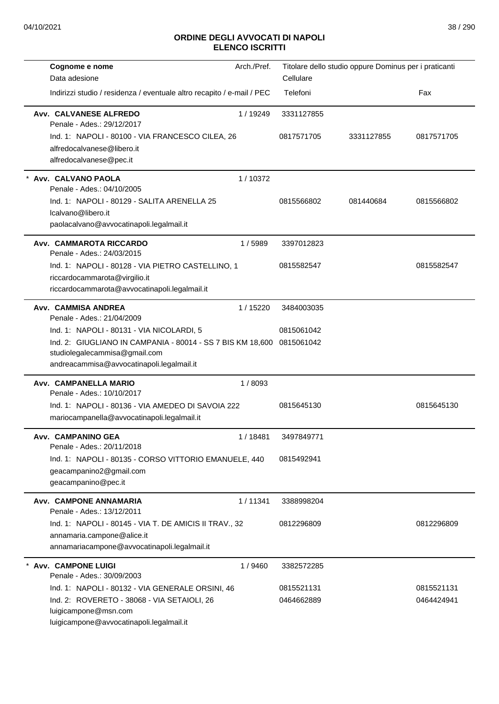| Cognome e nome<br>Data adesione                                                                                                                                                       | Arch./Pref. | Cellulare                | Titolare dello studio oppure Dominus per i praticanti |                          |
|---------------------------------------------------------------------------------------------------------------------------------------------------------------------------------------|-------------|--------------------------|-------------------------------------------------------|--------------------------|
| Indirizzi studio / residenza / eventuale altro recapito / e-mail / PEC                                                                                                                |             | Telefoni                 |                                                       | Fax                      |
| Avv. CALVANESE ALFREDO<br>Penale - Ades.: 29/12/2017                                                                                                                                  | 1 / 19249   | 3331127855               |                                                       |                          |
| Ind. 1: NAPOLI - 80100 - VIA FRANCESCO CILEA, 26<br>alfredocalvanese@libero.it<br>alfredocalvanese@pec.it                                                                             |             | 0817571705               | 3331127855                                            | 0817571705               |
| Avv. CALVANO PAOLA<br>Penale - Ades.: 04/10/2005                                                                                                                                      | 1/10372     |                          |                                                       |                          |
| Ind. 1: NAPOLI - 80129 - SALITA ARENELLA 25<br>Icalvano@libero.it<br>paolacalvano@avvocatinapoli.legalmail.it                                                                         |             | 0815566802               | 081440684                                             | 0815566802               |
| Avv. CAMMAROTA RICCARDO<br>Penale - Ades.: 24/03/2015                                                                                                                                 | 1/5989      | 3397012823               |                                                       |                          |
| Ind. 1: NAPOLI - 80128 - VIA PIETRO CASTELLINO, 1<br>riccardocammarota@virgilio.it<br>riccardocammarota@avvocatinapoli.legalmail.it                                                   |             | 0815582547               |                                                       | 0815582547               |
| Avv. CAMMISA ANDREA<br>Penale - Ades.: 21/04/2009                                                                                                                                     | 1 / 15220   | 3484003035               |                                                       |                          |
| Ind. 1: NAPOLI - 80131 - VIA NICOLARDI, 5<br>Ind. 2: GIUGLIANO IN CAMPANIA - 80014 - SS 7 BIS KM 18,600<br>studiolegalecammisa@gmail.com<br>andreacammisa@avvocatinapoli.legalmail.it |             | 0815061042<br>0815061042 |                                                       |                          |
| Avv. CAMPANELLA MARIO<br>Penale - Ades.: 10/10/2017                                                                                                                                   | 1/8093      |                          |                                                       |                          |
| Ind. 1: NAPOLI - 80136 - VIA AMEDEO DI SAVOIA 222<br>mariocampanella@avvocatinapoli.legalmail.it                                                                                      |             | 0815645130               |                                                       | 0815645130               |
| Avv. CAMPANINO GEA<br>Penale - Ades.: 20/11/2018                                                                                                                                      | 1/18481     | 3497849771               |                                                       |                          |
| Ind. 1: NAPOLI - 80135 - CORSO VITTORIO EMANUELE, 440<br>geacampanino2@gmail.com<br>geacampanino@pec.it                                                                               |             | 0815492941               |                                                       |                          |
| Avv. CAMPONE ANNAMARIA<br>Penale - Ades.: 13/12/2011                                                                                                                                  | 1/11341     | 3388998204               |                                                       |                          |
| Ind. 1: NAPOLI - 80145 - VIA T. DE AMICIS II TRAV., 32<br>annamaria.campone@alice.it<br>annamariacampone@avvocatinapoli.legalmail.it                                                  |             | 0812296809               |                                                       | 0812296809               |
| <b>Avv. CAMPONE LUIGI</b><br>Penale - Ades.: 30/09/2003                                                                                                                               | 1 / 9460    | 3382572285               |                                                       |                          |
| Ind. 1: NAPOLI - 80132 - VIA GENERALE ORSINI, 46<br>Ind. 2: ROVERETO - 38068 - VIA SETAIOLI, 26<br>luigicampone@msn.com<br>luigicampone@avvocatinapoli.legalmail.it                   |             | 0815521131<br>0464662889 |                                                       | 0815521131<br>0464424941 |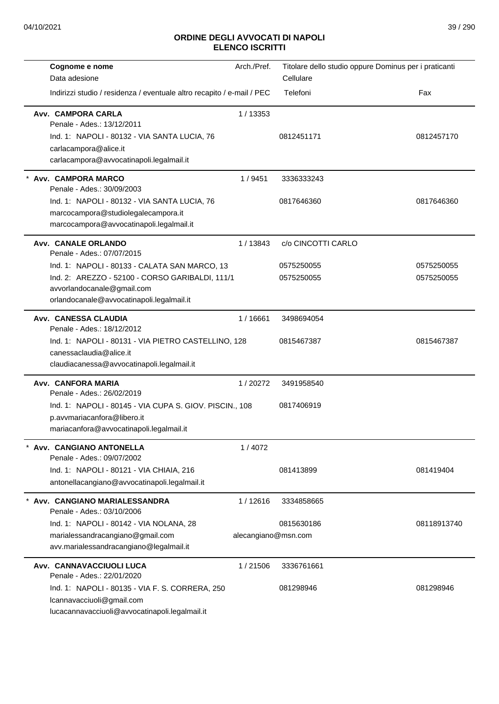| Cognome e nome<br>Data adesione                                                                                                    | Arch./Pref.         | Titolare dello studio oppure Dominus per i praticanti<br>Cellulare |             |
|------------------------------------------------------------------------------------------------------------------------------------|---------------------|--------------------------------------------------------------------|-------------|
| Indirizzi studio / residenza / eventuale altro recapito / e-mail / PEC                                                             |                     | Telefoni                                                           | Fax         |
| Avv. CAMPORA CARLA<br>Penale - Ades.: 13/12/2011                                                                                   | 1/13353             |                                                                    |             |
| Ind. 1: NAPOLI - 80132 - VIA SANTA LUCIA, 76<br>carlacampora@alice.it<br>carlacampora@avvocatinapoli.legalmail.it                  |                     | 0812451171                                                         | 0812457170  |
| * Avv. CAMPORA MARCO<br>Penale - Ades.: 30/09/2003                                                                                 | 1/9451              | 3336333243                                                         |             |
| Ind. 1: NAPOLI - 80132 - VIA SANTA LUCIA, 76<br>marcocampora@studiolegalecampora.it<br>marcocampora@avvocatinapoli.legalmail.it    |                     | 0817646360                                                         | 0817646360  |
| Avv. CANALE ORLANDO<br>Penale - Ades.: 07/07/2015                                                                                  | 1/13843             | c/o CINCOTTI CARLO                                                 |             |
| Ind. 1: NAPOLI - 80133 - CALATA SAN MARCO, 13                                                                                      |                     | 0575250055                                                         | 0575250055  |
| Ind. 2: AREZZO - 52100 - CORSO GARIBALDI, 111/1<br>avvorlandocanale@gmail.com<br>orlandocanale@avvocatinapoli.legalmail.it         |                     | 0575250055                                                         | 0575250055  |
| Avv. CANESSA CLAUDIA<br>Penale - Ades.: 18/12/2012                                                                                 | 1/16661             | 3498694054                                                         |             |
| Ind. 1: NAPOLI - 80131 - VIA PIETRO CASTELLINO, 128<br>canessaclaudia@alice.it<br>claudiacanessa@avvocatinapoli.legalmail.it       |                     | 0815467387                                                         | 0815467387  |
| Avv. CANFORA MARIA<br>Penale - Ades.: 26/02/2019                                                                                   | 1/20272             | 3491958540                                                         |             |
| Ind. 1: NAPOLI - 80145 - VIA CUPA S. GIOV. PISCIN., 108<br>p.avvmariacanfora@libero.it<br>mariacanfora@avvocatinapoli.legalmail.it |                     | 0817406919                                                         |             |
| Avv. CANGIANO ANTONELLA<br>Penale - Ades.: 09/07/2002                                                                              | 1/4072              |                                                                    |             |
| Ind. 1: NAPOLI - 80121 - VIA CHIAIA, 216<br>antonellacangiano@avvocatinapoli.legalmail.it                                          |                     | 081413899                                                          | 081419404   |
| Avv. CANGIANO MARIALESSANDRA<br>Penale - Ades.: 03/10/2006                                                                         | 1/12616             | 3334858665                                                         |             |
| Ind. 1: NAPOLI - 80142 - VIA NOLANA, 28                                                                                            |                     | 0815630186                                                         | 08118913740 |
| marialessandracangiano@gmail.com<br>avv.marialessandracangiano@legalmail.it                                                        | alecangiano@msn.com |                                                                    |             |
| Avv. CANNAVACCIUOLI LUCA<br>Penale - Ades.: 22/01/2020                                                                             | 1/21506             | 3336761661                                                         |             |
| Ind. 1: NAPOLI - 80135 - VIA F. S. CORRERA, 250<br>Icannavacciuoli@gmail.com<br>lucacannavacciuoli@avvocatinapoli.legalmail.it     |                     | 081298946                                                          | 081298946   |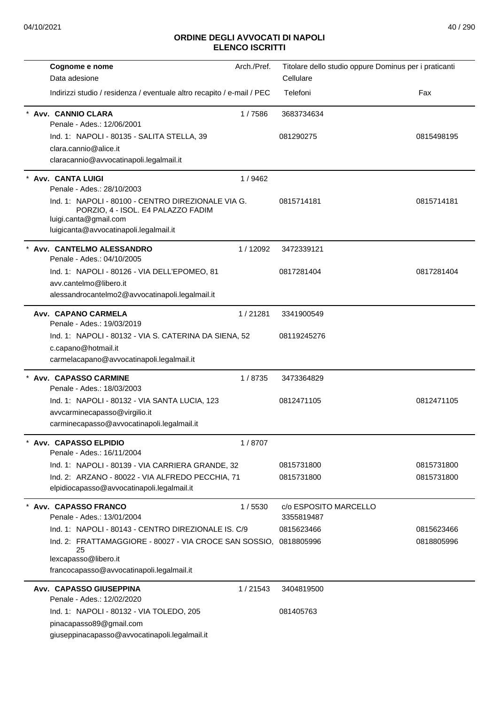| Cognome e nome                                                                                 | Arch./Pref. | Titolare dello studio oppure Dominus per i praticanti |            |
|------------------------------------------------------------------------------------------------|-------------|-------------------------------------------------------|------------|
| Data adesione                                                                                  |             | Cellulare                                             |            |
| Indirizzi studio / residenza / eventuale altro recapito / e-mail / PEC                         |             | Telefoni                                              | Fax        |
| Avv. CANNIO CLARA                                                                              | 1/7586      | 3683734634                                            |            |
| Penale - Ades.: 12/06/2001                                                                     |             |                                                       |            |
| Ind. 1: NAPOLI - 80135 - SALITA STELLA, 39                                                     |             | 081290275                                             | 0815498195 |
| clara.cannio@alice.it                                                                          |             |                                                       |            |
| claracannio@avvocatinapoli.legalmail.it                                                        |             |                                                       |            |
| Avv. CANTA LUIGI                                                                               | 1/9462      |                                                       |            |
| Penale - Ades.: 28/10/2003                                                                     |             |                                                       |            |
| Ind. 1: NAPOLI - 80100 - CENTRO DIREZIONALE VIA G.                                             |             | 0815714181                                            | 0815714181 |
| PORZIO, 4 - ISOL. E4 PALAZZO FADIM<br>luigi.canta@gmail.com                                    |             |                                                       |            |
| luigicanta@avvocatinapoli.legalmail.it                                                         |             |                                                       |            |
| Avv. CANTELMO ALESSANDRO                                                                       | 1/12092     | 3472339121                                            |            |
| Penale - Ades.: 04/10/2005                                                                     |             |                                                       |            |
| Ind. 1: NAPOLI - 80126 - VIA DELL'EPOMEO, 81                                                   |             | 0817281404                                            | 0817281404 |
| avv.cantelmo@libero.it                                                                         |             |                                                       |            |
| alessandrocantelmo2@avvocatinapoli.legalmail.it                                                |             |                                                       |            |
| Avv. CAPANO CARMELA                                                                            | 1/21281     | 3341900549                                            |            |
| Penale - Ades.: 19/03/2019                                                                     |             |                                                       |            |
| Ind. 1: NAPOLI - 80132 - VIA S. CATERINA DA SIENA, 52                                          |             | 08119245276                                           |            |
| c.capano@hotmail.it                                                                            |             |                                                       |            |
| carmelacapano@avvocatinapoli.legalmail.it                                                      |             |                                                       |            |
| * Avv. CAPASSO CARMINE                                                                         | 1/8735      | 3473364829                                            |            |
| Penale - Ades.: 18/03/2003                                                                     |             |                                                       |            |
| Ind. 1: NAPOLI - 80132 - VIA SANTA LUCIA, 123                                                  |             | 0812471105                                            | 0812471105 |
| avvcarminecapasso@virgilio.it                                                                  |             |                                                       |            |
| carminecapasso@avvocatinapoli.legalmail.it                                                     |             |                                                       |            |
| Avv. CAPASSO ELPIDIO                                                                           | 1/8707      |                                                       |            |
| Penale - Ades.: 16/11/2004                                                                     |             |                                                       |            |
| Ind. 1: NAPOLI - 80139 - VIA CARRIERA GRANDE, 32                                               |             | 0815731800                                            | 0815731800 |
| Ind. 2: ARZANO - 80022 - VIA ALFREDO PECCHIA, 71<br>elpidiocapasso@avvocatinapoli.legalmail.it |             | 0815731800                                            | 0815731800 |
|                                                                                                |             |                                                       |            |
| Avv. CAPASSO FRANCO<br>Penale - Ades.: 13/01/2004                                              | 1/5530      | c/o ESPOSITO MARCELLO<br>3355819487                   |            |
| Ind. 1: NAPOLI - 80143 - CENTRO DIREZIONALE IS. C/9                                            |             | 0815623466                                            | 0815623466 |
| Ind. 2: FRATTAMAGGIORE - 80027 - VIA CROCE SAN SOSSIO,                                         |             | 0818805996                                            | 0818805996 |
| 25                                                                                             |             |                                                       |            |
| lexcapasso@libero.it                                                                           |             |                                                       |            |
| francocapasso@avvocatinapoli.legalmail.it                                                      |             |                                                       |            |
| Avv. CAPASSO GIUSEPPINA                                                                        | 1/21543     | 3404819500                                            |            |
| Penale - Ades.: 12/02/2020                                                                     |             |                                                       |            |
| Ind. 1: NAPOLI - 80132 - VIA TOLEDO, 205                                                       |             | 081405763                                             |            |
| pinacapasso89@gmail.com                                                                        |             |                                                       |            |
| giuseppinacapasso@avvocatinapoli.legalmail.it                                                  |             |                                                       |            |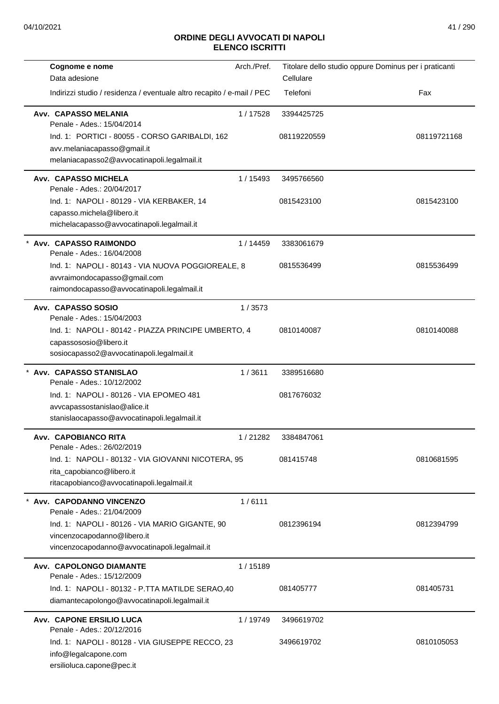| Cognome e nome                                                                | Arch./Pref. | Titolare dello studio oppure Dominus per i praticanti |             |
|-------------------------------------------------------------------------------|-------------|-------------------------------------------------------|-------------|
| Data adesione                                                                 |             | Cellulare                                             |             |
| Indirizzi studio / residenza / eventuale altro recapito / e-mail / PEC        |             | Telefoni                                              | Fax         |
| Avv. CAPASSO MELANIA<br>Penale - Ades.: 15/04/2014                            | 1/17528     | 3394425725                                            |             |
| Ind. 1: PORTICI - 80055 - CORSO GARIBALDI, 162                                |             | 08119220559                                           | 08119721168 |
| avv.melaniacapasso@gmail.it                                                   |             |                                                       |             |
| melaniacapasso2@avvocatinapoli.legalmail.it                                   |             |                                                       |             |
| <b>Avv. CAPASSO MICHELA</b><br>Penale - Ades.: 20/04/2017                     | 1 / 15493   | 3495766560                                            |             |
| Ind. 1: NAPOLI - 80129 - VIA KERBAKER, 14                                     |             | 0815423100                                            | 0815423100  |
| capasso.michela@libero.it                                                     |             |                                                       |             |
| michelacapasso@avvocatinapoli.legalmail.it                                    |             |                                                       |             |
| * Avv. CAPASSO RAIMONDO<br>Penale - Ades.: 16/04/2008                         | 1/14459     | 3383061679                                            |             |
| Ind. 1: NAPOLI - 80143 - VIA NUOVA POGGIOREALE, 8                             |             | 0815536499                                            | 0815536499  |
| avvraimondocapasso@gmail.com                                                  |             |                                                       |             |
| raimondocapasso@avvocatinapoli.legalmail.it                                   |             |                                                       |             |
| Avv. CAPASSO SOSIO                                                            | 1/3573      |                                                       |             |
| Penale - Ades.: 15/04/2003                                                    |             |                                                       |             |
| Ind. 1: NAPOLI - 80142 - PIAZZA PRINCIPE UMBERTO, 4                           |             | 0810140087                                            | 0810140088  |
| capassososio@libero.it<br>sosiocapasso2@avvocatinapoli.legalmail.it           |             |                                                       |             |
|                                                                               |             |                                                       |             |
| Avv. CAPASSO STANISLAO<br>Penale - Ades.: 10/12/2002                          | 1/3611      | 3389516680                                            |             |
| Ind. 1: NAPOLI - 80126 - VIA EPOMEO 481                                       |             | 0817676032                                            |             |
| avvcapassostanislao@alice.it                                                  |             |                                                       |             |
| stanislaocapasso@avvocatinapoli.legalmail.it                                  |             |                                                       |             |
| Avv. CAPOBIANCO RITA                                                          | 1/21282     | 3384847061                                            |             |
| Penale - Ades.: 26/02/2019                                                    |             |                                                       |             |
| Ind. 1: NAPOLI - 80132 - VIA GIOVANNI NICOTERA, 95                            |             | 081415748                                             | 0810681595  |
| rita_capobianco@libero.it                                                     |             |                                                       |             |
| ritacapobianco@avvocatinapoli.legalmail.it                                    |             |                                                       |             |
| Avv. CAPODANNO VINCENZO<br>Penale - Ades.: 21/04/2009                         | 1/6111      |                                                       |             |
|                                                                               |             | 0812396194                                            |             |
| Ind. 1: NAPOLI - 80126 - VIA MARIO GIGANTE, 90<br>vincenzocapodanno@libero.it |             |                                                       | 0812394799  |
| vincenzocapodanno@avvocatinapoli.legalmail.it                                 |             |                                                       |             |
|                                                                               |             |                                                       |             |
| <b>Avv. CAPOLONGO DIAMANTE</b><br>Penale - Ades.: 15/12/2009                  | 1/15189     |                                                       |             |
| Ind. 1: NAPOLI - 80132 - P.TTA MATILDE SERAO, 40                              |             | 081405777                                             | 081405731   |
| diamantecapolongo@avvocatinapoli.legalmail.it                                 |             |                                                       |             |
| Avv. CAPONE ERSILIO LUCA                                                      | 1/19749     | 3496619702                                            |             |
| Penale - Ades.: 20/12/2016                                                    |             |                                                       |             |
| Ind. 1: NAPOLI - 80128 - VIA GIUSEPPE RECCO, 23                               |             | 3496619702                                            | 0810105053  |
| info@legalcapone.com                                                          |             |                                                       |             |
| ersilioluca.capone@pec.it                                                     |             |                                                       |             |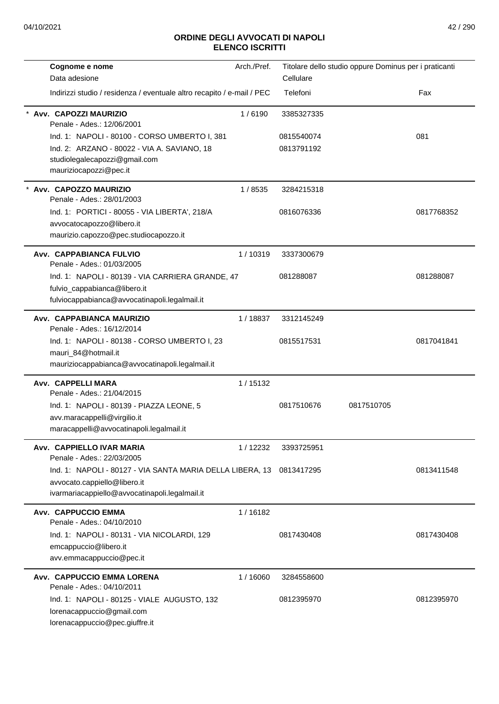| Cognome e nome                                                         | Arch./Pref. |            | Titolare dello studio oppure Dominus per i praticanti |            |
|------------------------------------------------------------------------|-------------|------------|-------------------------------------------------------|------------|
| Data adesione                                                          |             | Cellulare  |                                                       |            |
| Indirizzi studio / residenza / eventuale altro recapito / e-mail / PEC |             | Telefoni   |                                                       | Fax        |
| Avv. CAPOZZI MAURIZIO<br>Penale - Ades.: 12/06/2001                    | 1/6190      | 3385327335 |                                                       |            |
| Ind. 1: NAPOLI - 80100 - CORSO UMBERTO I, 381                          |             | 0815540074 |                                                       | 081        |
| Ind. 2: ARZANO - 80022 - VIA A. SAVIANO, 18                            |             | 0813791192 |                                                       |            |
| studiolegalecapozzi@gmail.com                                          |             |            |                                                       |            |
| mauriziocapozzi@pec.it                                                 |             |            |                                                       |            |
| Avv. CAPOZZO MAURIZIO<br>Penale - Ades.: 28/01/2003                    | 1/8535      | 3284215318 |                                                       |            |
| Ind. 1: PORTICI - 80055 - VIA LIBERTA', 218/A                          |             | 0816076336 |                                                       | 0817768352 |
| avvocatocapozzo@libero.it                                              |             |            |                                                       |            |
| maurizio.capozzo@pec.studiocapozzo.it                                  |             |            |                                                       |            |
| Avv. CAPPABIANCA FULVIO<br>Penale - Ades.: 01/03/2005                  | 1/10319     | 3337300679 |                                                       |            |
| Ind. 1: NAPOLI - 80139 - VIA CARRIERA GRANDE, 47                       |             | 081288087  |                                                       | 081288087  |
| fulvio_cappabianca@libero.it                                           |             |            |                                                       |            |
| fulviocappabianca@avvocatinapoli.legalmail.it                          |             |            |                                                       |            |
| Avv. CAPPABIANCA MAURIZIO<br>Penale - Ades.: 16/12/2014                | 1/18837     | 3312145249 |                                                       |            |
| Ind. 1: NAPOLI - 80138 - CORSO UMBERTO I, 23                           |             | 0815517531 |                                                       | 0817041841 |
| mauri_84@hotmail.it                                                    |             |            |                                                       |            |
| mauriziocappabianca@avvocatinapoli.legalmail.it                        |             |            |                                                       |            |
| Avv. CAPPELLI MARA                                                     | 1/15132     |            |                                                       |            |
| Penale - Ades.: 21/04/2015                                             |             |            |                                                       |            |
| Ind. 1: NAPOLI - 80139 - PIAZZA LEONE, 5                               |             | 0817510676 | 0817510705                                            |            |
| avv.maracappelli@virgilio.it                                           |             |            |                                                       |            |
| maracappelli@avvocatinapoli.legalmail.it                               |             |            |                                                       |            |
| Avv. CAPPIELLO IVAR MARIA<br>Penale - Ades.: 22/03/2005                | 1/12232     | 3393725951 |                                                       |            |
| Ind. 1: NAPOLI - 80127 - VIA SANTA MARIA DELLA LIBERA, 13              |             | 0813417295 |                                                       | 0813411548 |
| avvocato.cappiello@libero.it                                           |             |            |                                                       |            |
| ivarmariacappiello@avvocatinapoli.legalmail.it                         |             |            |                                                       |            |
| Avv. CAPPUCCIO EMMA<br>Penale - Ades.: 04/10/2010                      | 1/16182     |            |                                                       |            |
| Ind. 1: NAPOLI - 80131 - VIA NICOLARDI, 129                            |             | 0817430408 |                                                       | 0817430408 |
| emcappuccio@libero.it                                                  |             |            |                                                       |            |
| avv.emmacappuccio@pec.it                                               |             |            |                                                       |            |
| Avv. CAPPUCCIO EMMA LORENA                                             | 1/16060     | 3284558600 |                                                       |            |
| Penale - Ades.: 04/10/2011                                             |             |            |                                                       |            |
| Ind. 1: NAPOLI - 80125 - VIALE AUGUSTO, 132                            |             | 0812395970 |                                                       | 0812395970 |
| lorenacappuccio@gmail.com                                              |             |            |                                                       |            |
| lorenacappuccio@pec.giuffre.it                                         |             |            |                                                       |            |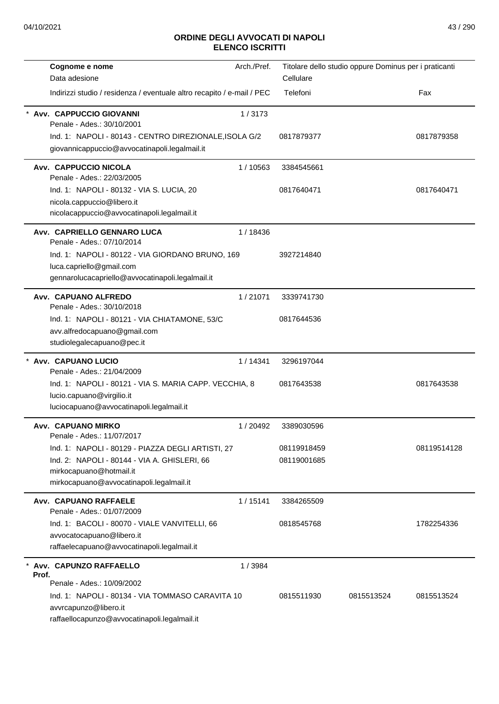| Cognome e nome                                                         | Arch./Pref. |             | Titolare dello studio oppure Dominus per i praticanti |             |
|------------------------------------------------------------------------|-------------|-------------|-------------------------------------------------------|-------------|
| Data adesione                                                          |             | Cellulare   |                                                       |             |
| Indirizzi studio / residenza / eventuale altro recapito / e-mail / PEC |             | Telefoni    |                                                       | Fax         |
| Avv. CAPPUCCIO GIOVANNI<br>Penale - Ades.: 30/10/2001                  | 1/3173      |             |                                                       |             |
| Ind. 1: NAPOLI - 80143 - CENTRO DIREZIONALE, ISOLA G/2                 |             | 0817879377  |                                                       | 0817879358  |
| giovannicappuccio@avvocatinapoli.legalmail.it                          |             |             |                                                       |             |
| Avv. CAPPUCCIO NICOLA<br>Penale - Ades.: 22/03/2005                    | 1/10563     | 3384545661  |                                                       |             |
| Ind. 1: NAPOLI - 80132 - VIA S. LUCIA, 20                              |             | 0817640471  |                                                       | 0817640471  |
| nicola.cappuccio@libero.it                                             |             |             |                                                       |             |
| nicolacappuccio@avvocatinapoli.legalmail.it                            |             |             |                                                       |             |
| Avv. CAPRIELLO GENNARO LUCA<br>Penale - Ades.: 07/10/2014              | 1/18436     |             |                                                       |             |
| Ind. 1: NAPOLI - 80122 - VIA GIORDANO BRUNO, 169                       |             | 3927214840  |                                                       |             |
| luca.capriello@gmail.com                                               |             |             |                                                       |             |
| gennarolucacapriello@avvocatinapoli.legalmail.it                       |             |             |                                                       |             |
| Avv. CAPUANO ALFREDO<br>Penale - Ades.: 30/10/2018                     | 1/21071     | 3339741730  |                                                       |             |
| Ind. 1: NAPOLI - 80121 - VIA CHIATAMONE, 53/C                          |             | 0817644536  |                                                       |             |
| avv.alfredocapuano@gmail.com                                           |             |             |                                                       |             |
| studiolegalecapuano@pec.it                                             |             |             |                                                       |             |
| * Avv. CAPUANO LUCIO<br>Penale - Ades.: 21/04/2009                     | 1/14341     | 3296197044  |                                                       |             |
| Ind. 1: NAPOLI - 80121 - VIA S. MARIA CAPP. VECCHIA, 8                 |             | 0817643538  |                                                       | 0817643538  |
| lucio.capuano@virgilio.it                                              |             |             |                                                       |             |
| luciocapuano@avvocatinapoli.legalmail.it                               |             |             |                                                       |             |
| Avv. CAPUANO MIRKO<br>Penale - Ades.: 11/07/2017                       | 1/20492     | 3389030596  |                                                       |             |
| Ind. 1: NAPOLI - 80129 - PIAZZA DEGLI ARTISTI, 27                      |             | 08119918459 |                                                       | 08119514128 |
| Ind. 2: NAPOLI - 80144 - VIA A. GHISLERI, 66                           |             | 08119001685 |                                                       |             |
| mirkocapuano@hotmail.it                                                |             |             |                                                       |             |
| mirkocapuano@avvocatinapoli.legalmail.it                               |             |             |                                                       |             |
| Avv. CAPUANO RAFFAELE<br>Penale - Ades.: 01/07/2009                    | 1/15141     | 3384265509  |                                                       |             |
| Ind. 1: BACOLI - 80070 - VIALE VANVITELLI, 66                          |             | 0818545768  |                                                       | 1782254336  |
| avvocatocapuano@libero.it                                              |             |             |                                                       |             |
| raffaelecapuano@avvocatinapoli.legalmail.it                            |             |             |                                                       |             |
| Avv. CAPUNZO RAFFAELLO                                                 | 1/3984      |             |                                                       |             |
| Prof.<br>Penale - Ades.: 10/09/2002                                    |             |             |                                                       |             |
| Ind. 1: NAPOLI - 80134 - VIA TOMMASO CARAVITA 10                       |             | 0815511930  | 0815513524                                            | 0815513524  |
| avvrcapunzo@libero.it                                                  |             |             |                                                       |             |
| raffaellocapunzo@avvocatinapoli.legalmail.it                           |             |             |                                                       |             |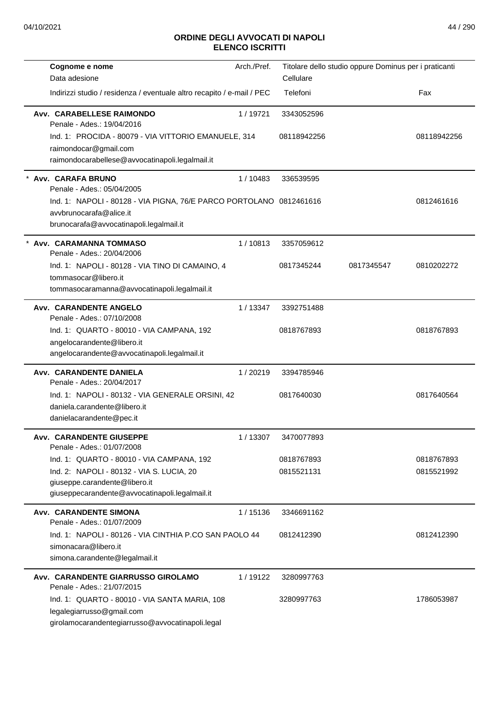| Cognome e nome                                                                                                                            | Arch./Pref. | Titolare dello studio oppure Dominus per i praticanti |            |             |
|-------------------------------------------------------------------------------------------------------------------------------------------|-------------|-------------------------------------------------------|------------|-------------|
| Data adesione                                                                                                                             |             | Cellulare                                             |            |             |
| Indirizzi studio / residenza / eventuale altro recapito / e-mail / PEC                                                                    |             | Telefoni                                              |            | Fax         |
| Avv. CARABELLESE RAIMONDO<br>Penale - Ades.: 19/04/2016                                                                                   | 1/19721     | 3343052596                                            |            |             |
| Ind. 1: PROCIDA - 80079 - VIA VITTORIO EMANUELE, 314<br>raimondocar@gmail.com<br>raimondocarabellese@avvocatinapoli.legalmail.it          |             | 08118942256                                           |            | 08118942256 |
| Avv. CARAFA BRUNO<br>Penale - Ades.: 05/04/2005                                                                                           | 1/10483     | 336539595                                             |            |             |
| Ind. 1: NAPOLI - 80128 - VIA PIGNA, 76/E PARCO PORTOLANO 0812461616<br>avvbrunocarafa@alice.it<br>brunocarafa@avvocatinapoli.legalmail.it |             |                                                       |            | 0812461616  |
| Avv. CARAMANNA TOMMASO<br>Penale - Ades.: 20/04/2006                                                                                      | 1/10813     | 3357059612                                            |            |             |
| Ind. 1: NAPOLI - 80128 - VIA TINO DI CAMAINO, 4<br>tommasocar@libero.it<br>tommasocaramanna@avvocatinapoli.legalmail.it                   |             | 0817345244                                            | 0817345547 | 0810202272  |
| Avv. CARANDENTE ANGELO<br>Penale - Ades.: 07/10/2008                                                                                      | 1/13347     | 3392751488                                            |            |             |
| Ind. 1: QUARTO - 80010 - VIA CAMPANA, 192<br>angelocarandente@libero.it<br>angelocarandente@avvocatinapoli.legalmail.it                   |             | 0818767893                                            |            | 0818767893  |
| Avv. CARANDENTE DANIELA<br>Penale - Ades.: 20/04/2017                                                                                     | 1/20219     | 3394785946                                            |            |             |
| Ind. 1: NAPOLI - 80132 - VIA GENERALE ORSINI, 42<br>daniela.carandente@libero.it<br>danielacarandente@pec.it                              |             | 0817640030                                            |            | 0817640564  |
| <b>Avv. CARANDENTE GIUSEPPE</b><br>Penale - Ades.: 01/07/2008                                                                             | 1/13307     | 3470077893                                            |            |             |
| Ind. 1: QUARTO - 80010 - VIA CAMPANA, 192                                                                                                 |             | 0818767893                                            |            | 0818767893  |
| Ind. 2: NAPOLI - 80132 - VIA S. LUCIA, 20<br>giuseppe.carandente@libero.it<br>giuseppecarandente@avvocatinapoli.legalmail.it              |             | 0815521131                                            |            | 0815521992  |
| <b>Avv. CARANDENTE SIMONA</b><br>Penale - Ades.: 01/07/2009                                                                               | 1/15136     | 3346691162                                            |            |             |
| Ind. 1: NAPOLI - 80126 - VIA CINTHIA P.CO SAN PAOLO 44<br>simonacara@libero.it<br>simona.carandente@legalmail.it                          |             | 0812412390                                            |            | 0812412390  |
| Avv. CARANDENTE GIARRUSSO GIROLAMO<br>Penale - Ades.: 21/07/2015                                                                          | 1/19122     | 3280997763                                            |            |             |
| Ind. 1: QUARTO - 80010 - VIA SANTA MARIA, 108<br>legalegiarrusso@gmail.com<br>girolamocarandentegiarrusso@avvocatinapoli.legal            |             | 3280997763                                            |            | 1786053987  |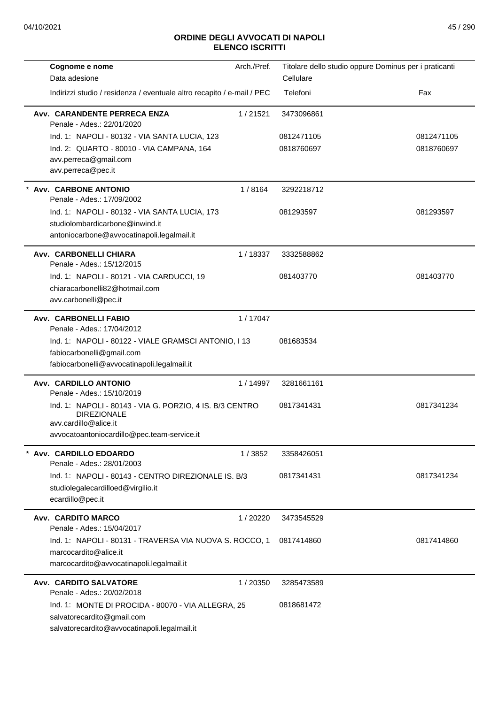| Cognome e nome<br>Data adesione                                                                                                  | Arch./Pref. | Titolare dello studio oppure Dominus per i praticanti<br>Cellulare |            |
|----------------------------------------------------------------------------------------------------------------------------------|-------------|--------------------------------------------------------------------|------------|
| Indirizzi studio / residenza / eventuale altro recapito / e-mail / PEC                                                           |             | Telefoni                                                           | Fax        |
| Avv. CARANDENTE PERRECA ENZA<br>Penale - Ades.: 22/01/2020                                                                       | 1/21521     | 3473096861                                                         |            |
| Ind. 1: NAPOLI - 80132 - VIA SANTA LUCIA, 123                                                                                    |             | 0812471105                                                         | 0812471105 |
| Ind. 2: QUARTO - 80010 - VIA CAMPANA, 164<br>avv.perreca@gmail.com<br>avv.perreca@pec.it                                         |             | 0818760697                                                         | 0818760697 |
| * Avv. CARBONE ANTONIO<br>Penale - Ades.: 17/09/2002                                                                             | 1/8164      | 3292218712                                                         |            |
| Ind. 1: NAPOLI - 80132 - VIA SANTA LUCIA, 173<br>studiolombardicarbone@inwind.it<br>antoniocarbone@avvocatinapoli.legalmail.it   |             | 081293597                                                          | 081293597  |
| Avv. CARBONELLI CHIARA<br>Penale - Ades.: 15/12/2015                                                                             | 1/18337     | 3332588862                                                         |            |
| Ind. 1: NAPOLI - 80121 - VIA CARDUCCI, 19<br>chiaracarbonelli82@hotmail.com<br>avv.carbonelli@pec.it                             |             | 081403770                                                          | 081403770  |
| Avv. CARBONELLI FABIO<br>Penale - Ades.: 17/04/2012                                                                              | 1/17047     |                                                                    |            |
| Ind. 1: NAPOLI - 80122 - VIALE GRAMSCI ANTONIO, I 13<br>fabiocarbonelli@gmail.com<br>fabiocarbonelli@avvocatinapoli.legalmail.it |             | 081683534                                                          |            |
| Avv. CARDILLO ANTONIO<br>Penale - Ades.: 15/10/2019                                                                              | 1 / 14997   | 3281661161                                                         |            |
| Ind. 1: NAPOLI - 80143 - VIA G. PORZIO, 4 IS. B/3 CENTRO<br><b>DIREZIONALE</b><br>avv.cardillo@alice.it                          |             | 0817341431                                                         | 0817341234 |
| avvocatoantoniocardillo@pec.team-service.it                                                                                      |             |                                                                    |            |
| Avv. CARDILLO EDOARDO<br>Penale - Ades.: 28/01/2003                                                                              | 1/3852      | 3358426051                                                         |            |
| Ind. 1: NAPOLI - 80143 - CENTRO DIREZIONALE IS, B/3<br>studiolegalecardilloed@virgilio.it<br>ecardillo@pec.it                    |             | 0817341431                                                         | 0817341234 |
| Avv. CARDITO MARCO<br>Penale - Ades.: 15/04/2017                                                                                 | 1/20220     | 3473545529                                                         |            |
| Ind. 1: NAPOLI - 80131 - TRAVERSA VIA NUOVA S. ROCCO, 1<br>marcocardito@alice.it<br>marcocardito@avvocatinapoli.legalmail.it     |             | 0817414860                                                         | 0817414860 |
| Avv. CARDITO SALVATORE<br>Penale - Ades.: 20/02/2018                                                                             | 1/20350     | 3285473589                                                         |            |
| Ind. 1: MONTE DI PROCIDA - 80070 - VIA ALLEGRA, 25<br>salvatorecardito@gmail.com<br>salvatorecardito@avvocatinapoli.legalmail.it |             | 0818681472                                                         |            |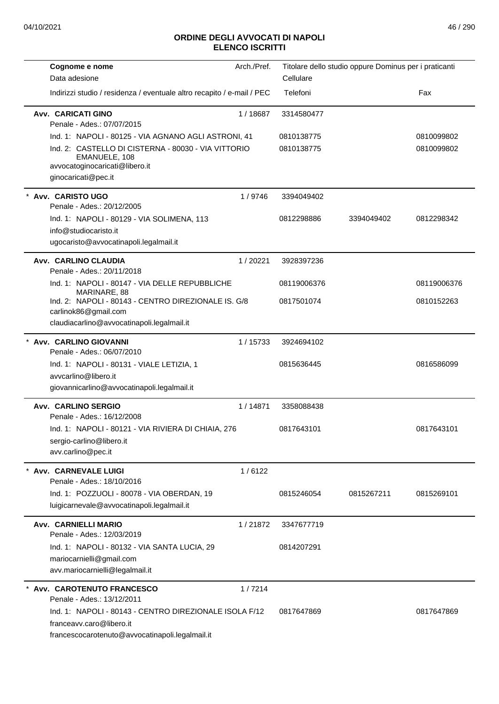| Cognome e nome                                                                                                                | Arch./Pref. |             | Titolare dello studio oppure Dominus per i praticanti |             |
|-------------------------------------------------------------------------------------------------------------------------------|-------------|-------------|-------------------------------------------------------|-------------|
| Data adesione                                                                                                                 |             | Cellulare   |                                                       |             |
| Indirizzi studio / residenza / eventuale altro recapito / e-mail / PEC                                                        |             | Telefoni    |                                                       | Fax         |
| <b>Avv. CARICATI GINO</b><br>Penale - Ades.: 07/07/2015                                                                       | 1/18687     | 3314580477  |                                                       |             |
| Ind. 1: NAPOLI - 80125 - VIA AGNANO AGLI ASTRONI, 41                                                                          |             | 0810138775  |                                                       | 0810099802  |
| Ind. 2: CASTELLO DI CISTERNA - 80030 - VIA VITTORIO<br>EMANUELE, 108<br>avvocatoginocaricati@libero.it<br>ginocaricati@pec.it |             | 0810138775  |                                                       | 0810099802  |
| * Avv. CARISTO UGO                                                                                                            | 1/9746      | 3394049402  |                                                       |             |
| Penale - Ades.: 20/12/2005<br>Ind. 1: NAPOLI - 80129 - VIA SOLIMENA, 113                                                      |             | 0812298886  | 3394049402                                            | 0812298342  |
| info@studiocaristo.it<br>ugocaristo@avvocatinapoli.legalmail.it                                                               |             |             |                                                       |             |
| Avv. CARLINO CLAUDIA<br>Penale - Ades.: 20/11/2018                                                                            | 1/20221     | 3928397236  |                                                       |             |
| Ind. 1: NAPOLI - 80147 - VIA DELLE REPUBBLICHE<br>MARINARE, 88                                                                |             | 08119006376 |                                                       | 08119006376 |
| Ind. 2: NAPOLI - 80143 - CENTRO DIREZIONALE IS. G/8<br>carlinok86@gmail.com                                                   |             | 0817501074  |                                                       | 0810152263  |
| claudiacarlino@avvocatinapoli.legalmail.it                                                                                    |             |             |                                                       |             |
| * Avv. CARLINO GIOVANNI<br>Penale - Ades.: 06/07/2010                                                                         | 1/15733     | 3924694102  |                                                       |             |
| Ind. 1: NAPOLI - 80131 - VIALE LETIZIA, 1                                                                                     |             | 0815636445  |                                                       | 0816586099  |
| avvcarlino@libero.it<br>giovannicarlino@avvocatinapoli.legalmail.it                                                           |             |             |                                                       |             |
| <b>Avv. CARLINO SERGIO</b><br>Penale - Ades.: 16/12/2008                                                                      | 1/14871     | 3358088438  |                                                       |             |
| Ind. 1: NAPOLI - 80121 - VIA RIVIERA DI CHIAIA, 276<br>sergio-carlino@libero.it                                               |             | 0817643101  |                                                       | 0817643101  |
| avv.carlino@pec.it                                                                                                            |             |             |                                                       |             |
| Avv. CARNEVALE LUIGI<br>Penale - Ades.: 18/10/2016                                                                            | 1/6122      |             |                                                       |             |
| Ind. 1: POZZUOLI - 80078 - VIA OBERDAN, 19<br>luigicarnevale@avvocatinapoli.legalmail.it                                      |             | 0815246054  | 0815267211                                            | 0815269101  |
| <b>Avv. CARNIELLI MARIO</b><br>Penale - Ades.: 12/03/2019                                                                     | 1/21872     | 3347677719  |                                                       |             |
| Ind. 1: NAPOLI - 80132 - VIA SANTA LUCIA, 29                                                                                  |             | 0814207291  |                                                       |             |
| mariocarnielli@gmail.com<br>avv.mariocarnielli@legalmail.it                                                                   |             |             |                                                       |             |
| Avv. CAROTENUTO FRANCESCO<br>Penale - Ades.: 13/12/2011                                                                       | 1/7214      |             |                                                       |             |
| Ind. 1: NAPOLI - 80143 - CENTRO DIREZIONALE ISOLA F/12                                                                        |             | 0817647869  |                                                       | 0817647869  |
| franceavy.caro@libero.it<br>francescocarotenuto@avvocatinapoli.legalmail.it                                                   |             |             |                                                       |             |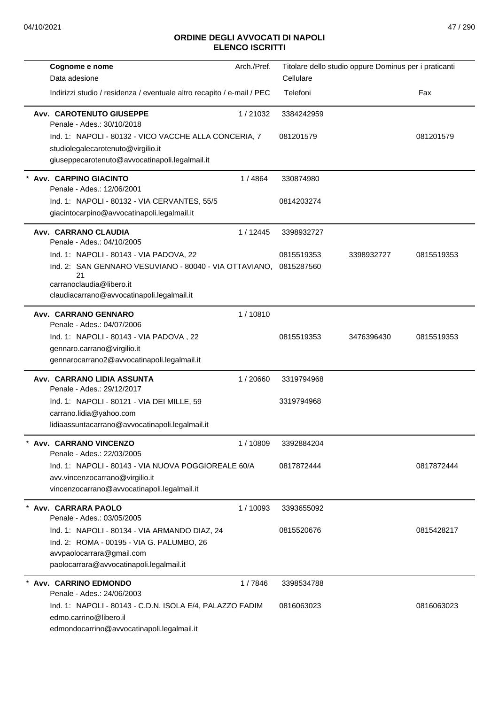| Cognome e nome<br>Data adesione                                                                                                                                                   | Arch./Pref. | Cellulare                | Titolare dello studio oppure Dominus per i praticanti |            |
|-----------------------------------------------------------------------------------------------------------------------------------------------------------------------------------|-------------|--------------------------|-------------------------------------------------------|------------|
| Indirizzi studio / residenza / eventuale altro recapito / e-mail / PEC                                                                                                            |             | Telefoni                 |                                                       | Fax        |
| Avv. CAROTENUTO GIUSEPPE<br>Penale - Ades.: 30/10/2018                                                                                                                            | 1/21032     | 3384242959               |                                                       |            |
| Ind. 1: NAPOLI - 80132 - VICO VACCHE ALLA CONCERIA, 7<br>studiolegalecarotenuto@virgilio.it<br>giuseppecarotenuto@avvocatinapoli.legalmail.it                                     |             | 081201579                |                                                       | 081201579  |
| Avv. CARPINO GIACINTO<br>Penale - Ades.: 12/06/2001                                                                                                                               | 1/4864      | 330874980                |                                                       |            |
| Ind. 1: NAPOLI - 80132 - VIA CERVANTES, 55/5<br>giacintocarpino@avvocatinapoli.legalmail.it                                                                                       |             | 0814203274               |                                                       |            |
| Avv. CARRANO CLAUDIA<br>Penale - Ades.: 04/10/2005                                                                                                                                | 1 / 12445   | 3398932727               |                                                       |            |
| Ind. 1: NAPOLI - 80143 - VIA PADOVA, 22<br>Ind. 2: SAN GENNARO VESUVIANO - 80040 - VIA OTTAVIANO,<br>21<br>carranoclaudia@libero.it<br>claudiacarrano@avvocatinapoli.legalmail.it |             | 0815519353<br>0815287560 | 3398932727                                            | 0815519353 |
| Avv. CARRANO GENNARO<br>Penale - Ades.: 04/07/2006                                                                                                                                | 1/10810     |                          |                                                       |            |
| Ind. 1: NAPOLI - 80143 - VIA PADOVA, 22<br>gennaro.carrano@virgilio.it<br>gennarocarrano2@avvocatinapoli.legalmail.it                                                             |             | 0815519353               | 3476396430                                            | 0815519353 |
| Avv. CARRANO LIDIA ASSUNTA<br>Penale - Ades.: 29/12/2017                                                                                                                          | 1/20660     | 3319794968               |                                                       |            |
| Ind. 1: NAPOLI - 80121 - VIA DEI MILLE, 59<br>carrano.lidia@yahoo.com<br>lidiaassuntacarrano@avvocatinapoli.legalmail.it                                                          |             | 3319794968               |                                                       |            |
| Avv. CARRANO VINCENZO<br>Penale - Ades.: 22/03/2005                                                                                                                               | 1/10809     | 3392884204               |                                                       |            |
| Ind. 1: NAPOLI - 80143 - VIA NUOVA POGGIOREALE 60/A<br>avv.vincenzocarrano@virgilio.it<br>vincenzocarrano@avvocatinapoli.legalmail.it                                             |             | 0817872444               |                                                       | 0817872444 |
| * Avv. CARRARA PAOLO<br>Penale - Ades.: 03/05/2005                                                                                                                                | 1/10093     | 3393655092               |                                                       |            |
| Ind. 1: NAPOLI - 80134 - VIA ARMANDO DIAZ, 24<br>Ind. 2: ROMA - 00195 - VIA G. PALUMBO, 26<br>avvpaolocarrara@gmail.com<br>paolocarrara@avvocatinapoli.legalmail.it               |             | 0815520676               |                                                       | 0815428217 |
| Avv. CARRINO EDMONDO<br>Penale - Ades.: 24/06/2003                                                                                                                                | 1/7846      | 3398534788               |                                                       |            |
| Ind. 1: NAPOLI - 80143 - C.D.N. ISOLA E/4, PALAZZO FADIM<br>edmo.carrino@libero.il<br>edmondocarrino@avvocatinapoli.legalmail.it                                                  |             | 0816063023               |                                                       | 0816063023 |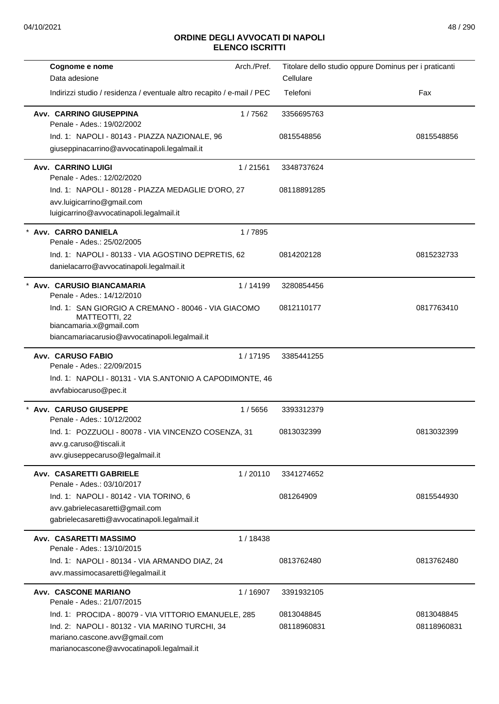| Cognome e nome                                                                                                                                                                        | Arch./Pref. | Titolare dello studio oppure Dominus per i praticanti |                           |
|---------------------------------------------------------------------------------------------------------------------------------------------------------------------------------------|-------------|-------------------------------------------------------|---------------------------|
| Data adesione                                                                                                                                                                         |             | Cellulare                                             |                           |
| Indirizzi studio / residenza / eventuale altro recapito / e-mail / PEC                                                                                                                |             | Telefoni                                              | Fax                       |
| Avv. CARRINO GIUSEPPINA<br>Penale - Ades.: 19/02/2002                                                                                                                                 | 1/7562      | 3356695763                                            |                           |
| Ind. 1: NAPOLI - 80143 - PIAZZA NAZIONALE, 96                                                                                                                                         |             | 0815548856                                            | 0815548856                |
| giuseppinacarrino@avvocatinapoli.legalmail.it                                                                                                                                         |             |                                                       |                           |
| <b>Avv. CARRINO LUIGI</b><br>Penale - Ades.: 12/02/2020                                                                                                                               | 1/21561     | 3348737624                                            |                           |
| Ind. 1: NAPOLI - 80128 - PIAZZA MEDAGLIE D'ORO, 27<br>avv.luigicarrino@gmail.com<br>luigicarrino@avvocatinapoli.legalmail.it                                                          |             | 08118891285                                           |                           |
| Avv. CARRO DANIELA<br>Penale - Ades.: 25/02/2005                                                                                                                                      | 1/7895      |                                                       |                           |
| Ind. 1: NAPOLI - 80133 - VIA AGOSTINO DEPRETIS, 62<br>danielacarro@avvocatinapoli.legalmail.it                                                                                        |             | 0814202128                                            | 0815232733                |
| * Avv. CARUSIO BIANCAMARIA<br>Penale - Ades.: 14/12/2010                                                                                                                              | 1/14199     | 3280854456                                            |                           |
| Ind. 1: SAN GIORGIO A CREMANO - 80046 - VIA GIACOMO<br>MATTEOTTI, 22<br>biancamaria.x@gmail.com<br>biancamariacarusio@avvocatinapoli.legalmail.it                                     |             | 0812110177                                            | 0817763410                |
| <b>Avv. CARUSO FABIO</b><br>Penale - Ades.: 22/09/2015                                                                                                                                | 1/17195     | 3385441255                                            |                           |
| Ind. 1: NAPOLI - 80131 - VIA S.ANTONIO A CAPODIMONTE, 46<br>avvfabiocaruso@pec.it                                                                                                     |             |                                                       |                           |
| * Avv. CARUSO GIUSEPPE<br>Penale - Ades.: 10/12/2002                                                                                                                                  | 1/5656      | 3393312379                                            |                           |
| Ind. 1: POZZUOLI - 80078 - VIA VINCENZO COSENZA, 31<br>avv.g.caruso@tiscali.it<br>avv.giuseppecaruso@legalmail.it                                                                     |             | 0813032399                                            | 0813032399                |
| Avv. CASARETTI GABRIELE<br>Penale - Ades.: 03/10/2017                                                                                                                                 | 1/20110     | 3341274652                                            |                           |
| Ind. 1: NAPOLI - 80142 - VIA TORINO, 6<br>avv.gabrielecasaretti@gmail.com<br>gabrielecasaretti@avvocatinapoli.legalmail.it                                                            |             | 081264909                                             | 0815544930                |
| <b>Avv. CASARETTI MASSIMO</b><br>Penale - Ades.: 13/10/2015                                                                                                                           | 1 / 18438   |                                                       |                           |
| Ind. 1: NAPOLI - 80134 - VIA ARMANDO DIAZ, 24<br>avv.massimocasaretti@legalmail.it                                                                                                    |             | 0813762480                                            | 0813762480                |
| Avv. CASCONE MARIANO<br>Penale - Ades.: 21/07/2015                                                                                                                                    | 1/16907     | 3391932105                                            |                           |
| Ind. 1: PROCIDA - 80079 - VIA VITTORIO EMANUELE, 285<br>Ind. 2: NAPOLI - 80132 - VIA MARINO TURCHI, 34<br>mariano.cascone.avv@gmail.com<br>marianocascone@avvocatinapoli.legalmail.it |             | 0813048845<br>08118960831                             | 0813048845<br>08118960831 |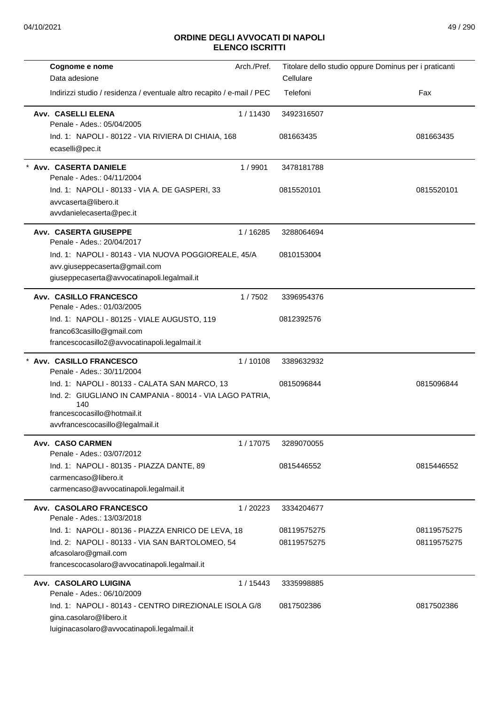| Cognome e nome<br>Data adesione                                                                                                                                                     | Arch./Pref. | Cellulare   | Titolare dello studio oppure Dominus per i praticanti |
|-------------------------------------------------------------------------------------------------------------------------------------------------------------------------------------|-------------|-------------|-------------------------------------------------------|
| Indirizzi studio / residenza / eventuale altro recapito / e-mail / PEC                                                                                                              |             | Telefoni    | Fax                                                   |
| Avv. CASELLI ELENA<br>Penale - Ades.: 05/04/2005                                                                                                                                    | 1/11430     | 3492316507  |                                                       |
| Ind. 1: NAPOLI - 80122 - VIA RIVIERA DI CHIAIA, 168<br>ecaselli@pec.it                                                                                                              |             | 081663435   | 081663435                                             |
| * Avv. CASERTA DANIELE<br>Penale - Ades.: 04/11/2004                                                                                                                                | 1/9901      | 3478181788  |                                                       |
| Ind. 1: NAPOLI - 80133 - VIA A. DE GASPERI, 33<br>avvcaserta@libero.it<br>avvdanielecaserta@pec.it                                                                                  |             | 0815520101  | 0815520101                                            |
| <b>Avv. CASERTA GIUSEPPE</b><br>Penale - Ades.: 20/04/2017                                                                                                                          | 1/16285     | 3288064694  |                                                       |
| Ind. 1: NAPOLI - 80143 - VIA NUOVA POGGIOREALE, 45/A<br>avv.giuseppecaserta@gmail.com<br>giuseppecaserta@avvocatinapoli.legalmail.it                                                |             | 0810153004  |                                                       |
| <b>Avv. CASILLO FRANCESCO</b><br>Penale - Ades.: 01/03/2005                                                                                                                         | 1/7502      | 3396954376  |                                                       |
| Ind. 1: NAPOLI - 80125 - VIALE AUGUSTO, 119<br>franco63casillo@gmail.com<br>francescocasillo2@avvocatinapoli.legalmail.it                                                           |             | 0812392576  |                                                       |
| Avv. CASILLO FRANCESCO<br>Penale - Ades.: 30/11/2004                                                                                                                                | 1/10108     | 3389632932  |                                                       |
| Ind. 1: NAPOLI - 80133 - CALATA SAN MARCO, 13<br>Ind. 2: GIUGLIANO IN CAMPANIA - 80014 - VIA LAGO PATRIA,<br>140<br>francescocasillo@hotmail.it<br>avvfrancescocasillo@legalmail.it |             | 0815096844  | 0815096844                                            |
| Avv. CASO CARMEN<br>Penale - Ades.: 03/07/2012                                                                                                                                      | 1/17075     | 3289070055  |                                                       |
| Ind. 1: NAPOLI - 80135 - PIAZZA DANTE, 89<br>carmencaso@libero.it<br>carmencaso@avvocatinapoli.legalmail.it                                                                         |             | 0815446552  | 0815446552                                            |
| Avv. CASOLARO FRANCESCO<br>Penale - Ades.: 13/03/2018                                                                                                                               | 1/20223     | 3334204677  |                                                       |
| Ind. 1: NAPOLI - 80136 - PIAZZA ENRICO DE LEVA, 18                                                                                                                                  |             | 08119575275 | 08119575275                                           |
| Ind. 2: NAPOLI - 80133 - VIA SAN BARTOLOMEO, 54<br>afcasolaro@gmail.com<br>francescocasolaro@avvocatinapoli.legalmail.it                                                            |             | 08119575275 | 08119575275                                           |
| Avv. CASOLARO LUIGINA<br>Penale - Ades.: 06/10/2009                                                                                                                                 | 1 / 15443   | 3335998885  |                                                       |
| Ind. 1: NAPOLI - 80143 - CENTRO DIREZIONALE ISOLA G/8<br>gina.casolaro@libero.it<br>luiginacasolaro@avvocatinapoli.legalmail.it                                                     |             | 0817502386  | 0817502386                                            |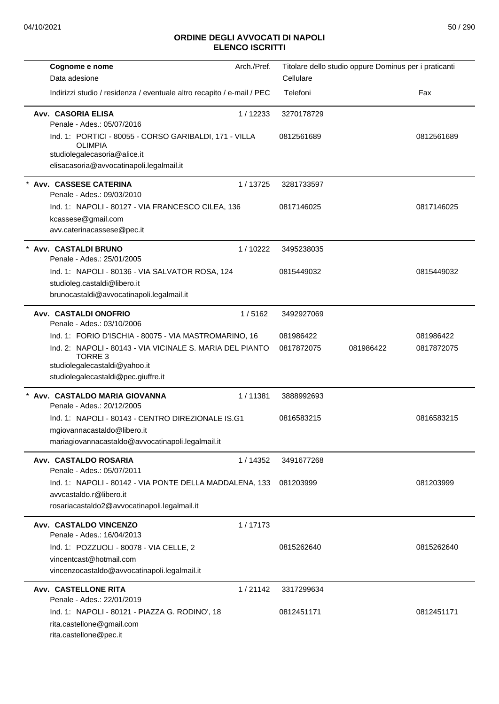| Cognome e nome                                                                                                                                                                                               | Arch./Pref. |                         | Titolare dello studio oppure Dominus per i praticanti |                         |
|--------------------------------------------------------------------------------------------------------------------------------------------------------------------------------------------------------------|-------------|-------------------------|-------------------------------------------------------|-------------------------|
| Data adesione                                                                                                                                                                                                |             | Cellulare               |                                                       |                         |
| Indirizzi studio / residenza / eventuale altro recapito / e-mail / PEC                                                                                                                                       |             | Telefoni                |                                                       | Fax                     |
| Avv. CASORIA ELISA<br>Penale - Ades.: 05/07/2016                                                                                                                                                             | 1/12233     | 3270178729              |                                                       |                         |
| Ind. 1: PORTICI - 80055 - CORSO GARIBALDI, 171 - VILLA<br><b>OLIMPIA</b><br>studiolegalecasoria@alice.it                                                                                                     |             | 0812561689              |                                                       | 0812561689              |
| elisacasoria@avvocatinapoli.legalmail.it                                                                                                                                                                     |             |                         |                                                       |                         |
| Avv. CASSESE CATERINA<br>Penale - Ades.: 09/03/2010                                                                                                                                                          | 1/13725     | 3281733597              |                                                       |                         |
| Ind. 1: NAPOLI - 80127 - VIA FRANCESCO CILEA, 136<br>kcassese@gmail.com<br>avv.caterinacassese@pec.it                                                                                                        |             | 0817146025              |                                                       | 0817146025              |
| Avv. CASTALDI BRUNO<br>Penale - Ades.: 25/01/2005                                                                                                                                                            | 1/10222     | 3495238035              |                                                       |                         |
| Ind. 1: NAPOLI - 80136 - VIA SALVATOR ROSA, 124<br>studioleg.castaldi@libero.it<br>brunocastaldi@avvocatinapoli.legalmail.it                                                                                 |             | 0815449032              |                                                       | 0815449032              |
| Avv. CASTALDI ONOFRIO<br>Penale - Ades.: 03/10/2006                                                                                                                                                          | 1/5162      | 3492927069              |                                                       |                         |
| Ind. 1: FORIO D'ISCHIA - 80075 - VIA MASTROMARINO, 16<br>Ind. 2: NAPOLI - 80143 - VIA VICINALE S. MARIA DEL PIANTO<br><b>TORRE 3</b><br>studiolegalecastaldi@yahoo.it<br>studiolegalecastaldi@pec.giuffre.it |             | 081986422<br>0817872075 | 081986422                                             | 081986422<br>0817872075 |
| Avv. CASTALDO MARIA GIOVANNA<br>Penale - Ades.: 20/12/2005                                                                                                                                                   | 1/11381     | 3888992693              |                                                       |                         |
| Ind. 1: NAPOLI - 80143 - CENTRO DIREZIONALE IS.G1<br>mgiovannacastaldo@libero.it<br>mariagiovannacastaldo@avvocatinapoli.legalmail.it                                                                        |             | 0816583215              |                                                       | 0816583215              |
| Avv. CASTALDO ROSARIA<br>Penale - Ades.: 05/07/2011                                                                                                                                                          | 1/14352     | 3491677268              |                                                       |                         |
| Ind. 1: NAPOLI - 80142 - VIA PONTE DELLA MADDALENA, 133<br>avvcastaldo.r@libero.it<br>rosariacastaldo2@avvocatinapoli.legalmail.it                                                                           |             | 081203999               |                                                       | 081203999               |
| Avv. CASTALDO VINCENZO<br>Penale - Ades.: 16/04/2013                                                                                                                                                         | 1/17173     |                         |                                                       |                         |
| Ind. 1: POZZUOLI - 80078 - VIA CELLE, 2<br>vincentcast@hotmail.com<br>vincenzocastaldo@avvocatinapoli.legalmail.it                                                                                           |             | 0815262640              |                                                       | 0815262640              |
| Avv. CASTELLONE RITA<br>Penale - Ades.: 22/01/2019                                                                                                                                                           | 1/21142     | 3317299634              |                                                       |                         |
| Ind. 1: NAPOLI - 80121 - PIAZZA G. RODINO', 18<br>rita.castellone@gmail.com<br>rita.castellone@pec.it                                                                                                        |             | 0812451171              |                                                       | 0812451171              |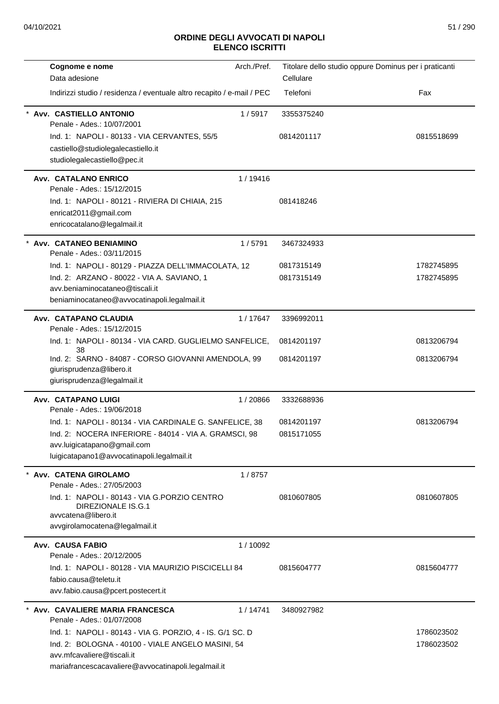| Cognome e nome                                                                                                              | Arch./Pref. | Titolare dello studio oppure Dominus per i praticanti |            |
|-----------------------------------------------------------------------------------------------------------------------------|-------------|-------------------------------------------------------|------------|
| Data adesione                                                                                                               |             | Cellulare                                             |            |
| Indirizzi studio / residenza / eventuale altro recapito / e-mail / PEC                                                      |             | Telefoni                                              | Fax        |
| Avv. CASTIELLO ANTONIO<br>Penale - Ades.: 10/07/2001                                                                        | 1/5917      | 3355375240                                            |            |
| Ind. 1: NAPOLI - 80133 - VIA CERVANTES, 55/5                                                                                |             | 0814201117                                            | 0815518699 |
| castiello@studiolegalecastiello.it                                                                                          |             |                                                       |            |
| studiolegalecastiello@pec.it                                                                                                |             |                                                       |            |
| <b>Avv. CATALANO ENRICO</b><br>Penale - Ades.: 15/12/2015                                                                   | 1/19416     |                                                       |            |
| Ind. 1: NAPOLI - 80121 - RIVIERA DI CHIAIA, 215                                                                             |             | 081418246                                             |            |
| enricat2011@gmail.com                                                                                                       |             |                                                       |            |
| enricocatalano@legalmail.it                                                                                                 |             |                                                       |            |
| * Avv. CATANEO BENIAMINO<br>Penale - Ades.: 03/11/2015                                                                      | 1/5791      | 3467324933                                            |            |
| Ind. 1: NAPOLI - 80129 - PIAZZA DELL'IMMACOLATA, 12                                                                         |             | 0817315149                                            | 1782745895 |
| Ind. 2: ARZANO - 80022 - VIA A. SAVIANO, 1                                                                                  |             | 0817315149                                            | 1782745895 |
| avv.beniaminocataneo@tiscali.it                                                                                             |             |                                                       |            |
| beniaminocataneo@avvocatinapoli.legalmail.it                                                                                |             |                                                       |            |
| Avv. CATAPANO CLAUDIA<br>Penale - Ades.: 15/12/2015                                                                         | 1/17647     | 3396992011                                            |            |
| Ind. 1: NAPOLI - 80134 - VIA CARD. GUGLIELMO SANFELICE,<br>38                                                               |             | 0814201197                                            | 0813206794 |
| Ind. 2: SARNO - 84087 - CORSO GIOVANNI AMENDOLA, 99                                                                         |             | 0814201197                                            | 0813206794 |
| giurisprudenza@libero.it                                                                                                    |             |                                                       |            |
| giurisprudenza@legalmail.it                                                                                                 |             |                                                       |            |
| Avv. CATAPANO LUIGI<br>Penale - Ades.: 19/06/2018                                                                           | 1/20866     | 3332688936                                            |            |
| Ind. 1: NAPOLI - 80134 - VIA CARDINALE G. SANFELICE, 38                                                                     |             | 0814201197                                            | 0813206794 |
| Ind. 2: NOCERA INFERIORE - 84014 - VIA A. GRAMSCI, 98                                                                       |             | 0815171055                                            |            |
| avv.luigicatapano@gmail.com                                                                                                 |             |                                                       |            |
| luigicatapano1@avvocatinapoli.legalmail.it                                                                                  |             |                                                       |            |
| Avv. CATENA GIROLAMO<br>Penale - Ades.: 27/05/2003                                                                          | 1/8757      |                                                       |            |
| Ind. 1: NAPOLI - 80143 - VIA G.PORZIO CENTRO<br>DIREZIONALE IS.G.1<br>avvcatena@libero.it<br>avvgirolamocatena@legalmail.it |             | 0810607805                                            | 0810607805 |
|                                                                                                                             |             |                                                       |            |
| Avv. CAUSA FABIO<br>Penale - Ades.: 20/12/2005                                                                              | 1/10092     |                                                       |            |
| Ind. 1: NAPOLI - 80128 - VIA MAURIZIO PISCICELLI 84                                                                         |             | 0815604777                                            | 0815604777 |
| fabio.causa@teletu.it                                                                                                       |             |                                                       |            |
| avv.fabio.causa@pcert.postecert.it                                                                                          |             |                                                       |            |
| * Avv. CAVALIERE MARIA FRANCESCA<br>Penale - Ades.: 01/07/2008                                                              | 1/14741     | 3480927982                                            |            |
| Ind. 1: NAPOLI - 80143 - VIA G. PORZIO, 4 - IS. G/1 SC. D                                                                   |             |                                                       | 1786023502 |
| Ind. 2: BOLOGNA - 40100 - VIALE ANGELO MASINI, 54                                                                           |             |                                                       | 1786023502 |
| avv.mfcavaliere@tiscali.it                                                                                                  |             |                                                       |            |
| mariafrancescacavaliere@avvocatinapoli.legalmail.it                                                                         |             |                                                       |            |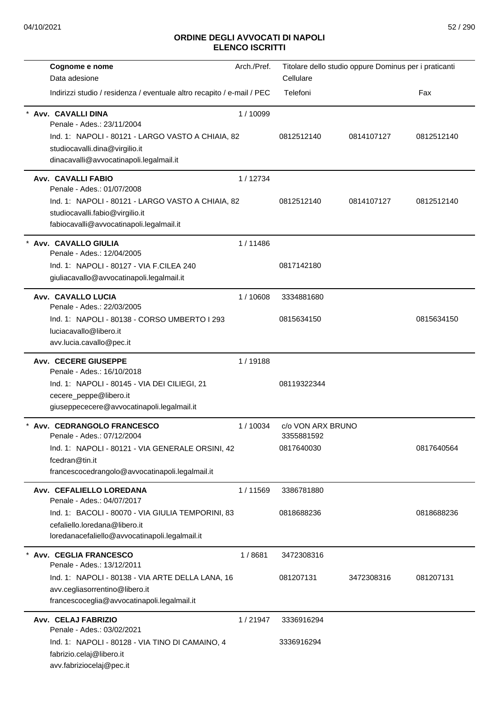| Cognome e nome<br>Data adesione                                                                                                                                                                 | Arch./Pref. | Cellulare                                     | Titolare dello studio oppure Dominus per i praticanti |            |
|-------------------------------------------------------------------------------------------------------------------------------------------------------------------------------------------------|-------------|-----------------------------------------------|-------------------------------------------------------|------------|
| Indirizzi studio / residenza / eventuale altro recapito / e-mail / PEC                                                                                                                          |             | Telefoni                                      |                                                       | Fax        |
| Avv. CAVALLI DINA<br>Penale - Ades.: 23/11/2004<br>Ind. 1: NAPOLI - 80121 - LARGO VASTO A CHIAIA, 82<br>studiocavalli.dina@virgilio.it<br>dinacavalli@avvocatinapoli.legalmail.it               | 1/10099     | 0812512140                                    | 0814107127                                            | 0812512140 |
| Avv. CAVALLI FABIO<br>Penale - Ades.: 01/07/2008<br>Ind. 1: NAPOLI - 80121 - LARGO VASTO A CHIAIA, 82<br>studiocavalli.fabio@virgilio.it<br>fabiocavalli@avvocatinapoli.legalmail.it            | 1/12734     | 0812512140                                    | 0814107127                                            | 0812512140 |
| $\star$<br>Avv. CAVALLO GIULIA<br>Penale - Ades.: 12/04/2005<br>Ind. 1: NAPOLI - 80127 - VIA F.CILEA 240<br>giuliacavallo@avvocatinapoli.legalmail.it                                           | 1/11486     | 0817142180                                    |                                                       |            |
| Avv. CAVALLO LUCIA<br>Penale - Ades.: 22/03/2005<br>Ind. 1: NAPOLI - 80138 - CORSO UMBERTO I 293<br>luciacavallo@libero.it<br>avv.lucia.cavallo@pec.it                                          | 1/10608     | 3334881680<br>0815634150                      |                                                       | 0815634150 |
| <b>Avv. CECERE GIUSEPPE</b><br>Penale - Ades.: 16/10/2018<br>Ind. 1: NAPOLI - 80145 - VIA DEI CILIEGI, 21<br>cecere_peppe@libero.it<br>giuseppececere@avvocatinapoli.legalmail.it               | 1/19188     | 08119322344                                   |                                                       |            |
| Avv. CEDRANGOLO FRANCESCO<br>Penale - Ades.: 07/12/2004<br>Ind. 1: NAPOLI - 80121 - VIA GENERALE ORSINI, 42<br>fcedran@tin.it<br>francescocedrangolo@avvocatinapoli.legalmail.it                | 1/10034     | c/o VON ARX BRUNO<br>3355881592<br>0817640030 |                                                       | 0817640564 |
| Avv. CEFALIELLO LOREDANA<br>Penale - Ades.: 04/07/2017<br>Ind. 1: BACOLI - 80070 - VIA GIULIA TEMPORINI, 83<br>cefaliello.loredana@libero.it<br>loredanacefaliello@avvocatinapoli.legalmail.it  | 1/11569     | 3386781880<br>0818688236                      |                                                       | 0818688236 |
| <b>Avv. CEGLIA FRANCESCO</b><br>Penale - Ades.: 13/12/2011<br>Ind. 1: NAPOLI - 80138 - VIA ARTE DELLA LANA, 16<br>avv.cegliasorrentino@libero.it<br>francescoceglia@avvocatinapoli.legalmail.it | 1/8681      | 3472308316<br>081207131                       | 3472308316                                            | 081207131  |
| Avv. CELAJ FABRIZIO<br>Penale - Ades.: 03/02/2021<br>Ind. 1: NAPOLI - 80128 - VIA TINO DI CAMAINO, 4<br>fabrizio.celaj@libero.it<br>avv.fabriziocelaj@pec.it                                    | 1/21947     | 3336916294<br>3336916294                      |                                                       |            |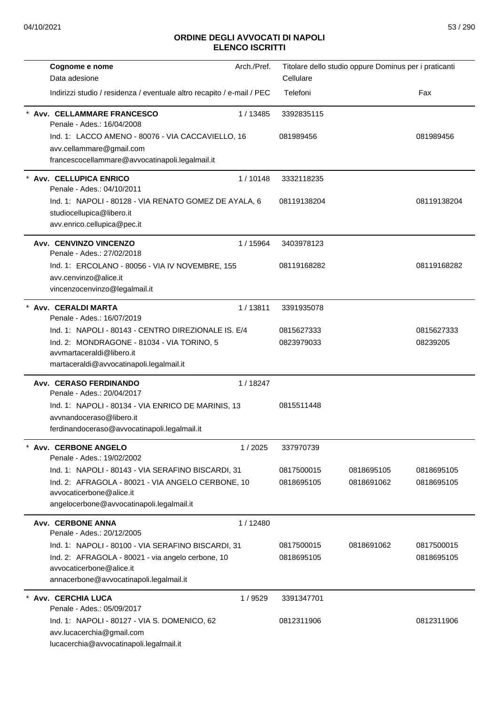| Cognome e nome                                                         | Arch./Pref. |             | Titolare dello studio oppure Dominus per i praticanti |             |
|------------------------------------------------------------------------|-------------|-------------|-------------------------------------------------------|-------------|
| Data adesione                                                          |             | Cellulare   |                                                       |             |
| Indirizzi studio / residenza / eventuale altro recapito / e-mail / PEC |             | Telefoni    |                                                       | Fax         |
| Avv. CELLAMMARE FRANCESCO<br>Penale - Ades.: 16/04/2008                | 1/13485     | 3392835115  |                                                       |             |
| Ind. 1: LACCO AMENO - 80076 - VIA CACCAVIELLO, 16                      |             | 081989456   |                                                       | 081989456   |
| avv.cellammare@gmail.com                                               |             |             |                                                       |             |
| francescocellammare@avvocatinapoli.legalmail.it                        |             |             |                                                       |             |
| Avv. CELLUPICA ENRICO<br>Penale - Ades.: 04/10/2011                    | 1/10148     | 3332118235  |                                                       |             |
| Ind. 1: NAPOLI - 80128 - VIA RENATO GOMEZ DE AYALA, 6                  |             | 08119138204 |                                                       | 08119138204 |
| studiocellupica@libero.it                                              |             |             |                                                       |             |
| avv.enrico.cellupica@pec.it                                            |             |             |                                                       |             |
| Avv. CENVINZO VINCENZO<br>Penale - Ades.: 27/02/2018                   | 1/15964     | 3403978123  |                                                       |             |
| Ind. 1: ERCOLANO - 80056 - VIA IV NOVEMBRE, 155                        |             | 08119168282 |                                                       | 08119168282 |
| avv.cenvinzo@alice.it                                                  |             |             |                                                       |             |
| vincenzocenvinzo@legalmail.it                                          |             |             |                                                       |             |
| * Avv. CERALDI MARTA<br>Penale - Ades.: 16/07/2019                     | 1/13811     | 3391935078  |                                                       |             |
| Ind. 1: NAPOLI - 80143 - CENTRO DIREZIONALE IS. E/4                    |             | 0815627333  |                                                       | 0815627333  |
| Ind. 2: MONDRAGONE - 81034 - VIA TORINO, 5                             |             | 0823979033  |                                                       | 08239205    |
| avvmartaceraldi@libero.it                                              |             |             |                                                       |             |
| martaceraldi@avvocatinapoli.legalmail.it                               |             |             |                                                       |             |
| Avv. CERASO FERDINANDO<br>Penale - Ades.: 20/04/2017                   | 1/18247     |             |                                                       |             |
| Ind. 1: NAPOLI - 80134 - VIA ENRICO DE MARINIS, 13                     |             | 0815511448  |                                                       |             |
| avvnandoceraso@libero.it                                               |             |             |                                                       |             |
| ferdinandoceraso@avvocatinapoli.legalmail.it                           |             |             |                                                       |             |
| Avv. CERBONE ANGELO<br>Penale - Ades.: 19/02/2002                      | 1/2025      | 337970739   |                                                       |             |
| Ind. 1: NAPOLI - 80143 - VIA SERAFINO BISCARDI, 31                     |             | 0817500015  | 0818695105                                            | 0818695105  |
| Ind. 2: AFRAGOLA - 80021 - VIA ANGELO CERBONE, 10                      |             | 0818695105  | 0818691062                                            | 0818695105  |
| avvocaticerbone@alice.it                                               |             |             |                                                       |             |
| angelocerbone@avvocatinapoli.legalmail.it                              |             |             |                                                       |             |
| Avv. CERBONE ANNA<br>Penale - Ades.: 20/12/2005                        | 1/12480     |             |                                                       |             |
| Ind. 1: NAPOLI - 80100 - VIA SERAFINO BISCARDI, 31                     |             | 0817500015  | 0818691062                                            | 0817500015  |
| Ind. 2: AFRAGOLA - 80021 - via angelo cerbone, 10                      |             | 0818695105  |                                                       | 0818695105  |
| avvocaticerbone@alice.it<br>annacerbone@avvocatinapoli.legalmail.it    |             |             |                                                       |             |
| Avv. CERCHIA LUCA                                                      | 1/9529      | 3391347701  |                                                       |             |
| Penale - Ades.: 05/09/2017                                             |             |             |                                                       |             |
| Ind. 1: NAPOLI - 80127 - VIA S. DOMENICO, 62                           |             | 0812311906  |                                                       | 0812311906  |
| avv.lucacerchia@gmail.com                                              |             |             |                                                       |             |
| lucacerchia@avvocatinapoli.legalmail.it                                |             |             |                                                       |             |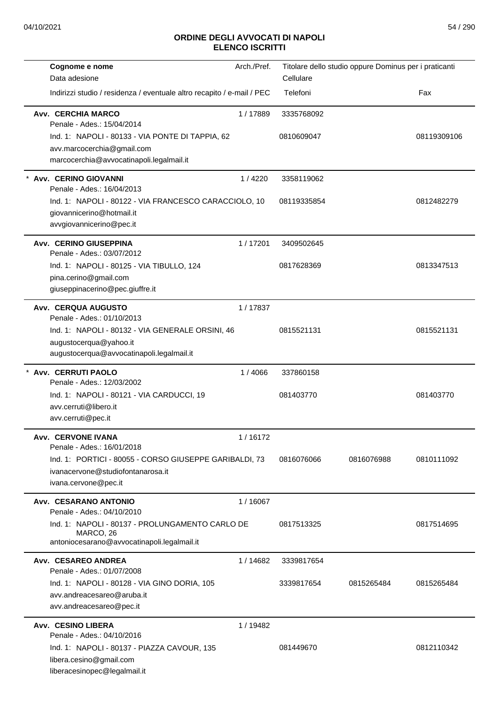| Cognome e nome                                                                                                                                        | Arch./Pref. |             | Titolare dello studio oppure Dominus per i praticanti |             |
|-------------------------------------------------------------------------------------------------------------------------------------------------------|-------------|-------------|-------------------------------------------------------|-------------|
| Data adesione                                                                                                                                         |             | Cellulare   |                                                       |             |
| Indirizzi studio / residenza / eventuale altro recapito / e-mail / PEC                                                                                |             | Telefoni    |                                                       | Fax         |
| <b>Avv. CERCHIA MARCO</b><br>Penale - Ades.: 15/04/2014                                                                                               | 1/17889     | 3335768092  |                                                       |             |
| Ind. 1: NAPOLI - 80133 - VIA PONTE DI TAPPIA, 62<br>avv.marcocerchia@gmail.com<br>marcocerchia@avvocatinapoli.legalmail.it                            |             | 0810609047  |                                                       | 08119309106 |
| * Avv. CERINO GIOVANNI<br>Penale - Ades.: 16/04/2013                                                                                                  | 1/4220      | 3358119062  |                                                       |             |
| Ind. 1: NAPOLI - 80122 - VIA FRANCESCO CARACCIOLO, 10<br>giovannicerino@hotmail.it<br>avvgiovannicerino@pec.it                                        |             | 08119335854 |                                                       | 0812482279  |
| Avv. CERINO GIUSEPPINA<br>Penale - Ades.: 03/07/2012                                                                                                  | 1/17201     | 3409502645  |                                                       |             |
| Ind. 1: NAPOLI - 80125 - VIA TIBULLO, 124<br>pina.cerino@gmail.com<br>giuseppinacerino@pec.giuffre.it                                                 |             | 0817628369  |                                                       | 0813347513  |
| <b>Avv. CERQUA AUGUSTO</b>                                                                                                                            | 1/17837     |             |                                                       |             |
| Penale - Ades.: 01/10/2013<br>Ind. 1: NAPOLI - 80132 - VIA GENERALE ORSINI, 46<br>augustocerqua@yahoo.it<br>augustocerqua@avvocatinapoli.legalmail.it |             | 0815521131  |                                                       | 0815521131  |
| Avv. CERRUTI PAOLO<br>Penale - Ades.: 12/03/2002                                                                                                      | 1/4066      | 337860158   |                                                       |             |
| Ind. 1: NAPOLI - 80121 - VIA CARDUCCI, 19<br>avv.cerruti@libero.it<br>avv.cerruti@pec.it                                                              |             | 081403770   |                                                       | 081403770   |
| Avv. CERVONE IVANA<br>Penale - Ades.: 16/01/2018                                                                                                      | 1/16172     |             |                                                       |             |
| Ind. 1: PORTICI - 80055 - CORSO GIUSEPPE GARIBALDI, 73<br>ivanacervone@studiofontanarosa.it<br>ivana.cervone@pec.it                                   |             | 0816076066  | 0816076988                                            | 0810111092  |
| Avv. CESARANO ANTONIO<br>Penale - Ades.: 04/10/2010                                                                                                   | 1/16067     |             |                                                       |             |
| Ind. 1: NAPOLI - 80137 - PROLUNGAMENTO CARLO DE<br>MARCO, 26<br>antoniocesarano@avvocatinapoli.legalmail.it                                           |             | 0817513325  |                                                       | 0817514695  |
| Avv. CESAREO ANDREA<br>Penale - Ades.: 01/07/2008                                                                                                     | 1/14682     | 3339817654  |                                                       |             |
| Ind. 1: NAPOLI - 80128 - VIA GINO DORIA, 105<br>avv.andreacesareo@aruba.it<br>avv.andreacesareo@pec.it                                                |             | 3339817654  | 0815265484                                            | 0815265484  |
| Avv. CESINO LIBERA<br>Penale - Ades.: 04/10/2016                                                                                                      | 1 / 19482   |             |                                                       |             |
| Ind. 1: NAPOLI - 80137 - PIAZZA CAVOUR, 135<br>libera.cesino@gmail.com<br>liberacesinopec@legalmail.it                                                |             | 081449670   |                                                       | 0812110342  |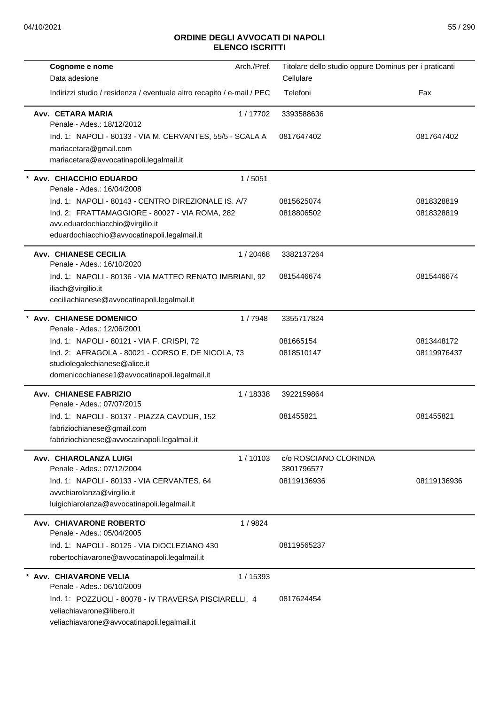| Cognome e nome                                                                          | Arch./Pref. | Titolare dello studio oppure Dominus per i praticanti |             |
|-----------------------------------------------------------------------------------------|-------------|-------------------------------------------------------|-------------|
| Data adesione<br>Indirizzi studio / residenza / eventuale altro recapito / e-mail / PEC |             | Cellulare<br>Telefoni                                 | Fax         |
|                                                                                         |             |                                                       |             |
| Avv. CETARA MARIA<br>Penale - Ades.: 18/12/2012                                         | 1/17702     | 3393588636                                            |             |
| Ind. 1: NAPOLI - 80133 - VIA M. CERVANTES, 55/5 - SCALA A                               |             | 0817647402                                            | 0817647402  |
| mariacetara@gmail.com                                                                   |             |                                                       |             |
| mariacetara@avvocatinapoli.legalmail.it                                                 |             |                                                       |             |
| Avv. CHIACCHIO EDUARDO<br>Penale - Ades.: 16/04/2008                                    | 1/5051      |                                                       |             |
| Ind. 1: NAPOLI - 80143 - CENTRO DIREZIONALE IS. A/7                                     |             | 0815625074                                            | 0818328819  |
| Ind. 2: FRATTAMAGGIORE - 80027 - VIA ROMA, 282                                          |             | 0818806502                                            | 0818328819  |
| avv.eduardochiacchio@virgilio.it<br>eduardochiacchio@avvocatinapoli.legalmail.it        |             |                                                       |             |
| <b>Avv. CHIANESE CECILIA</b>                                                            |             |                                                       |             |
| Penale - Ades.: 16/10/2020                                                              | 1/20468     | 3382137264                                            |             |
| Ind. 1: NAPOLI - 80136 - VIA MATTEO RENATO IMBRIANI, 92                                 |             | 0815446674                                            | 0815446674  |
| iliach@virgilio.it                                                                      |             |                                                       |             |
| ceciliachianese@avvocatinapoli.legalmail.it                                             |             |                                                       |             |
| * Avv. CHIANESE DOMENICO<br>Penale - Ades.: 12/06/2001                                  | 1/7948      | 3355717824                                            |             |
| Ind. 1: NAPOLI - 80121 - VIA F. CRISPI, 72                                              |             | 081665154                                             | 0813448172  |
| Ind. 2: AFRAGOLA - 80021 - CORSO E. DE NICOLA, 73                                       |             | 0818510147                                            | 08119976437 |
| studiolegalechianese@alice.it<br>domenicochianese1@avvocatinapoli.legalmail.it          |             |                                                       |             |
|                                                                                         |             |                                                       |             |
| <b>Avv. CHIANESE FABRIZIO</b><br>Penale - Ades.: 07/07/2015                             | 1/18338     | 3922159864                                            |             |
| Ind. 1: NAPOLI - 80137 - PIAZZA CAVOUR, 152                                             |             | 081455821                                             | 081455821   |
| fabriziochianese@gmail.com                                                              |             |                                                       |             |
| fabriziochianese@avvocatinapoli.legalmail.it                                            |             |                                                       |             |
| Avv. CHIAROLANZA LUIGI<br>Penale - Ades.: 07/12/2004                                    | 1/10103     | c/o ROSCIANO CLORINDA<br>3801796577                   |             |
| Ind. 1: NAPOLI - 80133 - VIA CERVANTES, 64                                              |             | 08119136936                                           | 08119136936 |
| avvchiarolanza@virgilio.it                                                              |             |                                                       |             |
| luigichiarolanza@avvocatinapoli.legalmail.it                                            |             |                                                       |             |
| <b>Avv. CHIAVARONE ROBERTO</b><br>Penale - Ades.: 05/04/2005                            | 1/9824      |                                                       |             |
| Ind. 1: NAPOLI - 80125 - VIA DIOCLEZIANO 430                                            |             | 08119565237                                           |             |
| robertochiavarone@avvocatinapoli.legalmail.it                                           |             |                                                       |             |
| <b>Avv. CHIAVARONE VELIA</b><br>Penale - Ades.: 06/10/2009                              | 1 / 15393   |                                                       |             |
| Ind. 1: POZZUOLI - 80078 - IV TRAVERSA PISCIARELLI, 4                                   |             | 0817624454                                            |             |
| veliachiavarone@libero.it                                                               |             |                                                       |             |
| veliachiavarone@avvocatinapoli.legalmail.it                                             |             |                                                       |             |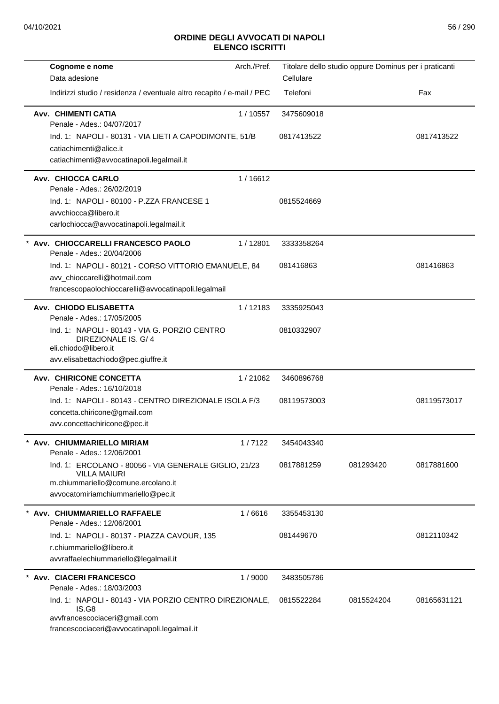| Cognome e nome<br>Data adesione                                                                                                                          | Arch./Pref. | Titolare dello studio oppure Dominus per i praticanti<br>Cellulare |            |             |
|----------------------------------------------------------------------------------------------------------------------------------------------------------|-------------|--------------------------------------------------------------------|------------|-------------|
| Indirizzi studio / residenza / eventuale altro recapito / e-mail / PEC                                                                                   |             | Telefoni                                                           |            | Fax         |
| <b>Avv. CHIMENTI CATIA</b><br>Penale - Ades.: 04/07/2017                                                                                                 | 1/10557     | 3475609018                                                         |            |             |
| Ind. 1: NAPOLI - 80131 - VIA LIETI A CAPODIMONTE, 51/B<br>catiachimenti@alice.it<br>catiachimenti@avvocatinapoli.legalmail.it                            |             | 0817413522                                                         |            | 0817413522  |
| Avv. CHIOCCA CARLO<br>Penale - Ades.: 26/02/2019                                                                                                         | 1/16612     |                                                                    |            |             |
| Ind. 1: NAPOLI - 80100 - P.ZZA FRANCESE 1<br>avvchiocca@libero.it<br>carlochiocca@avvocatinapoli.legalmail.it                                            |             | 0815524669                                                         |            |             |
| Avv. CHIOCCARELLI FRANCESCO PAOLO<br>Penale - Ades.: 20/04/2006                                                                                          | 1/12801     | 3333358264                                                         |            |             |
| Ind. 1: NAPOLI - 80121 - CORSO VITTORIO EMANUELE, 84<br>avv_chioccarelli@hotmail.com<br>francescopaolochioccarelli@avvocatinapoli.legalmail              |             | 081416863                                                          |            | 081416863   |
| Avv. CHIODO ELISABETTA<br>Penale - Ades.: 17/05/2005                                                                                                     | 1/12183     | 3335925043                                                         |            |             |
| Ind. 1: NAPOLI - 80143 - VIA G. PORZIO CENTRO<br>DIREZIONALE IS. G/ 4<br>eli.chiodo@libero.it<br>avv.elisabettachiodo@pec.giuffre.it                     |             | 0810332907                                                         |            |             |
| Avv. CHIRICONE CONCETTA<br>Penale - Ades.: 16/10/2018                                                                                                    | 1/21062     | 3460896768                                                         |            |             |
| Ind. 1: NAPOLI - 80143 - CENTRO DIREZIONALE ISOLA F/3<br>concetta.chiricone@gmail.com<br>avv.concettachiricone@pec.it                                    |             | 08119573003                                                        |            | 08119573017 |
| Avv. CHIUMMARIELLO MIRIAM<br>Penale - Ades.: 12/06/2001                                                                                                  | 1/7122      | 3454043340                                                         |            |             |
| Ind. 1: ERCOLANO - 80056 - VIA GENERALE GIGLIO, 21/23<br><b>VILLA MAIURI</b><br>m.chiummariello@comune.ercolano.it<br>avvocatomiriamchiummariello@pec.it |             | 0817881259                                                         | 081293420  | 0817881600  |
| Avv. CHIUMMARIELLO RAFFAELE<br>Penale - Ades.: 12/06/2001                                                                                                | 1/6616      | 3355453130                                                         |            |             |
| Ind. 1: NAPOLI - 80137 - PIAZZA CAVOUR, 135<br>r.chiummariello@libero.it<br>avvraffaelechiummariello@legalmail.it                                        |             | 081449670                                                          |            | 0812110342  |
| * Avv. CIACERI FRANCESCO<br>Penale - Ades.: 18/03/2003                                                                                                   | 1/9000      | 3483505786                                                         |            |             |
| Ind. 1: NAPOLI - 80143 - VIA PORZIO CENTRO DIREZIONALE,<br>IS.G8<br>avvfrancescociaceri@gmail.com<br>francescociaceri@avvocatinapoli.legalmail.it        |             | 0815522284                                                         | 0815524204 | 08165631121 |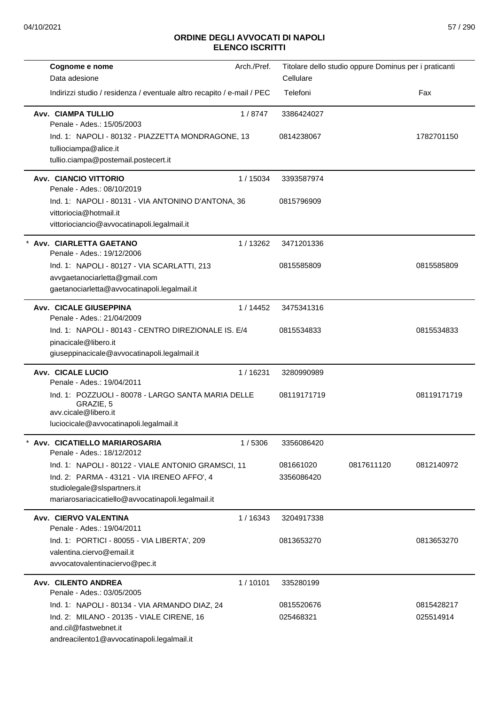| Cognome e nome                                                                                                                                                                         | Arch./Pref. |                         | Titolare dello studio oppure Dominus per i praticanti |                         |
|----------------------------------------------------------------------------------------------------------------------------------------------------------------------------------------|-------------|-------------------------|-------------------------------------------------------|-------------------------|
| Data adesione                                                                                                                                                                          |             | Cellulare               |                                                       |                         |
| Indirizzi studio / residenza / eventuale altro recapito / e-mail / PEC                                                                                                                 |             | Telefoni                |                                                       | Fax                     |
| Avv. CIAMPA TULLIO<br>Penale - Ades.: 15/05/2003                                                                                                                                       | 1/8747      | 3386424027              |                                                       |                         |
| Ind. 1: NAPOLI - 80132 - PIAZZETTA MONDRAGONE, 13<br>tulliociampa@alice.it<br>tullio.ciampa@postemail.postecert.it                                                                     |             | 0814238067              |                                                       | 1782701150              |
| Avv. CIANCIO VITTORIO<br>Penale - Ades.: 08/10/2019                                                                                                                                    | 1/15034     | 3393587974              |                                                       |                         |
| Ind. 1: NAPOLI - 80131 - VIA ANTONINO D'ANTONA, 36<br>vittoriocia@hotmail.it<br>vittoriociancio@avvocatinapoli.legalmail.it                                                            |             | 0815796909              |                                                       |                         |
| Avv. CIARLETTA GAETANO<br>Penale - Ades.: 19/12/2006                                                                                                                                   | 1/13262     | 3471201336              |                                                       |                         |
| Ind. 1: NAPOLI - 80127 - VIA SCARLATTI, 213<br>avvgaetanociarletta@gmail.com<br>gaetanociarletta@avvocatinapoli.legalmail.it                                                           |             | 0815585809              |                                                       | 0815585809              |
| <b>Avv. CICALE GIUSEPPINA</b><br>Penale - Ades.: 21/04/2009                                                                                                                            | 1 / 14452   | 3475341316              |                                                       |                         |
| Ind. 1: NAPOLI - 80143 - CENTRO DIREZIONALE IS, E/4<br>pinacicale@libero.it<br>giuseppinacicale@avvocatinapoli.legalmail.it                                                            |             | 0815534833              |                                                       | 0815534833              |
| Avv. CICALE LUCIO<br>Penale - Ades.: 19/04/2011                                                                                                                                        | 1/16231     | 3280990989              |                                                       |                         |
| Ind. 1: POZZUOLI - 80078 - LARGO SANTA MARIA DELLE<br>GRAZIE, 5<br>avv.cicale@libero.it<br>luciocicale@avvocatinapoli.legalmail.it                                                     |             | 08119171719             |                                                       | 08119171719             |
| Avv. CICATIELLO MARIAROSARIA<br>Penale - Ades.: 18/12/2012                                                                                                                             | 1/5306      | 3356086420              |                                                       |                         |
| Ind. 1: NAPOLI - 80122 - VIALE ANTONIO GRAMSCI, 11<br>Ind. 2: PARMA - 43121 - VIA IRENEO AFFO', 4<br>studiolegale@slspartners.it<br>mariarosariacicatiello@avvocatinapoli.legalmail.it |             | 081661020<br>3356086420 | 0817611120                                            | 0812140972              |
| Avv. CIERVO VALENTINA<br>Penale - Ades.: 19/04/2011                                                                                                                                    | 1/16343     | 3204917338              |                                                       |                         |
| Ind. 1: PORTICI - 80055 - VIA LIBERTA', 209<br>valentina.ciervo@email.it<br>avvocatovalentinaciervo@pec.it                                                                             |             | 0813653270              |                                                       | 0813653270              |
| Avv. CILENTO ANDREA<br>Penale - Ades.: 03/05/2005                                                                                                                                      | 1/10101     | 335280199               |                                                       |                         |
| Ind. 1: NAPOLI - 80134 - VIA ARMANDO DIAZ, 24<br>Ind. 2: MILANO - 20135 - VIALE CIRENE, 16<br>and.cil@fastwebnet.it<br>andreacilento1@avvocatinapoli.legalmail.it                      |             | 0815520676<br>025468321 |                                                       | 0815428217<br>025514914 |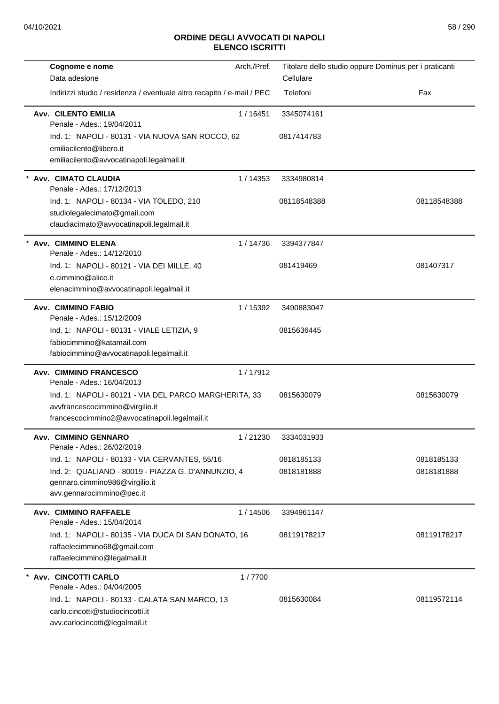| Cognome e nome<br>Data adesione                                                                                                           | Arch./Pref. | Titolare dello studio oppure Dominus per i praticanti<br>Cellulare |             |
|-------------------------------------------------------------------------------------------------------------------------------------------|-------------|--------------------------------------------------------------------|-------------|
| Indirizzi studio / residenza / eventuale altro recapito / e-mail / PEC                                                                    |             | Telefoni                                                           | Fax         |
| <b>Avv. CILENTO EMILIA</b><br>Penale - Ades.: 19/04/2011                                                                                  | 1/16451     | 3345074161                                                         |             |
| Ind. 1: NAPOLI - 80131 - VIA NUOVA SAN ROCCO, 62<br>emiliacilento@libero.it<br>emiliacilento@avvocatinapoli.legalmail.it                  |             | 0817414783                                                         |             |
| Avv. CIMATO CLAUDIA<br>Penale - Ades.: 17/12/2013                                                                                         | 1/14353     | 3334980814                                                         |             |
| Ind. 1: NAPOLI - 80134 - VIA TOLEDO, 210<br>studiolegalecimato@gmail.com<br>claudiacimato@avvocatinapoli.legalmail.it                     |             | 08118548388                                                        | 08118548388 |
| Avv. CIMMINO ELENA<br>Penale - Ades.: 14/12/2010                                                                                          | 1/14736     | 3394377847                                                         |             |
| Ind. 1: NAPOLI - 80121 - VIA DEI MILLE, 40<br>e.cimmino@alice.it<br>elenacimmino@avvocatinapoli.legalmail.it                              |             | 081419469                                                          | 081407317   |
| <b>Avv. CIMMINO FABIO</b><br>Penale - Ades.: 15/12/2009                                                                                   | 1 / 15392   | 3490883047                                                         |             |
| Ind. 1: NAPOLI - 80131 - VIALE LETIZIA, 9<br>fabiocimmino@katamail.com<br>fabiocimmino@avvocatinapoli.legalmail.it                        |             | 0815636445                                                         |             |
| <b>Avv. CIMMINO FRANCESCO</b><br>Penale - Ades.: 16/04/2013                                                                               | 1/17912     |                                                                    |             |
| Ind. 1: NAPOLI - 80121 - VIA DEL PARCO MARGHERITA, 33<br>avvfrancescocimmino@virgilio.it<br>francescocimmino2@avvocatinapoli.legalmail.it |             | 0815630079                                                         | 0815630079  |
| Avv. CIMMINO GENNARO<br>Penale - Ades.: 26/02/2019                                                                                        | 1/21230     | 3334031933                                                         |             |
| Ind. 1: NAPOLI - 80133 - VIA CERVANTES, 55/16                                                                                             |             | 0818185133                                                         | 0818185133  |
| Ind. 2: QUALIANO - 80019 - PIAZZA G. D'ANNUNZIO, 4<br>gennaro.cimmino986@virgilio.it<br>avv.gennarocimmino@pec.it                         |             | 0818181888                                                         | 0818181888  |
| Avv. CIMMINO RAFFAELE<br>Penale - Ades.: 15/04/2014                                                                                       | 1 / 14506   | 3394961147                                                         |             |
| Ind. 1: NAPOLI - 80135 - VIA DUCA DI SAN DONATO, 16<br>raffaelecimmino68@gmail.com<br>raffaelecimmino@legalmail.it                        |             | 08119178217                                                        | 08119178217 |
| * Avv. CINCOTTI CARLO<br>Penale - Ades.: 04/04/2005                                                                                       | 1/7700      |                                                                    |             |
| Ind. 1: NAPOLI - 80133 - CALATA SAN MARCO, 13<br>carlo.cincotti@studiocincotti.it<br>avv.carlocincotti@legalmail.it                       |             | 0815630084                                                         | 08119572114 |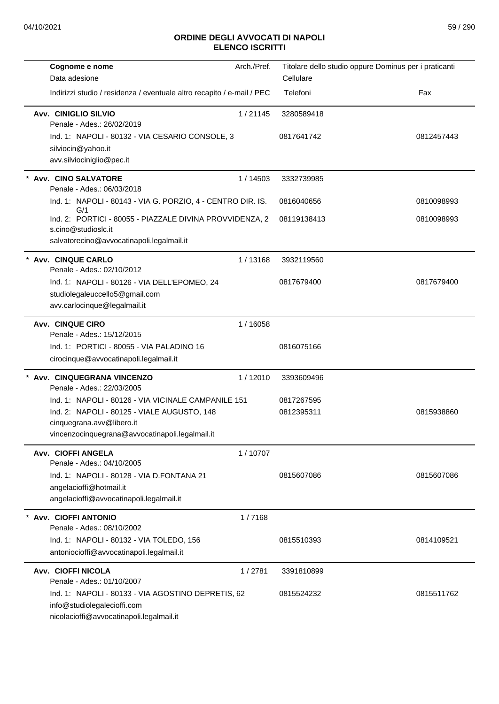| Cognome e nome                                                                                                                | Arch./Pref. |             | Titolare dello studio oppure Dominus per i praticanti |
|-------------------------------------------------------------------------------------------------------------------------------|-------------|-------------|-------------------------------------------------------|
| Data adesione                                                                                                                 |             | Cellulare   |                                                       |
| Indirizzi studio / residenza / eventuale altro recapito / e-mail / PEC                                                        |             | Telefoni    | Fax                                                   |
| Avv. CINIGLIO SILVIO<br>Penale - Ades.: 26/02/2019                                                                            | 1/21145     | 3280589418  |                                                       |
| Ind. 1: NAPOLI - 80132 - VIA CESARIO CONSOLE, 3<br>silviocin@yahoo.it<br>avv.silviociniglio@pec.it                            |             | 0817641742  | 0812457443                                            |
| Avv. CINO SALVATORE<br>Penale - Ades.: 06/03/2018                                                                             | 1/14503     | 3332739985  |                                                       |
| Ind. 1: NAPOLI - 80143 - VIA G. PORZIO, 4 - CENTRO DIR. IS.<br>G/1                                                            |             | 0816040656  | 0810098993                                            |
| Ind. 2: PORTICI - 80055 - PIAZZALE DIVINA PROVVIDENZA, 2<br>s.cino@studioslc.it<br>salvatorecino@avvocatinapoli.legalmail.it  |             | 08119138413 | 0810098993                                            |
| Avv. CINQUE CARLO<br>Penale - Ades.: 02/10/2012                                                                               | 1/13168     | 3932119560  |                                                       |
| Ind. 1: NAPOLI - 80126 - VIA DELL'EPOMEO, 24<br>studiolegaleuccello5@gmail.com<br>avv.carlocinque@legalmail.it                |             | 0817679400  | 0817679400                                            |
| <b>Avv. CINQUE CIRO</b>                                                                                                       | 1/16058     |             |                                                       |
| Penale - Ades.: 15/12/2015<br>Ind. 1: PORTICI - 80055 - VIA PALADINO 16<br>cirocinque@avvocatinapoli.legalmail.it             |             | 0816075166  |                                                       |
| Avv. CINQUEGRANA VINCENZO<br>Penale - Ades.: 22/03/2005                                                                       | 1/12010     | 3393609496  |                                                       |
| Ind. 1: NAPOLI - 80126 - VIA VICINALE CAMPANILE 151                                                                           |             | 0817267595  |                                                       |
| Ind. 2: NAPOLI - 80125 - VIALE AUGUSTO, 148<br>cinquegrana.avv@libero.it<br>vincenzocinquegrana@avvocatinapoli.legalmail.it   |             | 0812395311  | 0815938860                                            |
| Avv. CIOFFI ANGELA<br>Penale - Ades.: 04/10/2005                                                                              | 1/10707     |             |                                                       |
| Ind. 1: NAPOLI - 80128 - VIA D.FONTANA 21<br>angelacioffi@hotmail.it<br>angelacioffi@avvocatinapoli.legalmail.it              |             | 0815607086  | 0815607086                                            |
| Avv. CIOFFI ANTONIO<br>Penale - Ades.: 08/10/2002                                                                             | 1/7168      |             |                                                       |
| Ind. 1: NAPOLI - 80132 - VIA TOLEDO, 156<br>antoniocioffi@avvocatinapoli.legalmail.it                                         |             | 0815510393  | 0814109521                                            |
| Avv. CIOFFI NICOLA<br>Penale - Ades.: 01/10/2007                                                                              | 1/2781      | 3391810899  |                                                       |
| Ind. 1: NAPOLI - 80133 - VIA AGOSTINO DEPRETIS, 62<br>info@studiolegalecioffi.com<br>nicolacioffi@avvocatinapoli.legalmail.it |             | 0815524232  | 0815511762                                            |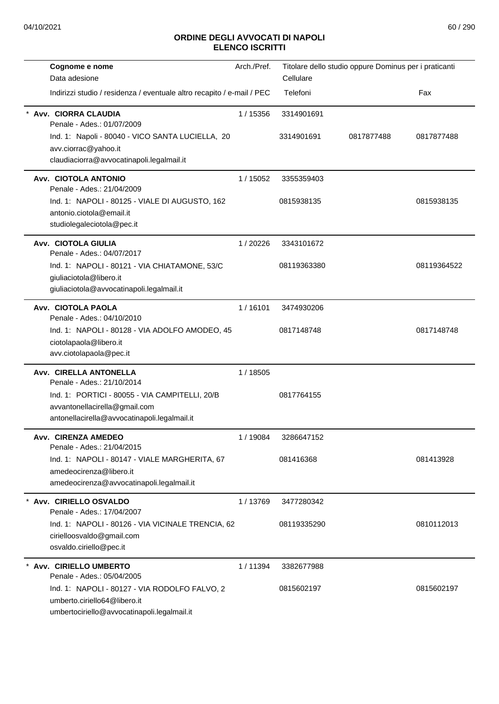| Cognome e nome                                                         | Arch./Pref. | Titolare dello studio oppure Dominus per i praticanti |            |             |
|------------------------------------------------------------------------|-------------|-------------------------------------------------------|------------|-------------|
| Data adesione                                                          |             | Cellulare                                             |            |             |
| Indirizzi studio / residenza / eventuale altro recapito / e-mail / PEC |             | Telefoni                                              |            | Fax         |
| Avv. CIORRA CLAUDIA<br>Penale - Ades.: 01/07/2009                      | 1 / 15356   | 3314901691                                            |            |             |
| Ind. 1: Napoli - 80040 - VICO SANTA LUCIELLA, 20                       |             | 3314901691                                            | 0817877488 | 0817877488  |
| avv.ciorrac@yahoo.it                                                   |             |                                                       |            |             |
| claudiaciorra@avvocatinapoli.legalmail.it                              |             |                                                       |            |             |
| Avv. CIOTOLA ANTONIO<br>Penale - Ades.: 21/04/2009                     | 1/15052     | 3355359403                                            |            |             |
| Ind. 1: NAPOLI - 80125 - VIALE DI AUGUSTO, 162                         |             | 0815938135                                            |            | 0815938135  |
| antonio.ciotola@email.it                                               |             |                                                       |            |             |
| studiolegaleciotola@pec.it                                             |             |                                                       |            |             |
| Avv. CIOTOLA GIULIA                                                    | 1/20226     | 3343101672                                            |            |             |
| Penale - Ades.: 04/07/2017                                             |             |                                                       |            |             |
| Ind. 1: NAPOLI - 80121 - VIA CHIATAMONE, 53/C                          |             | 08119363380                                           |            | 08119364522 |
| giuliaciotola@libero.it                                                |             |                                                       |            |             |
| giuliaciotola@avvocatinapoli.legalmail.it                              |             |                                                       |            |             |
| Avv. CIOTOLA PAOLA<br>Penale - Ades.: 04/10/2010                       | 1/16101     | 3474930206                                            |            |             |
| Ind. 1: NAPOLI - 80128 - VIA ADOLFO AMODEO, 45                         |             | 0817148748                                            |            | 0817148748  |
| ciotolapaola@libero.it                                                 |             |                                                       |            |             |
| avv.ciotolapaola@pec.it                                                |             |                                                       |            |             |
| Avv. CIRELLA ANTONELLA                                                 | 1/18505     |                                                       |            |             |
| Penale - Ades.: 21/10/2014                                             |             |                                                       |            |             |
| Ind. 1: PORTICI - 80055 - VIA CAMPITELLI, 20/B                         |             | 0817764155                                            |            |             |
| avvantonellacirella@gmail.com                                          |             |                                                       |            |             |
| antonellacirella@avvocatinapoli.legalmail.it                           |             |                                                       |            |             |
| Avv. CIRENZA AMEDEO<br>Penale - Ades.: 21/04/2015                      | 1 / 19084   | 3286647152                                            |            |             |
| Ind. 1: NAPOLI - 80147 - VIALE MARGHERITA, 67                          |             | 081416368                                             |            | 081413928   |
| amedeocirenza@libero.it                                                |             |                                                       |            |             |
| amedeocirenza@avvocatinapoli.legalmail.it                              |             |                                                       |            |             |
| Avv. CIRIELLO OSVALDO                                                  | 1/13769     | 3477280342                                            |            |             |
| Penale - Ades.: 17/04/2007                                             |             |                                                       |            |             |
| Ind. 1: NAPOLI - 80126 - VIA VICINALE TRENCIA, 62                      |             | 08119335290                                           |            | 0810112013  |
| cirielloosvaldo@gmail.com                                              |             |                                                       |            |             |
| osvaldo.ciriello@pec.it                                                |             |                                                       |            |             |
| Avv. CIRIELLO UMBERTO<br>Penale - Ades.: 05/04/2005                    | 1/11394     | 3382677988                                            |            |             |
| Ind. 1: NAPOLI - 80127 - VIA RODOLFO FALVO, 2                          |             | 0815602197                                            |            | 0815602197  |
| umberto.ciriello64@libero.it                                           |             |                                                       |            |             |
| umbertociriello@avvocatinapoli.legalmail.it                            |             |                                                       |            |             |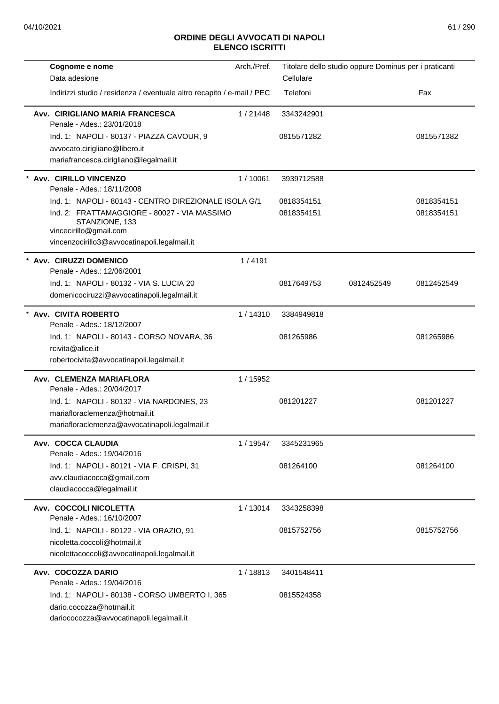| Cognome e nome<br>Data adesione                                                                                                                                                                   | Arch./Pref. | Titolare dello studio oppure Dominus per i praticanti<br>Cellulare |            |                          |
|---------------------------------------------------------------------------------------------------------------------------------------------------------------------------------------------------|-------------|--------------------------------------------------------------------|------------|--------------------------|
| Indirizzi studio / residenza / eventuale altro recapito / e-mail / PEC                                                                                                                            |             | Telefoni                                                           |            | Fax                      |
| Avv. CIRIGLIANO MARIA FRANCESCA<br>Penale - Ades.: 23/01/2018                                                                                                                                     | 1/21448     | 3343242901                                                         |            |                          |
| Ind. 1: NAPOLI - 80137 - PIAZZA CAVOUR, 9<br>avvocato.cirigliano@libero.it<br>mariafrancesca.cirigliano@legalmail.it                                                                              |             | 0815571282                                                         |            | 0815571382               |
| Avv. CIRILLO VINCENZO<br>Penale - Ades.: 18/11/2008                                                                                                                                               | 1/10061     | 3939712588                                                         |            |                          |
| Ind. 1: NAPOLI - 80143 - CENTRO DIREZIONALE ISOLA G/1<br>Ind. 2: FRATTAMAGGIORE - 80027 - VIA MASSIMO<br>STANZIONE, 133<br>vincecirillo@gmail.com<br>vincenzocirillo3@avvocatinapoli.legalmail.it |             | 0818354151<br>0818354151                                           |            | 0818354151<br>0818354151 |
| Avv. CIRUZZI DOMENICO<br>Penale - Ades.: 12/06/2001                                                                                                                                               | 1/4191      |                                                                    |            |                          |
| Ind. 1: NAPOLI - 80132 - VIA S. LUCIA 20<br>domenicociruzzi@avvocatinapoli.legalmail.it                                                                                                           |             | 0817649753                                                         | 0812452549 | 0812452549               |
| Avv. CIVITA ROBERTO<br>Penale - Ades.: 18/12/2007                                                                                                                                                 | 1/14310     | 3384949818                                                         |            |                          |
| Ind. 1: NAPOLI - 80143 - CORSO NOVARA, 36<br>rcivita@alice.it<br>robertocivita@avvocatinapoli.legalmail.it                                                                                        |             | 081265986                                                          |            | 081265986                |
| Avv. CLEMENZA MARIAFLORA<br>Penale - Ades.: 20/04/2017                                                                                                                                            | 1 / 15952   |                                                                    |            |                          |
| Ind. 1: NAPOLI - 80132 - VIA NARDONES, 23<br>mariafloraclemenza@hotmail.it<br>mariafloraclemenza@avvocatinapoli.legalmail.it                                                                      |             | 081201227                                                          |            | 081201227                |
| Avv. COCCA CLAUDIA<br>Penale - Ades.: 19/04/2016                                                                                                                                                  | 1 / 19547   | 3345231965                                                         |            |                          |
| Ind. 1: NAPOLI - 80121 - VIA F. CRISPI, 31<br>avv.claudiacocca@gmail.com<br>claudiacocca@legalmail.it                                                                                             |             | 081264100                                                          |            | 081264100                |
| Avv. COCCOLI NICOLETTA<br>Penale - Ades.: 16/10/2007                                                                                                                                              | 1/13014     | 3343258398                                                         |            |                          |
| Ind. 1: NAPOLI - 80122 - VIA ORAZIO, 91<br>nicoletta.coccoli@hotmail.it<br>nicolettacoccoli@avvocatinapoli.legalmail.it                                                                           |             | 0815752756                                                         |            | 0815752756               |
| Avv. COCOZZA DARIO<br>Penale - Ades.: 19/04/2016                                                                                                                                                  | 1/18813     | 3401548411                                                         |            |                          |
| Ind. 1: NAPOLI - 80138 - CORSO UMBERTO I, 365<br>dario.cocozza@hotmail.it<br>dariococozza@avvocatinapoli.legalmail.it                                                                             |             | 0815524358                                                         |            |                          |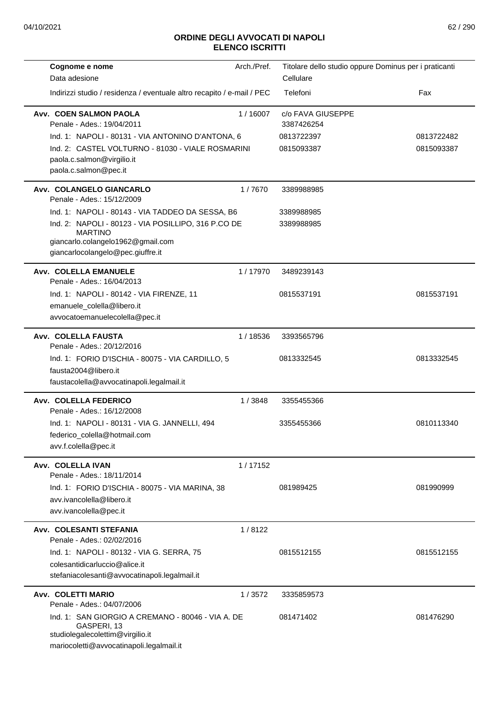| Cognome e nome                                                                                                                                   | Arch./Pref. | Titolare dello studio oppure Dominus per i praticanti |            |
|--------------------------------------------------------------------------------------------------------------------------------------------------|-------------|-------------------------------------------------------|------------|
| Data adesione                                                                                                                                    |             | Cellulare                                             |            |
| Indirizzi studio / residenza / eventuale altro recapito / e-mail / PEC                                                                           |             | Telefoni                                              | Fax        |
| Avv. COEN SALMON PAOLA<br>Penale - Ades.: 19/04/2011                                                                                             | 1/16007     | c/o FAVA GIUSEPPE<br>3387426254                       |            |
| Ind. 1: NAPOLI - 80131 - VIA ANTONINO D'ANTONA, 6                                                                                                |             | 0813722397                                            | 0813722482 |
| Ind. 2: CASTEL VOLTURNO - 81030 - VIALE ROSMARINI<br>paola.c.salmon@virgilio.it<br>paola.c.salmon@pec.it                                         |             | 0815093387                                            | 0815093387 |
| Avv. COLANGELO GIANCARLO<br>Penale - Ades.: 15/12/2009                                                                                           | 1/7670      | 3389988985                                            |            |
| Ind. 1: NAPOLI - 80143 - VIA TADDEO DA SESSA, B6                                                                                                 |             | 3389988985                                            |            |
| Ind. 2: NAPOLI - 80123 - VIA POSILLIPO, 316 P.CO DE<br><b>MARTINO</b><br>giancarlo.colangelo1962@gmail.com                                       |             | 3389988985                                            |            |
| giancarlocolangelo@pec.giuffre.it                                                                                                                |             |                                                       |            |
| Avv. COLELLA EMANUELE<br>Penale - Ades.: 16/04/2013                                                                                              | 1/17970     | 3489239143                                            |            |
| Ind. 1: NAPOLI - 80142 - VIA FIRENZE, 11                                                                                                         |             | 0815537191                                            | 0815537191 |
| emanuele_colella@libero.it                                                                                                                       |             |                                                       |            |
| avvocatoemanuelecolella@pec.it                                                                                                                   |             |                                                       |            |
| Avv. COLELLA FAUSTA<br>Penale - Ades.: 20/12/2016                                                                                                | 1/18536     | 3393565796                                            |            |
| Ind. 1: FORIO D'ISCHIA - 80075 - VIA CARDILLO, 5<br>fausta2004@libero.it<br>faustacolella@avvocatinapoli.legalmail.it                            |             | 0813332545                                            | 0813332545 |
| Avv. COLELLA FEDERICO<br>Penale - Ades.: 16/12/2008                                                                                              | 1/3848      | 3355455366                                            |            |
| Ind. 1: NAPOLI - 80131 - VIA G. JANNELLI, 494<br>federico_colella@hotmail.com<br>avv.f.colella@pec.it                                            |             | 3355455366                                            | 0810113340 |
| Avv. COLELLA IVAN<br>Penale - Ades.: 18/11/2014                                                                                                  | 1/17152     |                                                       |            |
| Ind. 1: FORIO D'ISCHIA - 80075 - VIA MARINA, 38<br>avv.ivancolella@libero.it<br>avv.ivancolella@pec.it                                           |             | 081989425                                             | 081990999  |
| Avv. COLESANTI STEFANIA<br>Penale - Ades.: 02/02/2016                                                                                            | 1/8122      |                                                       |            |
| Ind. 1: NAPOLI - 80132 - VIA G. SERRA, 75                                                                                                        |             | 0815512155                                            | 0815512155 |
| colesantidicarluccio@alice.it                                                                                                                    |             |                                                       |            |
| stefaniacolesanti@avvocatinapoli.legalmail.it                                                                                                    |             |                                                       |            |
| <b>Avv. COLETTI MARIO</b><br>Penale - Ades.: 04/07/2006                                                                                          | 1/3572      | 3335859573                                            |            |
| Ind. 1: SAN GIORGIO A CREMANO - 80046 - VIA A. DE<br>GASPERI, 13<br>studiolegalecolettim@virgilio.it<br>mariocoletti@avvocatinapoli.legalmail.it |             | 081471402                                             | 081476290  |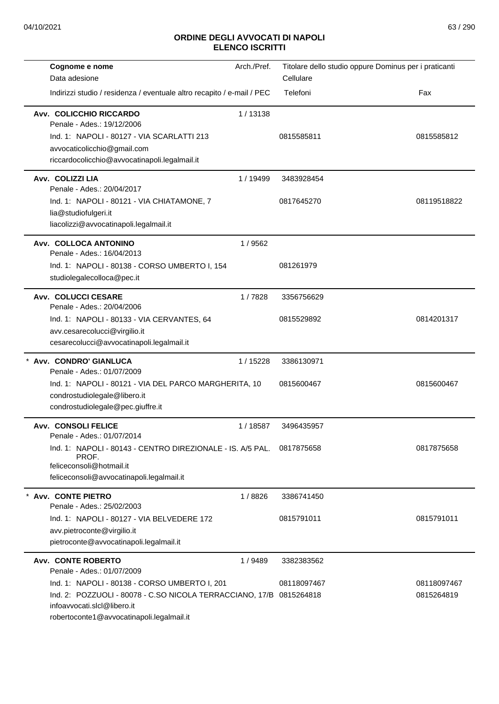| Cognome e nome                                                         | Arch./Pref. |             | Titolare dello studio oppure Dominus per i praticanti |
|------------------------------------------------------------------------|-------------|-------------|-------------------------------------------------------|
| Data adesione                                                          |             | Cellulare   |                                                       |
| Indirizzi studio / residenza / eventuale altro recapito / e-mail / PEC |             | Telefoni    | Fax                                                   |
| Avv. COLICCHIO RICCARDO<br>Penale - Ades.: 19/12/2006                  | 1/13138     |             |                                                       |
| Ind. 1: NAPOLI - 80127 - VIA SCARLATTI 213                             |             | 0815585811  | 0815585812                                            |
| avvocaticolicchio@gmail.com                                            |             |             |                                                       |
| riccardocolicchio@avvocatinapoli.legalmail.it                          |             |             |                                                       |
| Avv. COLIZZI LIA                                                       | 1 / 19499   | 3483928454  |                                                       |
| Penale - Ades.: 20/04/2017                                             |             |             |                                                       |
| Ind. 1: NAPOLI - 80121 - VIA CHIATAMONE, 7                             |             | 0817645270  | 08119518822                                           |
| lia@studiofulgeri.it<br>liacolizzi@avvocatinapoli.legalmail.it         |             |             |                                                       |
|                                                                        |             |             |                                                       |
| Avv. COLLOCA ANTONINO<br>Penale - Ades.: 16/04/2013                    | 1/9562      |             |                                                       |
| Ind. 1: NAPOLI - 80138 - CORSO UMBERTO I, 154                          |             | 081261979   |                                                       |
| studiolegalecolloca@pec.it                                             |             |             |                                                       |
| Avv. COLUCCI CESARE                                                    | 1/7828      | 3356756629  |                                                       |
| Penale - Ades.: 20/04/2006                                             |             |             |                                                       |
| Ind. 1: NAPOLI - 80133 - VIA CERVANTES, 64                             |             | 0815529892  | 0814201317                                            |
| avv.cesarecolucci@virgilio.it                                          |             |             |                                                       |
| cesarecolucci@avvocatinapoli.legalmail.it                              |             |             |                                                       |
| * Avv. CONDRO' GIANLUCA<br>Penale - Ades.: 01/07/2009                  | 1 / 15228   | 3386130971  |                                                       |
| Ind. 1: NAPOLI - 80121 - VIA DEL PARCO MARGHERITA, 10                  |             | 0815600467  | 0815600467                                            |
| condrostudiolegale@libero.it                                           |             |             |                                                       |
| condrostudiolegale@pec.giuffre.it                                      |             |             |                                                       |
| <b>Avv. CONSOLI FELICE</b>                                             | 1/18587     | 3496435957  |                                                       |
| Penale - Ades.: 01/07/2014                                             |             |             |                                                       |
| Ind. 1: NAPOLI - 80143 - CENTRO DIREZIONALE - IS. A/5 PAL.<br>PROF.    |             | 0817875658  | 0817875658                                            |
| feliceconsoli@hotmail.it                                               |             |             |                                                       |
| feliceconsoli@avvocatinapoli.legalmail.it                              |             |             |                                                       |
| <b>Avv. CONTE PIETRO</b>                                               | 1/8826      | 3386741450  |                                                       |
| Penale - Ades.: 25/02/2003                                             |             |             |                                                       |
| Ind. 1: NAPOLI - 80127 - VIA BELVEDERE 172                             |             | 0815791011  | 0815791011                                            |
| avv.pietroconte@virgilio.it                                            |             |             |                                                       |
| pietroconte@avvocatinapoli.legalmail.it                                |             |             |                                                       |
| <b>Avv. CONTE ROBERTO</b><br>Penale - Ades.: 01/07/2009                | 1/9489      | 3382383562  |                                                       |
| Ind. 1: NAPOLI - 80138 - CORSO UMBERTO I, 201                          |             | 08118097467 | 08118097467                                           |
| Ind. 2: POZZUOLI - 80078 - C.SO NICOLA TERRACCIANO, 17/B               |             | 0815264818  | 0815264819                                            |
| infoavvocati.slcl@libero.it                                            |             |             |                                                       |
| robertoconte1@avvocatinapoli.legalmail.it                              |             |             |                                                       |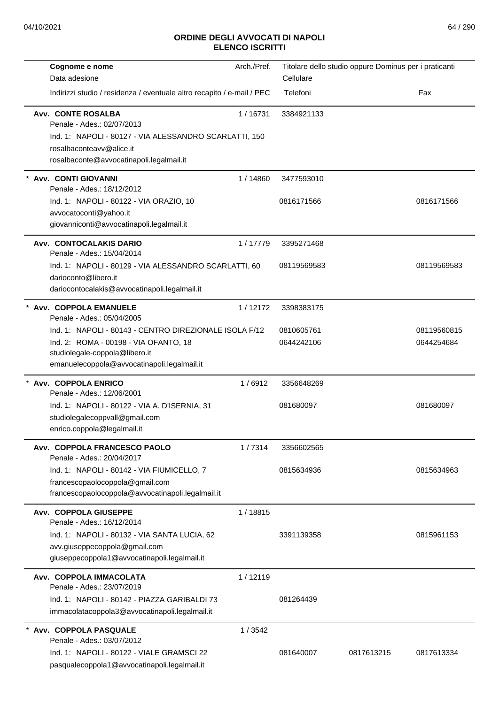| Cognome e nome                                                         | Arch./Pref. |             | Titolare dello studio oppure Dominus per i praticanti |             |
|------------------------------------------------------------------------|-------------|-------------|-------------------------------------------------------|-------------|
| Data adesione                                                          |             | Cellulare   |                                                       |             |
| Indirizzi studio / residenza / eventuale altro recapito / e-mail / PEC |             | Telefoni    |                                                       | Fax         |
| <b>Avv. CONTE ROSALBA</b>                                              | 1/16731     | 3384921133  |                                                       |             |
| Penale - Ades.: 02/07/2013                                             |             |             |                                                       |             |
| Ind. 1: NAPOLI - 80127 - VIA ALESSANDRO SCARLATTI, 150                 |             |             |                                                       |             |
| rosalbaconteavv@alice.it                                               |             |             |                                                       |             |
| rosalbaconte@avvocatinapoli.legalmail.it                               |             |             |                                                       |             |
| Avv. CONTI GIOVANNI<br>Penale - Ades.: 18/12/2012                      | 1/14860     | 3477593010  |                                                       |             |
| Ind. 1: NAPOLI - 80122 - VIA ORAZIO, 10                                |             | 0816171566  |                                                       | 0816171566  |
| avvocatoconti@yahoo.it                                                 |             |             |                                                       |             |
| giovanniconti@avvocatinapoli.legalmail.it                              |             |             |                                                       |             |
| Avv. CONTOCALAKIS DARIO<br>Penale - Ades.: 15/04/2014                  | 1/17779     | 3395271468  |                                                       |             |
| Ind. 1: NAPOLI - 80129 - VIA ALESSANDRO SCARLATTI, 60                  |             | 08119569583 |                                                       | 08119569583 |
| darioconto@libero.it                                                   |             |             |                                                       |             |
| dariocontocalakis@avvocatinapoli.legalmail.it                          |             |             |                                                       |             |
| * Avv. COPPOLA EMANUELE                                                |             |             |                                                       |             |
| Penale - Ades.: 05/04/2005                                             | 1/12172     | 3398383175  |                                                       |             |
| Ind. 1: NAPOLI - 80143 - CENTRO DIREZIONALE ISOLA F/12                 |             | 0810605761  |                                                       | 08119560815 |
| Ind. 2: ROMA - 00198 - VIA OFANTO, 18                                  |             | 0644242106  |                                                       | 0644254684  |
| studiolegale-coppola@libero.it                                         |             |             |                                                       |             |
| emanuelecoppola@avvocatinapoli.legalmail.it                            |             |             |                                                       |             |
| * Avv. COPPOLA ENRICO                                                  | 1/6912      | 3356648269  |                                                       |             |
| Penale - Ades.: 12/06/2001                                             |             |             |                                                       |             |
| Ind. 1: NAPOLI - 80122 - VIA A. D'ISERNIA, 31                          |             | 081680097   |                                                       | 081680097   |
| studiolegalecoppvall@gmail.com                                         |             |             |                                                       |             |
| enrico.coppola@legalmail.it                                            |             |             |                                                       |             |
| Avv. COPPOLA FRANCESCO PAOLO                                           | 1/7314      | 3356602565  |                                                       |             |
| Penale - Ades.: 20/04/2017                                             |             |             |                                                       |             |
| Ind. 1: NAPOLI - 80142 - VIA FIUMICELLO, 7                             |             | 0815634936  |                                                       | 0815634963  |
| francescopaolocoppola@gmail.com                                        |             |             |                                                       |             |
| francescopaolocoppola@avvocatinapoli.legalmail.it                      |             |             |                                                       |             |
| Avv. COPPOLA GIUSEPPE                                                  | 1/18815     |             |                                                       |             |
| Penale - Ades.: 16/12/2014                                             |             |             |                                                       |             |
| Ind. 1: NAPOLI - 80132 - VIA SANTA LUCIA, 62                           |             | 3391139358  |                                                       | 0815961153  |
| avv.giuseppecoppola@gmail.com                                          |             |             |                                                       |             |
| giuseppecoppola1@avvocatinapoli.legalmail.it                           |             |             |                                                       |             |
| Avv. COPPOLA IMMACOLATA<br>Penale - Ades.: 23/07/2019                  | 1/12119     |             |                                                       |             |
| Ind. 1: NAPOLI - 80142 - PIAZZA GARIBALDI 73                           |             | 081264439   |                                                       |             |
| immacolatacoppola3@avvocatinapoli.legalmail.it                         |             |             |                                                       |             |
| Avv. COPPOLA PASQUALE                                                  | 1/3542      |             |                                                       |             |
| Penale - Ades.: 03/07/2012                                             |             |             |                                                       |             |
| Ind. 1: NAPOLI - 80122 - VIALE GRAMSCI 22                              |             | 081640007   | 0817613215                                            | 0817613334  |
| pasqualecoppola1@avvocatinapoli.legalmail.it                           |             |             |                                                       |             |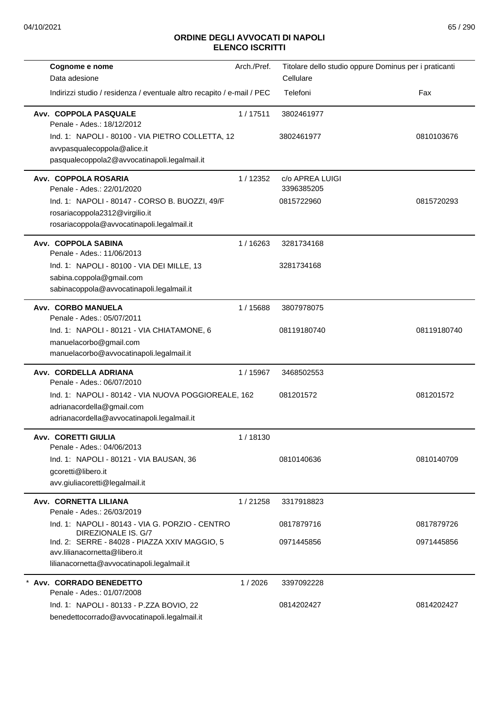| Cognome e nome                                                                           | Arch./Pref. | Titolare dello studio oppure Dominus per i praticanti |             |
|------------------------------------------------------------------------------------------|-------------|-------------------------------------------------------|-------------|
| Data adesione                                                                            |             | Cellulare                                             |             |
| Indirizzi studio / residenza / eventuale altro recapito / e-mail / PEC                   |             | Telefoni                                              | Fax         |
| Avv. COPPOLA PASQUALE<br>Penale - Ades.: 18/12/2012                                      | 1/17511     | 3802461977                                            |             |
| Ind. 1: NAPOLI - 80100 - VIA PIETRO COLLETTA, 12<br>avvpasqualecoppola@alice.it          |             | 3802461977                                            | 0810103676  |
| pasqualecoppola2@avvocatinapoli.legalmail.it                                             |             |                                                       |             |
| Avv. COPPOLA ROSARIA<br>Penale - Ades.: 22/01/2020                                       | 1/12352     | c/o APREA LUIGI<br>3396385205                         |             |
| Ind. 1: NAPOLI - 80147 - CORSO B. BUOZZI, 49/F                                           |             | 0815722960                                            | 0815720293  |
| rosariacoppola2312@virgilio.it<br>rosariacoppola@avvocatinapoli.legalmail.it             |             |                                                       |             |
| Avv. COPPOLA SABINA<br>Penale - Ades.: 11/06/2013                                        | 1/16263     | 3281734168                                            |             |
| Ind. 1: NAPOLI - 80100 - VIA DEI MILLE, 13                                               |             | 3281734168                                            |             |
| sabina.coppola@gmail.com                                                                 |             |                                                       |             |
| sabinacoppola@avvocatinapoli.legalmail.it                                                |             |                                                       |             |
| Avv. CORBO MANUELA<br>Penale - Ades.: 05/07/2011                                         | 1 / 15688   | 3807978075                                            |             |
| Ind. 1: NAPOLI - 80121 - VIA CHIATAMONE, 6                                               |             | 08119180740                                           | 08119180740 |
| manuelacorbo@gmail.com                                                                   |             |                                                       |             |
| manuelacorbo@avvocatinapoli.legalmail.it                                                 |             |                                                       |             |
| Avv. CORDELLA ADRIANA<br>Penale - Ades.: 06/07/2010                                      | 1/15967     | 3468502553                                            |             |
| Ind. 1: NAPOLI - 80142 - VIA NUOVA POGGIOREALE, 162                                      |             | 081201572                                             | 081201572   |
| adrianacordella@gmail.com<br>adrianacordella@avvocatinapoli.legalmail.it                 |             |                                                       |             |
|                                                                                          |             |                                                       |             |
| <b>Avv. CORETTI GIULIA</b><br>Penale - Ades.: 04/06/2013                                 | 1/18130     |                                                       |             |
| Ind. 1: NAPOLI - 80121 - VIA BAUSAN, 36                                                  |             | 0810140636                                            | 0810140709  |
| gcoretti@libero.it                                                                       |             |                                                       |             |
| avv.giuliacoretti@legalmail.it                                                           |             |                                                       |             |
| Avv. CORNETTA LILIANA<br>Penale - Ades.: 26/03/2019                                      | 1/21258     | 3317918823                                            |             |
| Ind. 1: NAPOLI - 80143 - VIA G. PORZIO - CENTRO                                          |             | 0817879716                                            | 0817879726  |
| DIREZIONALE IS. G/7<br>Ind. 2: SERRE - 84028 - PIAZZA XXIV MAGGIO, 5                     |             | 0971445856                                            | 0971445856  |
| avv.lilianacornetta@libero.it                                                            |             |                                                       |             |
| lilianacornetta@avvocatinapoli.legalmail.it                                              |             |                                                       |             |
| * Avv. CORRADO BENEDETTO<br>Penale - Ades.: 01/07/2008                                   | 1/2026      | 3397092228                                            |             |
| Ind. 1: NAPOLI - 80133 - P.ZZA BOVIO, 22<br>benedettocorrado@avvocatinapoli.legalmail.it |             | 0814202427                                            | 0814202427  |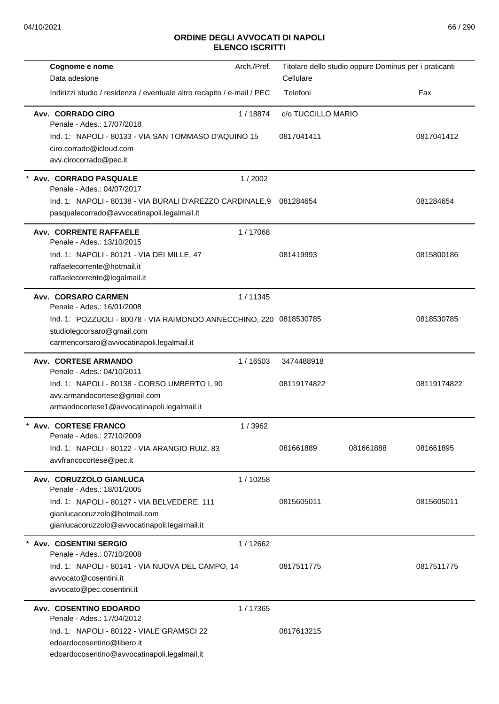| Cognome e nome                                                         | Arch./Pref. |                    | Titolare dello studio oppure Dominus per i praticanti |             |
|------------------------------------------------------------------------|-------------|--------------------|-------------------------------------------------------|-------------|
| Data adesione                                                          |             | Cellulare          |                                                       |             |
| Indirizzi studio / residenza / eventuale altro recapito / e-mail / PEC |             | Telefoni           |                                                       | Fax         |
| Avv. CORRADO CIRO<br>Penale - Ades.: 17/07/2018                        | 1/18874     | c/o TUCCILLO MARIO |                                                       |             |
| Ind. 1: NAPOLI - 80133 - VIA SAN TOMMASO D'AQUINO 15                   |             | 0817041411         |                                                       | 0817041412  |
| ciro.corrado@icloud.com                                                |             |                    |                                                       |             |
| avv.cirocorrado@pec.it                                                 |             |                    |                                                       |             |
| Avv. CORRADO PASQUALE<br>Penale - Ades.: 04/07/2017                    | 1/2002      |                    |                                                       |             |
| Ind. 1: NAPOLI - 80138 - VIA BURALI D'AREZZO CARDINALE, 9              |             | 081284654          |                                                       | 081284654   |
| pasqualecorrado@avvocatinapoli.legalmail.it                            |             |                    |                                                       |             |
| <b>Avv. CORRENTE RAFFAELE</b><br>Penale - Ades.: 13/10/2015            | 1/17068     |                    |                                                       |             |
| Ind. 1: NAPOLI - 80121 - VIA DEI MILLE, 47                             |             | 081419993          |                                                       | 0815800186  |
| raffaelecorrente@hotmail.it                                            |             |                    |                                                       |             |
| raffaelecorrente@legalmail.it                                          |             |                    |                                                       |             |
| <b>Avv. CORSARO CARMEN</b><br>Penale - Ades.: 16/01/2008               | 1/11345     |                    |                                                       |             |
| Ind. 1: POZZUOLI - 80078 - VIA RAIMONDO ANNECCHINO, 220 0818530785     |             |                    |                                                       | 0818530785  |
| studiolegcorsaro@gmail.com                                             |             |                    |                                                       |             |
| carmencorsaro@avvocatinapoli.legalmail.it                              |             |                    |                                                       |             |
| <b>Avv. CORTESE ARMANDO</b>                                            | 1/16503     | 3474488918         |                                                       |             |
| Penale - Ades.: 04/10/2011                                             |             |                    |                                                       |             |
| Ind. 1: NAPOLI - 80138 - CORSO UMBERTO I, 90                           |             | 08119174822        |                                                       | 08119174822 |
| avv.armandocortese@gmail.com                                           |             |                    |                                                       |             |
| armandocortese1@avvocatinapoli.legalmail.it                            |             |                    |                                                       |             |
| <b>Avv. CORTESE FRANCO</b><br>Penale - Ades.: 27/10/2009               | 1 / 3962    |                    |                                                       |             |
| Ind. 1: NAPOLI - 80122 - VIA ARANGIO RUIZ, 83                          |             | 081661889          | 081661888                                             | 081661895   |
| avvfrancocortese@pec.it                                                |             |                    |                                                       |             |
| Avv. CORUZZOLO GIANLUCA<br>Penale - Ades.: 18/01/2005                  | 1 / 10258   |                    |                                                       |             |
| Ind. 1: NAPOLI - 80127 - VIA BELVEDERE, 111                            |             | 0815605011         |                                                       | 0815605011  |
| gianlucacoruzzolo@hotmail.com                                          |             |                    |                                                       |             |
| gianlucacoruzzolo@avvocatinapoli.legalmail.it                          |             |                    |                                                       |             |
| <b>Avv. COSENTINI SERGIO</b>                                           | 1/12662     |                    |                                                       |             |
| Penale - Ades.: 07/10/2008                                             |             |                    |                                                       |             |
| Ind. 1: NAPOLI - 80141 - VIA NUOVA DEL CAMPO, 14                       |             | 0817511775         |                                                       | 0817511775  |
| avvocato@cosentini.it<br>avvocato@pec.cosentini.it                     |             |                    |                                                       |             |
| Avv. COSENTINO EDOARDO                                                 | 1/17365     |                    |                                                       |             |
| Penale - Ades.: 17/04/2012                                             |             |                    |                                                       |             |
| Ind. 1: NAPOLI - 80122 - VIALE GRAMSCI 22                              |             | 0817613215         |                                                       |             |
| edoardocosentino@libero.it                                             |             |                    |                                                       |             |
| edoardocosentino@avvocatinapoli.legalmail.it                           |             |                    |                                                       |             |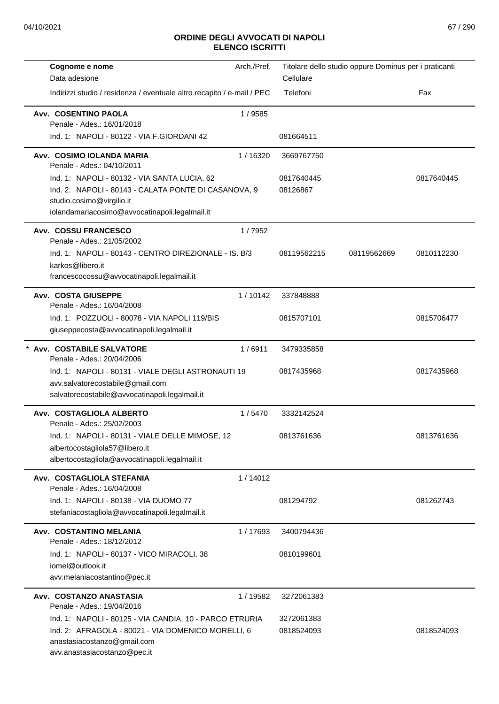| Cognome e nome                                                                                                                                                                      | Arch./Pref. |                          | Titolare dello studio oppure Dominus per i praticanti |            |
|-------------------------------------------------------------------------------------------------------------------------------------------------------------------------------------|-------------|--------------------------|-------------------------------------------------------|------------|
| Data adesione                                                                                                                                                                       |             | Cellulare                |                                                       |            |
| Indirizzi studio / residenza / eventuale altro recapito / e-mail / PEC                                                                                                              |             | Telefoni                 |                                                       | Fax        |
| Avv. COSENTINO PAOLA<br>Penale - Ades.: 16/01/2018                                                                                                                                  | 1/9585      |                          |                                                       |            |
| Ind. 1: NAPOLI - 80122 - VIA F.GIORDANI 42                                                                                                                                          |             | 081664511                |                                                       |            |
| Avv. COSIMO IOLANDA MARIA<br>Penale - Ades.: 04/10/2011                                                                                                                             | 1/16320     | 3669767750               |                                                       |            |
| Ind. 1: NAPOLI - 80132 - VIA SANTA LUCIA, 62<br>Ind. 2: NAPOLI - 80143 - CALATA PONTE DI CASANOVA, 9<br>studio.cosimo@virgilio.it<br>iolandamariacosimo@avvocatinapoli.legalmail.it |             | 0817640445<br>08126867   |                                                       | 0817640445 |
| Avv. COSSU FRANCESCO<br>Penale - Ades.: 21/05/2002                                                                                                                                  | 1/7952      |                          |                                                       |            |
| Ind. 1: NAPOLI - 80143 - CENTRO DIREZIONALE - IS, B/3<br>karkos@libero.it<br>francescocossu@avvocatinapoli.legalmail.it                                                             |             | 08119562215              | 08119562669                                           | 0810112230 |
| <b>Avv. COSTA GIUSEPPE</b><br>Penale - Ades.: 16/04/2008                                                                                                                            | 1/10142     | 337848888                |                                                       |            |
| Ind. 1: POZZUOLI - 80078 - VIA NAPOLI 119/BIS<br>giuseppecosta@avvocatinapoli.legalmail.it                                                                                          |             | 0815707101               |                                                       | 0815706477 |
| Avv. COSTABILE SALVATORE<br>Penale - Ades.: 20/04/2006                                                                                                                              | 1/6911      | 3479335858               |                                                       |            |
| Ind. 1: NAPOLI - 80131 - VIALE DEGLI ASTRONAUTI 19<br>avv.salvatorecostabile@gmail.com<br>salvatorecostabile@avvocatinapoli.legalmail.it                                            |             | 0817435968               |                                                       | 0817435968 |
| Avv. COSTAGLIOLA ALBERTO<br>Penale - Ades.: 25/02/2003                                                                                                                              | 1/5470      | 3332142524               |                                                       |            |
| Ind. 1: NAPOLI - 80131 - VIALE DELLE MIMOSE, 12<br>albertocostagliola57@libero.it<br>albertocostagliola@avvocatinapoli.legalmail.it                                                 |             | 0813761636               |                                                       | 0813761636 |
| Avv. COSTAGLIOLA STEFANIA                                                                                                                                                           | 1/14012     |                          |                                                       |            |
| Penale - Ades.: 16/04/2008<br>Ind. 1: NAPOLI - 80138 - VIA DUOMO 77<br>stefaniacostagliola@avvocatinapoli.legalmail.it                                                              |             | 081294792                |                                                       | 081262743  |
| Avv. COSTANTINO MELANIA<br>Penale - Ades.: 18/12/2012                                                                                                                               | 1/17693     | 3400794436               |                                                       |            |
| Ind. 1: NAPOLI - 80137 - VICO MIRACOLI, 38<br>iomel@outlook.it<br>avv.melaniacostantino@pec.it                                                                                      |             | 0810199601               |                                                       |            |
| Avv. COSTANZO ANASTASIA<br>Penale - Ades.: 19/04/2016                                                                                                                               | 1 / 19582   | 3272061383               |                                                       |            |
| Ind. 1: NAPOLI - 80125 - VIA CANDIA, 10 - PARCO ETRURIA<br>Ind. 2: AFRAGOLA - 80021 - VIA DOMENICO MORELLI, 6<br>anastasiacostanzo@gmail.com<br>avv.anastasiacostanzo@pec.it        |             | 3272061383<br>0818524093 |                                                       | 0818524093 |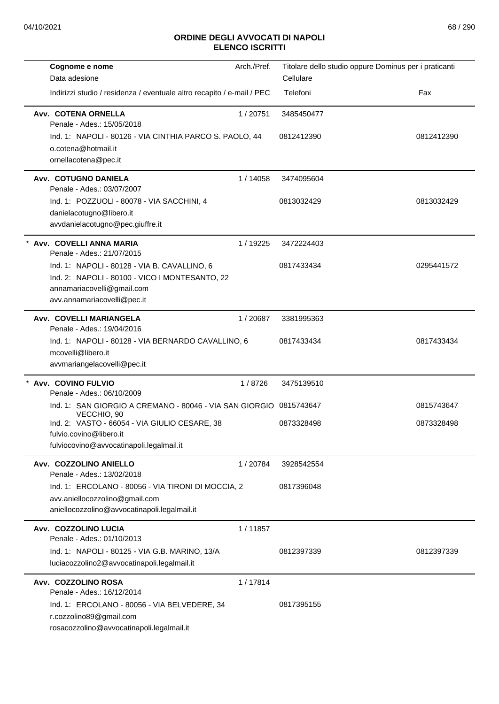| Cognome e nome                                                                    | Arch./Pref. | Titolare dello studio oppure Dominus per i praticanti |            |
|-----------------------------------------------------------------------------------|-------------|-------------------------------------------------------|------------|
| Data adesione                                                                     |             | Cellulare                                             |            |
| Indirizzi studio / residenza / eventuale altro recapito / e-mail / PEC            |             | Telefoni                                              | Fax        |
| Avv. COTENA ORNELLA<br>Penale - Ades.: 15/05/2018                                 | 1/20751     | 3485450477                                            |            |
| Ind. 1: NAPOLI - 80126 - VIA CINTHIA PARCO S. PAOLO, 44                           |             | 0812412390                                            | 0812412390 |
| o.cotena@hotmail.it                                                               |             |                                                       |            |
| ornellacotena@pec.it                                                              |             |                                                       |            |
| Avv. COTUGNO DANIELA<br>Penale - Ades.: 03/07/2007                                | 1/14058     | 3474095604                                            |            |
| Ind. 1: POZZUOLI - 80078 - VIA SACCHINI, 4                                        |             | 0813032429                                            | 0813032429 |
| danielacotugno@libero.it                                                          |             |                                                       |            |
| avvdanielacotugno@pec.giuffre.it                                                  |             |                                                       |            |
| Avv. COVELLI ANNA MARIA<br>Penale - Ades.: 21/07/2015                             | 1 / 19225   | 3472224403                                            |            |
| Ind. 1: NAPOLI - 80128 - VIA B. CAVALLINO, 6                                      |             | 0817433434                                            | 0295441572 |
| Ind. 2: NAPOLI - 80100 - VICO I MONTESANTO, 22                                    |             |                                                       |            |
| annamariacovelli@gmail.com                                                        |             |                                                       |            |
| avv.annamariacovelli@pec.it                                                       |             |                                                       |            |
| Avv. COVELLI MARIANGELA<br>Penale - Ades.: 19/04/2016                             | 1/20687     | 3381995363                                            |            |
| Ind. 1: NAPOLI - 80128 - VIA BERNARDO CAVALLINO, 6                                |             | 0817433434                                            | 0817433434 |
| mcovelli@libero.it                                                                |             |                                                       |            |
| avvmariangelacovelli@pec.it                                                       |             |                                                       |            |
| * Avv. COVINO FULVIO<br>Penale - Ades.: 06/10/2009                                | 1/8726      | 3475139510                                            |            |
| Ind. 1: SAN GIORGIO A CREMANO - 80046 - VIA SAN GIORGIO 0815743647<br>VECCHIO, 90 |             |                                                       | 0815743647 |
| Ind. 2: VASTO - 66054 - VIA GIULIO CESARE, 38                                     |             | 0873328498                                            | 0873328498 |
| fulvio.covino@libero.it                                                           |             |                                                       |            |
| fulviocovino@avvocatinapoli.legalmail.it                                          |             |                                                       |            |
| Avv. COZZOLINO ANIELLO<br>Penale - Ades.: 13/02/2018                              | 1/20784     | 3928542554                                            |            |
| Ind. 1: ERCOLANO - 80056 - VIA TIRONI DI MOCCIA, 2                                |             | 0817396048                                            |            |
| avv.aniellocozzolino@gmail.com                                                    |             |                                                       |            |
| aniellocozzolino@avvocatinapoli.legalmail.it                                      |             |                                                       |            |
| Avv. COZZOLINO LUCIA<br>Penale - Ades.: 01/10/2013                                | 1/11857     |                                                       |            |
| Ind. 1: NAPOLI - 80125 - VIA G.B. MARINO, 13/A                                    |             | 0812397339                                            | 0812397339 |
| luciacozzolino2@avvocatinapoli.legalmail.it                                       |             |                                                       |            |
| Avv. COZZOLINO ROSA                                                               | 1/17814     |                                                       |            |
| Penale - Ades.: 16/12/2014                                                        |             |                                                       |            |
| Ind. 1: ERCOLANO - 80056 - VIA BELVEDERE, 34                                      |             | 0817395155                                            |            |
| r.cozzolino89@gmail.com                                                           |             |                                                       |            |
| rosacozzolino@avvocatinapoli.legalmail.it                                         |             |                                                       |            |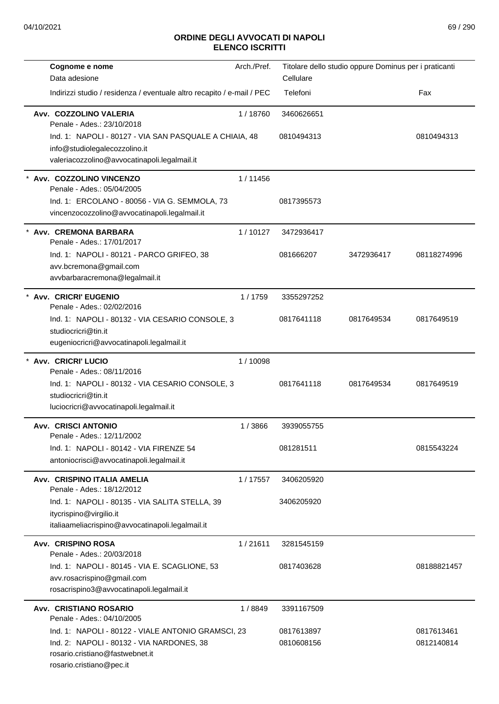| Cognome e nome                                                         | Arch./Pref. | Titolare dello studio oppure Dominus per i praticanti |            |             |
|------------------------------------------------------------------------|-------------|-------------------------------------------------------|------------|-------------|
| Data adesione                                                          |             | Cellulare                                             |            |             |
| Indirizzi studio / residenza / eventuale altro recapito / e-mail / PEC |             | Telefoni                                              |            | Fax         |
| Avv. COZZOLINO VALERIA                                                 | 1/18760     | 3460626651                                            |            |             |
| Penale - Ades.: 23/10/2018                                             |             |                                                       |            |             |
| Ind. 1: NAPOLI - 80127 - VIA SAN PASQUALE A CHIAIA, 48                 |             | 0810494313                                            |            | 0810494313  |
| info@studiolegalecozzolino.it                                          |             |                                                       |            |             |
| valeriacozzolino@avvocatinapoli.legalmail.it                           |             |                                                       |            |             |
| * Avv. COZZOLINO VINCENZO<br>Penale - Ades.: 05/04/2005                | 1/11456     |                                                       |            |             |
| Ind. 1: ERCOLANO - 80056 - VIA G. SEMMOLA, 73                          |             | 0817395573                                            |            |             |
| vincenzocozzolino@avvocatinapoli.legalmail.it                          |             |                                                       |            |             |
| Avv. CREMONA BARBARA<br>Penale - Ades.: 17/01/2017                     | 1/10127     | 3472936417                                            |            |             |
| Ind. 1: NAPOLI - 80121 - PARCO GRIFEO, 38                              |             | 081666207                                             | 3472936417 | 08118274996 |
| avv.bcremona@gmail.com                                                 |             |                                                       |            |             |
| avvbarbaracremona@legalmail.it                                         |             |                                                       |            |             |
| * Avv. CRICRI' EUGENIO                                                 | 1/1759      | 3355297252                                            |            |             |
| Penale - Ades.: 02/02/2016                                             |             |                                                       |            |             |
| Ind. 1: NAPOLI - 80132 - VIA CESARIO CONSOLE, 3                        |             | 0817641118                                            | 0817649534 | 0817649519  |
| studiocricri@tin.it                                                    |             |                                                       |            |             |
| eugeniocricri@avvocatinapoli.legalmail.it                              |             |                                                       |            |             |
| <b>Avv. CRICRI' LUCIO</b>                                              | 1/10098     |                                                       |            |             |
| Penale - Ades.: 08/11/2016                                             |             |                                                       |            |             |
| Ind. 1: NAPOLI - 80132 - VIA CESARIO CONSOLE, 3                        |             | 0817641118                                            | 0817649534 | 0817649519  |
| studiocricri@tin.it                                                    |             |                                                       |            |             |
| luciocricri@avvocatinapoli.legalmail.it                                |             |                                                       |            |             |
| <b>Avv. CRISCI ANTONIO</b>                                             | 1/3866      | 3939055755                                            |            |             |
| Penale - Ades.: 12/11/2002                                             |             |                                                       |            |             |
| Ind. 1: NAPOLI - 80142 - VIA FIRENZE 54                                |             | 081281511                                             |            | 0815543224  |
| antoniocrisci@avvocatinapoli.legalmail.it                              |             |                                                       |            |             |
| Avv. CRISPINO ITALIA AMELIA                                            | 1/17557     | 3406205920                                            |            |             |
| Penale - Ades.: 18/12/2012                                             |             |                                                       |            |             |
| Ind. 1: NAPOLI - 80135 - VIA SALITA STELLA, 39                         |             | 3406205920                                            |            |             |
| itycrispino@virgilio.it                                                |             |                                                       |            |             |
| italiaameliacrispino@avvocatinapoli.legalmail.it                       |             |                                                       |            |             |
| Avv. CRISPINO ROSA<br>Penale - Ades.: 20/03/2018                       | 1/21611     | 3281545159                                            |            |             |
| Ind. 1: NAPOLI - 80145 - VIA E. SCAGLIONE, 53                          |             | 0817403628                                            |            | 08188821457 |
| avv.rosacrispino@gmail.com                                             |             |                                                       |            |             |
| rosacrispino3@avvocatinapoli.legalmail.it                              |             |                                                       |            |             |
| <b>Avv. CRISTIANO ROSARIO</b>                                          | 1/8849      | 3391167509                                            |            |             |
| Penale - Ades.: 04/10/2005                                             |             |                                                       |            |             |
| Ind. 1: NAPOLI - 80122 - VIALE ANTONIO GRAMSCI, 23                     |             | 0817613897                                            |            | 0817613461  |
| Ind. 2: NAPOLI - 80132 - VIA NARDONES, 38                              |             | 0810608156                                            |            | 0812140814  |
| rosario.cristiano@fastwebnet.it                                        |             |                                                       |            |             |
| rosario.cristiano@pec.it                                               |             |                                                       |            |             |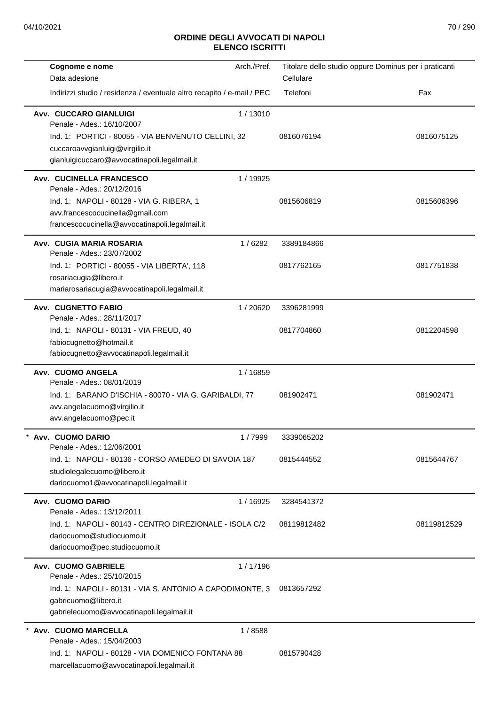| Cognome e nome                                                         | Arch./Pref. | Titolare dello studio oppure Dominus per i praticanti |             |
|------------------------------------------------------------------------|-------------|-------------------------------------------------------|-------------|
| Data adesione                                                          |             | Cellulare                                             |             |
| Indirizzi studio / residenza / eventuale altro recapito / e-mail / PEC |             | Telefoni                                              | Fax         |
| Avv. CUCCARO GIANLUIGI<br>Penale - Ades.: 16/10/2007                   | 1/13010     |                                                       |             |
| Ind. 1: PORTICI - 80055 - VIA BENVENUTO CELLINI, 32                    |             | 0816076194                                            | 0816075125  |
| cuccaroavvgianluigi@virgilio.it                                        |             |                                                       |             |
| gianluigicuccaro@avvocatinapoli.legalmail.it                           |             |                                                       |             |
| Avv. CUCINELLA FRANCESCO<br>Penale - Ades.: 20/12/2016                 | 1 / 19925   |                                                       |             |
| Ind. 1: NAPOLI - 80128 - VIA G. RIBERA, 1                              |             | 0815606819                                            | 0815606396  |
| avv.francescocucinella@gmail.com                                       |             |                                                       |             |
| francescocucinella@avvocatinapoli.legalmail.it                         |             |                                                       |             |
| <b>Avv. CUGIA MARIA ROSARIA</b><br>Penale - Ades.: 23/07/2002          | 1/6282      | 3389184866                                            |             |
| Ind. 1: PORTICI - 80055 - VIA LIBERTA', 118                            |             | 0817762165                                            | 0817751838  |
| rosariacugia@libero.it                                                 |             |                                                       |             |
| mariarosariacugia@avvocatinapoli.legalmail.it                          |             |                                                       |             |
| <b>Avv. CUGNETTO FABIO</b><br>Penale - Ades.: 28/11/2017               | 1/20620     | 3396281999                                            |             |
| Ind. 1: NAPOLI - 80131 - VIA FREUD, 40                                 |             | 0817704860                                            | 0812204598  |
| fabiocugnetto@hotmail.it                                               |             |                                                       |             |
| fabiocugnetto@avvocatinapoli.legalmail.it                              |             |                                                       |             |
| Avv. CUOMO ANGELA                                                      | 1 / 16859   |                                                       |             |
| Penale - Ades.: 08/01/2019                                             |             |                                                       |             |
| Ind. 1: BARANO D'ISCHIA - 80070 - VIA G. GARIBALDI, 77                 |             | 081902471                                             | 081902471   |
| avv.angelacuomo@virgilio.it                                            |             |                                                       |             |
| avv.angelacuomo@pec.it                                                 |             |                                                       |             |
| Avv. CUOMO DARIO<br>Penale - Ades.: 12/06/2001                         | 1/7999      | 3339065202                                            |             |
| Ind. 1: NAPOLI - 80136 - CORSO AMEDEO DI SAVOIA 187                    |             | 0815444552                                            | 0815644767  |
| studiolegalecuomo@libero.it                                            |             |                                                       |             |
| dariocuomo1@avvocatinapoli.legalmail.it                                |             |                                                       |             |
| Avv. CUOMO DARIO<br>Penale - Ades.: 13/12/2011                         | 1 / 16925   | 3284541372                                            |             |
| Ind. 1: NAPOLI - 80143 - CENTRO DIREZIONALE - ISOLA C/2                |             | 08119812482                                           | 08119812529 |
| dariocuomo@studiocuomo.it                                              |             |                                                       |             |
| dariocuomo@pec.studiocuomo.it                                          |             |                                                       |             |
| <b>Avv. CUOMO GABRIELE</b><br>Penale - Ades.: 25/10/2015               | 1/17196     |                                                       |             |
| Ind. 1: NAPOLI - 80131 - VIA S. ANTONIO A CAPODIMONTE, 3               |             | 0813657292                                            |             |
| gabricuomo@libero.it                                                   |             |                                                       |             |
| gabrielecuomo@avvocatinapoli.legalmail.it                              |             |                                                       |             |
| Avv. CUOMO MARCELLA                                                    | 1/8588      |                                                       |             |
| Penale - Ades.: 15/04/2003                                             |             |                                                       |             |
| Ind. 1: NAPOLI - 80128 - VIA DOMENICO FONTANA 88                       |             | 0815790428                                            |             |
| marcellacuomo@avvocatinapoli.legalmail.it                              |             |                                                       |             |
|                                                                        |             |                                                       |             |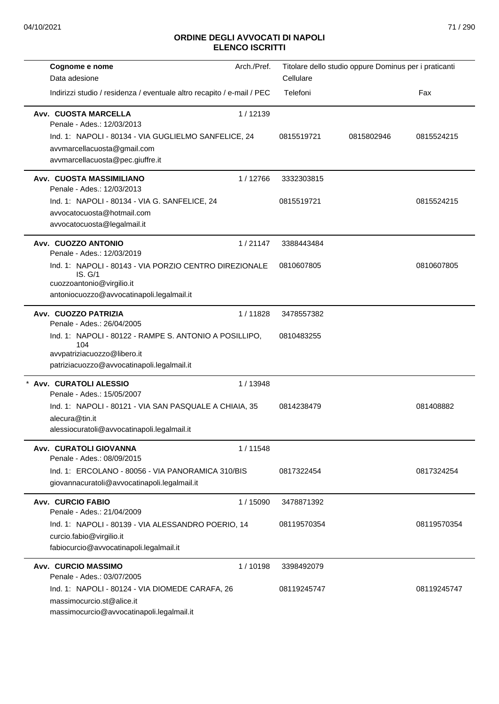| Cognome e nome<br>Data adesione                                                                                                             | Arch./Pref. | Cellulare   | Titolare dello studio oppure Dominus per i praticanti |             |
|---------------------------------------------------------------------------------------------------------------------------------------------|-------------|-------------|-------------------------------------------------------|-------------|
| Indirizzi studio / residenza / eventuale altro recapito / e-mail / PEC                                                                      |             | Telefoni    |                                                       | Fax         |
| <b>Avv. CUOSTA MARCELLA</b><br>Penale - Ades.: 12/03/2013                                                                                   | 1/12139     |             |                                                       |             |
| Ind. 1: NAPOLI - 80134 - VIA GUGLIELMO SANFELICE, 24<br>avvmarcellacuosta@gmail.com<br>avvmarcellacuosta@pec.giuffre.it                     |             | 0815519721  | 0815802946                                            | 0815524215  |
| Avv. CUOSTA MASSIMILIANO<br>Penale - Ades.: 12/03/2013                                                                                      | 1/12766     | 3332303815  |                                                       |             |
| Ind. 1: NAPOLI - 80134 - VIA G. SANFELICE, 24<br>avvocatocuosta@hotmail.com<br>avvocatocuosta@legalmail.it                                  |             | 0815519721  |                                                       | 0815524215  |
| Avv. CUOZZO ANTONIO<br>Penale - Ades.: 12/03/2019                                                                                           | 1/21147     | 3388443484  |                                                       |             |
| Ind. 1: NAPOLI - 80143 - VIA PORZIO CENTRO DIREZIONALE<br>IS. G/1<br>cuozzoantonio@virgilio.it<br>antoniocuozzo@avvocatinapoli.legalmail.it |             | 0810607805  |                                                       | 0810607805  |
| Avv. CUOZZO PATRIZIA<br>Penale - Ades.: 26/04/2005                                                                                          | 1/11828     | 3478557382  |                                                       |             |
| Ind. 1: NAPOLI - 80122 - RAMPE S. ANTONIO A POSILLIPO,<br>104<br>avvpatriziacuozzo@libero.it<br>patriziacuozzo@avvocatinapoli.legalmail.it  |             | 0810483255  |                                                       |             |
| * Avv. CURATOLI ALESSIO<br>Penale - Ades.: 15/05/2007                                                                                       | 1 / 13948   |             |                                                       |             |
| Ind. 1: NAPOLI - 80121 - VIA SAN PASQUALE A CHIAIA, 35<br>alecura@tin.it<br>alessiocuratoli@avvocatinapoli.legalmail.it                     |             | 0814238479  |                                                       | 081408882   |
| Avv. CURATOLI GIOVANNA<br>Penale - Ades.: 08/09/2015                                                                                        | 1/11548     |             |                                                       |             |
| Ind. 1: ERCOLANO - 80056 - VIA PANORAMICA 310/BIS<br>giovannacuratoli@avvocatinapoli.legalmail.it                                           |             | 0817322454  |                                                       | 0817324254  |
| <b>Avv. CURCIO FABIO</b><br>Penale - Ades.: 21/04/2009                                                                                      | 1 / 15090   | 3478871392  |                                                       |             |
| Ind. 1: NAPOLI - 80139 - VIA ALESSANDRO POERIO, 14<br>curcio.fabio@virgilio.it<br>fabiocurcio@avvocatinapoli.legalmail.it                   |             | 08119570354 |                                                       | 08119570354 |
| <b>Avv. CURCIO MASSIMO</b><br>Penale - Ades.: 03/07/2005                                                                                    | 1/10198     | 3398492079  |                                                       |             |
| Ind. 1: NAPOLI - 80124 - VIA DIOMEDE CARAFA, 26<br>massimocurcio.st@alice.it<br>massimocurcio@avvocatinapoli.legalmail.it                   |             | 08119245747 |                                                       | 08119245747 |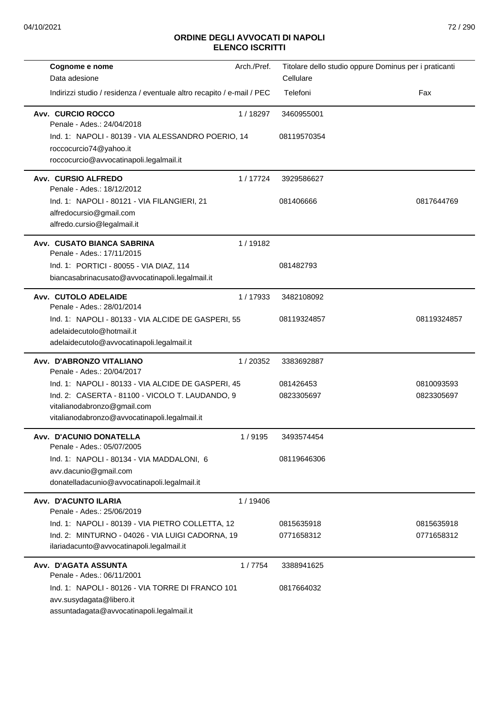| Cognome e nome                                                         | Arch./Pref. | Titolare dello studio oppure Dominus per i praticanti |             |
|------------------------------------------------------------------------|-------------|-------------------------------------------------------|-------------|
| Data adesione                                                          |             | Cellulare                                             |             |
| Indirizzi studio / residenza / eventuale altro recapito / e-mail / PEC |             | Telefoni                                              | Fax         |
| Avv. CURCIO ROCCO<br>Penale - Ades.: 24/04/2018                        | 1 / 18297   | 3460955001                                            |             |
| Ind. 1: NAPOLI - 80139 - VIA ALESSANDRO POERIO, 14                     |             | 08119570354                                           |             |
| roccocurcio74@yahoo.it                                                 |             |                                                       |             |
| roccocurcio@avvocatinapoli.legalmail.it                                |             |                                                       |             |
| Avv. CURSIO ALFREDO                                                    | 1/17724     | 3929586627                                            |             |
| Penale - Ades.: 18/12/2012                                             |             |                                                       |             |
| Ind. 1: NAPOLI - 80121 - VIA FILANGIERI, 21                            |             | 081406666                                             | 0817644769  |
| alfredocursio@gmail.com<br>alfredo.cursio@legalmail.it                 |             |                                                       |             |
| Avv. CUSATO BIANCA SABRINA                                             | 1/19182     |                                                       |             |
| Penale - Ades.: 17/11/2015                                             |             |                                                       |             |
| Ind. 1: PORTICI - 80055 - VIA DIAZ, 114                                |             | 081482793                                             |             |
| biancasabrinacusato@avvocatinapoli.legalmail.it                        |             |                                                       |             |
| Avv. CUTOLO ADELAIDE<br>Penale - Ades.: 28/01/2014                     | 1/17933     | 3482108092                                            |             |
| Ind. 1: NAPOLI - 80133 - VIA ALCIDE DE GASPERI, 55                     |             | 08119324857                                           | 08119324857 |
| adelaidecutolo@hotmail.it                                              |             |                                                       |             |
| adelaidecutolo@avvocatinapoli.legalmail.it                             |             |                                                       |             |
| Avv. D'ABRONZO VITALIANO<br>Penale - Ades.: 20/04/2017                 | 1/20352     | 3383692887                                            |             |
| Ind. 1: NAPOLI - 80133 - VIA ALCIDE DE GASPERI, 45                     |             | 081426453                                             | 0810093593  |
| Ind. 2: CASERTA - 81100 - VICOLO T. LAUDANDO, 9                        |             | 0823305697                                            | 0823305697  |
| vitalianodabronzo@gmail.com                                            |             |                                                       |             |
| vitalianodabronzo@avvocatinapoli.legalmail.it                          |             |                                                       |             |
| Avv. D'ACUNIO DONATELLA<br>Penale - Ades.: 05/07/2005                  | 1/9195      | 3493574454                                            |             |
| Ind. 1: NAPOLI - 80134 - VIA MADDALONI, 6                              |             | 08119646306                                           |             |
| avv.dacunio@gmail.com                                                  |             |                                                       |             |
| donatelladacunio@avvocatinapoli.legalmail.it                           |             |                                                       |             |
| Avv. D'ACUNTO ILARIA<br>Penale - Ades.: 25/06/2019                     | 1 / 19406   |                                                       |             |
| Ind. 1: NAPOLI - 80139 - VIA PIETRO COLLETTA, 12                       |             | 0815635918                                            | 0815635918  |
| Ind. 2: MINTURNO - 04026 - VIA LUIGI CADORNA, 19                       |             | 0771658312                                            | 0771658312  |
| ilariadacunto@avvocatinapoli.legalmail.it                              |             |                                                       |             |
| Avv. D'AGATA ASSUNTA                                                   | 1/7754      | 3388941625                                            |             |
| Penale - Ades.: 06/11/2001                                             |             |                                                       |             |
| Ind. 1: NAPOLI - 80126 - VIA TORRE DI FRANCO 101                       |             | 0817664032                                            |             |
| avv.susydagata@libero.it<br>assuntadagata@avvocatinapoli.legalmail.it  |             |                                                       |             |
|                                                                        |             |                                                       |             |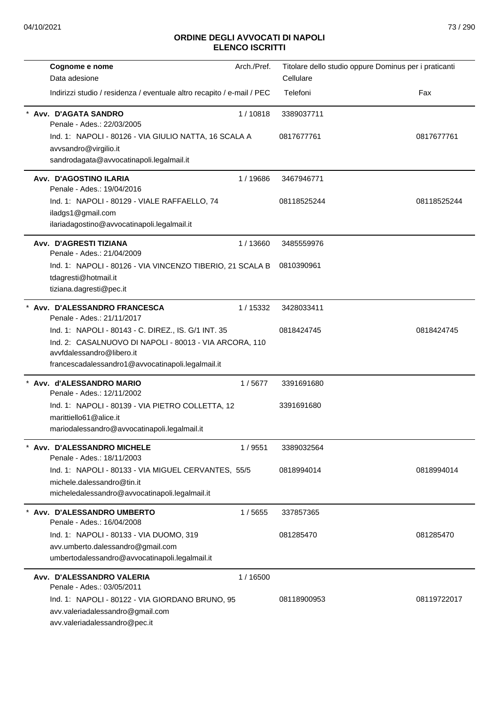| Cognome e nome                                                                                                                                                                                  | Arch./Pref. | Titolare dello studio oppure Dominus per i praticanti |             |
|-------------------------------------------------------------------------------------------------------------------------------------------------------------------------------------------------|-------------|-------------------------------------------------------|-------------|
| Data adesione                                                                                                                                                                                   |             | Cellulare                                             |             |
| Indirizzi studio / residenza / eventuale altro recapito / e-mail / PEC                                                                                                                          |             | Telefoni                                              | Fax         |
| Avv. D'AGATA SANDRO<br>Penale - Ades.: 22/03/2005                                                                                                                                               | 1/10818     | 3389037711                                            |             |
| Ind. 1: NAPOLI - 80126 - VIA GIULIO NATTA, 16 SCALA A<br>avvsandro@virgilio.it<br>sandrodagata@avvocatinapoli.legalmail.it                                                                      |             | 0817677761                                            | 0817677761  |
| Avv. D'AGOSTINO ILARIA<br>Penale - Ades.: 19/04/2016                                                                                                                                            | 1/19686     | 3467946771                                            |             |
| Ind. 1: NAPOLI - 80129 - VIALE RAFFAELLO, 74<br>iladgs1@gmail.com<br>ilariadagostino@avvocatinapoli.legalmail.it                                                                                |             | 08118525244                                           | 08118525244 |
| Avv. D'AGRESTI TIZIANA<br>Penale - Ades.: 21/04/2009                                                                                                                                            | 1/13660     | 3485559976                                            |             |
| Ind. 1: NAPOLI - 80126 - VIA VINCENZO TIBERIO, 21 SCALA B<br>tdagresti@hotmail.it<br>tiziana.dagresti@pec.it                                                                                    |             | 0810390961                                            |             |
| Avv. D'ALESSANDRO FRANCESCA<br>Penale - Ades.: 21/11/2017                                                                                                                                       | 1/15332     | 3428033411                                            |             |
| Ind. 1: NAPOLI - 80143 - C. DIREZ., IS. G/1 INT. 35<br>Ind. 2: CASALNUOVO DI NAPOLI - 80013 - VIA ARCORA, 110<br>avvfdalessandro@libero.it<br>francescadalessandro1@avvocatinapoli.legalmail.it |             | 0818424745                                            | 0818424745  |
| * Avv. d'ALESSANDRO MARIO<br>Penale - Ades.: 12/11/2002                                                                                                                                         | 1/5677      | 3391691680                                            |             |
| Ind. 1: NAPOLI - 80139 - VIA PIETRO COLLETTA, 12<br>marittiello61@alice.it<br>mariodalessandro@avvocatinapoli.legalmail.it                                                                      |             | 3391691680                                            |             |
| Avv. D'ALESSANDRO MICHELE<br>Penale - Ades.: 18/11/2003                                                                                                                                         | 1 / 9551    | 3389032564                                            |             |
| Ind. 1: NAPOLI - 80133 - VIA MIGUEL CERVANTES, 55/5<br>michele.dalessandro@tin.it<br>micheledalessandro@avvocatinapoli.legalmail.it                                                             |             | 0818994014                                            | 0818994014  |
| * Avv. D'ALESSANDRO UMBERTO<br>Penale - Ades.: 16/04/2008                                                                                                                                       | 1/5655      | 337857365                                             |             |
| Ind. 1: NAPOLI - 80133 - VIA DUOMO, 319<br>avv.umberto.dalessandro@gmail.com<br>umbertodalessandro@avvocatinapoli.legalmail.it                                                                  |             | 081285470                                             | 081285470   |
| Avv. D'ALESSANDRO VALERIA<br>Penale - Ades.: 03/05/2011                                                                                                                                         | 1 / 16500   |                                                       |             |
| Ind. 1: NAPOLI - 80122 - VIA GIORDANO BRUNO, 95<br>avv.valeriadalessandro@gmail.com<br>avv.valeriadalessandro@pec.it                                                                            |             | 08118900953                                           | 08119722017 |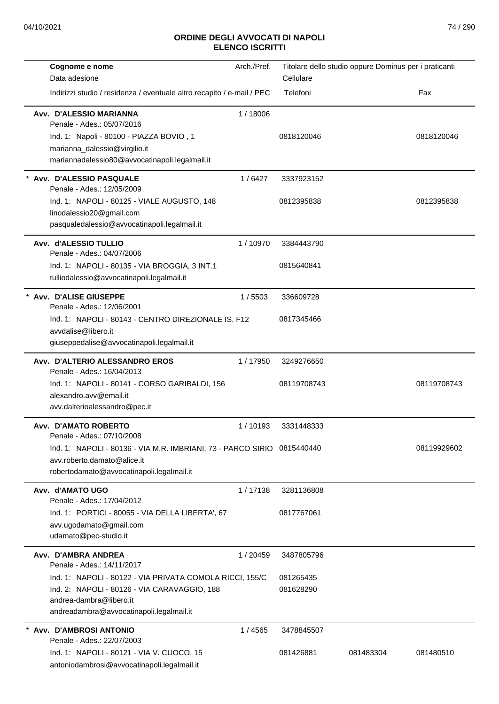| Cognome e nome                                                          | Arch./Pref. | Titolare dello studio oppure Dominus per i praticanti |           |             |
|-------------------------------------------------------------------------|-------------|-------------------------------------------------------|-----------|-------------|
| Data adesione                                                           |             | Cellulare                                             |           |             |
| Indirizzi studio / residenza / eventuale altro recapito / e-mail / PEC  |             | Telefoni                                              |           | Fax         |
| Avv. D'ALESSIO MARIANNA<br>Penale - Ades.: 05/07/2016                   | 1/18006     |                                                       |           |             |
| Ind. 1: Napoli - 80100 - PIAZZA BOVIO, 1                                |             | 0818120046                                            |           | 0818120046  |
| marianna_dalessio@virgilio.it                                           |             |                                                       |           |             |
| mariannadalessio80@avvocatinapoli.legalmail.it                          |             |                                                       |           |             |
| Avv. D'ALESSIO PASQUALE<br>Penale - Ades.: 12/05/2009                   | 1/6427      | 3337923152                                            |           |             |
| Ind. 1: NAPOLI - 80125 - VIALE AUGUSTO, 148                             |             | 0812395838                                            |           | 0812395838  |
| linodalessio20@gmail.com                                                |             |                                                       |           |             |
| pasqualedalessio@avvocatinapoli.legalmail.it                            |             |                                                       |           |             |
| Avv. d'ALESSIO TULLIO<br>Penale - Ades.: 04/07/2006                     | 1/10970     | 3384443790                                            |           |             |
| Ind. 1: NAPOLI - 80135 - VIA BROGGIA, 3 INT.1                           |             | 0815640841                                            |           |             |
| tulliodalessio@avvocatinapoli.legalmail.it                              |             |                                                       |           |             |
| Avv. D'ALISE GIUSEPPE                                                   | 1/5503      | 336609728                                             |           |             |
| Penale - Ades.: 12/06/2001                                              |             |                                                       |           |             |
| Ind. 1: NAPOLI - 80143 - CENTRO DIREZIONALE IS. F12                     |             | 0817345466                                            |           |             |
| avydalise@libero.it                                                     |             |                                                       |           |             |
| giuseppedalise@avvocatinapoli.legalmail.it                              |             |                                                       |           |             |
| Avv. D'ALTERIO ALESSANDRO EROS<br>Penale - Ades.: 16/04/2013            | 1/17950     | 3249276650                                            |           |             |
|                                                                         |             | 08119708743                                           |           | 08119708743 |
| Ind. 1: NAPOLI - 80141 - CORSO GARIBALDI, 156<br>alexandro.avv@email.it |             |                                                       |           |             |
| avv.dalterioalessandro@pec.it                                           |             |                                                       |           |             |
|                                                                         |             |                                                       |           |             |
| Avv. D'AMATO ROBERTO<br>Penale - Ades.: 07/10/2008                      | 1/10193     | 3331448333                                            |           |             |
| Ind. 1: NAPOLI - 80136 - VIA M.R. IMBRIANI, 73 - PARCO SIRIO 0815440440 |             |                                                       |           | 08119929602 |
| avv.roberto.damato@alice.it                                             |             |                                                       |           |             |
| robertodamato@avvocatinapoli.legalmail.it                               |             |                                                       |           |             |
| Avv. d'AMATO UGO                                                        | 1/17138     | 3281136808                                            |           |             |
| Penale - Ades.: 17/04/2012                                              |             |                                                       |           |             |
| Ind. 1: PORTICI - 80055 - VIA DELLA LIBERTA', 67                        |             | 0817767061                                            |           |             |
| avv.ugodamato@gmail.com                                                 |             |                                                       |           |             |
| udamato@pec-studio.it                                                   |             |                                                       |           |             |
| Avv. D'AMBRA ANDREA<br>Penale - Ades.: 14/11/2017                       | 1/20459     | 3487805796                                            |           |             |
| Ind. 1: NAPOLI - 80122 - VIA PRIVATA COMOLA RICCI, 155/C                |             | 081265435                                             |           |             |
| Ind. 2: NAPOLI - 80126 - VIA CARAVAGGIO, 188                            |             | 081628290                                             |           |             |
| andrea-dambra@libero.it                                                 |             |                                                       |           |             |
| andreadambra@avvocatinapoli.legalmail.it                                |             |                                                       |           |             |
| Avv. D'AMBROSI ANTONIO                                                  | 1 / 4565    | 3478845507                                            |           |             |
| Penale - Ades.: 22/07/2003                                              |             |                                                       |           |             |
| Ind. 1: NAPOLI - 80121 - VIA V. CUOCO, 15                               |             | 081426881                                             | 081483304 | 081480510   |
| antoniodambrosi@avvocatinapoli.legalmail.it                             |             |                                                       |           |             |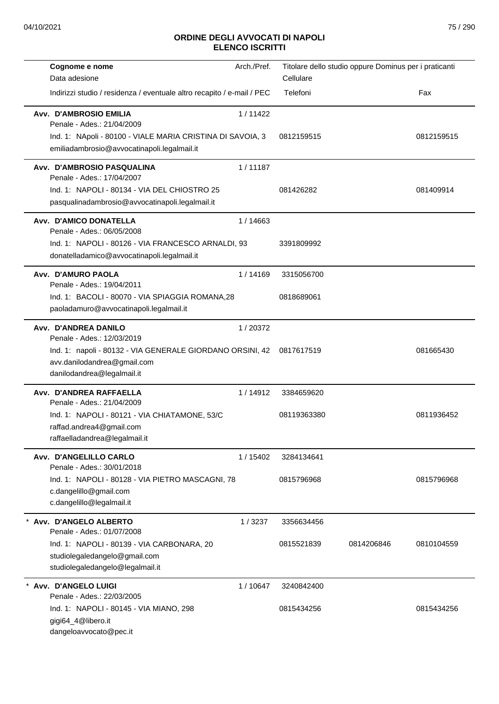| Cognome e nome                                                         | Arch./Pref. | Titolare dello studio oppure Dominus per i praticanti |            |            |
|------------------------------------------------------------------------|-------------|-------------------------------------------------------|------------|------------|
| Data adesione                                                          |             | Cellulare                                             |            |            |
| Indirizzi studio / residenza / eventuale altro recapito / e-mail / PEC |             | Telefoni                                              |            | Fax        |
| <b>Avv. D'AMBROSIO EMILIA</b>                                          | 1/11422     |                                                       |            |            |
| Penale - Ades.: 21/04/2009                                             |             |                                                       |            |            |
| Ind. 1: NApoli - 80100 - VIALE MARIA CRISTINA DI SAVOIA, 3             |             | 0812159515                                            |            | 0812159515 |
| emiliadambrosio@avvocatinapoli.legalmail.it                            |             |                                                       |            |            |
| Avv. D'AMBROSIO PASQUALINA<br>Penale - Ades.: 17/04/2007               | 1/11187     |                                                       |            |            |
| Ind. 1: NAPOLI - 80134 - VIA DEL CHIOSTRO 25                           |             | 081426282                                             |            | 081409914  |
| pasqualinadambrosio@avvocatinapoli.legalmail.it                        |             |                                                       |            |            |
| Avv. D'AMICO DONATELLA<br>Penale - Ades.: 06/05/2008                   | 1/14663     |                                                       |            |            |
| Ind. 1: NAPOLI - 80126 - VIA FRANCESCO ARNALDI, 93                     |             | 3391809992                                            |            |            |
| donatelladamico@avvocatinapoli.legalmail.it                            |             |                                                       |            |            |
| Avv. D'AMURO PAOLA                                                     | 1/14169     | 3315056700                                            |            |            |
| Penale - Ades.: 19/04/2011                                             |             |                                                       |            |            |
| Ind. 1: BACOLI - 80070 - VIA SPIAGGIA ROMANA,28                        |             | 0818689061                                            |            |            |
| paoladamuro@avvocatinapoli.legalmail.it                                |             |                                                       |            |            |
| Avv. D'ANDREA DANILO                                                   | 1/20372     |                                                       |            |            |
| Penale - Ades.: 12/03/2019                                             |             |                                                       |            |            |
| Ind. 1: napoli - 80132 - VIA GENERALE GIORDANO ORSINI, 42 0817617519   |             |                                                       |            | 081665430  |
| avv.danilodandrea@gmail.com                                            |             |                                                       |            |            |
| danilodandrea@legalmail.it                                             |             |                                                       |            |            |
| Avv. D'ANDREA RAFFAELLA                                                | 1/14912     | 3384659620                                            |            |            |
| Penale - Ades.: 21/04/2009                                             |             |                                                       |            |            |
| Ind. 1: NAPOLI - 80121 - VIA CHIATAMONE, 53/C                          |             | 08119363380                                           |            | 0811936452 |
| raffad.andrea4@gmail.com                                               |             |                                                       |            |            |
| raffaelladandrea@legalmail.it                                          |             |                                                       |            |            |
| Avv. D'ANGELILLO CARLO<br>Penale - Ades.: 30/01/2018                   | 1 / 15402   | 3284134641                                            |            |            |
| Ind. 1: NAPOLI - 80128 - VIA PIETRO MASCAGNI, 78                       |             | 0815796968                                            |            | 0815796968 |
| c.dangelillo@gmail.com                                                 |             |                                                       |            |            |
| c.dangelillo@legalmail.it                                              |             |                                                       |            |            |
| * Avv. D'ANGELO ALBERTO<br>Penale - Ades.: 01/07/2008                  | 1/3237      | 3356634456                                            |            |            |
| Ind. 1: NAPOLI - 80139 - VIA CARBONARA, 20                             |             | 0815521839                                            | 0814206846 | 0810104559 |
| studiolegaledangelo@gmail.com                                          |             |                                                       |            |            |
| studiolegaledangelo@legalmail.it                                       |             |                                                       |            |            |
| Avv. D'ANGELO LUIGI                                                    | 1/10647     | 3240842400                                            |            |            |
| Penale - Ades.: 22/03/2005                                             |             |                                                       |            |            |
| Ind. 1: NAPOLI - 80145 - VIA MIANO, 298                                |             | 0815434256                                            |            | 0815434256 |
| gigi64_4@libero.it                                                     |             |                                                       |            |            |
| dangeloavvocato@pec.it                                                 |             |                                                       |            |            |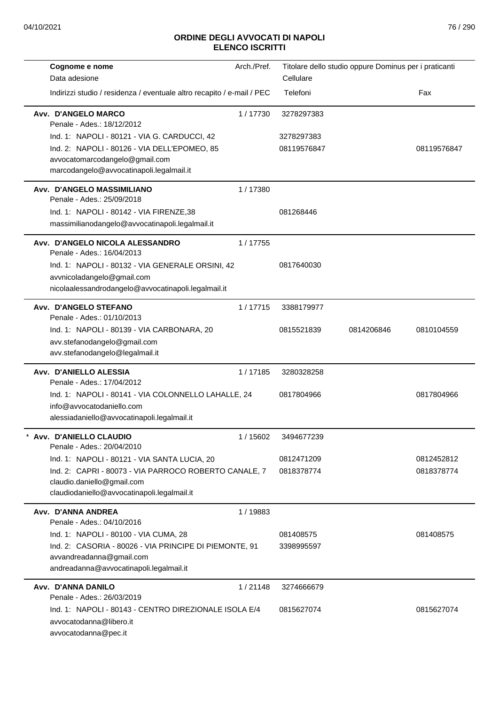| Arch./Pref.<br>Cognome e nome                                            | Titolare dello studio oppure Dominus per i praticanti |                          |
|--------------------------------------------------------------------------|-------------------------------------------------------|--------------------------|
| Data adesione                                                            | Cellulare                                             |                          |
| Indirizzi studio / residenza / eventuale altro recapito / e-mail / PEC   | Telefoni                                              | Fax                      |
| Avv. D'ANGELO MARCO<br>1/17730<br>Penale - Ades.: 18/12/2012             | 3278297383                                            |                          |
| Ind. 1: NAPOLI - 80121 - VIA G. CARDUCCI, 42                             | 3278297383                                            |                          |
| Ind. 2: NAPOLI - 80126 - VIA DELL'EPOMEO, 85                             | 08119576847                                           | 08119576847              |
| avvocatomarcodangelo@gmail.com                                           |                                                       |                          |
| marcodangelo@avvocatinapoli.legalmail.it                                 |                                                       |                          |
| Avv. D'ANGELO MASSIMILIANO<br>1/17380                                    |                                                       |                          |
| Penale - Ades.: 25/09/2018                                               |                                                       |                          |
| Ind. 1: NAPOLI - 80142 - VIA FIRENZE, 38                                 | 081268446                                             |                          |
| massimilianodangelo@avvocatinapoli.legalmail.it                          |                                                       |                          |
| Avv. D'ANGELO NICOLA ALESSANDRO<br>1/17755<br>Penale - Ades.: 16/04/2013 |                                                       |                          |
| Ind. 1: NAPOLI - 80132 - VIA GENERALE ORSINI, 42                         | 0817640030                                            |                          |
| avvnicoladangelo@gmail.com                                               |                                                       |                          |
| nicolaalessandrodangelo@avvocatinapoli.legalmail.it                      |                                                       |                          |
| Avv. D'ANGELO STEFANO<br>1/17715<br>Penale - Ades.: 01/10/2013           | 3388179977                                            |                          |
| Ind. 1: NAPOLI - 80139 - VIA CARBONARA, 20                               | 0815521839                                            | 0814206846<br>0810104559 |
| avv.stefanodangelo@gmail.com                                             |                                                       |                          |
| avv.stefanodangelo@legalmail.it                                          |                                                       |                          |
| Avv. D'ANIELLO ALESSIA<br>1/17185<br>Penale - Ades.: 17/04/2012          | 3280328258                                            |                          |
| Ind. 1: NAPOLI - 80141 - VIA COLONNELLO LAHALLE, 24                      | 0817804966                                            | 0817804966               |
| info@avvocatodaniello.com                                                |                                                       |                          |
| alessiadaniello@avvocatinapoli.legalmail.it                              |                                                       |                          |
| Avv. D'ANIELLO CLAUDIO<br>1 / 15602<br>Penale - Ades.: 20/04/2010        | 3494677239                                            |                          |
| Ind. 1: NAPOLI - 80121 - VIA SANTA LUCIA, 20                             | 0812471209                                            | 0812452812               |
| Ind. 2: CAPRI - 80073 - VIA PARROCO ROBERTO CANALE, 7                    | 0818378774                                            | 0818378774               |
| claudio.daniello@gmail.com                                               |                                                       |                          |
| claudiodaniello@avvocatinapoli.legalmail.it                              |                                                       |                          |
| Avv. D'ANNA ANDREA<br>1/19883<br>Penale - Ades.: 04/10/2016              |                                                       |                          |
| Ind. 1: NAPOLI - 80100 - VIA CUMA, 28                                    | 081408575                                             | 081408575                |
| Ind. 2: CASORIA - 80026 - VIA PRINCIPE DI PIEMONTE, 91                   | 3398995597                                            |                          |
| avvandreadanna@gmail.com                                                 |                                                       |                          |
| andreadanna@avvocatinapoli.legalmail.it                                  |                                                       |                          |
| Avv. D'ANNA DANILO<br>1/21148                                            | 3274666679                                            |                          |
| Penale - Ades.: 26/03/2019                                               |                                                       |                          |
| Ind. 1: NAPOLI - 80143 - CENTRO DIREZIONALE ISOLA E/4                    | 0815627074                                            | 0815627074               |
| avvocatodanna@libero.it                                                  |                                                       |                          |
| avvocatodanna@pec.it                                                     |                                                       |                          |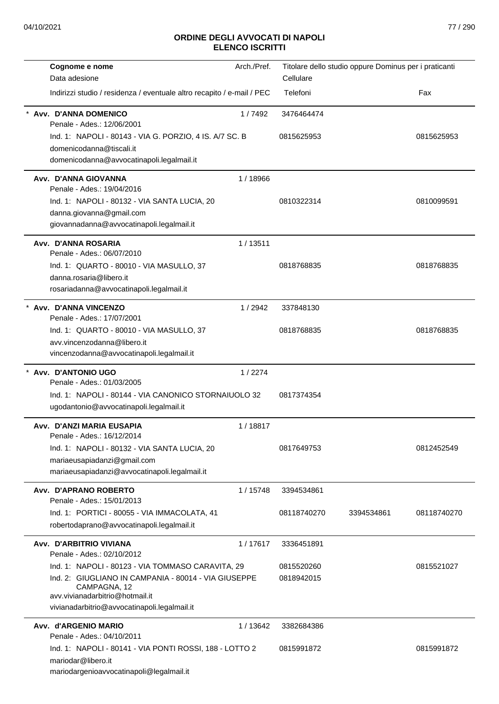| Indirizzi studio / residenza / eventuale altro recapito / e-mail / PEC | Cellulare<br>Telefoni                                                                                                                                                                                                                  |            |             |
|------------------------------------------------------------------------|----------------------------------------------------------------------------------------------------------------------------------------------------------------------------------------------------------------------------------------|------------|-------------|
|                                                                        |                                                                                                                                                                                                                                        |            | Fax         |
|                                                                        |                                                                                                                                                                                                                                        |            |             |
| 1/7492                                                                 | 3476464474                                                                                                                                                                                                                             |            |             |
| Ind. 1: NAPOLI - 80143 - VIA G. PORZIO, 4 IS. A/7 SC. B                | 0815625953                                                                                                                                                                                                                             |            | 0815625953  |
|                                                                        |                                                                                                                                                                                                                                        |            |             |
| 1/18966                                                                |                                                                                                                                                                                                                                        |            |             |
|                                                                        | 0810322314                                                                                                                                                                                                                             |            | 0810099591  |
| 1/13511                                                                |                                                                                                                                                                                                                                        |            |             |
|                                                                        | 0818768835                                                                                                                                                                                                                             |            | 0818768835  |
|                                                                        |                                                                                                                                                                                                                                        |            |             |
| 1/2942                                                                 | 337848130                                                                                                                                                                                                                              |            |             |
|                                                                        | 0818768835                                                                                                                                                                                                                             |            | 0818768835  |
|                                                                        |                                                                                                                                                                                                                                        |            |             |
|                                                                        |                                                                                                                                                                                                                                        |            |             |
|                                                                        | 0817374354                                                                                                                                                                                                                             |            |             |
|                                                                        |                                                                                                                                                                                                                                        |            |             |
| 1/18817                                                                |                                                                                                                                                                                                                                        |            |             |
|                                                                        | 0817649753                                                                                                                                                                                                                             |            | 0812452549  |
|                                                                        |                                                                                                                                                                                                                                        |            |             |
| 1/15748                                                                | 3394534861                                                                                                                                                                                                                             |            |             |
|                                                                        | 08118740270                                                                                                                                                                                                                            | 3394534861 | 08118740270 |
| 1/17617                                                                | 3336451891                                                                                                                                                                                                                             |            |             |
|                                                                        | 0815520260<br>0818942015                                                                                                                                                                                                               |            | 0815521027  |
| 1/13642                                                                | 3382684386                                                                                                                                                                                                                             |            |             |
|                                                                        | 0815991872                                                                                                                                                                                                                             |            | 0815991872  |
|                                                                        | 1/2274<br>Ind. 1: NAPOLI - 80144 - VIA CANONICO STORNAIUOLO 32<br>Ind. 1: NAPOLI - 80123 - VIA TOMMASO CARAVITA, 29<br>Ind. 2: GIUGLIANO IN CAMPANIA - 80014 - VIA GIUSEPPE<br>Ind. 1: NAPOLI - 80141 - VIA PONTI ROSSI, 188 - LOTTO 2 |            |             |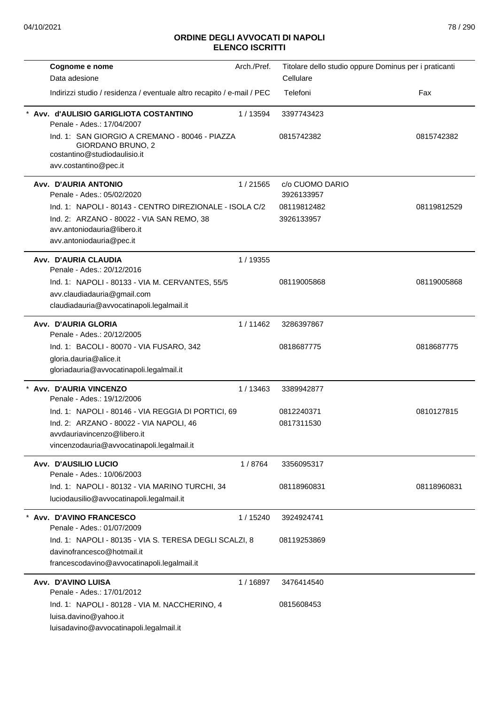| Cognome e nome                                                                                                                      | Arch./Pref. | Titolare dello studio oppure Dominus per i praticanti |             |
|-------------------------------------------------------------------------------------------------------------------------------------|-------------|-------------------------------------------------------|-------------|
| Data adesione                                                                                                                       |             | Cellulare                                             |             |
| Indirizzi studio / residenza / eventuale altro recapito / e-mail / PEC                                                              |             | Telefoni                                              | Fax         |
| Avv. d'AULISIO GARIGLIOTA COSTANTINO<br>Penale - Ades.: 17/04/2007                                                                  | 1/13594     | 3397743423                                            |             |
| Ind. 1: SAN GIORGIO A CREMANO - 80046 - PIAZZA<br><b>GIORDANO BRUNO, 2</b><br>costantino@studiodaulisio.it<br>avv.costantino@pec.it |             | 0815742382                                            | 0815742382  |
| Avv. D'AURIA ANTONIO                                                                                                                | 1/21565     | c/o CUOMO DARIO                                       |             |
| Penale - Ades.: 05/02/2020                                                                                                          |             | 3926133957                                            |             |
| Ind. 1: NAPOLI - 80143 - CENTRO DIREZIONALE - ISOLA C/2                                                                             |             | 08119812482                                           | 08119812529 |
| Ind. 2: ARZANO - 80022 - VIA SAN REMO, 38                                                                                           |             | 3926133957                                            |             |
| avv.antoniodauria@libero.it<br>avv.antoniodauria@pec.it                                                                             |             |                                                       |             |
| Avv. D'AURIA CLAUDIA                                                                                                                | 1 / 19355   |                                                       |             |
| Penale - Ades.: 20/12/2016                                                                                                          |             |                                                       |             |
| Ind. 1: NAPOLI - 80133 - VIA M. CERVANTES, 55/5                                                                                     |             | 08119005868                                           | 08119005868 |
| avv.claudiadauria@gmail.com                                                                                                         |             |                                                       |             |
| claudiadauria@avvocatinapoli.legalmail.it                                                                                           |             |                                                       |             |
| Avv. D'AURIA GLORIA<br>Penale - Ades.: 20/12/2005                                                                                   | 1/11462     | 3286397867                                            |             |
| Ind. 1: BACOLI - 80070 - VIA FUSARO, 342                                                                                            |             | 0818687775                                            | 0818687775  |
| gloria.dauria@alice.it                                                                                                              |             |                                                       |             |
| gloriadauria@avvocatinapoli.legalmail.it                                                                                            |             |                                                       |             |
| * Avv. D'AURIA VINCENZO<br>Penale - Ades.: 19/12/2006                                                                               | 1/13463     | 3389942877                                            |             |
| Ind. 1: NAPOLI - 80146 - VIA REGGIA DI PORTICI, 69                                                                                  |             | 0812240371                                            | 0810127815  |
| Ind. 2: ARZANO - 80022 - VIA NAPOLI, 46                                                                                             |             | 0817311530                                            |             |
| avvdauriavincenzo@libero.it                                                                                                         |             |                                                       |             |
| vincenzodauria@avvocatinapoli.legalmail.it                                                                                          |             |                                                       |             |
| Avv. D'AUSILIO LUCIO<br>Penale - Ades.: 10/06/2003                                                                                  | 1/8764      | 3356095317                                            |             |
| Ind. 1: NAPOLI - 80132 - VIA MARINO TURCHI, 34                                                                                      |             | 08118960831                                           | 08118960831 |
| luciodausilio@avvocatinapoli.legalmail.it                                                                                           |             |                                                       |             |
| Avv. D'AVINO FRANCESCO<br>Penale - Ades.: 01/07/2009                                                                                | 1 / 15240   | 3924924741                                            |             |
| Ind. 1: NAPOLI - 80135 - VIA S. TERESA DEGLI SCALZI, 8                                                                              |             | 08119253869                                           |             |
| davinofrancesco@hotmail.it                                                                                                          |             |                                                       |             |
| francescodavino@avvocatinapoli.legalmail.it                                                                                         |             |                                                       |             |
| Avv. D'AVINO LUISA<br>Penale - Ades.: 17/01/2012                                                                                    | 1/16897     | 3476414540                                            |             |
| Ind. 1: NAPOLI - 80128 - VIA M. NACCHERINO, 4                                                                                       |             | 0815608453                                            |             |
| luisa.davino@yahoo.it                                                                                                               |             |                                                       |             |
| luisadavino@avvocatinapoli.legalmail.it                                                                                             |             |                                                       |             |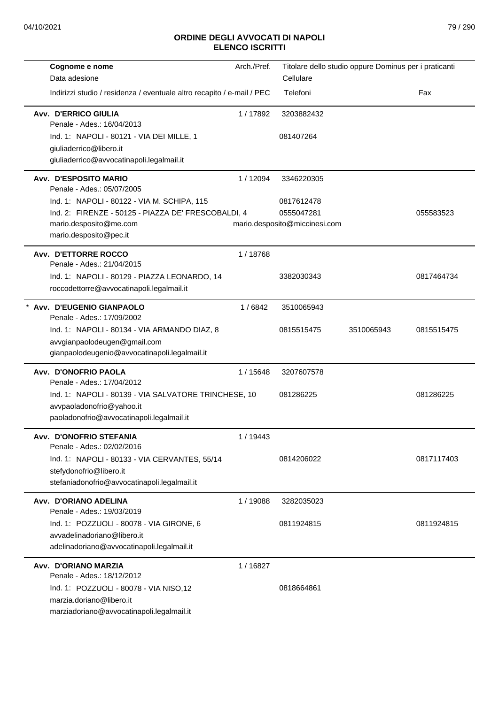| Cognome e nome                                                                            | Arch./Pref. |                               | Titolare dello studio oppure Dominus per i praticanti |            |
|-------------------------------------------------------------------------------------------|-------------|-------------------------------|-------------------------------------------------------|------------|
| Data adesione                                                                             |             | Cellulare                     |                                                       |            |
| Indirizzi studio / residenza / eventuale altro recapito / e-mail / PEC                    |             | Telefoni                      |                                                       | Fax        |
| Avv. D'ERRICO GIULIA<br>Penale - Ades.: 16/04/2013                                        | 1/17892     | 3203882432                    |                                                       |            |
| Ind. 1: NAPOLI - 80121 - VIA DEI MILLE, 1                                                 |             | 081407264                     |                                                       |            |
| giuliaderrico@libero.it                                                                   |             |                               |                                                       |            |
| giuliaderrico@avvocatinapoli.legalmail.it                                                 |             |                               |                                                       |            |
| Avv. D'ESPOSITO MARIO<br>Penale - Ades.: 05/07/2005                                       | 1/12094     | 3346220305                    |                                                       |            |
| Ind. 1: NAPOLI - 80122 - VIA M. SCHIPA, 115                                               |             | 0817612478                    |                                                       |            |
| Ind. 2: FIRENZE - 50125 - PIAZZA DE' FRESCOBALDI, 4                                       |             | 0555047281                    |                                                       | 055583523  |
| mario.desposito@me.com<br>mario.desposito@pec.it                                          |             | mario.desposito@miccinesi.com |                                                       |            |
| Avv. D'ETTORRE ROCCO<br>Penale - Ades.: 21/04/2015                                        | 1/18768     |                               |                                                       |            |
| Ind. 1: NAPOLI - 80129 - PIAZZA LEONARDO, 14<br>roccodettorre@avvocatinapoli.legalmail.it |             | 3382030343                    |                                                       | 0817464734 |
| * Avv. D'EUGENIO GIANPAOLO<br>Penale - Ades.: 17/09/2002                                  | 1/6842      | 3510065943                    |                                                       |            |
| Ind. 1: NAPOLI - 80134 - VIA ARMANDO DIAZ, 8                                              |             | 0815515475                    | 3510065943                                            | 0815515475 |
| avvgianpaolodeugen@gmail.com                                                              |             |                               |                                                       |            |
| gianpaolodeugenio@avvocatinapoli.legalmail.it                                             |             |                               |                                                       |            |
| Avv. D'ONOFRIO PAOLA<br>Penale - Ades.: 17/04/2012                                        | 1 / 15648   | 3207607578                    |                                                       |            |
| Ind. 1: NAPOLI - 80139 - VIA SALVATORE TRINCHESE, 10                                      |             | 081286225                     |                                                       | 081286225  |
| avvpaoladonofrio@yahoo.it<br>paoladonofrio@avvocatinapoli.legalmail.it                    |             |                               |                                                       |            |
| Avv. D'ONOFRIO STEFANIA<br>Penale - Ades.: 02/02/2016                                     | 1/19443     |                               |                                                       |            |
| Ind. 1: NAPOLI - 80133 - VIA CERVANTES, 55/14                                             |             | 0814206022                    |                                                       | 0817117403 |
| stefydonofrio@libero.it                                                                   |             |                               |                                                       |            |
| stefaniadonofrio@avvocatinapoli.legalmail.it                                              |             |                               |                                                       |            |
| Avv. D'ORIANO ADELINA<br>Penale - Ades.: 19/03/2019                                       | 1/19088     | 3282035023                    |                                                       |            |
| Ind. 1: POZZUOLI - 80078 - VIA GIRONE, 6                                                  |             | 0811924815                    |                                                       | 0811924815 |
| avvadelinadoriano@libero.it                                                               |             |                               |                                                       |            |
| adelinadoriano@avvocatinapoli.legalmail.it                                                |             |                               |                                                       |            |
| Avv. D'ORIANO MARZIA                                                                      | 1/16827     |                               |                                                       |            |
| Penale - Ades.: 18/12/2012                                                                |             |                               |                                                       |            |
| Ind. 1: POZZUOLI - 80078 - VIA NISO,12                                                    |             | 0818664861                    |                                                       |            |
| marzia.doriano@libero.it<br>marziadoriano@avvocatinapoli.legalmail.it                     |             |                               |                                                       |            |
|                                                                                           |             |                               |                                                       |            |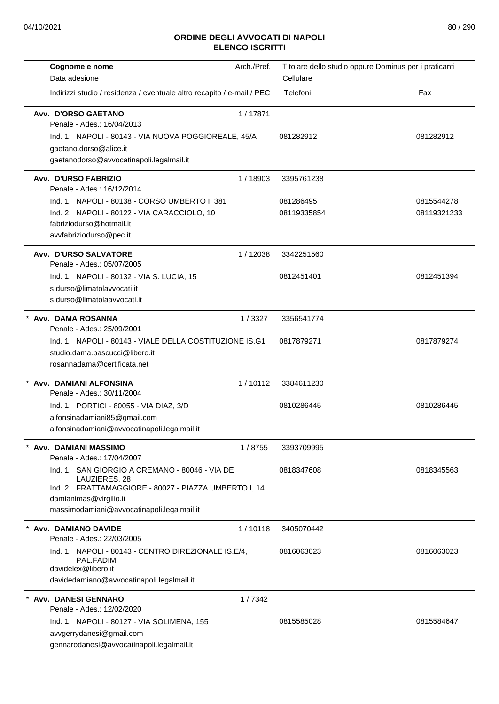| Cognome e nome<br>Data adesione                                                                                                                                                                  | Arch./Pref. | Titolare dello studio oppure Dominus per i praticanti<br>Cellulare |                           |
|--------------------------------------------------------------------------------------------------------------------------------------------------------------------------------------------------|-------------|--------------------------------------------------------------------|---------------------------|
| Indirizzi studio / residenza / eventuale altro recapito / e-mail / PEC                                                                                                                           |             | Telefoni                                                           | Fax                       |
| Avv. D'ORSO GAETANO<br>Penale - Ades.: 16/04/2013<br>Ind. 1: NAPOLI - 80143 - VIA NUOVA POGGIOREALE, 45/A<br>gaetano.dorso@alice.it<br>gaetanodorso@avvocatinapoli.legalmail.it                  | 1/17871     | 081282912                                                          | 081282912                 |
| Avv. D'URSO FABRIZIO<br>Penale - Ades.: 16/12/2014                                                                                                                                               | 1/18903     | 3395761238                                                         |                           |
| Ind. 1: NAPOLI - 80138 - CORSO UMBERTO I, 381<br>Ind. 2: NAPOLI - 80122 - VIA CARACCIOLO, 10<br>fabriziodurso@hotmail.it<br>avvfabriziodurso@pec.it                                              |             | 081286495<br>08119335854                                           | 0815544278<br>08119321233 |
| Avv. D'URSO SALVATORE<br>Penale - Ades.: 05/07/2005                                                                                                                                              | 1/12038     | 3342251560                                                         |                           |
| Ind. 1: NAPOLI - 80132 - VIA S. LUCIA, 15<br>s.durso@limatolavvocati.it<br>s.durso@limatolaavvocati.it                                                                                           |             | 0812451401                                                         | 0812451394                |
| * Avv. DAMA ROSANNA<br>Penale - Ades.: 25/09/2001                                                                                                                                                | 1/3327      | 3356541774                                                         |                           |
| Ind. 1: NAPOLI - 80143 - VIALE DELLA COSTITUZIONE IS.G1<br>studio.dama.pascucci@libero.it<br>rosannadama@certificata.net                                                                         |             | 0817879271                                                         | 0817879274                |
| * Avv. DAMIANI ALFONSINA<br>Penale - Ades.: 30/11/2004                                                                                                                                           | 1/10112     | 3384611230                                                         |                           |
| Ind. 1: PORTICI - 80055 - VIA DIAZ, 3/D<br>alfonsinadamiani85@gmail.com<br>alfonsinadamiani@avvocatinapoli.legalmail.it                                                                          |             | 0810286445                                                         | 0810286445                |
| Avv. DAMIANI MASSIMO<br>Penale - Ades.: 17/04/2007                                                                                                                                               | 1/8755      | 3393709995                                                         |                           |
| Ind. 1: SAN GIORGIO A CREMANO - 80046 - VIA DE<br>LAUZIERES, 28<br>Ind. 2: FRATTAMAGGIORE - 80027 - PIAZZA UMBERTO I, 14<br>damianimas@virgilio.it<br>massimodamiani@avvocatinapoli.legalmail.it |             | 0818347608                                                         | 0818345563                |
| Avv. DAMIANO DAVIDE<br>Penale - Ades.: 22/03/2005                                                                                                                                                | 1/10118     | 3405070442                                                         |                           |
| Ind. 1: NAPOLI - 80143 - CENTRO DIREZIONALE IS.E/4,<br>PAL.FADIM<br>davidelex@libero.it<br>davidedamiano@avvocatinapoli.legalmail.it                                                             |             | 0816063023                                                         | 0816063023                |
| * Avv. DANESI GENNARO<br>Penale - Ades.: 12/02/2020                                                                                                                                              | 1/7342      |                                                                    |                           |
| Ind. 1: NAPOLI - 80127 - VIA SOLIMENA, 155<br>avvgerrydanesi@gmail.com<br>gennarodanesi@avvocatinapoli.legalmail.it                                                                              |             | 0815585028                                                         | 0815584647                |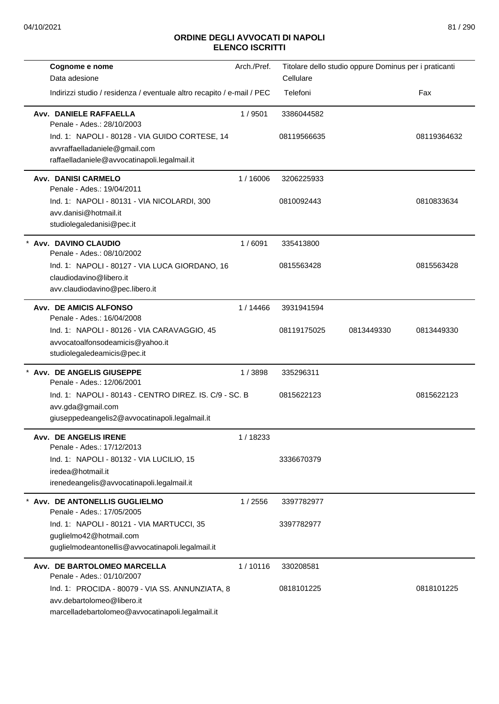| Cognome e nome<br>Data adesione                                                                                                   | Arch./Pref. | Titolare dello studio oppure Dominus per i praticanti<br>Cellulare |            |             |
|-----------------------------------------------------------------------------------------------------------------------------------|-------------|--------------------------------------------------------------------|------------|-------------|
| Indirizzi studio / residenza / eventuale altro recapito / e-mail / PEC                                                            |             | Telefoni                                                           |            | Fax         |
| Avv. DANIELE RAFFAELLA<br>Penale - Ades.: 28/10/2003                                                                              | 1/9501      | 3386044582                                                         |            |             |
| Ind. 1: NAPOLI - 80128 - VIA GUIDO CORTESE, 14<br>avvraffaelladaniele@gmail.com<br>raffaelladaniele@avvocatinapoli.legalmail.it   |             | 08119566635                                                        |            | 08119364632 |
| <b>Avv. DANISI CARMELO</b><br>Penale - Ades.: 19/04/2011                                                                          | 1/16006     | 3206225933                                                         |            |             |
| Ind. 1: NAPOLI - 80131 - VIA NICOLARDI, 300<br>avv.danisi@hotmail.it<br>studiolegaledanisi@pec.it                                 |             | 0810092443                                                         |            | 0810833634  |
| Avv. DAVINO CLAUDIO<br>Penale - Ades.: 08/10/2002                                                                                 | 1/6091      | 335413800                                                          |            |             |
| Ind. 1: NAPOLI - 80127 - VIA LUCA GIORDANO, 16<br>claudiodavino@libero.it<br>avv.claudiodavino@pec.libero.it                      |             | 0815563428                                                         |            | 0815563428  |
| <b>Avv. DE AMICIS ALFONSO</b><br>Penale - Ades.: 16/04/2008                                                                       | 1/14466     | 3931941594                                                         |            |             |
| Ind. 1: NAPOLI - 80126 - VIA CARAVAGGIO, 45<br>avvocatoalfonsodeamicis@yahoo.it<br>studiolegaledeamicis@pec.it                    |             | 08119175025                                                        | 0813449330 | 0813449330  |
| Avv. DE ANGELIS GIUSEPPE<br>Penale - Ades.: 12/06/2001                                                                            | 1/3898      | 335296311                                                          |            |             |
| Ind. 1: NAPOLI - 80143 - CENTRO DIREZ. IS. C/9 - SC. B<br>avv.gda@gmail.com<br>giuseppedeangelis2@avvocatinapoli.legalmail.it     |             | 0815622123                                                         |            | 0815622123  |
| <b>Avv. DE ANGELIS IRENE</b><br>Penale - Ades.: 17/12/2013                                                                        | 1/18233     |                                                                    |            |             |
| Ind. 1: NAPOLI - 80132 - VIA LUCILIO, 15<br>iredea@hotmail.it<br>irenedeangelis@avvocatinapoli.legalmail.it                       |             | 3336670379                                                         |            |             |
| Avv. DE ANTONELLIS GUGLIELMO<br>Penale - Ades.: 17/05/2005                                                                        | 1 / 2556    | 3397782977                                                         |            |             |
| Ind. 1: NAPOLI - 80121 - VIA MARTUCCI, 35<br>guglielmo42@hotmail.com<br>guglielmodeantonellis@avvocatinapoli.legalmail.it         |             | 3397782977                                                         |            |             |
| Avv. DE BARTOLOMEO MARCELLA<br>Penale - Ades.: 01/10/2007                                                                         | 1/10116     | 330208581                                                          |            |             |
| Ind. 1: PROCIDA - 80079 - VIA SS. ANNUNZIATA, 8<br>avv.debartolomeo@libero.it<br>marcelladebartolomeo@avvocatinapoli.legalmail.it |             | 0818101225                                                         |            | 0818101225  |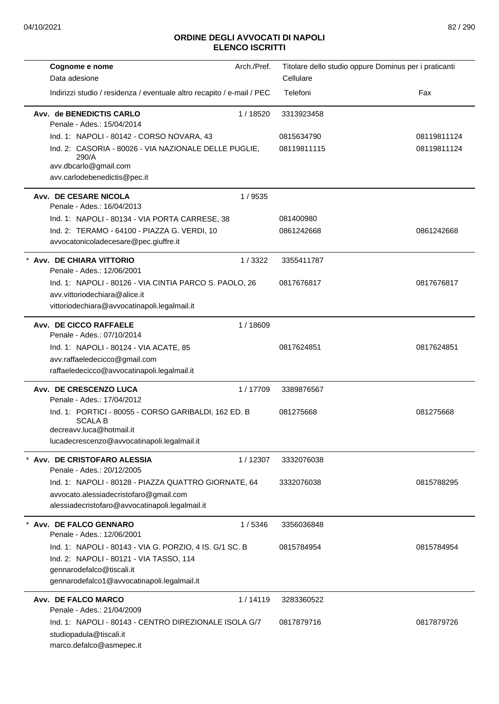| Cognome e nome                                                                                     | Arch./Pref. | Titolare dello studio oppure Dominus per i praticanti |             |
|----------------------------------------------------------------------------------------------------|-------------|-------------------------------------------------------|-------------|
| Data adesione                                                                                      |             | Cellulare                                             |             |
| Indirizzi studio / residenza / eventuale altro recapito / e-mail / PEC                             |             | Telefoni                                              | Fax         |
| Avv. de BENEDICTIS CARLO<br>Penale - Ades.: 15/04/2014                                             | 1/18520     | 3313923458                                            |             |
| Ind. 1: NAPOLI - 80142 - CORSO NOVARA, 43                                                          |             | 0815634790                                            | 08119811124 |
| Ind. 2: CASORIA - 80026 - VIA NAZIONALE DELLE PUGLIE,<br>290/A                                     |             | 08119811115                                           | 08119811124 |
| avv.dbcarlo@gmail.com<br>avv.carlodebenedictis@pec.it                                              |             |                                                       |             |
| Avv. DE CESARE NICOLA<br>Penale - Ades.: 16/04/2013                                                | 1/9535      |                                                       |             |
| Ind. 1: NAPOLI - 80134 - VIA PORTA CARRESE, 38                                                     |             | 081400980                                             |             |
| Ind. 2: TERAMO - 64100 - PIAZZA G. VERDI, 10                                                       |             | 0861242668                                            | 0861242668  |
| avvocatonicoladecesare@pec.giuffre.it                                                              |             |                                                       |             |
| * Avv. DE CHIARA VITTORIO<br>Penale - Ades.: 12/06/2001                                            | 1/3322      | 3355411787                                            |             |
| Ind. 1: NAPOLI - 80126 - VIA CINTIA PARCO S. PAOLO, 26                                             |             | 0817676817                                            | 0817676817  |
| avv.vittoriodechiara@alice.it                                                                      |             |                                                       |             |
| vittoriodechiara@avvocatinapoli.legalmail.it                                                       |             |                                                       |             |
| Avv. DE CICCO RAFFAELE                                                                             | 1/18609     |                                                       |             |
| Penale - Ades.: 07/10/2014<br>Ind. 1: NAPOLI - 80124 - VIA ACATE, 85                               |             | 0817624851                                            | 0817624851  |
| avv.raffaeledecicco@gmail.com                                                                      |             |                                                       |             |
| raffaeledecicco@avvocatinapoli.legalmail.it                                                        |             |                                                       |             |
| Avv. DE CRESCENZO LUCA                                                                             | 1/17709     | 3389876567                                            |             |
| Penale - Ades.: 17/04/2012                                                                         |             |                                                       |             |
| Ind. 1: PORTICI - 80055 - CORSO GARIBALDI, 162 ED. B<br><b>SCALA B</b><br>decreavy.luca@hotmail.it |             | 081275668                                             | 081275668   |
| lucadecrescenzo@avvocatinapoli.legalmail.it                                                        |             |                                                       |             |
|                                                                                                    |             |                                                       |             |
| Avv. DE CRISTOFARO ALESSIA<br>Penale - Ades.: 20/12/2005                                           | 1/12307     | 3332076038                                            |             |
| Ind. 1: NAPOLI - 80128 - PIAZZA QUATTRO GIORNATE, 64                                               |             | 3332076038                                            | 0815788295  |
| avvocato.alessiadecristofaro@gmail.com                                                             |             |                                                       |             |
| alessiadecristofaro@avvocatinapoli.legalmail.it                                                    |             |                                                       |             |
| Avv. DE FALCO GENNARO                                                                              | 1/5346      | 3356036848                                            |             |
| Penale - Ades.: 12/06/2001                                                                         |             |                                                       |             |
| Ind. 1: NAPOLI - 80143 - VIA G. PORZIO, 4 IS. G/1 SC. B                                            |             | 0815784954                                            | 0815784954  |
| Ind. 2: NAPOLI - 80121 - VIA TASSO, 114                                                            |             |                                                       |             |
| gennarodefalco@tiscali.it<br>gennarodefalco1@avvocatinapoli.legalmail.it                           |             |                                                       |             |
|                                                                                                    |             |                                                       |             |
| Avv. DE FALCO MARCO<br>Penale - Ades.: 21/04/2009                                                  | 1/14119     | 3283360522                                            |             |
| Ind. 1: NAPOLI - 80143 - CENTRO DIREZIONALE ISOLA G/7                                              |             | 0817879716                                            | 0817879726  |
| studiopadula@tiscali.it                                                                            |             |                                                       |             |
| marco.defalco@asmepec.it                                                                           |             |                                                       |             |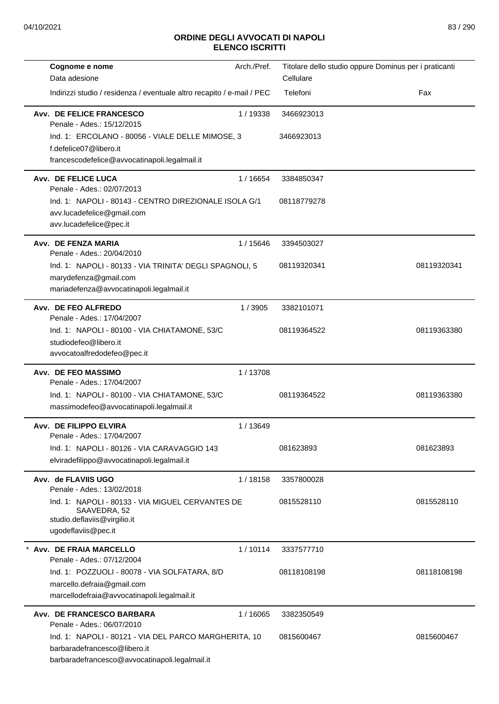| Cognome e nome                                                                                                                          | Arch./Pref. | Titolare dello studio oppure Dominus per i praticanti |             |
|-----------------------------------------------------------------------------------------------------------------------------------------|-------------|-------------------------------------------------------|-------------|
| Data adesione                                                                                                                           |             | Cellulare                                             |             |
| Indirizzi studio / residenza / eventuale altro recapito / e-mail / PEC                                                                  |             | Telefoni                                              | Fax         |
| <b>Avv. DE FELICE FRANCESCO</b><br>Penale - Ades.: 15/12/2015                                                                           | 1/19338     | 3466923013                                            |             |
| Ind. 1: ERCOLANO - 80056 - VIALE DELLE MIMOSE, 3<br>f.defelice07@libero.it<br>francescodefelice@avvocatinapoli.legalmail.it             |             | 3466923013                                            |             |
| Avv. DE FELICE LUCA<br>Penale - Ades.: 02/07/2013                                                                                       | 1 / 16654   | 3384850347                                            |             |
| Ind. 1: NAPOLI - 80143 - CENTRO DIREZIONALE ISOLA G/1<br>avv.lucadefelice@gmail.com<br>avv.lucadefelice@pec.it                          |             | 08118779278                                           |             |
| Avv. DE FENZA MARIA<br>Penale - Ades.: 20/04/2010                                                                                       | 1 / 15646   | 3394503027                                            |             |
| Ind. 1: NAPOLI - 80133 - VIA TRINITA' DEGLI SPAGNOLI, 5<br>marydefenza@gmail.com<br>mariadefenza@avvocatinapoli.legalmail.it            |             | 08119320341                                           | 08119320341 |
| Avv. DE FEO ALFREDO<br>Penale - Ades.: 17/04/2007                                                                                       | 1/3905      | 3382101071                                            |             |
| Ind. 1: NAPOLI - 80100 - VIA CHIATAMONE, 53/C<br>studiodefeo@libero.it<br>avvocatoalfredodefeo@pec.it                                   |             | 08119364522                                           | 08119363380 |
| Avv. DE FEO MASSIMO<br>Penale - Ades.: 17/04/2007                                                                                       | 1/13708     |                                                       |             |
| Ind. 1: NAPOLI - 80100 - VIA CHIATAMONE, 53/C<br>massimodefeo@avvocatinapoli.legalmail.it                                               |             | 08119364522                                           | 08119363380 |
| Avv. DE FILIPPO ELVIRA<br>Penale - Ades.: 17/04/2007                                                                                    | 1/13649     |                                                       |             |
| Ind. 1: NAPOLI - 80126 - VIA CARAVAGGIO 143<br>elviradefilippo@avvocatinapoli.legalmail.it                                              |             | 081623893                                             | 081623893   |
| Avv. de FLAVIIS UGO<br>Penale - Ades.: 13/02/2018                                                                                       | 1/18158     | 3357800028                                            |             |
| Ind. 1: NAPOLI - 80133 - VIA MIGUEL CERVANTES DE<br>SAAVEDRA, 52<br>studio.deflaviis@virgilio.it<br>ugodeflaviis@pec.it                 |             | 0815528110                                            | 0815528110  |
| Avv. DE FRAIA MARCELLO<br>Penale - Ades.: 07/12/2004                                                                                    | 1/10114     | 3337577710                                            |             |
| Ind. 1: POZZUOLI - 80078 - VIA SOLFATARA, 8/D<br>marcello.defraia@gmail.com<br>marcellodefraia@avvocatinapoli.legalmail.it              |             | 08118108198                                           | 08118108198 |
| Avv. DE FRANCESCO BARBARA<br>Penale - Ades.: 06/07/2010                                                                                 | 1/16065     | 3382350549                                            |             |
| Ind. 1: NAPOLI - 80121 - VIA DEL PARCO MARGHERITA, 10<br>barbaradefrancesco@libero.it<br>barbaradefrancesco@avvocatinapoli.legalmail.it |             | 0815600467                                            | 0815600467  |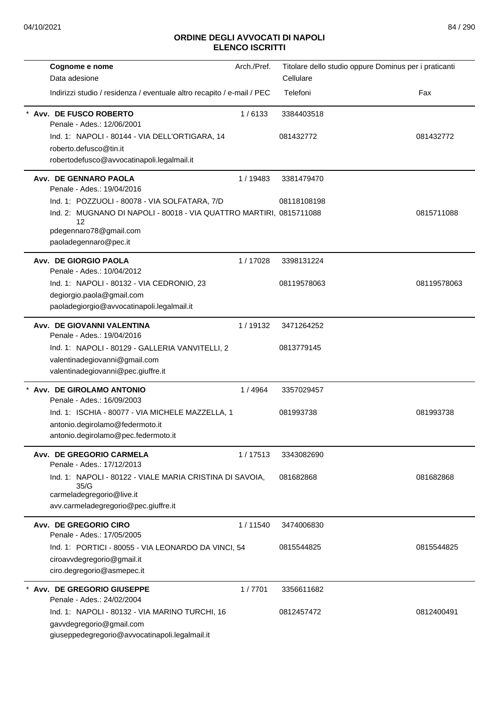| Cognome e nome<br>Data adesione                                                                                                       | Arch./Pref. | Titolare dello studio oppure Dominus per i praticanti<br>Cellulare |             |
|---------------------------------------------------------------------------------------------------------------------------------------|-------------|--------------------------------------------------------------------|-------------|
| Indirizzi studio / residenza / eventuale altro recapito / e-mail / PEC                                                                |             | Telefoni                                                           | Fax         |
| Avv. DE FUSCO ROBERTO<br>Penale - Ades.: 12/06/2001                                                                                   | 1/6133      | 3384403518                                                         |             |
| Ind. 1: NAPOLI - 80144 - VIA DELL'ORTIGARA, 14<br>roberto.defusco@tin.it<br>robertodefusco@avvocatinapoli.legalmail.it                |             | 081432772                                                          | 081432772   |
| Avv. DE GENNARO PAOLA<br>Penale - Ades.: 19/04/2016                                                                                   | 1/19483     | 3381479470                                                         |             |
| Ind. 1: POZZUOLI - 80078 - VIA SOLFATARA, 7/D                                                                                         |             | 08118108198                                                        |             |
| Ind. 2: MUGNANO DI NAPOLI - 80018 - VIA QUATTRO MARTIRI, 0815711088<br>12<br>pdegennaro78@gmail.com<br>paoladegennaro@pec.it          |             |                                                                    | 0815711088  |
| Avv. DE GIORGIO PAOLA<br>Penale - Ades.: 10/04/2012                                                                                   | 1/17028     | 3398131224                                                         |             |
| Ind. 1: NAPOLI - 80132 - VIA CEDRONIO, 23<br>degiorgio.paola@gmail.com<br>paoladegiorgio@avvocatinapoli.legalmail.it                  |             | 08119578063                                                        | 08119578063 |
| Avv. DE GIOVANNI VALENTINA<br>Penale - Ades.: 19/04/2016                                                                              | 1/19132     | 3471264252                                                         |             |
| Ind. 1: NAPOLI - 80129 - GALLERIA VANVITELLI, 2<br>valentinadegiovanni@gmail.com<br>valentinadegiovanni@pec.giuffre.it                |             | 0813779145                                                         |             |
| * Avv. DE GIROLAMO ANTONIO<br>Penale - Ades.: 16/09/2003                                                                              | 1/4964      | 3357029457                                                         |             |
| Ind. 1: ISCHIA - 80077 - VIA MICHELE MAZZELLA, 1<br>antonio.degirolamo@federmoto.it<br>antonio.degirolamo@pec.federmoto.it            |             | 081993738                                                          | 081993738   |
| Avv. DE GREGORIO CARMELA<br>Penale - Ades.: 17/12/2013                                                                                | 1/17513     | 3343082690                                                         |             |
| Ind. 1: NAPOLI - 80122 - VIALE MARIA CRISTINA DI SAVOIA,<br>35/G<br>carmeladegregorio@live.it<br>avv.carmeladegregorio@pec.giuffre.it |             | 081682868                                                          | 081682868   |
| Avv. DE GREGORIO CIRO<br>Penale - Ades.: 17/05/2005                                                                                   | 1/11540     | 3474006830                                                         |             |
| Ind. 1: PORTICI - 80055 - VIA LEONARDO DA VINCI, 54<br>ciroavvdegregorio@gmail.it<br>ciro.degregorio@asmepec.it                       |             | 0815544825                                                         | 0815544825  |
| * Avv. DE GREGORIO GIUSEPPE<br>Penale - Ades.: 24/02/2004                                                                             | 1/7701      | 3356611682                                                         |             |
| Ind. 1: NAPOLI - 80132 - VIA MARINO TURCHI, 16<br>gavvdegregorio@gmail.com<br>giuseppedegregorio@avvocatinapoli.legalmail.it          |             | 0812457472                                                         | 0812400491  |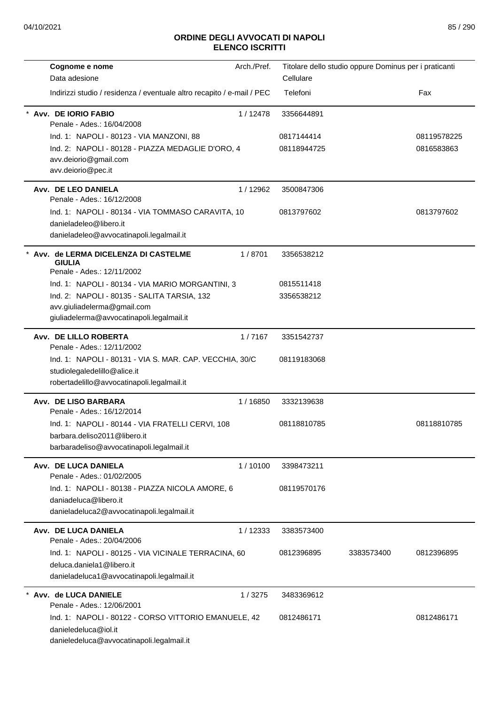| Cognome e nome                                                                   | Arch./Pref. |             | Titolare dello studio oppure Dominus per i praticanti |             |
|----------------------------------------------------------------------------------|-------------|-------------|-------------------------------------------------------|-------------|
| Data adesione                                                                    |             | Cellulare   |                                                       |             |
| Indirizzi studio / residenza / eventuale altro recapito / e-mail / PEC           |             | Telefoni    |                                                       | Fax         |
| Avv. DE IORIO FABIO                                                              | 1/12478     | 3356644891  |                                                       |             |
| Penale - Ades.: 16/04/2008                                                       |             |             |                                                       |             |
| Ind. 1: NAPOLI - 80123 - VIA MANZONI, 88                                         |             | 0817144414  |                                                       | 08119578225 |
| Ind. 2: NAPOLI - 80128 - PIAZZA MEDAGLIE D'ORO, 4<br>avv.deiorio@gmail.com       |             | 08118944725 |                                                       | 0816583863  |
| avv.deiorio@pec.it                                                               |             |             |                                                       |             |
| Avv. DE LEO DANIELA                                                              | 1/12962     | 3500847306  |                                                       |             |
| Penale - Ades.: 16/12/2008                                                       |             |             |                                                       |             |
| Ind. 1: NAPOLI - 80134 - VIA TOMMASO CARAVITA, 10                                |             | 0813797602  |                                                       | 0813797602  |
| danieladeleo@libero.it                                                           |             |             |                                                       |             |
| danieladeleo@avvocatinapoli.legalmail.it                                         |             |             |                                                       |             |
| Avv. de LERMA DICELENZA DI CASTELME                                              | 1/8701      | 3356538212  |                                                       |             |
| <b>GIULIA</b><br>Penale - Ades.: 12/11/2002                                      |             |             |                                                       |             |
| Ind. 1: NAPOLI - 80134 - VIA MARIO MORGANTINI, 3                                 |             | 0815511418  |                                                       |             |
| Ind. 2: NAPOLI - 80135 - SALITA TARSIA, 132                                      |             | 3356538212  |                                                       |             |
| avv.giuliadelerma@gmail.com                                                      |             |             |                                                       |             |
| giuliadelerma@avvocatinapoli.legalmail.it                                        |             |             |                                                       |             |
| Avv. DE LILLO ROBERTA                                                            | 1/7167      | 3351542737  |                                                       |             |
| Penale - Ades.: 12/11/2002                                                       |             |             |                                                       |             |
| Ind. 1: NAPOLI - 80131 - VIA S. MAR. CAP. VECCHIA, 30/C                          |             | 08119183068 |                                                       |             |
| studiolegaledelillo@alice.it                                                     |             |             |                                                       |             |
| robertadelillo@avvocatinapoli.legalmail.it                                       |             |             |                                                       |             |
| Avv. DE LISO BARBARA<br>Penale - Ades.: 16/12/2014                               | 1/16850     | 3332139638  |                                                       |             |
| Ind. 1: NAPOLI - 80144 - VIA FRATELLI CERVI, 108                                 |             | 08118810785 |                                                       | 08118810785 |
| barbara.deliso2011@libero.it                                                     |             |             |                                                       |             |
| barbaradeliso@avvocatinapoli.legalmail.it                                        |             |             |                                                       |             |
| Avv. DE LUCA DANIELA                                                             | 1/10100     | 3398473211  |                                                       |             |
| Penale - Ades.: 01/02/2005                                                       |             |             |                                                       |             |
| Ind. 1: NAPOLI - 80138 - PIAZZA NICOLA AMORE, 6                                  |             | 08119570176 |                                                       |             |
| daniadeluca@libero.it                                                            |             |             |                                                       |             |
| danieladeluca2@avvocatinapoli.legalmail.it                                       |             |             |                                                       |             |
| Avv. DE LUCA DANIELA                                                             | 1 / 12333   | 3383573400  |                                                       |             |
| Penale - Ades.: 20/04/2006                                                       |             |             |                                                       |             |
| Ind. 1: NAPOLI - 80125 - VIA VICINALE TERRACINA, 60<br>deluca.daniela1@libero.it |             | 0812396895  | 3383573400                                            | 0812396895  |
| danieladeluca1@avvocatinapoli.legalmail.it                                       |             |             |                                                       |             |
| Avv. de LUCA DANIELE                                                             | 1/3275      | 3483369612  |                                                       |             |
| Penale - Ades.: 12/06/2001                                                       |             |             |                                                       |             |
| Ind. 1: NAPOLI - 80122 - CORSO VITTORIO EMANUELE, 42                             |             | 0812486171  |                                                       | 0812486171  |
| danieledeluca@iol.it                                                             |             |             |                                                       |             |
| danieledeluca@avvocatinapoli.legalmail.it                                        |             |             |                                                       |             |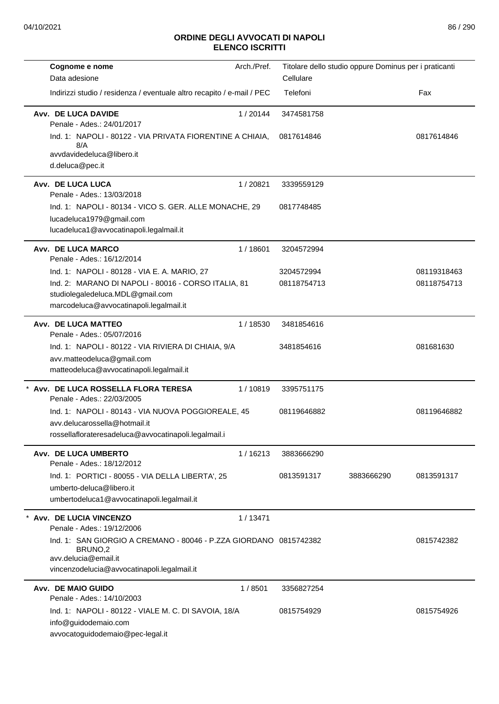| Cognome e nome<br>Data adesione                                                                                                                     | Arch./Pref. | Cellulare   | Titolare dello studio oppure Dominus per i praticanti |             |
|-----------------------------------------------------------------------------------------------------------------------------------------------------|-------------|-------------|-------------------------------------------------------|-------------|
| Indirizzi studio / residenza / eventuale altro recapito / e-mail / PEC                                                                              |             | Telefoni    |                                                       | Fax         |
| Avv. DE LUCA DAVIDE<br>Penale - Ades.: 24/01/2017                                                                                                   | 1/20144     | 3474581758  |                                                       |             |
| Ind. 1: NAPOLI - 80122 - VIA PRIVATA FIORENTINE A CHIAIA,<br>8/A                                                                                    |             | 0817614846  |                                                       | 0817614846  |
| avvdavidedeluca@libero.it<br>d.deluca@pec.it                                                                                                        |             |             |                                                       |             |
| Avv. DE LUCA LUCA<br>Penale - Ades.: 13/03/2018                                                                                                     | 1/20821     | 3339559129  |                                                       |             |
| Ind. 1: NAPOLI - 80134 - VICO S. GER. ALLE MONACHE, 29<br>lucadeluca1979@gmail.com<br>lucadeluca1@avvocatinapoli.legalmail.it                       |             | 0817748485  |                                                       |             |
| Avv. DE LUCA MARCO<br>Penale - Ades.: 16/12/2014                                                                                                    | 1/18601     | 3204572994  |                                                       |             |
| Ind. 1: NAPOLI - 80128 - VIA E. A. MARIO, 27                                                                                                        |             | 3204572994  |                                                       | 08119318463 |
| Ind. 2: MARANO DI NAPOLI - 80016 - CORSO ITALIA, 81<br>studiolegaledeluca.MDL@gmail.com<br>marcodeluca@avvocatinapoli.legalmail.it                  |             | 08118754713 |                                                       | 08118754713 |
| Avv. DE LUCA MATTEO<br>Penale - Ades.: 05/07/2016                                                                                                   | 1/18530     | 3481854616  |                                                       |             |
| Ind. 1: NAPOLI - 80122 - VIA RIVIERA DI CHIAIA, 9/A                                                                                                 |             | 3481854616  |                                                       | 081681630   |
| avv.matteodeluca@gmail.com<br>matteodeluca@avvocatinapoli.legalmail.it                                                                              |             |             |                                                       |             |
| * Avv. DE LUCA ROSSELLA FLORA TERESA<br>Penale - Ades.: 22/03/2005                                                                                  | 1/10819     | 3395751175  |                                                       |             |
| Ind. 1: NAPOLI - 80143 - VIA NUOVA POGGIOREALE, 45<br>avv.delucarossella@hotmail.it<br>rossellaflorateresadeluca@avvocatinapoli.legalmail.i         |             | 08119646882 |                                                       | 08119646882 |
| Avv. DE LUCA UMBERTO                                                                                                                                | 1/16213     | 3883666290  |                                                       |             |
| Penale - Ades.: 18/12/2012<br>Ind. 1: PORTICI - 80055 - VIA DELLA LIBERTA', 25                                                                      |             | 0813591317  | 3883666290                                            | 0813591317  |
| umberto-deluca@libero.it<br>umbertodeluca1@avvocatinapoli.legalmail.it                                                                              |             |             |                                                       |             |
| Avv. DE LUCIA VINCENZO<br>Penale - Ades.: 19/12/2006                                                                                                | 1/13471     |             |                                                       |             |
| Ind. 1: SAN GIORGIO A CREMANO - 80046 - P.ZZA GIORDANO 0815742382<br>BRUNO,2<br>avv.delucia@email.it<br>vincenzodelucia@avvocatinapoli.legalmail.it |             |             |                                                       | 0815742382  |
| Avv. DE MAIO GUIDO                                                                                                                                  | 1/8501      | 3356827254  |                                                       |             |
| Penale - Ades.: 14/10/2003                                                                                                                          |             |             |                                                       |             |
| Ind. 1: NAPOLI - 80122 - VIALE M. C. DI SAVOIA, 18/A<br>info@guidodemaio.com<br>avvocatoguidodemaio@pec-legal.it                                    |             | 0815754929  |                                                       | 0815754926  |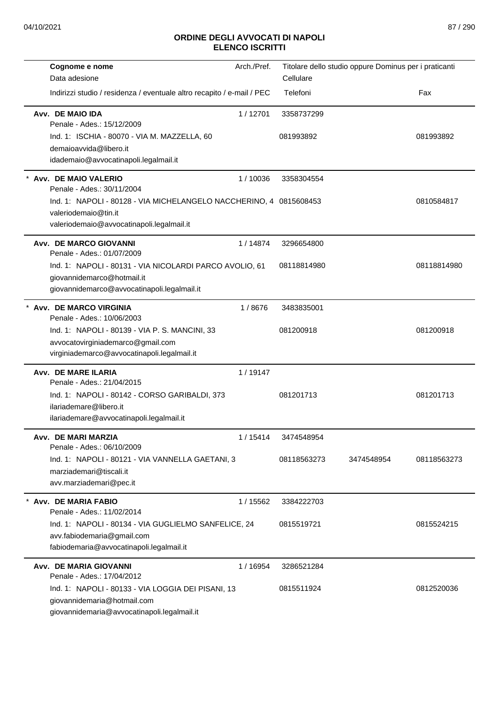| Cognome e nome<br>Data adesione                                                                                                         | Arch./Pref. | Cellulare   | Titolare dello studio oppure Dominus per i praticanti |             |
|-----------------------------------------------------------------------------------------------------------------------------------------|-------------|-------------|-------------------------------------------------------|-------------|
| Indirizzi studio / residenza / eventuale altro recapito / e-mail / PEC                                                                  |             | Telefoni    |                                                       | Fax         |
| Avv. DE MAIO IDA<br>Penale - Ades.: 15/12/2009                                                                                          | 1/12701     | 3358737299  |                                                       |             |
| Ind. 1: ISCHIA - 80070 - VIA M. MAZZELLA, 60<br>demaioavvida@libero.it<br>idademaio@avvocatinapoli.legalmail.it                         |             | 081993892   |                                                       | 081993892   |
| Avv. DE MAIO VALERIO<br>Penale - Ades.: 30/11/2004                                                                                      | 1/10036     | 3358304554  |                                                       |             |
| Ind. 1: NAPOLI - 80128 - VIA MICHELANGELO NACCHERINO, 4 0815608453<br>valeriodemaio@tin.it<br>valeriodemaio@avvocatinapoli.legalmail.it |             |             |                                                       | 0810584817  |
| <b>Avv. DE MARCO GIOVANNI</b><br>Penale - Ades.: 01/07/2009                                                                             | 1/14874     | 3296654800  |                                                       |             |
| Ind. 1: NAPOLI - 80131 - VIA NICOLARDI PARCO AVOLIO, 61<br>giovannidemarco@hotmail.it<br>giovannidemarco@avvocatinapoli.legalmail.it    |             | 08118814980 |                                                       | 08118814980 |
| <b>Avv. DE MARCO VIRGINIA</b><br>Penale - Ades.: 10/06/2003                                                                             | 1/8676      | 3483835001  |                                                       |             |
| Ind. 1: NAPOLI - 80139 - VIA P. S. MANCINI, 33<br>avvocatovirginiademarco@gmail.com<br>virginiademarco@avvocatinapoli.legalmail.it      |             | 081200918   |                                                       | 081200918   |
| Avv. DE MARE ILARIA<br>Penale - Ades.: 21/04/2015                                                                                       | 1/19147     |             |                                                       |             |
| Ind. 1: NAPOLI - 80142 - CORSO GARIBALDI, 373<br>ilariademare@libero.it<br>ilariademare@avvocatinapoli.legalmail.it                     |             | 081201713   |                                                       | 081201713   |
| Avv. DE MARI MARZIA<br>Penale - Ades.: 06/10/2009                                                                                       | 1/15414     | 3474548954  |                                                       |             |
| Ind. 1: NAPOLI - 80121 - VIA VANNELLA GAETANI, 3<br>marziademari@tiscali.it<br>avv.marziademari@pec.it                                  |             | 08118563273 | 3474548954                                            | 08118563273 |
| Avv. DE MARIA FABIO<br>Penale - Ades.: 11/02/2014                                                                                       | 1 / 15562   | 3384222703  |                                                       |             |
| Ind. 1: NAPOLI - 80134 - VIA GUGLIELMO SANFELICE, 24<br>avv.fabiodemaria@gmail.com<br>fabiodemaria@avvocatinapoli.legalmail.it          |             | 0815519721  |                                                       | 0815524215  |
| Avv. DE MARIA GIOVANNI<br>Penale - Ades.: 17/04/2012                                                                                    | 1/16954     | 3286521284  |                                                       |             |
| Ind. 1: NAPOLI - 80133 - VIA LOGGIA DEI PISANI, 13<br>giovannidemaria@hotmail.com<br>giovannidemaria@avvocatinapoli.legalmail.it        |             | 0815511924  |                                                       | 0812520036  |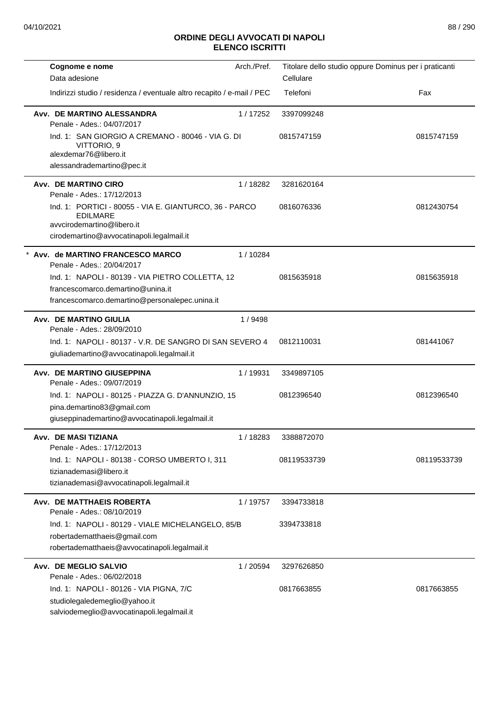| Cognome e nome                                                                                                                                       | Arch./Pref. |             | Titolare dello studio oppure Dominus per i praticanti |
|------------------------------------------------------------------------------------------------------------------------------------------------------|-------------|-------------|-------------------------------------------------------|
| Data adesione                                                                                                                                        |             | Cellulare   |                                                       |
| Indirizzi studio / residenza / eventuale altro recapito / e-mail / PEC                                                                               |             | Telefoni    | Fax                                                   |
| Avv. DE MARTINO ALESSANDRA<br>Penale - Ades.: 04/07/2017                                                                                             | 1/17252     | 3397099248  |                                                       |
| Ind. 1: SAN GIORGIO A CREMANO - 80046 - VIA G. DI<br>VITTORIO, 9<br>alexdemar76@libero.it<br>alessandrademartino@pec.it                              |             | 0815747159  | 0815747159                                            |
| Avv. DE MARTINO CIRO<br>Penale - Ades.: 17/12/2013                                                                                                   | 1/18282     | 3281620164  |                                                       |
| Ind. 1: PORTICI - 80055 - VIA E. GIANTURCO, 36 - PARCO<br><b>EDILMARE</b><br>avvcirodemartino@libero.it<br>cirodemartino@avvocatinapoli.legalmail.it |             | 0816076336  | 0812430754                                            |
| Avv. de MARTINO FRANCESCO MARCO<br>Penale - Ades.: 20/04/2017                                                                                        | 1/10284     |             |                                                       |
| Ind. 1: NAPOLI - 80139 - VIA PIETRO COLLETTA, 12<br>francescomarco.demartino@unina.it<br>francescomarco.demartino@personalepec.unina.it              |             | 0815635918  | 0815635918                                            |
| <b>Avv. DE MARTINO GIULIA</b><br>Penale - Ades.: 28/09/2010                                                                                          | 1/9498      |             |                                                       |
| Ind. 1: NAPOLI - 80137 - V.R. DE SANGRO DI SAN SEVERO 4<br>giuliademartino@avvocatinapoli.legalmail.it                                               |             | 0812110031  | 081441067                                             |
| Avv. DE MARTINO GIUSEPPINA<br>Penale - Ades.: 09/07/2019                                                                                             | 1/19931     | 3349897105  |                                                       |
| Ind. 1: NAPOLI - 80125 - PIAZZA G. D'ANNUNZIO, 15<br>pina.demartino83@gmail.com<br>giuseppinademartino@avvocatinapoli.legalmail.it                   |             | 0812396540  | 0812396540                                            |
| Avv. DE MASI TIZIANA<br>Penale - Ades.: 17/12/2013                                                                                                   | 1/18283     | 3388872070  |                                                       |
| Ind. 1: NAPOLI - 80138 - CORSO UMBERTO I, 311<br>tizianademasi@libero.it<br>tizianademasi@avvocatinapoli.legalmail.it                                |             | 08119533739 | 08119533739                                           |
| Avv. DE MATTHAEIS ROBERTA<br>Penale - Ades.: 08/10/2019                                                                                              | 1 / 19757   | 3394733818  |                                                       |
| Ind. 1: NAPOLI - 80129 - VIALE MICHELANGELO, 85/B<br>robertadematthaeis@gmail.com<br>robertadematthaeis@avvocatinapoli.legalmail.it                  |             | 3394733818  |                                                       |
| Avv. DE MEGLIO SALVIO<br>Penale - Ades.: 06/02/2018                                                                                                  | 1/20594     | 3297626850  |                                                       |
| Ind. 1: NAPOLI - 80126 - VIA PIGNA, 7/C<br>studiolegaledemeglio@yahoo.it<br>salviodemeglio@avvocatinapoli.legalmail.it                               |             | 0817663855  | 0817663855                                            |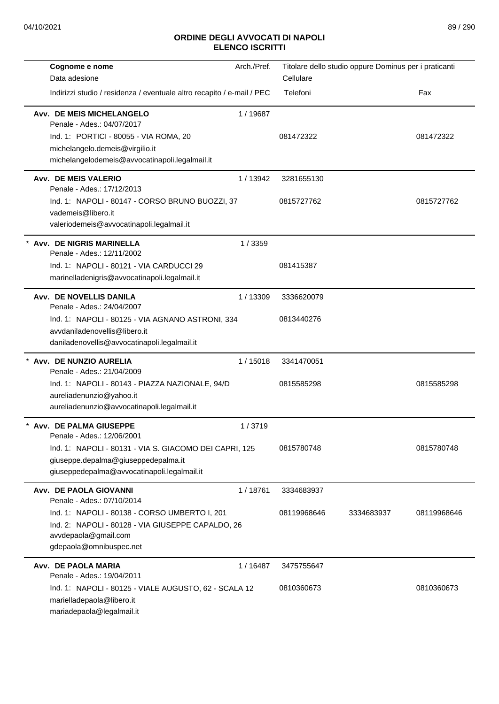| Cognome e nome                                                                                                                                        | Arch./Pref. |             | Titolare dello studio oppure Dominus per i praticanti |             |
|-------------------------------------------------------------------------------------------------------------------------------------------------------|-------------|-------------|-------------------------------------------------------|-------------|
| Data adesione                                                                                                                                         |             | Cellulare   |                                                       |             |
| Indirizzi studio / residenza / eventuale altro recapito / e-mail / PEC                                                                                |             | Telefoni    |                                                       | Fax         |
| Avv. DE MEIS MICHELANGELO<br>Penale - Ades.: 04/07/2017                                                                                               | 1/19687     |             |                                                       |             |
| Ind. 1: PORTICI - 80055 - VIA ROMA, 20                                                                                                                |             | 081472322   |                                                       | 081472322   |
| michelangelo.demeis@virgilio.it                                                                                                                       |             |             |                                                       |             |
| michelangelodemeis@avvocatinapoli.legalmail.it                                                                                                        |             |             |                                                       |             |
| Avv. DE MEIS VALERIO<br>Penale - Ades.: 17/12/2013                                                                                                    | 1/13942     | 3281655130  |                                                       |             |
| Ind. 1: NAPOLI - 80147 - CORSO BRUNO BUOZZI, 37<br>vademeis@libero.it<br>valeriodemeis@avvocatinapoli.legalmail.it                                    |             | 0815727762  |                                                       | 0815727762  |
| Avv. DE NIGRIS MARINELLA<br>Penale - Ades.: 12/11/2002                                                                                                | 1/3359      |             |                                                       |             |
| Ind. 1: NAPOLI - 80121 - VIA CARDUCCI 29<br>marinelladenigris@avvocatinapoli.legalmail.it                                                             |             | 081415387   |                                                       |             |
| Avv. DE NOVELLIS DANILA<br>Penale - Ades.: 24/04/2007                                                                                                 | 1/13309     | 3336620079  |                                                       |             |
| Ind. 1: NAPOLI - 80125 - VIA AGNANO ASTRONI, 334<br>avvdaniladenovellis@libero.it<br>daniladenovellis@avvocatinapoli.legalmail.it                     |             | 0813440276  |                                                       |             |
| * Avv. DE NUNZIO AURELIA<br>Penale - Ades.: 21/04/2009                                                                                                | 1/15018     | 3341470051  |                                                       |             |
| Ind. 1: NAPOLI - 80143 - PIAZZA NAZIONALE, 94/D<br>aureliadenunzio@yahoo.it                                                                           |             | 0815585298  |                                                       | 0815585298  |
| aureliadenunzio@avvocatinapoli.legalmail.it                                                                                                           |             |             |                                                       |             |
| Avv. DE PALMA GIUSEPPE<br>Penale - Ades.: 12/06/2001                                                                                                  | 1/3719      |             |                                                       |             |
| Ind. 1: NAPOLI - 80131 - VIA S. GIACOMO DEI CAPRI, 125<br>giuseppe.depalma@giuseppedepalma.it<br>giuseppedepalma@avvocatinapoli.legalmail.it          |             | 0815780748  |                                                       | 0815780748  |
| Avv. DE PAOLA GIOVANNI<br>Penale - Ades.: 07/10/2014                                                                                                  | 1/18761     | 3334683937  |                                                       |             |
| Ind. 1: NAPOLI - 80138 - CORSO UMBERTO I, 201<br>Ind. 2: NAPOLI - 80128 - VIA GIUSEPPE CAPALDO, 26<br>avvdepaola@gmail.com<br>gdepaola@omnibuspec.net |             | 08119968646 | 3334683937                                            | 08119968646 |
| Avv. DE PAOLA MARIA<br>Penale - Ades.: 19/04/2011                                                                                                     | 1/16487     | 3475755647  |                                                       |             |
| Ind. 1: NAPOLI - 80125 - VIALE AUGUSTO, 62 - SCALA 12<br>marielladepaola@libero.it<br>mariadepaola@legalmail.it                                       |             | 0810360673  |                                                       | 0810360673  |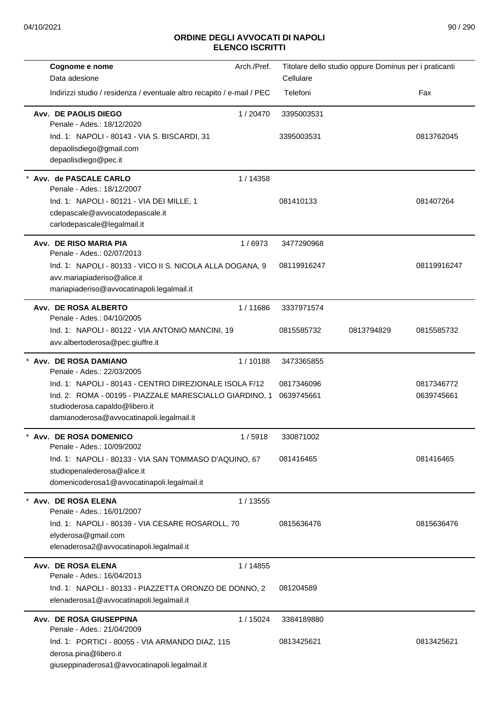| Cognome e nome                                                                            | Arch./Pref. | Titolare dello studio oppure Dominus per i praticanti |            |             |
|-------------------------------------------------------------------------------------------|-------------|-------------------------------------------------------|------------|-------------|
| Data adesione                                                                             |             | Cellulare                                             |            |             |
| Indirizzi studio / residenza / eventuale altro recapito / e-mail / PEC                    |             | Telefoni                                              |            | Fax         |
| Avv. DE PAOLIS DIEGO<br>Penale - Ades.: 18/12/2020                                        | 1/20470     | 3395003531                                            |            |             |
| Ind. 1: NAPOLI - 80143 - VIA S. BISCARDI, 31                                              |             | 3395003531                                            |            | 0813762045  |
| depaolisdiego@gmail.com                                                                   |             |                                                       |            |             |
| depaolisdiego@pec.it                                                                      |             |                                                       |            |             |
| Avv. de PASCALE CARLO<br>Penale - Ades.: 18/12/2007                                       | 1/14358     |                                                       |            |             |
| Ind. 1: NAPOLI - 80121 - VIA DEI MILLE, 1                                                 |             | 081410133                                             |            | 081407264   |
| cdepascale@avvocatodepascale.it                                                           |             |                                                       |            |             |
| carlodepascale@legalmail.it                                                               |             |                                                       |            |             |
| Avv. DE RISO MARIA PIA<br>Penale - Ades.: 02/07/2013                                      | 1/6973      | 3477290968                                            |            |             |
| Ind. 1: NAPOLI - 80133 - VICO II S. NICOLA ALLA DOGANA, 9                                 |             | 08119916247                                           |            | 08119916247 |
| avv.mariapiaderiso@alice.it                                                               |             |                                                       |            |             |
| mariapiaderiso@avvocatinapoli.legalmail.it                                                |             |                                                       |            |             |
| Avv. DE ROSA ALBERTO<br>Penale - Ades.: 04/10/2005                                        | 1/11686     | 3337971574                                            |            |             |
| Ind. 1: NAPOLI - 80122 - VIA ANTONIO MANCINI, 19                                          |             | 0815585732                                            | 0813794829 | 0815585732  |
| avv.albertoderosa@pec.giuffre.it                                                          |             |                                                       |            |             |
| Avv. DE ROSA DAMIANO                                                                      | 1/10188     | 3473365855                                            |            |             |
| Penale - Ades.: 22/03/2005                                                                |             |                                                       |            |             |
| Ind. 1: NAPOLI - 80143 - CENTRO DIREZIONALE ISOLA F/12                                    |             | 0817346096                                            |            | 0817346772  |
| Ind. 2: ROMA - 00195 - PIAZZALE MARESCIALLO GIARDINO, 1<br>studioderosa.capaldo@libero.it |             | 0639745661                                            |            | 0639745661  |
| damianoderosa@avvocatinapoli.legalmail.it                                                 |             |                                                       |            |             |
| <b>Avv. DE ROSA DOMENICO</b>                                                              | 1/5918      | 330871002                                             |            |             |
| Penale - Ades.: 10/09/2002                                                                |             |                                                       |            |             |
| Ind. 1: NAPOLI - 80133 - VIA SAN TOMMASO D'AQUINO, 67                                     |             | 081416465                                             |            | 081416465   |
| studiopenalederosa@alice.it                                                               |             |                                                       |            |             |
| domenicoderosa1@avvocatinapoli.legalmail.it                                               |             |                                                       |            |             |
| Avv. DE ROSA ELENA                                                                        | 1/13555     |                                                       |            |             |
| Penale - Ades.: 16/01/2007                                                                |             |                                                       |            |             |
| Ind. 1: NAPOLI - 80139 - VIA CESARE ROSAROLL, 70                                          |             | 0815636476                                            |            | 0815636476  |
| elyderosa@gmail.com<br>elenaderosa2@avvocatinapoli.legalmail.it                           |             |                                                       |            |             |
|                                                                                           |             |                                                       |            |             |
| Avv. DE ROSA ELENA<br>Penale - Ades.: 16/04/2013                                          | 1 / 14855   |                                                       |            |             |
| Ind. 1: NAPOLI - 80133 - PIAZZETTA ORONZO DE DONNO, 2                                     |             | 081204589                                             |            |             |
| elenaderosa1@avvocatinapoli.legalmail.it                                                  |             |                                                       |            |             |
| Avv. DE ROSA GIUSEPPINA                                                                   | 1 / 15024   | 3384189880                                            |            |             |
| Penale - Ades.: 21/04/2009                                                                |             |                                                       |            |             |
| Ind. 1: PORTICI - 80055 - VIA ARMANDO DIAZ, 115                                           |             | 0813425621                                            |            | 0813425621  |
| derosa.pina@libero.it                                                                     |             |                                                       |            |             |
| giuseppinaderosa1@avvocatinapoli.legalmail.it                                             |             |                                                       |            |             |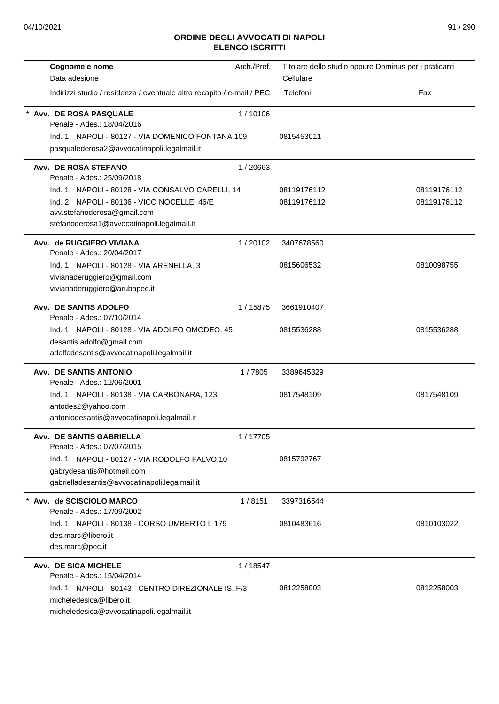| Cognome e nome                                                         | Arch./Pref. | Titolare dello studio oppure Dominus per i praticanti |             |
|------------------------------------------------------------------------|-------------|-------------------------------------------------------|-------------|
| Data adesione                                                          |             | Cellulare                                             |             |
| Indirizzi studio / residenza / eventuale altro recapito / e-mail / PEC |             | Telefoni                                              | Fax         |
| Avv. DE ROSA PASQUALE                                                  | 1/10106     |                                                       |             |
| Penale - Ades.: 18/04/2016                                             |             |                                                       |             |
| Ind. 1: NAPOLI - 80127 - VIA DOMENICO FONTANA 109                      |             | 0815453011                                            |             |
| pasqualederosa2@avvocatinapoli.legalmail.it                            |             |                                                       |             |
| Avv. DE ROSA STEFANO<br>Penale - Ades.: 25/09/2018                     | 1/20663     |                                                       |             |
| Ind. 1: NAPOLI - 80128 - VIA CONSALVO CARELLI, 14                      |             | 08119176112                                           | 08119176112 |
| Ind. 2: NAPOLI - 80136 - VICO NOCELLE, 46/E                            |             | 08119176112                                           | 08119176112 |
| avv.stefanoderosa@gmail.com                                            |             |                                                       |             |
| stefanoderosa1@avvocatinapoli.legalmail.it                             |             |                                                       |             |
| Avv. de RUGGIERO VIVIANA<br>Penale - Ades.: 20/04/2017                 | 1/20102     | 3407678560                                            |             |
| Ind. 1: NAPOLI - 80128 - VIA ARENELLA, 3                               |             | 0815606532                                            | 0810098755  |
| vivianaderuggiero@gmail.com                                            |             |                                                       |             |
| vivianaderuggiero@arubapec.it                                          |             |                                                       |             |
| Avv. DE SANTIS ADOLFO<br>Penale - Ades.: 07/10/2014                    | 1 / 15875   | 3661910407                                            |             |
| Ind. 1: NAPOLI - 80128 - VIA ADOLFO OMODEO, 45                         |             | 0815536288                                            | 0815536288  |
| desantis.adolfo@gmail.com                                              |             |                                                       |             |
| adolfodesantis@avvocatinapoli.legalmail.it                             |             |                                                       |             |
| <b>Avv. DE SANTIS ANTONIO</b><br>Penale - Ades.: 12/06/2001            | 1/7805      | 3389645329                                            |             |
| Ind. 1: NAPOLI - 80138 - VIA CARBONARA, 123                            |             | 0817548109                                            | 0817548109  |
| antodes2@yahoo.com                                                     |             |                                                       |             |
| antoniodesantis@avvocatinapoli.legalmail.it                            |             |                                                       |             |
| <b>Avv. DE SANTIS GABRIELLA</b><br>Penale - Ades.: 07/07/2015          | 1/17705     |                                                       |             |
| Ind. 1: NAPOLI - 80127 - VIA RODOLFO FALVO,10                          |             | 0815792767                                            |             |
| gabrydesantis@hotmail.com                                              |             |                                                       |             |
| gabrielladesantis@avvocatinapoli.legalmail.it                          |             |                                                       |             |
| * Avv. de SCISCIOLO MARCO<br>Penale - Ades.: 17/09/2002                | 1/8151      | 3397316544                                            |             |
| Ind. 1: NAPOLI - 80138 - CORSO UMBERTO I, 179                          |             | 0810483616                                            | 0810103022  |
| des.marc@libero.it                                                     |             |                                                       |             |
| des.marc@pec.it                                                        |             |                                                       |             |
| Avv. DE SICA MICHELE                                                   | 1 / 18547   |                                                       |             |
| Penale - Ades.: 15/04/2014                                             |             |                                                       |             |
| Ind. 1: NAPOLI - 80143 - CENTRO DIREZIONALE IS. F/3                    |             | 0812258003                                            | 0812258003  |
| micheledesica@libero.it                                                |             |                                                       |             |
| micheledesica@avvocatinapoli.legalmail.it                              |             |                                                       |             |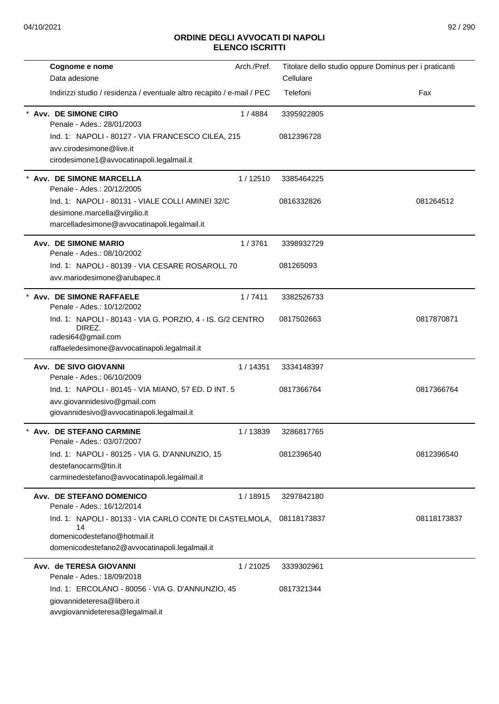| Cognome e nome                                                                 | Arch./Pref. |             | Titolare dello studio oppure Dominus per i praticanti |
|--------------------------------------------------------------------------------|-------------|-------------|-------------------------------------------------------|
| Data adesione                                                                  |             | Cellulare   |                                                       |
| Indirizzi studio / residenza / eventuale altro recapito / e-mail / PEC         |             | Telefoni    | Fax                                                   |
| Avv. DE SIMONE CIRO<br>Penale - Ades.: 28/01/2003                              | 1/4884      | 3395922805  |                                                       |
| Ind. 1: NAPOLI - 80127 - VIA FRANCESCO CILEA, 215                              |             | 0812396728  |                                                       |
| avv.cirodesimone@live.it                                                       |             |             |                                                       |
| cirodesimone1@avvocatinapoli.legalmail.it                                      |             |             |                                                       |
| <b>Avv. DE SIMONE MARCELLA</b><br>Penale - Ades.: 20/12/2005                   | 1/12510     | 3385464225  |                                                       |
| Ind. 1: NAPOLI - 80131 - VIALE COLLI AMINEI 32/C                               |             | 0816332826  | 081264512                                             |
| desimone.marcella@virgilio.it                                                  |             |             |                                                       |
| marcelladesimone@avvocatinapoli.legalmail.it                                   |             |             |                                                       |
| <b>Avv. DE SIMONE MARIO</b><br>Penale - Ades.: 08/10/2002                      | 1/3761      | 3398932729  |                                                       |
| Ind. 1: NAPOLI - 80139 - VIA CESARE ROSAROLL 70                                |             | 081265093   |                                                       |
| avv.mariodesimone@arubapec.it                                                  |             |             |                                                       |
| Avv. DE SIMONE RAFFAELE<br>Penale - Ades.: 10/12/2002                          | 1/7411      | 3382526733  |                                                       |
| Ind. 1: NAPOLI - 80143 - VIA G. PORZIO, 4 - IS. G/2 CENTRO                     |             | 0817502663  | 0817870871                                            |
| DIREZ.<br>radesi64@gmail.com                                                   |             |             |                                                       |
| raffaeledesimone@avvocatinapoli.legalmail.it                                   |             |             |                                                       |
| <b>Avv. DE SIVO GIOVANNI</b><br>Penale - Ades.: 06/10/2009                     | 1/14351     | 3334148397  |                                                       |
| Ind. 1: NAPOLI - 80145 - VIA MIANO, 57 ED. D INT. 5                            |             | 0817366764  | 0817366764                                            |
| avv.giovannidesivo@gmail.com                                                   |             |             |                                                       |
| giovannidesivo@avvocatinapoli.legalmail.it                                     |             |             |                                                       |
| Avv. DE STEFANO CARMINE<br>Penale - Ades.: 03/07/2007                          | 1/13839     | 3286817765  |                                                       |
| Ind. 1: NAPOLI - 80125 - VIA G. D'ANNUNZIO, 15                                 |             | 0812396540  | 0812396540                                            |
| destefanocarm@tin.it                                                           |             |             |                                                       |
| carminedestefano@avvocatinapoli.legalmail.it                                   |             |             |                                                       |
| Avv. DE STEFANO DOMENICO<br>Penale - Ades.: 16/12/2014                         | 1/18915     | 3297842180  |                                                       |
| Ind. 1: NAPOLI - 80133 - VIA CARLO CONTE DI CASTELMOLA,                        |             | 08118173837 | 08118173837                                           |
| 14<br>domenicodestefano@hotmail.it                                             |             |             |                                                       |
| domenicodestefano2@avvocatinapoli.legalmail.it                                 |             |             |                                                       |
| Avv. de TERESA GIOVANNI                                                        | 1/21025     | 3339302961  |                                                       |
| Penale - Ades.: 18/09/2018                                                     |             |             |                                                       |
| Ind. 1: ERCOLANO - 80056 - VIA G. D'ANNUNZIO, 45<br>giovannideteresa@libero.it |             | 0817321344  |                                                       |
| avvgiovannideteresa@legalmail.it                                               |             |             |                                                       |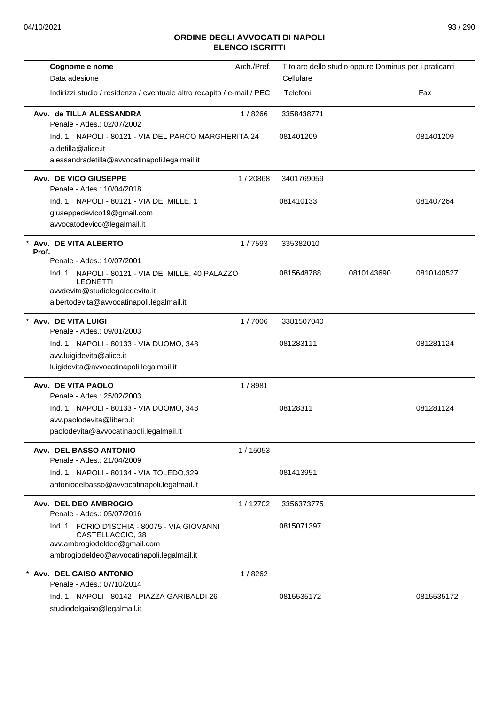| Cognome e nome<br>Data adesione                                                                                                                                                     | Arch./Pref. | Cellulare  | Titolare dello studio oppure Dominus per i praticanti |            |
|-------------------------------------------------------------------------------------------------------------------------------------------------------------------------------------|-------------|------------|-------------------------------------------------------|------------|
| Indirizzi studio / residenza / eventuale altro recapito / e-mail / PEC                                                                                                              |             | Telefoni   |                                                       | Fax        |
| Avv. de TILLA ALESSANDRA<br>Penale - Ades.: 02/07/2002                                                                                                                              | 1/8266      | 3358438771 |                                                       |            |
| Ind. 1: NAPOLI - 80121 - VIA DEL PARCO MARGHERITA 24<br>a.detilla@alice.it<br>alessandradetilla@avvocatinapoli.legalmail.it                                                         |             | 081401209  |                                                       | 081401209  |
| Avv. DE VICO GIUSEPPE<br>Penale - Ades.: 10/04/2018                                                                                                                                 | 1/20868     | 3401769059 |                                                       |            |
| Ind. 1: NAPOLI - 80121 - VIA DEI MILLE, 1<br>giuseppedevico19@gmail.com<br>avvocatodevico@legalmail.it                                                                              |             | 081410133  |                                                       | 081407264  |
| Avv. DE VITA ALBERTO<br>Prof.                                                                                                                                                       | 1/7593      | 335382010  |                                                       |            |
| Penale - Ades.: 10/07/2001<br>Ind. 1: NAPOLI - 80121 - VIA DEI MILLE, 40 PALAZZO<br><b>LEONETTI</b><br>avvdevita@studiolegaledevita.it<br>albertodevita@avvocatinapoli.legalmail.it |             | 0815648788 | 0810143690                                            | 0810140527 |
| * Avv. DE VITA LUIGI<br>Penale - Ades.: 09/01/2003                                                                                                                                  | 1/7006      | 3381507040 |                                                       |            |
| Ind. 1: NAPOLI - 80133 - VIA DUOMO, 348<br>avv.luigidevita@alice.it<br>luigidevita@avvocatinapoli.legalmail.it                                                                      |             | 081283111  |                                                       | 081281124  |
| Avv. DE VITA PAOLO<br>Penale - Ades.: 25/02/2003                                                                                                                                    | 1/8981      |            |                                                       |            |
| Ind. 1: NAPOLI - 80133 - VIA DUOMO, 348<br>avv.paolodevita@libero.it<br>paolodevita@avvocatinapoli.legalmail.it                                                                     |             | 08128311   |                                                       | 081281124  |
| Avv. DEL BASSO ANTONIO<br>Penale - Ades.: 21/04/2009                                                                                                                                | 1/15053     |            |                                                       |            |
| Ind. 1: NAPOLI - 80134 - VIA TOLEDO,329<br>antoniodelbasso@avvocatinapoli.legalmail.it                                                                                              |             | 081413951  |                                                       |            |
| Avv. DEL DEO AMBROGIO<br>Penale - Ades.: 05/07/2016                                                                                                                                 | 1/12702     | 3356373775 |                                                       |            |
| Ind. 1: FORIO D'ISCHIA - 80075 - VIA GIOVANNI<br>CASTELLACCIO, 38<br>avv.ambrogiodeldeo@gmail.com<br>ambrogiodeldeo@avvocatinapoli.legalmail.it                                     |             | 0815071397 |                                                       |            |
| Avv. DEL GAISO ANTONIO<br>Penale - Ades.: 07/10/2014                                                                                                                                | 1/8262      |            |                                                       |            |
| Ind. 1: NAPOLI - 80142 - PIAZZA GARIBALDI 26<br>studiodelgaiso@legalmail.it                                                                                                         |             | 0815535172 |                                                       | 0815535172 |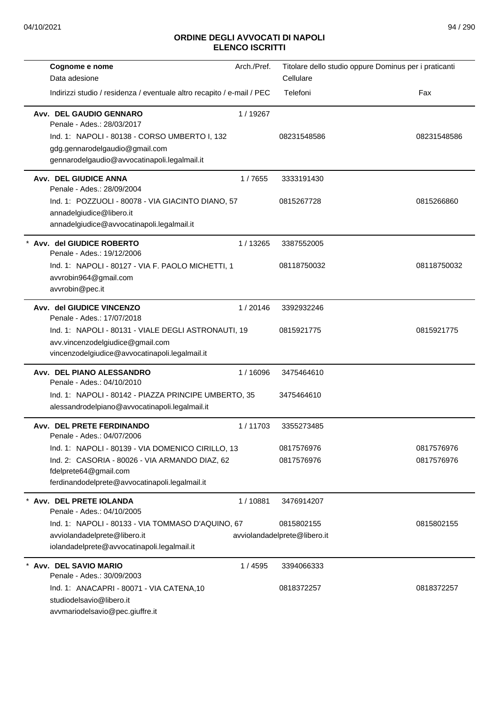| Cognome e nome                                                                                                                            | Arch./Pref. | Titolare dello studio oppure Dominus per i praticanti |             |
|-------------------------------------------------------------------------------------------------------------------------------------------|-------------|-------------------------------------------------------|-------------|
| Data adesione                                                                                                                             |             | Cellulare                                             |             |
| Indirizzi studio / residenza / eventuale altro recapito / e-mail / PEC                                                                    |             | Telefoni                                              | Fax         |
| Avv. DEL GAUDIO GENNARO<br>Penale - Ades.: 28/03/2017                                                                                     | 1/19267     |                                                       |             |
| Ind. 1: NAPOLI - 80138 - CORSO UMBERTO I, 132<br>gdg.gennarodelgaudio@gmail.com<br>gennarodelgaudio@avvocatinapoli.legalmail.it           |             | 08231548586                                           | 08231548586 |
| Avv. DEL GIUDICE ANNA<br>Penale - Ades.: 28/09/2004                                                                                       | 1/7655      | 3333191430                                            |             |
| Ind. 1: POZZUOLI - 80078 - VIA GIACINTO DIANO, 57<br>annadelgiudice@libero.it<br>annadelgiudice@avvocatinapoli.legalmail.it               |             | 0815267728                                            | 0815266860  |
| Avv. del GIUDICE ROBERTO<br>Penale - Ades.: 19/12/2006                                                                                    | 1/13265     | 3387552005                                            |             |
| Ind. 1: NAPOLI - 80127 - VIA F. PAOLO MICHETTI, 1<br>avvrobin964@gmail.com<br>avvrobin@pec.it                                             |             | 08118750032                                           | 08118750032 |
| Avv. del GIUDICE VINCENZO<br>Penale - Ades.: 17/07/2018                                                                                   | 1/20146     | 3392932246                                            |             |
| Ind. 1: NAPOLI - 80131 - VIALE DEGLI ASTRONAUTI, 19<br>avv.vincenzodelgiudice@gmail.com<br>vincenzodelgiudice@avvocatinapoli.legalmail.it |             | 0815921775                                            | 0815921775  |
| Avv. DEL PIANO ALESSANDRO<br>Penale - Ades.: 04/10/2010                                                                                   | 1/16096     | 3475464610                                            |             |
| Ind. 1: NAPOLI - 80142 - PIAZZA PRINCIPE UMBERTO, 35<br>alessandrodelpiano@avvocatinapoli.legalmail.it                                    |             | 3475464610                                            |             |
| Avv. DEL PRETE FERDINANDO<br>Penale - Ades.: 04/07/2006                                                                                   | 1/11703     | 3355273485                                            |             |
| Ind. 1: NAPOLI - 80139 - VIA DOMENICO CIRILLO, 13                                                                                         |             | 0817576976                                            | 0817576976  |
| Ind. 2: CASORIA - 80026 - VIA ARMANDO DIAZ, 62<br>fdelprete64@gmail.com<br>ferdinandodelprete@avvocatinapoli.legalmail.it                 |             | 0817576976                                            | 0817576976  |
| * Avv. DEL PRETE IOLANDA<br>Penale - Ades.: 04/10/2005                                                                                    | 1 / 10881   | 3476914207                                            |             |
| Ind. 1: NAPOLI - 80133 - VIA TOMMASO D'AQUINO, 67                                                                                         |             | 0815802155                                            | 0815802155  |
| avviolandadelprete@libero.it<br>iolandadelprete@avvocatinapoli.legalmail.it                                                               |             | avviolandadelprete@libero.it                          |             |
| * Avv. DEL SAVIO MARIO<br>Penale - Ades.: 30/09/2003                                                                                      | 1 / 4595    | 3394066333                                            |             |
| Ind. 1: ANACAPRI - 80071 - VIA CATENA,10<br>studiodelsavio@libero.it<br>avvmariodelsavio@pec.giuffre.it                                   |             | 0818372257                                            | 0818372257  |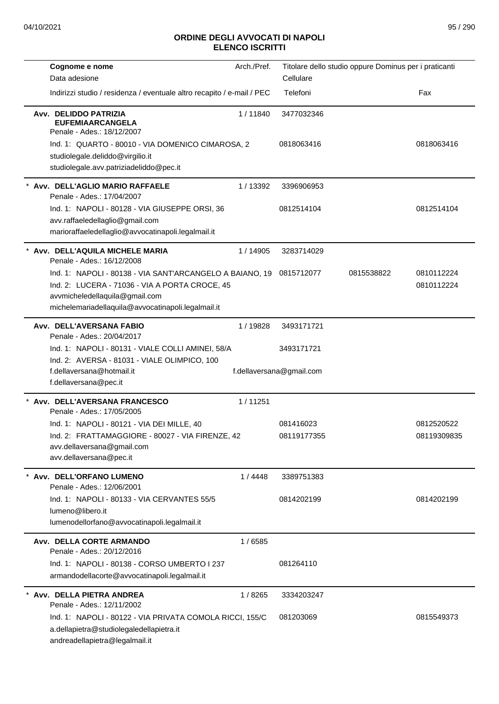| Cognome e nome<br>Data adesione                                                                                                                                                                    | Arch./Pref. | Cellulare                              | Titolare dello studio oppure Dominus per i praticanti |                           |
|----------------------------------------------------------------------------------------------------------------------------------------------------------------------------------------------------|-------------|----------------------------------------|-------------------------------------------------------|---------------------------|
| Indirizzi studio / residenza / eventuale altro recapito / e-mail / PEC                                                                                                                             |             | Telefoni                               |                                                       | Fax                       |
| Avv. DELIDDO PATRIZIA<br><b>EUFEMIAARCANGELA</b><br>Penale - Ades.: 18/12/2007                                                                                                                     | 1/11840     | 3477032346                             |                                                       |                           |
| Ind. 1: QUARTO - 80010 - VIA DOMENICO CIMAROSA, 2<br>studiolegale.deliddo@virgilio.it<br>studiolegale.avv.patriziadeliddo@pec.it                                                                   |             | 0818063416                             |                                                       | 0818063416                |
| Avv. DELL'AGLIO MARIO RAFFAELE<br>Penale - Ades.: 17/04/2007                                                                                                                                       | 1/13392     | 3396906953                             |                                                       |                           |
| Ind. 1: NAPOLI - 80128 - VIA GIUSEPPE ORSI, 36<br>avv.raffaeledellaglio@gmail.com<br>marioraffaeledellaglio@avvocatinapoli.legalmail.it                                                            |             | 0812514104                             |                                                       | 0812514104                |
| Avv. DELL'AQUILA MICHELE MARIA<br>Penale - Ades.: 16/12/2008                                                                                                                                       | 1/14905     | 3283714029                             |                                                       |                           |
| Ind. 1: NAPOLI - 80138 - VIA SANT'ARCANGELO A BAIANO, 19<br>Ind. 2: LUCERA - 71036 - VIA A PORTA CROCE, 45<br>avvmicheledellaquila@gmail.com<br>michelemariadellaquila@avvocatinapoli.legalmail.it |             | 0815712077                             | 0815538822                                            | 0810112224<br>0810112224  |
| Avv. DELL'AVERSANA FABIO<br>Penale - Ades.: 20/04/2017                                                                                                                                             | 1/19828     | 3493171721                             |                                                       |                           |
| Ind. 1: NAPOLI - 80131 - VIALE COLLI AMINEI, 58/A<br>Ind. 2: AVERSA - 81031 - VIALE OLIMPICO, 100<br>f.dellaversana@hotmail.it                                                                     |             | 3493171721<br>f.dellaversana@gmail.com |                                                       |                           |
| f.dellaversana@pec.it                                                                                                                                                                              |             |                                        |                                                       |                           |
| Avv. DELL'AVERSANA FRANCESCO<br>Penale - Ades.: 17/05/2005                                                                                                                                         | 1/11251     |                                        |                                                       |                           |
| Ind. 1: NAPOLI - 80121 - VIA DEI MILLE, 40<br>Ind. 2: FRATTAMAGGIORE - 80027 - VIA FIRENZE, 42<br>avv.dellaversana@gmail.com<br>avv.dellaversana@pec.it                                            |             | 081416023<br>08119177355               |                                                       | 0812520522<br>08119309835 |
| Avv. DELL'ORFANO LUMENO<br>Penale - Ades.: 12/06/2001                                                                                                                                              | 1/4448      | 3389751383                             |                                                       |                           |
| Ind. 1: NAPOLI - 80133 - VIA CERVANTES 55/5<br>lumeno@libero.it<br>lumenodellorfano@avvocatinapoli.legalmail.it                                                                                    |             | 0814202199                             |                                                       | 0814202199                |
| Avv. DELLA CORTE ARMANDO                                                                                                                                                                           | 1/6585      |                                        |                                                       |                           |
| Penale - Ades.: 20/12/2016<br>Ind. 1: NAPOLI - 80138 - CORSO UMBERTO I 237<br>armandodellacorte@avvocatinapoli.legalmail.it                                                                        |             | 081264110                              |                                                       |                           |
| Avv. DELLA PIETRA ANDREA<br>Penale - Ades.: 12/11/2002                                                                                                                                             | 1/8265      | 3334203247                             |                                                       |                           |
| Ind. 1: NAPOLI - 80122 - VIA PRIVATA COMOLA RICCI, 155/C<br>a.dellapietra@studiolegaledellapietra.it<br>andreadellapietra@legalmail.it                                                             |             | 081203069                              |                                                       | 0815549373                |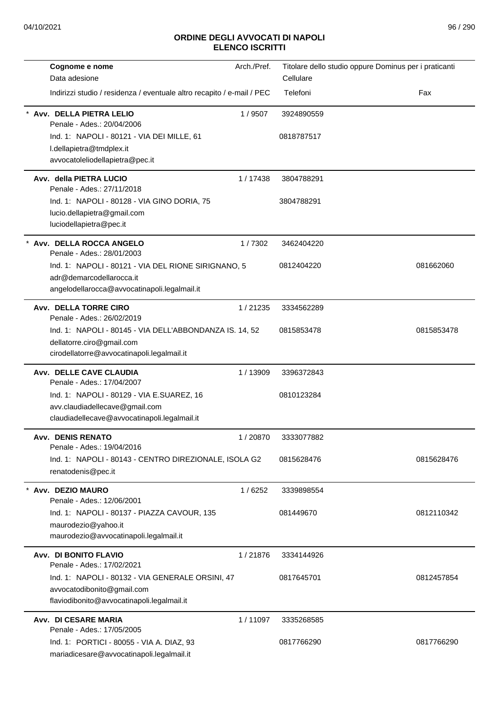| Cognome e nome                                                                         | Arch./Pref. | Titolare dello studio oppure Dominus per i praticanti |            |
|----------------------------------------------------------------------------------------|-------------|-------------------------------------------------------|------------|
| Data adesione                                                                          |             | Cellulare                                             |            |
| Indirizzi studio / residenza / eventuale altro recapito / e-mail / PEC                 |             | Telefoni                                              | Fax        |
| Avv. DELLA PIETRA LELIO<br>Penale - Ades.: 20/04/2006                                  | 1/9507      | 3924890559                                            |            |
| Ind. 1: NAPOLI - 80121 - VIA DEI MILLE, 61                                             |             | 0818787517                                            |            |
| I.dellapietra@tmdplex.it                                                               |             |                                                       |            |
| avvocatoleliodellapietra@pec.it                                                        |             |                                                       |            |
| Avv. della PIETRA LUCIO<br>Penale - Ades.: 27/11/2018                                  | 1/17438     | 3804788291                                            |            |
| Ind. 1: NAPOLI - 80128 - VIA GINO DORIA, 75                                            |             | 3804788291                                            |            |
| lucio.dellapietra@gmail.com                                                            |             |                                                       |            |
| luciodellapietra@pec.it                                                                |             |                                                       |            |
| Avv. DELLA ROCCA ANGELO<br>Penale - Ades.: 28/01/2003                                  | 1/7302      | 3462404220                                            |            |
| Ind. 1: NAPOLI - 80121 - VIA DEL RIONE SIRIGNANO, 5                                    |             | 0812404220                                            | 081662060  |
| adr@demarcodellarocca.it<br>angelodellarocca@avvocatinapoli.legalmail.it               |             |                                                       |            |
| Avv. DELLA TORRE CIRO<br>Penale - Ades.: 26/02/2019                                    | 1/21235     | 3334562289                                            |            |
| Ind. 1: NAPOLI - 80145 - VIA DELL'ABBONDANZA IS. 14, 52                                |             | 0815853478                                            | 0815853478 |
| dellatorre.ciro@gmail.com                                                              |             |                                                       |            |
| cirodellatorre@avvocatinapoli.legalmail.it                                             |             |                                                       |            |
| Avv. DELLE CAVE CLAUDIA<br>Penale - Ades.: 17/04/2007                                  | 1/13909     | 3396372843                                            |            |
| Ind. 1: NAPOLI - 80129 - VIA E.SUAREZ, 16                                              |             | 0810123284                                            |            |
| avv.claudiadellecave@gmail.com                                                         |             |                                                       |            |
| claudiadellecave@avvocatinapoli.legalmail.it                                           |             |                                                       |            |
| <b>Avv. DENIS RENATO</b><br>Penale - Ades.: 19/04/2016                                 | 1 / 20870   | 3333077882                                            |            |
| Ind. 1: NAPOLI - 80143 - CENTRO DIREZIONALE, ISOLA G2                                  |             | 0815628476                                            | 0815628476 |
| renatodenis@pec.it                                                                     |             |                                                       |            |
| * Avv. DEZIO MAURO                                                                     | 1/6252      | 3339898554                                            |            |
| Penale - Ades.: 12/06/2001                                                             |             |                                                       |            |
| Ind. 1: NAPOLI - 80137 - PIAZZA CAVOUR, 135                                            |             | 081449670                                             | 0812110342 |
| maurodezio@yahoo.it<br>maurodezio@avvocatinapoli.legalmail.it                          |             |                                                       |            |
|                                                                                        |             |                                                       |            |
| Avv. DI BONITO FLAVIO<br>Penale - Ades.: 17/02/2021                                    | 1/21876     | 3334144926                                            |            |
| Ind. 1: NAPOLI - 80132 - VIA GENERALE ORSINI, 47                                       |             | 0817645701                                            | 0812457854 |
| avvocatodibonito@gmail.com                                                             |             |                                                       |            |
| flaviodibonito@avvocatinapoli.legalmail.it                                             |             |                                                       |            |
| Avv. DI CESARE MARIA<br>Penale - Ades.: 17/05/2005                                     | 1/11097     | 3335268585                                            |            |
| Ind. 1: PORTICI - 80055 - VIA A. DIAZ, 93<br>mariadicesare@avvocatinapoli.legalmail.it |             | 0817766290                                            | 0817766290 |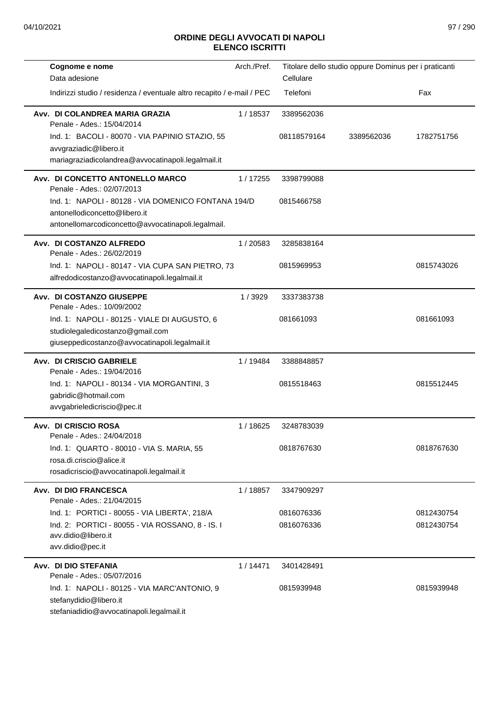| Cognome e nome<br>Data adesione                                                                                                              | Arch./Pref. | Titolare dello studio oppure Dominus per i praticanti<br>Cellulare |            |                          |
|----------------------------------------------------------------------------------------------------------------------------------------------|-------------|--------------------------------------------------------------------|------------|--------------------------|
| Indirizzi studio / residenza / eventuale altro recapito / e-mail / PEC                                                                       |             | Telefoni                                                           |            | Fax                      |
| Avv. DI COLANDREA MARIA GRAZIA<br>Penale - Ades.: 15/04/2014                                                                                 | 1/18537     | 3389562036                                                         |            |                          |
| Ind. 1: BACOLI - 80070 - VIA PAPINIO STAZIO, 55<br>avvgraziadic@libero.it<br>mariagraziadicolandrea@avvocatinapoli.legalmail.it              |             | 08118579164                                                        | 3389562036 | 1782751756               |
| Avv. DI CONCETTO ANTONELLO MARCO<br>Penale - Ades.: 02/07/2013                                                                               | 1/17255     | 3398799088                                                         |            |                          |
| Ind. 1: NAPOLI - 80128 - VIA DOMENICO FONTANA 194/D<br>antonellodiconcetto@libero.it<br>antonellomarcodiconcetto@avvocatinapoli.legalmail.   |             | 0815466758                                                         |            |                          |
| Avv. DI COSTANZO ALFREDO<br>Penale - Ades.: 26/02/2019                                                                                       | 1/20583     | 3285838164                                                         |            |                          |
| Ind. 1: NAPOLI - 80147 - VIA CUPA SAN PIETRO, 73<br>alfredodicostanzo@avvocatinapoli.legalmail.it                                            |             | 0815969953                                                         |            | 0815743026               |
| Avv. DI COSTANZO GIUSEPPE<br>Penale - Ades.: 10/09/2002                                                                                      | 1/3929      | 3337383738                                                         |            |                          |
| Ind. 1: NAPOLI - 80125 - VIALE DI AUGUSTO, 6<br>studiolegaledicostanzo@gmail.com<br>giuseppedicostanzo@avvocatinapoli.legalmail.it           |             | 081661093                                                          |            | 081661093                |
| Avv. DI CRISCIO GABRIELE<br>Penale - Ades.: 19/04/2016                                                                                       | 1 / 19484   | 3388848857                                                         |            |                          |
| Ind. 1: NAPOLI - 80134 - VIA MORGANTINI, 3<br>gabridic@hotmail.com<br>avvgabrieledicriscio@pec.it                                            |             | 0815518463                                                         |            | 0815512445               |
| Avv. DI CRISCIO ROSA<br>Penale - Ades.: 24/04/2018                                                                                           | 1/18625     | 3248783039                                                         |            |                          |
| Ind. 1: QUARTO - 80010 - VIA S. MARIA, 55<br>rosa.di.criscio@alice.it<br>rosadicriscio@avvocatinapoli.legalmail.it                           |             | 0818767630                                                         |            | 0818767630               |
| Avv. DI DIO FRANCESCA<br>Penale - Ades.: 21/04/2015                                                                                          | 1/18857     | 3347909297                                                         |            |                          |
| Ind. 1: PORTICI - 80055 - VIA LIBERTA', 218/A<br>Ind. 2: PORTICI - 80055 - VIA ROSSANO, 8 - IS. I<br>avv.didio@libero.it<br>avv.didio@pec.it |             | 0816076336<br>0816076336                                           |            | 0812430754<br>0812430754 |
| Avv. DI DIO STEFANIA<br>Penale - Ades.: 05/07/2016                                                                                           | 1/14471     | 3401428491                                                         |            |                          |
| Ind. 1: NAPOLI - 80125 - VIA MARC'ANTONIO, 9<br>stefanydidio@libero.it<br>stefaniadidio@avvocatinapoli.legalmail.it                          |             | 0815939948                                                         |            | 0815939948               |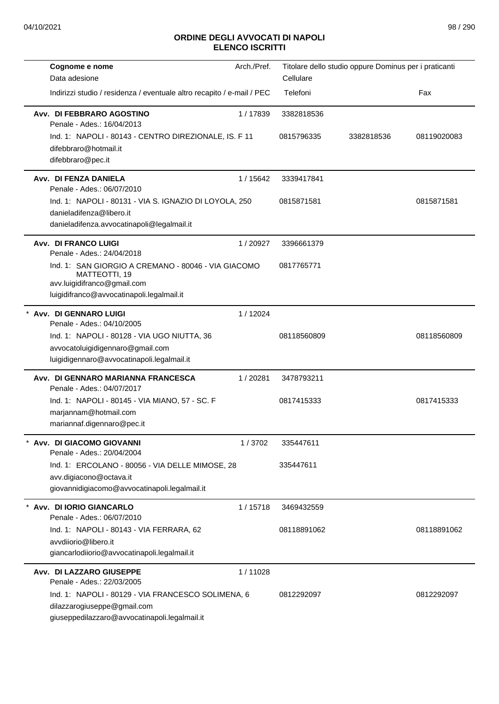| Cognome e nome                                                                                                                                   | Arch./Pref. |             | Titolare dello studio oppure Dominus per i praticanti |             |
|--------------------------------------------------------------------------------------------------------------------------------------------------|-------------|-------------|-------------------------------------------------------|-------------|
| Data adesione                                                                                                                                    |             | Cellulare   |                                                       |             |
| Indirizzi studio / residenza / eventuale altro recapito / e-mail / PEC                                                                           |             | Telefoni    |                                                       | Fax         |
| Avv. DI FEBBRARO AGOSTINO<br>Penale - Ades.: 16/04/2013                                                                                          | 1/17839     | 3382818536  |                                                       |             |
| Ind. 1: NAPOLI - 80143 - CENTRO DIREZIONALE, IS. F 11<br>difebbraro@hotmail.it<br>difebbraro@pec.it                                              |             | 0815796335  | 3382818536                                            | 08119020083 |
| Avv. DI FENZA DANIELA<br>Penale - Ades.: 06/07/2010                                                                                              | 1 / 15642   | 3339417841  |                                                       |             |
| Ind. 1: NAPOLI - 80131 - VIA S. IGNAZIO DI LOYOLA, 250<br>danieladifenza@libero.it<br>danieladifenza.avvocatinapoli@legalmail.it                 |             | 0815871581  |                                                       | 0815871581  |
| Avv. DI FRANCO LUIGI<br>Penale - Ades.: 24/04/2018                                                                                               | 1/20927     | 3396661379  |                                                       |             |
| Ind. 1: SAN GIORGIO A CREMANO - 80046 - VIA GIACOMO<br>MATTEOTTI, 19<br>avv.luigidifranco@gmail.com<br>luigidifranco@avvocatinapoli.legalmail.it |             | 0817765771  |                                                       |             |
| Avv. DI GENNARO LUIGI<br>Penale - Ades.: 04/10/2005                                                                                              | 1/12024     |             |                                                       |             |
| Ind. 1: NAPOLI - 80128 - VIA UGO NIUTTA, 36<br>avvocatoluigidigennaro@gmail.com<br>luigidigennaro@avvocatinapoli.legalmail.it                    |             | 08118560809 |                                                       | 08118560809 |
| Avv. DI GENNARO MARIANNA FRANCESCA<br>Penale - Ades.: 04/07/2017                                                                                 | 1/20281     | 3478793211  |                                                       |             |
| Ind. 1: NAPOLI - 80145 - VIA MIANO, 57 - SC. F<br>marjannam@hotmail.com<br>mariannaf.digennaro@pec.it                                            |             | 0817415333  |                                                       | 0817415333  |
| Avv. DI GIACOMO GIOVANNI<br>Penale - Ades.: 20/04/2004                                                                                           | 1/3702      | 335447611   |                                                       |             |
| Ind. 1: ERCOLANO - 80056 - VIA DELLE MIMOSE, 28<br>avv.digiacono@octava.it<br>giovannidigiacomo@avvocatinapoli.legalmail.it                      |             | 335447611   |                                                       |             |
| Avv. DI IORIO GIANCARLO<br>Penale - Ades.: 06/07/2010                                                                                            | 1/15718     | 3469432559  |                                                       |             |
| Ind. 1: NAPOLI - 80143 - VIA FERRARA, 62<br>avvdiiorio@libero.it<br>giancarlodiiorio@avvocatinapoli.legalmail.it                                 |             | 08118891062 |                                                       | 08118891062 |
| Avv. DI LAZZARO GIUSEPPE<br>Penale - Ades.: 22/03/2005                                                                                           | 1/11028     |             |                                                       |             |
| Ind. 1: NAPOLI - 80129 - VIA FRANCESCO SOLIMENA, 6<br>dilazzarogiuseppe@gmail.com<br>giuseppedilazzaro@avvocatinapoli.legalmail.it               |             | 0812292097  |                                                       | 0812292097  |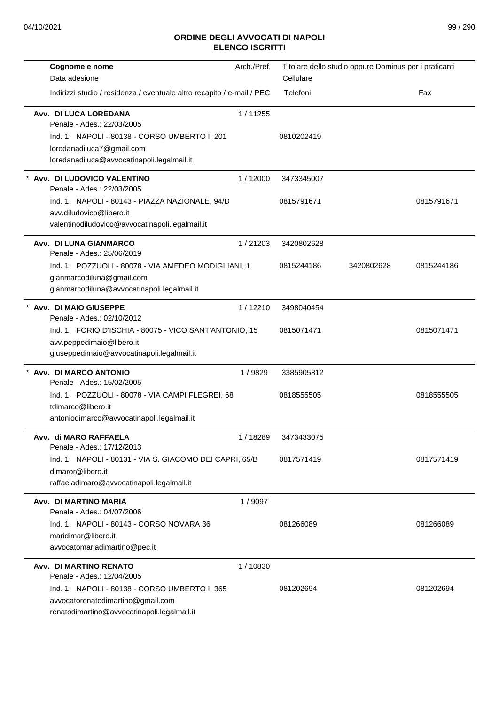| Cognome e nome<br>Data adesione                                                                                                   | Arch./Pref. | Titolare dello studio oppure Dominus per i praticanti<br>Cellulare |            |            |
|-----------------------------------------------------------------------------------------------------------------------------------|-------------|--------------------------------------------------------------------|------------|------------|
| Indirizzi studio / residenza / eventuale altro recapito / e-mail / PEC                                                            |             | Telefoni                                                           |            | Fax        |
| Avv. DI LUCA LOREDANA<br>Penale - Ades.: 22/03/2005                                                                               | 1/11255     |                                                                    |            |            |
| Ind. 1: NAPOLI - 80138 - CORSO UMBERTO I, 201<br>loredanadiluca7@gmail.com<br>loredanadiluca@avvocatinapoli.legalmail.it          |             | 0810202419                                                         |            |            |
| * Avv. DI LUDOVICO VALENTINO<br>Penale - Ades.: 22/03/2005                                                                        | 1/12000     | 3473345007                                                         |            |            |
| Ind. 1: NAPOLI - 80143 - PIAZZA NAZIONALE, 94/D<br>avv.diludovico@libero.it<br>valentinodiludovico@avvocatinapoli.legalmail.it    |             | 0815791671                                                         |            | 0815791671 |
| Avv. DI LUNA GIANMARCO<br>Penale - Ades.: 25/06/2019                                                                              | 1/21203     | 3420802628                                                         |            |            |
| Ind. 1: POZZUOLI - 80078 - VIA AMEDEO MODIGLIANI, 1<br>gianmarcodiluna@gmail.com<br>gianmarcodiluna@avvocatinapoli.legalmail.it   |             | 0815244186                                                         | 3420802628 | 0815244186 |
| Avv. DI MAIO GIUSEPPE<br>Penale - Ades.: 02/10/2012                                                                               | 1/12210     | 3498040454                                                         |            |            |
| Ind. 1: FORIO D'ISCHIA - 80075 - VICO SANT'ANTONIO, 15<br>avv.peppedimaio@libero.it<br>giuseppedimaio@avvocatinapoli.legalmail.it |             | 0815071471                                                         |            | 0815071471 |
| Avv. DI MARCO ANTONIO<br>Penale - Ades.: 15/02/2005                                                                               | 1/9829      | 3385905812                                                         |            |            |
| Ind. 1: POZZUOLI - 80078 - VIA CAMPI FLEGREI, 68<br>tdimarco@libero.it<br>antoniodimarco@avvocatinapoli.legalmail.it              |             | 0818555505                                                         |            | 0818555505 |
| Avv. di MARO RAFFAELA<br>Penale - Ades.: 17/12/2013                                                                               | 1 / 18289   | 3473433075                                                         |            |            |
| Ind. 1: NAPOLI - 80131 - VIA S. GIACOMO DEI CAPRI, 65/B<br>dimaror@libero.it<br>raffaeladimaro@avvocatinapoli.legalmail.it        |             | 0817571419                                                         |            | 0817571419 |
| Avv. DI MARTINO MARIA<br>Penale - Ades.: 04/07/2006                                                                               | 1/9097      |                                                                    |            |            |
| Ind. 1: NAPOLI - 80143 - CORSO NOVARA 36<br>maridimar@libero.it<br>avvocatomariadimartino@pec.it                                  |             | 081266089                                                          |            | 081266089  |
| Avv. DI MARTINO RENATO<br>Penale - Ades.: 12/04/2005                                                                              | 1/10830     |                                                                    |            |            |
| Ind. 1: NAPOLI - 80138 - CORSO UMBERTO I, 365<br>avvocatorenatodimartino@gmail.com<br>renatodimartino@avvocatinapoli.legalmail.it |             | 081202694                                                          |            | 081202694  |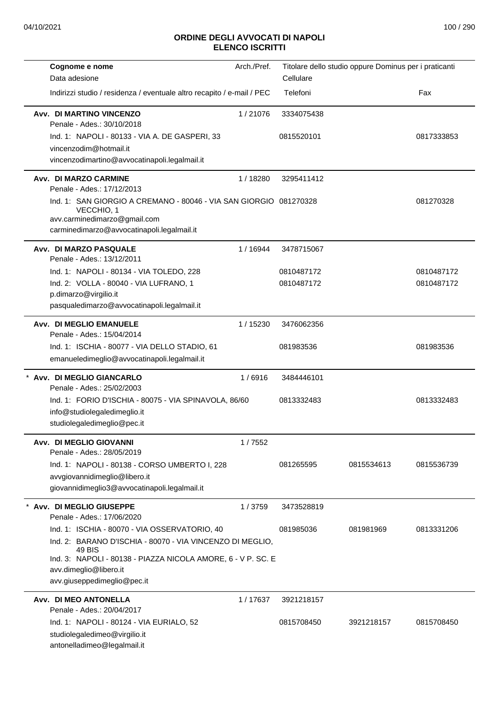| Cognome e nome                                                                                                  | Arch./Pref. |            | Titolare dello studio oppure Dominus per i praticanti |            |
|-----------------------------------------------------------------------------------------------------------------|-------------|------------|-------------------------------------------------------|------------|
| Data adesione                                                                                                   |             | Cellulare  |                                                       |            |
| Indirizzi studio / residenza / eventuale altro recapito / e-mail / PEC                                          |             | Telefoni   |                                                       | Fax        |
| Avv. DI MARTINO VINCENZO<br>Penale - Ades.: 30/10/2018                                                          | 1/21076     | 3334075438 |                                                       |            |
| Ind. 1: NAPOLI - 80133 - VIA A. DE GASPERI, 33                                                                  |             | 0815520101 |                                                       | 0817333853 |
| vincenzodim@hotmail.it                                                                                          |             |            |                                                       |            |
| vincenzodimartino@avvocatinapoli.legalmail.it                                                                   |             |            |                                                       |            |
| Avv. DI MARZO CARMINE<br>Penale - Ades.: 17/12/2013                                                             | 1/18280     | 3295411412 |                                                       |            |
| Ind. 1: SAN GIORGIO A CREMANO - 80046 - VIA SAN GIORGIO 081270328<br>VECCHIO, 1<br>avv.carminedimarzo@gmail.com |             |            |                                                       | 081270328  |
| carminedimarzo@avvocatinapoli.legalmail.it                                                                      |             |            |                                                       |            |
| Avv. DI MARZO PASQUALE<br>Penale - Ades.: 13/12/2011                                                            | 1/16944     | 3478715067 |                                                       |            |
| Ind. 1: NAPOLI - 80134 - VIA TOLEDO, 228                                                                        |             | 0810487172 |                                                       | 0810487172 |
| Ind. 2: VOLLA - 80040 - VIA LUFRANO, 1                                                                          |             | 0810487172 |                                                       | 0810487172 |
| p.dimarzo@virgilio.it                                                                                           |             |            |                                                       |            |
| pasqualedimarzo@avvocatinapoli.legalmail.it                                                                     |             |            |                                                       |            |
| Avv. DI MEGLIO EMANUELE<br>Penale - Ades.: 15/04/2014                                                           | 1 / 15230   | 3476062356 |                                                       |            |
| Ind. 1: ISCHIA - 80077 - VIA DELLO STADIO, 61                                                                   |             | 081983536  |                                                       | 081983536  |
| emanueledimeglio@avvocatinapoli.legalmail.it                                                                    |             |            |                                                       |            |
| * Avv. DI MEGLIO GIANCARLO                                                                                      | 1/6916      | 3484446101 |                                                       |            |
| Penale - Ades.: 25/02/2003                                                                                      |             |            |                                                       |            |
| Ind. 1: FORIO D'ISCHIA - 80075 - VIA SPINAVOLA, 86/60                                                           |             | 0813332483 |                                                       | 0813332483 |
| info@studiolegaledimeglio.it<br>studiolegaledimeglio@pec.it                                                     |             |            |                                                       |            |
|                                                                                                                 |             |            |                                                       |            |
| Avv. DI MEGLIO GIOVANNI<br>Penale - Ades.: 28/05/2019                                                           | 1/7552      |            |                                                       |            |
| Ind. 1: NAPOLI - 80138 - CORSO UMBERTO I, 228                                                                   |             | 081265595  | 0815534613                                            | 0815536739 |
| avvgiovannidimeglio@libero.it                                                                                   |             |            |                                                       |            |
| giovannidimeglio3@avvocatinapoli.legalmail.it                                                                   |             |            |                                                       |            |
| Avv. DI MEGLIO GIUSEPPE<br>Penale - Ades.: 17/06/2020                                                           | 1/3759      | 3473528819 |                                                       |            |
| Ind. 1: ISCHIA - 80070 - VIA OSSERVATORIO, 40                                                                   |             | 081985036  | 081981969                                             | 0813331206 |
| Ind. 2: BARANO D'ISCHIA - 80070 - VIA VINCENZO DI MEGLIO,<br>49 BIS                                             |             |            |                                                       |            |
| Ind. 3: NAPOLI - 80138 - PIAZZA NICOLA AMORE, 6 - V P. SC. E<br>avv.dimeglio@libero.it                          |             |            |                                                       |            |
| avv.giuseppedimeglio@pec.it                                                                                     |             |            |                                                       |            |
| Avv. DI MEO ANTONELLA                                                                                           | 1/17637     | 3921218157 |                                                       |            |
| Penale - Ades.: 20/04/2017                                                                                      |             |            |                                                       |            |
| Ind. 1: NAPOLI - 80124 - VIA EURIALO, 52                                                                        |             | 0815708450 | 3921218157                                            | 0815708450 |
| studiolegaledimeo@virgilio.it<br>antonelladimeo@legalmail.it                                                    |             |            |                                                       |            |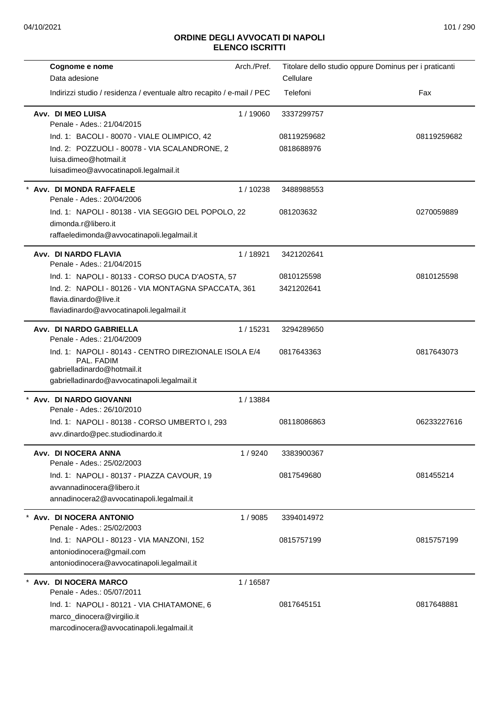| Cognome e nome                                                                                                                                     | Arch./Pref. |             | Titolare dello studio oppure Dominus per i praticanti |
|----------------------------------------------------------------------------------------------------------------------------------------------------|-------------|-------------|-------------------------------------------------------|
| Data adesione                                                                                                                                      |             | Cellulare   |                                                       |
| Indirizzi studio / residenza / eventuale altro recapito / e-mail / PEC                                                                             |             | Telefoni    | Fax                                                   |
| Avv. DI MEO LUISA<br>Penale - Ades.: 21/04/2015                                                                                                    | 1/19060     | 3337299757  |                                                       |
| Ind. 1: BACOLI - 80070 - VIALE OLIMPICO, 42                                                                                                        |             | 08119259682 | 08119259682                                           |
| Ind. 2: POZZUOLI - 80078 - VIA SCALANDRONE, 2<br>luisa.dimeo@hotmail.it<br>luisadimeo@avvocatinapoli.legalmail.it                                  |             | 0818688976  |                                                       |
| * Avv. DI MONDA RAFFAELE<br>Penale - Ades.: 20/04/2006                                                                                             | 1/10238     | 3488988553  |                                                       |
| Ind. 1: NAPOLI - 80138 - VIA SEGGIO DEL POPOLO, 22<br>dimonda.r@libero.it<br>raffaeledimonda@avvocatinapoli.legalmail.it                           |             | 081203632   | 0270059889                                            |
| Avv. DI NARDO FLAVIA<br>Penale - Ades.: 21/04/2015                                                                                                 | 1 / 18921   | 3421202641  |                                                       |
| Ind. 1: NAPOLI - 80133 - CORSO DUCA D'AOSTA, 57                                                                                                    |             | 0810125598  | 0810125598                                            |
| Ind. 2: NAPOLI - 80126 - VIA MONTAGNA SPACCATA, 361                                                                                                |             | 3421202641  |                                                       |
| flavia.dinardo@live.it<br>flaviadinardo@avvocatinapoli.legalmail.it                                                                                |             |             |                                                       |
| Avv. DI NARDO GABRIELLA<br>Penale - Ades.: 21/04/2009                                                                                              | 1 / 15231   | 3294289650  |                                                       |
| Ind. 1: NAPOLI - 80143 - CENTRO DIREZIONALE ISOLA E/4<br>PAL. FADIM<br>gabrielladinardo@hotmail.it<br>gabrielladinardo@avvocatinapoli.legalmail.it |             | 0817643363  | 0817643073                                            |
| * Avv. DI NARDO GIOVANNI<br>Penale - Ades.: 26/10/2010                                                                                             | 1/13884     |             |                                                       |
| Ind. 1: NAPOLI - 80138 - CORSO UMBERTO I, 293<br>avv.dinardo@pec.studiodinardo.it                                                                  |             | 08118086863 | 06233227616                                           |
| Avv. DI NOCERA ANNA<br>Penale - Ades.: 25/02/2003                                                                                                  | 1/9240      | 3383900367  |                                                       |
| Ind. 1: NAPOLI - 80137 - PIAZZA CAVOUR, 19                                                                                                         |             | 0817549680  | 081455214                                             |
| avvannadinocera@libero.it                                                                                                                          |             |             |                                                       |
| annadinocera2@avvocatinapoli.legalmail.it                                                                                                          |             |             |                                                       |
| * Avv. DI NOCERA ANTONIO<br>Penale - Ades.: 25/02/2003                                                                                             | 1/9085      | 3394014972  |                                                       |
| Ind. 1: NAPOLI - 80123 - VIA MANZONI, 152                                                                                                          |             | 0815757199  | 0815757199                                            |
| antoniodinocera@gmail.com<br>antoniodinocera@avvocatinapoli.legalmail.it                                                                           |             |             |                                                       |
| Avv. DI NOCERA MARCO<br>Penale - Ades.: 05/07/2011                                                                                                 | 1/16587     |             |                                                       |
| Ind. 1: NAPOLI - 80121 - VIA CHIATAMONE, 6                                                                                                         |             | 0817645151  | 0817648881                                            |
| marco_dinocera@virgilio.it                                                                                                                         |             |             |                                                       |
| marcodinocera@avvocatinapoli.legalmail.it                                                                                                          |             |             |                                                       |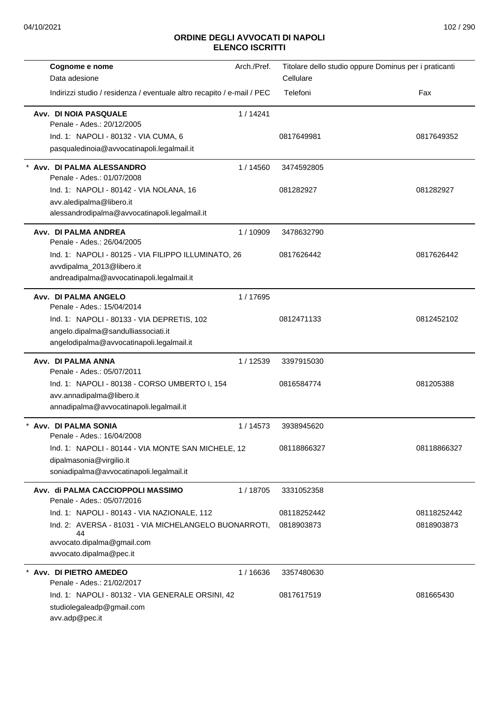| Cognome e nome                                                                                                                           | Arch./Pref. |                           | Titolare dello studio oppure Dominus per i praticanti |
|------------------------------------------------------------------------------------------------------------------------------------------|-------------|---------------------------|-------------------------------------------------------|
| Data adesione                                                                                                                            |             | Cellulare                 |                                                       |
| Indirizzi studio / residenza / eventuale altro recapito / e-mail / PEC                                                                   |             | Telefoni                  | Fax                                                   |
| Avv. DI NOIA PASQUALE<br>Penale - Ades.: 20/12/2005                                                                                      | 1/14241     |                           |                                                       |
| Ind. 1: NAPOLI - 80132 - VIA CUMA, 6<br>pasqualedinoia@avvocatinapoli.legalmail.it                                                       |             | 0817649981                | 0817649352                                            |
| Avv. DI PALMA ALESSANDRO<br>Penale - Ades.: 01/07/2008                                                                                   | 1 / 14560   | 3474592805                |                                                       |
| Ind. 1: NAPOLI - 80142 - VIA NOLANA, 16<br>avv.aledipalma@libero.it<br>alessandrodipalma@avvocatinapoli.legalmail.it                     |             | 081282927                 | 081282927                                             |
| Avv. DI PALMA ANDREA<br>Penale - Ades.: 26/04/2005                                                                                       | 1/10909     | 3478632790                |                                                       |
| Ind. 1: NAPOLI - 80125 - VIA FILIPPO ILLUMINATO, 26<br>avvdipalma_2013@libero.it<br>andreadipalma@avvocatinapoli.legalmail.it            |             | 0817626442                | 0817626442                                            |
| Avv. DI PALMA ANGELO<br>Penale - Ades.: 15/04/2014                                                                                       | 1/17695     |                           |                                                       |
| Ind. 1: NAPOLI - 80133 - VIA DEPRETIS, 102<br>angelo.dipalma@sandulliassociati.it<br>angelodipalma@avvocatinapoli.legalmail.it           |             | 0812471133                | 0812452102                                            |
| Avv. DI PALMA ANNA<br>Penale - Ades.: 05/07/2011                                                                                         | 1/12539     | 3397915030                |                                                       |
| Ind. 1: NAPOLI - 80138 - CORSO UMBERTO I, 154<br>avv.annadipalma@libero.it<br>annadipalma@avvocatinapoli.legalmail.it                    |             | 0816584774                | 081205388                                             |
| Avv. DI PALMA SONIA<br>Penale - Ades.: 16/04/2008                                                                                        | 1/14573     | 3938945620                |                                                       |
| Ind. 1: NAPOLI - 80144 - VIA MONTE SAN MICHELE, 12<br>dipalmasonia@virgilio.it<br>soniadipalma@avvocatinapoli.legalmail.it               |             | 08118866327               | 08118866327                                           |
| Avv. di PALMA CACCIOPPOLI MASSIMO<br>Penale - Ades.: 05/07/2016                                                                          | 1/18705     | 3331052358                |                                                       |
| Ind. 1: NAPOLI - 80143 - VIA NAZIONALE, 112<br>Ind. 2: AVERSA - 81031 - VIA MICHELANGELO BUONARROTI,<br>44<br>avvocato.dipalma@gmail.com |             | 08118252442<br>0818903873 | 08118252442<br>0818903873                             |
| avvocato.dipalma@pec.it                                                                                                                  |             |                           |                                                       |
| * Avv. DI PIETRO AMEDEO<br>Penale - Ades.: 21/02/2017                                                                                    | 1 / 16636   | 3357480630                |                                                       |
| Ind. 1: NAPOLI - 80132 - VIA GENERALE ORSINI, 42<br>studiolegaleadp@gmail.com<br>avv.adp@pec.it                                          |             | 0817617519                | 081665430                                             |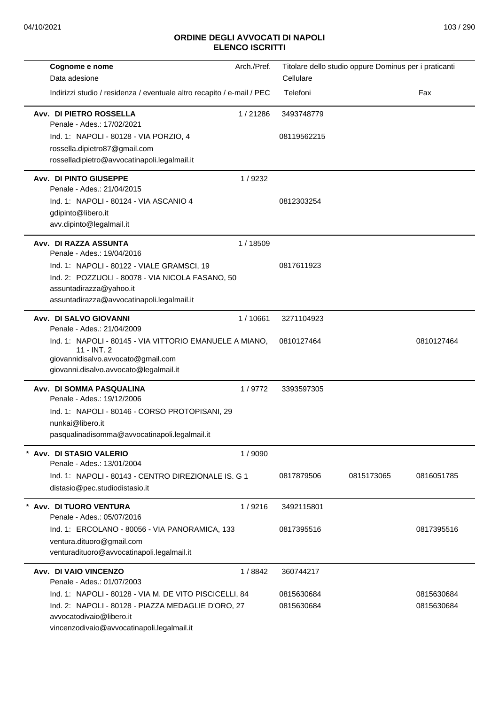| Arch./Pref.<br>Cognome e nome                                           | Titolare dello studio oppure Dominus per i praticanti |            |
|-------------------------------------------------------------------------|-------------------------------------------------------|------------|
| Data adesione                                                           | Cellulare                                             |            |
| Indirizzi studio / residenza / eventuale altro recapito / e-mail / PEC  | Telefoni                                              | Fax        |
| Avv. DI PIETRO ROSSELLA<br>1/21286<br>Penale - Ades.: 17/02/2021        | 3493748779                                            |            |
| Ind. 1: NAPOLI - 80128 - VIA PORZIO, 4                                  | 08119562215                                           |            |
| rossella.dipietro87@gmail.com                                           |                                                       |            |
| rosselladipietro@avvocatinapoli.legalmail.it                            |                                                       |            |
| Avv. DI PINTO GIUSEPPE<br>1/9232<br>Penale - Ades.: 21/04/2015          |                                                       |            |
| Ind. 1: NAPOLI - 80124 - VIA ASCANIO 4                                  | 0812303254                                            |            |
| gdipinto@libero.it                                                      |                                                       |            |
| avv.dipinto@legalmail.it                                                |                                                       |            |
| Avv. DI RAZZA ASSUNTA<br>1 / 18509<br>Penale - Ades.: 19/04/2016        |                                                       |            |
| Ind. 1: NAPOLI - 80122 - VIALE GRAMSCI, 19                              | 0817611923                                            |            |
| Ind. 2: POZZUOLI - 80078 - VIA NICOLA FASANO, 50                        |                                                       |            |
| assuntadirazza@yahoo.it                                                 |                                                       |            |
| assuntadirazza@avvocatinapoli.legalmail.it                              |                                                       |            |
| Avv. DI SALVO GIOVANNI<br>1/10661<br>Penale - Ades.: 21/04/2009         | 3271104923                                            |            |
| Ind. 1: NAPOLI - 80145 - VIA VITTORIO EMANUELE A MIANO,<br>$11 - INT.2$ | 0810127464                                            | 0810127464 |
| giovannidisalvo.avvocato@gmail.com                                      |                                                       |            |
| giovanni.disalvo.avvocato@legalmail.it                                  |                                                       |            |
| Avv. DI SOMMA PASQUALINA<br>1/9772<br>Penale - Ades.: 19/12/2006        | 3393597305                                            |            |
| Ind. 1: NAPOLI - 80146 - CORSO PROTOPISANI, 29                          |                                                       |            |
| nunkai@libero.it                                                        |                                                       |            |
| pasqualinadisomma@avvocatinapoli.legalmail.it                           |                                                       |            |
| Avv. DI STASIO VALERIO<br>1/9090<br>Penale - Ades.: 13/01/2004          |                                                       |            |
| Ind. 1: NAPOLI - 80143 - CENTRO DIREZIONALE IS, G 1                     | 0817879506<br>0815173065                              | 0816051785 |
| distasio@pec.studiodistasio.it                                          |                                                       |            |
| Avv. DI TUORO VENTURA<br>1/9216<br>Penale - Ades.: 05/07/2016           | 3492115801                                            |            |
| Ind. 1: ERCOLANO - 80056 - VIA PANORAMICA, 133                          | 0817395516                                            | 0817395516 |
| ventura.dituoro@gmail.com                                               |                                                       |            |
| venturadituoro@avvocatinapoli.legalmail.it                              |                                                       |            |
| Avv. DI VAIO VINCENZO<br>1/8842                                         | 360744217                                             |            |
| Penale - Ades.: 01/07/2003                                              |                                                       |            |
| Ind. 1: NAPOLI - 80128 - VIA M. DE VITO PISCICELLI, 84                  | 0815630684                                            | 0815630684 |
| Ind. 2: NAPOLI - 80128 - PIAZZA MEDAGLIE D'ORO, 27                      | 0815630684                                            | 0815630684 |
| avvocatodivaio@libero.it                                                |                                                       |            |
| vincenzodivaio@avvocatinapoli.legalmail.it                              |                                                       |            |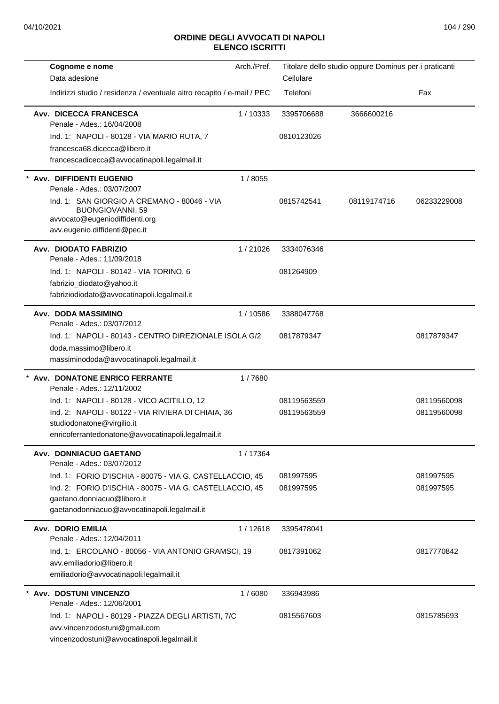| Cognome e nome<br>Data adesione                                                                                                    | Arch./Pref. | Cellulare   | Titolare dello studio oppure Dominus per i praticanti |             |
|------------------------------------------------------------------------------------------------------------------------------------|-------------|-------------|-------------------------------------------------------|-------------|
|                                                                                                                                    |             |             |                                                       |             |
| Indirizzi studio / residenza / eventuale altro recapito / e-mail / PEC                                                             |             | Telefoni    |                                                       | Fax         |
| Avv. DICECCA FRANCESCA<br>Penale - Ades.: 16/04/2008                                                                               | 1/10333     | 3395706688  | 3666600216                                            |             |
| Ind. 1: NAPOLI - 80128 - VIA MARIO RUTA, 7                                                                                         |             | 0810123026  |                                                       |             |
| francesca68.dicecca@libero.it                                                                                                      |             |             |                                                       |             |
| francescadicecca@avvocatinapoli.legalmail.it                                                                                       |             |             |                                                       |             |
| Avv. DIFFIDENTI EUGENIO<br>Penale - Ades.: 03/07/2007                                                                              | 1/8055      |             |                                                       |             |
| Ind. 1: SAN GIORGIO A CREMANO - 80046 - VIA<br>BUONGIOVANNI, 59<br>avvocato@eugeniodiffidenti.org<br>avv.eugenio.diffidenti@pec.it |             | 0815742541  | 08119174716                                           | 06233229008 |
| Avv. DIODATO FABRIZIO<br>Penale - Ades.: 11/09/2018                                                                                | 1/21026     | 3334076346  |                                                       |             |
| Ind. 1: NAPOLI - 80142 - VIA TORINO, 6                                                                                             |             | 081264909   |                                                       |             |
| fabrizio_diodato@yahoo.it                                                                                                          |             |             |                                                       |             |
| fabriziodiodato@avvocatinapoli.legalmail.it                                                                                        |             |             |                                                       |             |
| Avv. DODA MASSIMINO<br>Penale - Ades.: 03/07/2012                                                                                  | 1/10586     | 3388047768  |                                                       |             |
| Ind. 1: NAPOLI - 80143 - CENTRO DIREZIONALE ISOLA G/2                                                                              |             | 0817879347  |                                                       | 0817879347  |
| doda.massimo@libero.it                                                                                                             |             |             |                                                       |             |
| massiminododa@avvocatinapoli.legalmail.it                                                                                          |             |             |                                                       |             |
| Avv. DONATONE ENRICO FERRANTE<br>Penale - Ades.: 12/11/2002                                                                        | 1/7680      |             |                                                       |             |
| Ind. 1: NAPOLI - 80128 - VICO ACITILLO, 12                                                                                         |             | 08119563559 |                                                       | 08119560098 |
| Ind. 2: NAPOLI - 80122 - VIA RIVIERA DI CHIAIA, 36                                                                                 |             | 08119563559 |                                                       | 08119560098 |
| studiodonatone@virgilio.it                                                                                                         |             |             |                                                       |             |
| enricoferrantedonatone@avvocatinapoli.legalmail.it                                                                                 |             |             |                                                       |             |
| Avv. DONNIACUO GAETANO<br>Penale - Ades.: 03/07/2012                                                                               | 1/17364     |             |                                                       |             |
| Ind. 1: FORIO D'ISCHIA - 80075 - VIA G. CASTELLACCIO, 45                                                                           |             | 081997595   |                                                       | 081997595   |
| Ind. 2: FORIO D'ISCHIA - 80075 - VIA G. CASTELLACCIO, 45                                                                           |             | 081997595   |                                                       | 081997595   |
| gaetano.donniacuo@libero.it<br>gaetanodonniacuo@avvocatinapoli.legalmail.it                                                        |             |             |                                                       |             |
|                                                                                                                                    |             |             |                                                       |             |
| <b>Avv. DORIO EMILIA</b><br>Penale - Ades.: 12/04/2011                                                                             | 1/12618     | 3395478041  |                                                       |             |
| Ind. 1: ERCOLANO - 80056 - VIA ANTONIO GRAMSCI, 19                                                                                 |             | 0817391062  |                                                       | 0817770842  |
| avv.emiliadorio@libero.it<br>emiliadorio@avvocatinapoli.legalmail.it                                                               |             |             |                                                       |             |
| Avv. DOSTUNI VINCENZO                                                                                                              | 1/6080      | 336943986   |                                                       |             |
| Penale - Ades.: 12/06/2001                                                                                                         |             |             |                                                       |             |
| Ind. 1: NAPOLI - 80129 - PIAZZA DEGLI ARTISTI, 7/C                                                                                 |             | 0815567603  |                                                       | 0815785693  |
| avv.vincenzodostuni@gmail.com                                                                                                      |             |             |                                                       |             |
| vincenzodostuni@avvocatinapoli.legalmail.it                                                                                        |             |             |                                                       |             |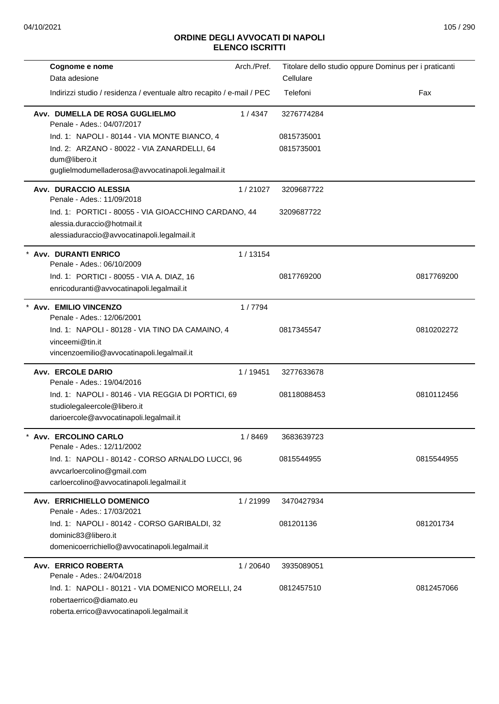| Cognome e nome                                                                   | Arch./Pref. | Titolare dello studio oppure Dominus per i praticanti |            |
|----------------------------------------------------------------------------------|-------------|-------------------------------------------------------|------------|
| Data adesione                                                                    |             | Cellulare                                             |            |
| Indirizzi studio / residenza / eventuale altro recapito / e-mail / PEC           |             | Telefoni                                              | Fax        |
| Avv. DUMELLA DE ROSA GUGLIELMO<br>Penale - Ades.: 04/07/2017                     | 1/4347      | 3276774284                                            |            |
| Ind. 1: NAPOLI - 80144 - VIA MONTE BIANCO, 4                                     |             | 0815735001                                            |            |
| Ind. 2: ARZANO - 80022 - VIA ZANARDELLI, 64<br>dum@libero.it                     |             | 0815735001                                            |            |
| guglielmodumelladerosa@avvocatinapoli.legalmail.it                               |             |                                                       |            |
| Avv. DURACCIO ALESSIA<br>Penale - Ades.: 11/09/2018                              | 1/21027     | 3209687722                                            |            |
| Ind. 1: PORTICI - 80055 - VIA GIOACCHINO CARDANO, 44                             |             | 3209687722                                            |            |
| alessia.duraccio@hotmail.it                                                      |             |                                                       |            |
| alessiaduraccio@avvocatinapoli.legalmail.it                                      |             |                                                       |            |
| <b>Avv. DURANTI ENRICO</b><br>Penale - Ades.: 06/10/2009                         | 1/13154     |                                                       |            |
| Ind. 1: PORTICI - 80055 - VIA A. DIAZ, 16                                        |             | 0817769200                                            | 0817769200 |
| enricoduranti@avvocatinapoli.legalmail.it                                        |             |                                                       |            |
| Avv. EMILIO VINCENZO                                                             | 1/7794      |                                                       |            |
| Penale - Ades.: 12/06/2001                                                       |             |                                                       |            |
| Ind. 1: NAPOLI - 80128 - VIA TINO DA CAMAINO, 4                                  |             | 0817345547                                            | 0810202272 |
| vinceemi@tin.it                                                                  |             |                                                       |            |
| vincenzoemilio@avvocatinapoli.legalmail.it                                       |             |                                                       |            |
| <b>Avv. ERCOLE DARIO</b>                                                         | 1 / 19451   | 3277633678                                            |            |
| Penale - Ades.: 19/04/2016<br>Ind. 1: NAPOLI - 80146 - VIA REGGIA DI PORTICI, 69 |             | 08118088453                                           | 0810112456 |
| studiolegaleercole@libero.it                                                     |             |                                                       |            |
| darioercole@avvocatinapoli.legalmail.it                                          |             |                                                       |            |
| Avv. ERCOLINO CARLO                                                              | 1/8469      | 3683639723                                            |            |
| Penale - Ades.: 12/11/2002                                                       |             |                                                       |            |
| Ind. 1: NAPOLI - 80142 - CORSO ARNALDO LUCCI, 96                                 |             | 0815544955                                            | 0815544955 |
| avvcarloercolino@gmail.com                                                       |             |                                                       |            |
| carloercolino@avvocatinapoli.legalmail.it                                        |             |                                                       |            |
| Avv. ERRICHIELLO DOMENICO<br>Penale - Ades.: 17/03/2021                          | 1/21999     | 3470427934                                            |            |
| Ind. 1: NAPOLI - 80142 - CORSO GARIBALDI, 32                                     |             | 081201136                                             | 081201734  |
| dominic83@libero.it                                                              |             |                                                       |            |
| domenicoerrichiello@avvocatinapoli.legalmail.it                                  |             |                                                       |            |
| <b>Avv. ERRICO ROBERTA</b>                                                       | 1/20640     | 3935089051                                            |            |
| Penale - Ades.: 24/04/2018                                                       |             |                                                       |            |
| Ind. 1: NAPOLI - 80121 - VIA DOMENICO MORELLI, 24<br>robertaerrico@diamato.eu    |             | 0812457510                                            | 0812457066 |
| roberta.errico@avvocatinapoli.legalmail.it                                       |             |                                                       |            |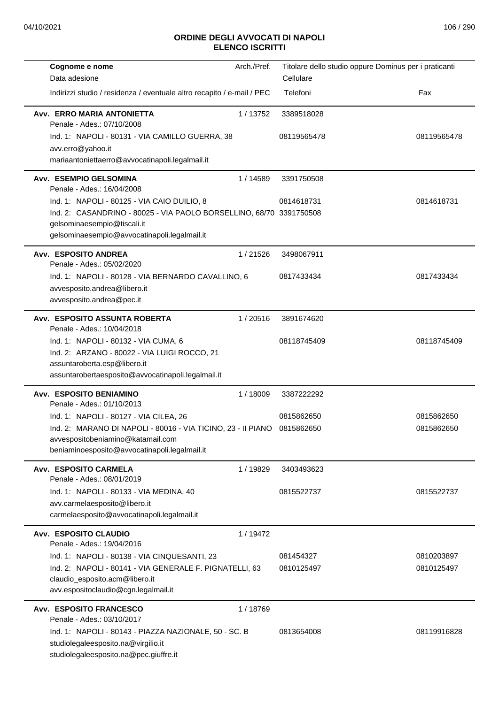| Cognome e nome                                                          | Arch./Pref. | Titolare dello studio oppure Dominus per i praticanti |             |
|-------------------------------------------------------------------------|-------------|-------------------------------------------------------|-------------|
| Data adesione                                                           |             | Cellulare                                             |             |
| Indirizzi studio / residenza / eventuale altro recapito / e-mail / PEC  |             | Telefoni                                              | Fax         |
| Avv. ERRO MARIA ANTONIETTA<br>Penale - Ades.: 07/10/2008                | 1/13752     | 3389518028                                            |             |
| Ind. 1: NAPOLI - 80131 - VIA CAMILLO GUERRA, 38                         |             | 08119565478                                           | 08119565478 |
| avv.erro@yahoo.it                                                       |             |                                                       |             |
| mariaantoniettaerro@avvocatinapoli.legalmail.it                         |             |                                                       |             |
| Avv. ESEMPIO GELSOMINA<br>Penale - Ades.: 16/04/2008                    | 1/14589     | 3391750508                                            |             |
| Ind. 1: NAPOLI - 80125 - VIA CAIO DUILIO, 8                             |             | 0814618731                                            | 0814618731  |
| Ind. 2: CASANDRINO - 80025 - VIA PAOLO BORSELLINO, 68/70 3391750508     |             |                                                       |             |
| gelsominaesempio@tiscali.it                                             |             |                                                       |             |
| gelsominaesempio@avvocatinapoli.legalmail.it                            |             |                                                       |             |
| Avv. ESPOSITO ANDREA<br>Penale - Ades.: 05/02/2020                      | 1/21526     | 3498067911                                            |             |
| Ind. 1: NAPOLI - 80128 - VIA BERNARDO CAVALLINO, 6                      |             | 0817433434                                            | 0817433434  |
| avvesposito.andrea@libero.it                                            |             |                                                       |             |
| avvesposito.andrea@pec.it                                               |             |                                                       |             |
| Avv. ESPOSITO ASSUNTA ROBERTA<br>Penale - Ades.: 10/04/2018             | 1/20516     | 3891674620                                            |             |
| Ind. 1: NAPOLI - 80132 - VIA CUMA, 6                                    |             | 08118745409                                           | 08118745409 |
| Ind. 2: ARZANO - 80022 - VIA LUIGI ROCCO, 21                            |             |                                                       |             |
| assuntaroberta.esp@libero.it                                            |             |                                                       |             |
| assuntarobertaesposito@avvocatinapoli.legalmail.it                      |             |                                                       |             |
| Avv. ESPOSITO BENIAMINO<br>Penale - Ades.: 01/10/2013                   | 1/18009     | 3387222292                                            |             |
| Ind. 1: NAPOLI - 80127 - VIA CILEA, 26                                  |             | 0815862650                                            | 0815862650  |
| Ind. 2: MARANO DI NAPOLI - 80016 - VIA TICINO, 23 - II PIANO 0815862650 |             |                                                       | 0815862650  |
| avvespositobeniamino@katamail.com                                       |             |                                                       |             |
| beniaminoesposito@avvocatinapoli.legalmail.it                           |             |                                                       |             |
| Avv. ESPOSITO CARMELA<br>Penale - Ades.: 08/01/2019                     | 1 / 19829   | 3403493623                                            |             |
| Ind. 1: NAPOLI - 80133 - VIA MEDINA, 40                                 |             | 0815522737                                            | 0815522737  |
| avv.carmelaesposito@libero.it                                           |             |                                                       |             |
| carmelaesposito@avvocatinapoli.legalmail.it                             |             |                                                       |             |
| Avv. ESPOSITO CLAUDIO<br>Penale - Ades.: 19/04/2016                     | 1/19472     |                                                       |             |
| Ind. 1: NAPOLI - 80138 - VIA CINQUESANTI, 23                            |             | 081454327                                             | 0810203897  |
| Ind. 2: NAPOLI - 80141 - VIA GENERALE F. PIGNATELLI, 63                 |             | 0810125497                                            | 0810125497  |
| claudio_esposito.acm@libero.it                                          |             |                                                       |             |
| avv.espositoclaudio@cgn.legalmail.it                                    |             |                                                       |             |
| Avv. ESPOSITO FRANCESCO                                                 | 1/18769     |                                                       |             |
| Penale - Ades.: 03/10/2017                                              |             |                                                       |             |
| Ind. 1: NAPOLI - 80143 - PIAZZA NAZIONALE, 50 - SC. B                   |             | 0813654008                                            | 08119916828 |
| studiolegaleesposito.na@virgilio.it                                     |             |                                                       |             |
| studiolegaleesposito.na@pec.giuffre.it                                  |             |                                                       |             |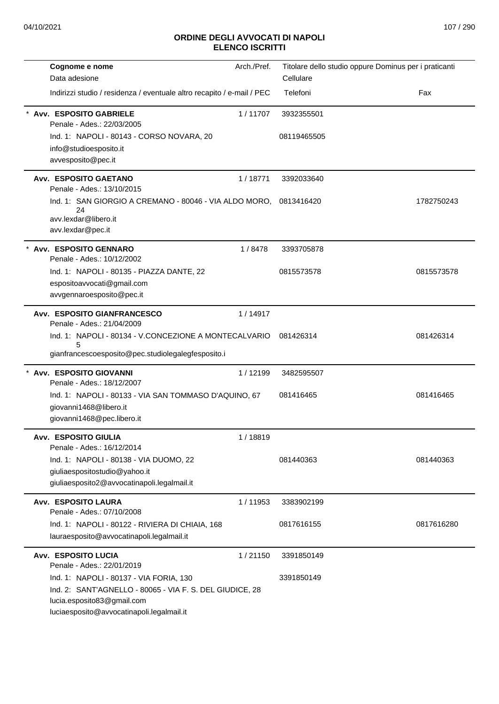| Cognome e nome                                                         | Arch./Pref. | Titolare dello studio oppure Dominus per i praticanti |            |
|------------------------------------------------------------------------|-------------|-------------------------------------------------------|------------|
| Data adesione                                                          |             | Cellulare                                             |            |
| Indirizzi studio / residenza / eventuale altro recapito / e-mail / PEC |             | Telefoni                                              | Fax        |
| Avv. ESPOSITO GABRIELE<br>Penale - Ades.: 22/03/2005                   | 1/11707     | 3932355501                                            |            |
| Ind. 1: NAPOLI - 80143 - CORSO NOVARA, 20                              |             | 08119465505                                           |            |
| info@studioesposito.it                                                 |             |                                                       |            |
| avvesposito@pec.it                                                     |             |                                                       |            |
| Avv. ESPOSITO GAETANO<br>Penale - Ades.: 13/10/2015                    | 1/18771     | 3392033640                                            |            |
| Ind. 1: SAN GIORGIO A CREMANO - 80046 - VIA ALDO MORO,<br>24           |             | 0813416420                                            | 1782750243 |
| avv.lexdar@libero.it                                                   |             |                                                       |            |
| avv.lexdar@pec.it                                                      |             |                                                       |            |
| Avv. ESPOSITO GENNARO<br>Penale - Ades.: 10/12/2002                    | 1/8478      | 3393705878                                            |            |
| Ind. 1: NAPOLI - 80135 - PIAZZA DANTE, 22                              |             | 0815573578                                            | 0815573578 |
| espositoavvocati@gmail.com                                             |             |                                                       |            |
| avvgennaroesposito@pec.it                                              |             |                                                       |            |
| Avv. ESPOSITO GIANFRANCESCO<br>Penale - Ades.: 21/04/2009              | 1/14917     |                                                       |            |
| Ind. 1: NAPOLI - 80134 - V.CONCEZIONE A MONTECALVARIO                  |             | 081426314                                             | 081426314  |
| 5<br>gianfrancescoesposito@pec.studiolegalegfesposito.i                |             |                                                       |            |
|                                                                        |             |                                                       |            |
| * Avv. ESPOSITO GIOVANNI<br>Penale - Ades.: 18/12/2007                 | 1/12199     | 3482595507                                            |            |
| Ind. 1: NAPOLI - 80133 - VIA SAN TOMMASO D'AQUINO, 67                  |             | 081416465                                             | 081416465  |
| giovanni1468@libero.it                                                 |             |                                                       |            |
| giovanni1468@pec.libero.it                                             |             |                                                       |            |
| Avv. ESPOSITO GIULIA<br>Penale - Ades.: 16/12/2014                     | 1/18819     |                                                       |            |
| Ind. 1: NAPOLI - 80138 - VIA DUOMO, 22                                 |             | 081440363                                             | 081440363  |
| giuliaespositostudio@yahoo.it                                          |             |                                                       |            |
| giuliaesposito2@avvocatinapoli.legalmail.it                            |             |                                                       |            |
| Avv. ESPOSITO LAURA<br>Penale - Ades.: 07/10/2008                      | 1/11953     | 3383902199                                            |            |
| Ind. 1: NAPOLI - 80122 - RIVIERA DI CHIAIA, 168                        |             | 0817616155                                            | 0817616280 |
| lauraesposito@avvocatinapoli.legalmail.it                              |             |                                                       |            |
| <b>Avv. ESPOSITO LUCIA</b><br>Penale - Ades.: 22/01/2019               | 1/21150     | 3391850149                                            |            |
| Ind. 1: NAPOLI - 80137 - VIA FORIA, 130                                |             | 3391850149                                            |            |
| Ind. 2: SANT'AGNELLO - 80065 - VIA F. S. DEL GIUDICE, 28               |             |                                                       |            |
| lucia.esposito83@gmail.com                                             |             |                                                       |            |
| luciaesposito@avvocatinapoli.legalmail.it                              |             |                                                       |            |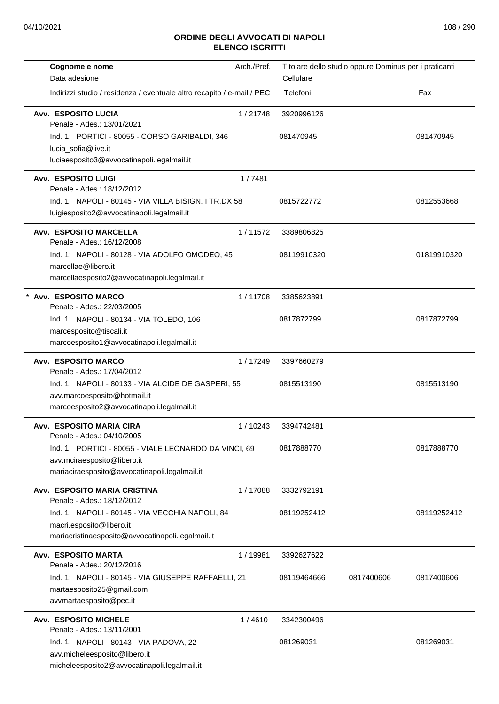| Arch./Pref.                                                            | Titolare dello studio oppure Dominus per i praticanti |            |             |
|------------------------------------------------------------------------|-------------------------------------------------------|------------|-------------|
|                                                                        | Cellulare                                             |            |             |
| Indirizzi studio / residenza / eventuale altro recapito / e-mail / PEC | Telefoni                                              |            | Fax         |
| 1/21748                                                                | 3920996126                                            |            |             |
| Ind. 1: PORTICI - 80055 - CORSO GARIBALDI, 346                         | 081470945                                             |            | 081470945   |
|                                                                        |                                                       |            |             |
|                                                                        |                                                       |            |             |
| 1/7481                                                                 |                                                       |            |             |
| Ind. 1: NAPOLI - 80145 - VIA VILLA BISIGN, I TR.DX 58                  | 0815722772                                            |            | 0812553668  |
|                                                                        |                                                       |            |             |
| 1/11572                                                                | 3389806825                                            |            |             |
| Ind. 1: NAPOLI - 80128 - VIA ADOLFO OMODEO, 45                         | 08119910320                                           |            | 01819910320 |
|                                                                        |                                                       |            |             |
|                                                                        |                                                       |            |             |
| 1/11708                                                                | 3385623891                                            |            |             |
|                                                                        | 0817872799                                            |            | 0817872799  |
|                                                                        |                                                       |            |             |
|                                                                        |                                                       |            |             |
| 1 / 17249                                                              | 3397660279                                            |            |             |
| Ind. 1: NAPOLI - 80133 - VIA ALCIDE DE GASPERI, 55                     | 0815513190                                            |            | 0815513190  |
|                                                                        |                                                       |            |             |
|                                                                        |                                                       |            |             |
| 1/10243                                                                | 3394742481                                            |            |             |
| Ind. 1: PORTICI - 80055 - VIALE LEONARDO DA VINCI, 69                  | 0817888770                                            |            | 0817888770  |
|                                                                        |                                                       |            |             |
|                                                                        |                                                       |            |             |
| 1/17088                                                                | 3332792191                                            |            |             |
| Ind. 1: NAPOLI - 80145 - VIA VECCHIA NAPOLI, 84                        | 08119252412                                           |            | 08119252412 |
|                                                                        |                                                       |            |             |
|                                                                        |                                                       |            |             |
| 1 / 19981                                                              | 3392627622                                            |            |             |
| Ind. 1: NAPOLI - 80145 - VIA GIUSEPPE RAFFAELLI, 21                    | 08119464666                                           | 0817400606 | 0817400606  |
| 1/4610                                                                 | 3342300496                                            |            |             |
|                                                                        |                                                       |            |             |
|                                                                        | 081269031                                             |            | 081269031   |
|                                                                        |                                                       |            |             |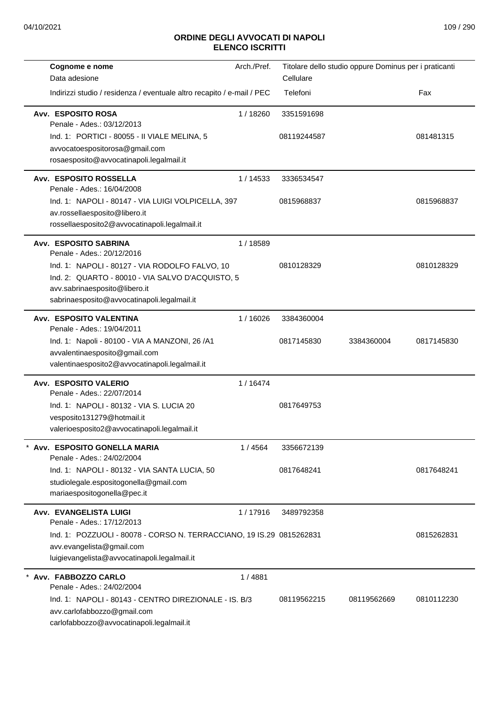| Cognome e nome<br>Data adesione                                                                                                                                                    | Arch./Pref. | Titolare dello studio oppure Dominus per i praticanti<br>Cellulare |             |            |
|------------------------------------------------------------------------------------------------------------------------------------------------------------------------------------|-------------|--------------------------------------------------------------------|-------------|------------|
| Indirizzi studio / residenza / eventuale altro recapito / e-mail / PEC                                                                                                             |             | Telefoni                                                           |             | Fax        |
| Avv. ESPOSITO ROSA<br>Penale - Ades.: 03/12/2013<br>Ind. 1: PORTICI - 80055 - II VIALE MELINA, 5<br>avvocatoespositorosa@gmail.com<br>rosaesposito@avvocatinapoli.legalmail.it     | 1/18260     | 3351591698<br>08119244587                                          |             | 081481315  |
| Avv. ESPOSITO ROSSELLA<br>Penale - Ades.: 16/04/2008                                                                                                                               | 1/14533     | 3336534547                                                         |             |            |
| Ind. 1: NAPOLI - 80147 - VIA LUIGI VOLPICELLA, 397<br>av.rossellaesposito@libero.it<br>rossellaesposito2@avvocatinapoli.legalmail.it                                               |             | 0815968837                                                         |             | 0815968837 |
| Avv. ESPOSITO SABRINA<br>Penale - Ades.: 20/12/2016                                                                                                                                | 1/18589     |                                                                    |             |            |
| Ind. 1: NAPOLI - 80127 - VIA RODOLFO FALVO, 10<br>Ind. 2: QUARTO - 80010 - VIA SALVO D'ACQUISTO, 5<br>avv.sabrinaesposito@libero.it<br>sabrinaesposito@avvocatinapoli.legalmail.it |             | 0810128329                                                         |             | 0810128329 |
| Avv. ESPOSITO VALENTINA<br>Penale - Ades.: 19/04/2011                                                                                                                              | 1/16026     | 3384360004                                                         |             |            |
| Ind. 1: Napoli - 80100 - VIA A MANZONI, 26 / A1<br>avvalentinaesposito@gmail.com<br>valentinaesposito2@avvocatinapoli.legalmail.it                                                 |             | 0817145830                                                         | 3384360004  | 0817145830 |
| Avv. ESPOSITO VALERIO                                                                                                                                                              | 1/16474     |                                                                    |             |            |
| Penale - Ades.: 22/07/2014<br>Ind. 1: NAPOLI - 80132 - VIA S. LUCIA 20<br>vesposito131279@hotmail.it<br>valerioesposito2@avvocatinapoli.legalmail.it                               |             | 0817649753                                                         |             |            |
| Avv. ESPOSITO GONELLA MARIA<br>Penale - Ades.: 24/02/2004                                                                                                                          | 1/4564      | 3356672139                                                         |             |            |
| Ind. 1: NAPOLI - 80132 - VIA SANTA LUCIA, 50<br>studiolegale.espositogonella@gmail.com<br>mariaespositogonella@pec.it                                                              |             | 0817648241                                                         |             | 0817648241 |
| Avv. EVANGELISTA LUIGI<br>Penale - Ades.: 17/12/2013                                                                                                                               | 1/17916     | 3489792358                                                         |             |            |
| Ind. 1: POZZUOLI - 80078 - CORSO N. TERRACCIANO, 19 IS.29 0815262831<br>avv.evangelista@gmail.com<br>luigievangelista@avvocatinapoli.legalmail.it                                  |             |                                                                    |             | 0815262831 |
| Avv. FABBOZZO CARLO<br>Penale - Ades.: 24/02/2004                                                                                                                                  | 1/4881      |                                                                    |             |            |
| Ind. 1: NAPOLI - 80143 - CENTRO DIREZIONALE - IS, B/3<br>avv.carlofabbozzo@gmail.com<br>carlofabbozzo@avvocatinapoli.legalmail.it                                                  |             | 08119562215                                                        | 08119562669 | 0810112230 |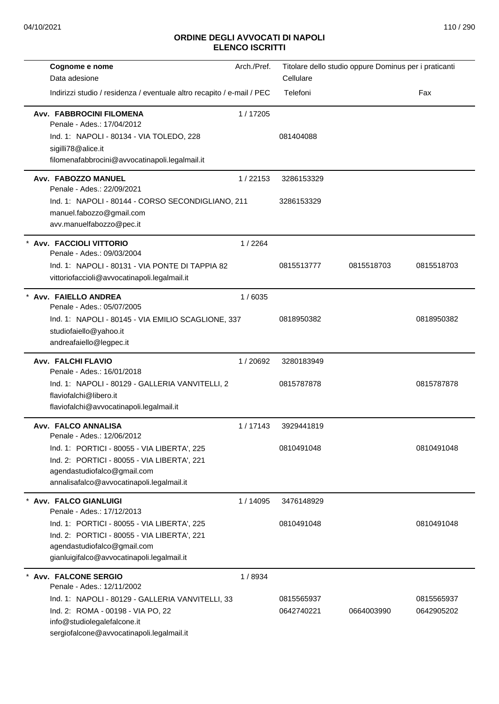| Cognome e nome<br>Data adesione                                                                                                                                                                                                 | Arch./Pref. | Titolare dello studio oppure Dominus per i praticanti<br>Cellulare |            |                          |
|---------------------------------------------------------------------------------------------------------------------------------------------------------------------------------------------------------------------------------|-------------|--------------------------------------------------------------------|------------|--------------------------|
| Indirizzi studio / residenza / eventuale altro recapito / e-mail / PEC                                                                                                                                                          |             | Telefoni                                                           |            | Fax                      |
| Avv. FABBROCINI FILOMENA<br>Penale - Ades.: 17/04/2012<br>Ind. 1: NAPOLI - 80134 - VIA TOLEDO, 228<br>sigilli78@alice.it<br>filomenafabbrocini@avvocatinapoli.legalmail.it                                                      | 1/17205     | 081404088                                                          |            |                          |
| Avv. FABOZZO MANUEL<br>Penale - Ades.: 22/09/2021                                                                                                                                                                               | 1/22153     | 3286153329                                                         |            |                          |
| Ind. 1: NAPOLI - 80144 - CORSO SECONDIGLIANO, 211<br>manuel.fabozzo@gmail.com<br>avv.manuelfabozzo@pec.it                                                                                                                       |             | 3286153329                                                         |            |                          |
| * Avv. FACCIOLI VITTORIO<br>Penale - Ades.: 09/03/2004                                                                                                                                                                          | 1/2264      |                                                                    |            |                          |
| Ind. 1: NAPOLI - 80131 - VIA PONTE DI TAPPIA 82<br>vittoriofaccioli@avvocatinapoli.legalmail.it                                                                                                                                 |             | 0815513777                                                         | 0815518703 | 0815518703               |
| * Avv. FAIELLO ANDREA<br>Penale - Ades.: 05/07/2005<br>Ind. 1: NAPOLI - 80145 - VIA EMILIO SCAGLIONE, 337<br>studiofaiello@yahoo.it<br>andreafaiello@legpec.it                                                                  | 1/6035      | 0818950382                                                         |            | 0818950382               |
| Avv. FALCHI FLAVIO<br>Penale - Ades.: 16/01/2018<br>Ind. 1: NAPOLI - 80129 - GALLERIA VANVITELLI, 2<br>flaviofalchi@libero.it<br>flaviofalchi@avvocatinapoli.legalmail.it                                                       | 1/20692     | 3280183949<br>0815787878                                           |            | 0815787878               |
| Avv. FALCO ANNALISA<br>Penale - Ades.: 12/06/2012<br>Ind. 1: PORTICI - 80055 - VIA LIBERTA', 225<br>Ind. 2: PORTICI - 80055 - VIA LIBERTA', 221<br>agendastudiofalco@gmail.com<br>annalisafalco@avvocatinapoli.legalmail.it     | 1/17143     | 3929441819<br>0810491048                                           |            | 0810491048               |
| * Avv. FALCO GIANLUIGI<br>Penale - Ades.: 17/12/2013<br>Ind. 1: PORTICI - 80055 - VIA LIBERTA', 225<br>Ind. 2: PORTICI - 80055 - VIA LIBERTA', 221<br>agendastudiofalco@gmail.com<br>gianluigifalco@avvocatinapoli.legalmail.it | 1/14095     | 3476148929<br>0810491048                                           |            | 0810491048               |
| * Avv. FALCONE SERGIO<br>Penale - Ades.: 12/11/2002<br>Ind. 1: NAPOLI - 80129 - GALLERIA VANVITELLI, 33<br>Ind. 2: ROMA - 00198 - VIA PO, 22<br>info@studiolegalefalcone.it<br>sergiofalcone@avvocatinapoli.legalmail.it        | 1/8934      | 0815565937<br>0642740221                                           | 0664003990 | 0815565937<br>0642905202 |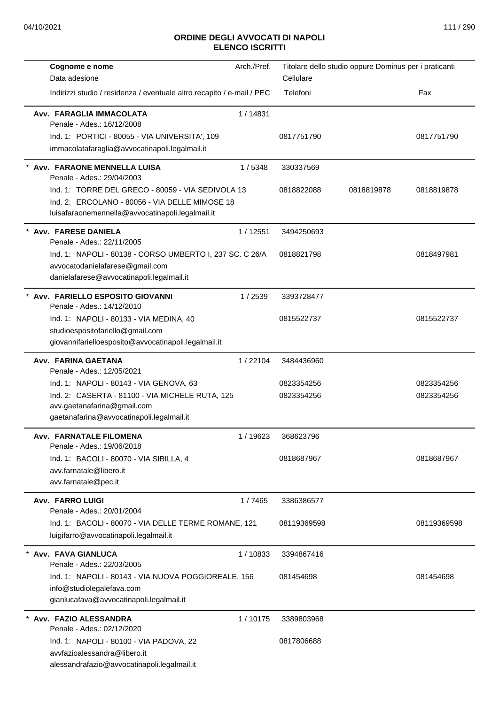| Cognome e nome                                                                                                                                          | Arch./Pref. | Titolare dello studio oppure Dominus per i praticanti |            |             |
|---------------------------------------------------------------------------------------------------------------------------------------------------------|-------------|-------------------------------------------------------|------------|-------------|
| Data adesione                                                                                                                                           |             | Cellulare                                             |            |             |
| Indirizzi studio / residenza / eventuale altro recapito / e-mail / PEC                                                                                  |             | Telefoni                                              |            | Fax         |
| Avv. FARAGLIA IMMACOLATA<br>Penale - Ades.: 16/12/2008                                                                                                  | 1/14831     |                                                       |            |             |
| Ind. 1: PORTICI - 80055 - VIA UNIVERSITA', 109                                                                                                          |             | 0817751790                                            |            | 0817751790  |
| immacolatafaraglia@avvocatinapoli.legalmail.it                                                                                                          |             |                                                       |            |             |
| * Avv. FARAONE MENNELLA LUISA<br>Penale - Ades.: 29/04/2003                                                                                             | 1/5348      | 330337569                                             |            |             |
| Ind. 1: TORRE DEL GRECO - 80059 - VIA SEDIVOLA 13<br>Ind. 2: ERCOLANO - 80056 - VIA DELLE MIMOSE 18<br>luisafaraonemennella@avvocatinapoli.legalmail.it |             | 0818822088                                            | 0818819878 | 0818819878  |
| * Avv. FARESE DANIELA<br>Penale - Ades.: 22/11/2005                                                                                                     | 1/12551     | 3494250693                                            |            |             |
| Ind. 1: NAPOLI - 80138 - CORSO UMBERTO I, 237 SC. C 26/A                                                                                                |             | 0818821798                                            |            | 0818497981  |
| avvocatodanielafarese@gmail.com<br>danielafarese@avvocatinapoli.legalmail.it                                                                            |             |                                                       |            |             |
| * Avv. FARIELLO ESPOSITO GIOVANNI                                                                                                                       | 1/2539      | 3393728477                                            |            |             |
| Penale - Ades.: 14/12/2010                                                                                                                              |             |                                                       |            |             |
| Ind. 1: NAPOLI - 80133 - VIA MEDINA, 40<br>studioespositofariello@gmail.com                                                                             |             | 0815522737                                            |            | 0815522737  |
| giovannifarielloesposito@avvocatinapoli.legalmail.it                                                                                                    |             |                                                       |            |             |
| Avv. FARINA GAETANA<br>Penale - Ades.: 12/05/2021                                                                                                       | 1/22104     | 3484436960                                            |            |             |
| Ind. 1: NAPOLI - 80143 - VIA GENOVA, 63                                                                                                                 |             | 0823354256                                            |            | 0823354256  |
| Ind. 2: CASERTA - 81100 - VIA MICHELE RUTA, 125                                                                                                         |             | 0823354256                                            |            | 0823354256  |
| avv.gaetanafarina@gmail.com<br>gaetanafarina@avvocatinapoli.legalmail.it                                                                                |             |                                                       |            |             |
| Avv.   FARNATALE FILOMENA<br>Penale - Ades.: 19/06/2018                                                                                                 | 1/19623     | 368623796                                             |            |             |
| Ind. 1: BACOLI - 80070 - VIA SIBILLA, 4                                                                                                                 |             | 0818687967                                            |            | 0818687967  |
| avv.farnatale@libero.it                                                                                                                                 |             |                                                       |            |             |
| avv.farnatale@pec.it                                                                                                                                    |             |                                                       |            |             |
| <b>Avv. FARRO LUIGI</b><br>Penale - Ades.: 20/01/2004                                                                                                   | 1/7465      | 3386386577                                            |            |             |
| Ind. 1: BACOLI - 80070 - VIA DELLE TERME ROMANE, 121                                                                                                    |             | 08119369598                                           |            | 08119369598 |
| luigifarro@avvocatinapoli.legalmail.it                                                                                                                  |             |                                                       |            |             |
| * Avv. FAVA GIANLUCA<br>Penale - Ades.: 22/03/2005                                                                                                      | 1/10833     | 3394867416                                            |            |             |
| Ind. 1: NAPOLI - 80143 - VIA NUOVA POGGIOREALE, 156<br>info@studiolegalefava.com<br>gianlucafava@avvocatinapoli.legalmail.it                            |             | 081454698                                             |            | 081454698   |
| Avv. FAZIO ALESSANDRA<br>Penale - Ades.: 02/12/2020                                                                                                     | 1/10175     | 3389803968                                            |            |             |
| Ind. 1: NAPOLI - 80100 - VIA PADOVA, 22<br>avvfazioalessandra@libero.it<br>alessandrafazio@avvocatinapoli.legalmail.it                                  |             | 0817806688                                            |            |             |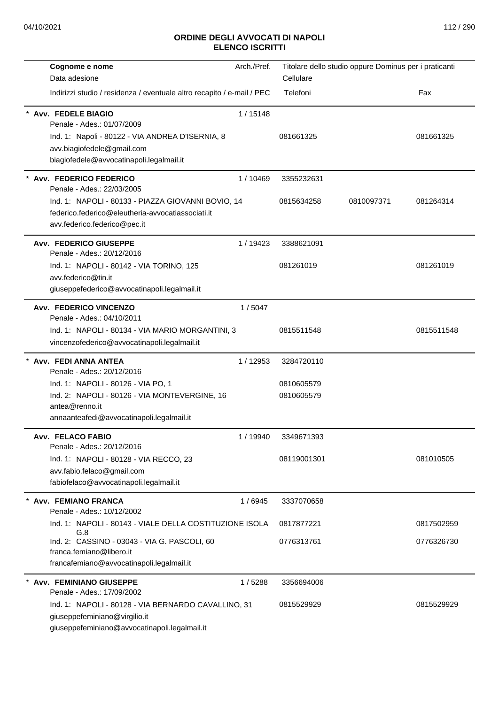| Cognome e nome                                                         | Arch./Pref. | Titolare dello studio oppure Dominus per i praticanti |            |            |
|------------------------------------------------------------------------|-------------|-------------------------------------------------------|------------|------------|
| Data adesione                                                          |             | Cellulare                                             |            |            |
| Indirizzi studio / residenza / eventuale altro recapito / e-mail / PEC |             | Telefoni                                              |            | Fax        |
| <b>Avv. FEDELE BIAGIO</b><br>Penale - Ades.: 01/07/2009                | 1/15148     |                                                       |            |            |
| Ind. 1: Napoli - 80122 - VIA ANDREA D'ISERNIA, 8                       |             | 081661325                                             |            | 081661325  |
| avv.biagiofedele@gmail.com                                             |             |                                                       |            |            |
| biagiofedele@avvocatinapoli.legalmail.it                               |             |                                                       |            |            |
| Avv. FEDERICO FEDERICO<br>Penale - Ades.: 22/03/2005                   | 1/10469     | 3355232631                                            |            |            |
| Ind. 1: NAPOLI - 80133 - PIAZZA GIOVANNI BOVIO, 14                     |             | 0815634258                                            | 0810097371 | 081264314  |
| federico.federico@eleutheria-avvocatiassociati.it                      |             |                                                       |            |            |
| avv.federico.federico@pec.it                                           |             |                                                       |            |            |
| <b>Avv. FEDERICO GIUSEPPE</b><br>Penale - Ades.: 20/12/2016            | 1/19423     | 3388621091                                            |            |            |
| Ind. 1: NAPOLI - 80142 - VIA TORINO, 125                               |             | 081261019                                             |            | 081261019  |
| avv.federico@tin.it                                                    |             |                                                       |            |            |
| giuseppefederico@avvocatinapoli.legalmail.it                           |             |                                                       |            |            |
| <b>Avv. FEDERICO VINCENZO</b><br>Penale - Ades.: 04/10/2011            | 1/5047      |                                                       |            |            |
| Ind. 1: NAPOLI - 80134 - VIA MARIO MORGANTINI, 3                       |             | 0815511548                                            |            | 0815511548 |
| vincenzofederico@avvocatinapoli.legalmail.it                           |             |                                                       |            |            |
| Avv. FEDI ANNA ANTEA<br>Penale - Ades.: 20/12/2016                     | 1/12953     | 3284720110                                            |            |            |
| Ind. 1: NAPOLI - 80126 - VIA PO, 1                                     |             | 0810605579                                            |            |            |
| Ind. 2: NAPOLI - 80126 - VIA MONTEVERGINE, 16                          |             | 0810605579                                            |            |            |
| antea@renno.it                                                         |             |                                                       |            |            |
| annaanteafedi@avvocatinapoli.legalmail.it                              |             |                                                       |            |            |
| Avv. FELACO FABIO<br>Penale - Ades.: 20/12/2016                        | 1 / 19940   | 3349671393                                            |            |            |
| Ind. 1: NAPOLI - 80128 - VIA RECCO, 23                                 |             | 08119001301                                           |            | 081010505  |
| avv.fabio.felaco@gmail.com                                             |             |                                                       |            |            |
| fabiofelaco@avvocatinapoli.legalmail.it                                |             |                                                       |            |            |
| * Avv. FEMIANO FRANCA<br>Penale - Ades.: 10/12/2002                    | 1/6945      | 3337070658                                            |            |            |
| Ind. 1: NAPOLI - 80143 - VIALE DELLA COSTITUZIONE ISOLA                |             | 0817877221                                            |            | 0817502959 |
| G.8<br>Ind. 2: CASSINO - 03043 - VIA G. PASCOLI, 60                    |             | 0776313761                                            |            | 0776326730 |
| franca.femiano@libero.it                                               |             |                                                       |            |            |
| francafemiano@avvocatinapoli.legalmail.it                              |             |                                                       |            |            |
| * Avv. FEMINIANO GIUSEPPE                                              | 1/5288      | 3356694006                                            |            |            |
| Penale - Ades.: 17/09/2002                                             |             |                                                       |            |            |
| Ind. 1: NAPOLI - 80128 - VIA BERNARDO CAVALLINO, 31                    |             | 0815529929                                            |            | 0815529929 |
| giuseppefeminiano@virgilio.it                                          |             |                                                       |            |            |
| giuseppefeminiano@avvocatinapoli.legalmail.it                          |             |                                                       |            |            |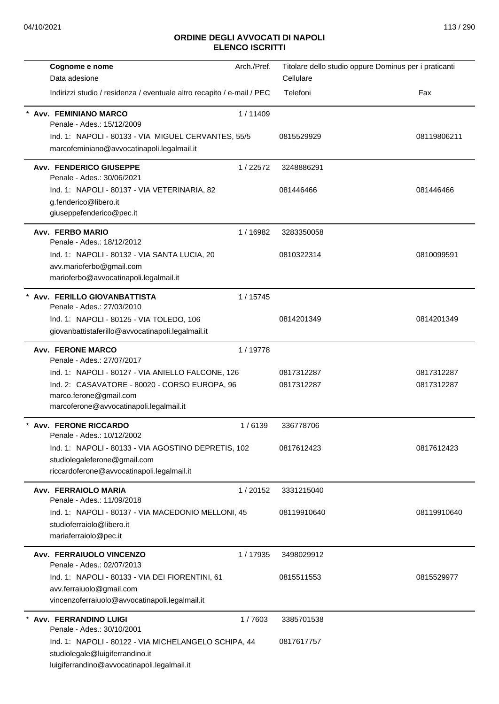| Cognome e nome                                                             | Arch./Pref. | Titolare dello studio oppure Dominus per i praticanti |             |
|----------------------------------------------------------------------------|-------------|-------------------------------------------------------|-------------|
| Data adesione                                                              |             | Cellulare                                             |             |
| Indirizzi studio / residenza / eventuale altro recapito / e-mail / PEC     |             | Telefoni                                              | Fax         |
| <b>Avv. FEMINIANO MARCO</b><br>Penale - Ades.: 15/12/2009                  | 1/11409     |                                                       |             |
| Ind. 1: NAPOLI - 80133 - VIA MIGUEL CERVANTES, 55/5                        |             | 0815529929                                            | 08119806211 |
| marcofeminiano@avvocatinapoli.legalmail.it                                 |             |                                                       |             |
| <b>Avv. FENDERICO GIUSEPPE</b><br>Penale - Ades.: 30/06/2021               | 1/22572     | 3248886291                                            |             |
| Ind. 1: NAPOLI - 80137 - VIA VETERINARIA, 82                               |             | 081446466                                             | 081446466   |
| g.fenderico@libero.it                                                      |             |                                                       |             |
| giuseppefenderico@pec.it                                                   |             |                                                       |             |
| <b>Avv. FERBO MARIO</b><br>Penale - Ades.: 18/12/2012                      | 1/16982     | 3283350058                                            |             |
| Ind. 1: NAPOLI - 80132 - VIA SANTA LUCIA, 20                               |             | 0810322314                                            | 0810099591  |
| avv.marioferbo@gmail.com                                                   |             |                                                       |             |
| marioferbo@avvocatinapoli.legalmail.it                                     |             |                                                       |             |
| Avv. FERILLO GIOVANBATTISTA                                                | 1/15745     |                                                       |             |
| Penale - Ades.: 27/03/2010                                                 |             |                                                       |             |
| Ind. 1: NAPOLI - 80125 - VIA TOLEDO, 106                                   |             | 0814201349                                            | 0814201349  |
| giovanbattistaferillo@avvocatinapoli.legalmail.it                          |             |                                                       |             |
| <b>Avv. FERONE MARCO</b><br>Penale - Ades.: 27/07/2017                     | 1/19778     |                                                       |             |
| Ind. 1: NAPOLI - 80127 - VIA ANIELLO FALCONE, 126                          |             | 0817312287                                            | 0817312287  |
| Ind. 2: CASAVATORE - 80020 - CORSO EUROPA, 96                              |             | 0817312287                                            | 0817312287  |
| marco.ferone@gmail.com                                                     |             |                                                       |             |
| marcoferone@avvocatinapoli.legalmail.it                                    |             |                                                       |             |
| <b>Avv. FERONE RICCARDO</b>                                                | 1/6139      | 336778706                                             |             |
| Penale - Ades.: 10/12/2002                                                 |             |                                                       |             |
| Ind. 1: NAPOLI - 80133 - VIA AGOSTINO DEPRETIS, 102                        |             | 0817612423                                            | 0817612423  |
| studiolegaleferone@gmail.com<br>riccardoferone@avvocatinapoli.legalmail.it |             |                                                       |             |
|                                                                            |             |                                                       |             |
| Avv. FERRAIOLO MARIA<br>Penale - Ades.: 11/09/2018                         | 1/20152     | 3331215040                                            |             |
| Ind. 1: NAPOLI - 80137 - VIA MACEDONIO MELLONI, 45                         |             | 08119910640                                           | 08119910640 |
| studioferraiolo@libero.it                                                  |             |                                                       |             |
| mariaferraiolo@pec.it                                                      |             |                                                       |             |
| Avv. FERRAIUOLO VINCENZO                                                   | 1/17935     | 3498029912                                            |             |
| Penale - Ades.: 02/07/2013                                                 |             |                                                       |             |
| Ind. 1: NAPOLI - 80133 - VIA DEI FIORENTINI, 61                            |             | 0815511553                                            | 0815529977  |
| avv.ferraiuolo@gmail.com<br>vincenzoferraiuolo@avvocatinapoli.legalmail.it |             |                                                       |             |
|                                                                            |             |                                                       |             |
| Avv. FERRANDINO LUIGI<br>Penale - Ades.: 30/10/2001                        | 1/7603      | 3385701538                                            |             |
| Ind. 1: NAPOLI - 80122 - VIA MICHELANGELO SCHIPA, 44                       |             | 0817617757                                            |             |
| studiolegale@luigiferrandino.it                                            |             |                                                       |             |
| luigiferrandino@avvocatinapoli.legalmail.it                                |             |                                                       |             |
|                                                                            |             |                                                       |             |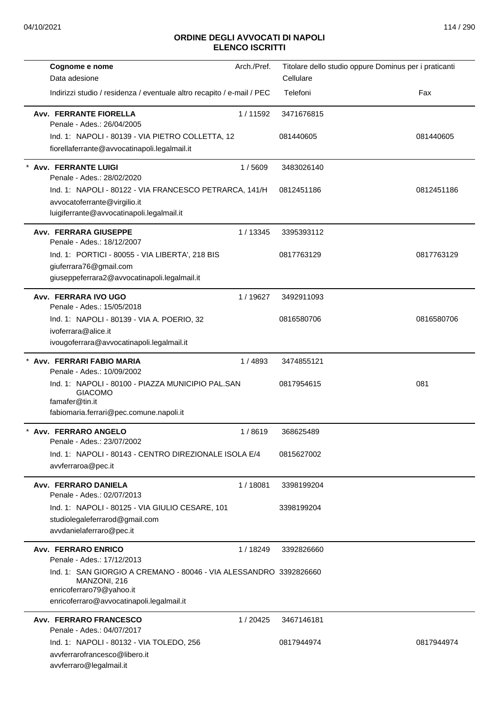| Cognome e nome                                                                                                                      | Arch./Pref. | Titolare dello studio oppure Dominus per i praticanti |            |
|-------------------------------------------------------------------------------------------------------------------------------------|-------------|-------------------------------------------------------|------------|
| Data adesione                                                                                                                       |             | Cellulare                                             |            |
| Indirizzi studio / residenza / eventuale altro recapito / e-mail / PEC                                                              |             | Telefoni                                              | Fax        |
| <b>Avv. FERRANTE FIORELLA</b><br>Penale - Ades.: 26/04/2005                                                                         | 1/11592     | 3471676815                                            |            |
| Ind. 1: NAPOLI - 80139 - VIA PIETRO COLLETTA, 12                                                                                    |             | 081440605                                             | 081440605  |
| fiorellaferrante@avvocatinapoli.legalmail.it                                                                                        |             |                                                       |            |
| * Avv. FERRANTE LUIGI<br>Penale - Ades.: 28/02/2020                                                                                 | 1/5609      | 3483026140                                            |            |
| Ind. 1: NAPOLI - 80122 - VIA FRANCESCO PETRARCA, 141/H<br>avvocatoferrante@virgilio.it<br>luigiferrante@avvocatinapoli.legalmail.it |             | 0812451186                                            | 0812451186 |
| <b>Avv. FERRARA GIUSEPPE</b><br>Penale - Ades.: 18/12/2007                                                                          | 1/13345     | 3395393112                                            |            |
| Ind. 1: PORTICI - 80055 - VIA LIBERTA', 218 BIS                                                                                     |             | 0817763129                                            | 0817763129 |
| giuferrara76@gmail.com                                                                                                              |             |                                                       |            |
| giuseppeferrara2@avvocatinapoli.legalmail.it                                                                                        |             |                                                       |            |
| Avv. FERRARA IVO UGO<br>Penale - Ades.: 15/05/2018                                                                                  | 1/19627     | 3492911093                                            |            |
| Ind. 1: NAPOLI - 80139 - VIA A. POERIO, 32                                                                                          |             | 0816580706                                            | 0816580706 |
| ivoferrara@alice.it                                                                                                                 |             |                                                       |            |
| ivougoferrara@avvocatinapoli.legalmail.it                                                                                           |             |                                                       |            |
| Avv. FERRARI FABIO MARIA<br>Penale - Ades.: 10/09/2002                                                                              | 1/4893      | 3474855121                                            |            |
| Ind. 1: NAPOLI - 80100 - PIAZZA MUNICIPIO PAL.SAN<br><b>GIACOMO</b><br>famafer@tin.it<br>fabiomaria.ferrari@pec.comune.napoli.it    |             | 0817954615                                            | 081        |
| Avv. FERRARO ANGELO<br>Penale - Ades.: 23/07/2002                                                                                   | 1/8619      | 368625489                                             |            |
| Ind. 1: NAPOLI - 80143 - CENTRO DIREZIONALE ISOLA E/4                                                                               |             | 0815627002                                            |            |
| avvferraroa@pec.it                                                                                                                  |             |                                                       |            |
| Avv. FERRARO DANIELA<br>Penale - Ades.: 02/07/2013                                                                                  | 1/18081     | 3398199204                                            |            |
| Ind. 1: NAPOLI - 80125 - VIA GIULIO CESARE, 101<br>studiolegaleferrarod@gmail.com<br>avvdanielaferraro@pec.it                       |             | 3398199204                                            |            |
|                                                                                                                                     |             |                                                       |            |
| <b>Avv. FERRARO ENRICO</b><br>Penale - Ades.: 17/12/2013                                                                            | 1/18249     | 3392826660                                            |            |
| Ind. 1: SAN GIORGIO A CREMANO - 80046 - VIA ALESSANDRO 3392826660<br>MANZONI, 216<br>enricoferraro79@yahoo.it                       |             |                                                       |            |
| enricoferraro@avvocatinapoli.legalmail.it                                                                                           |             |                                                       |            |
| <b>Avv. FERRARO FRANCESCO</b><br>Penale - Ades.: 04/07/2017                                                                         | 1/20425     | 3467146181                                            |            |
| Ind. 1: NAPOLI - 80132 - VIA TOLEDO, 256<br>avvferrarofrancesco@libero.it                                                           |             | 0817944974                                            | 0817944974 |
| avvferraro@legalmail.it                                                                                                             |             |                                                       |            |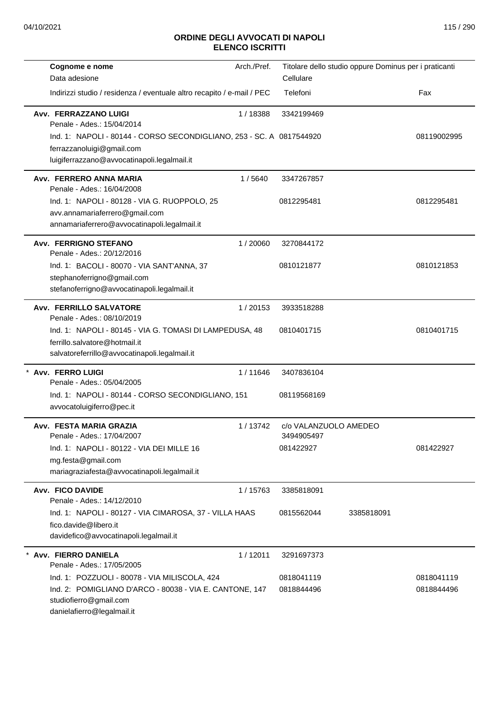| Cognome e nome                                                                                                  | Arch./Pref. | Titolare dello studio oppure Dominus per i praticanti |            |             |
|-----------------------------------------------------------------------------------------------------------------|-------------|-------------------------------------------------------|------------|-------------|
| Data adesione                                                                                                   |             | Cellulare                                             |            |             |
| Indirizzi studio / residenza / eventuale altro recapito / e-mail / PEC                                          |             | Telefoni                                              |            | Fax         |
| Avv. FERRAZZANO LUIGI<br>Penale - Ades.: 15/04/2014                                                             | 1/18388     | 3342199469                                            |            |             |
| Ind. 1: NAPOLI - 80144 - CORSO SECONDIGLIANO, 253 - SC. A 0817544920                                            |             |                                                       |            | 08119002995 |
| ferrazzanoluigi@gmail.com                                                                                       |             |                                                       |            |             |
| luigiferrazzano@avvocatinapoli.legalmail.it                                                                     |             |                                                       |            |             |
| Avv. FERRERO ANNA MARIA<br>Penale - Ades.: 16/04/2008                                                           | 1/5640      | 3347267857                                            |            |             |
| Ind. 1: NAPOLI - 80128 - VIA G. RUOPPOLO, 25                                                                    |             | 0812295481                                            |            | 0812295481  |
| avv.annamariaferrero@gmail.com                                                                                  |             |                                                       |            |             |
| annamariaferrero@avvocatinapoli.legalmail.it                                                                    |             |                                                       |            |             |
| <b>Avv. FERRIGNO STEFANO</b><br>Penale - Ades.: 20/12/2016                                                      | 1/20060     | 3270844172                                            |            |             |
| Ind. 1: BACOLI - 80070 - VIA SANT'ANNA, 37                                                                      |             | 0810121877                                            |            | 0810121853  |
| stephanoferrigno@gmail.com                                                                                      |             |                                                       |            |             |
| stefanoferrigno@avvocatinapoli.legalmail.it                                                                     |             |                                                       |            |             |
| Avv. FERRILLO SALVATORE<br>Penale - Ades.: 08/10/2019                                                           | 1/20153     | 3933518288                                            |            |             |
| Ind. 1: NAPOLI - 80145 - VIA G. TOMASI DI LAMPEDUSA, 48                                                         |             | 0810401715                                            |            | 0810401715  |
| ferrillo.salvatore@hotmail.it                                                                                   |             |                                                       |            |             |
| salvatoreferrillo@avvocatinapoli.legalmail.it                                                                   |             |                                                       |            |             |
| * Avv. FERRO LUIGI<br>Penale - Ades.: 05/04/2005                                                                | 1/11646     | 3407836104                                            |            |             |
| Ind. 1: NAPOLI - 80144 - CORSO SECONDIGLIANO, 151                                                               |             | 08119568169                                           |            |             |
| avvocatoluigiferro@pec.it                                                                                       |             |                                                       |            |             |
| Avv. FESTA MARIA GRAZIA<br>Penale - Ades.: 17/04/2007                                                           | 1/13742     | c/o VALANZUOLO AMEDEO<br>3494905497                   |            |             |
| Ind. 1: NAPOLI - 80122 - VIA DEI MILLE 16                                                                       |             | 081422927                                             |            | 081422927   |
| mg.festa@gmail.com                                                                                              |             |                                                       |            |             |
| mariagraziafesta@avvocatinapoli.legalmail.it                                                                    |             |                                                       |            |             |
| Avv. FICO DAVIDE<br>Penale - Ades.: 14/12/2010                                                                  | 1/15763     | 3385818091                                            |            |             |
| Ind. 1: NAPOLI - 80127 - VIA CIMAROSA, 37 - VILLA HAAS                                                          |             | 0815562044                                            | 3385818091 |             |
| fico.davide@libero.it                                                                                           |             |                                                       |            |             |
| davidefico@avvocatinapoli.legalmail.it                                                                          |             |                                                       |            |             |
| Avv. FIERRO DANIELA<br>Penale - Ades.: 17/05/2005                                                               | 1/12011     | 3291697373                                            |            |             |
| Ind. 1: POZZUOLI - 80078 - VIA MILISCOLA, 424                                                                   |             | 0818041119                                            |            | 0818041119  |
| Ind. 2: POMIGLIANO D'ARCO - 80038 - VIA E. CANTONE, 147<br>studiofierro@gmail.com<br>danielafierro@legalmail.it |             | 0818844496                                            |            | 0818844496  |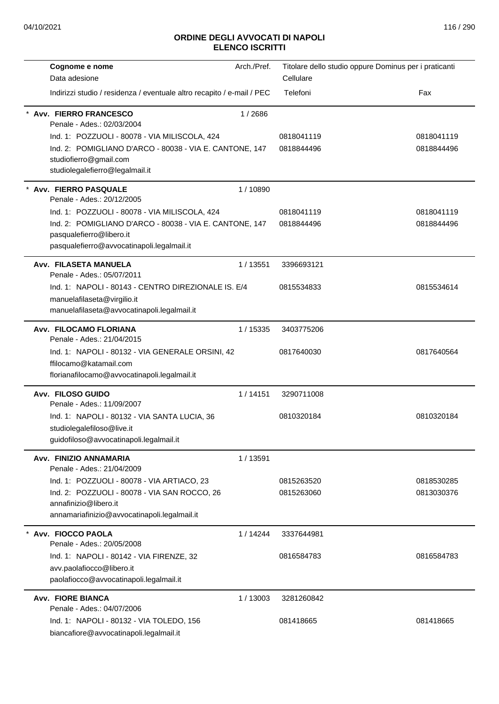| Cognome e nome                                                                                                                    | Arch./Pref. | Titolare dello studio oppure Dominus per i praticanti |            |
|-----------------------------------------------------------------------------------------------------------------------------------|-------------|-------------------------------------------------------|------------|
| Data adesione                                                                                                                     |             | Cellulare                                             |            |
| Indirizzi studio / residenza / eventuale altro recapito / e-mail / PEC                                                            |             | Telefoni                                              | Fax        |
| <b>Avv. FIERRO FRANCESCO</b><br>Penale - Ades.: 02/03/2004                                                                        | 1/2686      |                                                       |            |
| Ind. 1: POZZUOLI - 80078 - VIA MILISCOLA, 424                                                                                     |             | 0818041119                                            | 0818041119 |
| Ind. 2: POMIGLIANO D'ARCO - 80038 - VIA E. CANTONE, 147<br>studiofierro@gmail.com<br>studiolegalefierro@legalmail.it              |             | 0818844496                                            | 0818844496 |
| Avv. FIERRO PASQUALE<br>Penale - Ades.: 20/12/2005                                                                                | 1/10890     |                                                       |            |
| Ind. 1: POZZUOLI - 80078 - VIA MILISCOLA, 424                                                                                     |             | 0818041119                                            | 0818041119 |
| Ind. 2: POMIGLIANO D'ARCO - 80038 - VIA E. CANTONE, 147<br>pasqualefierro@libero.it<br>pasqualefierro@avvocatinapoli.legalmail.it |             | 0818844496                                            | 0818844496 |
| Avv. FILASETA MANUELA<br>Penale - Ades.: 05/07/2011                                                                               | 1/13551     | 3396693121                                            |            |
| Ind. 1: NAPOLI - 80143 - CENTRO DIREZIONALE IS, E/4<br>manuelafilaseta@virgilio.it<br>manuelafilaseta@avvocatinapoli.legalmail.it |             | 0815534833                                            | 0815534614 |
| Avv. FILOCAMO FLORIANA<br>Penale - Ades.: 21/04/2015                                                                              | 1 / 15335   | 3403775206                                            |            |
| Ind. 1: NAPOLI - 80132 - VIA GENERALE ORSINI, 42<br>ffilocamo@katamail.com<br>florianafilocamo@avvocatinapoli.legalmail.it        |             | 0817640030                                            | 0817640564 |
| Avv. FILOSO GUIDO<br>Penale - Ades.: 11/09/2007                                                                                   | 1/14151     | 3290711008                                            |            |
| Ind. 1: NAPOLI - 80132 - VIA SANTA LUCIA, 36<br>studiolegalefiloso@live.it<br>guidofiloso@avvocatinapoli.legalmail.it             |             | 0810320184                                            | 0810320184 |
| Avv. FINIZIO ANNAMARIA<br>Penale - Ades.: 21/04/2009                                                                              | 1/13591     |                                                       |            |
| Ind. 1: POZZUOLI - 80078 - VIA ARTIACO, 23                                                                                        |             | 0815263520                                            | 0818530285 |
| Ind. 2: POZZUOLI - 80078 - VIA SAN ROCCO, 26<br>annafinizio@libero.it<br>annamariafinizio@avvocatinapoli.legalmail.it             |             | 0815263060                                            | 0813030376 |
| Avv. FIOCCO PAOLA                                                                                                                 |             |                                                       |            |
| Penale - Ades.: 20/05/2008                                                                                                        | 1/14244     | 3337644981                                            |            |
| Ind. 1: NAPOLI - 80142 - VIA FIRENZE, 32                                                                                          |             | 0816584783                                            | 0816584783 |
| avv.paolafiocco@libero.it<br>paolafiocco@avvocatinapoli.legalmail.it                                                              |             |                                                       |            |
| <b>Avv. FIORE BIANCA</b><br>Penale - Ades.: 04/07/2006                                                                            | 1/13003     | 3281260842                                            |            |
| Ind. 1: NAPOLI - 80132 - VIA TOLEDO, 156<br>biancafiore@avvocatinapoli.legalmail.it                                               |             | 081418665                                             | 081418665  |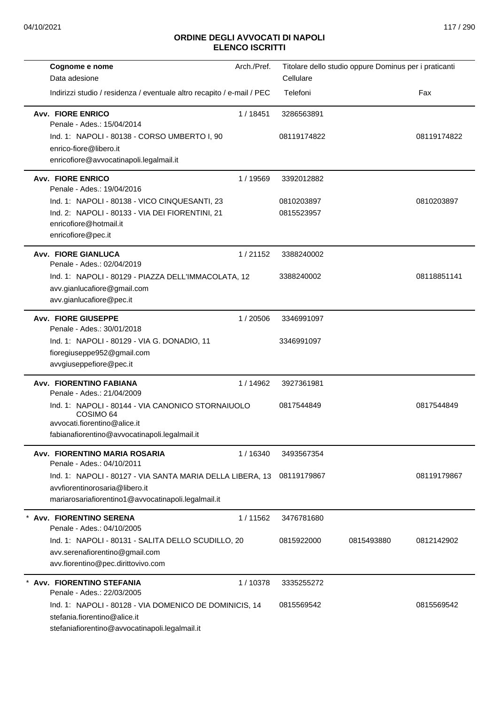| Cognome e nome                                                         | Arch./Pref. | Titolare dello studio oppure Dominus per i praticanti |            |             |
|------------------------------------------------------------------------|-------------|-------------------------------------------------------|------------|-------------|
| Data adesione                                                          |             | Cellulare                                             |            |             |
| Indirizzi studio / residenza / eventuale altro recapito / e-mail / PEC |             | Telefoni                                              |            | Fax         |
| <b>Avv. FIORE ENRICO</b><br>Penale - Ades.: 15/04/2014                 | 1/18451     | 3286563891                                            |            |             |
| Ind. 1: NAPOLI - 80138 - CORSO UMBERTO I, 90                           |             | 08119174822                                           |            | 08119174822 |
| enrico-fiore@libero.it                                                 |             |                                                       |            |             |
| enricofiore@avvocatinapoli.legalmail.it                                |             |                                                       |            |             |
| <b>Avv. FIORE ENRICO</b><br>Penale - Ades.: 19/04/2016                 | 1 / 19569   | 3392012882                                            |            |             |
| Ind. 1: NAPOLI - 80138 - VICO CINQUESANTI, 23                          |             | 0810203897                                            |            | 0810203897  |
| Ind. 2: NAPOLI - 80133 - VIA DEI FIORENTINI, 21                        |             | 0815523957                                            |            |             |
| enricofiore@hotmail.it                                                 |             |                                                       |            |             |
| enricofiore@pec.it                                                     |             |                                                       |            |             |
| <b>Avv. FIORE GIANLUCA</b><br>Penale - Ades.: 02/04/2019               | 1/21152     | 3388240002                                            |            |             |
| Ind. 1: NAPOLI - 80129 - PIAZZA DELL'IMMACOLATA, 12                    |             | 3388240002                                            |            | 08118851141 |
| avv.gianlucafiore@gmail.com                                            |             |                                                       |            |             |
| avv.gianlucafiore@pec.it                                               |             |                                                       |            |             |
| <b>Avv. FIORE GIUSEPPE</b><br>Penale - Ades.: 30/01/2018               | 1/20506     | 3346991097                                            |            |             |
| Ind. 1: NAPOLI - 80129 - VIA G. DONADIO, 11                            |             | 3346991097                                            |            |             |
| fioregiuseppe952@gmail.com                                             |             |                                                       |            |             |
| avvgiuseppefiore@pec.it                                                |             |                                                       |            |             |
| Avv. FIORENTINO FABIANA<br>Penale - Ades.: 21/04/2009                  | 1 / 14962   | 3927361981                                            |            |             |
| Ind. 1: NAPOLI - 80144 - VIA CANONICO STORNAIUOLO<br>COSIMO 64         |             | 0817544849                                            |            | 0817544849  |
| avvocati.fiorentino@alice.it                                           |             |                                                       |            |             |
| fabianafiorentino@avvocatinapoli.legalmail.it                          |             |                                                       |            |             |
| Avv. FIORENTINO MARIA ROSARIA<br>Penale - Ades.: 04/10/2011            | 1/16340     | 3493567354                                            |            |             |
| Ind. 1: NAPOLI - 80127 - VIA SANTA MARIA DELLA LIBERA, 13              |             | 08119179867                                           |            | 08119179867 |
| avvfiorentinorosaria@libero.it                                         |             |                                                       |            |             |
| mariarosariafiorentino1@avvocatinapoli.legalmail.it                    |             |                                                       |            |             |
| Avv. FIORENTINO SERENA<br>Penale - Ades.: 04/10/2005                   | 1/11562     | 3476781680                                            |            |             |
| Ind. 1: NAPOLI - 80131 - SALITA DELLO SCUDILLO, 20                     |             | 0815922000                                            | 0815493880 | 0812142902  |
| avv.serenafiorentino@gmail.com                                         |             |                                                       |            |             |
| avv.fiorentino@pec.dirittovivo.com                                     |             |                                                       |            |             |
| <b>Avv. FIORENTINO STEFANIA</b>                                        | 1/10378     | 3335255272                                            |            |             |
| Penale - Ades.: 22/03/2005                                             |             |                                                       |            |             |
| Ind. 1: NAPOLI - 80128 - VIA DOMENICO DE DOMINICIS, 14                 |             | 0815569542                                            |            | 0815569542  |
| stefania.fiorentino@alice.it                                           |             |                                                       |            |             |
| stefaniafiorentino@avvocatinapoli.legalmail.it                         |             |                                                       |            |             |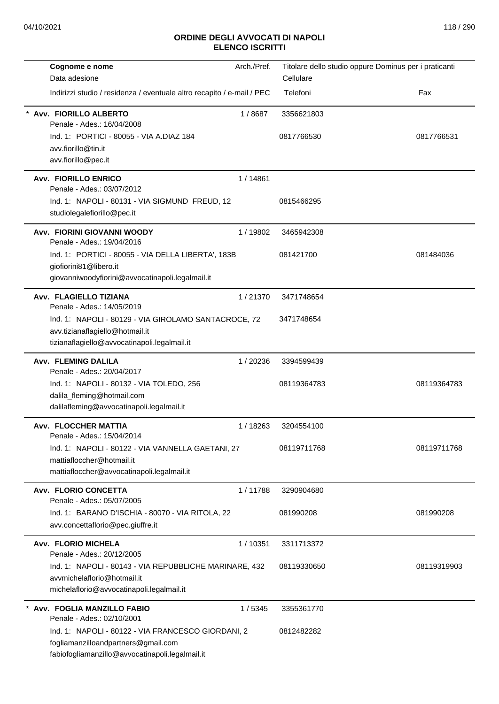| Cognome e nome                                                                | Arch./Pref. | Titolare dello studio oppure Dominus per i praticanti |             |
|-------------------------------------------------------------------------------|-------------|-------------------------------------------------------|-------------|
| Data adesione                                                                 |             | Cellulare                                             |             |
| Indirizzi studio / residenza / eventuale altro recapito / e-mail / PEC        |             | Telefoni                                              | Fax         |
| Avv. FIORILLO ALBERTO<br>Penale - Ades.: 16/04/2008                           | 1/8687      | 3356621803                                            |             |
| Ind. 1: PORTICI - 80055 - VIA A.DIAZ 184                                      |             | 0817766530                                            | 0817766531  |
| avv.fiorillo@tin.it                                                           |             |                                                       |             |
| avv.fiorillo@pec.it                                                           |             |                                                       |             |
| <b>Avv. FIORILLO ENRICO</b><br>Penale - Ades.: 03/07/2012                     | 1 / 14861   |                                                       |             |
|                                                                               |             |                                                       |             |
| Ind. 1: NAPOLI - 80131 - VIA SIGMUND FREUD, 12<br>studiolegalefiorillo@pec.it |             | 0815466295                                            |             |
| Avv. FIORINI GIOVANNI WOODY<br>Penale - Ades.: 19/04/2016                     | 1/19802     | 3465942308                                            |             |
| Ind. 1: PORTICI - 80055 - VIA DELLA LIBERTA', 183B                            |             | 081421700                                             | 081484036   |
| giofiorini81@libero.it                                                        |             |                                                       |             |
| giovanniwoodyfiorini@avvocatinapoli.legalmail.it                              |             |                                                       |             |
| Avv. FLAGIELLO TIZIANA<br>Penale - Ades.: 14/05/2019                          | 1/21370     | 3471748654                                            |             |
| Ind. 1: NAPOLI - 80129 - VIA GIROLAMO SANTACROCE, 72                          |             | 3471748654                                            |             |
| avv.tizianaflagiello@hotmail.it                                               |             |                                                       |             |
| tizianaflagiello@avvocatinapoli.legalmail.it                                  |             |                                                       |             |
| <b>Avv. FLEMING DALILA</b><br>Penale - Ades.: 20/04/2017                      | 1/20236     | 3394599439                                            |             |
| Ind. 1: NAPOLI - 80132 - VIA TOLEDO, 256                                      |             | 08119364783                                           | 08119364783 |
| dalila_fleming@hotmail.com                                                    |             |                                                       |             |
| dalilafleming@avvocatinapoli.legalmail.it                                     |             |                                                       |             |
| Avv. FLOCCHER MATTIA<br>Penale - Ades.: 15/04/2014                            | 1 / 18263   | 3204554100                                            |             |
| Ind. 1: NAPOLI - 80122 - VIA VANNELLA GAETANI, 27                             |             | 08119711768                                           | 08119711768 |
| mattiafloccher@hotmail.it                                                     |             |                                                       |             |
| mattiafloccher@avvocatinapoli.legalmail.it                                    |             |                                                       |             |
| Avv. FLORIO CONCETTA<br>Penale - Ades.: 05/07/2005                            | 1/11788     | 3290904680                                            |             |
| Ind. 1: BARANO D'ISCHIA - 80070 - VIA RITOLA, 22                              |             | 081990208                                             | 081990208   |
| avv.concettaflorio@pec.giuffre.it                                             |             |                                                       |             |
| Avv. FLORIO MICHELA                                                           | 1/10351     | 3311713372                                            |             |
| Penale - Ades.: 20/12/2005                                                    |             |                                                       |             |
| Ind. 1: NAPOLI - 80143 - VIA REPUBBLICHE MARINARE, 432                        |             | 08119330650                                           | 08119319903 |
| avymichelaflorio@hotmail.it<br>michelaflorio@avvocatinapoli.legalmail.it      |             |                                                       |             |
|                                                                               |             |                                                       |             |
| * Avv. FOGLIA MANZILLO FABIO<br>Penale - Ades.: 02/10/2001                    | 1/5345      | 3355361770                                            |             |
| Ind. 1: NAPOLI - 80122 - VIA FRANCESCO GIORDANI, 2                            |             | 0812482282                                            |             |
| fogliamanzilloandpartners@gmail.com                                           |             |                                                       |             |
| fabiofogliamanzillo@avvocatinapoli.legalmail.it                               |             |                                                       |             |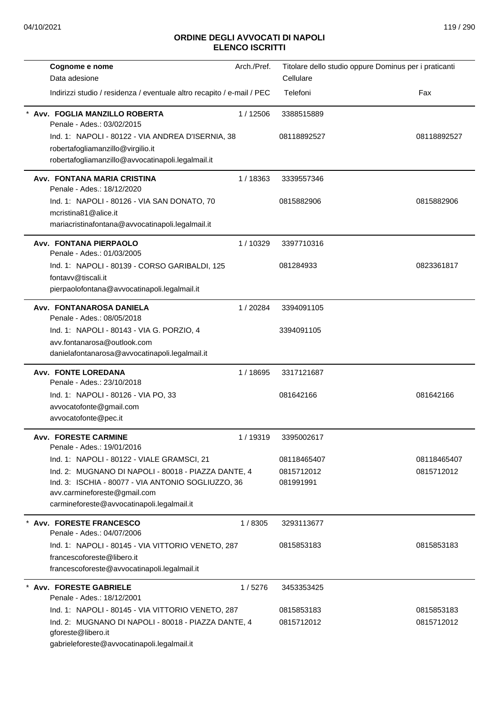| Arch./Pref.<br>Cognome e nome<br>Data adesione                                                                                                                                          | Titolare dello studio oppure Dominus per i praticanti<br>Cellulare |                          |
|-----------------------------------------------------------------------------------------------------------------------------------------------------------------------------------------|--------------------------------------------------------------------|--------------------------|
| Indirizzi studio / residenza / eventuale altro recapito / e-mail / PEC                                                                                                                  | Telefoni                                                           | Fax                      |
| Avv. FOGLIA MANZILLO ROBERTA<br>1/12506<br>Penale - Ades.: 03/02/2015                                                                                                                   | 3388515889                                                         |                          |
| Ind. 1: NAPOLI - 80122 - VIA ANDREA D'ISERNIA, 38<br>robertafogliamanzillo@virgilio.it<br>robertafogliamanzillo@avvocatinapoli.legalmail.it                                             | 08118892527                                                        | 08118892527              |
| Avv. FONTANA MARIA CRISTINA<br>1/18363<br>Penale - Ades.: 18/12/2020                                                                                                                    | 3339557346                                                         |                          |
| Ind. 1: NAPOLI - 80126 - VIA SAN DONATO, 70<br>mcristina81@alice.it<br>mariacristinafontana@avvocatinapoli.legalmail.it                                                                 | 0815882906                                                         | 0815882906               |
| <b>Avv. FONTANA PIERPAOLO</b><br>1/10329<br>Penale - Ades.: 01/03/2005                                                                                                                  | 3397710316                                                         |                          |
| Ind. 1: NAPOLI - 80139 - CORSO GARIBALDI, 125<br>fontavv@tiscali.it<br>pierpaolofontana@avvocatinapoli.legalmail.it                                                                     | 081284933                                                          | 0823361817               |
| Avv. FONTANAROSA DANIELA<br>1/20284<br>Penale - Ades.: 08/05/2018                                                                                                                       | 3394091105                                                         |                          |
| Ind. 1: NAPOLI - 80143 - VIA G. PORZIO, 4<br>avv.fontanarosa@outlook.com<br>danielafontanarosa@avvocatinapoli.legalmail.it                                                              | 3394091105                                                         |                          |
| Avv. FONTE LOREDANA<br>1/18695<br>Penale - Ades.: 23/10/2018                                                                                                                            | 3317121687                                                         |                          |
| Ind. 1: NAPOLI - 80126 - VIA PO, 33<br>avvocatofonte@gmail.com<br>avvocatofonte@pec.it                                                                                                  | 081642166                                                          | 081642166                |
| 1/19319<br><b>Avv. FORESTE CARMINE</b><br>Penale - Ades.: 19/01/2016                                                                                                                    | 3395002617                                                         |                          |
| Ind. 1: NAPOLI - 80122 - VIALE GRAMSCI, 21                                                                                                                                              | 08118465407                                                        | 08118465407              |
| Ind. 2: MUGNANO DI NAPOLI - 80018 - PIAZZA DANTE, 4<br>Ind. 3: ISCHIA - 80077 - VIA ANTONIO SOGLIUZZO, 36<br>avv.carmineforeste@gmail.com<br>carmineforeste@avvocatinapoli.legalmail.it | 0815712012<br>081991991                                            | 0815712012               |
| Avv. FORESTE FRANCESCO<br>1/8305<br>Penale - Ades.: 04/07/2006                                                                                                                          | 3293113677                                                         |                          |
| Ind. 1: NAPOLI - 80145 - VIA VITTORIO VENETO, 287<br>francescoforeste@libero.it<br>francescoforeste@avvocatinapoli.legalmail.it                                                         | 0815853183                                                         | 0815853183               |
| <b>Avv. FORESTE GABRIELE</b><br>1/5276<br>Penale - Ades.: 18/12/2001                                                                                                                    | 3453353425                                                         |                          |
| Ind. 1: NAPOLI - 80145 - VIA VITTORIO VENETO, 287<br>Ind. 2: MUGNANO DI NAPOLI - 80018 - PIAZZA DANTE, 4<br>gforeste@libero.it<br>gabrieleforeste@avvocatinapoli.legalmail.it           | 0815853183<br>0815712012                                           | 0815853183<br>0815712012 |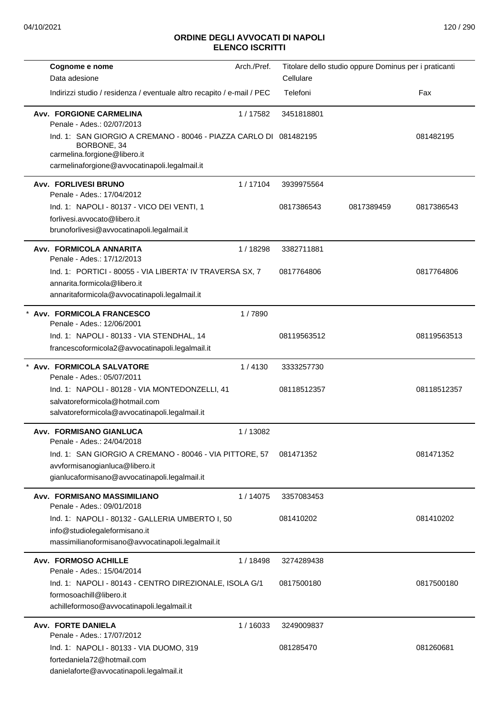| Cognome e nome                                                                                                                                                    | Arch./Pref. | Titolare dello studio oppure Dominus per i praticanti |            |             |
|-------------------------------------------------------------------------------------------------------------------------------------------------------------------|-------------|-------------------------------------------------------|------------|-------------|
| Data adesione                                                                                                                                                     |             | Cellulare                                             |            |             |
| Indirizzi studio / residenza / eventuale altro recapito / e-mail / PEC                                                                                            |             | Telefoni                                              |            | Fax         |
| Avv. FORGIONE CARMELINA<br>Penale - Ades.: 02/07/2013                                                                                                             | 1/17582     | 3451818801                                            |            |             |
| Ind. 1: SAN GIORGIO A CREMANO - 80046 - PIAZZA CARLO DI 081482195<br>BORBONE, 34<br>carmelina.forgione@libero.it<br>carmelinaforgione@avvocatinapoli.legalmail.it |             |                                                       |            | 081482195   |
| <b>Avv. FORLIVESI BRUNO</b><br>Penale - Ades.: 17/04/2012                                                                                                         | 1/17104     | 3939975564                                            |            |             |
| Ind. 1: NAPOLI - 80137 - VICO DEI VENTI, 1<br>forlivesi.avvocato@libero.it<br>brunoforlivesi@avvocatinapoli.legalmail.it                                          |             | 0817386543                                            | 0817389459 | 0817386543  |
| Avv. FORMICOLA ANNARITA<br>Penale - Ades.: 17/12/2013                                                                                                             | 1 / 18298   | 3382711881                                            |            |             |
| Ind. 1: PORTICI - 80055 - VIA LIBERTA' IV TRAVERSA SX, 7<br>annarita.formicola@libero.it<br>annaritaformicola@avvocatinapoli.legalmail.it                         |             | 0817764806                                            |            | 0817764806  |
| * Avv. FORMICOLA FRANCESCO<br>Penale - Ades.: 12/06/2001                                                                                                          | 1/7890      |                                                       |            |             |
| Ind. 1: NAPOLI - 80133 - VIA STENDHAL, 14<br>francescoformicola2@avvocatinapoli.legalmail.it                                                                      |             | 08119563512                                           |            | 08119563513 |
| Avv. FORMICOLA SALVATORE<br>Penale - Ades.: 05/07/2011                                                                                                            | 1/4130      | 3333257730                                            |            |             |
| Ind. 1: NAPOLI - 80128 - VIA MONTEDONZELLI, 41<br>salvatoreformicola@hotmail.com<br>salvatoreformicola@avvocatinapoli.legalmail.it                                |             | 08118512357                                           |            | 08118512357 |
| Avv. FORMISANO GIANLUCA<br>Penale - Ades.: 24/04/2018                                                                                                             | 1/13082     |                                                       |            |             |
| Ind. 1: SAN GIORGIO A CREMANO - 80046 - VIA PITTORE, 57<br>avvformisanogianluca@libero.it<br>gianlucaformisano@avvocatinapoli.legalmail.it                        |             | 081471352                                             |            | 081471352   |
| Avv. FORMISANO MASSIMILIANO<br>Penale - Ades.: 09/01/2018                                                                                                         | 1/14075     | 3357083453                                            |            |             |
| Ind. 1: NAPOLI - 80132 - GALLERIA UMBERTO I, 50<br>info@studiolegaleformisano.it<br>massimilianoformisano@avvocatinapoli.legalmail.it                             |             | 081410202                                             |            | 081410202   |
| <b>Avv. FORMOSO ACHILLE</b><br>Penale - Ades.: 15/04/2014                                                                                                         | 1 / 18498   | 3274289438                                            |            |             |
| Ind. 1: NAPOLI - 80143 - CENTRO DIREZIONALE, ISOLA G/1<br>formosoachill@libero.it<br>achilleformoso@avvocatinapoli.legalmail.it                                   |             | 0817500180                                            |            | 0817500180  |
| <b>Avv. FORTE DANIELA</b><br>Penale - Ades.: 17/07/2012                                                                                                           | 1/16033     | 3249009837                                            |            |             |
| Ind. 1: NAPOLI - 80133 - VIA DUOMO, 319<br>fortedaniela72@hotmail.com<br>danielaforte@avvocatinapoli.legalmail.it                                                 |             | 081285470                                             |            | 081260681   |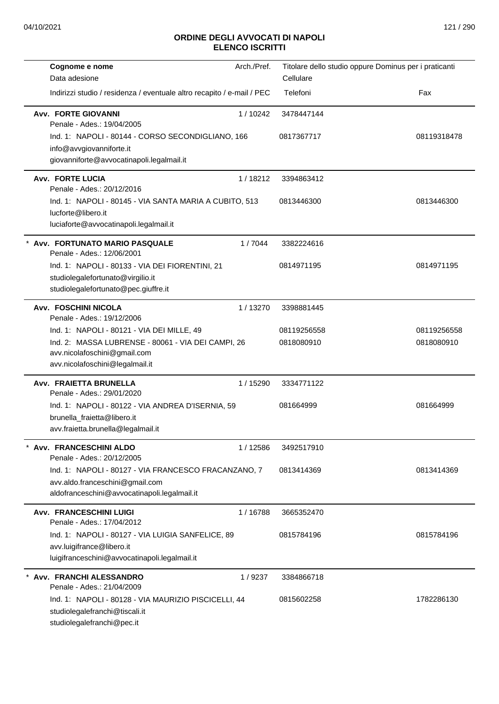| Cognome e nome<br>Data adesione                                                    | Arch./Pref. | Titolare dello studio oppure Dominus per i praticanti<br>Cellulare |             |
|------------------------------------------------------------------------------------|-------------|--------------------------------------------------------------------|-------------|
| Indirizzi studio / residenza / eventuale altro recapito / e-mail / PEC             |             | Telefoni                                                           | Fax         |
|                                                                                    |             |                                                                    |             |
| <b>Avv. FORTE GIOVANNI</b>                                                         | 1/10242     | 3478447144                                                         |             |
| Penale - Ades.: 19/04/2005                                                         |             |                                                                    |             |
| Ind. 1: NAPOLI - 80144 - CORSO SECONDIGLIANO, 166<br>info@avvgiovanniforte.it      |             | 0817367717                                                         | 08119318478 |
| giovanniforte@avvocatinapoli.legalmail.it                                          |             |                                                                    |             |
|                                                                                    |             |                                                                    |             |
| <b>Avv. FORTE LUCIA</b><br>Penale - Ades.: 20/12/2016                              | 1/18212     | 3394863412                                                         |             |
| Ind. 1: NAPOLI - 80145 - VIA SANTA MARIA A CUBITO, 513                             |             | 0813446300                                                         | 0813446300  |
| lucforte@libero.it                                                                 |             |                                                                    |             |
| luciaforte@avvocatinapoli.legalmail.it                                             |             |                                                                    |             |
| Avv. FORTUNATO MARIO PASQUALE                                                      | 1/7044      | 3382224616                                                         |             |
| Penale - Ades.: 12/06/2001                                                         |             |                                                                    |             |
| Ind. 1: NAPOLI - 80133 - VIA DEI FIORENTINI, 21                                    |             | 0814971195                                                         | 0814971195  |
| studiolegalefortunato@virgilio.it                                                  |             |                                                                    |             |
| studiolegalefortunato@pec.giuffre.it                                               |             |                                                                    |             |
| Avv. FOSCHINI NICOLA                                                               | 1/13270     | 3398881445                                                         |             |
| Penale - Ades.: 19/12/2006                                                         |             |                                                                    |             |
| Ind. 1: NAPOLI - 80121 - VIA DEI MILLE, 49                                         |             | 08119256558                                                        | 08119256558 |
| Ind. 2: MASSA LUBRENSE - 80061 - VIA DEI CAMPI, 26<br>avv.nicolafoschini@gmail.com |             | 0818080910                                                         | 0818080910  |
| avv.nicolafoschini@legalmail.it                                                    |             |                                                                    |             |
| Avv. FRAIETTA BRUNELLA                                                             | 1 / 15290   | 3334771122                                                         |             |
| Penale - Ades.: 29/01/2020                                                         |             |                                                                    |             |
| Ind. 1: NAPOLI - 80122 - VIA ANDREA D'ISERNIA, 59                                  |             | 081664999                                                          | 081664999   |
| brunella_fraietta@libero.it                                                        |             |                                                                    |             |
| avv.fraietta.brunella@legalmail.it                                                 |             |                                                                    |             |
| Avv. FRANCESCHINI ALDO                                                             | 1/12586     | 3492517910                                                         |             |
| Penale - Ades.: 20/12/2005                                                         |             |                                                                    |             |
| Ind. 1: NAPOLI - 80127 - VIA FRANCESCO FRACANZANO, 7                               |             | 0813414369                                                         | 0813414369  |
| avv.aldo.franceschini@gmail.com                                                    |             |                                                                    |             |
| aldofranceschini@avvocatinapoli.legalmail.it                                       |             |                                                                    |             |
| <b>Avv. FRANCESCHINI LUIGI</b>                                                     | 1/16788     | 3665352470                                                         |             |
| Penale - Ades.: 17/04/2012                                                         |             |                                                                    |             |
| Ind. 1: NAPOLI - 80127 - VIA LUIGIA SANFELICE, 89                                  |             | 0815784196                                                         | 0815784196  |
| avv.luigifrance@libero.it<br>luigifranceschini@avvocatinapoli.legalmail.it         |             |                                                                    |             |
| Avv. FRANCHI ALESSANDRO                                                            | 1/9237      | 3384866718                                                         |             |
| Penale - Ades.: 21/04/2009                                                         |             |                                                                    |             |
| Ind. 1: NAPOLI - 80128 - VIA MAURIZIO PISCICELLI, 44                               |             | 0815602258                                                         | 1782286130  |
| studiolegalefranchi@tiscali.it                                                     |             |                                                                    |             |
| studiolegalefranchi@pec.it                                                         |             |                                                                    |             |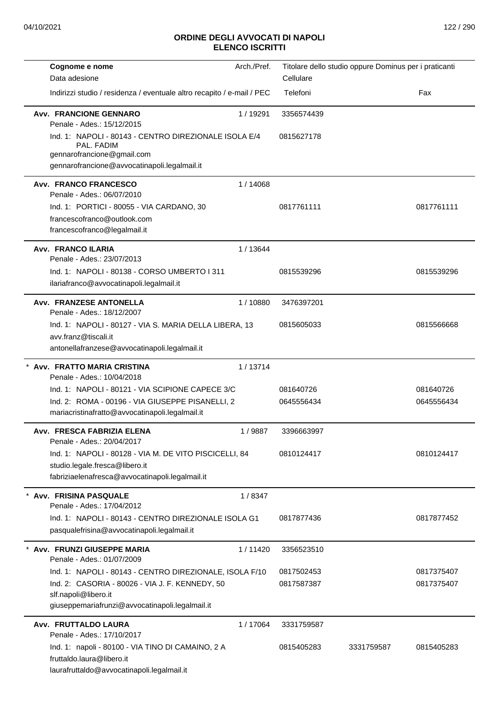| Arch./Pref.<br>Cognome e nome                                                                                                                     | Titolare dello studio oppure Dominus per i praticanti |            |
|---------------------------------------------------------------------------------------------------------------------------------------------------|-------------------------------------------------------|------------|
| Data adesione                                                                                                                                     | Cellulare                                             |            |
| Indirizzi studio / residenza / eventuale altro recapito / e-mail / PEC                                                                            | Telefoni                                              | Fax        |
| <b>Avv. FRANCIONE GENNARO</b><br>1/19291<br>Penale - Ades.: 15/12/2015                                                                            | 3356574439                                            |            |
| Ind. 1: NAPOLI - 80143 - CENTRO DIREZIONALE ISOLA E/4<br>PAL. FADIM<br>gennarofrancione@gmail.com<br>gennarofrancione@avvocatinapoli.legalmail.it | 0815627178                                            |            |
| Avv. FRANCO FRANCESCO<br>1/14068<br>Penale - Ades.: 06/07/2010                                                                                    |                                                       |            |
| Ind. 1: PORTICI - 80055 - VIA CARDANO, 30<br>francescofranco@outlook.com<br>francescofranco@legalmail.it                                          | 0817761111                                            | 0817761111 |
| <b>Avv. FRANCO ILARIA</b><br>1/13644                                                                                                              |                                                       |            |
| Penale - Ades.: 23/07/2013<br>Ind. 1: NAPOLI - 80138 - CORSO UMBERTO I 311<br>ilariafranco@avvocatinapoli.legalmail.it                            | 0815539296                                            | 0815539296 |
| Avv. FRANZESE ANTONELLA<br>1/10880<br>Penale - Ades.: 18/12/2007                                                                                  | 3476397201                                            |            |
| Ind. 1: NAPOLI - 80127 - VIA S. MARIA DELLA LIBERA, 13<br>avv.franz@tiscali.it<br>antonellafranzese@avvocatinapoli.legalmail.it                   | 0815605033                                            | 0815566668 |
| * Avv. FRATTO MARIA CRISTINA<br>1/13714<br>Penale - Ades.: 10/04/2018                                                                             |                                                       |            |
| Ind. 1: NAPOLI - 80121 - VIA SCIPIONE CAPECE 3/C                                                                                                  | 081640726                                             | 081640726  |
| Ind. 2: ROMA - 00196 - VIA GIUSEPPE PISANELLI, 2<br>mariacristinafratto@avvocatinapoli.legalmail.it                                               | 0645556434                                            | 0645556434 |
| Avv. FRESCA FABRIZIA ELENA<br>1/9887<br>Penale - Ades.: 20/04/2017                                                                                | 3396663997                                            |            |
| Ind. 1: NAPOLI - 80128 - VIA M. DE VITO PISCICELLI, 84<br>studio.legale.fresca@libero.it<br>fabriziaelenafresca@avvocatinapoli.legalmail.it       | 0810124417                                            | 0810124417 |
| Avv. FRISINA PASQUALE<br>1/8347<br>Penale - Ades.: 17/04/2012                                                                                     |                                                       |            |
| Ind. 1: NAPOLI - 80143 - CENTRO DIREZIONALE ISOLA G1<br>pasqualefrisina@avvocatinapoli.legalmail.it                                               | 0817877436                                            | 0817877452 |
| Avv. FRUNZI GIUSEPPE MARIA<br>1/11420<br>Penale - Ades.: 01/07/2009                                                                               | 3356523510                                            |            |
| Ind. 1: NAPOLI - 80143 - CENTRO DIREZIONALE, ISOLA F/10                                                                                           | 0817502453                                            | 0817375407 |
| Ind. 2: CASORIA - 80026 - VIA J. F. KENNEDY, 50<br>slf.napoli@libero.it<br>giuseppemariafrunzi@avvocatinapoli.legalmail.it                        | 0817587387                                            | 0817375407 |
| Avv. FRUTTALDO LAURA<br>1/17064<br>Penale - Ades.: 17/10/2017                                                                                     | 3331759587                                            |            |
| Ind. 1: napoli - 80100 - VIA TINO DI CAMAINO, 2 A<br>fruttaldo.laura@libero.it<br>laurafruttaldo@avvocatinapoli.legalmail.it                      | 0815405283<br>3331759587                              | 0815405283 |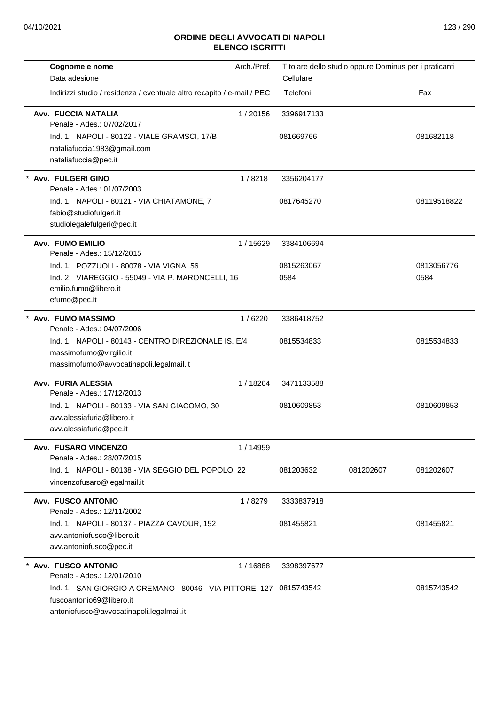| Cognome e nome                                                                                                                                           | Arch./Pref. |                         | Titolare dello studio oppure Dominus per i praticanti |             |
|----------------------------------------------------------------------------------------------------------------------------------------------------------|-------------|-------------------------|-------------------------------------------------------|-------------|
| Data adesione                                                                                                                                            |             | Cellulare               |                                                       |             |
| Indirizzi studio / residenza / eventuale altro recapito / e-mail / PEC                                                                                   |             | Telefoni                |                                                       | Fax         |
| Avv. FUCCIA NATALIA<br>Penale - Ades.: 07/02/2017<br>Ind. 1: NAPOLI - 80122 - VIALE GRAMSCI, 17/B<br>nataliafuccia1983@gmail.com<br>nataliafuccia@pec.it | 1/20156     | 3396917133<br>081669766 |                                                       | 081682118   |
| Avv. FULGERI GINO                                                                                                                                        | 1/8218      | 3356204177              |                                                       |             |
| Penale - Ades.: 01/07/2003<br>Ind. 1: NAPOLI - 80121 - VIA CHIATAMONE, 7<br>fabio@studiofulgeri.it<br>studiolegalefulgeri@pec.it                         |             | 0817645270              |                                                       | 08119518822 |
| Avv. FUMO EMILIO<br>Penale - Ades.: 15/12/2015                                                                                                           | 1 / 15629   | 3384106694              |                                                       |             |
| Ind. 1: POZZUOLI - 80078 - VIA VIGNA, 56                                                                                                                 |             | 0815263067              |                                                       | 0813056776  |
| Ind. 2: VIAREGGIO - 55049 - VIA P. MARONCELLI, 16                                                                                                        |             | 0584                    |                                                       | 0584        |
| emilio.fumo@libero.it<br>efumo@pec.it                                                                                                                    |             |                         |                                                       |             |
| * Avv. FUMO MASSIMO<br>Penale - Ades.: 04/07/2006                                                                                                        | 1/6220      | 3386418752              |                                                       |             |
| Ind. 1: NAPOLI - 80143 - CENTRO DIREZIONALE IS. E/4<br>massimofumo@virgilio.it<br>massimofumo@avvocatinapoli.legalmail.it                                |             | 0815534833              |                                                       | 0815534833  |
| Avv. FURIA ALESSIA<br>Penale - Ades.: 17/12/2013                                                                                                         | 1/18264     | 3471133588              |                                                       |             |
| Ind. 1: NAPOLI - 80133 - VIA SAN GIACOMO, 30<br>avv.alessiafuria@libero.it<br>avv.alessiafuria@pec.it                                                    |             | 0810609853              |                                                       | 0810609853  |
| Avv. FUSARO VINCENZO                                                                                                                                     | 1 / 14959   |                         |                                                       |             |
| Penale - Ades.: 28/07/2015<br>Ind. 1: NAPOLI - 80138 - VIA SEGGIO DEL POPOLO, 22<br>vincenzofusaro@legalmail.it                                          |             | 081203632               | 081202607                                             | 081202607   |
| <b>Avv. FUSCO ANTONIO</b><br>Penale - Ades.: 12/11/2002                                                                                                  | 1/8279      | 3333837918              |                                                       |             |
| Ind. 1: NAPOLI - 80137 - PIAZZA CAVOUR, 152<br>avv.antoniofusco@libero.it<br>avv.antoniofusco@pec.it                                                     |             | 081455821               |                                                       | 081455821   |
| <b>Avv. FUSCO ANTONIO</b><br>Penale - Ades.: 12/01/2010                                                                                                  | 1 / 16888   | 3398397677              |                                                       |             |
| Ind. 1: SAN GIORGIO A CREMANO - 80046 - VIA PITTORE, 127 0815743542<br>fuscoantonio69@libero.it<br>antoniofusco@avvocatinapoli.legalmail.it              |             |                         |                                                       | 0815743542  |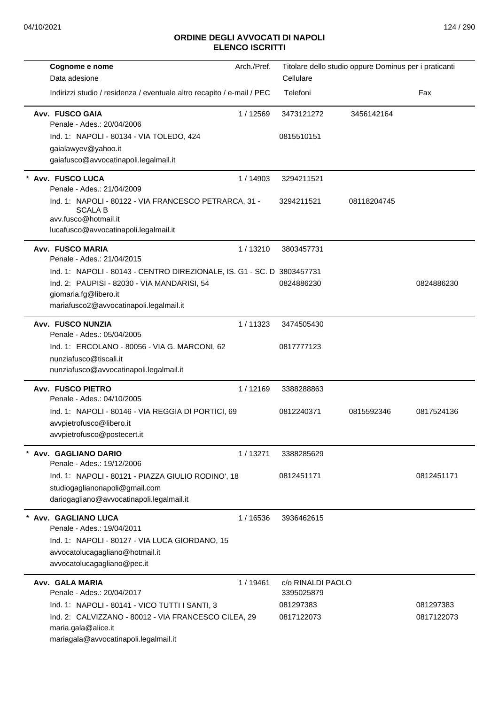| Cognome e nome<br>Data adesione                                                                                                                                                           | Arch./Pref. | Cellulare                       | Titolare dello studio oppure Dominus per i praticanti |                         |
|-------------------------------------------------------------------------------------------------------------------------------------------------------------------------------------------|-------------|---------------------------------|-------------------------------------------------------|-------------------------|
| Indirizzi studio / residenza / eventuale altro recapito / e-mail / PEC                                                                                                                    |             | Telefoni                        |                                                       | Fax                     |
| Avv. FUSCO GAIA<br>Penale - Ades.: 20/04/2006<br>Ind. 1: NAPOLI - 80134 - VIA TOLEDO, 424                                                                                                 | 1/12569     | 3473121272<br>0815510151        | 3456142164                                            |                         |
| gaialawyev@yahoo.it<br>gaiafusco@avvocatinapoli.legalmail.it                                                                                                                              |             |                                 |                                                       |                         |
| Avv. FUSCO LUCA<br>Penale - Ades.: 21/04/2009                                                                                                                                             | 1/14903     | 3294211521                      |                                                       |                         |
| Ind. 1: NAPOLI - 80122 - VIA FRANCESCO PETRARCA, 31 -<br><b>SCALA B</b><br>avv.fusco@hotmail.it<br>lucafusco@avvocatinapoli.legalmail.it                                                  |             | 3294211521                      | 08118204745                                           |                         |
| <b>Avv. FUSCO MARIA</b><br>Penale - Ades.: 21/04/2015                                                                                                                                     | 1/13210     | 3803457731                      |                                                       |                         |
| Ind. 1: NAPOLI - 80143 - CENTRO DIREZIONALE, IS. G1 - SC. D 3803457731<br>Ind. 2: PAUPISI - 82030 - VIA MANDARISI, 54<br>giomaria.fg@libero.it<br>mariafusco2@avvocatinapoli.legalmail.it |             | 0824886230                      |                                                       | 0824886230              |
| <b>Avv. FUSCO NUNZIA</b><br>Penale - Ades.: 05/04/2005                                                                                                                                    | 1/11323     | 3474505430                      |                                                       |                         |
| Ind. 1: ERCOLANO - 80056 - VIA G. MARCONI, 62<br>nunziafusco@tiscali.it<br>nunziafusco@avvocatinapoli.legalmail.it                                                                        |             | 0817777123                      |                                                       |                         |
| <b>Avv. FUSCO PIETRO</b><br>Penale - Ades.: 04/10/2005                                                                                                                                    | 1/12169     | 3388288863                      |                                                       |                         |
| Ind. 1: NAPOLI - 80146 - VIA REGGIA DI PORTICI, 69<br>avvpietrofusco@libero.it<br>avvpietrofusco@postecert.it                                                                             |             | 0812240371                      | 0815592346                                            | 0817524136              |
| Avv. GAGLIANO DARIO<br>Penale - Ades.: 19/12/2006                                                                                                                                         | 1/13271     | 3388285629                      |                                                       |                         |
| Ind. 1: NAPOLI - 80121 - PIAZZA GIULIO RODINO', 18<br>studiogaglianonapoli@gmail.com<br>dariogagliano@avvocatinapoli.legalmail.it                                                         |             | 0812451171                      |                                                       | 0812451171              |
| Avv. GAGLIANO LUCA<br>Penale - Ades.: 19/04/2011<br>Ind. 1: NAPOLI - 80127 - VIA LUCA GIORDANO, 15<br>avvocatolucagagliano@hotmail.it<br>avvocatolucagagliano@pec.it                      | 1/16536     | 3936462615                      |                                                       |                         |
| Avv. GALA MARIA<br>Penale - Ades.: 20/04/2017                                                                                                                                             | 1/19461     | c/o RINALDI PAOLO<br>3395025879 |                                                       |                         |
| Ind. 1: NAPOLI - 80141 - VICO TUTTI I SANTI, 3<br>Ind. 2: CALVIZZANO - 80012 - VIA FRANCESCO CILEA, 29<br>maria.gala@alice.it<br>mariagala@avvocatinapoli.legalmail.it                    |             | 081297383<br>0817122073         |                                                       | 081297383<br>0817122073 |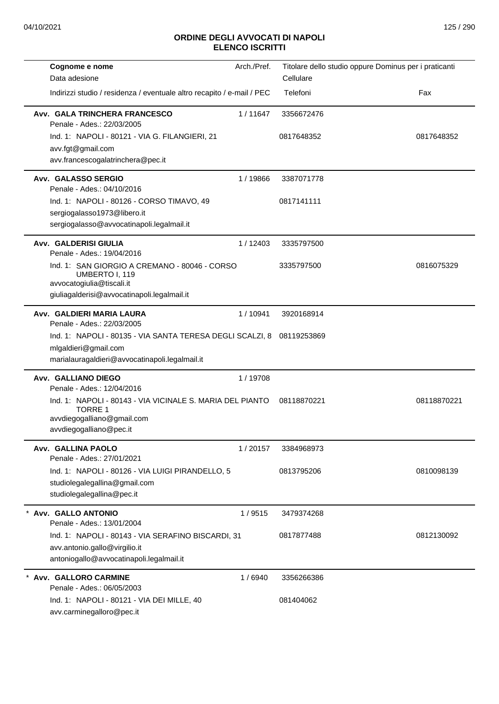| Cognome e nome<br>Data adesione                                                                                                             | Arch./Pref. | Cellulare   | Titolare dello studio oppure Dominus per i praticanti |
|---------------------------------------------------------------------------------------------------------------------------------------------|-------------|-------------|-------------------------------------------------------|
|                                                                                                                                             |             |             |                                                       |
| Indirizzi studio / residenza / eventuale altro recapito / e-mail / PEC                                                                      |             | Telefoni    | Fax                                                   |
| Avv. GALA TRINCHERA FRANCESCO<br>Penale - Ades.: 22/03/2005                                                                                 | 1/11647     | 3356672476  |                                                       |
| Ind. 1: NAPOLI - 80121 - VIA G. FILANGIERI, 21                                                                                              |             | 0817648352  | 0817648352                                            |
| avv.fgt@gmail.com                                                                                                                           |             |             |                                                       |
| avv.francescogalatrinchera@pec.it                                                                                                           |             |             |                                                       |
| Avv. GALASSO SERGIO<br>Penale - Ades.: 04/10/2016                                                                                           | 1/19866     | 3387071778  |                                                       |
| Ind. 1: NAPOLI - 80126 - CORSO TIMAVO, 49                                                                                                   |             | 0817141111  |                                                       |
| sergiogalasso1973@libero.it                                                                                                                 |             |             |                                                       |
| sergiogalasso@avvocatinapoli.legalmail.it                                                                                                   |             |             |                                                       |
| Avv. GALDERISI GIULIA<br>Penale - Ades.: 19/04/2016                                                                                         | 1/12403     | 3335797500  |                                                       |
| Ind. 1: SAN GIORGIO A CREMANO - 80046 - CORSO<br>UMBERTO I, 119<br>avvocatogiulia@tiscali.it<br>giuliagalderisi@avvocatinapoli.legalmail.it |             | 3335797500  | 0816075329                                            |
|                                                                                                                                             |             |             |                                                       |
| Avv. GALDIERI MARIA LAURA<br>Penale - Ades.: 22/03/2005                                                                                     | 1/10941     | 3920168914  |                                                       |
| Ind. 1: NAPOLI - 80135 - VIA SANTA TERESA DEGLI SCALZI, 8                                                                                   |             | 08119253869 |                                                       |
| mlgaldieri@gmail.com<br>marialauragaldieri@avvocatinapoli.legalmail.it                                                                      |             |             |                                                       |
|                                                                                                                                             |             |             |                                                       |
| Avv. GALLIANO DIEGO<br>Penale - Ades.: 12/04/2016                                                                                           | 1/19708     |             |                                                       |
| Ind. 1: NAPOLI - 80143 - VIA VICINALE S. MARIA DEL PIANTO                                                                                   |             | 08118870221 | 08118870221                                           |
| <b>TORRE 1</b>                                                                                                                              |             |             |                                                       |
| avvdiegogalliano@gmail.com                                                                                                                  |             |             |                                                       |
| avvdiegogalliano@pec.it                                                                                                                     |             |             |                                                       |
| Avv. GALLINA PAOLO<br>Penale - Ades.: 27/01/2021                                                                                            | 1/20157     | 3384968973  |                                                       |
| Ind. 1: NAPOLI - 80126 - VIA LUIGI PIRANDELLO, 5                                                                                            |             | 0813795206  | 0810098139                                            |
| studiolegalegallina@gmail.com                                                                                                               |             |             |                                                       |
| studiolegalegallina@pec.it                                                                                                                  |             |             |                                                       |
| Avv. GALLO ANTONIO                                                                                                                          | 1/9515      | 3479374268  |                                                       |
| Penale - Ades.: 13/01/2004                                                                                                                  |             |             |                                                       |
| Ind. 1: NAPOLI - 80143 - VIA SERAFINO BISCARDI, 31                                                                                          |             | 0817877488  | 0812130092                                            |
| avv.antonio.gallo@virgilio.it                                                                                                               |             |             |                                                       |
| antoniogallo@avvocatinapoli.legalmail.it                                                                                                    |             |             |                                                       |
| * Avv. GALLORO CARMINE<br>Penale - Ades.: 06/05/2003                                                                                        | 1/6940      | 3356266386  |                                                       |
| Ind. 1: NAPOLI - 80121 - VIA DEI MILLE, 40                                                                                                  |             | 081404062   |                                                       |
| avv.carminegalloro@pec.it                                                                                                                   |             |             |                                                       |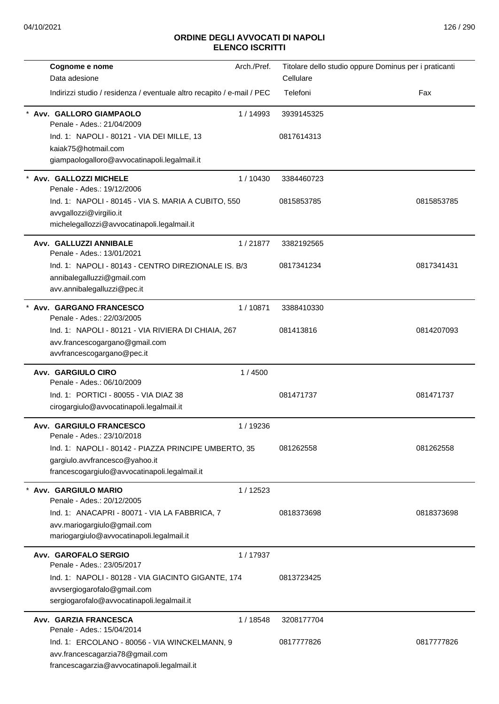| Cognome e nome                                                               | Arch./Pref. | Titolare dello studio oppure Dominus per i praticanti |            |
|------------------------------------------------------------------------------|-------------|-------------------------------------------------------|------------|
| Data adesione                                                                |             | Cellulare                                             |            |
| Indirizzi studio / residenza / eventuale altro recapito / e-mail / PEC       |             | Telefoni                                              | Fax        |
| Avv. GALLORO GIAMPAOLO<br>Penale - Ades.: 21/04/2009                         | 1/14993     | 3939145325                                            |            |
| Ind. 1: NAPOLI - 80121 - VIA DEI MILLE, 13                                   |             | 0817614313                                            |            |
| kaiak75@hotmail.com                                                          |             |                                                       |            |
| giampaologalloro@avvocatinapoli.legalmail.it                                 |             |                                                       |            |
| Avv. GALLOZZI MICHELE<br>Penale - Ades.: 19/12/2006                          | 1/10430     | 3384460723                                            |            |
| Ind. 1: NAPOLI - 80145 - VIA S. MARIA A CUBITO, 550                          |             | 0815853785                                            | 0815853785 |
| avvgallozzi@virgilio.it<br>michelegallozzi@avvocatinapoli.legalmail.it       |             |                                                       |            |
|                                                                              |             |                                                       |            |
| Avv. GALLUZZI ANNIBALE<br>Penale - Ades.: 13/01/2021                         | 1/21877     | 3382192565                                            |            |
| Ind. 1: NAPOLI - 80143 - CENTRO DIREZIONALE IS. B/3                          |             | 0817341234                                            | 0817341431 |
| annibalegalluzzi@gmail.com                                                   |             |                                                       |            |
| avv.annibalegalluzzi@pec.it                                                  |             |                                                       |            |
| Avv. GARGANO FRANCESCO<br>Penale - Ades.: 22/03/2005                         | 1/10871     | 3388410330                                            |            |
| Ind. 1: NAPOLI - 80121 - VIA RIVIERA DI CHIAIA, 267                          |             | 081413816                                             | 0814207093 |
| avv.francescogargano@gmail.com                                               |             |                                                       |            |
| avvfrancescogargano@pec.it                                                   |             |                                                       |            |
| Avv. GARGIULO CIRO                                                           | 1/4500      |                                                       |            |
| Penale - Ades.: 06/10/2009                                                   |             |                                                       |            |
| Ind. 1: PORTICI - 80055 - VIA DIAZ 38                                        |             | 081471737                                             | 081471737  |
| cirogargiulo@avvocatinapoli.legalmail.it                                     |             |                                                       |            |
| Avv. GARGIULO FRANCESCO<br>Penale - Ades.: 23/10/2018                        | 1/19236     |                                                       |            |
| Ind. 1: NAPOLI - 80142 - PIAZZA PRINCIPE UMBERTO, 35                         |             | 081262558                                             | 081262558  |
| gargiulo.avvfrancesco@yahoo.it                                               |             |                                                       |            |
| francescogargiulo@avvocatinapoli.legalmail.it                                |             |                                                       |            |
| Avv. GARGIULO MARIO                                                          | 1/12523     |                                                       |            |
| Penale - Ades.: 20/12/2005                                                   |             |                                                       |            |
| Ind. 1: ANACAPRI - 80071 - VIA LA FABBRICA, 7<br>avv.mariogargiulo@gmail.com |             | 0818373698                                            | 0818373698 |
| mariogargiulo@avvocatinapoli.legalmail.it                                    |             |                                                       |            |
|                                                                              |             |                                                       |            |
| Avv. GAROFALO SERGIO<br>Penale - Ades.: 23/05/2017                           | 1/17937     |                                                       |            |
| Ind. 1: NAPOLI - 80128 - VIA GIACINTO GIGANTE, 174                           |             | 0813723425                                            |            |
| avvsergiogarofalo@gmail.com                                                  |             |                                                       |            |
| sergiogarofalo@avvocatinapoli.legalmail.it                                   |             |                                                       |            |
| Avv. GARZIA FRANCESCA                                                        | 1 / 18548   | 3208177704                                            |            |
| Penale - Ades.: 15/04/2014                                                   |             |                                                       |            |
| Ind. 1: ERCOLANO - 80056 - VIA WINCKELMANN, 9                                |             | 0817777826                                            | 0817777826 |
| avv.francescagarzia78@gmail.com                                              |             |                                                       |            |
| francescagarzia@avvocatinapoli.legalmail.it                                  |             |                                                       |            |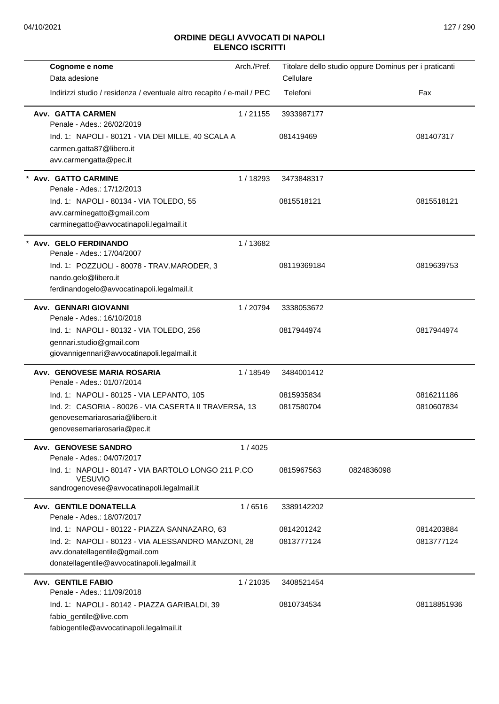| Cognome e nome                                                          | Arch./Pref. | Titolare dello studio oppure Dominus per i praticanti |            |             |
|-------------------------------------------------------------------------|-------------|-------------------------------------------------------|------------|-------------|
| Data adesione                                                           |             | Cellulare                                             |            |             |
| Indirizzi studio / residenza / eventuale altro recapito / e-mail / PEC  |             | Telefoni                                              |            | Fax         |
| Avv. GATTA CARMEN<br>Penale - Ades.: 26/02/2019                         | 1/21155     | 3933987177                                            |            |             |
| Ind. 1: NAPOLI - 80121 - VIA DEI MILLE, 40 SCALA A                      |             | 081419469                                             |            | 081407317   |
| carmen.gatta87@libero.it                                                |             |                                                       |            |             |
| avv.carmengatta@pec.it                                                  |             |                                                       |            |             |
| Avv. GATTO CARMINE<br>Penale - Ades.: 17/12/2013                        | 1/18293     | 3473848317                                            |            |             |
| Ind. 1: NAPOLI - 80134 - VIA TOLEDO, 55                                 |             | 0815518121                                            |            | 0815518121  |
| avv.carminegatto@gmail.com                                              |             |                                                       |            |             |
| carminegatto@avvocatinapoli.legalmail.it                                |             |                                                       |            |             |
| * Avv. GELO FERDINANDO<br>Penale - Ades.: 17/04/2007                    | 1/13682     |                                                       |            |             |
| Ind. 1: POZZUOLI - 80078 - TRAV.MARODER, 3                              |             | 08119369184                                           |            | 0819639753  |
| nando.gelo@libero.it                                                    |             |                                                       |            |             |
| ferdinandogelo@avvocatinapoli.legalmail.it                              |             |                                                       |            |             |
| Avv. GENNARI GIOVANNI<br>Penale - Ades.: 16/10/2018                     | 1/20794     | 3338053672                                            |            |             |
| Ind. 1: NAPOLI - 80132 - VIA TOLEDO, 256                                |             | 0817944974                                            |            | 0817944974  |
| gennari.studio@gmail.com                                                |             |                                                       |            |             |
| giovannigennari@avvocatinapoli.legalmail.it                             |             |                                                       |            |             |
| Avv. GENOVESE MARIA ROSARIA<br>Penale - Ades.: 01/07/2014               | 1/18549     | 3484001412                                            |            |             |
| Ind. 1: NAPOLI - 80125 - VIA LEPANTO, 105                               |             | 0815935834                                            |            | 0816211186  |
| Ind. 2: CASORIA - 80026 - VIA CASERTA II TRAVERSA, 13                   |             | 0817580704                                            |            | 0810607834  |
| genovesemariarosaria@libero.it                                          |             |                                                       |            |             |
| genovesemariarosaria@pec.it                                             |             |                                                       |            |             |
| Avv. GENOVESE SANDRO<br>Penale - Ades.: 04/07/2017                      | 1/4025      |                                                       |            |             |
| Ind. 1: NAPOLI - 80147 - VIA BARTOLO LONGO 211 P.CO                     |             | 0815967563                                            | 0824836098 |             |
| <b>VESUVIO</b><br>sandrogenovese@avvocatinapoli.legalmail.it            |             |                                                       |            |             |
| <b>Avv. GENTILE DONATELLA</b>                                           | 1/6516      | 3389142202                                            |            |             |
| Penale - Ades.: 18/07/2017                                              |             |                                                       |            |             |
| Ind. 1: NAPOLI - 80122 - PIAZZA SANNAZARO, 63                           |             | 0814201242                                            |            | 0814203884  |
| Ind. 2: NAPOLI - 80123 - VIA ALESSANDRO MANZONI, 28                     |             | 0813777124                                            |            | 0813777124  |
| avv.donatellagentile@gmail.com                                          |             |                                                       |            |             |
| donatellagentile@avvocatinapoli.legalmail.it                            |             |                                                       |            |             |
| <b>Avv. GENTILE FABIO</b>                                               | 1/21035     | 3408521454                                            |            |             |
| Penale - Ades.: 11/09/2018                                              |             |                                                       |            |             |
| Ind. 1: NAPOLI - 80142 - PIAZZA GARIBALDI, 39<br>fabio_gentile@live.com |             | 0810734534                                            |            | 08118851936 |
| fabiogentile@avvocatinapoli.legalmail.it                                |             |                                                       |            |             |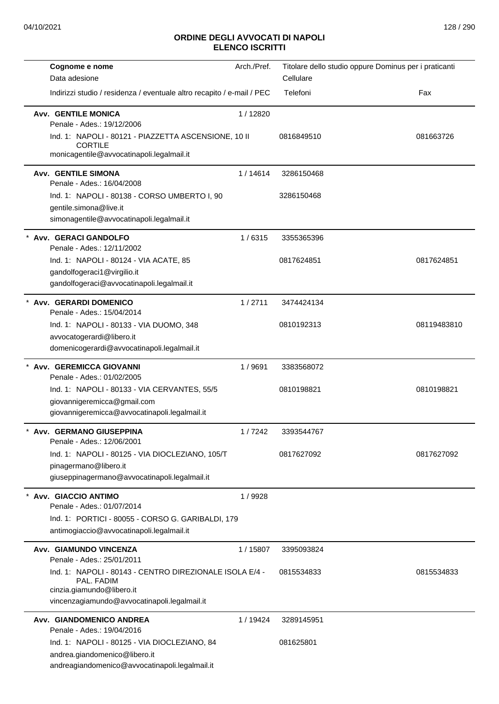| Cognome e nome                                                                                                                                      | Arch./Pref. | Titolare dello studio oppure Dominus per i praticanti |             |
|-----------------------------------------------------------------------------------------------------------------------------------------------------|-------------|-------------------------------------------------------|-------------|
| Data adesione                                                                                                                                       |             | Cellulare                                             |             |
| Indirizzi studio / residenza / eventuale altro recapito / e-mail / PEC                                                                              |             | Telefoni                                              | Fax         |
| <b>Avv. GENTILE MONICA</b><br>Penale - Ades.: 19/12/2006                                                                                            | 1/12820     |                                                       |             |
| Ind. 1: NAPOLI - 80121 - PIAZZETTA ASCENSIONE, 10 II<br><b>CORTILE</b><br>monicagentile@avvocatinapoli.legalmail.it                                 |             | 0816849510                                            | 081663726   |
| <b>Avv. GENTILE SIMONA</b><br>Penale - Ades.: 16/04/2008                                                                                            | 1/14614     | 3286150468                                            |             |
| Ind. 1: NAPOLI - 80138 - CORSO UMBERTO I, 90<br>gentile.simona@live.it<br>simonagentile@avvocatinapoli.legalmail.it                                 |             | 3286150468                                            |             |
| * Avv. GERACI GANDOLFO<br>Penale - Ades.: 12/11/2002                                                                                                | 1/6315      | 3355365396                                            |             |
| Ind. 1: NAPOLI - 80124 - VIA ACATE, 85<br>gandolfogeraci1@virgilio.it<br>gandolfogeraci@avvocatinapoli.legalmail.it                                 |             | 0817624851                                            | 0817624851  |
| * Avv. GERARDI DOMENICO<br>Penale - Ades.: 15/04/2014                                                                                               | 1/2711      | 3474424134                                            |             |
| Ind. 1: NAPOLI - 80133 - VIA DUOMO, 348<br>avvocatogerardi@libero.it<br>domenicogerardi@avvocatinapoli.legalmail.it                                 |             | 0810192313                                            | 08119483810 |
| * Avv. GEREMICCA GIOVANNI<br>Penale - Ades.: 01/02/2005                                                                                             | 1/9691      | 3383568072                                            |             |
| Ind. 1: NAPOLI - 80133 - VIA CERVANTES, 55/5<br>giovannigeremicca@gmail.com<br>giovannigeremicca@avvocatinapoli.legalmail.it                        |             | 0810198821                                            | 0810198821  |
| * Avv. GERMANO GIUSEPPINA<br>Penale - Ades.: 12/06/2001                                                                                             | 1/7242      | 3393544767                                            |             |
| Ind. 1: NAPOLI - 80125 - VIA DIOCLEZIANO, 105/T<br>pinagermano@libero.it<br>giuseppinagermano@avvocatinapoli.legalmail.it                           |             | 0817627092                                            | 0817627092  |
| Avv. GIACCIO ANTIMO<br>Penale - Ades.: 01/07/2014<br>Ind. 1: PORTICI - 80055 - CORSO G. GARIBALDI, 179<br>antimogiaccio@avvocatinapoli.legalmail.it | 1/9928      |                                                       |             |
| Avv. GIAMUNDO VINCENZA<br>Penale - Ades.: 25/01/2011                                                                                                | 1/15807     | 3395093824                                            |             |
| Ind. 1: NAPOLI - 80143 - CENTRO DIREZIONALE ISOLA E/4 -<br>PAL. FADIM<br>cinzia.giamundo@libero.it<br>vincenzagiamundo@avvocatinapoli.legalmail.it  |             | 0815534833                                            | 0815534833  |
| Avv. GIANDOMENICO ANDREA<br>Penale - Ades.: 19/04/2016                                                                                              | 1/19424     | 3289145951                                            |             |
| Ind. 1: NAPOLI - 80125 - VIA DIOCLEZIANO, 84<br>andrea.giandomenico@libero.it<br>andreagiandomenico@avvocatinapoli.legalmail.it                     |             | 081625801                                             |             |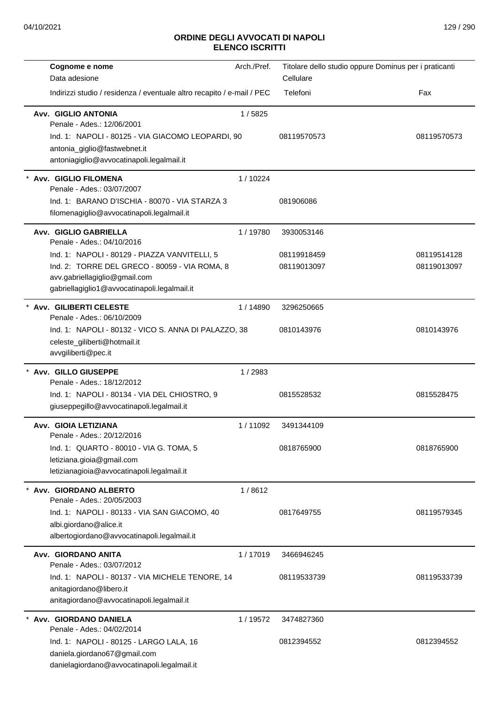| Cognome e nome                                                                               | Arch./Pref. | Titolare dello studio oppure Dominus per i praticanti |             |
|----------------------------------------------------------------------------------------------|-------------|-------------------------------------------------------|-------------|
| Data adesione                                                                                |             | Cellulare                                             |             |
| Indirizzi studio / residenza / eventuale altro recapito / e-mail / PEC                       |             | Telefoni                                              | Fax         |
| Avv. GIGLIO ANTONIA<br>Penale - Ades.: 12/06/2001                                            | 1/5825      |                                                       |             |
| Ind. 1: NAPOLI - 80125 - VIA GIACOMO LEOPARDI, 90<br>antonia_giglio@fastwebnet.it            |             | 08119570573                                           | 08119570573 |
| antoniagiglio@avvocatinapoli.legalmail.it                                                    |             |                                                       |             |
| * Avv. GIGLIO FILOMENA<br>Penale - Ades.: 03/07/2007                                         | 1/10224     |                                                       |             |
| Ind. 1: BARANO D'ISCHIA - 80070 - VIA STARZA 3<br>filomenagiglio@avvocatinapoli.legalmail.it |             | 081906086                                             |             |
|                                                                                              |             |                                                       |             |
| Avv. GIGLIO GABRIELLA<br>Penale - Ades.: 04/10/2016                                          | 1/19780     | 3930053146                                            |             |
| Ind. 1: NAPOLI - 80129 - PIAZZA VANVITELLI, 5                                                |             | 08119918459                                           | 08119514128 |
| Ind. 2: TORRE DEL GRECO - 80059 - VIA ROMA, 8                                                |             | 08119013097                                           | 08119013097 |
| avv.gabriellagiglio@gmail.com<br>gabriellagiglio1@avvocatinapoli.legalmail.it                |             |                                                       |             |
| * Avv. GILIBERTI CELESTE                                                                     | 1/14890     | 3296250665                                            |             |
| Penale - Ades.: 06/10/2009<br>Ind. 1: NAPOLI - 80132 - VICO S. ANNA DI PALAZZO, 38           |             | 0810143976                                            | 0810143976  |
| celeste_giliberti@hotmail.it                                                                 |             |                                                       |             |
| avvgiliberti@pec.it                                                                          |             |                                                       |             |
| * Avv. GILLO GIUSEPPE                                                                        | 1/2983      |                                                       |             |
| Penale - Ades.: 18/12/2012                                                                   |             | 0815528532                                            | 0815528475  |
| Ind. 1: NAPOLI - 80134 - VIA DEL CHIOSTRO, 9<br>giuseppegillo@avvocatinapoli.legalmail.it    |             |                                                       |             |
|                                                                                              |             |                                                       |             |
| Avv. GIOIA LETIZIANA<br>Penale - Ades.: 20/12/2016                                           | 1/11092     | 3491344109                                            |             |
| Ind. 1: QUARTO - 80010 - VIA G. TOMA, 5                                                      |             | 0818765900                                            | 0818765900  |
| letiziana.gioia@gmail.com                                                                    |             |                                                       |             |
| letizianagioia@avvocatinapoli.legalmail.it                                                   |             |                                                       |             |
| * Avv. GIORDANO ALBERTO<br>Penale - Ades.: 20/05/2003                                        | 1/8612      |                                                       |             |
| Ind. 1: NAPOLI - 80133 - VIA SAN GIACOMO, 40                                                 |             | 0817649755                                            | 08119579345 |
| albi.giordano@alice.it                                                                       |             |                                                       |             |
| albertogiordano@avvocatinapoli.legalmail.it                                                  |             |                                                       |             |
| Avv. GIORDANO ANITA<br>Penale - Ades.: 03/07/2012                                            | 1/17019     | 3466946245                                            |             |
| Ind. 1: NAPOLI - 80137 - VIA MICHELE TENORE, 14                                              |             | 08119533739                                           | 08119533739 |
| anitagiordano@libero.it<br>anitagiordano@avvocatinapoli.legalmail.it                         |             |                                                       |             |
| Avv. GIORDANO DANIELA                                                                        | 1/19572     | 3474827360                                            |             |
| Penale - Ades.: 04/02/2014                                                                   |             |                                                       |             |
| Ind. 1: NAPOLI - 80125 - LARGO LALA, 16<br>daniela.giordano67@gmail.com                      |             | 0812394552                                            | 0812394552  |
| danielagiordano@avvocatinapoli.legalmail.it                                                  |             |                                                       |             |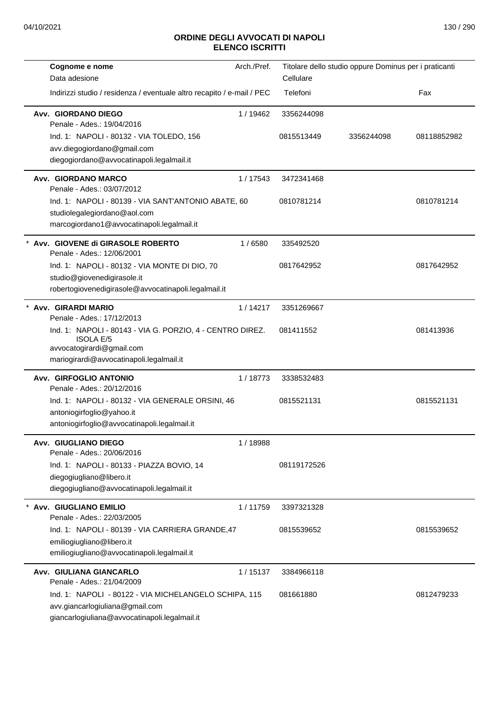| Cognome e nome                                                                                             | Arch./Pref. | Titolare dello studio oppure Dominus per i praticanti |            |             |
|------------------------------------------------------------------------------------------------------------|-------------|-------------------------------------------------------|------------|-------------|
| Data adesione                                                                                              |             | Cellulare                                             |            |             |
| Indirizzi studio / residenza / eventuale altro recapito / e-mail / PEC                                     |             | Telefoni                                              |            | Fax         |
| Avv. GIORDANO DIEGO<br>Penale - Ades.: 19/04/2016                                                          | 1/19462     | 3356244098                                            |            |             |
| Ind. 1: NAPOLI - 80132 - VIA TOLEDO, 156                                                                   |             | 0815513449                                            | 3356244098 | 08118852982 |
| avv.diegogiordano@gmail.com                                                                                |             |                                                       |            |             |
| diegogiordano@avvocatinapoli.legalmail.it                                                                  |             |                                                       |            |             |
| Avv. GIORDANO MARCO<br>Penale - Ades.: 03/07/2012                                                          | 1/17543     | 3472341468                                            |            |             |
| Ind. 1: NAPOLI - 80139 - VIA SANT'ANTONIO ABATE, 60                                                        |             | 0810781214                                            |            | 0810781214  |
| studiolegalegiordano@aol.com<br>marcogiordano1@avvocatinapoli.legalmail.it                                 |             |                                                       |            |             |
| Avv. GIOVENE di GIRASOLE ROBERTO<br>Penale - Ades.: 12/06/2001                                             | 1/6580      | 335492520                                             |            |             |
| Ind. 1: NAPOLI - 80132 - VIA MONTE DI DIO, 70                                                              |             | 0817642952                                            |            | 0817642952  |
| studio@giovenedigirasole.it                                                                                |             |                                                       |            |             |
| robertogiovenedigirasole@avvocatinapoli.legalmail.it                                                       |             |                                                       |            |             |
| Avv. GIRARDI MARIO<br>Penale - Ades.: 17/12/2013                                                           | 1/14217     | 3351269667                                            |            |             |
| Ind. 1: NAPOLI - 80143 - VIA G. PORZIO, 4 - CENTRO DIREZ.<br><b>ISOLA E/5</b><br>avvocatogirardi@gmail.com |             | 081411552                                             |            | 081413936   |
| mariogirardi@avvocatinapoli.legalmail.it                                                                   |             |                                                       |            |             |
| Avv. GIRFOGLIO ANTONIO                                                                                     | 1/18773     | 3338532483                                            |            |             |
| Penale - Ades.: 20/12/2016                                                                                 |             | 0815521131                                            |            | 0815521131  |
| Ind. 1: NAPOLI - 80132 - VIA GENERALE ORSINI, 46<br>antoniogirfoglio@yahoo.it                              |             |                                                       |            |             |
| antoniogirfoglio@avvocatinapoli.legalmail.it                                                               |             |                                                       |            |             |
| Avv. GIUGLIANO DIEGO                                                                                       | 1/18988     |                                                       |            |             |
| Penale - Ades.: 20/06/2016                                                                                 |             |                                                       |            |             |
| Ind. 1: NAPOLI - 80133 - PIAZZA BOVIO, 14                                                                  |             | 08119172526                                           |            |             |
| diegogiugliano@libero.it                                                                                   |             |                                                       |            |             |
| diegogiugliano@avvocatinapoli.legalmail.it                                                                 |             |                                                       |            |             |
| <b>Avv. GIUGLIANO EMILIO</b><br>Penale - Ades.: 22/03/2005                                                 | 1/11759     | 3397321328                                            |            |             |
| Ind. 1: NAPOLI - 80139 - VIA CARRIERA GRANDE, 47                                                           |             | 0815539652                                            |            | 0815539652  |
| emiliogiugliano@libero.it                                                                                  |             |                                                       |            |             |
| emiliogiugliano@avvocatinapoli.legalmail.it                                                                |             |                                                       |            |             |
| Avv. GIULIANA GIANCARLO                                                                                    | 1/15137     | 3384966118                                            |            |             |
| Penale - Ades.: 21/04/2009                                                                                 |             |                                                       |            |             |
| Ind. 1: NAPOLI - 80122 - VIA MICHELANGELO SCHIPA, 115<br>avv.giancarlogiuliana@gmail.com                   |             | 081661880                                             |            | 0812479233  |
| giancarlogiuliana@avvocatinapoli.legalmail.it                                                              |             |                                                       |            |             |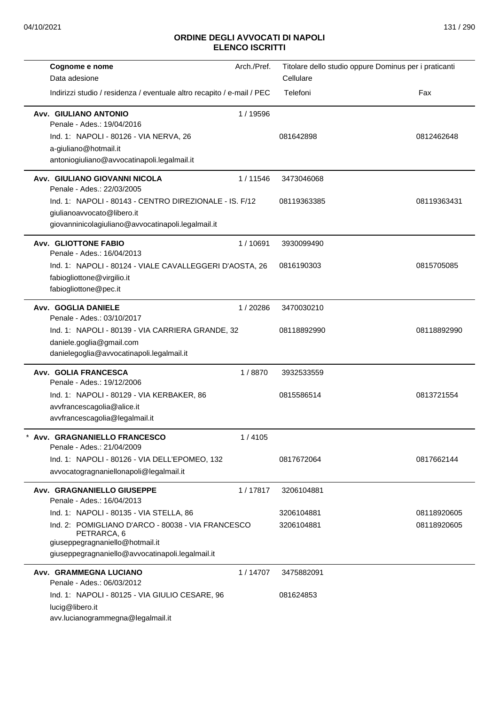| Cognome e nome                                                                      | Arch./Pref. | Titolare dello studio oppure Dominus per i praticanti |             |
|-------------------------------------------------------------------------------------|-------------|-------------------------------------------------------|-------------|
| Data adesione                                                                       |             | Cellulare                                             |             |
| Indirizzi studio / residenza / eventuale altro recapito / e-mail / PEC              |             | Telefoni                                              | Fax         |
| Avv. GIULIANO ANTONIO<br>Penale - Ades.: 19/04/2016                                 | 1 / 19596   |                                                       |             |
| Ind. 1: NAPOLI - 80126 - VIA NERVA, 26                                              |             | 081642898                                             | 0812462648  |
| a-giuliano@hotmail.it                                                               |             |                                                       |             |
| antoniogiuliano@avvocatinapoli.legalmail.it                                         |             |                                                       |             |
| Avv. GIULIANO GIOVANNI NICOLA<br>Penale - Ades.: 22/03/2005                         | 1/11546     | 3473046068                                            |             |
| Ind. 1: NAPOLI - 80143 - CENTRO DIREZIONALE - IS. F/12                              |             | 08119363385                                           | 08119363431 |
| giulianoavvocato@libero.it                                                          |             |                                                       |             |
| giovanninicolagiuliano@avvocatinapoli.legalmail.it                                  |             |                                                       |             |
| <b>Avv. GLIOTTONE FABIO</b><br>Penale - Ades.: 16/04/2013                           | 1/10691     | 3930099490                                            |             |
| Ind. 1: NAPOLI - 80124 - VIALE CAVALLEGGERI D'AOSTA, 26                             |             | 0816190303                                            | 0815705085  |
| fabiogliottone@virgilio.it                                                          |             |                                                       |             |
| fabiogliottone@pec.it                                                               |             |                                                       |             |
| Avv. GOGLIA DANIELE<br>Penale - Ades.: 03/10/2017                                   | 1/20286     | 3470030210                                            |             |
| Ind. 1: NAPOLI - 80139 - VIA CARRIERA GRANDE, 32                                    |             | 08118892990                                           | 08118892990 |
| daniele.goglia@gmail.com                                                            |             |                                                       |             |
| danielegoglia@avvocatinapoli.legalmail.it                                           |             |                                                       |             |
| Avv. GOLIA FRANCESCA<br>Penale - Ades.: 19/12/2006                                  | 1/8870      | 3932533559                                            |             |
| Ind. 1: NAPOLI - 80129 - VIA KERBAKER, 86                                           |             | 0815586514                                            | 0813721554  |
| avvfrancescagolia@alice.it                                                          |             |                                                       |             |
| avvfrancescagolia@legalmail.it                                                      |             |                                                       |             |
| Avv. GRAGNANIELLO FRANCESCO<br>Penale - Ades.: 21/04/2009                           | 1/4105      |                                                       |             |
| Ind. 1: NAPOLI - 80126 - VIA DELL'EPOMEO, 132                                       |             | 0817672064                                            | 0817662144  |
| avvocatogragnaniellonapoli@legalmail.it                                             |             |                                                       |             |
| Avv. GRAGNANIELLO GIUSEPPE<br>Penale - Ades.: 16/04/2013                            | 1/17817     | 3206104881                                            |             |
| Ind. 1: NAPOLI - 80135 - VIA STELLA, 86                                             |             | 3206104881                                            | 08118920605 |
| Ind. 2: POMIGLIANO D'ARCO - 80038 - VIA FRANCESCO<br>PETRARCA, 6                    |             | 3206104881                                            | 08118920605 |
| giuseppegragnaniello@hotmail.it<br>giuseppegragnaniello@avvocatinapoli.legalmail.it |             |                                                       |             |
|                                                                                     |             |                                                       |             |
| Avv. GRAMMEGNA LUCIANO<br>Penale - Ades.: 06/03/2012                                | 1/14707     | 3475882091                                            |             |
| Ind. 1: NAPOLI - 80125 - VIA GIULIO CESARE, 96                                      |             | 081624853                                             |             |
| lucig@libero.it                                                                     |             |                                                       |             |
| avv.lucianogrammegna@legalmail.it                                                   |             |                                                       |             |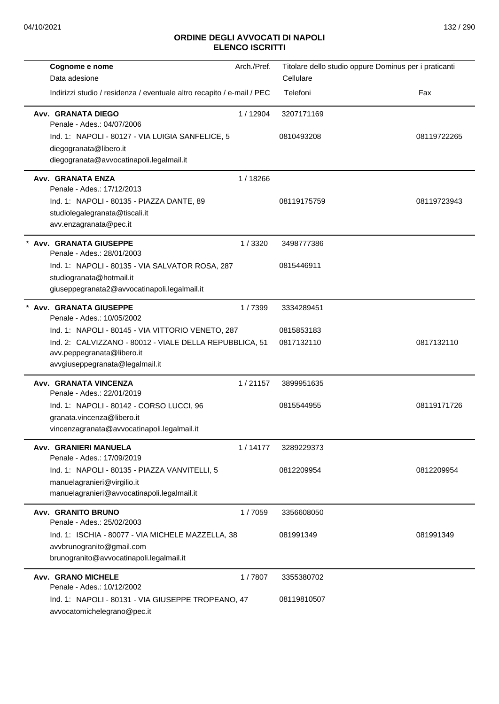| Cognome e nome                                                                   | Arch./Pref. | Titolare dello studio oppure Dominus per i praticanti |             |
|----------------------------------------------------------------------------------|-------------|-------------------------------------------------------|-------------|
| Data adesione                                                                    |             | Cellulare                                             |             |
| Indirizzi studio / residenza / eventuale altro recapito / e-mail / PEC           |             | Telefoni                                              | Fax         |
| Avv. GRANATA DIEGO<br>Penale - Ades.: 04/07/2006                                 | 1/12904     | 3207171169                                            |             |
| Ind. 1: NAPOLI - 80127 - VIA LUIGIA SANFELICE, 5                                 |             | 0810493208                                            | 08119722265 |
| diegogranata@libero.it                                                           |             |                                                       |             |
| diegogranata@avvocatinapoli.legalmail.it                                         |             |                                                       |             |
| Avv. GRANATA ENZA                                                                | 1/18266     |                                                       |             |
| Penale - Ades.: 17/12/2013                                                       |             |                                                       |             |
| Ind. 1: NAPOLI - 80135 - PIAZZA DANTE, 89                                        |             | 08119175759                                           | 08119723943 |
| studiolegalegranata@tiscali.it<br>avv.enzagranata@pec.it                         |             |                                                       |             |
|                                                                                  |             |                                                       |             |
| Avv. GRANATA GIUSEPPE<br>Penale - Ades.: 28/01/2003                              | 1/3320      | 3498777386                                            |             |
| Ind. 1: NAPOLI - 80135 - VIA SALVATOR ROSA, 287                                  |             | 0815446911                                            |             |
| studiogranata@hotmail.it                                                         |             |                                                       |             |
| giuseppegranata2@avvocatinapoli.legalmail.it                                     |             |                                                       |             |
| <b>Avv. GRANATA GIUSEPPE</b><br>Penale - Ades.: 10/05/2002                       | 1/7399      | 3334289451                                            |             |
| Ind. 1: NAPOLI - 80145 - VIA VITTORIO VENETO, 287                                |             | 0815853183                                            |             |
| Ind. 2: CALVIZZANO - 80012 - VIALE DELLA REPUBBLICA, 51                          |             | 0817132110                                            | 0817132110  |
| avv.peppegranata@libero.it                                                       |             |                                                       |             |
| avvgiuseppegranata@legalmail.it                                                  |             |                                                       |             |
| Avv. GRANATA VINCENZA<br>Penale - Ades.: 22/01/2019                              | 1/21157     | 3899951635                                            |             |
| Ind. 1: NAPOLI - 80142 - CORSO LUCCI, 96                                         |             | 0815544955                                            | 08119171726 |
| granata.vincenza@libero.it                                                       |             |                                                       |             |
| vincenzagranata@avvocatinapoli.legalmail.it                                      |             |                                                       |             |
| Avv. GRANIERI MANUELA                                                            | 1/14177     | 3289229373                                            |             |
| Penale - Ades.: 17/09/2019                                                       |             |                                                       |             |
| Ind. 1: NAPOLI - 80135 - PIAZZA VANVITELLI, 5<br>manuelagranieri@virgilio.it     |             | 0812209954                                            | 0812209954  |
| manuelagranieri@avvocatinapoli.legalmail.it                                      |             |                                                       |             |
|                                                                                  |             |                                                       |             |
| <b>Avv. GRANITO BRUNO</b><br>Penale - Ades.: 25/02/2003                          | 1/7059      | 3356608050                                            |             |
| Ind. 1: ISCHIA - 80077 - VIA MICHELE MAZZELLA, 38                                |             | 081991349                                             | 081991349   |
| avvbrunogranito@gmail.com                                                        |             |                                                       |             |
| brunogranito@avvocatinapoli.legalmail.it                                         |             |                                                       |             |
| <b>Avv. GRANO MICHELE</b>                                                        | 1/7807      | 3355380702                                            |             |
| Penale - Ades.: 10/12/2002<br>Ind. 1: NAPOLI - 80131 - VIA GIUSEPPE TROPEANO, 47 |             | 08119810507                                           |             |
| avvocatomichelegrano@pec.it                                                      |             |                                                       |             |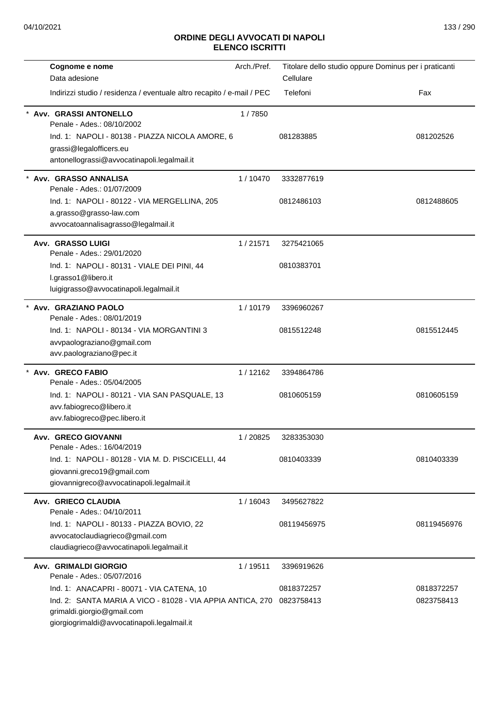| Cognome e nome                                                         | Arch./Pref. | Titolare dello studio oppure Dominus per i praticanti |             |
|------------------------------------------------------------------------|-------------|-------------------------------------------------------|-------------|
| Data adesione                                                          |             | Cellulare                                             |             |
| Indirizzi studio / residenza / eventuale altro recapito / e-mail / PEC |             | Telefoni                                              | Fax         |
| Avv. GRASSI ANTONELLO<br>Penale - Ades.: 08/10/2002                    | 1/7850      |                                                       |             |
| Ind. 1: NAPOLI - 80138 - PIAZZA NICOLA AMORE, 6                        |             | 081283885                                             | 081202526   |
| grassi@legalofficers.eu                                                |             |                                                       |             |
| antonellograssi@avvocatinapoli.legalmail.it                            |             |                                                       |             |
| Avv. GRASSO ANNALISA<br>Penale - Ades.: 01/07/2009                     | 1/10470     | 3332877619                                            |             |
| Ind. 1: NAPOLI - 80122 - VIA MERGELLINA, 205                           |             | 0812486103                                            | 0812488605  |
| a.grasso@grasso-law.com                                                |             |                                                       |             |
| avvocatoannalisagrasso@legalmail.it                                    |             |                                                       |             |
| <b>Avv. GRASSO LUIGI</b><br>Penale - Ades.: 29/01/2020                 | 1/21571     | 3275421065                                            |             |
| Ind. 1: NAPOLI - 80131 - VIALE DEI PINI, 44                            |             | 0810383701                                            |             |
| l.grasso1@libero.it                                                    |             |                                                       |             |
| luigigrasso@avvocatinapoli.legalmail.it                                |             |                                                       |             |
| * Avv. GRAZIANO PAOLO<br>Penale - Ades.: 08/01/2019                    | 1/10179     | 3396960267                                            |             |
| Ind. 1: NAPOLI - 80134 - VIA MORGANTINI 3                              |             | 0815512248                                            | 0815512445  |
| avvpaolograziano@gmail.com                                             |             |                                                       |             |
| avv.paolograziano@pec.it                                               |             |                                                       |             |
| * Avv. GRECO FABIO<br>Penale - Ades.: 05/04/2005                       | 1/12162     | 3394864786                                            |             |
| Ind. 1: NAPOLI - 80121 - VIA SAN PASQUALE, 13                          |             | 0810605159                                            | 0810605159  |
| avv.fabiogreco@libero.it                                               |             |                                                       |             |
| avv.fabiogreco@pec.libero.it                                           |             |                                                       |             |
| <b>Avv. GRECO GIOVANNI</b><br>Penale - Ades.: 16/04/2019               | 1/20825     | 3283353030                                            |             |
| Ind. 1: NAPOLI - 80128 - VIA M. D. PISCICELLI, 44                      |             | 0810403339                                            | 0810403339  |
| giovanni.greco19@gmail.com                                             |             |                                                       |             |
| giovannigreco@avvocatinapoli.legalmail.it                              |             |                                                       |             |
| Avv. GRIECO CLAUDIA<br>Penale - Ades.: 04/10/2011                      | 1/16043     | 3495627822                                            |             |
| Ind. 1: NAPOLI - 80133 - PIAZZA BOVIO, 22                              |             | 08119456975                                           | 08119456976 |
| avvocatoclaudiagrieco@gmail.com                                        |             |                                                       |             |
| claudiagrieco@avvocatinapoli.legalmail.it                              |             |                                                       |             |
| <b>Avv. GRIMALDI GIORGIO</b><br>Penale - Ades.: 05/07/2016             | 1/19511     | 3396919626                                            |             |
| Ind. 1: ANACAPRI - 80071 - VIA CATENA, 10                              |             | 0818372257                                            | 0818372257  |
| Ind. 2: SANTA MARIA A VICO - 81028 - VIA APPIA ANTICA, 270             |             | 0823758413                                            | 0823758413  |
| grimaldi.giorgio@gmail.com                                             |             |                                                       |             |
| giorgiogrimaldi@avvocatinapoli.legalmail.it                            |             |                                                       |             |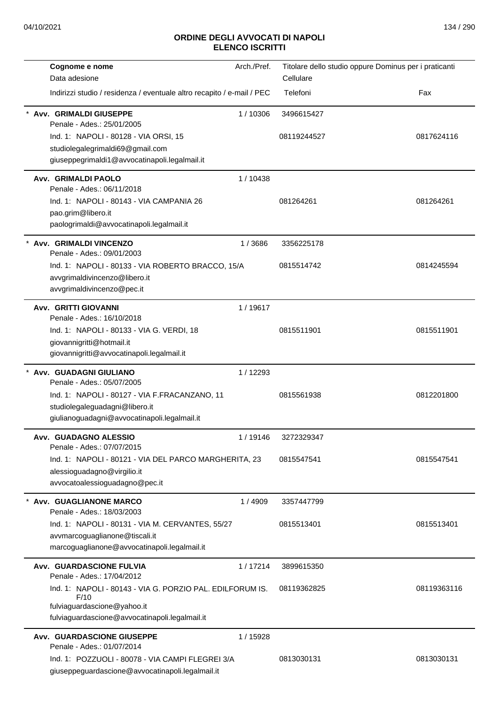| Arch./Pref.<br>Cognome e nome                                                                        | Titolare dello studio oppure Dominus per i praticanti |
|------------------------------------------------------------------------------------------------------|-------------------------------------------------------|
| Data adesione                                                                                        | Cellulare                                             |
| Indirizzi studio / residenza / eventuale altro recapito / e-mail / PEC                               | Telefoni<br>Fax                                       |
| Avv. GRIMALDI GIUSEPPE<br>1/10306<br>Penale - Ades.: 25/01/2005                                      | 3496615427                                            |
| Ind. 1: NAPOLI - 80128 - VIA ORSI, 15                                                                | 08119244527<br>0817624116                             |
| studiolegalegrimaldi69@gmail.com                                                                     |                                                       |
| giuseppegrimaldi1@avvocatinapoli.legalmail.it                                                        |                                                       |
| <b>Avv. GRIMALDI PAOLO</b><br>1/10438<br>Penale - Ades.: 06/11/2018                                  |                                                       |
| Ind. 1: NAPOLI - 80143 - VIA CAMPANIA 26                                                             | 081264261<br>081264261                                |
| pao.grim@libero.it                                                                                   |                                                       |
| paologrimaldi@avvocatinapoli.legalmail.it                                                            |                                                       |
| Avv. GRIMALDI VINCENZO<br>1/3686<br>Penale - Ades.: 09/01/2003                                       | 3356225178                                            |
| Ind. 1: NAPOLI - 80133 - VIA ROBERTO BRACCO, 15/A                                                    | 0815514742<br>0814245594                              |
| avvgrimaldivincenzo@libero.it                                                                        |                                                       |
| avvgrimaldivincenzo@pec.it                                                                           |                                                       |
| <b>Avv. GRITTI GIOVANNI</b><br>1/19617<br>Penale - Ades.: 16/10/2018                                 |                                                       |
| Ind. 1: NAPOLI - 80133 - VIA G. VERDI, 18                                                            | 0815511901<br>0815511901                              |
| giovannigritti@hotmail.it                                                                            |                                                       |
| giovannigritti@avvocatinapoli.legalmail.it                                                           |                                                       |
| * Avv. GUADAGNI GIULIANO<br>1/12293<br>Penale - Ades.: 05/07/2005                                    |                                                       |
| Ind. 1: NAPOLI - 80127 - VIA F.FRACANZANO, 11                                                        | 0815561938<br>0812201800                              |
| studiolegaleguadagni@libero.it                                                                       |                                                       |
| giulianoguadagni@avvocatinapoli.legalmail.it                                                         |                                                       |
| Avv. GUADAGNO ALESSIO<br>1/19146<br>Penale - Ades.: 07/07/2015                                       | 3272329347                                            |
| Ind. 1: NAPOLI - 80121 - VIA DEL PARCO MARGHERITA, 23                                                | 0815547541<br>0815547541                              |
| alessioguadagno@virgilio.it                                                                          |                                                       |
| avvocatoalessioguadagno@pec.it                                                                       |                                                       |
| Avv. GUAGLIANONE MARCO<br>1/4909<br>Penale - Ades.: 18/03/2003                                       | 3357447799                                            |
| Ind. 1: NAPOLI - 80131 - VIA M. CERVANTES, 55/27                                                     | 0815513401<br>0815513401                              |
| avvmarcoguaglianone@tiscali.it                                                                       |                                                       |
| marcoguaglianone@avvocatinapoli.legalmail.it                                                         |                                                       |
| <b>Avv. GUARDASCIONE FULVIA</b><br>1/17214<br>Penale - Ades.: 17/04/2012                             | 3899615350                                            |
| Ind. 1: NAPOLI - 80143 - VIA G. PORZIO PAL. EDILFORUM IS.<br>F/10                                    | 08119362825<br>08119363116                            |
| fulviaguardascione@yahoo.it<br>fulviaguardascione@avvocatinapoli.legalmail.it                        |                                                       |
| <b>Avv. GUARDASCIONE GIUSEPPE</b><br>1 / 15928<br>Penale - Ades.: 01/07/2014                         |                                                       |
| Ind. 1: POZZUOLI - 80078 - VIA CAMPI FLEGREI 3/A<br>giuseppeguardascione@avvocatinapoli.legalmail.it | 0813030131<br>0813030131                              |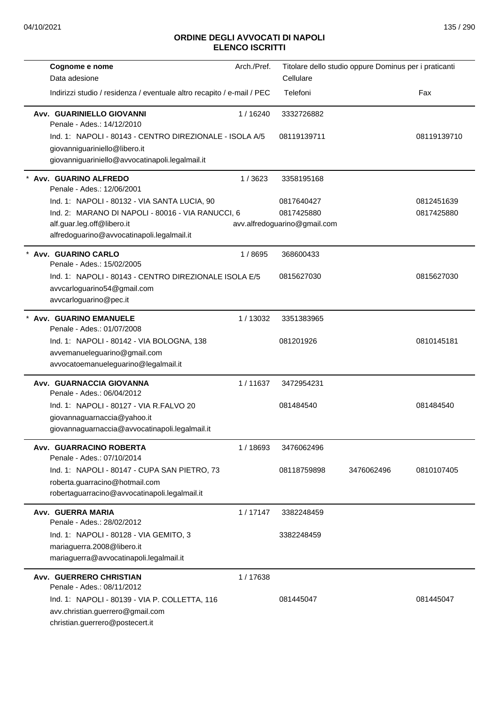| Cognome e nome<br>Data adesione                                                                                                             | Arch./Pref. | Titolare dello studio oppure Dominus per i praticanti<br>Cellulare |            |             |
|---------------------------------------------------------------------------------------------------------------------------------------------|-------------|--------------------------------------------------------------------|------------|-------------|
| Indirizzi studio / residenza / eventuale altro recapito / e-mail / PEC                                                                      |             | Telefoni                                                           |            | Fax         |
| Avv. GUARINIELLO GIOVANNI<br>Penale - Ades.: 14/12/2010                                                                                     | 1/16240     | 3332726882                                                         |            |             |
| Ind. 1: NAPOLI - 80143 - CENTRO DIREZIONALE - ISOLA A/5<br>giovanniguariniello@libero.it<br>giovanniguariniello@avvocatinapoli.legalmail.it |             | 08119139711                                                        |            | 08119139710 |
| Avv. GUARINO ALFREDO<br>Penale - Ades.: 12/06/2001                                                                                          | 1/3623      | 3358195168                                                         |            |             |
| Ind. 1: NAPOLI - 80132 - VIA SANTA LUCIA, 90                                                                                                |             | 0817640427                                                         |            | 0812451639  |
| Ind. 2: MARANO DI NAPOLI - 80016 - VIA RANUCCI, 6                                                                                           |             | 0817425880                                                         |            | 0817425880  |
| alf.guar.leg.off@libero.it<br>alfredoguarino@avvocatinapoli.legalmail.it                                                                    |             | avv.alfredoguarino@gmail.com                                       |            |             |
| Avv. GUARINO CARLO<br>Penale - Ades.: 15/02/2005                                                                                            | 1/8695      | 368600433                                                          |            |             |
| Ind. 1: NAPOLI - 80143 - CENTRO DIREZIONALE ISOLA E/5<br>avvcarloguarino54@gmail.com<br>avvcarloguarino@pec.it                              |             | 0815627030                                                         |            | 0815627030  |
| * Avv. GUARINO EMANUELE<br>Penale - Ades.: 01/07/2008                                                                                       | 1/13032     | 3351383965                                                         |            |             |
| Ind. 1: NAPOLI - 80142 - VIA BOLOGNA, 138<br>avvemanueleguarino@gmail.com<br>avvocatoemanueleguarino@legalmail.it                           |             | 081201926                                                          |            | 0810145181  |
| Avv. GUARNACCIA GIOVANNA<br>Penale - Ades.: 06/04/2012                                                                                      | 1/11637     | 3472954231                                                         |            |             |
| Ind. 1: NAPOLI - 80127 - VIA R.FALVO 20<br>giovannaguarnaccia@yahoo.it<br>giovannaguarnaccia@avvocatinapoli.legalmail.it                    |             | 081484540                                                          |            | 081484540   |
| Avv. GUARRACINO ROBERTA<br>Penale - Ades.: 07/10/2014                                                                                       | 1/18693     | 3476062496                                                         |            |             |
| Ind. 1: NAPOLI - 80147 - CUPA SAN PIETRO, 73<br>roberta.guarracino@hotmail.com<br>robertaguarracino@avvocatinapoli.legalmail.it             |             | 08118759898                                                        | 3476062496 | 0810107405  |
| Avv. GUERRA MARIA<br>Penale - Ades.: 28/02/2012                                                                                             | 1/17147     | 3382248459                                                         |            |             |
| Ind. 1: NAPOLI - 80128 - VIA GEMITO, 3                                                                                                      |             | 3382248459                                                         |            |             |
| mariaguerra.2008@libero.it<br>mariaguerra@avvocatinapoli.legalmail.it                                                                       |             |                                                                    |            |             |
| <b>Avv. GUERRERO CHRISTIAN</b><br>Penale - Ades.: 08/11/2012                                                                                | 1/17638     |                                                                    |            |             |
| Ind. 1: NAPOLI - 80139 - VIA P. COLLETTA, 116<br>avv.christian.guerrero@gmail.com<br>christian.guerrero@postecert.it                        |             | 081445047                                                          |            | 081445047   |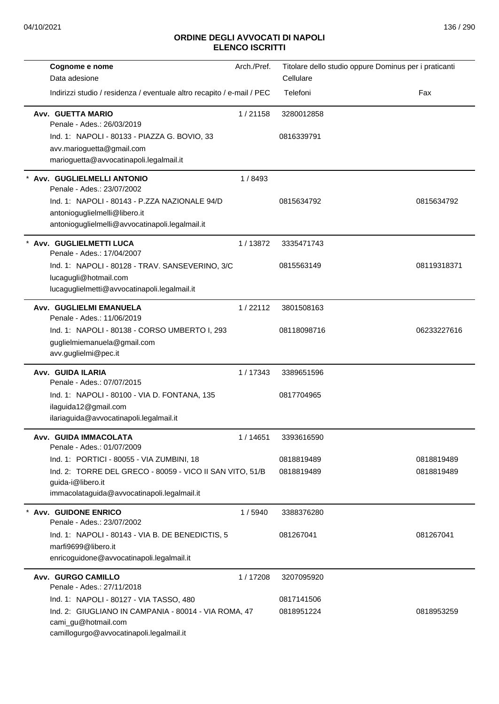| Cognome e nome                                                                                                                                                     | Arch./Pref. | Titolare dello studio oppure Dominus per i praticanti |             |
|--------------------------------------------------------------------------------------------------------------------------------------------------------------------|-------------|-------------------------------------------------------|-------------|
| Data adesione                                                                                                                                                      |             | Cellulare                                             |             |
| Indirizzi studio / residenza / eventuale altro recapito / e-mail / PEC                                                                                             |             | Telefoni                                              | Fax         |
| Avv. GUETTA MARIO<br>Penale - Ades.: 26/03/2019                                                                                                                    | 1/21158     | 3280012858                                            |             |
| Ind. 1: NAPOLI - 80133 - PIAZZA G. BOVIO, 33<br>avv.marioguetta@gmail.com<br>marioguetta@avvocatinapoli.legalmail.it                                               |             | 0816339791                                            |             |
| Avv. GUGLIELMELLI ANTONIO<br>Penale - Ades.: 23/07/2002                                                                                                            | 1/8493      |                                                       |             |
| Ind. 1: NAPOLI - 80143 - P.ZZA NAZIONALE 94/D<br>antonioguglielmelli@libero.it<br>antonioguglielmelli@avvocatinapoli.legalmail.it                                  |             | 0815634792                                            | 0815634792  |
| Avv. GUGLIELMETTI LUCA<br>Penale - Ades.: 17/04/2007                                                                                                               | 1/13872     | 3335471743                                            |             |
| Ind. 1: NAPOLI - 80128 - TRAV. SANSEVERINO, 3/C<br>lucagugli@hotmail.com<br>lucaguglielmetti@avvocatinapoli.legalmail.it                                           |             | 0815563149                                            | 08119318371 |
| Avv. GUGLIELMI EMANUELA<br>Penale - Ades.: 11/06/2019                                                                                                              | 1/22112     | 3801508163                                            |             |
| Ind. 1: NAPOLI - 80138 - CORSO UMBERTO I, 293<br>guglielmiemanuela@gmail.com<br>avv.guglielmi@pec.it                                                               |             | 08118098716                                           | 06233227616 |
| Avv. GUIDA ILARIA<br>Penale - Ades.: 07/07/2015                                                                                                                    | 1/17343     | 3389651596                                            |             |
| Ind. 1: NAPOLI - 80100 - VIA D. FONTANA, 135<br>ilaguida12@gmail.com<br>ilariaguida@avvocatinapoli.legalmail.it                                                    |             | 0817704965                                            |             |
| Avv. GUIDA IMMACOLATA<br>Penale - Ades.: 01/07/2009                                                                                                                | 1 / 14651   | 3393616590                                            |             |
| Ind. 1: PORTICI - 80055 - VIA ZUMBINI, 18                                                                                                                          |             | 0818819489                                            | 0818819489  |
| Ind. 2: TORRE DEL GRECO - 80059 - VICO II SAN VITO, 51/B<br>guida-i@libero.it<br>immacolataguida@avvocatinapoli.legalmail.it                                       |             | 0818819489                                            | 0818819489  |
| <b>Avv. GUIDONE ENRICO</b><br>Penale - Ades.: 23/07/2002                                                                                                           | 1/5940      | 3388376280                                            |             |
| Ind. 1: NAPOLI - 80143 - VIA B. DE BENEDICTIS, 5<br>marfi9699@libero.it<br>enricoguidone@avvocatinapoli.legalmail.it                                               |             | 081267041                                             | 081267041   |
| Avv. GURGO CAMILLO<br>Penale - Ades.: 27/11/2018                                                                                                                   | 1/17208     | 3207095920                                            |             |
| Ind. 1: NAPOLI - 80127 - VIA TASSO, 480<br>Ind. 2: GIUGLIANO IN CAMPANIA - 80014 - VIA ROMA, 47<br>cami_gu@hotmail.com<br>camillogurgo@avvocatinapoli.legalmail.it |             | 0817141506<br>0818951224                              | 0818953259  |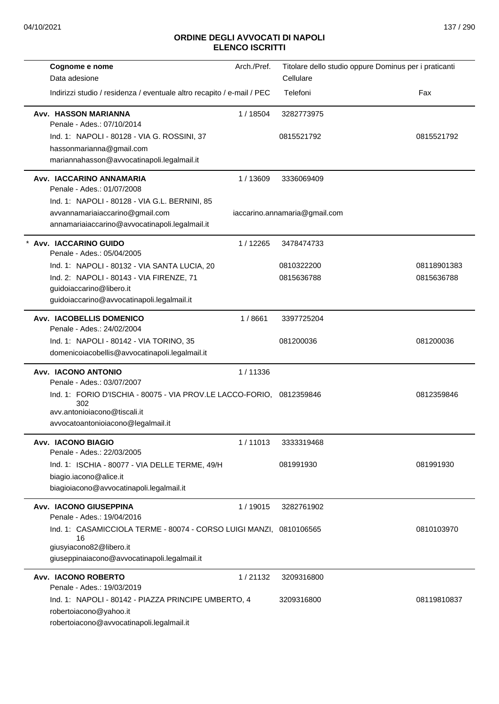| Cognome e nome<br>Data adesione                                        | Arch./Pref. | Titolare dello studio oppure Dominus per i praticanti<br>Cellulare |             |
|------------------------------------------------------------------------|-------------|--------------------------------------------------------------------|-------------|
| Indirizzi studio / residenza / eventuale altro recapito / e-mail / PEC |             | Telefoni                                                           | Fax         |
| <b>Avv. HASSON MARIANNA</b><br>Penale - Ades.: 07/10/2014              | 1/18504     | 3282773975                                                         |             |
| Ind. 1: NAPOLI - 80128 - VIA G. ROSSINI, 37                            |             | 0815521792                                                         | 0815521792  |
| hassonmarianna@gmail.com                                               |             |                                                                    |             |
| mariannahasson@avvocatinapoli.legalmail.it                             |             |                                                                    |             |
| Avv. IACCARINO ANNAMARIA<br>Penale - Ades.: 01/07/2008                 | 1/13609     | 3336069409                                                         |             |
| Ind. 1: NAPOLI - 80128 - VIA G.L. BERNINI, 85                          |             |                                                                    |             |
| avvannamariaiaccarino@gmail.com                                        |             | iaccarino.annamaria@gmail.com                                      |             |
| annamariaiaccarino@avvocatinapoli.legalmail.it                         |             |                                                                    |             |
| * Avv. IACCARINO GUIDO<br>Penale - Ades.: 05/04/2005                   | 1/12265     | 3478474733                                                         |             |
| Ind. 1: NAPOLI - 80132 - VIA SANTA LUCIA, 20                           |             | 0810322200                                                         | 08118901383 |
| Ind. 2: NAPOLI - 80143 - VIA FIRENZE, 71                               |             | 0815636788                                                         | 0815636788  |
| guidoiaccarino@libero.it                                               |             |                                                                    |             |
| guidoiaccarino@avvocatinapoli.legalmail.it                             |             |                                                                    |             |
| Avv. IACOBELLIS DOMENICO<br>Penale - Ades.: 24/02/2004                 | 1/8661      | 3397725204                                                         |             |
| Ind. 1: NAPOLI - 80142 - VIA TORINO, 35                                |             | 081200036                                                          | 081200036   |
| domenicoiacobellis@avvocatinapoli.legalmail.it                         |             |                                                                    |             |
| <b>Avv. IACONO ANTONIO</b><br>Penale - Ades.: 03/07/2007               | 1/11336     |                                                                    |             |
| Ind. 1: FORIO D'ISCHIA - 80075 - VIA PROV.LE LACCO-FORIO,<br>302       |             | 0812359846                                                         | 0812359846  |
| avv.antonioiacono@tiscali.it                                           |             |                                                                    |             |
| avvocatoantonioiacono@legalmail.it                                     |             |                                                                    |             |
| <b>Avv. IACONO BIAGIO</b><br>Penale - Ades.: 22/03/2005                | 1/11013     | 3333319468                                                         |             |
| Ind. 1: ISCHIA - 80077 - VIA DELLE TERME, 49/H                         |             | 081991930                                                          | 081991930   |
| biagio.iacono@alice.it                                                 |             |                                                                    |             |
| biagioiacono@avvocatinapoli.legalmail.it                               |             |                                                                    |             |
| <b>Avv. IACONO GIUSEPPINA</b><br>Penale - Ades.: 19/04/2016            | 1/19015     | 3282761902                                                         |             |
| Ind. 1: CASAMICCIOLA TERME - 80074 - CORSO LUIGI MANZI, 0810106565     |             |                                                                    | 0810103970  |
| 16<br>giusyiacono82@libero.it                                          |             |                                                                    |             |
| giuseppinaiacono@avvocatinapoli.legalmail.it                           |             |                                                                    |             |
| <b>Avv. IACONO ROBERTO</b>                                             | 1/21132     | 3209316800                                                         |             |
| Penale - Ades.: 19/03/2019                                             |             |                                                                    |             |
| Ind. 1: NAPOLI - 80142 - PIAZZA PRINCIPE UMBERTO, 4                    |             | 3209316800                                                         | 08119810837 |
| robertoiacono@yahoo.it                                                 |             |                                                                    |             |
| robertoiacono@avvocatinapoli.legalmail.it                              |             |                                                                    |             |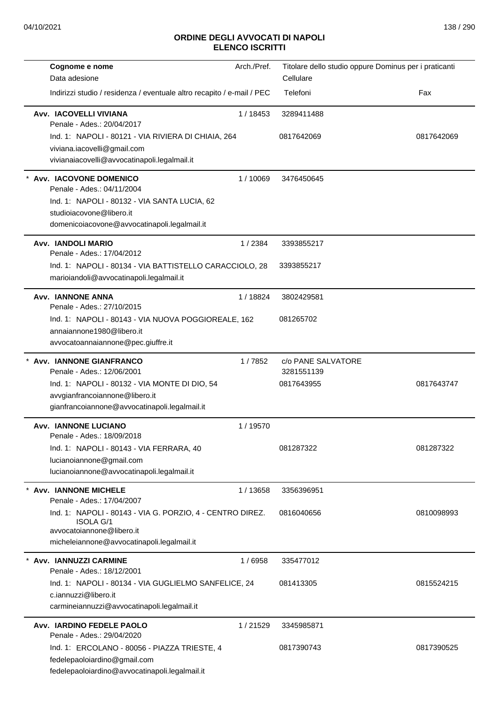| Cognome e nome<br>Data adesione                                               | Arch./Pref. | Titolare dello studio oppure Dominus per i praticanti<br>Cellulare |            |
|-------------------------------------------------------------------------------|-------------|--------------------------------------------------------------------|------------|
|                                                                               |             |                                                                    |            |
| Indirizzi studio / residenza / eventuale altro recapito / e-mail / PEC        |             | Telefoni                                                           | Fax        |
| Avv. IACOVELLI VIVIANA<br>Penale - Ades.: 20/04/2017                          | 1/18453     | 3289411488                                                         |            |
| Ind. 1: NAPOLI - 80121 - VIA RIVIERA DI CHIAIA, 264                           |             | 0817642069                                                         | 0817642069 |
| viviana.iacovelli@gmail.com                                                   |             |                                                                    |            |
| vivianaiacovelli@avvocatinapoli.legalmail.it                                  |             |                                                                    |            |
| * Avv. IACOVONE DOMENICO<br>Penale - Ades.: 04/11/2004                        | 1/10069     | 3476450645                                                         |            |
| Ind. 1: NAPOLI - 80132 - VIA SANTA LUCIA, 62                                  |             |                                                                    |            |
| studioiacovone@libero.it                                                      |             |                                                                    |            |
| domenicoiacovone@avvocatinapoli.legalmail.it                                  |             |                                                                    |            |
| <b>Avv. IANDOLI MARIO</b><br>Penale - Ades.: 17/04/2012                       | 1/2384      | 3393855217                                                         |            |
| Ind. 1: NAPOLI - 80134 - VIA BATTISTELLO CARACCIOLO, 28                       |             | 3393855217                                                         |            |
| marioiandoli@avvocatinapoli.legalmail.it                                      |             |                                                                    |            |
| <b>Avv. IANNONE ANNA</b><br>Penale - Ades.: 27/10/2015                        | 1/18824     | 3802429581                                                         |            |
| Ind. 1: NAPOLI - 80143 - VIA NUOVA POGGIOREALE, 162                           |             | 081265702                                                          |            |
| annaiannone1980@libero.it                                                     |             |                                                                    |            |
| avvocatoannaiannone@pec.giuffre.it                                            |             |                                                                    |            |
| <b>Avv. IANNONE GIANFRANCO</b><br>Penale - Ades.: 12/06/2001                  | 1/7852      | c/o PANE SALVATORE<br>3281551139                                   |            |
| Ind. 1: NAPOLI - 80132 - VIA MONTE DI DIO, 54                                 |             | 0817643955                                                         | 0817643747 |
| avvgianfrancoiannone@libero.it                                                |             |                                                                    |            |
| gianfrancoiannone@avvocatinapoli.legalmail.it                                 |             |                                                                    |            |
| <b>Avv. IANNONE LUCIANO</b><br>Penale - Ades.: 18/09/2018                     | 1 / 19570   |                                                                    |            |
| Ind. 1: NAPOLI - 80143 - VIA FERRARA, 40                                      |             | 081287322                                                          | 081287322  |
| lucianoiannone@gmail.com                                                      |             |                                                                    |            |
| lucianoiannone@avvocatinapoli.legalmail.it                                    |             |                                                                    |            |
| <b>Avv. IANNONE MICHELE</b><br>Penale - Ades.: 17/04/2007                     | 1/13658     | 3356396951                                                         |            |
| Ind. 1: NAPOLI - 80143 - VIA G. PORZIO, 4 - CENTRO DIREZ.<br><b>ISOLA G/1</b> |             | 0816040656                                                         | 0810098993 |
| avvocatoiannone@libero.it<br>micheleiannone@avvocatinapoli.legalmail.it       |             |                                                                    |            |
| Avv. IANNUZZI CARMINE<br>Penale - Ades.: 18/12/2001                           | 1/6958      | 335477012                                                          |            |
| Ind. 1: NAPOLI - 80134 - VIA GUGLIELMO SANFELICE, 24                          |             | 081413305                                                          | 0815524215 |
| c.iannuzzi@libero.it<br>carmineiannuzzi@avvocatinapoli.legalmail.it           |             |                                                                    |            |
| Avv. IARDINO FEDELE PAOLO                                                     | 1/21529     | 3345985871                                                         |            |
| Penale - Ades.: 29/04/2020                                                    |             |                                                                    |            |
| Ind. 1: ERCOLANO - 80056 - PIAZZA TRIESTE, 4                                  |             | 0817390743                                                         | 0817390525 |
| fedelepaoloiardino@gmail.com                                                  |             |                                                                    |            |
| fedelepaoloiardino@avvocatinapoli.legalmail.it                                |             |                                                                    |            |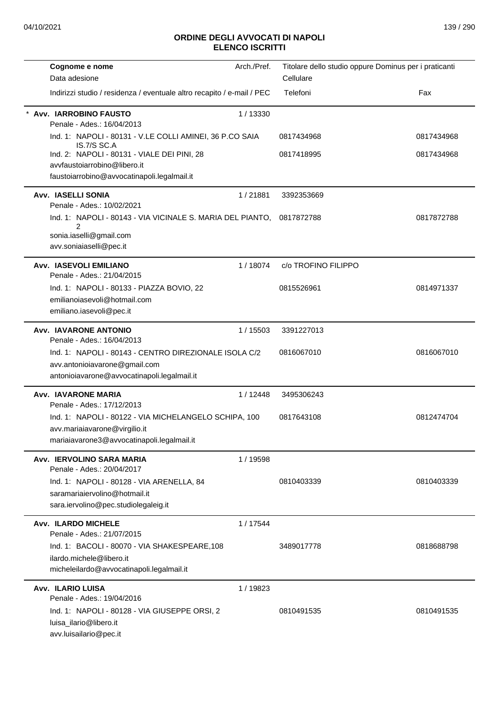| Arch./Pref.<br>Cognome e nome                                                          | Titolare dello studio oppure Dominus per i praticanti |            |
|----------------------------------------------------------------------------------------|-------------------------------------------------------|------------|
| Data adesione                                                                          | Cellulare                                             |            |
| Indirizzi studio / residenza / eventuale altro recapito / e-mail / PEC                 | Telefoni                                              | Fax        |
| 1/13330<br><b>Avv. IARROBINO FAUSTO</b><br>Penale - Ades.: 16/04/2013                  |                                                       |            |
| Ind. 1: NAPOLI - 80131 - V.LE COLLI AMINEI, 36 P.CO SAIA<br>IS.7/S SC.A                | 0817434968                                            | 0817434968 |
| Ind. 2: NAPOLI - 80131 - VIALE DEI PINI, 28<br>avvfaustoiarrobino@libero.it            | 0817418995                                            | 0817434968 |
| faustoiarrobino@avvocatinapoli.legalmail.it                                            |                                                       |            |
| <b>Avv. IASELLI SONIA</b><br>1/21881<br>Penale - Ades.: 10/02/2021                     | 3392353669                                            |            |
| Ind. 1: NAPOLI - 80143 - VIA VICINALE S. MARIA DEL PIANTO,<br>2                        | 0817872788                                            | 0817872788 |
| sonia.iaselli@gmail.com<br>avv.soniaiaselli@pec.it                                     |                                                       |            |
| <b>Avv. IASEVOLI EMILIANO</b><br>1/18074<br>Penale - Ades.: 21/04/2015                 | c/o TROFINO FILIPPO                                   |            |
| Ind. 1: NAPOLI - 80133 - PIAZZA BOVIO, 22<br>emilianoiasevoli@hotmail.com              | 0815526961                                            | 0814971337 |
| emiliano.iasevoli@pec.it                                                               |                                                       |            |
| <b>Avv. IAVARONE ANTONIO</b><br>1 / 15503<br>Penale - Ades.: 16/04/2013                | 3391227013                                            |            |
| Ind. 1: NAPOLI - 80143 - CENTRO DIREZIONALE ISOLA C/2<br>avv.antonioiavarone@gmail.com | 0816067010                                            | 0816067010 |
| antonioiavarone@avvocatinapoli.legalmail.it                                            |                                                       |            |
| <b>Avv. IAVARONE MARIA</b><br>1/12448<br>Penale - Ades.: 17/12/2013                    | 3495306243                                            |            |
| Ind. 1: NAPOLI - 80122 - VIA MICHELANGELO SCHIPA, 100                                  | 0817643108                                            | 0812474704 |
| avv.mariaiavarone@virgilio.it<br>mariaiavarone3@avvocatinapoli.legalmail.it            |                                                       |            |
| Avv. IERVOLINO SARA MARIA<br>1 / 19598<br>Penale - Ades.: 20/04/2017                   |                                                       |            |
| Ind. 1: NAPOLI - 80128 - VIA ARENELLA, 84                                              | 0810403339                                            | 0810403339 |
| saramariaiervolino@hotmail.it<br>sara.iervolino@pec.studiolegaleig.it                  |                                                       |            |
| <b>Avv. ILARDO MICHELE</b><br>1/17544                                                  |                                                       |            |
| Penale - Ades.: 21/07/2015<br>Ind. 1: BACOLI - 80070 - VIA SHAKESPEARE, 108            | 3489017778                                            | 0818688798 |
| ilardo.michele@libero.it                                                               |                                                       |            |
| micheleilardo@avvocatinapoli.legalmail.it                                              |                                                       |            |
| <b>Avv. ILARIO LUISA</b><br>1 / 19823<br>Penale - Ades.: 19/04/2016                    |                                                       |            |
| Ind. 1: NAPOLI - 80128 - VIA GIUSEPPE ORSI, 2                                          | 0810491535                                            | 0810491535 |
| luisa_ilario@libero.it                                                                 |                                                       |            |
| avv.luisailario@pec.it                                                                 |                                                       |            |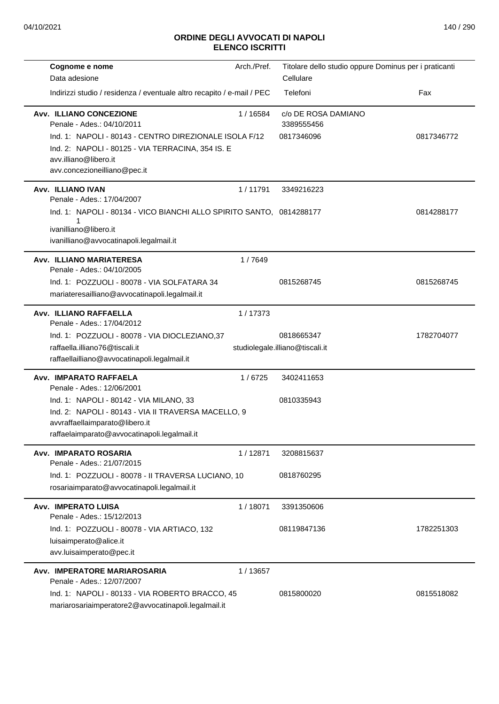| Cognome e nome                                                                                         | Arch./Pref. | Titolare dello studio oppure Dominus per i praticanti |            |
|--------------------------------------------------------------------------------------------------------|-------------|-------------------------------------------------------|------------|
| Data adesione                                                                                          |             | Cellulare                                             |            |
| Indirizzi studio / residenza / eventuale altro recapito / e-mail / PEC                                 |             | Telefoni                                              | Fax        |
| <b>Avv. ILLIANO CONCEZIONE</b><br>Penale - Ades.: 04/10/2011                                           | 1 / 16584   | c/o DE ROSA DAMIANO<br>3389555456                     |            |
| Ind. 1: NAPOLI - 80143 - CENTRO DIREZIONALE ISOLA F/12                                                 |             | 0817346096                                            | 0817346772 |
| Ind. 2: NAPOLI - 80125 - VIA TERRACINA, 354 IS. E                                                      |             |                                                       |            |
| avv.illiano@libero.it                                                                                  |             |                                                       |            |
| avv.concezioneilliano@pec.it                                                                           |             |                                                       |            |
| Avv. ILLIANO IVAN                                                                                      | 1/11791     | 3349216223                                            |            |
| Penale - Ades.: 17/04/2007                                                                             |             |                                                       | 0814288177 |
| Ind. 1: NAPOLI - 80134 - VICO BIANCHI ALLO SPIRITO SANTO, 0814288177<br>1                              |             |                                                       |            |
| ivanilliano@libero.it                                                                                  |             |                                                       |            |
| ivanilliano@avvocatinapoli.legalmail.it                                                                |             |                                                       |            |
| Avv. ILLIANO MARIATERESA                                                                               | 1/7649      |                                                       |            |
| Penale - Ades.: 04/10/2005                                                                             |             |                                                       |            |
| Ind. 1: POZZUOLI - 80078 - VIA SOLFATARA 34                                                            |             | 0815268745                                            | 0815268745 |
| mariateresailliano@avvocatinapoli.legalmail.it                                                         |             |                                                       |            |
| Avv. ILLIANO RAFFAELLA<br>Penale - Ades.: 17/04/2012                                                   | 1/17373     |                                                       |            |
| Ind. 1: POZZUOLI - 80078 - VIA DIOCLEZIANO, 37                                                         |             | 0818665347                                            | 1782704077 |
| raffaella.illiano76@tiscali.it                                                                         |             | studiolegale.illiano@tiscali.it                       |            |
| raffaellailliano@avvocatinapoli.legalmail.it                                                           |             |                                                       |            |
| Avv. IMPARATO RAFFAELA                                                                                 | 1/6725      | 3402411653                                            |            |
| Penale - Ades.: 12/06/2001                                                                             |             |                                                       |            |
| Ind. 1: NAPOLI - 80142 - VIA MILANO, 33<br>Ind. 2: NAPOLI - 80143 - VIA II TRAVERSA MACELLO, 9         |             | 0810335943                                            |            |
| avvraffaellaimparato@libero.it                                                                         |             |                                                       |            |
| raffaelaimparato@avvocatinapoli.legalmail.it                                                           |             |                                                       |            |
| Avv. IMPARATO ROSARIA                                                                                  | 1/12871     | 3208815637                                            |            |
| Penale - Ades.: 21/07/2015                                                                             |             |                                                       |            |
| Ind. 1: POZZUOLI - 80078 - II TRAVERSA LUCIANO, 10                                                     |             | 0818760295                                            |            |
| rosariaimparato@avvocatinapoli.legalmail.it                                                            |             |                                                       |            |
| <b>Avv. IMPERATO LUISA</b><br>Penale - Ades.: 15/12/2013                                               | 1/18071     | 3391350606                                            |            |
| Ind. 1: POZZUOLI - 80078 - VIA ARTIACO, 132                                                            |             | 08119847136                                           | 1782251303 |
| luisaimperato@alice.it                                                                                 |             |                                                       |            |
| avv.luisaimperato@pec.it                                                                               |             |                                                       |            |
| <b>Avv. IMPERATORE MARIAROSARIA</b>                                                                    | 1/13657     |                                                       |            |
| Penale - Ades.: 12/07/2007                                                                             |             |                                                       |            |
| Ind. 1: NAPOLI - 80133 - VIA ROBERTO BRACCO, 45<br>mariarosariaimperatore2@avvocatinapoli.legalmail.it |             | 0815800020                                            | 0815518082 |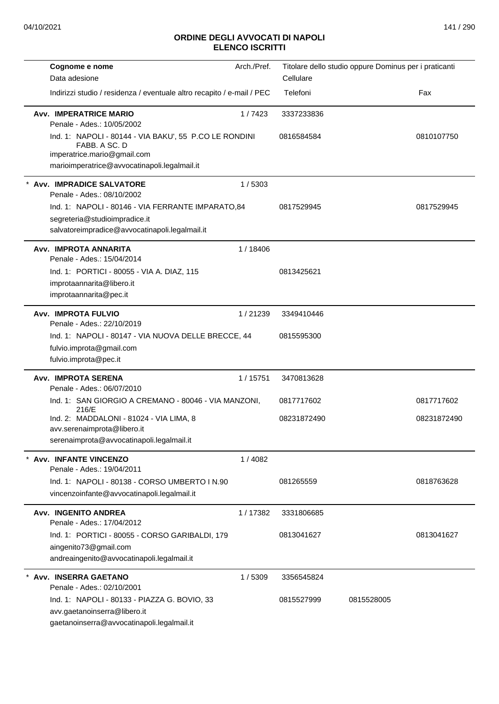| Cognome e nome                                                                                                                                                      | Arch./Pref. | Titolare dello studio oppure Dominus per i praticanti |            |             |
|---------------------------------------------------------------------------------------------------------------------------------------------------------------------|-------------|-------------------------------------------------------|------------|-------------|
| Data adesione                                                                                                                                                       |             | Cellulare                                             |            |             |
| Indirizzi studio / residenza / eventuale altro recapito / e-mail / PEC                                                                                              |             | Telefoni                                              |            | Fax         |
| <b>Avv. IMPERATRICE MARIO</b><br>Penale - Ades.: 10/05/2002                                                                                                         | 1/7423      | 3337233836                                            |            |             |
| Ind. 1: NAPOLI - 80144 - VIA BAKU', 55 P.CO LE RONDINI<br>FABB. A SC. D<br>imperatrice.mario@gmail.com<br>marioimperatrice@avvocatinapoli.legalmail.it              |             | 0816584584                                            |            | 0810107750  |
| Avv. IMPRADICE SALVATORE                                                                                                                                            | 1/5303      |                                                       |            |             |
| Penale - Ades.: 08/10/2002<br>Ind. 1: NAPOLI - 80146 - VIA FERRANTE IMPARATO, 84<br>segreteria@studioimpradice.it<br>salvatoreimpradice@avvocatinapoli.legalmail.it |             | 0817529945                                            |            | 0817529945  |
| Avv. IMPROTA ANNARITA<br>Penale - Ades.: 15/04/2014                                                                                                                 | 1/18406     |                                                       |            |             |
| Ind. 1: PORTICI - 80055 - VIA A. DIAZ, 115<br>improtaannarita@libero.it<br>improtaannarita@pec.it                                                                   |             | 0813425621                                            |            |             |
| <b>Avv. IMPROTA FULVIO</b><br>Penale - Ades.: 22/10/2019                                                                                                            | 1/21239     | 3349410446                                            |            |             |
| Ind. 1: NAPOLI - 80147 - VIA NUOVA DELLE BRECCE, 44<br>fulvio.improta@gmail.com<br>fulvio.improta@pec.it                                                            |             | 0815595300                                            |            |             |
| <b>Avv. IMPROTA SERENA</b><br>Penale - Ades.: 06/07/2010                                                                                                            | 1/15751     | 3470813628                                            |            |             |
| Ind. 1: SAN GIORGIO A CREMANO - 80046 - VIA MANZONI,<br>216/E                                                                                                       |             | 0817717602                                            |            | 0817717602  |
| Ind. 2: MADDALONI - 81024 - VIA LIMA, 8<br>avv.serenaimprota@libero.it<br>serenaimprota@avvocatinapoli.legalmail.it                                                 |             | 08231872490                                           |            | 08231872490 |
| <b>Avv. INFANTE VINCENZO</b><br>Penale - Ades.: 19/04/2011                                                                                                          | 1/4082      |                                                       |            |             |
| Ind. 1: NAPOLI - 80138 - CORSO UMBERTO I N.90<br>vincenzoinfante@avvocatinapoli.legalmail.it                                                                        |             | 081265559                                             |            | 0818763628  |
| <b>Avv. INGENITO ANDREA</b><br>Penale - Ades.: 17/04/2012                                                                                                           | 1/17382     | 3331806685                                            |            |             |
| Ind. 1: PORTICI - 80055 - CORSO GARIBALDI, 179<br>aingenito73@gmail.com<br>andreaingenito@avvocatinapoli.legalmail.it                                               |             | 0813041627                                            |            | 0813041627  |
| Avv. INSERRA GAETANO<br>Penale - Ades.: 02/10/2001                                                                                                                  | 1/5309      | 3356545824                                            |            |             |
| Ind. 1: NAPOLI - 80133 - PIAZZA G. BOVIO, 33<br>avv.gaetanoinserra@libero.it<br>gaetanoinserra@avvocatinapoli.legalmail.it                                          |             | 0815527999                                            | 0815528005 |             |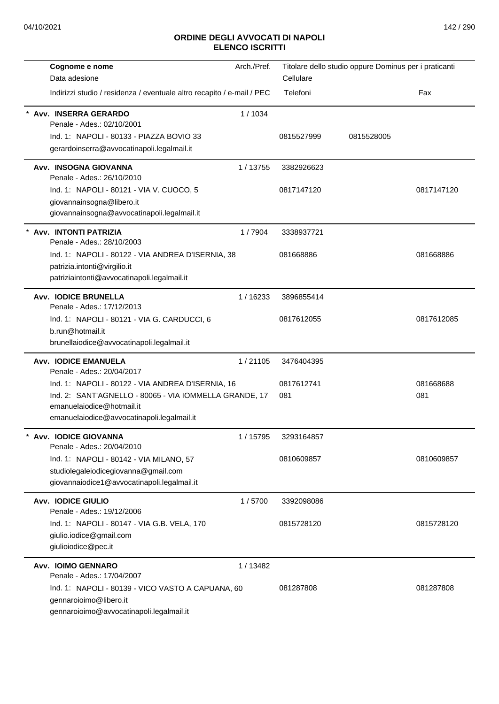| Cognome e nome                                                         | Arch./Pref. |            | Titolare dello studio oppure Dominus per i praticanti |            |
|------------------------------------------------------------------------|-------------|------------|-------------------------------------------------------|------------|
| Data adesione                                                          |             | Cellulare  |                                                       |            |
| Indirizzi studio / residenza / eventuale altro recapito / e-mail / PEC |             | Telefoni   |                                                       | Fax        |
| Avv. INSERRA GERARDO<br>Penale - Ades.: 02/10/2001                     | 1/1034      |            |                                                       |            |
| Ind. 1: NAPOLI - 80133 - PIAZZA BOVIO 33                               |             | 0815527999 | 0815528005                                            |            |
| gerardoinserra@avvocatinapoli.legalmail.it                             |             |            |                                                       |            |
|                                                                        |             |            |                                                       |            |
| Avv. INSOGNA GIOVANNA<br>Penale - Ades.: 26/10/2010                    | 1/13755     | 3382926623 |                                                       |            |
|                                                                        |             | 0817147120 |                                                       | 0817147120 |
| Ind. 1: NAPOLI - 80121 - VIA V. CUOCO, 5<br>giovannainsogna@libero.it  |             |            |                                                       |            |
| giovannainsogna@avvocatinapoli.legalmail.it                            |             |            |                                                       |            |
|                                                                        |             |            |                                                       |            |
| Avv. INTONTI PATRIZIA<br>Penale - Ades.: 28/10/2003                    | 1/7904      | 3338937721 |                                                       |            |
| Ind. 1: NAPOLI - 80122 - VIA ANDREA D'ISERNIA, 38                      |             | 081668886  |                                                       | 081668886  |
| patrizia.intonti@virgilio.it                                           |             |            |                                                       |            |
| patriziaintonti@avvocatinapoli.legalmail.it                            |             |            |                                                       |            |
|                                                                        |             |            |                                                       |            |
| <b>Avv. IODICE BRUNELLA</b><br>Penale - Ades.: 17/12/2013              | 1/16233     | 3896855414 |                                                       |            |
| Ind. 1: NAPOLI - 80121 - VIA G. CARDUCCI, 6                            |             | 0817612055 |                                                       | 0817612085 |
| b.run@hotmail.it                                                       |             |            |                                                       |            |
| brunellaiodice@avvocatinapoli.legalmail.it                             |             |            |                                                       |            |
|                                                                        |             |            |                                                       |            |
| <b>Avv. IODICE EMANUELA</b><br>Penale - Ades.: 20/04/2017              | 1/21105     | 3476404395 |                                                       |            |
| Ind. 1: NAPOLI - 80122 - VIA ANDREA D'ISERNIA, 16                      |             | 0817612741 |                                                       | 081668688  |
| Ind. 2: SANT'AGNELLO - 80065 - VIA IOMMELLA GRANDE, 17                 |             | 081        |                                                       | 081        |
| emanuelaiodice@hotmail.it                                              |             |            |                                                       |            |
| emanuelaiodice@avvocatinapoli.legalmail.it                             |             |            |                                                       |            |
| Avv. IODICE GIOVANNA                                                   | 1 / 15795   | 3293164857 |                                                       |            |
| Penale - Ades.: 20/04/2010                                             |             |            |                                                       |            |
| Ind. 1: NAPOLI - 80142 - VIA MILANO, 57                                |             | 0810609857 |                                                       | 0810609857 |
| studiolegaleiodicegiovanna@gmail.com                                   |             |            |                                                       |            |
| giovannaiodice1@avvocatinapoli.legalmail.it                            |             |            |                                                       |            |
| <b>Avv. IODICE GIULIO</b>                                              | 1/5700      | 3392098086 |                                                       |            |
| Penale - Ades.: 19/12/2006                                             |             |            |                                                       |            |
| Ind. 1: NAPOLI - 80147 - VIA G.B. VELA, 170                            |             | 0815728120 |                                                       | 0815728120 |
| giulio.iodice@gmail.com                                                |             |            |                                                       |            |
| giulioiodice@pec.it                                                    |             |            |                                                       |            |
| Avv. IOIMO GENNARO                                                     | 1/13482     |            |                                                       |            |
| Penale - Ades.: 17/04/2007                                             |             |            |                                                       |            |
| Ind. 1: NAPOLI - 80139 - VICO VASTO A CAPUANA, 60                      |             | 081287808  |                                                       | 081287808  |
| gennaroioimo@libero.it                                                 |             |            |                                                       |            |
| gennaroioimo@avvocatinapoli.legalmail.it                               |             |            |                                                       |            |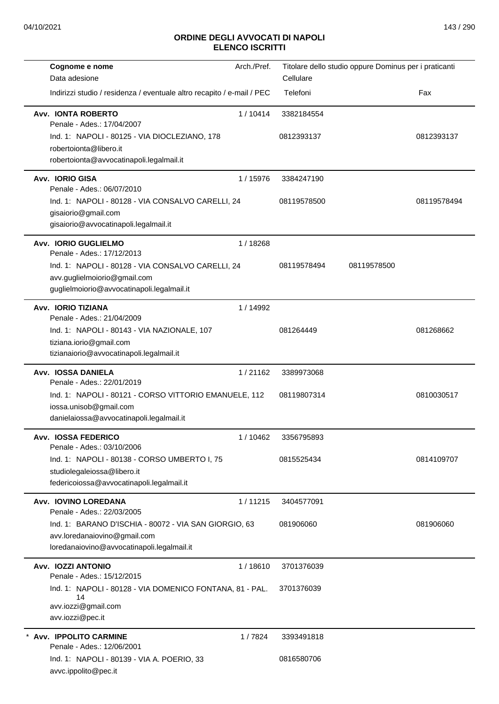| Cognome e nome                                                         | Arch./Pref. |             | Titolare dello studio oppure Dominus per i praticanti |             |
|------------------------------------------------------------------------|-------------|-------------|-------------------------------------------------------|-------------|
| Data adesione                                                          |             | Cellulare   |                                                       |             |
| Indirizzi studio / residenza / eventuale altro recapito / e-mail / PEC |             | Telefoni    |                                                       | Fax         |
| <b>Avv. IONTA ROBERTO</b><br>Penale - Ades.: 17/04/2007                | 1/10414     | 3382184554  |                                                       |             |
| Ind. 1: NAPOLI - 80125 - VIA DIOCLEZIANO, 178                          |             | 0812393137  |                                                       | 0812393137  |
| robertoionta@libero.it                                                 |             |             |                                                       |             |
| robertoionta@avvocatinapoli.legalmail.it                               |             |             |                                                       |             |
| Avv. IORIO GISA<br>Penale - Ades.: 06/07/2010                          | 1/15976     | 3384247190  |                                                       |             |
| Ind. 1: NAPOLI - 80128 - VIA CONSALVO CARELLI, 24                      |             | 08119578500 |                                                       | 08119578494 |
| gisaiorio@gmail.com                                                    |             |             |                                                       |             |
| gisaiorio@avvocatinapoli.legalmail.it                                  |             |             |                                                       |             |
| Avv. IORIO GUGLIELMO<br>Penale - Ades.: 17/12/2013                     | 1/18268     |             |                                                       |             |
| Ind. 1: NAPOLI - 80128 - VIA CONSALVO CARELLI, 24                      |             | 08119578494 | 08119578500                                           |             |
| avv.guglielmoiorio@gmail.com                                           |             |             |                                                       |             |
| guglielmoiorio@avvocatinapoli.legalmail.it                             |             |             |                                                       |             |
| Avv. IORIO TIZIANA<br>Penale - Ades.: 21/04/2009                       | 1/14992     |             |                                                       |             |
| Ind. 1: NAPOLI - 80143 - VIA NAZIONALE, 107                            |             | 081264449   |                                                       | 081268662   |
| tiziana.iorio@gmail.com                                                |             |             |                                                       |             |
| tizianaiorio@avvocatinapoli.legalmail.it                               |             |             |                                                       |             |
| Avv. IOSSA DANIELA<br>Penale - Ades.: 22/01/2019                       | 1/21162     | 3389973068  |                                                       |             |
| Ind. 1: NAPOLI - 80121 - CORSO VITTORIO EMANUELE, 112                  |             | 08119807314 |                                                       | 0810030517  |
| iossa.unisob@gmail.com                                                 |             |             |                                                       |             |
| danielaiossa@avvocatinapoli.legalmail.it                               |             |             |                                                       |             |
| <b>Avv. IOSSA FEDERICO</b><br>Penale - Ades.: 03/10/2006               | 1/10462     | 3356795893  |                                                       |             |
| Ind. 1: NAPOLI - 80138 - CORSO UMBERTO I, 75                           |             | 0815525434  |                                                       | 0814109707  |
| studiolegaleiossa@libero.it                                            |             |             |                                                       |             |
| federicoiossa@avvocatinapoli.legalmail.it                              |             |             |                                                       |             |
| Avv. IOVINO LOREDANA<br>Penale - Ades.: 22/03/2005                     | 1/11215     | 3404577091  |                                                       |             |
| Ind. 1: BARANO D'ISCHIA - 80072 - VIA SAN GIORGIO, 63                  |             | 081906060   |                                                       | 081906060   |
| avv.loredanaiovino@gmail.com                                           |             |             |                                                       |             |
| loredanaiovino@avvocatinapoli.legalmail.it                             |             |             |                                                       |             |
| Avv. IOZZI ANTONIO<br>Penale - Ades.: 15/12/2015                       | 1/18610     | 3701376039  |                                                       |             |
| Ind. 1: NAPOLI - 80128 - VIA DOMENICO FONTANA, 81 - PAL.               |             | 3701376039  |                                                       |             |
| 14<br>avv.iozzi@gmail.com                                              |             |             |                                                       |             |
| avv.iozzi@pec.it                                                       |             |             |                                                       |             |
| <b>Avv. IPPOLITO CARMINE</b>                                           | 1/7824      | 3393491818  |                                                       |             |
| Penale - Ades.: 12/06/2001                                             |             |             |                                                       |             |
| Ind. 1: NAPOLI - 80139 - VIA A. POERIO, 33<br>avvc.ippolito@pec.it     |             | 0816580706  |                                                       |             |
|                                                                        |             |             |                                                       |             |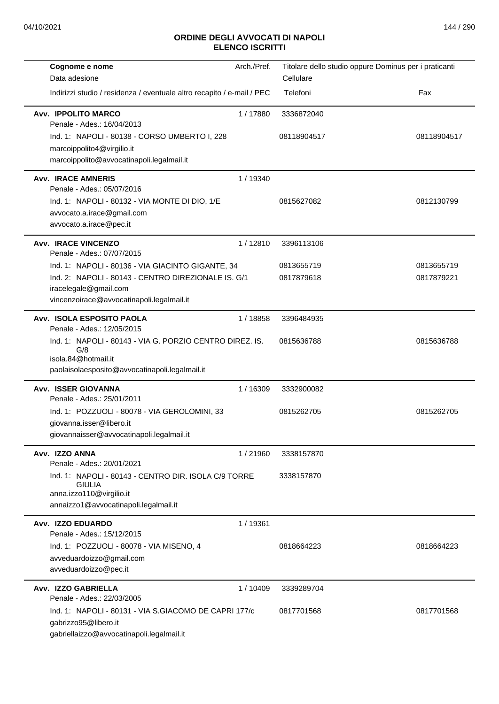| Arch./Pref.<br>Cognome e nome                                                                                                         | Titolare dello studio oppure Dominus per i praticanti |             |
|---------------------------------------------------------------------------------------------------------------------------------------|-------------------------------------------------------|-------------|
| Data adesione                                                                                                                         | Cellulare                                             |             |
| Indirizzi studio / residenza / eventuale altro recapito / e-mail / PEC                                                                | Telefoni                                              | Fax         |
| Avv. IPPOLITO MARCO<br>1/17880<br>Penale - Ades.: 16/04/2013                                                                          | 3336872040                                            |             |
| Ind. 1: NAPOLI - 80138 - CORSO UMBERTO I, 228<br>marcoippolito4@virgilio.it<br>marcoippolito@avvocatinapoli.legalmail.it              | 08118904517                                           | 08118904517 |
| <b>Avv. IRACE AMNERIS</b><br>1 / 19340                                                                                                |                                                       |             |
| Penale - Ades.: 05/07/2016<br>Ind. 1: NAPOLI - 80132 - VIA MONTE DI DIO, 1/E<br>avvocato.a.irace@gmail.com<br>avvocato.a.irace@pec.it | 0815627082                                            | 0812130799  |
| <b>Avv. IRACE VINCENZO</b><br>1/12810<br>Penale - Ades.: 07/07/2015                                                                   | 3396113106                                            |             |
| Ind. 1: NAPOLI - 80136 - VIA GIACINTO GIGANTE, 34                                                                                     | 0813655719                                            | 0813655719  |
| Ind. 2: NAPOLI - 80143 - CENTRO DIREZIONALE IS. G/1                                                                                   | 0817879618                                            | 0817879221  |
| iracelegale@gmail.com<br>vincenzoirace@avvocatinapoli.legalmail.it                                                                    |                                                       |             |
| Avv. ISOLA ESPOSITO PAOLA<br>1/18858<br>Penale - Ades.: 12/05/2015                                                                    | 3396484935                                            |             |
| Ind. 1: NAPOLI - 80143 - VIA G. PORZIO CENTRO DIREZ. IS.<br>G/8<br>isola.84@hotmail.it                                                | 0815636788                                            | 0815636788  |
| paolaisolaesposito@avvocatinapoli.legalmail.it                                                                                        |                                                       |             |
| <b>Avv. ISSER GIOVANNA</b><br>1/16309<br>Penale - Ades.: 25/01/2011                                                                   | 3332900082                                            |             |
| Ind. 1: POZZUOLI - 80078 - VIA GEROLOMINI, 33                                                                                         | 0815262705                                            | 0815262705  |
| giovanna.isser@libero.it<br>giovannaisser@avvocatinapoli.legalmail.it                                                                 |                                                       |             |
| Avv. IZZO ANNA<br>1/21960                                                                                                             | 3338157870                                            |             |
| Penale - Ades.: 20/01/2021                                                                                                            |                                                       |             |
| Ind. 1: NAPOLI - 80143 - CENTRO DIR. ISOLA C/9 TORRE<br><b>GIULIA</b>                                                                 | 3338157870                                            |             |
| anna.izzo110@virgilio.it<br>annaizzo1@avvocatinapoli.legalmail.it                                                                     |                                                       |             |
| Avv. IZZO EDUARDO<br>1/19361                                                                                                          |                                                       |             |
| Penale - Ades.: 15/12/2015                                                                                                            |                                                       |             |
| Ind. 1: POZZUOLI - 80078 - VIA MISENO, 4                                                                                              | 0818664223                                            | 0818664223  |
| avveduardoizzo@gmail.com<br>avveduardoizzo@pec.it                                                                                     |                                                       |             |
| Avv. IZZO GABRIELLA<br>1/10409<br>Penale - Ades.: 22/03/2005                                                                          | 3339289704                                            |             |
| Ind. 1: NAPOLI - 80131 - VIA S.GIACOMO DE CAPRI 177/c                                                                                 | 0817701568                                            | 0817701568  |
| gabrizzo95@libero.it<br>gabriellaizzo@avvocatinapoli.legalmail.it                                                                     |                                                       |             |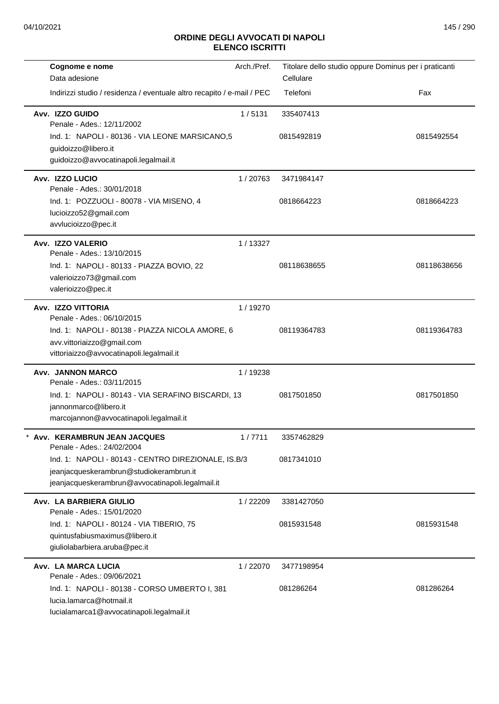| Cognome e nome                                                                              | Arch./Pref. | Titolare dello studio oppure Dominus per i praticanti |             |
|---------------------------------------------------------------------------------------------|-------------|-------------------------------------------------------|-------------|
| Data adesione                                                                               |             | Cellulare                                             |             |
| Indirizzi studio / residenza / eventuale altro recapito / e-mail / PEC                      |             | Telefoni                                              | Fax         |
| Avv. IZZO GUIDO<br>Penale - Ades.: 12/11/2002                                               | 1/5131      | 335407413                                             |             |
| Ind. 1: NAPOLI - 80136 - VIA LEONE MARSICANO, 5<br>guidoizzo@libero.it                      |             | 0815492819                                            | 0815492554  |
| guidoizzo@avvocatinapoli.legalmail.it                                                       |             |                                                       |             |
| Avv. IZZO LUCIO<br>Penale - Ades.: 30/01/2018                                               | 1/20763     | 3471984147                                            |             |
| Ind. 1: POZZUOLI - 80078 - VIA MISENO, 4<br>lucioizzo52@gmail.com<br>avvlucioizzo@pec.it    |             | 0818664223                                            | 0818664223  |
| Avv. IZZO VALERIO<br>Penale - Ades.: 13/10/2015                                             | 1/13327     |                                                       |             |
| Ind. 1: NAPOLI - 80133 - PIAZZA BOVIO, 22<br>valerioizzo73@gmail.com<br>valerioizzo@pec.it  |             | 08118638655                                           | 08118638656 |
|                                                                                             |             |                                                       |             |
| Avv. IZZO VITTORIA<br>Penale - Ades.: 06/10/2015                                            | 1/19270     |                                                       |             |
| Ind. 1: NAPOLI - 80138 - PIAZZA NICOLA AMORE, 6                                             |             | 08119364783                                           | 08119364783 |
| avv.vittoriaizzo@gmail.com<br>vittoriaizzo@avvocatinapoli.legalmail.it                      |             |                                                       |             |
| Avv. JANNON MARCO<br>Penale - Ades.: 03/11/2015                                             | 1/19238     |                                                       |             |
| Ind. 1: NAPOLI - 80143 - VIA SERAFINO BISCARDI, 13                                          |             | 0817501850                                            | 0817501850  |
| jannonmarco@libero.it<br>marcojannon@avvocatinapoli.legalmail.it                            |             |                                                       |             |
| Avv. KERAMBRUN JEAN JACQUES<br>Penale - Ades.: 24/02/2004                                   | 1/7711      | 3357462829                                            |             |
| Ind. 1: NAPOLI - 80143 - CENTRO DIREZIONALE, IS.B/3                                         |             | 0817341010                                            |             |
| jeanjacqueskerambrun@studiokerambrun.it<br>jeanjacqueskerambrun@avvocatinapoli.legalmail.it |             |                                                       |             |
| Avv. LA BARBIERA GIULIO<br>Penale - Ades.: 15/01/2020                                       | 1/22209     | 3381427050                                            |             |
| Ind. 1: NAPOLI - 80124 - VIA TIBERIO, 75                                                    |             | 0815931548                                            | 0815931548  |
| quintusfabiusmaximus@libero.it<br>giuliolabarbiera.aruba@pec.it                             |             |                                                       |             |
| Avv. LA MARCA LUCIA<br>Penale - Ades.: 09/06/2021                                           | 1/22070     | 3477198954                                            |             |
| Ind. 1: NAPOLI - 80138 - CORSO UMBERTO I, 381                                               |             | 081286264                                             | 081286264   |
| lucia.lamarca@hotmail.it                                                                    |             |                                                       |             |
| lucialamarca1@avvocatinapoli.legalmail.it                                                   |             |                                                       |             |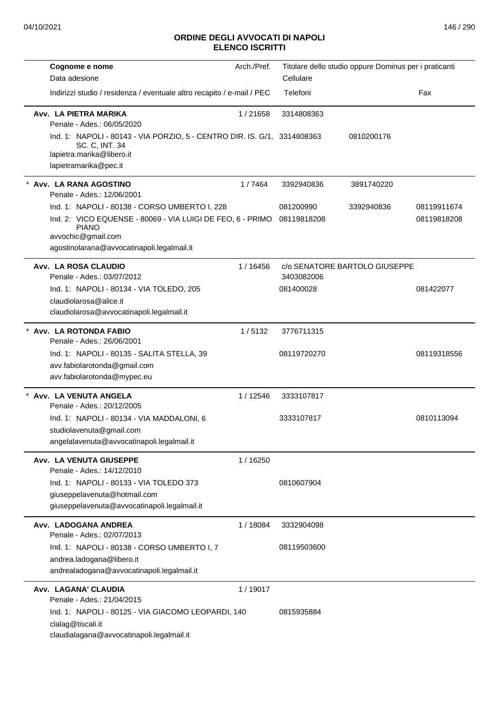| Cognome e nome                                                                                                                                                                                              | Arch./Pref. | Titolare dello studio oppure Dominus per i praticanti |                               |                            |
|-------------------------------------------------------------------------------------------------------------------------------------------------------------------------------------------------------------|-------------|-------------------------------------------------------|-------------------------------|----------------------------|
| Data adesione                                                                                                                                                                                               |             | Cellulare                                             |                               |                            |
| Indirizzi studio / residenza / eventuale altro recapito / e-mail / PEC                                                                                                                                      |             | Telefoni                                              |                               | Fax                        |
| Avv. LA PIETRA MARIKA<br>Penale - Ades.: 06/05/2020                                                                                                                                                         | 1/21658     | 3314808363                                            |                               |                            |
| Ind. 1: NAPOLI - 80143 - VIA PORZIO, 5 - CENTRO DIR. IS. G/1, 3314808363<br>SC. C, INT. 34<br>lapietra.marika@libero.it<br>lapietramarika@pec.it                                                            |             |                                                       | 0810200176                    |                            |
| Avv. LA RANA AGOSTINO<br>Penale - Ades.: 12/06/2001                                                                                                                                                         | 1/7464      | 3392940836                                            | 3891740220                    |                            |
| Ind. 1: NAPOLI - 80138 - CORSO UMBERTO I, 228<br>Ind. 2: VICO EQUENSE - 80069 - VIA LUIGI DE FEO, 6 - PRIMO 08119818208<br><b>PIANO</b><br>avvochic@gmail.com<br>agostinolarana@avvocatinapoli.legalmail.it |             | 081200990                                             | 3392940836                    | 08119911674<br>08119818208 |
| Avv. LA ROSA CLAUDIO<br>Penale - Ades.: 03/07/2012                                                                                                                                                          | 1/16456     | 3403082006                                            | c/o SENATORE BARTOLO GIUSEPPE |                            |
| Ind. 1: NAPOLI - 80134 - VIA TOLEDO, 205<br>claudiolarosa@alice.it<br>claudiolarosa@avvocatinapoli.legalmail.it                                                                                             |             | 081400028                                             |                               | 081422077                  |
| Avv. LA ROTONDA FABIO<br>Penale - Ades.: 26/06/2001                                                                                                                                                         | 1/5132      | 3776711315                                            |                               |                            |
| Ind. 1: NAPOLI - 80135 - SALITA STELLA, 39<br>avv.fabiolarotonda@gmail.com<br>avv.fabiolarotonda@mypec.eu                                                                                                   |             | 08119720270                                           |                               | 08119318556                |
| * Avv. LA VENUTA ANGELA<br>Penale - Ades.: 20/12/2005                                                                                                                                                       | 1/12546     | 3333107817                                            |                               |                            |
| Ind. 1: NAPOLI - 80134 - VIA MADDALONI, 6<br>studiolavenuta@gmail.com<br>angelalavenuta@avvocatinapoli.legalmail.it                                                                                         |             | 3333107817                                            |                               | 0810113094                 |
| Avv. LA VENUTA GIUSEPPE<br>Penale - Ades.: 14/12/2010                                                                                                                                                       | 1/16250     |                                                       |                               |                            |
| Ind. 1: NAPOLI - 80133 - VIA TOLEDO 373<br>giuseppelavenuta@hotmail.com<br>giuseppelavenuta@avvocatinapoli.legalmail.it                                                                                     |             | 0810607904                                            |                               |                            |
| Avv. LADOGANA ANDREA<br>Penale - Ades.: 02/07/2013                                                                                                                                                          | 1/18084     | 3332904098                                            |                               |                            |
| Ind. 1: NAPOLI - 80138 - CORSO UMBERTO I, 7<br>andrea.ladogana@libero.it<br>andrealadogana@avvocatinapoli.legalmail.it                                                                                      |             | 08119503600                                           |                               |                            |
| Avv. LAGANA' CLAUDIA<br>Penale - Ades.: 21/04/2015                                                                                                                                                          | 1/19017     |                                                       |                               |                            |
| Ind. 1: NAPOLI - 80125 - VIA GIACOMO LEOPARDI, 140<br>clalag@tiscali.it<br>claudialagana@avvocatinapoli.legalmail.it                                                                                        |             | 0815935884                                            |                               |                            |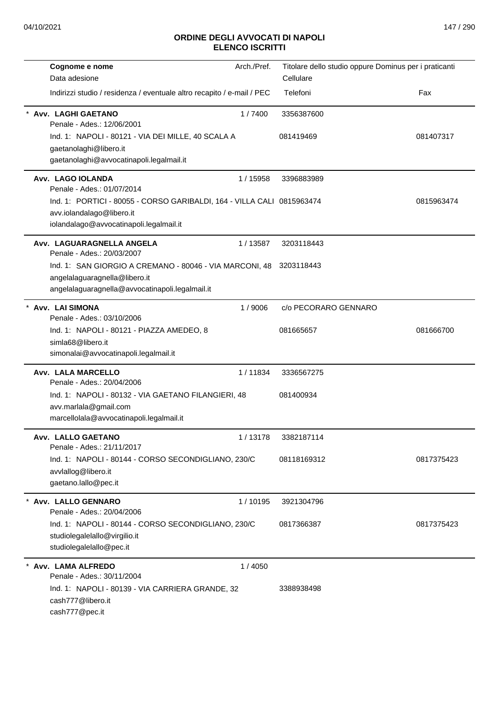| Cognome e nome                                                                                                                                 | Arch./Pref. | Titolare dello studio oppure Dominus per i praticanti |            |
|------------------------------------------------------------------------------------------------------------------------------------------------|-------------|-------------------------------------------------------|------------|
| Data adesione                                                                                                                                  |             | Cellulare                                             |            |
| Indirizzi studio / residenza / eventuale altro recapito / e-mail / PEC                                                                         |             | Telefoni                                              | Fax        |
| Avv. LAGHI GAETANO<br>Penale - Ades.: 12/06/2001                                                                                               | 1/7400      | 3356387600                                            |            |
| Ind. 1: NAPOLI - 80121 - VIA DEI MILLE, 40 SCALA A<br>gaetanolaghi@libero.it<br>gaetanolaghi@avvocatinapoli.legalmail.it                       |             | 081419469                                             | 081407317  |
| Avv. LAGO IOLANDA<br>Penale - Ades.: 01/07/2014                                                                                                | 1 / 15958   | 3396883989                                            |            |
| Ind. 1: PORTICI - 80055 - CORSO GARIBALDI, 164 - VILLA CALI 0815963474<br>avv.iolandalago@libero.it<br>iolandalago@avvocatinapoli.legalmail.it |             |                                                       | 0815963474 |
| Avv. LAGUARAGNELLA ANGELA<br>Penale - Ades.: 20/03/2007                                                                                        | 1/13587     | 3203118443                                            |            |
| Ind. 1: SAN GIORGIO A CREMANO - 80046 - VIA MARCONI, 48<br>angelalaguaragnella@libero.it<br>angelalaguaragnella@avvocatinapoli.legalmail.it    |             | 3203118443                                            |            |
| Avv. LAI SIMONA<br>Penale - Ades.: 03/10/2006                                                                                                  | 1/9006      | c/o PECORARO GENNARO                                  |            |
| Ind. 1: NAPOLI - 80121 - PIAZZA AMEDEO, 8<br>simla68@libero.it<br>simonalai@avvocatinapoli.legalmail.it                                        |             | 081665657                                             | 081666700  |
| Avv. LALA MARCELLO<br>Penale - Ades.: 20/04/2006                                                                                               | 1/11834     | 3336567275                                            |            |
| Ind. 1: NAPOLI - 80132 - VIA GAETANO FILANGIERI, 48<br>avv.marlala@gmail.com<br>marcellolala@avvocatinapoli.legalmail.it                       |             | 081400934                                             |            |
| Avv. LALLO GAETANO<br>Penale - Ades.: 21/11/2017                                                                                               | 1/13178     | 3382187114                                            |            |
| Ind. 1: NAPOLI - 80144 - CORSO SECONDIGLIANO, 230/C<br>avvlallog@libero.it<br>gaetano.lallo@pec.it                                             |             | 08118169312                                           | 0817375423 |
| Avv. LALLO GENNARO<br>Penale - Ades.: 20/04/2006                                                                                               | 1/10195     | 3921304796                                            |            |
| Ind. 1: NAPOLI - 80144 - CORSO SECONDIGLIANO, 230/C<br>studiolegalelallo@virgilio.it<br>studiolegalelallo@pec.it                               |             | 0817366387                                            | 0817375423 |
| Avv. LAMA ALFREDO<br>Penale - Ades.: 30/11/2004                                                                                                | 1/4050      |                                                       |            |
| Ind. 1: NAPOLI - 80139 - VIA CARRIERA GRANDE, 32<br>cash777@libero.it<br>cash777@pec.it                                                        |             | 3388938498                                            |            |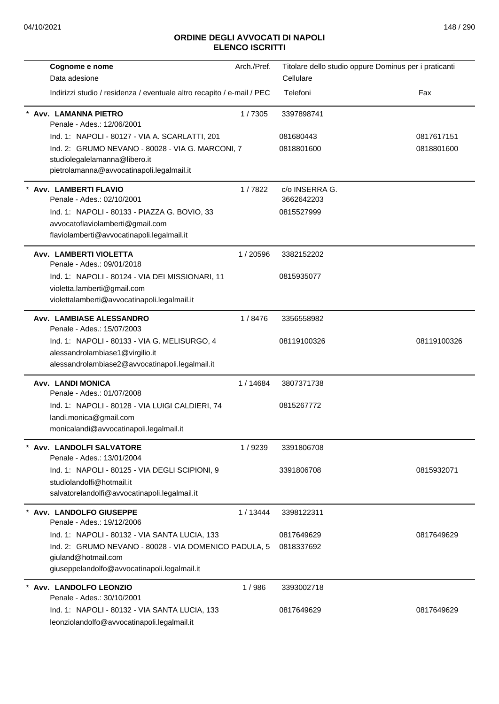| Cognome e nome                                                                                                                     | Arch./Pref. | Titolare dello studio oppure Dominus per i praticanti |             |
|------------------------------------------------------------------------------------------------------------------------------------|-------------|-------------------------------------------------------|-------------|
| Data adesione                                                                                                                      |             | Cellulare                                             |             |
| Indirizzi studio / residenza / eventuale altro recapito / e-mail / PEC                                                             |             | Telefoni                                              | Fax         |
| Avv. LAMANNA PIETRO<br>Penale - Ades.: 12/06/2001                                                                                  | 1/7305      | 3397898741                                            |             |
| Ind. 1: NAPOLI - 80127 - VIA A. SCARLATTI, 201                                                                                     |             | 081680443                                             | 0817617151  |
| Ind. 2: GRUMO NEVANO - 80028 - VIA G. MARCONI, 7<br>studiolegalelamanna@libero.it<br>pietrolamanna@avvocatinapoli.legalmail.it     |             | 0818801600                                            | 0818801600  |
| <b>Avv. LAMBERTI FLAVIO</b><br>Penale - Ades.: 02/10/2001                                                                          | 1/7822      | c/o INSERRA G.<br>3662642203                          |             |
| Ind. 1: NAPOLI - 80133 - PIAZZA G. BOVIO, 33                                                                                       |             | 0815527999                                            |             |
| avvocatoflaviolamberti@gmail.com<br>flaviolamberti@avvocatinapoli.legalmail.it                                                     |             |                                                       |             |
| Avv. LAMBERTI VIOLETTA<br>Penale - Ades.: 09/01/2018                                                                               | 1/20596     | 3382152202                                            |             |
| Ind. 1: NAPOLI - 80124 - VIA DEI MISSIONARI, 11<br>violetta.lamberti@gmail.com<br>violettalamberti@avvocatinapoli.legalmail.it     |             | 0815935077                                            |             |
| Avv. LAMBIASE ALESSANDRO<br>Penale - Ades.: 15/07/2003                                                                             | 1/8476      | 3356558982                                            |             |
| Ind. 1: NAPOLI - 80133 - VIA G. MELISURGO, 4<br>alessandrolambiase1@virgilio.it<br>alessandrolambiase2@avvocatinapoli.legalmail.it |             | 08119100326                                           | 08119100326 |
| Avv. LANDI MONICA<br>Penale - Ades.: 01/07/2008                                                                                    | 1/14684     | 3807371738                                            |             |
| Ind. 1: NAPOLI - 80128 - VIA LUIGI CALDIERI, 74<br>landi.monica@gmail.com<br>monicalandi@avvocatinapoli.legalmail.it               |             | 0815267772                                            |             |
| Avv. LANDOLFI SALVATORE<br>Penale - Ades.: 13/01/2004                                                                              | 1/9239      | 3391806708                                            |             |
| Ind. 1: NAPOLI - 80125 - VIA DEGLI SCIPIONI, 9<br>studiolandolfi@hotmail.it<br>salvatorelandolfi@avvocatinapoli.legalmail.it       |             | 3391806708                                            | 0815932071  |
| * Avv. LANDOLFO GIUSEPPE<br>Penale - Ades.: 19/12/2006                                                                             | 1/13444     | 3398122311                                            |             |
| Ind. 1: NAPOLI - 80132 - VIA SANTA LUCIA, 133                                                                                      |             | 0817649629                                            | 0817649629  |
| Ind. 2: GRUMO NEVANO - 80028 - VIA DOMENICO PADULA, 5<br>giuland@hotmail.com<br>giuseppelandolfo@avvocatinapoli.legalmail.it       |             | 0818337692                                            |             |
| Avv. LANDOLFO LEONZIO<br>Penale - Ades.: 30/10/2001                                                                                | 1/986       | 3393002718                                            |             |
| Ind. 1: NAPOLI - 80132 - VIA SANTA LUCIA, 133<br>leonziolandolfo@avvocatinapoli.legalmail.it                                       |             | 0817649629                                            | 0817649629  |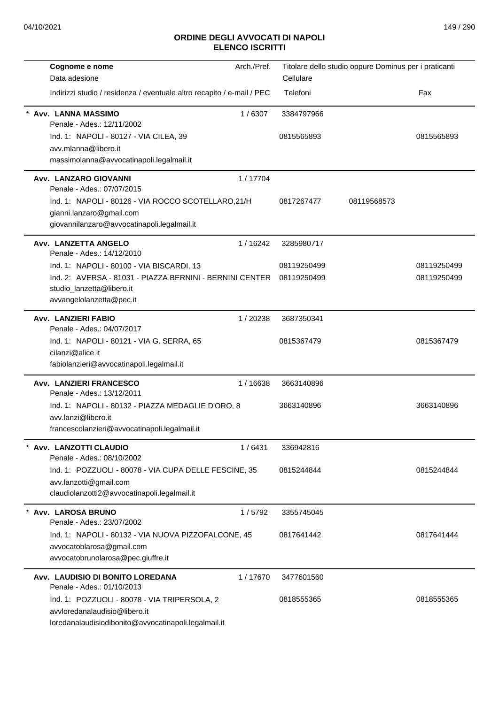| Cognome e nome                                                         | Arch./Pref. |             | Titolare dello studio oppure Dominus per i praticanti |             |
|------------------------------------------------------------------------|-------------|-------------|-------------------------------------------------------|-------------|
| Data adesione                                                          |             | Cellulare   |                                                       |             |
| Indirizzi studio / residenza / eventuale altro recapito / e-mail / PEC |             | Telefoni    |                                                       | Fax         |
| Avv. LANNA MASSIMO<br>Penale - Ades.: 12/11/2002                       | 1/6307      | 3384797966  |                                                       |             |
| Ind. 1: NAPOLI - 80127 - VIA CILEA, 39                                 |             | 0815565893  |                                                       | 0815565893  |
| avv.mlanna@libero.it                                                   |             |             |                                                       |             |
| massimolanna@avvocatinapoli.legalmail.it                               |             |             |                                                       |             |
| <b>Avv. LANZARO GIOVANNI</b><br>Penale - Ades.: 07/07/2015             | 1/17704     |             |                                                       |             |
| Ind. 1: NAPOLI - 80126 - VIA ROCCO SCOTELLARO, 21/H                    |             | 0817267477  | 08119568573                                           |             |
| gianni.lanzaro@gmail.com                                               |             |             |                                                       |             |
| giovannilanzaro@avvocatinapoli.legalmail.it                            |             |             |                                                       |             |
| Avv. LANZETTA ANGELO<br>Penale - Ades.: 14/12/2010                     | 1/16242     | 3285980717  |                                                       |             |
| Ind. 1: NAPOLI - 80100 - VIA BISCARDI, 13                              |             | 08119250499 |                                                       | 08119250499 |
| Ind. 2: AVERSA - 81031 - PIAZZA BERNINI - BERNINI CENTER 08119250499   |             |             |                                                       | 08119250499 |
| studio_lanzetta@libero.it                                              |             |             |                                                       |             |
| avvangelolanzetta@pec.it                                               |             |             |                                                       |             |
| Avv. LANZIERI FABIO<br>Penale - Ades.: 04/07/2017                      | 1/20238     | 3687350341  |                                                       |             |
| Ind. 1: NAPOLI - 80121 - VIA G. SERRA, 65                              |             | 0815367479  |                                                       | 0815367479  |
| cilanzi@alice.it                                                       |             |             |                                                       |             |
| fabiolanzieri@avvocatinapoli.legalmail.it                              |             |             |                                                       |             |
| Avv. LANZIERI FRANCESCO<br>Penale - Ades.: 13/12/2011                  | 1/16638     | 3663140896  |                                                       |             |
| Ind. 1: NAPOLI - 80132 - PIAZZA MEDAGLIE D'ORO, 8                      |             | 3663140896  |                                                       | 3663140896  |
| avv.lanzi@libero.it                                                    |             |             |                                                       |             |
| francescolanzieri@avvocatinapoli.legalmail.it                          |             |             |                                                       |             |
| Avv. LANZOTTI CLAUDIO<br>Penale - Ades.: 08/10/2002                    | 1/6431      | 336942816   |                                                       |             |
| Ind. 1: POZZUOLI - 80078 - VIA CUPA DELLE FESCINE, 35                  |             | 0815244844  |                                                       | 0815244844  |
| avv.lanzotti@gmail.com                                                 |             |             |                                                       |             |
| claudiolanzotti2@avvocatinapoli.legalmail.it                           |             |             |                                                       |             |
| Avv. LAROSA BRUNO                                                      | 1/5792      | 3355745045  |                                                       |             |
| Penale - Ades.: 23/07/2002                                             |             |             |                                                       |             |
| Ind. 1: NAPOLI - 80132 - VIA NUOVA PIZZOFALCONE, 45                    |             | 0817641442  |                                                       | 0817641444  |
| avvocatoblarosa@gmail.com                                              |             |             |                                                       |             |
| avvocatobrunolarosa@pec.giuffre.it                                     |             |             |                                                       |             |
| Avv. LAUDISIO DI BONITO LOREDANA                                       | 1/17670     | 3477601560  |                                                       |             |
| Penale - Ades.: 01/10/2013                                             |             |             |                                                       |             |
| Ind. 1: POZZUOLI - 80078 - VIA TRIPERSOLA, 2                           |             | 0818555365  |                                                       | 0818555365  |
| avvloredanalaudisio@libero.it                                          |             |             |                                                       |             |
| loredanalaudisiodibonito@avvocatinapoli.legalmail.it                   |             |             |                                                       |             |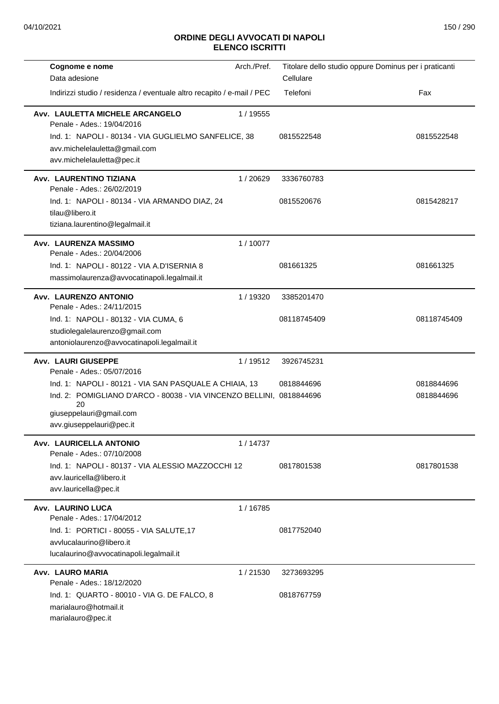| Cognome e nome                                                                                                                                         | Arch./Pref. | Titolare dello studio oppure Dominus per i praticanti |             |
|--------------------------------------------------------------------------------------------------------------------------------------------------------|-------------|-------------------------------------------------------|-------------|
| Data adesione                                                                                                                                          |             | Cellulare                                             |             |
| Indirizzi studio / residenza / eventuale altro recapito / e-mail / PEC                                                                                 |             | Telefoni                                              | Fax         |
| Avv. LAULETTA MICHELE ARCANGELO<br>Penale - Ades.: 19/04/2016<br>Ind. 1: NAPOLI - 80134 - VIA GUGLIELMO SANFELICE, 38<br>avv.michelelauletta@gmail.com | 1 / 19555   | 0815522548                                            | 0815522548  |
| avv.michelelauletta@pec.it                                                                                                                             |             |                                                       |             |
| Avv. LAURENTINO TIZIANA<br>Penale - Ades.: 26/02/2019                                                                                                  | 1/20629     | 3336760783                                            |             |
| Ind. 1: NAPOLI - 80134 - VIA ARMANDO DIAZ, 24<br>tilau@libero.it<br>tiziana.laurentino@legalmail.it                                                    |             | 0815520676                                            | 0815428217  |
| Avv. LAURENZA MASSIMO<br>Penale - Ades.: 20/04/2006                                                                                                    | 1/10077     |                                                       |             |
| Ind. 1: NAPOLI - 80122 - VIA A.D'ISERNIA 8<br>massimolaurenza@avvocatinapoli.legalmail.it                                                              |             | 081661325                                             | 081661325   |
| Avv. LAURENZO ANTONIO<br>Penale - Ades.: 24/11/2015                                                                                                    | 1/19320     | 3385201470                                            |             |
| Ind. 1: NAPOLI - 80132 - VIA CUMA, 6                                                                                                                   |             | 08118745409                                           | 08118745409 |
| studiolegalelaurenzo@gmail.com<br>antoniolaurenzo@avvocatinapoli.legalmail.it                                                                          |             |                                                       |             |
| <b>Avv. LAURI GIUSEPPE</b><br>Penale - Ades.: 05/07/2016                                                                                               | 1/19512     | 3926745231                                            |             |
| Ind. 1: NAPOLI - 80121 - VIA SAN PASQUALE A CHIAIA, 13                                                                                                 |             | 0818844696                                            | 0818844696  |
| Ind. 2: POMIGLIANO D'ARCO - 80038 - VIA VINCENZO BELLINI, 0818844696<br>20<br>giuseppelauri@gmail.com<br>avv.giuseppelauri@pec.it                      |             |                                                       | 0818844696  |
| Avv. LAURICELLA ANTONIO<br>Penale - Ades.: 07/10/2008                                                                                                  | 1/14737     |                                                       |             |
| Ind. 1: NAPOLI - 80137 - VIA ALESSIO MAZZOCCHI 12<br>avv.lauricella@libero.it<br>avv.lauricella@pec.it                                                 |             | 0817801538                                            | 0817801538  |
| Avv. LAURINO LUCA<br>Penale - Ades.: 17/04/2012                                                                                                        | 1/16785     |                                                       |             |
| Ind. 1: PORTICI - 80055 - VIA SALUTE, 17<br>avvlucalaurino@libero.it<br>lucalaurino@avvocatinapoli.legalmail.it                                        |             | 0817752040                                            |             |
| Avv. LAURO MARIA<br>Penale - Ades.: 18/12/2020                                                                                                         | 1/21530     | 3273693295                                            |             |
| Ind. 1: QUARTO - 80010 - VIA G. DE FALCO, 8<br>marialauro@hotmail.it<br>marialauro@pec.it                                                              |             | 0818767759                                            |             |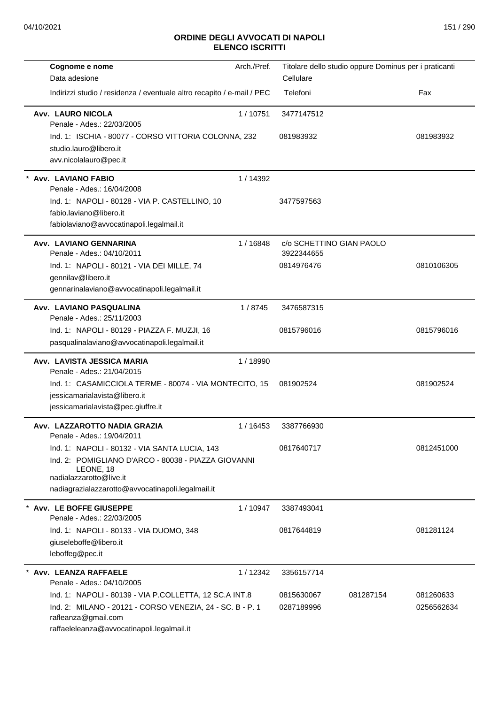| Cognome e nome<br>Data adesione                                                                                                                                                                   | Arch./Pref. | Titolare dello studio oppure Dominus per i praticanti<br>Cellulare |                         |
|---------------------------------------------------------------------------------------------------------------------------------------------------------------------------------------------------|-------------|--------------------------------------------------------------------|-------------------------|
| Indirizzi studio / residenza / eventuale altro recapito / e-mail / PEC                                                                                                                            |             | Telefoni                                                           | Fax                     |
| <b>Avv. LAURO NICOLA</b><br>Penale - Ades.: 22/03/2005                                                                                                                                            | 1/10751     | 3477147512                                                         |                         |
| Ind. 1: ISCHIA - 80077 - CORSO VITTORIA COLONNA, 232<br>studio.lauro@libero.it<br>avv.nicolalauro@pec.it                                                                                          |             | 081983932                                                          | 081983932               |
| Avv. LAVIANO FABIO<br>Penale - Ades.: 16/04/2008                                                                                                                                                  | 1/14392     |                                                                    |                         |
| Ind. 1: NAPOLI - 80128 - VIA P. CASTELLINO, 10<br>fabio.laviano@libero.it<br>fabiolaviano@avvocatinapoli.legalmail.it                                                                             |             | 3477597563                                                         |                         |
| Avv. LAVIANO GENNARINA<br>Penale - Ades.: 04/10/2011                                                                                                                                              | 1 / 16848   | c/o SCHETTINO GIAN PAOLO<br>3922344655                             |                         |
| Ind. 1: NAPOLI - 80121 - VIA DEI MILLE, 74<br>gennilav@libero.it<br>gennarinalaviano@avvocatinapoli.legalmail.it                                                                                  |             | 0814976476                                                         | 0810106305              |
| Avv. LAVIANO PASQUALINA<br>Penale - Ades.: 25/11/2003                                                                                                                                             | 1/8745      | 3476587315                                                         |                         |
| Ind. 1: NAPOLI - 80129 - PIAZZA F. MUZJI, 16<br>pasqualinalaviano@avvocatinapoli.legalmail.it                                                                                                     |             | 0815796016                                                         | 0815796016              |
| Avv. LAVISTA JESSICA MARIA<br>Penale - Ades.: 21/04/2015                                                                                                                                          | 1/18990     |                                                                    |                         |
| Ind. 1: CASAMICCIOLA TERME - 80074 - VIA MONTECITO, 15<br>jessicamarialavista@libero.it<br>jessicamarialavista@pec.giuffre.it                                                                     |             | 081902524                                                          | 081902524               |
| Avv. LAZZAROTTO NADIA GRAZIA<br>Penale - Ades.: 19/04/2011                                                                                                                                        | 1 / 16453   | 3387766930                                                         |                         |
| Ind. 1: NAPOLI - 80132 - VIA SANTA LUCIA, 143<br>Ind. 2: POMIGLIANO D'ARCO - 80038 - PIAZZA GIOVANNI<br>LEONE, 18<br>nadialazzarotto@live.it<br>nadiagrazialazzarotto@avvocatinapoli.legalmail.it |             | 0817640717                                                         | 0812451000              |
| * Avv. LE BOFFE GIUSEPPE<br>Penale - Ades.: 22/03/2005                                                                                                                                            | 1/10947     | 3387493041                                                         |                         |
| Ind. 1: NAPOLI - 80133 - VIA DUOMO, 348<br>giuseleboffe@libero.it<br>leboffeg@pec.it                                                                                                              |             | 0817644819                                                         | 081281124               |
| Avv. LEANZA RAFFAELE<br>Penale - Ades.: 04/10/2005                                                                                                                                                | 1/12342     | 3356157714                                                         |                         |
| Ind. 1: NAPOLI - 80139 - VIA P.COLLETTA, 12 SC.A INT.8<br>Ind. 2: MILANO - 20121 - CORSO VENEZIA, 24 - SC. B - P. 1<br>rafleanza@gmail.com<br>raffaeleleanza@avvocatinapoli.legalmail.it          |             | 0815630067<br>081287154<br>0287189996                              | 081260633<br>0256562634 |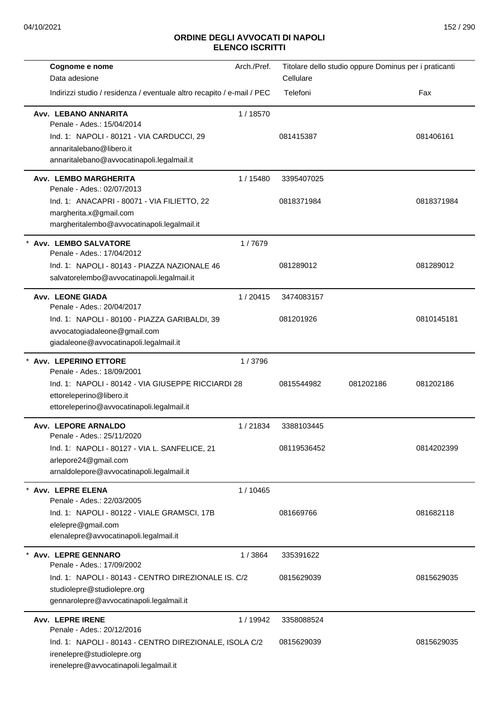| Cognome e nome                                                          | Arch./Pref. | Titolare dello studio oppure Dominus per i praticanti |           |            |
|-------------------------------------------------------------------------|-------------|-------------------------------------------------------|-----------|------------|
| Data adesione                                                           |             | Cellulare                                             |           |            |
| Indirizzi studio / residenza / eventuale altro recapito / e-mail / PEC  |             | Telefoni                                              |           | Fax        |
| Avv. LEBANO ANNARITA<br>Penale - Ades.: 15/04/2014                      | 1/18570     |                                                       |           |            |
| Ind. 1: NAPOLI - 80121 - VIA CARDUCCI, 29                               |             | 081415387                                             |           | 081406161  |
| annaritalebano@libero.it                                                |             |                                                       |           |            |
| annaritalebano@avvocatinapoli.legalmail.it                              |             |                                                       |           |            |
| Avv. LEMBO MARGHERITA<br>Penale - Ades.: 02/07/2013                     | 1 / 15480   | 3395407025                                            |           |            |
| Ind. 1: ANACAPRI - 80071 - VIA FILIETTO, 22                             |             | 0818371984                                            |           | 0818371984 |
| margherita.x@gmail.com<br>margheritalembo@avvocatinapoli.legalmail.it   |             |                                                       |           |            |
| Avv. LEMBO SALVATORE<br>Penale - Ades.: 17/04/2012                      | 1/7679      |                                                       |           |            |
| Ind. 1: NAPOLI - 80143 - PIAZZA NAZIONALE 46                            |             | 081289012                                             |           | 081289012  |
| salvatorelembo@avvocatinapoli.legalmail.it                              |             |                                                       |           |            |
| Avv. LEONE GIADA                                                        | 1/20415     | 3474083157                                            |           |            |
| Penale - Ades.: 20/04/2017                                              |             |                                                       |           |            |
| Ind. 1: NAPOLI - 80100 - PIAZZA GARIBALDI, 39                           |             | 081201926                                             |           | 0810145181 |
| avvocatogiadaleone@gmail.com                                            |             |                                                       |           |            |
| giadaleone@avvocatinapoli.legalmail.it                                  |             |                                                       |           |            |
| * Avv. LEPERINO ETTORE<br>Penale - Ades.: 18/09/2001                    | 1/3796      |                                                       |           |            |
| Ind. 1: NAPOLI - 80142 - VIA GIUSEPPE RICCIARDI 28                      |             | 0815544982                                            | 081202186 | 081202186  |
| ettoreleperino@libero.it                                                |             |                                                       |           |            |
| ettoreleperino@avvocatinapoli.legalmail.it                              |             |                                                       |           |            |
| Avv. LEPORE ARNALDO                                                     |             |                                                       |           |            |
| Penale - Ades.: 25/11/2020                                              | 1/21834     | 3388103445                                            |           |            |
| Ind. 1: NAPOLI - 80127 - VIA L. SANFELICE, 21                           |             | 08119536452                                           |           | 0814202399 |
| arlepore24@gmail.com                                                    |             |                                                       |           |            |
| arnaldolepore@avvocatinapoli.legalmail.it                               |             |                                                       |           |            |
| * Avv. LEPRE ELENA                                                      | 1 / 10465   |                                                       |           |            |
| Penale - Ades.: 22/03/2005                                              |             |                                                       |           |            |
| Ind. 1: NAPOLI - 80122 - VIALE GRAMSCI, 17B                             |             | 081669766                                             |           | 081682118  |
| elelepre@gmail.com<br>elenalepre@avvocatinapoli.legalmail.it            |             |                                                       |           |            |
|                                                                         |             |                                                       |           |            |
| Avv. LEPRE GENNARO<br>Penale - Ades.: 17/09/2002                        | 1/3864      | 335391622                                             |           |            |
| Ind. 1: NAPOLI - 80143 - CENTRO DIREZIONALE IS. C/2                     |             | 0815629039                                            |           | 0815629035 |
| studiolepre@studiolepre.org<br>gennarolepre@avvocatinapoli.legalmail.it |             |                                                       |           |            |
| <b>Avv. LEPRE IRENE</b>                                                 | 1 / 19942   | 3358088524                                            |           |            |
| Penale - Ades.: 20/12/2016                                              |             |                                                       |           |            |
| Ind. 1: NAPOLI - 80143 - CENTRO DIREZIONALE, ISOLA C/2                  |             | 0815629039                                            |           | 0815629035 |
| irenelepre@studiolepre.org                                              |             |                                                       |           |            |
| irenelepre@avvocatinapoli.legalmail.it                                  |             |                                                       |           |            |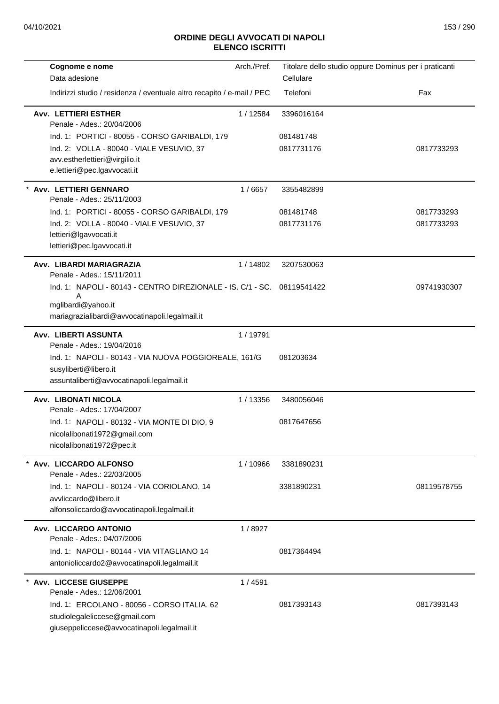| Cognome e nome                                                          | Arch./Pref. |            | Titolare dello studio oppure Dominus per i praticanti |
|-------------------------------------------------------------------------|-------------|------------|-------------------------------------------------------|
| Data adesione                                                           |             | Cellulare  |                                                       |
| Indirizzi studio / residenza / eventuale altro recapito / e-mail / PEC  |             | Telefoni   | Fax                                                   |
| <b>Avv. LETTIERI ESTHER</b><br>Penale - Ades.: 20/04/2006               | 1 / 12584   | 3396016164 |                                                       |
| Ind. 1: PORTICI - 80055 - CORSO GARIBALDI, 179                          |             | 081481748  |                                                       |
| Ind. 2: VOLLA - 80040 - VIALE VESUVIO, 37                               |             | 0817731176 | 0817733293                                            |
| avv.estherlettieri@virgilio.it<br>e.lettieri@pec.lgavvocati.it          |             |            |                                                       |
| Avv. LETTIERI GENNARO<br>Penale - Ades.: 25/11/2003                     | 1/6657      | 3355482899 |                                                       |
| Ind. 1: PORTICI - 80055 - CORSO GARIBALDI, 179                          |             | 081481748  | 0817733293                                            |
| Ind. 2: VOLLA - 80040 - VIALE VESUVIO, 37                               |             | 0817731176 | 0817733293                                            |
| lettieri@lgavvocati.it                                                  |             |            |                                                       |
| lettieri@pec.lgavvocati.it                                              |             |            |                                                       |
| Avv. LIBARDI MARIAGRAZIA<br>Penale - Ades.: 15/11/2011                  | 1/14802     | 3207530063 |                                                       |
| Ind. 1: NAPOLI - 80143 - CENTRO DIREZIONALE - IS. C/1 - SC. 08119541422 |             |            | 09741930307                                           |
| mglibardi@yahoo.it                                                      |             |            |                                                       |
| mariagrazialibardi@avvocatinapoli.legalmail.it                          |             |            |                                                       |
| <b>Avv. LIBERTI ASSUNTA</b><br>Penale - Ades.: 19/04/2016               | 1/19791     |            |                                                       |
| Ind. 1: NAPOLI - 80143 - VIA NUOVA POGGIOREALE, 161/G                   |             | 081203634  |                                                       |
| susyliberti@libero.it                                                   |             |            |                                                       |
| assuntaliberti@avvocatinapoli.legalmail.it                              |             |            |                                                       |
| Avv. LIBONATI NICOLA<br>Penale - Ades.: 17/04/2007                      | 1/13356     | 3480056046 |                                                       |
| Ind. 1: NAPOLI - 80132 - VIA MONTE DI DIO, 9                            |             | 0817647656 |                                                       |
| nicolalibonati1972@gmail.com                                            |             |            |                                                       |
| nicolalibonati1972@pec.it                                               |             |            |                                                       |
| Avv. LICCARDO ALFONSO<br>Penale - Ades.: 22/03/2005                     | 1 / 10966   | 3381890231 |                                                       |
| Ind. 1: NAPOLI - 80124 - VIA CORIOLANO, 14                              |             | 3381890231 | 08119578755                                           |
| avvliccardo@libero.it                                                   |             |            |                                                       |
| alfonsoliccardo@avvocatinapoli.legalmail.it                             |             |            |                                                       |
| Avv. LICCARDO ANTONIO<br>Penale - Ades.: 04/07/2006                     | 1/8927      |            |                                                       |
| Ind. 1: NAPOLI - 80144 - VIA VITAGLIANO 14                              |             | 0817364494 |                                                       |
| antonioliccardo2@avvocatinapoli.legalmail.it                            |             |            |                                                       |
| * Avv. LICCESE GIUSEPPE                                                 | 1/4591      |            |                                                       |
| Penale - Ades.: 12/06/2001                                              |             |            |                                                       |
| Ind. 1: ERCOLANO - 80056 - CORSO ITALIA, 62                             |             | 0817393143 | 0817393143                                            |
| studiolegaleliccese@gmail.com                                           |             |            |                                                       |
| giuseppeliccese@avvocatinapoli.legalmail.it                             |             |            |                                                       |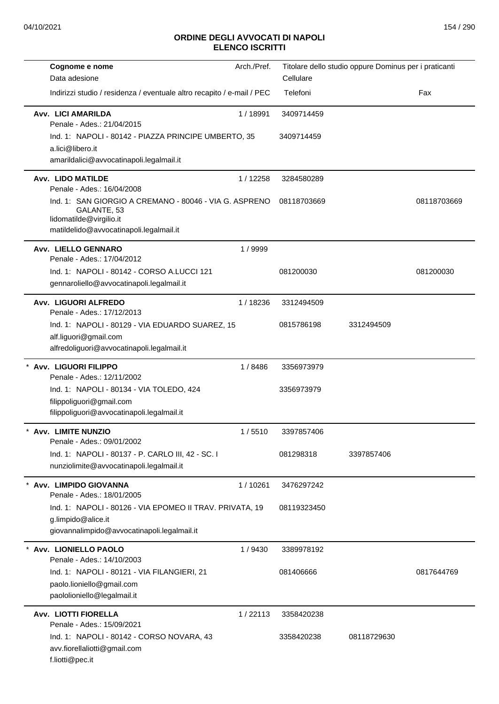| Cognome e nome<br>Data adesione                                                                                               | Arch./Pref. | Cellulare   | Titolare dello studio oppure Dominus per i praticanti |             |
|-------------------------------------------------------------------------------------------------------------------------------|-------------|-------------|-------------------------------------------------------|-------------|
| Indirizzi studio / residenza / eventuale altro recapito / e-mail / PEC                                                        |             | Telefoni    |                                                       | Fax         |
| Avv. LICI AMARILDA<br>Penale - Ades.: 21/04/2015                                                                              | 1/18991     | 3409714459  |                                                       |             |
| Ind. 1: NAPOLI - 80142 - PIAZZA PRINCIPE UMBERTO, 35<br>a.lici@libero.it<br>amarildalici@avvocatinapoli.legalmail.it          |             | 3409714459  |                                                       |             |
| <b>Avv. LIDO MATILDE</b><br>Penale - Ades.: 16/04/2008                                                                        | 1/12258     | 3284580289  |                                                       |             |
| Ind. 1: SAN GIORGIO A CREMANO - 80046 - VIA G. ASPRENO<br>GALANTE, 53<br>lidomatilde@virgilio.it                              |             | 08118703669 |                                                       | 08118703669 |
| matildelido@avvocatinapoli.legalmail.it                                                                                       |             |             |                                                       |             |
| Avv. LIELLO GENNARO<br>Penale - Ades.: 17/04/2012                                                                             | 1/9999      |             |                                                       |             |
| Ind. 1: NAPOLI - 80142 - CORSO A.LUCCI 121<br>gennaroliello@avvocatinapoli.legalmail.it                                       |             | 081200030   |                                                       | 081200030   |
| Avv. LIGUORI ALFREDO<br>Penale - Ades.: 17/12/2013                                                                            | 1/18236     | 3312494509  |                                                       |             |
| Ind. 1: NAPOLI - 80129 - VIA EDUARDO SUAREZ, 15<br>alf.liguori@gmail.com<br>alfredoliguori@avvocatinapoli.legalmail.it        |             | 0815786198  | 3312494509                                            |             |
| Avv. LIGUORI FILIPPO<br>Penale - Ades.: 12/11/2002                                                                            | 1/8486      | 3356973979  |                                                       |             |
| Ind. 1: NAPOLI - 80134 - VIA TOLEDO, 424<br>filippoliguori@gmail.com<br>filippoliguori@avvocatinapoli.legalmail.it            |             | 3356973979  |                                                       |             |
| <b>Avv. LIMITE NUNZIO</b><br>Penale - Ades.: 09/01/2002                                                                       | 1/5510      | 3397857406  |                                                       |             |
| Ind. 1: NAPOLI - 80137 - P. CARLO III, 42 - SC. I<br>nunziolimite@avvocatinapoli.legalmail.it                                 |             | 081298318   | 3397857406                                            |             |
| Avv. LIMPIDO GIOVANNA<br>Penale - Ades.: 18/01/2005                                                                           | 1/10261     | 3476297242  |                                                       |             |
| Ind. 1: NAPOLI - 80126 - VIA EPOMEO II TRAV. PRIVATA, 19<br>g.limpido@alice.it<br>giovannalimpido@avvocatinapoli.legalmail.it |             | 08119323450 |                                                       |             |
| Avv. LIONIELLO PAOLO<br>Penale - Ades.: 14/10/2003                                                                            | 1/9430      | 3389978192  |                                                       |             |
| Ind. 1: NAPOLI - 80121 - VIA FILANGIERI, 21<br>paolo.lioniello@gmail.com<br>paololioniello@legalmail.it                       |             | 081406666   |                                                       | 0817644769  |
| <b>Avv. LIOTTI FIORELLA</b><br>Penale - Ades.: 15/09/2021                                                                     | 1/22113     | 3358420238  |                                                       |             |
| Ind. 1: NAPOLI - 80142 - CORSO NOVARA, 43<br>avv.fiorellaliotti@gmail.com<br>f.liotti@pec.it                                  |             | 3358420238  | 08118729630                                           |             |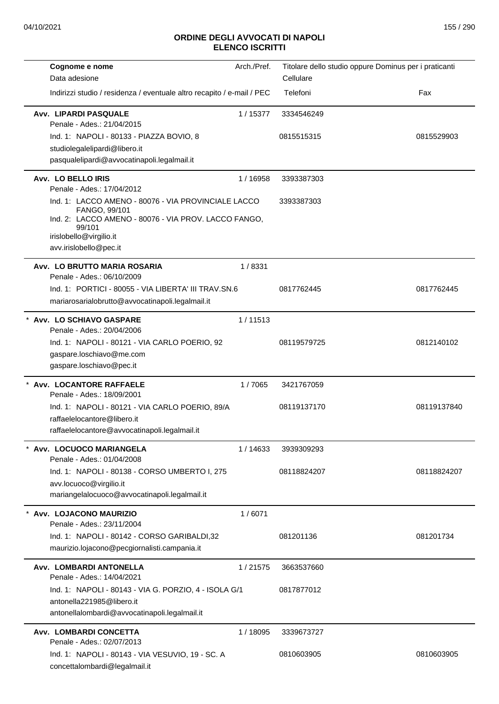| Cognome e nome                                                                                                                                                    | Arch./Pref. | Titolare dello studio oppure Dominus per i praticanti |             |
|-------------------------------------------------------------------------------------------------------------------------------------------------------------------|-------------|-------------------------------------------------------|-------------|
| Data adesione                                                                                                                                                     |             | Cellulare                                             |             |
| Indirizzi studio / residenza / eventuale altro recapito / e-mail / PEC                                                                                            |             | Telefoni                                              | Fax         |
| <b>Avv. LIPARDI PASQUALE</b><br>Penale - Ades.: 21/04/2015                                                                                                        | 1/15377     | 3334546249                                            |             |
| Ind. 1: NAPOLI - 80133 - PIAZZA BOVIO, 8                                                                                                                          |             | 0815515315                                            | 0815529903  |
| studiolegalelipardi@libero.it                                                                                                                                     |             |                                                       |             |
| pasqualelipardi@avvocatinapoli.legalmail.it                                                                                                                       |             |                                                       |             |
| Avv. LO BELLO IRIS<br>Penale - Ades.: 17/04/2012                                                                                                                  | 1/16958     | 3393387303                                            |             |
| Ind. 1: LACCO AMENO - 80076 - VIA PROVINCIALE LACCO<br>FANGO, 99/101<br>Ind. 2: LACCO AMENO - 80076 - VIA PROV. LACCO FANGO,<br>99/101<br>irislobello@virgilio.it |             | 3393387303                                            |             |
| avv.irislobello@pec.it                                                                                                                                            |             |                                                       |             |
| Avv. LO BRUTTO MARIA ROSARIA<br>Penale - Ades.: 06/10/2009                                                                                                        | 1/8331      |                                                       |             |
| Ind. 1: PORTICI - 80055 - VIA LIBERTA' III TRAV.SN.6<br>mariarosarialobrutto@avvocatinapoli.legalmail.it                                                          |             | 0817762445                                            | 0817762445  |
| * Avv. LO SCHIAVO GASPARE                                                                                                                                         | 1/11513     |                                                       |             |
| Penale - Ades.: 20/04/2006                                                                                                                                        |             |                                                       |             |
| Ind. 1: NAPOLI - 80121 - VIA CARLO POERIO, 92                                                                                                                     |             | 08119579725                                           | 0812140102  |
| gaspare.loschiavo@me.com                                                                                                                                          |             |                                                       |             |
| gaspare.loschiavo@pec.it                                                                                                                                          |             |                                                       |             |
| Avv. LOCANTORE RAFFAELE<br>Penale - Ades.: 18/09/2001                                                                                                             | 1/7065      | 3421767059                                            |             |
| Ind. 1: NAPOLI - 80121 - VIA CARLO POERIO, 89/A                                                                                                                   |             | 08119137170                                           | 08119137840 |
| raffaelelocantore@libero.it<br>raffaelelocantore@avvocatinapoli.legalmail.it                                                                                      |             |                                                       |             |
| Avv. LOCUOCO MARIANGELA<br>Penale - Ades.: 01/04/2008                                                                                                             | 1 / 14633   | 3939309293                                            |             |
| Ind. 1: NAPOLI - 80138 - CORSO UMBERTO I, 275                                                                                                                     |             | 08118824207                                           | 08118824207 |
| avv.locuoco@virgilio.it                                                                                                                                           |             |                                                       |             |
| mariangelalocuoco@avvocatinapoli.legalmail.it                                                                                                                     |             |                                                       |             |
| Avv. LOJACONO MAURIZIO<br>Penale - Ades.: 23/11/2004                                                                                                              | 1/6071      |                                                       |             |
| Ind. 1: NAPOLI - 80142 - CORSO GARIBALDI,32                                                                                                                       |             | 081201136                                             | 081201734   |
| maurizio.lojacono@pecgiornalisti.campania.it                                                                                                                      |             |                                                       |             |
| Avv. LOMBARDI ANTONELLA<br>Penale - Ades.: 14/04/2021                                                                                                             | 1/21575     | 3663537660                                            |             |
| Ind. 1: NAPOLI - 80143 - VIA G. PORZIO, 4 - ISOLA G/1                                                                                                             |             | 0817877012                                            |             |
| antonella221985@libero.it                                                                                                                                         |             |                                                       |             |
| antonellalombardi@avvocatinapoli.legalmail.it                                                                                                                     |             |                                                       |             |
| Avv. LOMBARDI CONCETTA<br>Penale - Ades.: 02/07/2013                                                                                                              | 1/18095     | 3339673727                                            |             |
| Ind. 1: NAPOLI - 80143 - VIA VESUVIO, 19 - SC. A<br>concettalombardi@legalmail.it                                                                                 |             | 0810603905                                            | 0810603905  |
|                                                                                                                                                                   |             |                                                       |             |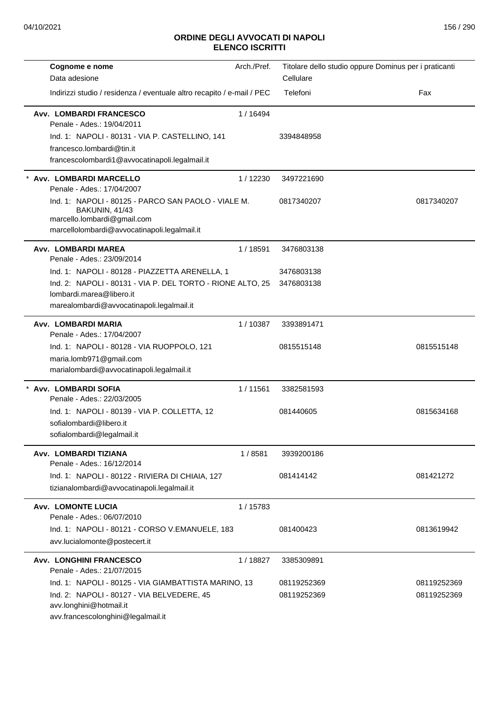| Cognome e nome                                                                                                                      | Arch./Pref. |             | Titolare dello studio oppure Dominus per i praticanti |
|-------------------------------------------------------------------------------------------------------------------------------------|-------------|-------------|-------------------------------------------------------|
| Data adesione                                                                                                                       |             | Cellulare   |                                                       |
| Indirizzi studio / residenza / eventuale altro recapito / e-mail / PEC                                                              |             | Telefoni    | Fax                                                   |
| Avv. LOMBARDI FRANCESCO<br>Penale - Ades.: 19/04/2011                                                                               | 1/16494     |             |                                                       |
| Ind. 1: NAPOLI - 80131 - VIA P. CASTELLINO, 141                                                                                     |             | 3394848958  |                                                       |
| francesco.lombardi@tin.it                                                                                                           |             |             |                                                       |
| francescolombardi1@avvocatinapoli.legalmail.it                                                                                      |             |             |                                                       |
| Avv. LOMBARDI MARCELLO<br>Penale - Ades.: 17/04/2007                                                                                | 1/12230     | 3497221690  |                                                       |
| Ind. 1: NAPOLI - 80125 - PARCO SAN PAOLO - VIALE M.<br>BAKUNIN, 41/43<br>marcello.lombardi@gmail.com                                |             | 0817340207  | 0817340207                                            |
| marcellolombardi@avvocatinapoli.legalmail.it                                                                                        |             |             |                                                       |
| Avv. LOMBARDI MAREA<br>Penale - Ades.: 23/09/2014                                                                                   | 1/18591     | 3476803138  |                                                       |
| Ind. 1: NAPOLI - 80128 - PIAZZETTA ARENELLA, 1                                                                                      |             | 3476803138  |                                                       |
| Ind. 2: NAPOLI - 80131 - VIA P. DEL TORTO - RIONE ALTO, 25<br>lombardi.marea@libero.it<br>marealombardi@avvocatinapoli.legalmail.it |             | 3476803138  |                                                       |
| Avv. LOMBARDI MARIA<br>Penale - Ades.: 17/04/2007                                                                                   | 1/10387     | 3393891471  |                                                       |
| Ind. 1: NAPOLI - 80128 - VIA RUOPPOLO, 121<br>maria.lomb971@gmail.com<br>marialombardi@avvocatinapoli.legalmail.it                  |             | 0815515148  | 0815515148                                            |
| Avv. LOMBARDI SOFIA<br>Penale - Ades.: 22/03/2005                                                                                   | 1/11561     | 3382581593  |                                                       |
| Ind. 1: NAPOLI - 80139 - VIA P. COLLETTA, 12<br>sofialombardi@libero.it<br>sofialombardi@legalmail.it                               |             | 081440605   | 0815634168                                            |
| Avv. LOMBARDI TIZIANA<br>Penale - Ades.: 16/12/2014                                                                                 | 1/8581      | 3939200186  |                                                       |
| Ind. 1: NAPOLI - 80122 - RIVIERA DI CHIAIA, 127<br>tizianalombardi@avvocatinapoli.legalmail.it                                      |             | 081414142   | 081421272                                             |
| <b>Avv. LOMONTE LUCIA</b><br>Penale - Ades.: 06/07/2010                                                                             | 1/15783     |             |                                                       |
| Ind. 1: NAPOLI - 80121 - CORSO V.EMANUELE, 183<br>avv.lucialomonte@postecert.it                                                     |             | 081400423   | 0813619942                                            |
| <b>Avv. LONGHINI FRANCESCO</b><br>Penale - Ades.: 21/07/2015                                                                        | 1/18827     | 3385309891  |                                                       |
| Ind. 1: NAPOLI - 80125 - VIA GIAMBATTISTA MARINO, 13                                                                                |             | 08119252369 | 08119252369                                           |
| Ind. 2: NAPOLI - 80127 - VIA BELVEDERE, 45<br>avv.longhini@hotmail.it<br>avv.francescolonghini@legalmail.it                         |             | 08119252369 | 08119252369                                           |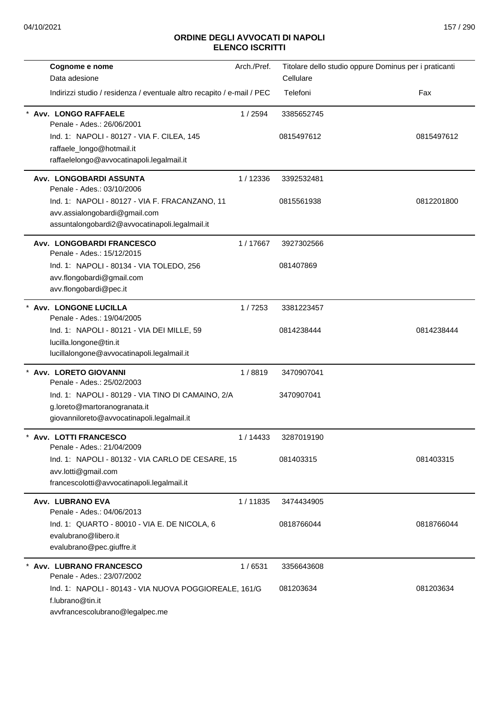| Cognome e nome                                                                      | Arch./Pref. | Titolare dello studio oppure Dominus per i praticanti |            |
|-------------------------------------------------------------------------------------|-------------|-------------------------------------------------------|------------|
| Data adesione                                                                       |             | Cellulare                                             |            |
| Indirizzi studio / residenza / eventuale altro recapito / e-mail / PEC              |             | Telefoni                                              | Fax        |
| Avv. LONGO RAFFAELE<br>Penale - Ades.: 26/06/2001                                   | 1 / 2594    | 3385652745                                            |            |
| Ind. 1: NAPOLI - 80127 - VIA F. CILEA, 145                                          |             | 0815497612                                            | 0815497612 |
| raffaele_longo@hotmail.it<br>raffaelelongo@avvocatinapoli.legalmail.it              |             |                                                       |            |
|                                                                                     |             |                                                       |            |
| Avv. LONGOBARDI ASSUNTA<br>Penale - Ades.: 03/10/2006                               | 1/12336     | 3392532481                                            |            |
| Ind. 1: NAPOLI - 80127 - VIA F. FRACANZANO, 11                                      |             | 0815561938                                            | 0812201800 |
| avv.assialongobardi@gmail.com<br>assuntalongobardi2@avvocatinapoli.legalmail.it     |             |                                                       |            |
| Avv. LONGOBARDI FRANCESCO<br>Penale - Ades.: 15/12/2015                             | 1/17667     | 3927302566                                            |            |
| Ind. 1: NAPOLI - 80134 - VIA TOLEDO, 256                                            |             | 081407869                                             |            |
| avv.flongobardi@gmail.com                                                           |             |                                                       |            |
| avv.flongobardi@pec.it                                                              |             |                                                       |            |
| * Avv. LONGONE LUCILLA<br>Penale - Ades.: 19/04/2005                                | 1/7253      | 3381223457                                            |            |
| Ind. 1: NAPOLI - 80121 - VIA DEI MILLE, 59                                          |             | 0814238444                                            | 0814238444 |
| lucilla.longone@tin.it                                                              |             |                                                       |            |
| lucillalongone@avvocatinapoli.legalmail.it                                          |             |                                                       |            |
| * Avv. LORETO GIOVANNI<br>Penale - Ades.: 25/02/2003                                | 1/8819      | 3470907041                                            |            |
| Ind. 1: NAPOLI - 80129 - VIA TINO DI CAMAINO, 2/A                                   |             | 3470907041                                            |            |
| g.loreto@martoranogranata.it                                                        |             |                                                       |            |
| giovanniloreto@avvocatinapoli.legalmail.it                                          |             |                                                       |            |
| <b>Avv. LOTTI FRANCESCO</b><br>Penale - Ades.: 21/04/2009                           | 1/14433     | 3287019190                                            |            |
| Ind. 1: NAPOLI - 80132 - VIA CARLO DE CESARE, 15                                    |             | 081403315                                             | 081403315  |
| avv.lotti@gmail.com                                                                 |             |                                                       |            |
| francescolotti@avvocatinapoli.legalmail.it                                          |             |                                                       |            |
| Avv. LUBRANO EVA<br>Penale - Ades.: 04/06/2013                                      | 1/11835     | 3474434905                                            |            |
| Ind. 1: QUARTO - 80010 - VIA E. DE NICOLA, 6                                        |             | 0818766044                                            | 0818766044 |
| evalubrano@libero.it<br>evalubrano@pec.giuffre.it                                   |             |                                                       |            |
| <b>Avv. LUBRANO FRANCESCO</b>                                                       | 1/6531      | 3356643608                                            |            |
| Penale - Ades.: 23/07/2002<br>Ind. 1: NAPOLI - 80143 - VIA NUOVA POGGIOREALE, 161/G |             | 081203634                                             | 081203634  |
| f.lubrano@tin.it                                                                    |             |                                                       |            |
| avvfrancescolubrano@legalpec.me                                                     |             |                                                       |            |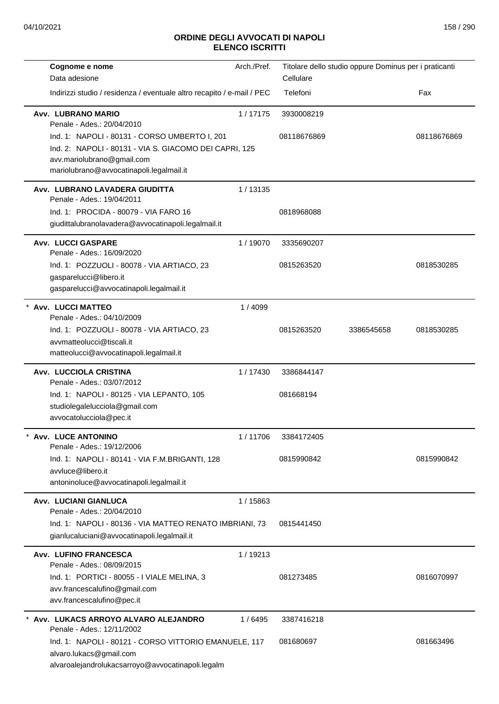| Cognome e nome                                                                                                                        | Arch./Pref. | Titolare dello studio oppure Dominus per i praticanti |            |             |
|---------------------------------------------------------------------------------------------------------------------------------------|-------------|-------------------------------------------------------|------------|-------------|
| Data adesione                                                                                                                         |             | Cellulare                                             |            |             |
| Indirizzi studio / residenza / eventuale altro recapito / e-mail / PEC                                                                |             | Telefoni                                              |            | Fax         |
| Avv. LUBRANO MARIO<br>Penale - Ades.: 20/04/2010                                                                                      | 1/17175     | 3930008219                                            |            |             |
| Ind. 1: NAPOLI - 80131 - CORSO UMBERTO I, 201                                                                                         |             | 08118676869                                           |            | 08118676869 |
| Ind. 2: NAPOLI - 80131 - VIA S. GIACOMO DEI CAPRI, 125                                                                                |             |                                                       |            |             |
| avv.mariolubrano@gmail.com                                                                                                            |             |                                                       |            |             |
| mariolubrano@avvocatinapoli.legalmail.it                                                                                              |             |                                                       |            |             |
| Avv. LUBRANO LAVADERA GIUDITTA<br>Penale - Ades.: 19/04/2011                                                                          | 1/13135     |                                                       |            |             |
| Ind. 1: PROCIDA - 80079 - VIA FARO 16                                                                                                 |             | 0818968088                                            |            |             |
| giudittalubranolavadera@avvocatinapoli.legalmail.it                                                                                   |             |                                                       |            |             |
| <b>Avv. LUCCI GASPARE</b><br>Penale - Ades.: 16/09/2020                                                                               | 1/19070     | 3335690207                                            |            |             |
| Ind. 1: POZZUOLI - 80078 - VIA ARTIACO, 23                                                                                            |             | 0815263520                                            |            | 0818530285  |
| gasparelucci@libero.it                                                                                                                |             |                                                       |            |             |
| gasparelucci@avvocatinapoli.legalmail.it                                                                                              |             |                                                       |            |             |
| <b>Avv. LUCCI MATTEO</b>                                                                                                              | 1/4099      |                                                       |            |             |
| Penale - Ades.: 04/10/2009                                                                                                            |             |                                                       |            |             |
| Ind. 1: POZZUOLI - 80078 - VIA ARTIACO, 23                                                                                            |             | 0815263520                                            | 3386545658 | 0818530285  |
| avvmatteolucci@tiscali.it                                                                                                             |             |                                                       |            |             |
| matteolucci@avvocatinapoli.legalmail.it                                                                                               |             |                                                       |            |             |
| Avv. LUCCIOLA CRISTINA<br>Penale - Ades.: 03/07/2012                                                                                  | 1/17430     | 3386844147                                            |            |             |
| Ind. 1: NAPOLI - 80125 - VIA LEPANTO, 105                                                                                             |             | 081668194                                             |            |             |
| studiolegalelucciola@gmail.com<br>avvocatolucciola@pec.it                                                                             |             |                                                       |            |             |
| Avv. LUCE ANTONINO<br>Penale - Ades.: 19/12/2006                                                                                      | 1/11706     | 3384172405                                            |            |             |
| Ind. 1: NAPOLI - 80141 - VIA F.M.BRIGANTI, 128                                                                                        |             | 0815990842                                            |            | 0815990842  |
| avvluce@libero.it                                                                                                                     |             |                                                       |            |             |
| antoninoluce@avvocatinapoli.legalmail.it                                                                                              |             |                                                       |            |             |
| Avv. LUCIANI GIANLUCA<br>Penale - Ades.: 20/04/2010                                                                                   | 1 / 15863   |                                                       |            |             |
| Ind. 1: NAPOLI - 80136 - VIA MATTEO RENATO IMBRIANI, 73<br>gianlucaluciani@avvocatinapoli.legalmail.it                                |             | 0815441450                                            |            |             |
| Avv. LUFINO FRANCESCA<br>Penale - Ades.: 08/09/2015                                                                                   | 1/19213     |                                                       |            |             |
| Ind. 1: PORTICI - 80055 - I VIALE MELINA, 3<br>avv.francescalufino@gmail.com<br>avv.francescalufino@pec.it                            |             | 081273485                                             |            | 0816070997  |
| Avv. LUKACS ARROYO ALVARO ALEJANDRO<br>Penale - Ades.: 12/11/2002                                                                     | 1/6495      | 3387416218                                            |            |             |
| Ind. 1: NAPOLI - 80121 - CORSO VITTORIO EMANUELE, 117<br>alvaro.lukacs@gmail.com<br>alvaroalejandrolukacsarroyo@avvocatinapoli.legalm |             | 081680697                                             |            | 081663496   |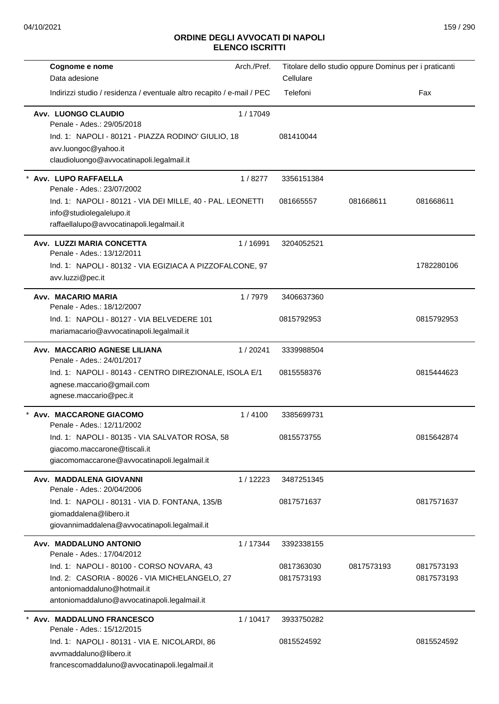| Data adesione<br>Cellulare<br>Indirizzi studio / residenza / eventuale altro recapito / e-mail / PEC<br>Telefoni<br>Fax<br>Avv. LUONGO CLAUDIO<br>1/17049<br>Penale - Ades.: 29/05/2018<br>Ind. 1: NAPOLI - 80121 - PIAZZA RODINO' GIULIO, 18<br>081410044<br>avv.luongoc@yahoo.it<br>claudioluongo@avvocatinapoli.legalmail.it<br>* Avv. LUPO RAFFAELLA<br>1/8277<br>3356151384<br>Penale - Ades.: 23/07/2002<br>Ind. 1: NAPOLI - 80121 - VIA DEI MILLE, 40 - PAL. LEONETTI<br>081665557<br>081668611<br>081668611<br>info@studiolegalelupo.it<br>raffaellalupo@avvocatinapoli.legalmail.it<br>Avv. LUZZI MARIA CONCETTA<br>1/16991<br>3204052521<br>Penale - Ades.: 13/12/2011<br>1782280106<br>Ind. 1: NAPOLI - 80132 - VIA EGIZIACA A PIZZOFALCONE, 97<br>avv.luzzi@pec.it<br>Avv. MACARIO MARIA<br>1/7979<br>3406637360<br>Penale - Ades.: 18/12/2007<br>Ind. 1: NAPOLI - 80127 - VIA BELVEDERE 101<br>0815792953<br>0815792953<br>mariamacario@avvocatinapoli.legalmail.it<br>Avv. MACCARIO AGNESE LILIANA<br>1/20241<br>3339988504<br>Penale - Ades.: 24/01/2017<br>Ind. 1: NAPOLI - 80143 - CENTRO DIREZIONALE, ISOLA E/1<br>0815558376<br>0815444623<br>agnese.maccario@gmail.com<br>agnese.maccario@pec.it<br>* Avv. MACCARONE GIACOMO<br>1/4100<br>3385699731<br>Penale - Ades.: 12/11/2002<br>Ind. 1: NAPOLI - 80135 - VIA SALVATOR ROSA, 58<br>0815573755<br>0815642874<br>giacomo.maccarone@tiscali.it<br>giacomomaccarone@avvocatinapoli.legalmail.it<br>Avv. MADDALENA GIOVANNI<br>1/12223<br>3487251345<br>Penale - Ades.: 20/04/2006<br>0817571637<br>Ind. 1: NAPOLI - 80131 - VIA D. FONTANA, 135/B<br>0817571637<br>giomaddalena@libero.it<br>giovannimaddalena@avvocatinapoli.legalmail.it<br>Avv. MADDALUNO ANTONIO<br>1/17344<br>3392338155<br>Penale - Ades.: 17/04/2012<br>Ind. 1: NAPOLI - 80100 - CORSO NOVARA, 43<br>0817363030<br>0817573193<br>0817573193<br>Ind. 2: CASORIA - 80026 - VIA MICHELANGELO, 27<br>0817573193<br>0817573193<br>antoniomaddaluno@hotmail.it<br>antoniomaddaluno@avvocatinapoli.legalmail.it<br>Avv. MADDALUNO FRANCESCO<br>1/10417<br>3933750282<br>Penale - Ades.: 15/12/2015<br>Ind. 1: NAPOLI - 80131 - VIA E. NICOLARDI, 86<br>0815524592<br>0815524592<br>avymaddaluno@libero.it | Cognome e nome                                 | Arch./Pref. | Titolare dello studio oppure Dominus per i praticanti |  |
|------------------------------------------------------------------------------------------------------------------------------------------------------------------------------------------------------------------------------------------------------------------------------------------------------------------------------------------------------------------------------------------------------------------------------------------------------------------------------------------------------------------------------------------------------------------------------------------------------------------------------------------------------------------------------------------------------------------------------------------------------------------------------------------------------------------------------------------------------------------------------------------------------------------------------------------------------------------------------------------------------------------------------------------------------------------------------------------------------------------------------------------------------------------------------------------------------------------------------------------------------------------------------------------------------------------------------------------------------------------------------------------------------------------------------------------------------------------------------------------------------------------------------------------------------------------------------------------------------------------------------------------------------------------------------------------------------------------------------------------------------------------------------------------------------------------------------------------------------------------------------------------------------------------------------------------------------------------------------------------------------------------------------------------------------------------------------------------------------------------------------------------------------------------------------------------------------------------------------------------------|------------------------------------------------|-------------|-------------------------------------------------------|--|
|                                                                                                                                                                                                                                                                                                                                                                                                                                                                                                                                                                                                                                                                                                                                                                                                                                                                                                                                                                                                                                                                                                                                                                                                                                                                                                                                                                                                                                                                                                                                                                                                                                                                                                                                                                                                                                                                                                                                                                                                                                                                                                                                                                                                                                                |                                                |             |                                                       |  |
|                                                                                                                                                                                                                                                                                                                                                                                                                                                                                                                                                                                                                                                                                                                                                                                                                                                                                                                                                                                                                                                                                                                                                                                                                                                                                                                                                                                                                                                                                                                                                                                                                                                                                                                                                                                                                                                                                                                                                                                                                                                                                                                                                                                                                                                |                                                |             |                                                       |  |
|                                                                                                                                                                                                                                                                                                                                                                                                                                                                                                                                                                                                                                                                                                                                                                                                                                                                                                                                                                                                                                                                                                                                                                                                                                                                                                                                                                                                                                                                                                                                                                                                                                                                                                                                                                                                                                                                                                                                                                                                                                                                                                                                                                                                                                                |                                                |             |                                                       |  |
|                                                                                                                                                                                                                                                                                                                                                                                                                                                                                                                                                                                                                                                                                                                                                                                                                                                                                                                                                                                                                                                                                                                                                                                                                                                                                                                                                                                                                                                                                                                                                                                                                                                                                                                                                                                                                                                                                                                                                                                                                                                                                                                                                                                                                                                |                                                |             |                                                       |  |
|                                                                                                                                                                                                                                                                                                                                                                                                                                                                                                                                                                                                                                                                                                                                                                                                                                                                                                                                                                                                                                                                                                                                                                                                                                                                                                                                                                                                                                                                                                                                                                                                                                                                                                                                                                                                                                                                                                                                                                                                                                                                                                                                                                                                                                                |                                                |             |                                                       |  |
|                                                                                                                                                                                                                                                                                                                                                                                                                                                                                                                                                                                                                                                                                                                                                                                                                                                                                                                                                                                                                                                                                                                                                                                                                                                                                                                                                                                                                                                                                                                                                                                                                                                                                                                                                                                                                                                                                                                                                                                                                                                                                                                                                                                                                                                |                                                |             |                                                       |  |
|                                                                                                                                                                                                                                                                                                                                                                                                                                                                                                                                                                                                                                                                                                                                                                                                                                                                                                                                                                                                                                                                                                                                                                                                                                                                                                                                                                                                                                                                                                                                                                                                                                                                                                                                                                                                                                                                                                                                                                                                                                                                                                                                                                                                                                                |                                                |             |                                                       |  |
|                                                                                                                                                                                                                                                                                                                                                                                                                                                                                                                                                                                                                                                                                                                                                                                                                                                                                                                                                                                                                                                                                                                                                                                                                                                                                                                                                                                                                                                                                                                                                                                                                                                                                                                                                                                                                                                                                                                                                                                                                                                                                                                                                                                                                                                |                                                |             |                                                       |  |
|                                                                                                                                                                                                                                                                                                                                                                                                                                                                                                                                                                                                                                                                                                                                                                                                                                                                                                                                                                                                                                                                                                                                                                                                                                                                                                                                                                                                                                                                                                                                                                                                                                                                                                                                                                                                                                                                                                                                                                                                                                                                                                                                                                                                                                                |                                                |             |                                                       |  |
|                                                                                                                                                                                                                                                                                                                                                                                                                                                                                                                                                                                                                                                                                                                                                                                                                                                                                                                                                                                                                                                                                                                                                                                                                                                                                                                                                                                                                                                                                                                                                                                                                                                                                                                                                                                                                                                                                                                                                                                                                                                                                                                                                                                                                                                |                                                |             |                                                       |  |
|                                                                                                                                                                                                                                                                                                                                                                                                                                                                                                                                                                                                                                                                                                                                                                                                                                                                                                                                                                                                                                                                                                                                                                                                                                                                                                                                                                                                                                                                                                                                                                                                                                                                                                                                                                                                                                                                                                                                                                                                                                                                                                                                                                                                                                                |                                                |             |                                                       |  |
|                                                                                                                                                                                                                                                                                                                                                                                                                                                                                                                                                                                                                                                                                                                                                                                                                                                                                                                                                                                                                                                                                                                                                                                                                                                                                                                                                                                                                                                                                                                                                                                                                                                                                                                                                                                                                                                                                                                                                                                                                                                                                                                                                                                                                                                |                                                |             |                                                       |  |
|                                                                                                                                                                                                                                                                                                                                                                                                                                                                                                                                                                                                                                                                                                                                                                                                                                                                                                                                                                                                                                                                                                                                                                                                                                                                                                                                                                                                                                                                                                                                                                                                                                                                                                                                                                                                                                                                                                                                                                                                                                                                                                                                                                                                                                                |                                                |             |                                                       |  |
|                                                                                                                                                                                                                                                                                                                                                                                                                                                                                                                                                                                                                                                                                                                                                                                                                                                                                                                                                                                                                                                                                                                                                                                                                                                                                                                                                                                                                                                                                                                                                                                                                                                                                                                                                                                                                                                                                                                                                                                                                                                                                                                                                                                                                                                |                                                |             |                                                       |  |
|                                                                                                                                                                                                                                                                                                                                                                                                                                                                                                                                                                                                                                                                                                                                                                                                                                                                                                                                                                                                                                                                                                                                                                                                                                                                                                                                                                                                                                                                                                                                                                                                                                                                                                                                                                                                                                                                                                                                                                                                                                                                                                                                                                                                                                                |                                                |             |                                                       |  |
|                                                                                                                                                                                                                                                                                                                                                                                                                                                                                                                                                                                                                                                                                                                                                                                                                                                                                                                                                                                                                                                                                                                                                                                                                                                                                                                                                                                                                                                                                                                                                                                                                                                                                                                                                                                                                                                                                                                                                                                                                                                                                                                                                                                                                                                |                                                |             |                                                       |  |
|                                                                                                                                                                                                                                                                                                                                                                                                                                                                                                                                                                                                                                                                                                                                                                                                                                                                                                                                                                                                                                                                                                                                                                                                                                                                                                                                                                                                                                                                                                                                                                                                                                                                                                                                                                                                                                                                                                                                                                                                                                                                                                                                                                                                                                                |                                                |             |                                                       |  |
|                                                                                                                                                                                                                                                                                                                                                                                                                                                                                                                                                                                                                                                                                                                                                                                                                                                                                                                                                                                                                                                                                                                                                                                                                                                                                                                                                                                                                                                                                                                                                                                                                                                                                                                                                                                                                                                                                                                                                                                                                                                                                                                                                                                                                                                |                                                |             |                                                       |  |
|                                                                                                                                                                                                                                                                                                                                                                                                                                                                                                                                                                                                                                                                                                                                                                                                                                                                                                                                                                                                                                                                                                                                                                                                                                                                                                                                                                                                                                                                                                                                                                                                                                                                                                                                                                                                                                                                                                                                                                                                                                                                                                                                                                                                                                                |                                                |             |                                                       |  |
|                                                                                                                                                                                                                                                                                                                                                                                                                                                                                                                                                                                                                                                                                                                                                                                                                                                                                                                                                                                                                                                                                                                                                                                                                                                                                                                                                                                                                                                                                                                                                                                                                                                                                                                                                                                                                                                                                                                                                                                                                                                                                                                                                                                                                                                |                                                |             |                                                       |  |
|                                                                                                                                                                                                                                                                                                                                                                                                                                                                                                                                                                                                                                                                                                                                                                                                                                                                                                                                                                                                                                                                                                                                                                                                                                                                                                                                                                                                                                                                                                                                                                                                                                                                                                                                                                                                                                                                                                                                                                                                                                                                                                                                                                                                                                                |                                                |             |                                                       |  |
|                                                                                                                                                                                                                                                                                                                                                                                                                                                                                                                                                                                                                                                                                                                                                                                                                                                                                                                                                                                                                                                                                                                                                                                                                                                                                                                                                                                                                                                                                                                                                                                                                                                                                                                                                                                                                                                                                                                                                                                                                                                                                                                                                                                                                                                |                                                |             |                                                       |  |
|                                                                                                                                                                                                                                                                                                                                                                                                                                                                                                                                                                                                                                                                                                                                                                                                                                                                                                                                                                                                                                                                                                                                                                                                                                                                                                                                                                                                                                                                                                                                                                                                                                                                                                                                                                                                                                                                                                                                                                                                                                                                                                                                                                                                                                                |                                                |             |                                                       |  |
|                                                                                                                                                                                                                                                                                                                                                                                                                                                                                                                                                                                                                                                                                                                                                                                                                                                                                                                                                                                                                                                                                                                                                                                                                                                                                                                                                                                                                                                                                                                                                                                                                                                                                                                                                                                                                                                                                                                                                                                                                                                                                                                                                                                                                                                |                                                |             |                                                       |  |
|                                                                                                                                                                                                                                                                                                                                                                                                                                                                                                                                                                                                                                                                                                                                                                                                                                                                                                                                                                                                                                                                                                                                                                                                                                                                                                                                                                                                                                                                                                                                                                                                                                                                                                                                                                                                                                                                                                                                                                                                                                                                                                                                                                                                                                                |                                                |             |                                                       |  |
|                                                                                                                                                                                                                                                                                                                                                                                                                                                                                                                                                                                                                                                                                                                                                                                                                                                                                                                                                                                                                                                                                                                                                                                                                                                                                                                                                                                                                                                                                                                                                                                                                                                                                                                                                                                                                                                                                                                                                                                                                                                                                                                                                                                                                                                |                                                |             |                                                       |  |
|                                                                                                                                                                                                                                                                                                                                                                                                                                                                                                                                                                                                                                                                                                                                                                                                                                                                                                                                                                                                                                                                                                                                                                                                                                                                                                                                                                                                                                                                                                                                                                                                                                                                                                                                                                                                                                                                                                                                                                                                                                                                                                                                                                                                                                                |                                                |             |                                                       |  |
|                                                                                                                                                                                                                                                                                                                                                                                                                                                                                                                                                                                                                                                                                                                                                                                                                                                                                                                                                                                                                                                                                                                                                                                                                                                                                                                                                                                                                                                                                                                                                                                                                                                                                                                                                                                                                                                                                                                                                                                                                                                                                                                                                                                                                                                |                                                |             |                                                       |  |
|                                                                                                                                                                                                                                                                                                                                                                                                                                                                                                                                                                                                                                                                                                                                                                                                                                                                                                                                                                                                                                                                                                                                                                                                                                                                                                                                                                                                                                                                                                                                                                                                                                                                                                                                                                                                                                                                                                                                                                                                                                                                                                                                                                                                                                                |                                                |             |                                                       |  |
|                                                                                                                                                                                                                                                                                                                                                                                                                                                                                                                                                                                                                                                                                                                                                                                                                                                                                                                                                                                                                                                                                                                                                                                                                                                                                                                                                                                                                                                                                                                                                                                                                                                                                                                                                                                                                                                                                                                                                                                                                                                                                                                                                                                                                                                |                                                |             |                                                       |  |
|                                                                                                                                                                                                                                                                                                                                                                                                                                                                                                                                                                                                                                                                                                                                                                                                                                                                                                                                                                                                                                                                                                                                                                                                                                                                                                                                                                                                                                                                                                                                                                                                                                                                                                                                                                                                                                                                                                                                                                                                                                                                                                                                                                                                                                                |                                                |             |                                                       |  |
|                                                                                                                                                                                                                                                                                                                                                                                                                                                                                                                                                                                                                                                                                                                                                                                                                                                                                                                                                                                                                                                                                                                                                                                                                                                                                                                                                                                                                                                                                                                                                                                                                                                                                                                                                                                                                                                                                                                                                                                                                                                                                                                                                                                                                                                |                                                |             |                                                       |  |
|                                                                                                                                                                                                                                                                                                                                                                                                                                                                                                                                                                                                                                                                                                                                                                                                                                                                                                                                                                                                                                                                                                                                                                                                                                                                                                                                                                                                                                                                                                                                                                                                                                                                                                                                                                                                                                                                                                                                                                                                                                                                                                                                                                                                                                                |                                                |             |                                                       |  |
|                                                                                                                                                                                                                                                                                                                                                                                                                                                                                                                                                                                                                                                                                                                                                                                                                                                                                                                                                                                                                                                                                                                                                                                                                                                                                                                                                                                                                                                                                                                                                                                                                                                                                                                                                                                                                                                                                                                                                                                                                                                                                                                                                                                                                                                |                                                |             |                                                       |  |
|                                                                                                                                                                                                                                                                                                                                                                                                                                                                                                                                                                                                                                                                                                                                                                                                                                                                                                                                                                                                                                                                                                                                                                                                                                                                                                                                                                                                                                                                                                                                                                                                                                                                                                                                                                                                                                                                                                                                                                                                                                                                                                                                                                                                                                                |                                                |             |                                                       |  |
|                                                                                                                                                                                                                                                                                                                                                                                                                                                                                                                                                                                                                                                                                                                                                                                                                                                                                                                                                                                                                                                                                                                                                                                                                                                                                                                                                                                                                                                                                                                                                                                                                                                                                                                                                                                                                                                                                                                                                                                                                                                                                                                                                                                                                                                |                                                |             |                                                       |  |
|                                                                                                                                                                                                                                                                                                                                                                                                                                                                                                                                                                                                                                                                                                                                                                                                                                                                                                                                                                                                                                                                                                                                                                                                                                                                                                                                                                                                                                                                                                                                                                                                                                                                                                                                                                                                                                                                                                                                                                                                                                                                                                                                                                                                                                                |                                                |             |                                                       |  |
|                                                                                                                                                                                                                                                                                                                                                                                                                                                                                                                                                                                                                                                                                                                                                                                                                                                                                                                                                                                                                                                                                                                                                                                                                                                                                                                                                                                                                                                                                                                                                                                                                                                                                                                                                                                                                                                                                                                                                                                                                                                                                                                                                                                                                                                |                                                |             |                                                       |  |
|                                                                                                                                                                                                                                                                                                                                                                                                                                                                                                                                                                                                                                                                                                                                                                                                                                                                                                                                                                                                                                                                                                                                                                                                                                                                                                                                                                                                                                                                                                                                                                                                                                                                                                                                                                                                                                                                                                                                                                                                                                                                                                                                                                                                                                                | francescomaddaluno@avvocatinapoli.legalmail.it |             |                                                       |  |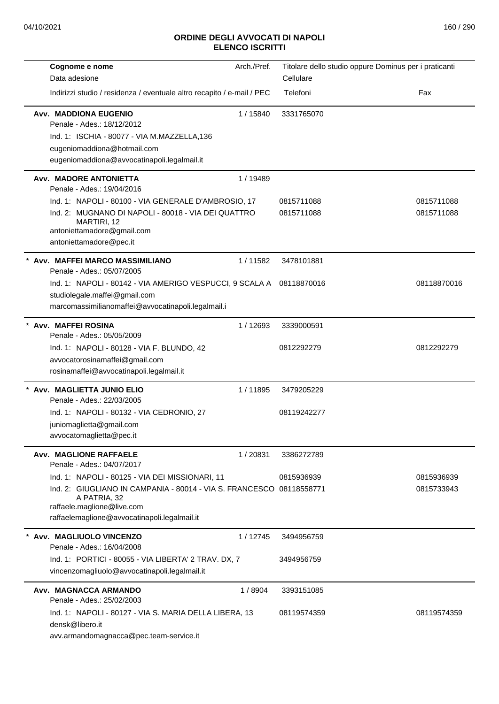| Cognome e nome                                                                                                              | Arch./Pref. |             | Titolare dello studio oppure Dominus per i praticanti |
|-----------------------------------------------------------------------------------------------------------------------------|-------------|-------------|-------------------------------------------------------|
| Data adesione                                                                                                               |             | Cellulare   |                                                       |
| Indirizzi studio / residenza / eventuale altro recapito / e-mail / PEC                                                      |             | Telefoni    | Fax                                                   |
| <b>Avv. MADDIONA EUGENIO</b><br>Penale - Ades.: 18/12/2012                                                                  | 1/15840     | 3331765070  |                                                       |
| Ind. 1: ISCHIA - 80077 - VIA M.MAZZELLA,136                                                                                 |             |             |                                                       |
| eugeniomaddiona@hotmail.com                                                                                                 |             |             |                                                       |
| eugeniomaddiona@avvocatinapoli.legalmail.it                                                                                 |             |             |                                                       |
| Avv. MADORE ANTONIETTA<br>Penale - Ades.: 19/04/2016                                                                        | 1 / 19489   |             |                                                       |
| Ind. 1: NAPOLI - 80100 - VIA GENERALE D'AMBROSIO, 17                                                                        |             | 0815711088  | 0815711088                                            |
| Ind. 2: MUGNANO DI NAPOLI - 80018 - VIA DEI QUATTRO<br>MARTIRI, 12<br>antoniettamadore@gmail.com<br>antoniettamadore@pec.it |             | 0815711088  | 0815711088                                            |
| * Avv. MAFFEI MARCO MASSIMILIANO<br>Penale - Ades.: 05/07/2005                                                              | 1/11582     | 3478101881  |                                                       |
| Ind. 1: NAPOLI - 80142 - VIA AMERIGO VESPUCCI, 9 SCALA A  08118870016                                                       |             |             | 08118870016                                           |
| studiolegale.maffei@gmail.com                                                                                               |             |             |                                                       |
| marcomassimilianomaffei@avvocatinapoli.legalmail.i                                                                          |             |             |                                                       |
| Avv. MAFFEI ROSINA<br>Penale - Ades.: 05/05/2009                                                                            | 1/12693     | 3339000591  |                                                       |
| Ind. 1: NAPOLI - 80128 - VIA F. BLUNDO, 42                                                                                  |             | 0812292279  | 0812292279                                            |
| avvocatorosinamaffei@gmail.com                                                                                              |             |             |                                                       |
| rosinamaffei@avvocatinapoli.legalmail.it                                                                                    |             |             |                                                       |
| * Avv. MAGLIETTA JUNIO ELIO<br>Penale - Ades.: 22/03/2005                                                                   | 1/11895     | 3479205229  |                                                       |
| Ind. 1: NAPOLI - 80132 - VIA CEDRONIO, 27                                                                                   |             | 08119242277 |                                                       |
| juniomaglietta@gmail.com                                                                                                    |             |             |                                                       |
| avvocatomaglietta@pec.it                                                                                                    |             |             |                                                       |
| <b>Avv. MAGLIONE RAFFAELE</b><br>Penale - Ades.: 04/07/2017                                                                 | 1/20831     | 3386272789  |                                                       |
| Ind. 1: NAPOLI - 80125 - VIA DEI MISSIONARI, 11                                                                             |             | 0815936939  | 0815936939                                            |
| Ind. 2: GIUGLIANO IN CAMPANIA - 80014 - VIA S. FRANCESCO 08118558771<br>A PATRIA, 32<br>raffaele.maglione@live.com          |             |             | 0815733943                                            |
| raffaelemaglione@avvocatinapoli.legalmail.it                                                                                |             |             |                                                       |
| * Avv. MAGLIUOLO VINCENZO<br>Penale - Ades.: 16/04/2008                                                                     | 1/12745     | 3494956759  |                                                       |
| Ind. 1: PORTICI - 80055 - VIA LIBERTA' 2 TRAV. DX, 7                                                                        |             | 3494956759  |                                                       |
| vincenzomagliuolo@avvocatinapoli.legalmail.it                                                                               |             |             |                                                       |
| Avv. MAGNACCA ARMANDO<br>Penale - Ades.: 25/02/2003                                                                         | 1/8904      | 3393151085  |                                                       |
| Ind. 1: NAPOLI - 80127 - VIA S. MARIA DELLA LIBERA, 13<br>densk@libero.it                                                   |             | 08119574359 | 08119574359                                           |
| avv.armandomagnacca@pec.team-service.it                                                                                     |             |             |                                                       |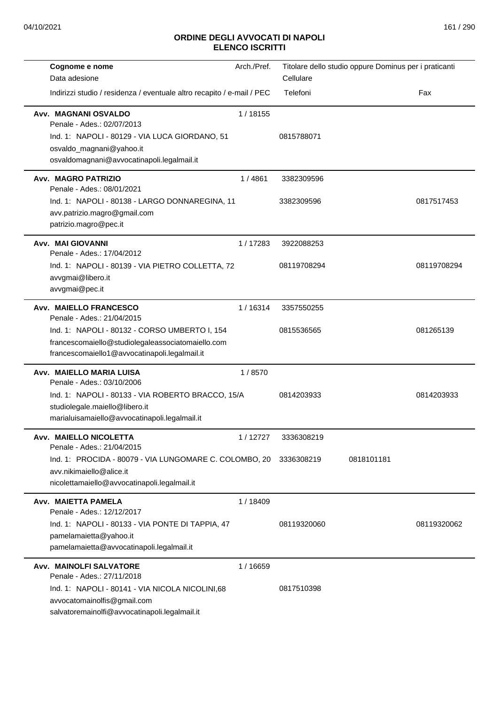| Cognome e nome                                                                                                                                                                                                     | Arch./Pref. |                           | Titolare dello studio oppure Dominus per i praticanti |             |
|--------------------------------------------------------------------------------------------------------------------------------------------------------------------------------------------------------------------|-------------|---------------------------|-------------------------------------------------------|-------------|
| Data adesione                                                                                                                                                                                                      |             | Cellulare                 |                                                       |             |
| Indirizzi studio / residenza / eventuale altro recapito / e-mail / PEC                                                                                                                                             |             | Telefoni                  |                                                       | Fax         |
| Avv. MAGNANI OSVALDO<br>Penale - Ades.: 02/07/2013<br>Ind. 1: NAPOLI - 80129 - VIA LUCA GIORDANO, 51<br>osvaldo_magnani@yahoo.it<br>osvaldomagnani@avvocatinapoli.legalmail.it                                     | 1/18155     | 0815788071                |                                                       |             |
| <b>Avv. MAGRO PATRIZIO</b><br>Penale - Ades.: 08/01/2021<br>Ind. 1: NAPOLI - 80138 - LARGO DONNAREGINA, 11<br>avv.patrizio.magro@gmail.com<br>patrizio.magro@pec.it                                                | 1/4861      | 3382309596<br>3382309596  |                                                       | 0817517453  |
| Avv. MAI GIOVANNI<br>Penale - Ades.: 17/04/2012<br>Ind. 1: NAPOLI - 80139 - VIA PIETRO COLLETTA, 72<br>avvgmai@libero.it<br>avvgmai@pec.it                                                                         | 1/17283     | 3922088253<br>08119708294 |                                                       | 08119708294 |
| <b>Avv. MAIELLO FRANCESCO</b><br>Penale - Ades.: 21/04/2015<br>Ind. 1: NAPOLI - 80132 - CORSO UMBERTO I, 154<br>francescomaiello@studiolegaleassociatomaiello.com<br>francescomaiello1@avvocatinapoli.legalmail.it | 1/16314     | 3357550255<br>0815536565  |                                                       | 081265139   |
| Avv. MAIELLO MARIA LUISA<br>Penale - Ades.: 03/10/2006<br>Ind. 1: NAPOLI - 80133 - VIA ROBERTO BRACCO, 15/A<br>studiolegale.maiello@libero.it<br>marialuisamaiello@avvocatinapoli.legalmail.it                     | 1/8570      | 0814203933                |                                                       | 0814203933  |
| Avv. MAIELLO NICOLETTA<br>Penale - Ades.: 21/04/2015<br>Ind. 1: PROCIDA - 80079 - VIA LUNGOMARE C. COLOMBO, 20<br>avv.nikimaiello@alice.it<br>nicolettamaiello@avvocatinapoli.legalmail.it                         | 1/12727     | 3336308219<br>3336308219  | 0818101181                                            |             |
| Avv. MAIETTA PAMELA<br>Penale - Ades.: 12/12/2017<br>Ind. 1: NAPOLI - 80133 - VIA PONTE DI TAPPIA, 47<br>pamelamaietta@yahoo.it<br>pamelamaietta@avvocatinapoli.legalmail.it                                       | 1/18409     | 08119320060               |                                                       | 08119320062 |
| <b>Avv. MAINOLFI SALVATORE</b><br>Penale - Ades.: 27/11/2018<br>Ind. 1: NAPOLI - 80141 - VIA NICOLA NICOLINI,68<br>avvocatomainolfis@gmail.com<br>salvatoremainolfi@avvocatinapoli.legalmail.it                    | 1/16659     | 0817510398                |                                                       |             |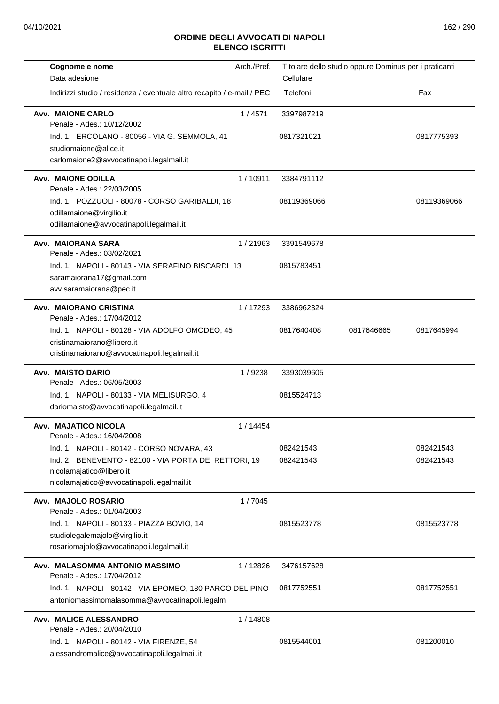| Cognome e nome                                                         | Arch./Pref. | Titolare dello studio oppure Dominus per i praticanti |            |             |
|------------------------------------------------------------------------|-------------|-------------------------------------------------------|------------|-------------|
| Data adesione                                                          |             | Cellulare                                             |            |             |
| Indirizzi studio / residenza / eventuale altro recapito / e-mail / PEC |             | Telefoni                                              |            | Fax         |
| <b>Avv. MAIONE CARLO</b>                                               | 1/4571      | 3397987219                                            |            |             |
| Penale - Ades.: 10/12/2002                                             |             |                                                       |            |             |
| Ind. 1: ERCOLANO - 80056 - VIA G. SEMMOLA, 41                          |             | 0817321021                                            |            | 0817775393  |
| studiomaione@alice.it                                                  |             |                                                       |            |             |
| carlomaione2@avvocatinapoli.legalmail.it                               |             |                                                       |            |             |
| <b>Avv. MAIONE ODILLA</b><br>Penale - Ades.: 22/03/2005                | 1/10911     | 3384791112                                            |            |             |
| Ind. 1: POZZUOLI - 80078 - CORSO GARIBALDI, 18                         |             | 08119369066                                           |            | 08119369066 |
| odillamaione@virgilio.it                                               |             |                                                       |            |             |
| odillamaione@avvocatinapoli.legalmail.it                               |             |                                                       |            |             |
|                                                                        |             |                                                       |            |             |
| Avv. MAIORANA SARA<br>Penale - Ades.: 03/02/2021                       | 1/21963     | 3391549678                                            |            |             |
| Ind. 1: NAPOLI - 80143 - VIA SERAFINO BISCARDI, 13                     |             | 0815783451                                            |            |             |
| saramaiorana17@gmail.com                                               |             |                                                       |            |             |
| avv.saramaiorana@pec.it                                                |             |                                                       |            |             |
|                                                                        |             |                                                       |            |             |
| Avv. MAIORANO CRISTINA<br>Penale - Ades.: 17/04/2012                   | 1/17293     | 3386962324                                            |            |             |
| Ind. 1: NAPOLI - 80128 - VIA ADOLFO OMODEO, 45                         |             | 0817640408                                            | 0817646665 | 0817645994  |
| cristinamaiorano@libero.it                                             |             |                                                       |            |             |
| cristinamaiorano@avvocatinapoli.legalmail.it                           |             |                                                       |            |             |
| Avv. MAISTO DARIO                                                      | 1/9238      | 3393039605                                            |            |             |
| Penale - Ades.: 06/05/2003                                             |             |                                                       |            |             |
| Ind. 1: NAPOLI - 80133 - VIA MELISURGO, 4                              |             | 0815524713                                            |            |             |
| dariomaisto@avvocatinapoli.legalmail.it                                |             |                                                       |            |             |
| Avv. MAJATICO NICOLA                                                   | 1 / 14454   |                                                       |            |             |
| Penale - Ades.: 16/04/2008                                             |             |                                                       |            |             |
| Ind. 1: NAPOLI - 80142 - CORSO NOVARA, 43                              |             | 082421543                                             |            | 082421543   |
| Ind. 2: BENEVENTO - 82100 - VIA PORTA DEI RETTORI, 19                  |             | 082421543                                             |            | 082421543   |
| nicolamajatico@libero.it                                               |             |                                                       |            |             |
| nicolamajatico@avvocatinapoli.legalmail.it                             |             |                                                       |            |             |
| Avv. MAJOLO ROSARIO                                                    | 1/7045      |                                                       |            |             |
| Penale - Ades.: 01/04/2003                                             |             |                                                       |            |             |
| Ind. 1: NAPOLI - 80133 - PIAZZA BOVIO, 14                              |             | 0815523778                                            |            | 0815523778  |
| studiolegalemajolo@virgilio.it                                         |             |                                                       |            |             |
| rosariomajolo@avvocatinapoli.legalmail.it                              |             |                                                       |            |             |
| Avv. MALASOMMA ANTONIO MASSIMO                                         |             |                                                       |            |             |
| Penale - Ades.: 17/04/2012                                             | 1/12826     | 3476157628                                            |            |             |
| Ind. 1: NAPOLI - 80142 - VIA EPOMEO, 180 PARCO DEL PINO                |             | 0817752551                                            |            | 0817752551  |
| antoniomassimomalasomma@avvocatinapoli.legalm                          |             |                                                       |            |             |
|                                                                        |             |                                                       |            |             |
| <b>Avv. MALICE ALESSANDRO</b><br>Penale - Ades.: 20/04/2010            | 1/14808     |                                                       |            |             |
| Ind. 1: NAPOLI - 80142 - VIA FIRENZE, 54                               |             | 0815544001                                            |            | 081200010   |
| alessandromalice@avvocatinapoli.legalmail.it                           |             |                                                       |            |             |
|                                                                        |             |                                                       |            |             |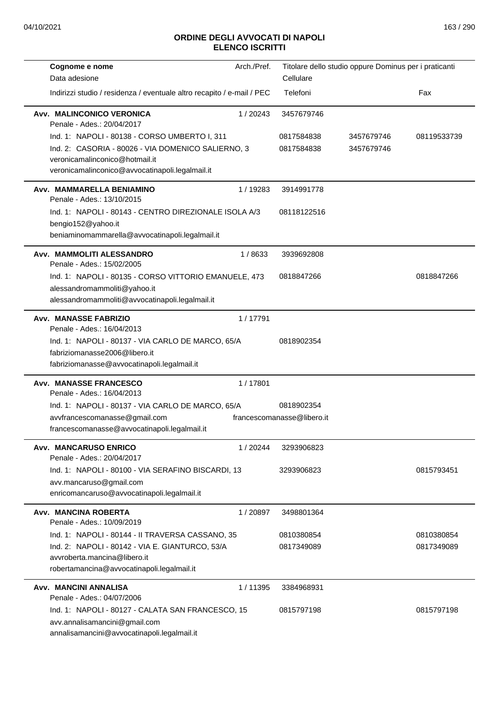| Arch./Pref.<br>Cognome e nome                                                      |                            | Titolare dello studio oppure Dominus per i praticanti |             |
|------------------------------------------------------------------------------------|----------------------------|-------------------------------------------------------|-------------|
| Data adesione                                                                      | Cellulare                  |                                                       |             |
| Indirizzi studio / residenza / eventuale altro recapito / e-mail / PEC             | Telefoni                   |                                                       | Fax         |
| Avv. MALINCONICO VERONICA<br>1/20243<br>Penale - Ades.: 20/04/2017                 | 3457679746                 |                                                       |             |
| Ind. 1: NAPOLI - 80138 - CORSO UMBERTO I, 311                                      | 0817584838                 | 3457679746                                            | 08119533739 |
| Ind. 2: CASORIA - 80026 - VIA DOMENICO SALIERNO, 3                                 | 0817584838                 | 3457679746                                            |             |
| veronicamalinconico@hotmail.it                                                     |                            |                                                       |             |
| veronicamalinconico@avvocatinapoli.legalmail.it                                    |                            |                                                       |             |
| Avv. MAMMARELLA BENIAMINO<br>1/19283<br>Penale - Ades.: 13/10/2015                 | 3914991778                 |                                                       |             |
| Ind. 1: NAPOLI - 80143 - CENTRO DIREZIONALE ISOLA A/3                              | 08118122516                |                                                       |             |
| bengio152@yahoo.it                                                                 |                            |                                                       |             |
| beniaminomammarella@avvocatinapoli.legalmail.it                                    |                            |                                                       |             |
| Avv. MAMMOLITI ALESSANDRO<br>1/8633<br>Penale - Ades.: 15/02/2005                  | 3939692808                 |                                                       |             |
| Ind. 1: NAPOLI - 80135 - CORSO VITTORIO EMANUELE, 473                              | 0818847266                 |                                                       | 0818847266  |
| alessandromammoliti@yahoo.it                                                       |                            |                                                       |             |
| alessandromammoliti@avvocatinapoli.legalmail.it                                    |                            |                                                       |             |
| <b>Avv. MANASSE FABRIZIO</b><br>1/17791<br>Penale - Ades.: 16/04/2013              |                            |                                                       |             |
| Ind. 1: NAPOLI - 80137 - VIA CARLO DE MARCO, 65/A                                  | 0818902354                 |                                                       |             |
| fabriziomanasse2006@libero.it                                                      |                            |                                                       |             |
| fabriziomanasse@avvocatinapoli.legalmail.it                                        |                            |                                                       |             |
| <b>Avv. MANASSE FRANCESCO</b><br>1/17801<br>Penale - Ades.: 16/04/2013             |                            |                                                       |             |
| Ind. 1: NAPOLI - 80137 - VIA CARLO DE MARCO, 65/A                                  | 0818902354                 |                                                       |             |
| avvfrancescomanasse@gmail.com                                                      | francescomanasse@libero.it |                                                       |             |
| francescomanasse@avvocatinapoli.legalmail.it                                       |                            |                                                       |             |
| <b>Avv. MANCARUSO ENRICO</b><br>1/20244<br>Penale - Ades.: 20/04/2017              | 3293906823                 |                                                       |             |
| Ind. 1: NAPOLI - 80100 - VIA SERAFINO BISCARDI, 13                                 | 3293906823                 |                                                       | 0815793451  |
| avv.mancaruso@gmail.com                                                            |                            |                                                       |             |
| enricomancaruso@avvocatinapoli.legalmail.it                                        |                            |                                                       |             |
| <b>Avv. MANCINA ROBERTA</b><br>1 / 20897<br>Penale - Ades.: 10/09/2019             | 3498801364                 |                                                       |             |
| Ind. 1: NAPOLI - 80144 - II TRAVERSA CASSANO, 35                                   | 0810380854                 |                                                       | 0810380854  |
| Ind. 2: NAPOLI - 80142 - VIA E. GIANTURCO, 53/A                                    | 0817349089                 |                                                       | 0817349089  |
| avvroberta.mancina@libero.it                                                       |                            |                                                       |             |
| robertamancina@avvocatinapoli.legalmail.it                                         |                            |                                                       |             |
| Avv. MANCINI ANNALISA<br>1/11395                                                   | 3384968931                 |                                                       |             |
| Penale - Ades.: 04/07/2006                                                         |                            |                                                       |             |
| Ind. 1: NAPOLI - 80127 - CALATA SAN FRANCESCO, 15<br>avv.annalisamancini@gmail.com | 0815797198                 |                                                       | 0815797198  |
| annalisamancini@avvocatinapoli.legalmail.it                                        |                            |                                                       |             |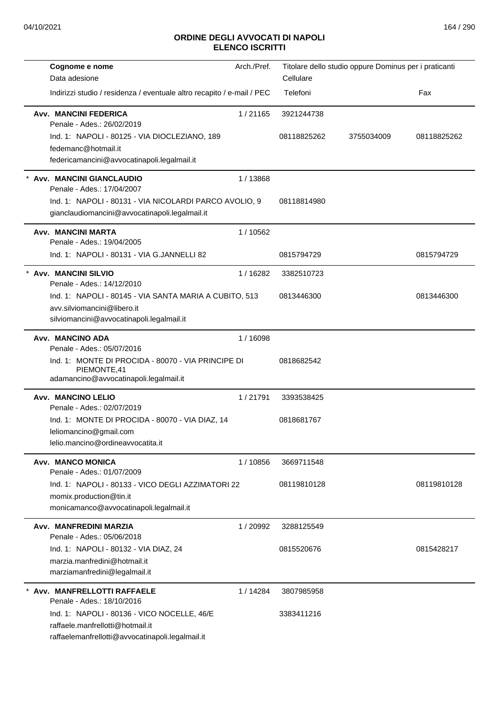| Cognome e nome<br>Data adesione                                                                                                     | Arch./Pref. | Cellulare                 | Titolare dello studio oppure Dominus per i praticanti |             |
|-------------------------------------------------------------------------------------------------------------------------------------|-------------|---------------------------|-------------------------------------------------------|-------------|
| Indirizzi studio / residenza / eventuale altro recapito / e-mail / PEC                                                              |             | Telefoni                  |                                                       | Fax         |
| <b>Avv. MANCINI FEDERICA</b><br>Penale - Ades.: 26/02/2019<br>Ind. 1: NAPOLI - 80125 - VIA DIOCLEZIANO, 189                         | 1/21165     | 3921244738<br>08118825262 | 3755034009                                            | 08118825262 |
| fedemanc@hotmail.it<br>federicamancini@avvocatinapoli.legalmail.it                                                                  |             |                           |                                                       |             |
| * Avv. MANCINI GIANCLAUDIO<br>Penale - Ades.: 17/04/2007                                                                            | 1/13868     |                           |                                                       |             |
| Ind. 1: NAPOLI - 80131 - VIA NICOLARDI PARCO AVOLIO, 9<br>gianclaudiomancini@avvocatinapoli.legalmail.it                            |             | 08118814980               |                                                       |             |
| Avv. MANCINI MARTA<br>Penale - Ades.: 19/04/2005                                                                                    | 1/10562     |                           |                                                       |             |
| Ind. 1: NAPOLI - 80131 - VIA G.JANNELLI 82                                                                                          |             | 0815794729                |                                                       | 0815794729  |
| * Avv. MANCINI SILVIO<br>Penale - Ades.: 14/12/2010                                                                                 | 1/16282     | 3382510723                |                                                       |             |
| Ind. 1: NAPOLI - 80145 - VIA SANTA MARIA A CUBITO, 513<br>avv.silviomancini@libero.it<br>silviomancini@avvocatinapoli.legalmail.it  |             | 0813446300                |                                                       | 0813446300  |
| Avv. MANCINO ADA<br>Penale - Ades.: 05/07/2016                                                                                      | 1 / 16098   |                           |                                                       |             |
| Ind. 1: MONTE DI PROCIDA - 80070 - VIA PRINCIPE DI<br>PIEMONTE,41<br>adamancino@avvocatinapoli.legalmail.it                         |             | 0818682542                |                                                       |             |
| Avv. MANCINO LELIO<br>Penale - Ades.: 02/07/2019                                                                                    | 1/21791     | 3393538425                |                                                       |             |
| Ind. 1: MONTE DI PROCIDA - 80070 - VIA DIAZ, 14<br>leliomancino@gmail.com<br>lelio.mancino@ordineavvocatita.it                      |             | 0818681767                |                                                       |             |
| Avv. MANCO MONICA<br>Penale - Ades.: 01/07/2009                                                                                     | 1/10856     | 3669711548                |                                                       |             |
| Ind. 1: NAPOLI - 80133 - VICO DEGLI AZZIMATORI 22<br>momix.production@tin.it<br>monicamanco@avvocatinapoli.legalmail.it             |             | 08119810128               |                                                       | 08119810128 |
| Avv. MANFREDINI MARZIA<br>Penale - Ades.: 05/06/2018                                                                                | 1/20992     | 3288125549                |                                                       |             |
| Ind. 1: NAPOLI - 80132 - VIA DIAZ, 24<br>marzia.manfredini@hotmail.it<br>marziamanfredini@legalmail.it                              |             | 0815520676                |                                                       | 0815428217  |
| Avv. MANFRELLOTTI RAFFAELE<br>Penale - Ades.: 18/10/2016                                                                            | 1/14284     | 3807985958                |                                                       |             |
| Ind. 1: NAPOLI - 80136 - VICO NOCELLE, 46/E<br>raffaele.manfrellotti@hotmail.it<br>raffaelemanfrellotti@avvocatinapoli.legalmail.it |             | 3383411216                |                                                       |             |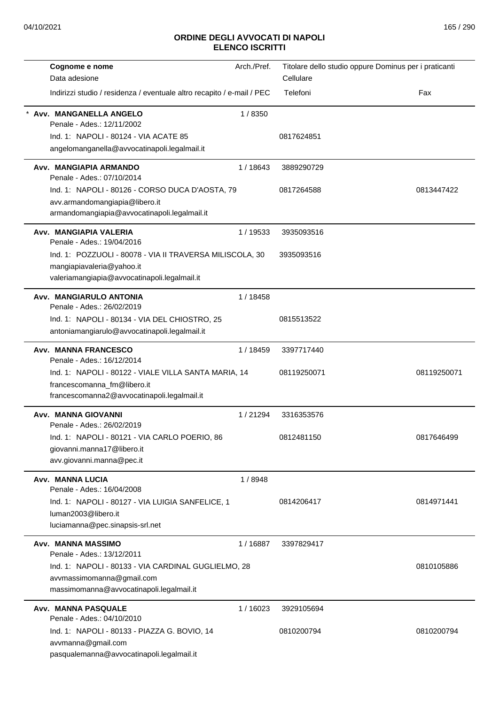| Cognome e nome                                                                 | Arch./Pref. | Titolare dello studio oppure Dominus per i praticanti |             |
|--------------------------------------------------------------------------------|-------------|-------------------------------------------------------|-------------|
| Data adesione                                                                  |             | Cellulare                                             |             |
| Indirizzi studio / residenza / eventuale altro recapito / e-mail / PEC         |             | Telefoni                                              | Fax         |
| Avv. MANGANELLA ANGELO<br>Penale - Ades.: 12/11/2002                           | 1/8350      |                                                       |             |
| Ind. 1: NAPOLI - 80124 - VIA ACATE 85                                          |             | 0817624851                                            |             |
| angelomanganella@avvocatinapoli.legalmail.it                                   |             |                                                       |             |
| Avv. MANGIAPIA ARMANDO<br>Penale - Ades.: 07/10/2014                           | 1/18643     | 3889290729                                            |             |
| Ind. 1: NAPOLI - 80126 - CORSO DUCA D'AOSTA, 79                                |             | 0817264588                                            | 0813447422  |
| avv.armandomangiapia@libero.it<br>armandomangiapia@avvocatinapoli.legalmail.it |             |                                                       |             |
| Avv. MANGIAPIA VALERIA<br>Penale - Ades.: 19/04/2016                           | 1/19533     | 3935093516                                            |             |
| Ind. 1: POZZUOLI - 80078 - VIA II TRAVERSA MILISCOLA, 30                       |             | 3935093516                                            |             |
| mangiapiavaleria@yahoo.it<br>valeriamangiapia@avvocatinapoli.legalmail.it      |             |                                                       |             |
| Avv. MANGIARULO ANTONIA<br>Penale - Ades.: 26/02/2019                          | 1 / 18458   |                                                       |             |
| Ind. 1: NAPOLI - 80134 - VIA DEL CHIOSTRO, 25                                  |             | 0815513522                                            |             |
| antoniamangiarulo@avvocatinapoli.legalmail.it                                  |             |                                                       |             |
| Avv. MANNA FRANCESCO                                                           | 1 / 18459   | 3397717440                                            |             |
| Penale - Ades.: 16/12/2014                                                     |             |                                                       |             |
| Ind. 1: NAPOLI - 80122 - VIALE VILLA SANTA MARIA, 14                           |             | 08119250071                                           | 08119250071 |
| francescomanna_fm@libero.it                                                    |             |                                                       |             |
| francescomanna2@avvocatinapoli.legalmail.it                                    |             |                                                       |             |
| Avv. MANNA GIOVANNI<br>Penale - Ades.: 26/02/2019                              | 1/21294     | 3316353576                                            |             |
| Ind. 1: NAPOLI - 80121 - VIA CARLO POERIO, 86                                  |             | 0812481150                                            | 0817646499  |
| giovanni.manna17@libero.it<br>avv.giovanni.manna@pec.it                        |             |                                                       |             |
| Avv. MANNA LUCIA                                                               | 1/8948      |                                                       |             |
| Penale - Ades.: 16/04/2008                                                     |             |                                                       |             |
| Ind. 1: NAPOLI - 80127 - VIA LUIGIA SANFELICE, 1                               |             | 0814206417                                            | 0814971441  |
| luman2003@libero.it                                                            |             |                                                       |             |
| luciamanna@pec.sinapsis-srl.net                                                |             |                                                       |             |
| Avv. MANNA MASSIMO<br>Penale - Ades.: 13/12/2011                               | 1/16887     | 3397829417                                            |             |
| Ind. 1: NAPOLI - 80133 - VIA CARDINAL GUGLIELMO, 28                            |             |                                                       | 0810105886  |
| avvmassimomanna@gmail.com                                                      |             |                                                       |             |
| massimomanna@avvocatinapoli.legalmail.it                                       |             |                                                       |             |
| <b>Avv. MANNA PASQUALE</b><br>Penale - Ades.: 04/10/2010                       | 1/16023     | 3929105694                                            |             |
| Ind. 1: NAPOLI - 80133 - PIAZZA G. BOVIO, 14                                   |             | 0810200794                                            | 0810200794  |
| avvmanna@gmail.com                                                             |             |                                                       |             |
| pasqualemanna@avvocatinapoli.legalmail.it                                      |             |                                                       |             |
|                                                                                |             |                                                       |             |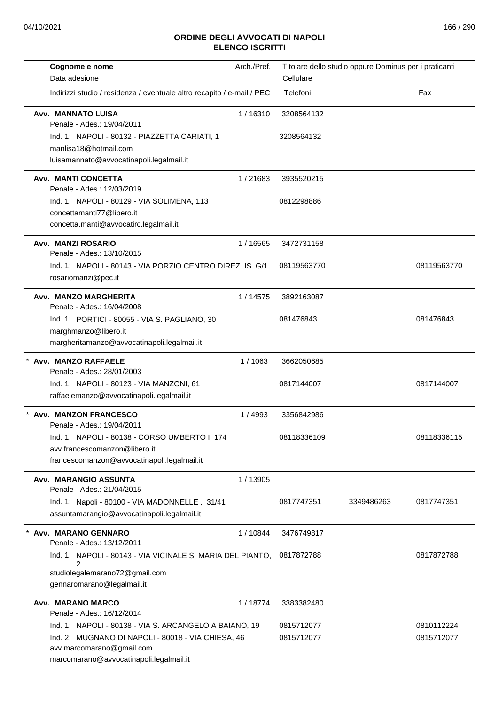| Cognome e nome                                                                                                             | Arch./Pref. |             | Titolare dello studio oppure Dominus per i praticanti |             |
|----------------------------------------------------------------------------------------------------------------------------|-------------|-------------|-------------------------------------------------------|-------------|
| Data adesione                                                                                                              |             | Cellulare   |                                                       |             |
| Indirizzi studio / residenza / eventuale altro recapito / e-mail / PEC                                                     |             | Telefoni    |                                                       | Fax         |
| <b>Avv. MANNATO LUISA</b><br>Penale - Ades.: 19/04/2011                                                                    | 1/16310     | 3208564132  |                                                       |             |
| Ind. 1: NAPOLI - 80132 - PIAZZETTA CARIATI, 1                                                                              |             | 3208564132  |                                                       |             |
| manlisa18@hotmail.com<br>luisamannato@avvocatinapoli.legalmail.it                                                          |             |             |                                                       |             |
| <b>Avv. MANTI CONCETTA</b>                                                                                                 | 1/21683     | 3935520215  |                                                       |             |
| Penale - Ades.: 12/03/2019<br>Ind. 1: NAPOLI - 80129 - VIA SOLIMENA, 113                                                   |             | 0812298886  |                                                       |             |
| concettamanti77@libero.it                                                                                                  |             |             |                                                       |             |
| concetta.manti@avvocatirc.legalmail.it                                                                                     |             |             |                                                       |             |
| Avv. MANZI ROSARIO<br>Penale - Ades.: 13/10/2015                                                                           | 1 / 16565   | 3472731158  |                                                       |             |
| Ind. 1: NAPOLI - 80143 - VIA PORZIO CENTRO DIREZ. IS. G/1                                                                  |             | 08119563770 |                                                       | 08119563770 |
| rosariomanzi@pec.it                                                                                                        |             |             |                                                       |             |
| Avv. MANZO MARGHERITA<br>Penale - Ades.: 16/04/2008                                                                        | 1/14575     | 3892163087  |                                                       |             |
| Ind. 1: PORTICI - 80055 - VIA S. PAGLIANO, 30                                                                              |             | 081476843   |                                                       | 081476843   |
| marghmanzo@libero.it                                                                                                       |             |             |                                                       |             |
| margheritamanzo@avvocatinapoli.legalmail.it                                                                                |             |             |                                                       |             |
| * Avv. MANZO RAFFAELE<br>Penale - Ades.: 28/01/2003                                                                        | 1/1063      | 3662050685  |                                                       |             |
| Ind. 1: NAPOLI - 80123 - VIA MANZONI, 61                                                                                   |             | 0817144007  |                                                       | 0817144007  |
| raffaelemanzo@avvocatinapoli.legalmail.it                                                                                  |             |             |                                                       |             |
| Avv. MANZON FRANCESCO<br>Penale - Ades.: 19/04/2011                                                                        | 1/4993      | 3356842986  |                                                       |             |
| Ind. 1: NAPOLI - 80138 - CORSO UMBERTO I, 174                                                                              |             | 08118336109 |                                                       | 08118336115 |
| avv.francescomanzon@libero.it<br>francescomanzon@avvocatinapoli.legalmail.it                                               |             |             |                                                       |             |
| Avv. MARANGIO ASSUNTA<br>Penale - Ades.: 21/04/2015                                                                        | 1 / 13905   |             |                                                       |             |
| Ind. 1: Napoli - 80100 - VIA MADONNELLE, 31/41                                                                             |             | 0817747351  | 3349486263                                            | 0817747351  |
| assuntamarangio@avvocatinapoli.legalmail.it                                                                                |             |             |                                                       |             |
| Avv. MARANO GENNARO<br>Penale - Ades.: 13/12/2011                                                                          | 1/10844     | 3476749817  |                                                       |             |
| Ind. 1: NAPOLI - 80143 - VIA VICINALE S. MARIA DEL PIANTO,<br>2                                                            |             | 0817872788  |                                                       | 0817872788  |
| studiolegalemarano72@gmail.com<br>gennaromarano@legalmail.it                                                               |             |             |                                                       |             |
| Avv. MARANO MARCO<br>Penale - Ades.: 16/12/2014                                                                            | 1/18774     | 3383382480  |                                                       |             |
| Ind. 1: NAPOLI - 80138 - VIA S. ARCANGELO A BAIANO, 19                                                                     |             | 0815712077  |                                                       | 0810112224  |
| Ind. 2: MUGNANO DI NAPOLI - 80018 - VIA CHIESA, 46<br>avv.marcomarano@gmail.com<br>marcomarano@avvocatinapoli.legalmail.it |             | 0815712077  |                                                       | 0815712077  |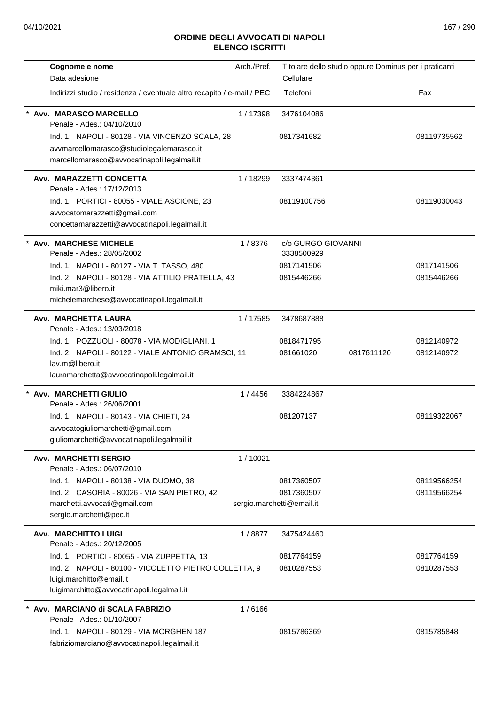| Cognome e nome                                                                                                                                                      | Arch./Pref. | Titolare dello studio oppure Dominus per i praticanti |            |                          |
|---------------------------------------------------------------------------------------------------------------------------------------------------------------------|-------------|-------------------------------------------------------|------------|--------------------------|
| Data adesione                                                                                                                                                       |             | Cellulare                                             |            |                          |
| Indirizzi studio / residenza / eventuale altro recapito / e-mail / PEC                                                                                              |             | Telefoni                                              |            | Fax                      |
| Avv. MARASCO MARCELLO<br>Penale - Ades.: 04/10/2010                                                                                                                 | 1/17398     | 3476104086                                            |            |                          |
| Ind. 1: NAPOLI - 80128 - VIA VINCENZO SCALA, 28                                                                                                                     |             | 0817341682                                            |            | 08119735562              |
| avvmarcellomarasco@studiolegalemarasco.it<br>marcellomarasco@avvocatinapoli.legalmail.it                                                                            |             |                                                       |            |                          |
| Avv. MARAZZETTI CONCETTA<br>Penale - Ades.: 17/12/2013                                                                                                              | 1/18299     | 3337474361                                            |            |                          |
| Ind. 1: PORTICI - 80055 - VIALE ASCIONE, 23<br>avvocatomarazzetti@gmail.com<br>concettamarazzetti@avvocatinapoli.legalmail.it                                       |             | 08119100756                                           |            | 08119030043              |
| * Avv. MARCHESE MICHELE<br>Penale - Ades.: 28/05/2002                                                                                                               | 1/8376      | c/o GURGO GIOVANNI<br>3338500929                      |            |                          |
| Ind. 1: NAPOLI - 80127 - VIA T. TASSO, 480                                                                                                                          |             | 0817141506                                            |            | 0817141506               |
| Ind. 2: NAPOLI - 80128 - VIA ATTILIO PRATELLA, 43<br>miki.mar3@libero.it<br>michelemarchese@avvocatinapoli.legalmail.it                                             |             | 0815446266                                            |            | 0815446266               |
| Avv. MARCHETTA LAURA<br>Penale - Ades.: 13/03/2018                                                                                                                  | 1/17585     | 3478687888                                            |            |                          |
| Ind. 1: POZZUOLI - 80078 - VIA MODIGLIANI, 1<br>Ind. 2: NAPOLI - 80122 - VIALE ANTONIO GRAMSCI, 11<br>lav.m@libero.it<br>lauramarchetta@avvocatinapoli.legalmail.it |             | 0818471795<br>081661020                               | 0817611120 | 0812140972<br>0812140972 |
| * Avv. MARCHETTI GIULIO<br>Penale - Ades.: 26/06/2001                                                                                                               | 1 / 4456    | 3384224867                                            |            |                          |
| Ind. 1: NAPOLI - 80143 - VIA CHIETI, 24                                                                                                                             |             | 081207137                                             |            | 08119322067              |
| avvocatogiuliomarchetti@gmail.com<br>giuliomarchetti@avvocatinapoli.legalmail.it                                                                                    |             |                                                       |            |                          |
| <b>Avv. MARCHETTI SERGIO</b><br>Penale - Ades.: 06/07/2010                                                                                                          | 1/10021     |                                                       |            |                          |
| Ind. 1: NAPOLI - 80138 - VIA DUOMO, 38                                                                                                                              |             | 0817360507                                            |            | 08119566254              |
| Ind. 2: CASORIA - 80026 - VIA SAN PIETRO, 42                                                                                                                        |             | 0817360507                                            |            | 08119566254              |
| marchetti.avvocati@gmail.com<br>sergio.marchetti@pec.it                                                                                                             |             | sergio.marchetti@email.it                             |            |                          |
| <b>Avv. MARCHITTO LUIGI</b><br>Penale - Ades.: 20/12/2005                                                                                                           | 1/8877      | 3475424460                                            |            |                          |
| Ind. 1: PORTICI - 80055 - VIA ZUPPETTA, 13                                                                                                                          |             | 0817764159                                            |            | 0817764159               |
| Ind. 2: NAPOLI - 80100 - VICOLETTO PIETRO COLLETTA, 9<br>luigi.marchitto@email.it<br>luigimarchitto@avvocatinapoli.legalmail.it                                     |             | 0810287553                                            |            | 0810287553               |
| Avv. MARCIANO di SCALA FABRIZIO<br>Penale - Ades.: 01/10/2007                                                                                                       | 1/6166      |                                                       |            |                          |
| Ind. 1: NAPOLI - 80129 - VIA MORGHEN 187<br>fabriziomarciano@avvocatinapoli.legalmail.it                                                                            |             | 0815786369                                            |            | 0815785848               |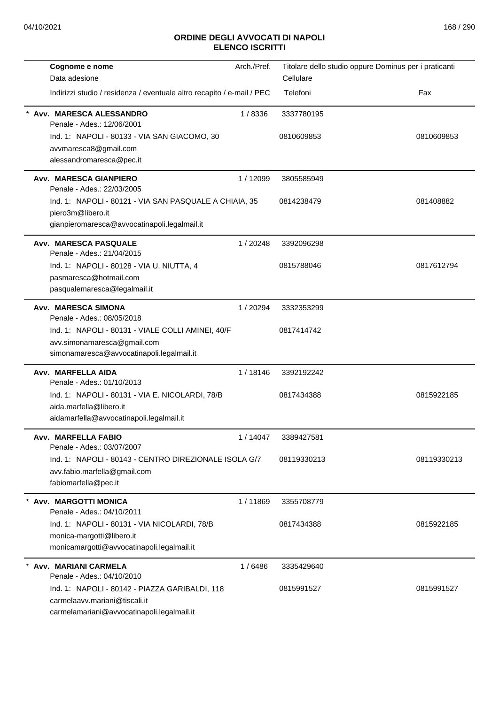| Cognome e nome                                                              | Arch./Pref. | Titolare dello studio oppure Dominus per i praticanti |             |
|-----------------------------------------------------------------------------|-------------|-------------------------------------------------------|-------------|
| Data adesione                                                               |             | Cellulare                                             |             |
| Indirizzi studio / residenza / eventuale altro recapito / e-mail / PEC      |             | Telefoni                                              | Fax         |
| Avv. MARESCA ALESSANDRO<br>Penale - Ades.: 12/06/2001                       | 1/8336      | 3337780195                                            |             |
| Ind. 1: NAPOLI - 80133 - VIA SAN GIACOMO, 30                                |             | 0810609853                                            | 0810609853  |
| avvmaresca8@gmail.com                                                       |             |                                                       |             |
| alessandromaresca@pec.it                                                    |             |                                                       |             |
| Avv. MARESCA GIANPIERO<br>Penale - Ades.: 22/03/2005                        | 1/12099     | 3805585949                                            |             |
| Ind. 1: NAPOLI - 80121 - VIA SAN PASQUALE A CHIAIA, 35                      |             | 0814238479                                            | 081408882   |
| piero3m@libero.it                                                           |             |                                                       |             |
| gianpieromaresca@avvocatinapoli.legalmail.it                                |             |                                                       |             |
| Avv. MARESCA PASQUALE<br>Penale - Ades.: 21/04/2015                         | 1/20248     | 3392096298                                            |             |
| Ind. 1: NAPOLI - 80128 - VIA U. NIUTTA, 4                                   |             | 0815788046                                            | 0817612794  |
| pasmaresca@hotmail.com                                                      |             |                                                       |             |
| pasqualemaresca@legalmail.it                                                |             |                                                       |             |
| Avv. MARESCA SIMONA<br>Penale - Ades.: 08/05/2018                           | 1/20294     | 3332353299                                            |             |
| Ind. 1: NAPOLI - 80131 - VIALE COLLI AMINEI, 40/F                           |             | 0817414742                                            |             |
| avv.simonamaresca@gmail.com                                                 |             |                                                       |             |
| simonamaresca@avvocatinapoli.legalmail.it                                   |             |                                                       |             |
| Avv. MARFELLA AIDA<br>Penale - Ades.: 01/10/2013                            | 1/18146     | 3392192242                                            |             |
| Ind. 1: NAPOLI - 80131 - VIA E. NICOLARDI, 78/B                             |             | 0817434388                                            | 0815922185  |
| aida.marfella@libero.it                                                     |             |                                                       |             |
| aidamarfella@avvocatinapoli.legalmail.it                                    |             |                                                       |             |
| Avv. MARFELLA FABIO<br>Penale - Ades.: 03/07/2007                           | 1/14047     | 3389427581                                            |             |
| Ind. 1: NAPOLI - 80143 - CENTRO DIREZIONALE ISOLA G/7                       |             | 08119330213                                           | 08119330213 |
| avv.fabio.marfella@gmail.com                                                |             |                                                       |             |
| fabiomarfella@pec.it                                                        |             |                                                       |             |
| Avv. MARGOTTI MONICA<br>Penale - Ades.: 04/10/2011                          | 1/11869     | 3355708779                                            |             |
| Ind. 1: NAPOLI - 80131 - VIA NICOLARDI, 78/B                                |             | 0817434388                                            | 0815922185  |
| monica-margotti@libero.it                                                   |             |                                                       |             |
| monicamargotti@avvocatinapoli.legalmail.it                                  |             |                                                       |             |
| Avv. MARIANI CARMELA                                                        | 1/6486      | 3335429640                                            |             |
| Penale - Ades.: 04/10/2010                                                  |             |                                                       |             |
| Ind. 1: NAPOLI - 80142 - PIAZZA GARIBALDI, 118                              |             | 0815991527                                            | 0815991527  |
| carmelaavv.mariani@tiscali.it<br>carmelamariani@avvocatinapoli.legalmail.it |             |                                                       |             |
|                                                                             |             |                                                       |             |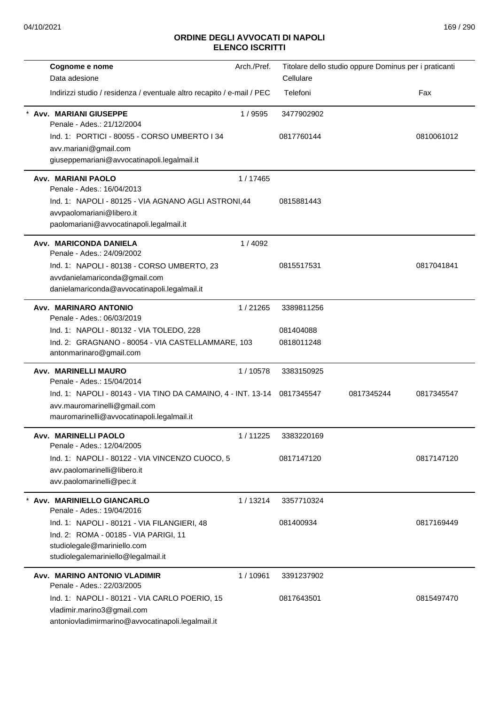| Cognome e nome                                                         | Arch./Pref. |            | Titolare dello studio oppure Dominus per i praticanti |            |
|------------------------------------------------------------------------|-------------|------------|-------------------------------------------------------|------------|
| Data adesione                                                          |             | Cellulare  |                                                       |            |
| Indirizzi studio / residenza / eventuale altro recapito / e-mail / PEC |             | Telefoni   |                                                       | Fax        |
| <b>Avv. MARIANI GIUSEPPE</b><br>Penale - Ades.: 21/12/2004             | 1/9595      | 3477902902 |                                                       |            |
| Ind. 1: PORTICI - 80055 - CORSO UMBERTO I 34                           |             | 0817760144 |                                                       | 0810061012 |
| avv.mariani@gmail.com                                                  |             |            |                                                       |            |
| giuseppemariani@avvocatinapoli.legalmail.it                            |             |            |                                                       |            |
| <b>Avv. MARIANI PAOLO</b><br>Penale - Ades.: 16/04/2013                | 1 / 17465   |            |                                                       |            |
| Ind. 1: NAPOLI - 80125 - VIA AGNANO AGLI ASTRONI,44                    |             | 0815881443 |                                                       |            |
| avvpaolomariani@libero.it<br>paolomariani@avvocatinapoli.legalmail.it  |             |            |                                                       |            |
|                                                                        |             |            |                                                       |            |
| Avv. MARICONDA DANIELA<br>Penale - Ades.: 24/09/2002                   | 1/4092      |            |                                                       |            |
| Ind. 1: NAPOLI - 80138 - CORSO UMBERTO, 23                             |             | 0815517531 |                                                       | 0817041841 |
| avvdanielamariconda@gmail.com                                          |             |            |                                                       |            |
| danielamariconda@avvocatinapoli.legalmail.it                           |             |            |                                                       |            |
| Avv. MARINARO ANTONIO<br>Penale - Ades.: 06/03/2019                    | 1/21265     | 3389811256 |                                                       |            |
| Ind. 1: NAPOLI - 80132 - VIA TOLEDO, 228                               |             | 081404088  |                                                       |            |
| Ind. 2: GRAGNANO - 80054 - VIA CASTELLAMMARE, 103                      |             | 0818011248 |                                                       |            |
| antonmarinaro@gmail.com                                                |             |            |                                                       |            |
| Avv. MARINELLI MAURO<br>Penale - Ades.: 15/04/2014                     | 1/10578     | 3383150925 |                                                       |            |
| Ind. 1: NAPOLI - 80143 - VIA TINO DA CAMAINO, 4 - INT. 13-14           |             | 0817345547 | 0817345244                                            | 0817345547 |
| avv.mauromarinelli@gmail.com                                           |             |            |                                                       |            |
| mauromarinelli@avvocatinapoli.legalmail.it                             |             |            |                                                       |            |
| Avv. MARINELLI PAOLO<br>Penale - Ades.: 12/04/2005                     | 1/11225     | 3383220169 |                                                       |            |
| Ind. 1: NAPOLI - 80122 - VIA VINCENZO CUOCO, 5                         |             | 0817147120 |                                                       | 0817147120 |
| avv.paolomarinelli@libero.it                                           |             |            |                                                       |            |
| avv.paolomarinelli@pec.it                                              |             |            |                                                       |            |
| Avv. MARINIELLO GIANCARLO<br>Penale - Ades.: 19/04/2016                | 1/13214     | 3357710324 |                                                       |            |
| Ind. 1: NAPOLI - 80121 - VIA FILANGIERI, 48                            |             | 081400934  |                                                       | 0817169449 |
| Ind. 2: ROMA - 00185 - VIA PARIGI, 11                                  |             |            |                                                       |            |
| studiolegale@mariniello.com                                            |             |            |                                                       |            |
| studiolegalemariniello@legalmail.it                                    |             |            |                                                       |            |
| Avv. MARINO ANTONIO VLADIMIR<br>Penale - Ades.: 22/03/2005             | 1/10961     | 3391237902 |                                                       |            |
| Ind. 1: NAPOLI - 80121 - VIA CARLO POERIO, 15                          |             | 0817643501 |                                                       | 0815497470 |
| vladimir.marino3@gmail.com                                             |             |            |                                                       |            |
| antoniovladimirmarino@avvocatinapoli.legalmail.it                      |             |            |                                                       |            |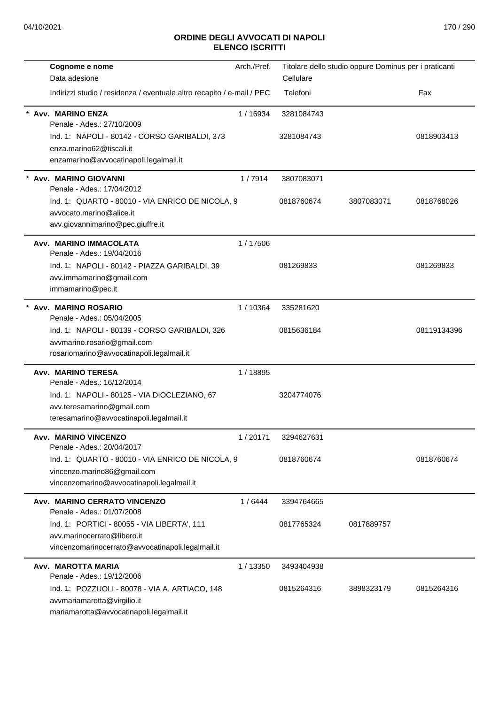| Cognome e nome                                                               | Arch./Pref. | Titolare dello studio oppure Dominus per i praticanti |            |             |
|------------------------------------------------------------------------------|-------------|-------------------------------------------------------|------------|-------------|
| Data adesione                                                                |             | Cellulare                                             |            |             |
| Indirizzi studio / residenza / eventuale altro recapito / e-mail / PEC       |             | Telefoni                                              |            | Fax         |
| Avv. MARINO ENZA<br>Penale - Ades.: 27/10/2009                               | 1/16934     | 3281084743                                            |            |             |
| Ind. 1: NAPOLI - 80142 - CORSO GARIBALDI, 373                                |             | 3281084743                                            |            | 0818903413  |
| enza.marino62@tiscali.it                                                     |             |                                                       |            |             |
| enzamarino@avvocatinapoli.legalmail.it                                       |             |                                                       |            |             |
| Avv. MARINO GIOVANNI<br>Penale - Ades.: 17/04/2012                           | 1/7914      | 3807083071                                            |            |             |
|                                                                              |             |                                                       |            |             |
| Ind. 1: QUARTO - 80010 - VIA ENRICO DE NICOLA, 9<br>avvocato.marino@alice.it |             | 0818760674                                            | 3807083071 | 0818768026  |
| avv.giovannimarino@pec.giuffre.it                                            |             |                                                       |            |             |
| Avv. MARINO IMMACOLATA                                                       | 1/17506     |                                                       |            |             |
| Penale - Ades.: 19/04/2016                                                   |             |                                                       |            |             |
| Ind. 1: NAPOLI - 80142 - PIAZZA GARIBALDI, 39                                |             | 081269833                                             |            | 081269833   |
| avv.immamarino@gmail.com                                                     |             |                                                       |            |             |
| immamarino@pec.it                                                            |             |                                                       |            |             |
| * Avv. MARINO ROSARIO                                                        | 1/10364     | 335281620                                             |            |             |
| Penale - Ades.: 05/04/2005                                                   |             |                                                       |            |             |
| Ind. 1: NAPOLI - 80139 - CORSO GARIBALDI, 326                                |             | 0815636184                                            |            | 08119134396 |
| avvmarino.rosario@gmail.com<br>rosariomarino@avvocatinapoli.legalmail.it     |             |                                                       |            |             |
|                                                                              |             |                                                       |            |             |
| <b>Avv. MARINO TERESA</b><br>Penale - Ades.: 16/12/2014                      | 1/18895     |                                                       |            |             |
| Ind. 1: NAPOLI - 80125 - VIA DIOCLEZIANO, 67                                 |             | 3204774076                                            |            |             |
| avv.teresamarino@gmail.com                                                   |             |                                                       |            |             |
| teresamarino@avvocatinapoli.legalmail.it                                     |             |                                                       |            |             |
| Avv. MARINO VINCENZO                                                         | 1/20171     | 3294627631                                            |            |             |
| Penale - Ades.: 20/04/2017                                                   |             |                                                       |            |             |
| Ind. 1: QUARTO - 80010 - VIA ENRICO DE NICOLA, 9                             |             | 0818760674                                            |            | 0818760674  |
| vincenzo.marino86@gmail.com                                                  |             |                                                       |            |             |
| vincenzomarino@avvocatinapoli.legalmail.it                                   |             |                                                       |            |             |
| Avv. MARINO CERRATO VINCENZO<br>Penale - Ades.: 01/07/2008                   | 1/6444      | 3394764665                                            |            |             |
| Ind. 1: PORTICI - 80055 - VIA LIBERTA', 111                                  |             | 0817765324                                            | 0817889757 |             |
| avv.marinocerrato@libero.it                                                  |             |                                                       |            |             |
| vincenzomarinocerrato@avvocatinapoli.legalmail.it                            |             |                                                       |            |             |
| Avv. MAROTTA MARIA                                                           | 1/13350     | 3493404938                                            |            |             |
| Penale - Ades.: 19/12/2006                                                   |             |                                                       |            |             |
| Ind. 1: POZZUOLI - 80078 - VIA A. ARTIACO, 148                               |             | 0815264316                                            | 3898323179 | 0815264316  |
| avvmariamarotta@virgilio.it                                                  |             |                                                       |            |             |
| mariamarotta@avvocatinapoli.legalmail.it                                     |             |                                                       |            |             |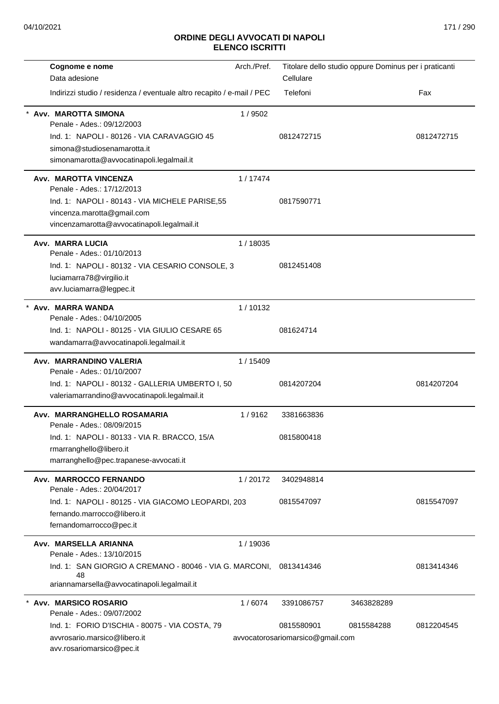| Cognome e nome<br>Data adesione                                                                                                                                                     | Arch./Pref. | Titolare dello studio oppure Dominus per i praticanti<br>Cellulare |                          |            |
|-------------------------------------------------------------------------------------------------------------------------------------------------------------------------------------|-------------|--------------------------------------------------------------------|--------------------------|------------|
| Indirizzi studio / residenza / eventuale altro recapito / e-mail / PEC                                                                                                              |             | Telefoni                                                           |                          | Fax        |
| Avv. MAROTTA SIMONA<br>Penale - Ades.: 09/12/2003<br>Ind. 1: NAPOLI - 80126 - VIA CARAVAGGIO 45<br>simona@studiosenamarotta.it<br>simonamarotta@avvocatinapoli.legalmail.it         | 1/9502      | 0812472715                                                         |                          | 0812472715 |
| Avv. MAROTTA VINCENZA<br>Penale - Ades.: 17/12/2013<br>Ind. 1: NAPOLI - 80143 - VIA MICHELE PARISE, 55<br>vincenza.marotta@gmail.com<br>vincenzamarotta@avvocatinapoli.legalmail.it | 1/17474     | 0817590771                                                         |                          |            |
| Avv. MARRA LUCIA<br>Penale - Ades.: 01/10/2013<br>Ind. 1: NAPOLI - 80132 - VIA CESARIO CONSOLE, 3<br>luciamarra78@virgilio.it<br>avv.luciamarra@legpec.it                           | 1/18035     | 0812451408                                                         |                          |            |
| Avv. MARRA WANDA<br>Penale - Ades.: 04/10/2005<br>Ind. 1: NAPOLI - 80125 - VIA GIULIO CESARE 65<br>wandamarra@avvocatinapoli.legalmail.it                                           | 1/10132     | 081624714                                                          |                          |            |
| Avv. MARRANDINO VALERIA<br>Penale - Ades.: 01/10/2007<br>Ind. 1: NAPOLI - 80132 - GALLERIA UMBERTO I, 50<br>valeriamarrandino@avvocatinapoli.legalmail.it                           | 1 / 15409   | 0814207204                                                         |                          | 0814207204 |
| Avv. MARRANGHELLO ROSAMARIA<br>Penale - Ades.: 08/09/2015<br>Ind. 1: NAPOLI - 80133 - VIA R. BRACCO, 15/A<br>rmarranghello@libero.it<br>marranghello@pec.trapanese-avvocati.it      | 1/9162      | 3381663836<br>0815800418                                           |                          |            |
| Avv. MARROCCO FERNANDO<br>Penale - Ades.: 20/04/2017<br>Ind. 1: NAPOLI - 80125 - VIA GIACOMO LEOPARDI, 203<br>fernando.marrocco@libero.it<br>fernandomarrocco@pec.it                | 1/20172     | 3402948814<br>0815547097                                           |                          | 0815547097 |
| Avv. MARSELLA ARIANNA<br>Penale - Ades.: 13/10/2015<br>Ind. 1: SAN GIORGIO A CREMANO - 80046 - VIA G. MARCONI,<br>48<br>ariannamarsella@avvocatinapoli.legalmail.it                 | 1/19036     | 0813414346                                                         |                          | 0813414346 |
| * Avv. MARSICO ROSARIO<br>Penale - Ades.: 09/07/2002<br>Ind. 1: FORIO D'ISCHIA - 80075 - VIA COSTA, 79<br>avvrosario.marsico@libero.it<br>avv.rosariomarsico@pec.it                 | 1/6074      | 3391086757<br>0815580901<br>avvocatorosariomarsico@gmail.com       | 3463828289<br>0815584288 | 0812204545 |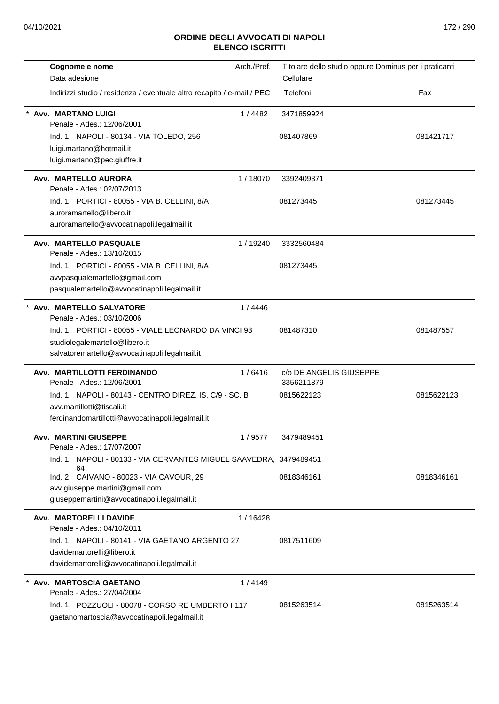| Cognome e nome                                                                                    | Arch./Pref. | Titolare dello studio oppure Dominus per i praticanti |            |
|---------------------------------------------------------------------------------------------------|-------------|-------------------------------------------------------|------------|
| Data adesione                                                                                     |             | Cellulare                                             |            |
| Indirizzi studio / residenza / eventuale altro recapito / e-mail / PEC                            |             | Telefoni                                              | Fax        |
| <b>Avv. MARTANO LUIGI</b><br>Penale - Ades.: 12/06/2001                                           | 1/4482      | 3471859924                                            |            |
| Ind. 1: NAPOLI - 80134 - VIA TOLEDO, 256                                                          |             | 081407869                                             | 081421717  |
| luigi.martano@hotmail.it                                                                          |             |                                                       |            |
| luigi.martano@pec.giuffre.it                                                                      |             |                                                       |            |
| Avv. MARTELLO AURORA                                                                              | 1/18070     | 3392409371                                            |            |
| Penale - Ades.: 02/07/2013                                                                        |             |                                                       |            |
| Ind. 1: PORTICI - 80055 - VIA B. CELLINI, 8/A<br>auroramartello@libero.it                         |             | 081273445                                             | 081273445  |
| auroramartello@avvocatinapoli.legalmail.it                                                        |             |                                                       |            |
| Avv. MARTELLO PASQUALE                                                                            | 1/19240     | 3332560484                                            |            |
| Penale - Ades.: 13/10/2015                                                                        |             |                                                       |            |
| Ind. 1: PORTICI - 80055 - VIA B. CELLINI, 8/A                                                     |             | 081273445                                             |            |
| avvpasqualemartello@gmail.com                                                                     |             |                                                       |            |
| pasqualemartello@avvocatinapoli.legalmail.it                                                      |             |                                                       |            |
| Avv. MARTELLO SALVATORE<br>Penale - Ades.: 03/10/2006                                             | 1/4446      |                                                       |            |
| Ind. 1: PORTICI - 80055 - VIALE LEONARDO DA VINCI 93                                              |             | 081487310                                             | 081487557  |
| studiolegalemartello@libero.it                                                                    |             |                                                       |            |
| salvatoremartello@avvocatinapoli.legalmail.it                                                     |             |                                                       |            |
| Avv. MARTILLOTTI FERDINANDO<br>Penale - Ades.: 12/06/2001                                         | 1/6416      | c/o DE ANGELIS GIUSEPPE<br>3356211879                 |            |
| Ind. 1: NAPOLI - 80143 - CENTRO DIREZ. IS. C/9 - SC. B                                            |             | 0815622123                                            | 0815622123 |
| avv.martillotti@tiscali.it                                                                        |             |                                                       |            |
| ferdinandomartillotti@avvocatinapoli.legalmail.it                                                 |             |                                                       |            |
| <b>Avv. MARTINI GIUSEPPE</b><br>Penale - Ades.: 17/07/2007                                        | 1/9577      | 3479489451                                            |            |
| Ind. 1: NAPOLI - 80133 - VIA CERVANTES MIGUEL SAAVEDRA, 3479489451<br>64                          |             |                                                       |            |
| Ind. 2: CAIVANO - 80023 - VIA CAVOUR, 29                                                          |             | 0818346161                                            | 0818346161 |
| avv.giuseppe.martini@gmail.com                                                                    |             |                                                       |            |
| giuseppemartini@avvocatinapoli.legalmail.it                                                       |             |                                                       |            |
| Avv. MARTORELLI DAVIDE<br>Penale - Ades.: 04/10/2011                                              | 1/16428     |                                                       |            |
| Ind. 1: NAPOLI - 80141 - VIA GAETANO ARGENTO 27                                                   |             | 0817511609                                            |            |
| davidemartorelli@libero.it                                                                        |             |                                                       |            |
| davidemartorelli@avvocatinapoli.legalmail.it                                                      |             |                                                       |            |
| * Avv. MARTOSCIA GAETANO<br>Penale - Ades.: 27/04/2004                                            | 1/4149      |                                                       |            |
| Ind. 1: POZZUOLI - 80078 - CORSO RE UMBERTO I 117<br>gaetanomartoscia@avvocatinapoli.legalmail.it |             | 0815263514                                            | 0815263514 |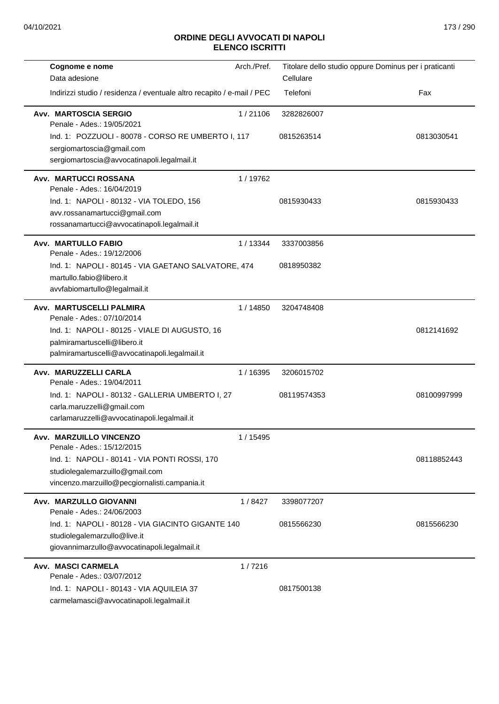| Cognome e nome                                                                   | Arch./Pref. |             | Titolare dello studio oppure Dominus per i praticanti |
|----------------------------------------------------------------------------------|-------------|-------------|-------------------------------------------------------|
| Data adesione                                                                    |             | Cellulare   |                                                       |
| Indirizzi studio / residenza / eventuale altro recapito / e-mail / PEC           |             | Telefoni    | Fax                                                   |
| <b>Avv. MARTOSCIA SERGIO</b><br>Penale - Ades.: 19/05/2021                       | 1/21106     | 3282826007  |                                                       |
| Ind. 1: POZZUOLI - 80078 - CORSO RE UMBERTO I, 117                               |             | 0815263514  | 0813030541                                            |
| sergiomartoscia@gmail.com                                                        |             |             |                                                       |
| sergiomartoscia@avvocatinapoli.legalmail.it                                      |             |             |                                                       |
| <b>Avv. MARTUCCI ROSSANA</b>                                                     | 1/19762     |             |                                                       |
| Penale - Ades.: 16/04/2019                                                       |             |             |                                                       |
| Ind. 1: NAPOLI - 80132 - VIA TOLEDO, 156                                         |             | 0815930433  | 0815930433                                            |
| avv.rossanamartucci@gmail.com<br>rossanamartucci@avvocatinapoli.legalmail.it     |             |             |                                                       |
|                                                                                  |             |             |                                                       |
| <b>Avv. MARTULLO FABIO</b><br>Penale - Ades.: 19/12/2006                         | 1/13344     | 3337003856  |                                                       |
| Ind. 1: NAPOLI - 80145 - VIA GAETANO SALVATORE, 474                              |             | 0818950382  |                                                       |
| martullo.fabio@libero.it                                                         |             |             |                                                       |
| avvfabiomartullo@legalmail.it                                                    |             |             |                                                       |
| Avv. MARTUSCELLI PALMIRA                                                         | 1/14850     | 3204748408  |                                                       |
| Penale - Ades.: 07/10/2014                                                       |             |             |                                                       |
| Ind. 1: NAPOLI - 80125 - VIALE DI AUGUSTO, 16                                    |             |             | 0812141692                                            |
| palmiramartuscelli@libero.it<br>palmiramartuscelli@avvocatinapoli.legalmail.it   |             |             |                                                       |
|                                                                                  |             |             |                                                       |
| Avv. MARUZZELLI CARLA<br>Penale - Ades.: 19/04/2011                              | 1 / 16395   | 3206015702  |                                                       |
| Ind. 1: NAPOLI - 80132 - GALLERIA UMBERTO I, 27                                  |             | 08119574353 | 08100997999                                           |
| carla.maruzzelli@gmail.com                                                       |             |             |                                                       |
| carlamaruzzelli@avvocatinapoli.legalmail.it                                      |             |             |                                                       |
| Avv. MARZUILLO VINCENZO                                                          | 1 / 15495   |             |                                                       |
| Penale - Ades.: 15/12/2015                                                       |             |             |                                                       |
| Ind. 1: NAPOLI - 80141 - VIA PONTI ROSSI, 170                                    |             |             | 08118852443                                           |
| studiolegalemarzuillo@gmail.com<br>vincenzo.marzuillo@pecgiornalisti.campania.it |             |             |                                                       |
|                                                                                  |             |             |                                                       |
| Avv. MARZULLO GIOVANNI<br>Penale - Ades.: 24/06/2003                             | 1/8427      | 3398077207  |                                                       |
| Ind. 1: NAPOLI - 80128 - VIA GIACINTO GIGANTE 140                                |             | 0815566230  | 0815566230                                            |
| studiolegalemarzullo@live.it                                                     |             |             |                                                       |
| giovannimarzullo@avvocatinapoli.legalmail.it                                     |             |             |                                                       |
| <b>Avv. MASCI CARMELA</b>                                                        | 1/7216      |             |                                                       |
| Penale - Ades.: 03/07/2012                                                       |             |             |                                                       |
| Ind. 1: NAPOLI - 80143 - VIA AQUILEIA 37                                         |             | 0817500138  |                                                       |
| carmelamasci@avvocatinapoli.legalmail.it                                         |             |             |                                                       |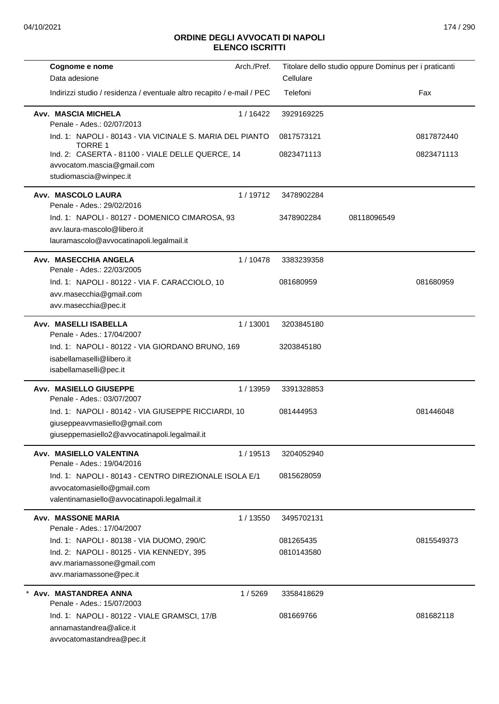| Cognome e nome                                                                                                                        | Arch./Pref. | Titolare dello studio oppure Dominus per i praticanti |             |            |
|---------------------------------------------------------------------------------------------------------------------------------------|-------------|-------------------------------------------------------|-------------|------------|
| Data adesione                                                                                                                         |             | Cellulare                                             |             |            |
| Indirizzi studio / residenza / eventuale altro recapito / e-mail / PEC                                                                |             | Telefoni                                              |             | Fax        |
| Avv. MASCIA MICHELA<br>Penale - Ades.: 02/07/2013                                                                                     | 1/16422     | 3929169225                                            |             |            |
| Ind. 1: NAPOLI - 80143 - VIA VICINALE S. MARIA DEL PIANTO<br><b>TORRE 1</b>                                                           |             | 0817573121                                            |             | 0817872440 |
| Ind. 2: CASERTA - 81100 - VIALE DELLE QUERCE, 14<br>avvocatom.mascia@gmail.com<br>studiomascia@winpec.it                              |             | 0823471113                                            |             | 0823471113 |
| Avv. MASCOLO LAURA<br>Penale - Ades.: 29/02/2016                                                                                      | 1/19712     | 3478902284                                            |             |            |
| Ind. 1: NAPOLI - 80127 - DOMENICO CIMAROSA, 93<br>avv.laura-mascolo@libero.it                                                         |             | 3478902284                                            | 08118096549 |            |
| lauramascolo@avvocatinapoli.legalmail.it                                                                                              |             |                                                       |             |            |
| Avv. MASECCHIA ANGELA<br>Penale - Ades.: 22/03/2005                                                                                   | 1 / 10478   | 3383239358                                            |             |            |
| Ind. 1: NAPOLI - 80122 - VIA F. CARACCIOLO, 10<br>avv.masecchia@gmail.com                                                             |             | 081680959                                             |             | 081680959  |
| avv.masecchia@pec.it                                                                                                                  |             |                                                       |             |            |
| Avv. MASELLI ISABELLA<br>Penale - Ades.: 17/04/2007                                                                                   | 1/13001     | 3203845180                                            |             |            |
| Ind. 1: NAPOLI - 80122 - VIA GIORDANO BRUNO, 169<br>isabellamaselli@libero.it<br>isabellamaselli@pec.it                               |             | 3203845180                                            |             |            |
| Avv. MASIELLO GIUSEPPE<br>Penale - Ades.: 03/07/2007                                                                                  | 1/13959     | 3391328853                                            |             |            |
| Ind. 1: NAPOLI - 80142 - VIA GIUSEPPE RICCIARDI, 10<br>giuseppeavvmasiello@gmail.com<br>giuseppemasiello2@avvocatinapoli.legalmail.it |             | 081444953                                             |             | 081446048  |
| Avv. MASIELLO VALENTINA<br>Penale - Ades.: 19/04/2016                                                                                 | 1/19513     | 3204052940                                            |             |            |
| Ind. 1: NAPOLI - 80143 - CENTRO DIREZIONALE ISOLA E/1<br>avvocatomasiello@gmail.com<br>valentinamasiello@avvocatinapoli.legalmail.it  |             | 0815628059                                            |             |            |
| <b>Avv. MASSONE MARIA</b><br>Penale - Ades.: 17/04/2007                                                                               | 1 / 13550   | 3495702131                                            |             |            |
| Ind. 1: NAPOLI - 80138 - VIA DUOMO, 290/C                                                                                             |             | 081265435                                             |             | 0815549373 |
| Ind. 2: NAPOLI - 80125 - VIA KENNEDY, 395<br>avv.mariamassone@gmail.com<br>avv.mariamassone@pec.it                                    |             | 0810143580                                            |             |            |
| Avv. MASTANDREA ANNA<br>Penale - Ades.: 15/07/2003                                                                                    | 1/5269      | 3358418629                                            |             |            |
| Ind. 1: NAPOLI - 80122 - VIALE GRAMSCI, 17/B<br>annamastandrea@alice.it<br>avvocatomastandrea@pec.it                                  |             | 081669766                                             |             | 081682118  |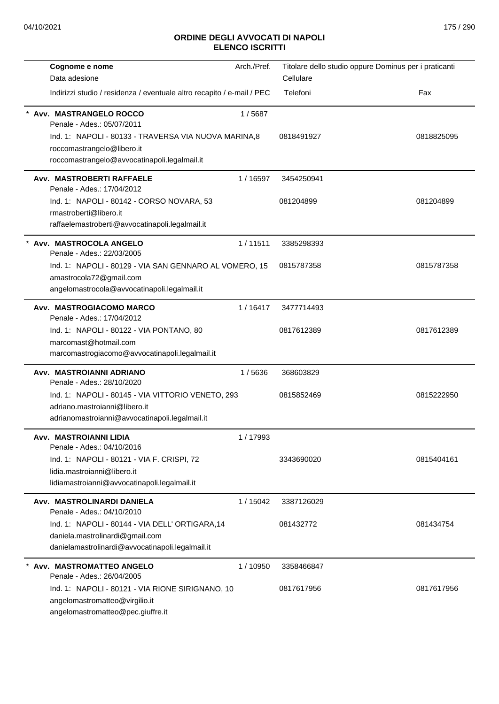| Cognome e nome                                                         | Arch./Pref. | Titolare dello studio oppure Dominus per i praticanti |            |
|------------------------------------------------------------------------|-------------|-------------------------------------------------------|------------|
| Data adesione                                                          |             | Cellulare                                             |            |
| Indirizzi studio / residenza / eventuale altro recapito / e-mail / PEC |             | Telefoni                                              | Fax        |
| Avv. MASTRANGELO ROCCO<br>Penale - Ades.: 05/07/2011                   | 1/5687      |                                                       |            |
| Ind. 1: NAPOLI - 80133 - TRAVERSA VIA NUOVA MARINA, 8                  |             | 0818491927                                            | 0818825095 |
| roccomastrangelo@libero.it                                             |             |                                                       |            |
| roccomastrangelo@avvocatinapoli.legalmail.it                           |             |                                                       |            |
| Avv. MASTROBERTI RAFFAELE<br>Penale - Ades.: 17/04/2012                | 1/16597     | 3454250941                                            |            |
| Ind. 1: NAPOLI - 80142 - CORSO NOVARA, 53                              |             | 081204899                                             | 081204899  |
| rmastroberti@libero.it                                                 |             |                                                       |            |
| raffaelemastroberti@avvocatinapoli.legalmail.it                        |             |                                                       |            |
| Avv. MASTROCOLA ANGELO<br>Penale - Ades.: 22/03/2005                   | 1/11511     | 3385298393                                            |            |
| Ind. 1: NAPOLI - 80129 - VIA SAN GENNARO AL VOMERO, 15                 |             | 0815787358                                            | 0815787358 |
| amastrocola72@gmail.com                                                |             |                                                       |            |
| angelomastrocola@avvocatinapoli.legalmail.it                           |             |                                                       |            |
| Avv. MASTROGIACOMO MARCO<br>Penale - Ades.: 17/04/2012                 | 1/16417     | 3477714493                                            |            |
| Ind. 1: NAPOLI - 80122 - VIA PONTANO, 80                               |             | 0817612389                                            | 0817612389 |
| marcomast@hotmail.com                                                  |             |                                                       |            |
| marcomastrogiacomo@avvocatinapoli.legalmail.it                         |             |                                                       |            |
| Avv. MASTROIANNI ADRIANO<br>Penale - Ades.: 28/10/2020                 | 1/5636      | 368603829                                             |            |
| Ind. 1: NAPOLI - 80145 - VIA VITTORIO VENETO, 293                      |             | 0815852469                                            | 0815222950 |
| adriano.mastroianni@libero.it                                          |             |                                                       |            |
| adrianomastroianni@avvocatinapoli.legalmail.it                         |             |                                                       |            |
| Avv. MASTROIANNI LIDIA<br>Penale - Ades.: 04/10/2016                   | 1 / 17993   |                                                       |            |
| Ind. 1: NAPOLI - 80121 - VIA F. CRISPI, 72                             |             | 3343690020                                            | 0815404161 |
| lidia.mastroianni@libero.it                                            |             |                                                       |            |
| lidiamastroianni@avvocatinapoli.legalmail.it                           |             |                                                       |            |
| Avv. MASTROLINARDI DANIELA<br>Penale - Ades.: 04/10/2010               | 1 / 15042   | 3387126029                                            |            |
| Ind. 1: NAPOLI - 80144 - VIA DELL' ORTIGARA,14                         |             | 081432772                                             | 081434754  |
| daniela.mastrolinardi@gmail.com                                        |             |                                                       |            |
| danielamastrolinardi@avvocatinapoli.legalmail.it                       |             |                                                       |            |
| * Avv. MASTROMATTEO ANGELO                                             | 1 / 10950   | 3358466847                                            |            |
| Penale - Ades.: 26/04/2005                                             |             |                                                       |            |
| Ind. 1: NAPOLI - 80121 - VIA RIONE SIRIGNANO, 10                       |             | 0817617956                                            | 0817617956 |
| angelomastromatteo@virgilio.it                                         |             |                                                       |            |
| angelomastromatteo@pec.giuffre.it                                      |             |                                                       |            |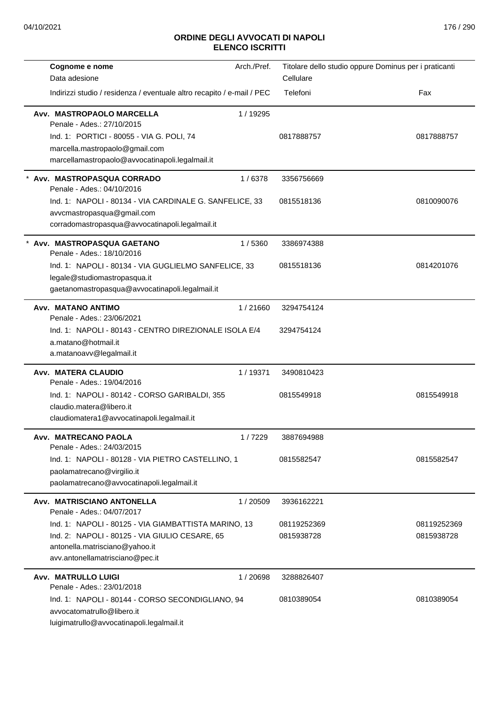| Cognome e nome                                                          | Arch./Pref. | Titolare dello studio oppure Dominus per i praticanti |             |
|-------------------------------------------------------------------------|-------------|-------------------------------------------------------|-------------|
| Data adesione                                                           |             | Cellulare                                             |             |
| Indirizzi studio / residenza / eventuale altro recapito / e-mail / PEC  |             | Telefoni                                              | Fax         |
| Avv. MASTROPAOLO MARCELLA<br>Penale - Ades.: 27/10/2015                 | 1 / 19295   |                                                       |             |
| Ind. 1: PORTICI - 80055 - VIA G. POLI, 74                               |             | 0817888757                                            | 0817888757  |
| marcella.mastropaolo@gmail.com                                          |             |                                                       |             |
| marcellamastropaolo@avvocatinapoli.legalmail.it                         |             |                                                       |             |
| Avv. MASTROPASQUA CORRADO<br>Penale - Ades.: 04/10/2016                 | 1/6378      | 3356756669                                            |             |
| Ind. 1: NAPOLI - 80134 - VIA CARDINALE G. SANFELICE, 33                 |             | 0815518136                                            | 0810090076  |
| avvcmastropasqua@gmail.com                                              |             |                                                       |             |
| corradomastropasqua@avvocatinapoli.legalmail.it                         |             |                                                       |             |
| Avv. MASTROPASQUA GAETANO<br>Penale - Ades.: 18/10/2016                 | 1/5360      | 3386974388                                            |             |
| Ind. 1: NAPOLI - 80134 - VIA GUGLIELMO SANFELICE, 33                    |             | 0815518136                                            | 0814201076  |
| legale@studiomastropasqua.it                                            |             |                                                       |             |
| gaetanomastropasqua@avvocatinapoli.legalmail.it                         |             |                                                       |             |
| Avv. MATANO ANTIMO<br>Penale - Ades.: 23/06/2021                        | 1/21660     | 3294754124                                            |             |
| Ind. 1: NAPOLI - 80143 - CENTRO DIREZIONALE ISOLA E/4                   |             | 3294754124                                            |             |
| a.matano@hotmail.it                                                     |             |                                                       |             |
| a.matanoavv@legalmail.it                                                |             |                                                       |             |
| Avv. MATERA CLAUDIO<br>Penale - Ades.: 19/04/2016                       | 1/19371     | 3490810423                                            |             |
| Ind. 1: NAPOLI - 80142 - CORSO GARIBALDI, 355                           |             | 0815549918                                            | 0815549918  |
| claudio.matera@libero.it                                                |             |                                                       |             |
| claudiomatera1@avvocatinapoli.legalmail.it                              |             |                                                       |             |
| Avv. MATRECANO PAOLA<br>Penale - Ades.: 24/03/2015                      | 1/7229      | 3887694988                                            |             |
| Ind. 1: NAPOLI - 80128 - VIA PIETRO CASTELLINO, 1                       |             | 0815582547                                            | 0815582547  |
| paolamatrecano@virgilio.it                                              |             |                                                       |             |
| paolamatrecano@avvocatinapoli.legalmail.it                              |             |                                                       |             |
| Avv. MATRISCIANO ANTONELLA<br>Penale - Ades.: 04/07/2017                | 1/20509     | 3936162221                                            |             |
| Ind. 1: NAPOLI - 80125 - VIA GIAMBATTISTA MARINO, 13                    |             | 08119252369                                           | 08119252369 |
| Ind. 2: NAPOLI - 80125 - VIA GIULIO CESARE, 65                          |             | 0815938728                                            | 0815938728  |
| antonella.matrisciano@yahoo.it                                          |             |                                                       |             |
| avv.antonellamatrisciano@pec.it                                         |             |                                                       |             |
| <b>Avv. MATRULLO LUIGI</b>                                              | 1/20698     | 3288826407                                            |             |
| Penale - Ades.: 23/01/2018                                              |             |                                                       |             |
| Ind. 1: NAPOLI - 80144 - CORSO SECONDIGLIANO, 94                        |             | 0810389054                                            | 0810389054  |
| avvocatomatrullo@libero.it<br>luigimatrullo@avvocatinapoli.legalmail.it |             |                                                       |             |
|                                                                         |             |                                                       |             |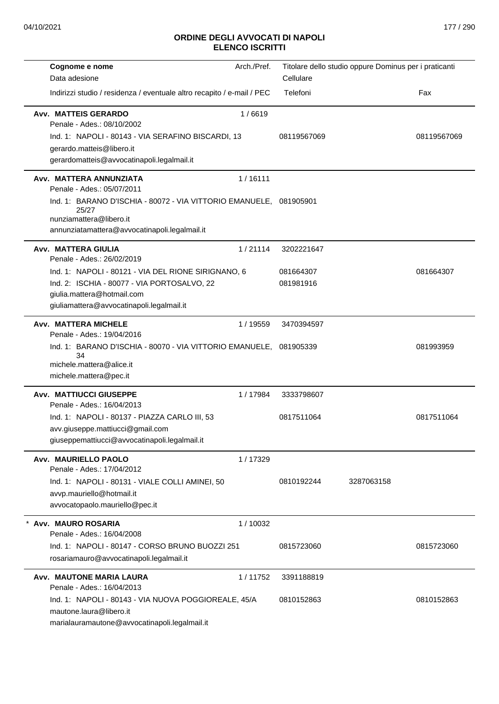| Cognome e nome                                                                                                                                                                             | Arch./Pref. |             | Titolare dello studio oppure Dominus per i praticanti |             |
|--------------------------------------------------------------------------------------------------------------------------------------------------------------------------------------------|-------------|-------------|-------------------------------------------------------|-------------|
| Data adesione                                                                                                                                                                              |             | Cellulare   |                                                       |             |
| Indirizzi studio / residenza / eventuale altro recapito / e-mail / PEC                                                                                                                     |             | Telefoni    |                                                       | Fax         |
| <b>Avv. MATTEIS GERARDO</b><br>Penale - Ades.: 08/10/2002<br>Ind. 1: NAPOLI - 80143 - VIA SERAFINO BISCARDI, 13<br>gerardo.matteis@libero.it<br>gerardomatteis@avvocatinapoli.legalmail.it | 1/6619      | 08119567069 |                                                       | 08119567069 |
| Avv. MATTERA ANNUNZIATA<br>Penale - Ades.: 05/07/2011                                                                                                                                      | 1/16111     |             |                                                       |             |
| Ind. 1: BARANO D'ISCHIA - 80072 - VIA VITTORIO EMANUELE,<br>25/27<br>nunziamattera@libero.it<br>annunziatamattera@avvocatinapoli.legalmail.it                                              |             | 081905901   |                                                       |             |
| Avv. MATTERA GIULIA<br>Penale - Ades.: 26/02/2019                                                                                                                                          | 1/21114     | 3202221647  |                                                       |             |
| Ind. 1: NAPOLI - 80121 - VIA DEL RIONE SIRIGNANO, 6                                                                                                                                        |             | 081664307   |                                                       | 081664307   |
| Ind. 2: ISCHIA - 80077 - VIA PORTOSALVO, 22                                                                                                                                                |             | 081981916   |                                                       |             |
| giulia.mattera@hotmail.com<br>giuliamattera@avvocatinapoli.legalmail.it                                                                                                                    |             |             |                                                       |             |
| Avv. MATTERA MICHELE<br>Penale - Ades.: 19/04/2016                                                                                                                                         | 1 / 19559   | 3470394597  |                                                       |             |
| Ind. 1: BARANO D'ISCHIA - 80070 - VIA VITTORIO EMANUELE,                                                                                                                                   |             | 081905339   |                                                       | 081993959   |
| 34<br>michele.mattera@alice.it                                                                                                                                                             |             |             |                                                       |             |
| michele.mattera@pec.it                                                                                                                                                                     |             |             |                                                       |             |
| <b>Avv. MATTIUCCI GIUSEPPE</b><br>Penale - Ades.: 16/04/2013                                                                                                                               | 1/17984     | 3333798607  |                                                       |             |
| Ind. 1: NAPOLI - 80137 - PIAZZA CARLO III, 53                                                                                                                                              |             | 0817511064  |                                                       | 0817511064  |
| avv.giuseppe.mattiucci@gmail.com<br>giuseppemattiucci@avvocatinapoli.legalmail.it                                                                                                          |             |             |                                                       |             |
| Avv. MAURIELLO PAOLO                                                                                                                                                                       | 1/17329     |             |                                                       |             |
| Penale - Ades.: 17/04/2012                                                                                                                                                                 |             |             |                                                       |             |
| Ind. 1: NAPOLI - 80131 - VIALE COLLI AMINEI, 50                                                                                                                                            |             | 0810192244  | 3287063158                                            |             |
| avvp.mauriello@hotmail.it<br>avvocatopaolo.mauriello@pec.it                                                                                                                                |             |             |                                                       |             |
| Avv. MAURO ROSARIA                                                                                                                                                                         | 1/10032     |             |                                                       |             |
| Penale - Ades.: 16/04/2008                                                                                                                                                                 |             |             |                                                       |             |
| Ind. 1: NAPOLI - 80147 - CORSO BRUNO BUOZZI 251<br>rosariamauro@avvocatinapoli.legalmail.it                                                                                                |             | 0815723060  |                                                       | 0815723060  |
| Avv. MAUTONE MARIA LAURA<br>Penale - Ades.: 16/04/2013                                                                                                                                     | 1/11752     | 3391188819  |                                                       |             |
| Ind. 1: NAPOLI - 80143 - VIA NUOVA POGGIOREALE, 45/A                                                                                                                                       |             | 0810152863  |                                                       | 0810152863  |
| mautone.laura@libero.it<br>marialauramautone@avvocatinapoli.legalmail.it                                                                                                                   |             |             |                                                       |             |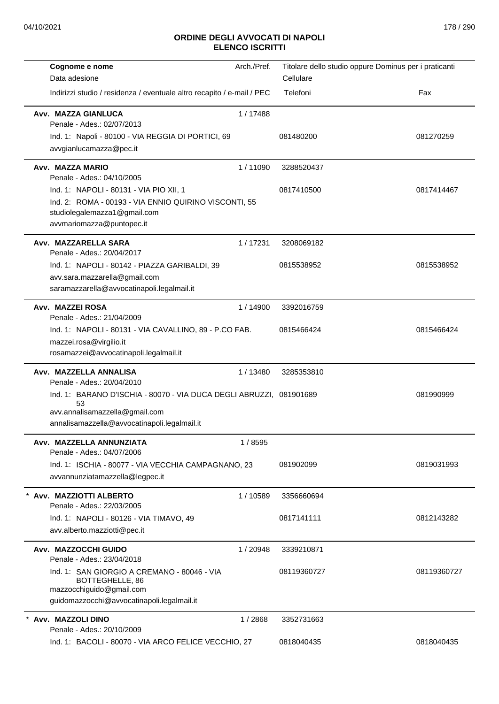| Cognome e nome                                                                                                                                                | Arch./Pref. | Titolare dello studio oppure Dominus per i praticanti |             |
|---------------------------------------------------------------------------------------------------------------------------------------------------------------|-------------|-------------------------------------------------------|-------------|
| Data adesione                                                                                                                                                 |             | Cellulare                                             |             |
| Indirizzi studio / residenza / eventuale altro recapito / e-mail / PEC                                                                                        |             | Telefoni                                              | Fax         |
| Avv. MAZZA GIANLUCA<br>Penale - Ades.: 02/07/2013                                                                                                             | 1/17488     |                                                       |             |
| Ind. 1: Napoli - 80100 - VIA REGGIA DI PORTICI, 69<br>avvgianlucamazza@pec.it                                                                                 |             | 081480200                                             | 081270259   |
| Avv. MAZZA MARIO<br>Penale - Ades.: 04/10/2005                                                                                                                | 1/11090     | 3288520437                                            |             |
| Ind. 1: NAPOLI - 80131 - VIA PIO XII, 1<br>Ind. 2: ROMA - 00193 - VIA ENNIO QUIRINO VISCONTI, 55<br>studiolegalemazza1@gmail.com<br>avvmariomazza@puntopec.it |             | 0817410500                                            | 0817414467  |
| Avv. MAZZARELLA SARA<br>Penale - Ades.: 20/04/2017                                                                                                            | 1/17231     | 3208069182                                            |             |
| Ind. 1: NAPOLI - 80142 - PIAZZA GARIBALDI, 39<br>avv.sara.mazzarella@gmail.com<br>saramazzarella@avvocatinapoli.legalmail.it                                  |             | 0815538952                                            | 0815538952  |
| Avv. MAZZEI ROSA<br>Penale - Ades.: 21/04/2009                                                                                                                | 1/14900     | 3392016759                                            |             |
| Ind. 1: NAPOLI - 80131 - VIA CAVALLINO, 89 - P.CO FAB.<br>mazzei.rosa@virgilio.it<br>rosamazzei@avvocatinapoli.legalmail.it                                   |             | 0815466424                                            | 0815466424  |
| Avv. MAZZELLA ANNALISA<br>Penale - Ades.: 20/04/2010                                                                                                          | 1/13480     | 3285353810                                            |             |
| Ind. 1: BARANO D'ISCHIA - 80070 - VIA DUCA DEGLI ABRUZZI, 081901689<br>53<br>avv.annalisamazzella@gmail.com<br>annalisamazzella@avvocatinapoli.legalmail.it   |             |                                                       | 081990999   |
| Avv. MAZZELLA ANNUNZIATA<br>Penale - Ades.: 04/07/2006                                                                                                        | 1/8595      |                                                       |             |
| Ind. 1: ISCHIA - 80077 - VIA VECCHIA CAMPAGNANO, 23<br>avvannunziatamazzella@legpec.it                                                                        |             | 081902099                                             | 0819031993  |
| Avv. MAZZIOTTI ALBERTO<br>Penale - Ades.: 22/03/2005                                                                                                          | 1/10589     | 3356660694                                            |             |
| Ind. 1: NAPOLI - 80126 - VIA TIMAVO, 49<br>avv.alberto.mazziotti@pec.it                                                                                       |             | 0817141111                                            | 0812143282  |
| Avv. MAZZOCCHI GUIDO<br>Penale - Ades.: 23/04/2018                                                                                                            | 1/20948     | 3339210871                                            |             |
| Ind. 1: SAN GIORGIO A CREMANO - 80046 - VIA<br>BOTTEGHELLE, 86<br>mazzocchiguido@gmail.com<br>guidomazzocchi@avvocatinapoli.legalmail.it                      |             | 08119360727                                           | 08119360727 |
| Avv. MAZZOLI DINO<br>Penale - Ades.: 20/10/2009                                                                                                               | 1 / 2868    | 3352731663                                            |             |
| Ind. 1: BACOLI - 80070 - VIA ARCO FELICE VECCHIO, 27                                                                                                          |             | 0818040435                                            | 0818040435  |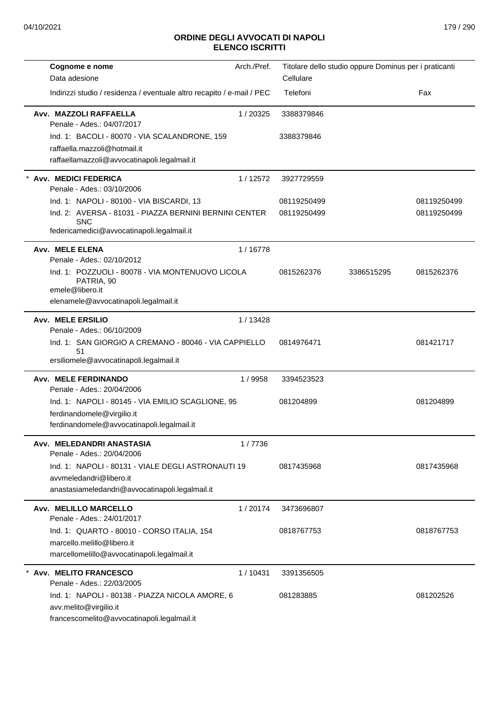|                                                                           | Arch./Pref. |             |                                                       |             |
|---------------------------------------------------------------------------|-------------|-------------|-------------------------------------------------------|-------------|
| Cognome e nome<br>Data adesione                                           |             | Cellulare   | Titolare dello studio oppure Dominus per i praticanti |             |
| Indirizzi studio / residenza / eventuale altro recapito / e-mail / PEC    |             | Telefoni    |                                                       | Fax         |
|                                                                           |             |             |                                                       |             |
| Avv. MAZZOLI RAFFAELLA<br>Penale - Ades.: 04/07/2017                      | 1/20325     | 3388379846  |                                                       |             |
| Ind. 1: BACOLI - 80070 - VIA SCALANDRONE, 159                             |             | 3388379846  |                                                       |             |
| raffaella.mazzoli@hotmail.it                                              |             |             |                                                       |             |
| raffaellamazzoli@avvocatinapoli.legalmail.it                              |             |             |                                                       |             |
| Avv. MEDICI FEDERICA<br>Penale - Ades.: 03/10/2006                        | 1/12572     | 3927729559  |                                                       |             |
| Ind. 1: NAPOLI - 80100 - VIA BISCARDI, 13                                 |             | 08119250499 |                                                       | 08119250499 |
| Ind. 2: AVERSA - 81031 - PIAZZA BERNINI BERNINI CENTER                    |             | 08119250499 |                                                       | 08119250499 |
| <b>SNC</b><br>federicamedici@avvocatinapoli.legalmail.it                  |             |             |                                                       |             |
| <b>Avv. MELE ELENA</b><br>Penale - Ades.: 02/10/2012                      | 1/16778     |             |                                                       |             |
| Ind. 1: POZZUOLI - 80078 - VIA MONTENUOVO LICOLA<br>PATRIA, 90            |             | 0815262376  | 3386515295                                            | 0815262376  |
| emele@libero.it<br>elenamele@avvocatinapoli.legalmail.it                  |             |             |                                                       |             |
|                                                                           |             |             |                                                       |             |
| <b>Avv. MELE ERSILIO</b><br>Penale - Ades.: 06/10/2009                    | 1/13428     |             |                                                       |             |
| Ind. 1: SAN GIORGIO A CREMANO - 80046 - VIA CAPPIELLO                     |             | 0814976471  |                                                       | 081421717   |
| 51<br>ersiliomele@avvocatinapoli.legalmail.it                             |             |             |                                                       |             |
| <b>Avv. MELE FERDINANDO</b><br>Penale - Ades.: 20/04/2006                 | 1/9958      | 3394523523  |                                                       |             |
| Ind. 1: NAPOLI - 80145 - VIA EMILIO SCAGLIONE, 95                         |             | 081204899   |                                                       | 081204899   |
| ferdinandomele@virgilio.it                                                |             |             |                                                       |             |
| ferdinandomele@avvocatinapoli.legalmail.it                                |             |             |                                                       |             |
| Avv. MELEDANDRI ANASTASIA<br>Penale - Ades.: 20/04/2006                   | 1/7736      |             |                                                       |             |
| Ind. 1: NAPOLI - 80131 - VIALE DEGLI ASTRONAUTI 19                        |             | 0817435968  |                                                       | 0817435968  |
| avvmeledandri@libero.it                                                   |             |             |                                                       |             |
| anastasiameledandri@avvocatinapoli.legalmail.it                           |             |             |                                                       |             |
| <b>Avv. MELILLO MARCELLO</b><br>Penale - Ades.: 24/01/2017                | 1/20174     | 3473696807  |                                                       |             |
| Ind. 1: QUARTO - 80010 - CORSO ITALIA, 154                                |             | 0818767753  |                                                       | 0818767753  |
| marcello.melillo@libero.it                                                |             |             |                                                       |             |
| marcellomelillo@avvocatinapoli.legalmail.it                               |             |             |                                                       |             |
| <b>Avv. MELITO FRANCESCO</b>                                              | 1/10431     | 3391356505  |                                                       |             |
| Penale - Ades.: 22/03/2005                                                |             |             |                                                       |             |
| Ind. 1: NAPOLI - 80138 - PIAZZA NICOLA AMORE, 6<br>avv.melito@virgilio.it |             | 081283885   |                                                       | 081202526   |
| francescomelito@avvocatinapoli.legalmail.it                               |             |             |                                                       |             |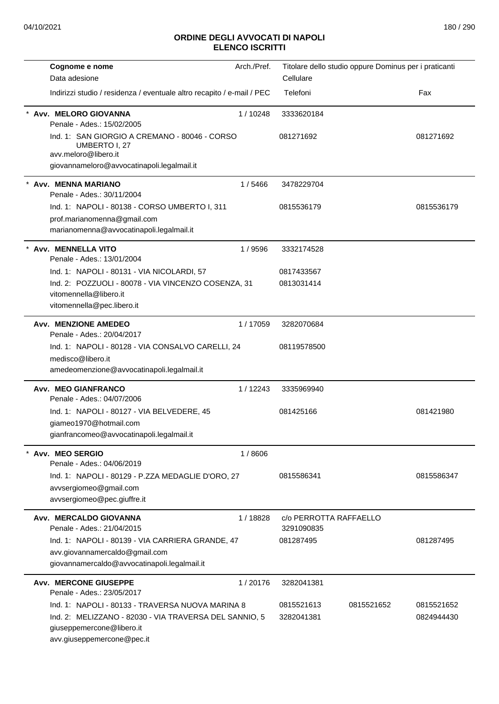| Cognome e nome                                                                                                                                                        | Arch./Pref. | Titolare dello studio oppure Dominus per i praticanti |            |                          |
|-----------------------------------------------------------------------------------------------------------------------------------------------------------------------|-------------|-------------------------------------------------------|------------|--------------------------|
| Data adesione                                                                                                                                                         |             | Cellulare                                             |            |                          |
| Indirizzi studio / residenza / eventuale altro recapito / e-mail / PEC                                                                                                |             | Telefoni                                              |            | Fax                      |
| Avv. MELORO GIOVANNA<br>Penale - Ades.: 15/02/2005                                                                                                                    | 1/10248     | 3333620184                                            |            |                          |
| Ind. 1: SAN GIORGIO A CREMANO - 80046 - CORSO<br>UMBERTO I, 27<br>avv.meloro@libero.it<br>giovannameloro@avvocatinapoli.legalmail.it                                  |             | 081271692                                             |            | 081271692                |
| Avv. MENNA MARIANO<br>Penale - Ades.: 30/11/2004                                                                                                                      | 1/5466      | 3478229704                                            |            |                          |
| Ind. 1: NAPOLI - 80138 - CORSO UMBERTO I, 311<br>prof.marianomenna@gmail.com<br>marianomenna@avvocatinapoli.legalmail.it                                              |             | 0815536179                                            |            | 0815536179               |
| Avv. MENNELLA VITO<br>Penale - Ades.: 13/01/2004                                                                                                                      | 1/9596      | 3332174528                                            |            |                          |
| Ind. 1: NAPOLI - 80131 - VIA NICOLARDI, 57                                                                                                                            |             | 0817433567                                            |            |                          |
| Ind. 2: POZZUOLI - 80078 - VIA VINCENZO COSENZA, 31<br>vitomennella@libero.it<br>vitomennella@pec.libero.it                                                           |             | 0813031414                                            |            |                          |
| <b>Avv. MENZIONE AMEDEO</b><br>Penale - Ades.: 20/04/2017                                                                                                             | 1/17059     | 3282070684                                            |            |                          |
| Ind. 1: NAPOLI - 80128 - VIA CONSALVO CARELLI, 24<br>medisco@libero.it<br>amedeomenzione@avvocatinapoli.legalmail.it                                                  |             | 08119578500                                           |            |                          |
| Avv. MEO GIANFRANCO<br>Penale - Ades.: 04/07/2006                                                                                                                     | 1/12243     | 3335969940                                            |            |                          |
| Ind. 1: NAPOLI - 80127 - VIA BELVEDERE, 45<br>giameo1970@hotmail.com<br>gianfrancomeo@avvocatinapoli.legalmail.it                                                     |             | 081425166                                             |            | 081421980                |
| Avv. MEO SERGIO<br>Penale - Ades.: 04/06/2019                                                                                                                         | 1/8606      |                                                       |            |                          |
| Ind. 1: NAPOLI - 80129 - P.ZZA MEDAGLIE D'ORO, 27<br>avvsergiomeo@gmail.com<br>avvsergiomeo@pec.giuffre.it                                                            |             | 0815586341                                            |            | 0815586347               |
| Avv. MERCALDO GIOVANNA<br>Penale - Ades.: 21/04/2015                                                                                                                  | 1/18828     | c/o PERROTTA RAFFAELLO<br>3291090835                  |            |                          |
| Ind. 1: NAPOLI - 80139 - VIA CARRIERA GRANDE, 47<br>avv.giovannamercaldo@gmail.com<br>giovannamercaldo@avvocatinapoli.legalmail.it                                    |             | 081287495                                             |            | 081287495                |
| <b>Avv. MERCONE GIUSEPPE</b><br>Penale - Ades.: 23/05/2017                                                                                                            | 1/20176     | 3282041381                                            |            |                          |
| Ind. 1: NAPOLI - 80133 - TRAVERSA NUOVA MARINA 8<br>Ind. 2: MELIZZANO - 82030 - VIA TRAVERSA DEL SANNIO, 5<br>giuseppemercone@libero.it<br>avv.giuseppemercone@pec.it |             | 0815521613<br>3282041381                              | 0815521652 | 0815521652<br>0824944430 |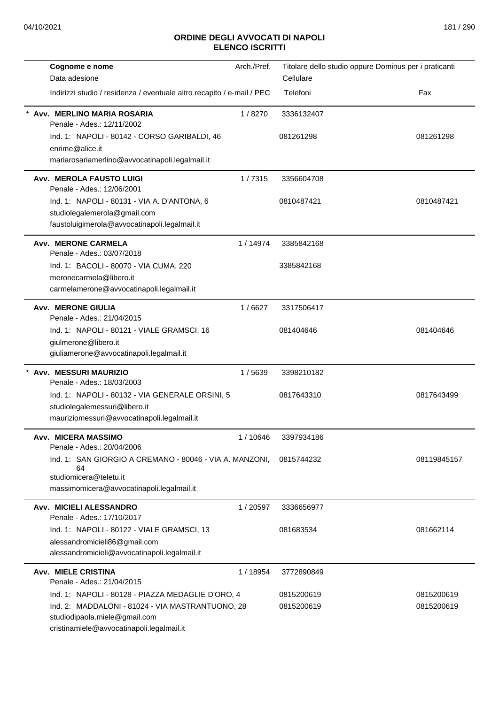| Cognome e nome                                                         | Arch./Pref. | Titolare dello studio oppure Dominus per i praticanti |             |
|------------------------------------------------------------------------|-------------|-------------------------------------------------------|-------------|
| Data adesione                                                          |             | Cellulare                                             |             |
| Indirizzi studio / residenza / eventuale altro recapito / e-mail / PEC |             | Telefoni                                              | Fax         |
| Avv. MERLINO MARIA ROSARIA<br>Penale - Ades.: 12/11/2002               | 1/8270      | 3336132407                                            |             |
| Ind. 1: NAPOLI - 80142 - CORSO GARIBALDI, 46                           |             | 081261298                                             | 081261298   |
| enrime@alice.it                                                        |             |                                                       |             |
| mariarosariamerlino@avvocatinapoli.legalmail.it                        |             |                                                       |             |
| <b>Avv. MEROLA FAUSTO LUIGI</b><br>Penale - Ades.: 12/06/2001          | 1/7315      | 3356604708                                            |             |
| Ind. 1: NAPOLI - 80131 - VIA A. D'ANTONA, 6                            |             | 0810487421                                            | 0810487421  |
| studiolegalemerola@gmail.com                                           |             |                                                       |             |
| faustoluigimerola@avvocatinapoli.legalmail.it                          |             |                                                       |             |
| <b>Avv. MERONE CARMELA</b><br>Penale - Ades.: 03/07/2018               | 1/14974     | 3385842168                                            |             |
| Ind. 1: BACOLI - 80070 - VIA CUMA, 220                                 |             | 3385842168                                            |             |
| meronecarmela@libero.it                                                |             |                                                       |             |
| carmelamerone@avvocatinapoli.legalmail.it                              |             |                                                       |             |
| <b>Avv. MERONE GIULIA</b><br>Penale - Ades.: 21/04/2015                | 1/6627      | 3317506417                                            |             |
| Ind. 1: NAPOLI - 80121 - VIALE GRAMSCI, 16                             |             | 081404646                                             | 081404646   |
| giulmerone@libero.it                                                   |             |                                                       |             |
| giuliamerone@avvocatinapoli.legalmail.it                               |             |                                                       |             |
| <b>Avv. MESSURI MAURIZIO</b><br>Penale - Ades.: 18/03/2003             | 1/5639      | 3398210182                                            |             |
| Ind. 1: NAPOLI - 80132 - VIA GENERALE ORSINI, 5                        |             | 0817643310                                            | 0817643499  |
| studiolegalemessuri@libero.it                                          |             |                                                       |             |
| mauriziomessuri@avvocatinapoli.legalmail.it                            |             |                                                       |             |
| Avv. MICERA MASSIMO<br>Penale - Ades.: 20/04/2006                      | 1 / 10646   | 3397934186                                            |             |
| Ind. 1: SAN GIORGIO A CREMANO - 80046 - VIA A. MANZONI,<br>64          |             | 0815744232                                            | 08119845157 |
| studiomicera@teletu.it                                                 |             |                                                       |             |
| massimomicera@avvocatinapoli.legalmail.it                              |             |                                                       |             |
| Avv. MICIELI ALESSANDRO<br>Penale - Ades.: 17/10/2017                  | 1/20597     | 3336656977                                            |             |
| Ind. 1: NAPOLI - 80122 - VIALE GRAMSCI, 13                             |             | 081683534                                             | 081662114   |
| alessandromicieli86@gmail.com                                          |             |                                                       |             |
| alessandromicieli@avvocatinapoli.legalmail.it                          |             |                                                       |             |
| <b>Avv. MIELE CRISTINA</b><br>Penale - Ades.: 21/04/2015               | 1/18954     | 3772890849                                            |             |
| Ind. 1: NAPOLI - 80128 - PIAZZA MEDAGLIE D'ORO, 4                      |             | 0815200619                                            | 0815200619  |
| Ind. 2: MADDALONI - 81024 - VIA MASTRANTUONO, 28                       |             | 0815200619                                            | 0815200619  |
| studiodipaola.miele@gmail.com                                          |             |                                                       |             |
| cristinamiele@avvocatinapoli.legalmail.it                              |             |                                                       |             |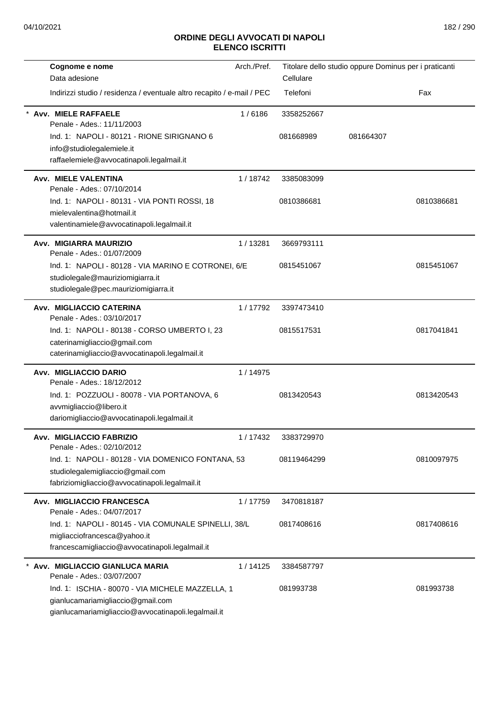| Cognome e nome                                                                           | Arch./Pref. | Titolare dello studio oppure Dominus per i praticanti |           |            |
|------------------------------------------------------------------------------------------|-------------|-------------------------------------------------------|-----------|------------|
| Data adesione                                                                            |             | Cellulare                                             |           |            |
| Indirizzi studio / residenza / eventuale altro recapito / e-mail / PEC                   |             | Telefoni                                              |           | Fax        |
| Avv. MIELE RAFFAELE<br>Penale - Ades.: 11/11/2003                                        | 1/6186      | 3358252667                                            |           |            |
| Ind. 1: NAPOLI - 80121 - RIONE SIRIGNANO 6                                               |             | 081668989                                             | 081664307 |            |
| info@studiolegalemiele.it                                                                |             |                                                       |           |            |
| raffaelemiele@avvocatinapoli.legalmail.it                                                |             |                                                       |           |            |
| Avv. MIELE VALENTINA<br>Penale - Ades.: 07/10/2014                                       | 1/18742     | 3385083099                                            |           |            |
| Ind. 1: NAPOLI - 80131 - VIA PONTI ROSSI, 18                                             |             | 0810386681                                            |           | 0810386681 |
| mielevalentina@hotmail.it                                                                |             |                                                       |           |            |
| valentinamiele@avvocatinapoli.legalmail.it                                               |             |                                                       |           |            |
| Avv. MIGIARRA MAURIZIO<br>Penale - Ades.: 01/07/2009                                     | 1/13281     | 3669793111                                            |           |            |
| Ind. 1: NAPOLI - 80128 - VIA MARINO E COTRONEI, 6/E                                      |             | 0815451067                                            |           | 0815451067 |
| studiolegale@mauriziomigiarra.it                                                         |             |                                                       |           |            |
| studiolegale@pec.mauriziomigiarra.it                                                     |             |                                                       |           |            |
| Avv. MIGLIACCIO CATERINA<br>Penale - Ades.: 03/10/2017                                   | 1/17792     | 3397473410                                            |           |            |
| Ind. 1: NAPOLI - 80138 - CORSO UMBERTO I, 23                                             |             | 0815517531                                            |           | 0817041841 |
| caterinamigliaccio@gmail.com                                                             |             |                                                       |           |            |
| caterinamigliaccio@avvocatinapoli.legalmail.it                                           |             |                                                       |           |            |
| Avv. MIGLIACCIO DARIO                                                                    | 1/14975     |                                                       |           |            |
| Penale - Ades.: 18/12/2012                                                               |             |                                                       |           |            |
| Ind. 1: POZZUOLI - 80078 - VIA PORTANOVA, 6                                              |             | 0813420543                                            |           | 0813420543 |
| avvmigliaccio@libero.it<br>dariomigliaccio@avvocatinapoli.legalmail.it                   |             |                                                       |           |            |
|                                                                                          |             |                                                       |           |            |
| Avv. MIGLIACCIO FABRIZIO<br>Penale - Ades.: 02/10/2012                                   | 1/17432     | 3383729970                                            |           |            |
| Ind. 1: NAPOLI - 80128 - VIA DOMENICO FONTANA, 53                                        |             | 08119464299                                           |           | 0810097975 |
| studiolegalemigliaccio@gmail.com                                                         |             |                                                       |           |            |
| fabriziomigliaccio@avvocatinapoli.legalmail.it                                           |             |                                                       |           |            |
| Avv. MIGLIACCIO FRANCESCA<br>Penale - Ades.: 04/07/2017                                  | 1 / 17759   | 3470818187                                            |           |            |
| Ind. 1: NAPOLI - 80145 - VIA COMUNALE SPINELLI, 38/L                                     |             | 0817408616                                            |           | 0817408616 |
| migliacciofrancesca@yahoo.it                                                             |             |                                                       |           |            |
| francescamigliaccio@avvocatinapoli.legalmail.it                                          |             |                                                       |           |            |
| Avv. MIGLIACCIO GIANLUCA MARIA                                                           | 1/14125     | 3384587797                                            |           |            |
| Penale - Ades.: 03/07/2007                                                               |             |                                                       |           |            |
| Ind. 1: ISCHIA - 80070 - VIA MICHELE MAZZELLA, 1                                         |             | 081993738                                             |           | 081993738  |
| gianlucamariamigliaccio@gmail.com<br>gianlucamariamigliaccio@avvocatinapoli.legalmail.it |             |                                                       |           |            |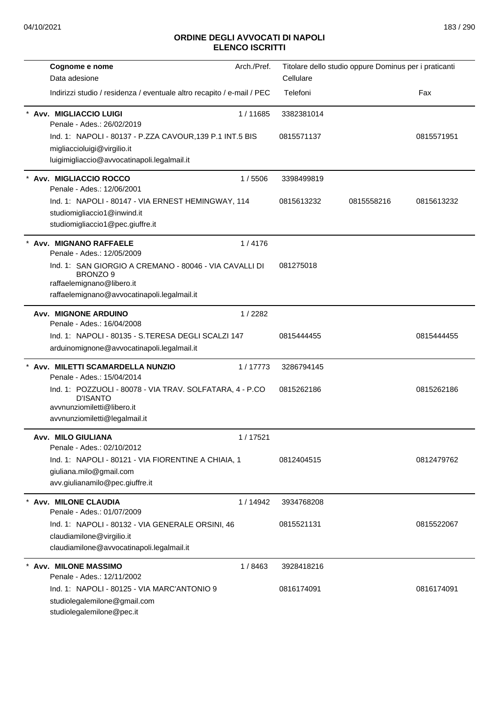| Cognome e nome                                                                                            | Arch./Pref. | Titolare dello studio oppure Dominus per i praticanti |            |            |
|-----------------------------------------------------------------------------------------------------------|-------------|-------------------------------------------------------|------------|------------|
| Data adesione                                                                                             |             | Cellulare                                             |            |            |
| Indirizzi studio / residenza / eventuale altro recapito / e-mail / PEC                                    |             | Telefoni                                              |            | Fax        |
| * Avv. MIGLIACCIO LUIGI<br>Penale - Ades.: 26/02/2019                                                     | 1/11685     | 3382381014                                            |            |            |
| Ind. 1: NAPOLI - 80137 - P.ZZA CAVOUR, 139 P.1 INT.5 BIS<br>migliaccioluigi@virgilio.it                   |             | 0815571137                                            |            | 0815571951 |
| luigimigliaccio@avvocatinapoli.legalmail.it                                                               |             |                                                       |            |            |
| Avv. MIGLIACCIO ROCCO<br>Penale - Ades.: 12/06/2001                                                       | 1/5506      | 3398499819                                            |            |            |
| Ind. 1: NAPOLI - 80147 - VIA ERNEST HEMINGWAY, 114                                                        |             | 0815613232                                            | 0815558216 | 0815613232 |
| studiomigliaccio1@inwind.it<br>studiomigliaccio1@pec.giuffre.it                                           |             |                                                       |            |            |
| Avv. MIGNANO RAFFAELE<br>Penale - Ades.: 12/05/2009                                                       | 1/4176      |                                                       |            |            |
| Ind. 1: SAN GIORGIO A CREMANO - 80046 - VIA CAVALLI DI<br>BRONZO 9                                        |             | 081275018                                             |            |            |
| raffaelemignano@libero.it<br>raffaelemignano@avvocatinapoli.legalmail.it                                  |             |                                                       |            |            |
| <b>Avv. MIGNONE ARDUINO</b>                                                                               | 1/2282      |                                                       |            |            |
| Penale - Ades.: 16/04/2008                                                                                |             |                                                       |            |            |
| Ind. 1: NAPOLI - 80135 - S.TERESA DEGLI SCALZI 147                                                        |             | 0815444455                                            |            | 0815444455 |
| arduinomignone@avvocatinapoli.legalmail.it                                                                |             |                                                       |            |            |
| * Avv. MILETTI SCAMARDELLA NUNZIO<br>Penale - Ades.: 15/04/2014                                           | 1/17773     | 3286794145                                            |            |            |
| Ind. 1: POZZUOLI - 80078 - VIA TRAV. SOLFATARA, 4 - P.CO<br><b>D'ISANTO</b><br>avvnunziomiletti@libero.it |             | 0815262186                                            |            | 0815262186 |
| avvnunziomiletti@legalmail.it                                                                             |             |                                                       |            |            |
| Avv. MILO GIULIANA<br>Penale - Ades.: 02/10/2012                                                          | 1/17521     |                                                       |            |            |
| Ind. 1: NAPOLI - 80121 - VIA FIORENTINE A CHIAIA, 1                                                       |             | 0812404515                                            |            | 0812479762 |
| giuliana.milo@gmail.com<br>avv.giulianamilo@pec.giuffre.it                                                |             |                                                       |            |            |
| Avv. MILONE CLAUDIA<br>Penale - Ades.: 01/07/2009                                                         | 1/14942     | 3934768208                                            |            |            |
| Ind. 1: NAPOLI - 80132 - VIA GENERALE ORSINI, 46                                                          |             | 0815521131                                            |            | 0815522067 |
| claudiamilone@virgilio.it<br>claudiamilone@avvocatinapoli.legalmail.it                                    |             |                                                       |            |            |
| <b>Avv. MILONE MASSIMO</b><br>Penale - Ades.: 12/11/2002                                                  | 1/8463      | 3928418216                                            |            |            |
| Ind. 1: NAPOLI - 80125 - VIA MARC'ANTONIO 9<br>studiolegalemilone@gmail.com<br>studiolegalemilone@pec.it  |             | 0816174091                                            |            | 0816174091 |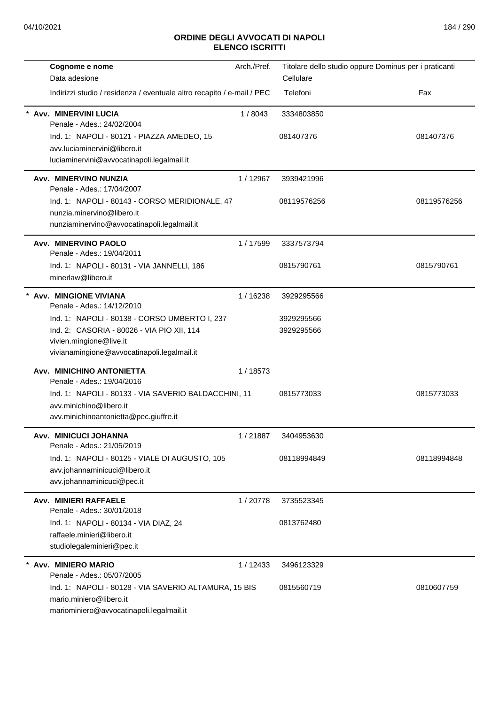| Cognome e nome                                                                                                               | Arch./Pref. | Titolare dello studio oppure Dominus per i praticanti |             |
|------------------------------------------------------------------------------------------------------------------------------|-------------|-------------------------------------------------------|-------------|
| Data adesione                                                                                                                |             | Cellulare                                             |             |
| Indirizzi studio / residenza / eventuale altro recapito / e-mail / PEC                                                       |             | Telefoni                                              | Fax         |
| Avv. MINERVINI LUCIA<br>Penale - Ades.: 24/02/2004                                                                           | 1/8043      | 3334803850                                            |             |
| Ind. 1: NAPOLI - 80121 - PIAZZA AMEDEO, 15<br>avv.luciaminervini@libero.it<br>luciaminervini@avvocatinapoli.legalmail.it     |             | 081407376                                             | 081407376   |
| Avv. MINERVINO NUNZIA<br>Penale - Ades.: 17/04/2007                                                                          | 1/12967     | 3939421996                                            |             |
| Ind. 1: NAPOLI - 80143 - CORSO MERIDIONALE, 47<br>nunzia.minervino@libero.it<br>nunziaminervino@avvocatinapoli.legalmail.it  |             | 08119576256                                           | 08119576256 |
| Avv. MINERVINO PAOLO<br>Penale - Ades.: 19/04/2011                                                                           | 1 / 17599   | 3337573794                                            |             |
| Ind. 1: NAPOLI - 80131 - VIA JANNELLI, 186<br>minerlaw@libero.it                                                             |             | 0815790761                                            | 0815790761  |
| <b>Avv. MINGIONE VIVIANA</b><br>Penale - Ades.: 14/12/2010                                                                   | 1/16238     | 3929295566                                            |             |
| Ind. 1: NAPOLI - 80138 - CORSO UMBERTO I, 237                                                                                |             | 3929295566                                            |             |
| Ind. 2: CASORIA - 80026 - VIA PIO XII, 114<br>vivien.mingione@live.it<br>vivianamingione@avvocatinapoli.legalmail.it         |             | 3929295566                                            |             |
| Avv. MINICHINO ANTONIETTA<br>Penale - Ades.: 19/04/2016                                                                      | 1/18573     |                                                       |             |
| Ind. 1: NAPOLI - 80133 - VIA SAVERIO BALDACCHINI, 11<br>avv.minichino@libero.it<br>avv.minichinoantonietta@pec.giuffre.it    |             | 0815773033                                            | 0815773033  |
| Avv. MINICUCI JOHANNA<br>Penale - Ades.: 21/05/2019                                                                          | 1/21887     | 3404953630                                            |             |
| Ind. 1: NAPOLI - 80125 - VIALE DI AUGUSTO, 105<br>avv.johannaminicuci@libero.it<br>avv.johannaminicuci@pec.it                |             | 08118994849                                           | 08118994848 |
| Avv. MINIERI RAFFAELE<br>Penale - Ades.: 30/01/2018                                                                          | 1/20778     | 3735523345                                            |             |
| Ind. 1: NAPOLI - 80134 - VIA DIAZ, 24<br>raffaele.minieri@libero.it<br>studiolegaleminieri@pec.it                            |             | 0813762480                                            |             |
| Avv. MINIERO MARIO<br>Penale - Ades.: 05/07/2005                                                                             | 1/12433     | 3496123329                                            |             |
| Ind. 1: NAPOLI - 80128 - VIA SAVERIO ALTAMURA, 15 BIS<br>mario.miniero@libero.it<br>mariominiero@avvocatinapoli.legalmail.it |             | 0815560719                                            | 0810607759  |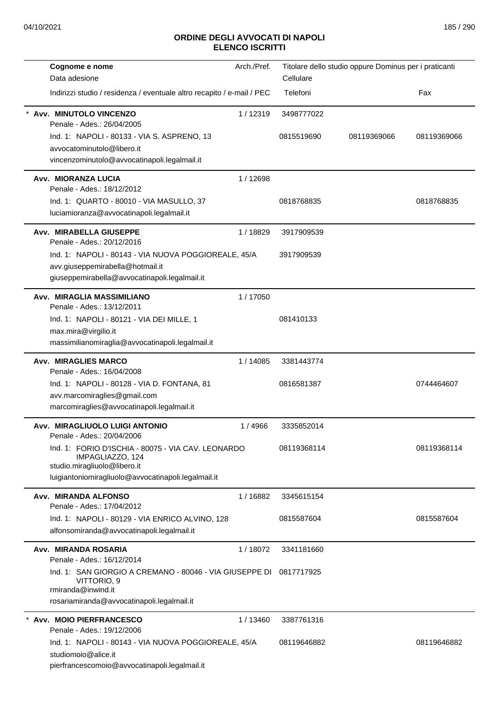| Cognome e nome                                                                               | Arch./Pref. |             | Titolare dello studio oppure Dominus per i praticanti |             |
|----------------------------------------------------------------------------------------------|-------------|-------------|-------------------------------------------------------|-------------|
| Data adesione                                                                                |             | Cellulare   |                                                       |             |
| Indirizzi studio / residenza / eventuale altro recapito / e-mail / PEC                       |             | Telefoni    |                                                       | Fax         |
| Avv. MINUTOLO VINCENZO<br>Penale - Ades.: 26/04/2005                                         | 1/12319     | 3498777022  |                                                       |             |
| Ind. 1: NAPOLI - 80133 - VIA S. ASPRENO, 13                                                  |             | 0815519690  | 08119369066                                           | 08119369066 |
| avvocatominutolo@libero.it                                                                   |             |             |                                                       |             |
| vincenzominutolo@avvocatinapoli.legalmail.it                                                 |             |             |                                                       |             |
| Avv. MIORANZA LUCIA<br>Penale - Ades.: 18/12/2012                                            | 1/12698     |             |                                                       |             |
| Ind. 1: QUARTO - 80010 - VIA MASULLO, 37                                                     |             | 0818768835  |                                                       | 0818768835  |
| luciamioranza@avvocatinapoli.legalmail.it                                                    |             |             |                                                       |             |
| Avv. MIRABELLA GIUSEPPE<br>Penale - Ades.: 20/12/2016                                        | 1/18829     | 3917909539  |                                                       |             |
| Ind. 1: NAPOLI - 80143 - VIA NUOVA POGGIOREALE, 45/A                                         |             | 3917909539  |                                                       |             |
| avv.giuseppemirabella@hotmail.it                                                             |             |             |                                                       |             |
| giuseppemirabella@avvocatinapoli.legalmail.it                                                |             |             |                                                       |             |
| Avv. MIRAGLIA MASSIMILIANO<br>Penale - Ades.: 13/12/2011                                     | 1/17050     |             |                                                       |             |
| Ind. 1: NAPOLI - 80121 - VIA DEI MILLE, 1                                                    |             | 081410133   |                                                       |             |
| max.mira@virgilio.it                                                                         |             |             |                                                       |             |
| massimilianomiraglia@avvocatinapoli.legalmail.it                                             |             |             |                                                       |             |
| <b>Avv. MIRAGLIES MARCO</b><br>Penale - Ades.: 16/04/2008                                    | 1/14085     | 3381443774  |                                                       |             |
| Ind. 1: NAPOLI - 80128 - VIA D. FONTANA, 81                                                  |             | 0816581387  |                                                       | 0744464607  |
| avv.marcomiraglies@gmail.com                                                                 |             |             |                                                       |             |
| marcomiraglies@avvocatinapoli.legalmail.it                                                   |             |             |                                                       |             |
| Avv. MIRAGLIUOLO LUIGI ANTONIO<br>Penale - Ades.: 20/04/2006                                 | 1 / 4966    | 3335852014  |                                                       |             |
| Ind. 1: FORIO D'ISCHIA - 80075 - VIA CAV. LEONARDO<br>IMPAGLIAZZO, 124                       |             | 08119368114 |                                                       | 08119368114 |
| studio.miragliuolo@libero.it<br>luigiantoniomiragliuolo@avvocatinapoli.legalmail.it          |             |             |                                                       |             |
|                                                                                              |             |             |                                                       |             |
| Avv. MIRANDA ALFONSO<br>Penale - Ades.: 17/04/2012                                           | 1/16882     | 3345615154  |                                                       |             |
| Ind. 1: NAPOLI - 80129 - VIA ENRICO ALVINO, 128                                              |             | 0815587604  |                                                       | 0815587604  |
| alfonsomiranda@avvocatinapoli.legalmail.it                                                   |             |             |                                                       |             |
| <b>Avv. MIRANDA ROSARIA</b><br>Penale - Ades.: 16/12/2014                                    | 1/18072     | 3341181660  |                                                       |             |
| Ind. 1: SAN GIORGIO A CREMANO - 80046 - VIA GIUSEPPE DI<br>VITTORIO, 9<br>rmiranda@inwind.it |             | 0817717925  |                                                       |             |
| rosariamiranda@avvocatinapoli.legalmail.it                                                   |             |             |                                                       |             |
| Avv. MOIO PIERFRANCESCO                                                                      | 1/13460     | 3387761316  |                                                       |             |
| Penale - Ades.: 19/12/2006                                                                   |             |             |                                                       |             |
| Ind. 1: NAPOLI - 80143 - VIA NUOVA POGGIOREALE, 45/A                                         |             | 08119646882 |                                                       | 08119646882 |
| studiomoio@alice.it                                                                          |             |             |                                                       |             |
| pierfrancescomoio@avvocatinapoli.legalmail.it                                                |             |             |                                                       |             |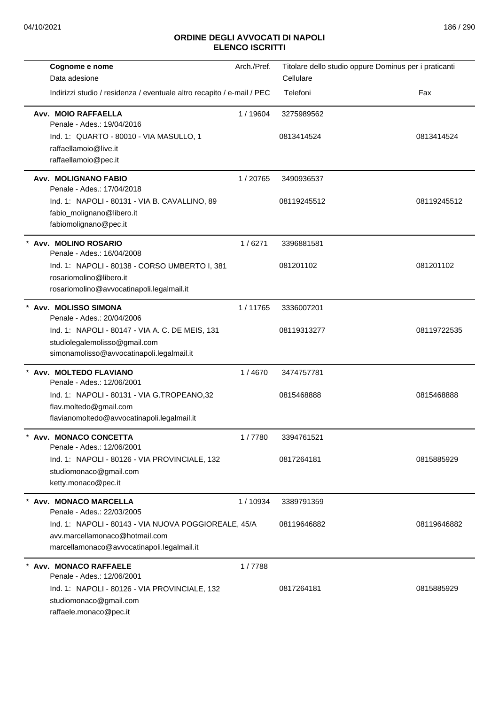| Cognome e nome                                                                                                                       | Arch./Pref. | Titolare dello studio oppure Dominus per i praticanti |             |
|--------------------------------------------------------------------------------------------------------------------------------------|-------------|-------------------------------------------------------|-------------|
| Data adesione                                                                                                                        |             | Cellulare                                             |             |
| Indirizzi studio / residenza / eventuale altro recapito / e-mail / PEC                                                               |             | Telefoni                                              | Fax         |
| Avv. MOIO RAFFAELLA<br>Penale - Ades.: 19/04/2016                                                                                    | 1 / 19604   | 3275989562                                            |             |
| Ind. 1: QUARTO - 80010 - VIA MASULLO, 1<br>raffaellamoio@live.it<br>raffaellamoio@pec.it                                             |             | 0813414524                                            | 0813414524  |
| Avv. MOLIGNANO FABIO<br>Penale - Ades.: 17/04/2018                                                                                   | 1/20765     | 3490936537                                            |             |
| Ind. 1: NAPOLI - 80131 - VIA B. CAVALLINO, 89<br>fabio_molignano@libero.it<br>fabiomolignano@pec.it                                  |             | 08119245512                                           | 08119245512 |
| * Avv. MOLINO ROSARIO<br>Penale - Ades.: 16/04/2008                                                                                  | 1/6271      | 3396881581                                            |             |
| Ind. 1: NAPOLI - 80138 - CORSO UMBERTO I, 381<br>rosariomolino@libero.it<br>rosariomolino@avvocatinapoli.legalmail.it                |             | 081201102                                             | 081201102   |
| * Avv. MOLISSO SIMONA<br>Penale - Ades.: 20/04/2006                                                                                  | 1/11765     | 3336007201                                            |             |
| Ind. 1: NAPOLI - 80147 - VIA A. C. DE MEIS, 131<br>studiolegalemolisso@gmail.com<br>simonamolisso@avvocatinapoli.legalmail.it        |             | 08119313277                                           | 08119722535 |
| * Avv. MOLTEDO FLAVIANO<br>Penale - Ades.: 12/06/2001                                                                                | 1/4670      | 3474757781                                            |             |
| Ind. 1: NAPOLI - 80131 - VIA G.TROPEANO,32<br>flav.moltedo@gmail.com<br>flavianomoltedo@avvocatinapoli.legalmail.it                  |             | 0815468888                                            | 0815468888  |
| Avv. MONACO CONCETTA<br>Penale - Ades.: 12/06/2001                                                                                   | 1/7780      | 3394761521                                            |             |
| Ind. 1: NAPOLI - 80126 - VIA PROVINCIALE, 132<br>studiomonaco@gmail.com<br>ketty.monaco@pec.it                                       |             | 0817264181                                            | 0815885929  |
| * Avv. MONACO MARCELLA<br>Penale - Ades.: 22/03/2005                                                                                 | 1 / 10934   | 3389791359                                            |             |
| Ind. 1: NAPOLI - 80143 - VIA NUOVA POGGIOREALE, 45/A<br>avv.marcellamonaco@hotmail.com<br>marcellamonaco@avvocatinapoli.legalmail.it |             | 08119646882                                           | 08119646882 |
| * Avv. MONACO RAFFAELE<br>Penale - Ades.: 12/06/2001                                                                                 | 1/7788      |                                                       |             |
| Ind. 1: NAPOLI - 80126 - VIA PROVINCIALE, 132<br>studiomonaco@gmail.com<br>raffaele.monaco@pec.it                                    |             | 0817264181                                            | 0815885929  |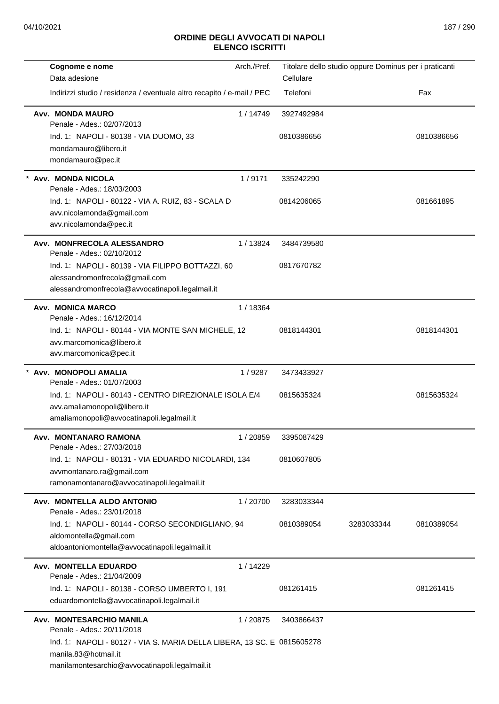| Cognome e nome                                                          | Arch./Pref. | Titolare dello studio oppure Dominus per i praticanti |            |            |
|-------------------------------------------------------------------------|-------------|-------------------------------------------------------|------------|------------|
| Data adesione                                                           |             | Cellulare                                             |            |            |
| Indirizzi studio / residenza / eventuale altro recapito / e-mail / PEC  |             | Telefoni                                              |            | Fax        |
| Avv. MONDA MAURO<br>Penale - Ades.: 02/07/2013                          | 1/14749     | 3927492984                                            |            |            |
| Ind. 1: NAPOLI - 80138 - VIA DUOMO, 33                                  |             | 0810386656                                            |            | 0810386656 |
| mondamauro@libero.it                                                    |             |                                                       |            |            |
| mondamauro@pec.it                                                       |             |                                                       |            |            |
| * Avv. MONDA NICOLA<br>Penale - Ades.: 18/03/2003                       | 1/9171      | 335242290                                             |            |            |
| Ind. 1: NAPOLI - 80122 - VIA A. RUIZ, 83 - SCALA D                      |             | 0814206065                                            |            | 081661895  |
| avv.nicolamonda@gmail.com                                               |             |                                                       |            |            |
| avv.nicolamonda@pec.it                                                  |             |                                                       |            |            |
| Avv. MONFRECOLA ALESSANDRO<br>Penale - Ades.: 02/10/2012                | 1/13824     | 3484739580                                            |            |            |
| Ind. 1: NAPOLI - 80139 - VIA FILIPPO BOTTAZZI, 60                       |             | 0817670782                                            |            |            |
| alessandromonfrecola@gmail.com                                          |             |                                                       |            |            |
| alessandromonfrecola@avvocatinapoli.legalmail.it                        |             |                                                       |            |            |
| Avv. MONICA MARCO<br>Penale - Ades.: 16/12/2014                         | 1/18364     |                                                       |            |            |
| Ind. 1: NAPOLI - 80144 - VIA MONTE SAN MICHELE, 12                      |             | 0818144301                                            |            | 0818144301 |
| avv.marcomonica@libero.it                                               |             |                                                       |            |            |
| avv.marcomonica@pec.it                                                  |             |                                                       |            |            |
| Avv. MONOPOLI AMALIA                                                    | 1/9287      | 3473433927                                            |            |            |
| Penale - Ades.: 01/07/2003                                              |             |                                                       |            |            |
| Ind. 1: NAPOLI - 80143 - CENTRO DIREZIONALE ISOLA E/4                   |             | 0815635324                                            |            | 0815635324 |
| avv.amaliamonopoli@libero.it                                            |             |                                                       |            |            |
| amaliamonopoli@avvocatinapoli.legalmail.it                              |             |                                                       |            |            |
| Avv. MONTANARO RAMONA<br>Penale - Ades.: 27/03/2018                     | 1/20859     | 3395087429                                            |            |            |
| Ind. 1: NAPOLI - 80131 - VIA EDUARDO NICOLARDI, 134                     |             | 0810607805                                            |            |            |
| avvmontanaro.ra@gmail.com                                               |             |                                                       |            |            |
| ramonamontanaro@avvocatinapoli.legalmail.it                             |             |                                                       |            |            |
| Avv. MONTELLA ALDO ANTONIO<br>Penale - Ades.: 23/01/2018                | 1/20700     | 3283033344                                            |            |            |
| Ind. 1: NAPOLI - 80144 - CORSO SECONDIGLIANO, 94                        |             | 0810389054                                            | 3283033344 | 0810389054 |
| aldomontella@gmail.com                                                  |             |                                                       |            |            |
| aldoantoniomontella@avvocatinapoli.legalmail.it                         |             |                                                       |            |            |
| Avv. MONTELLA EDUARDO                                                   | 1/14229     |                                                       |            |            |
| Penale - Ades.: 21/04/2009                                              |             |                                                       |            |            |
| Ind. 1: NAPOLI - 80138 - CORSO UMBERTO I, 191                           |             | 081261415                                             |            | 081261415  |
| eduardomontella@avvocatinapoli.legalmail.it                             |             |                                                       |            |            |
| Avv. MONTESARCHIO MANILA<br>Penale - Ades.: 20/11/2018                  | 1/20875     | 3403866437                                            |            |            |
| Ind. 1: NAPOLI - 80127 - VIA S. MARIA DELLA LIBERA, 13 SC. E 0815605278 |             |                                                       |            |            |
| manila.83@hotmail.it                                                    |             |                                                       |            |            |
| manilamontesarchio@avvocatinapoli.legalmail.it                          |             |                                                       |            |            |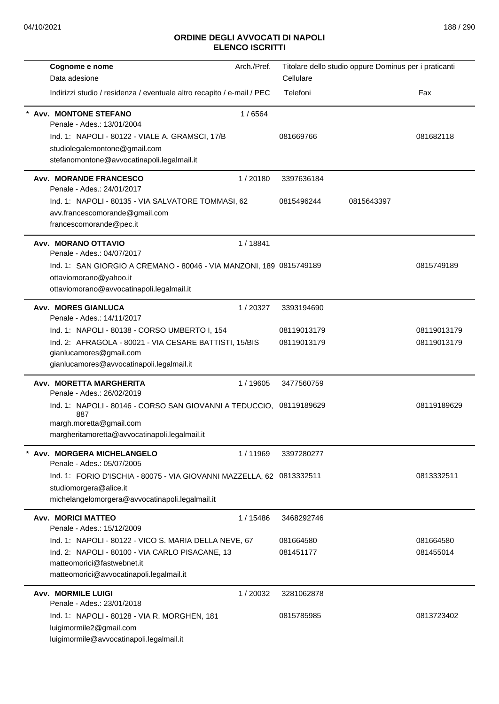| Cognome e nome                                                                                                                                                                                                  | Arch./Pref. |                            | Titolare dello studio oppure Dominus per i praticanti |                            |
|-----------------------------------------------------------------------------------------------------------------------------------------------------------------------------------------------------------------|-------------|----------------------------|-------------------------------------------------------|----------------------------|
| Data adesione                                                                                                                                                                                                   |             | Cellulare                  |                                                       |                            |
| Indirizzi studio / residenza / eventuale altro recapito / e-mail / PEC                                                                                                                                          |             | Telefoni                   |                                                       | Fax                        |
| <b>Avv. MONTONE STEFANO</b><br>Penale - Ades.: 13/01/2004<br>Ind. 1: NAPOLI - 80122 - VIALE A. GRAMSCI, 17/B<br>studiolegalemontone@gmail.com<br>stefanomontone@avvocatinapoli.legalmail.it                     | 1/6564      | 081669766                  |                                                       | 081682118                  |
| <b>Avv. MORANDE FRANCESCO</b>                                                                                                                                                                                   | 1/20180     | 3397636184                 |                                                       |                            |
| Penale - Ades.: 24/01/2017<br>Ind. 1: NAPOLI - 80135 - VIA SALVATORE TOMMASI, 62<br>avv.francescomorande@gmail.com<br>francescomorande@pec.it                                                                   |             | 0815496244                 | 0815643397                                            |                            |
| Avv. MORANO OTTAVIO                                                                                                                                                                                             | 1/18841     |                            |                                                       |                            |
| Penale - Ades.: 04/07/2017<br>Ind. 1: SAN GIORGIO A CREMANO - 80046 - VIA MANZONI, 189 0815749189<br>ottaviomorano@yahoo.it<br>ottaviomorano@avvocatinapoli.legalmail.it                                        |             |                            |                                                       | 0815749189                 |
| <b>Avv. MORES GIANLUCA</b><br>Penale - Ades.: 14/11/2017                                                                                                                                                        | 1/20327     | 3393194690                 |                                                       |                            |
| Ind. 1: NAPOLI - 80138 - CORSO UMBERTO I, 154<br>Ind. 2: AFRAGOLA - 80021 - VIA CESARE BATTISTI, 15/BIS<br>gianlucamores@gmail.com                                                                              |             | 08119013179<br>08119013179 |                                                       | 08119013179<br>08119013179 |
| gianlucamores@avvocatinapoli.legalmail.it                                                                                                                                                                       |             |                            |                                                       |                            |
| Avv. MORETTA MARGHERITA<br>Penale - Ades.: 26/02/2019<br>Ind. 1: NAPOLI - 80146 - CORSO SAN GIOVANNI A TEDUCCIO, 08119189629<br>887<br>margh.moretta@gmail.com<br>margheritamoretta@avvocatinapoli.legalmail.it | 1 / 19605   | 3477560759                 |                                                       | 08119189629                |
| Avv. MORGERA MICHELANGELO                                                                                                                                                                                       | 1/11969     | 3397280277                 |                                                       |                            |
| Penale - Ades.: 05/07/2005<br>Ind. 1: FORIO D'ISCHIA - 80075 - VIA GIOVANNI MAZZELLA, 62 0813332511<br>studiomorgera@alice.it<br>michelangelomorgera@avvocatinapoli.legalmail.it                                |             |                            |                                                       | 0813332511                 |
| <b>Avv. MORICI MATTEO</b><br>Penale - Ades.: 15/12/2009                                                                                                                                                         | 1/15486     | 3468292746                 |                                                       |                            |
| Ind. 1: NAPOLI - 80122 - VICO S. MARIA DELLA NEVE, 67<br>Ind. 2: NAPOLI - 80100 - VIA CARLO PISACANE, 13<br>matteomorici@fastwebnet.it<br>matteomorici@avvocatinapoli.legalmail.it                              |             | 081664580<br>081451177     |                                                       | 081664580<br>081455014     |
| <b>Avv. MORMILE LUIGI</b><br>Penale - Ades.: 23/01/2018                                                                                                                                                         | 1/20032     | 3281062878                 |                                                       |                            |
| Ind. 1: NAPOLI - 80128 - VIA R. MORGHEN, 181<br>luigimormile2@gmail.com<br>luigimormile@avvocatinapoli.legalmail.it                                                                                             |             | 0815785985                 |                                                       | 0813723402                 |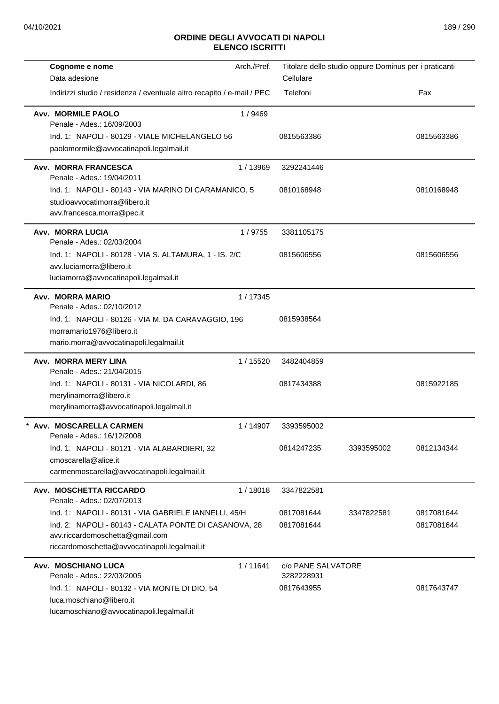| Cognome e nome                                                                                                                                                                                    | Arch./Pref. |                                                | Titolare dello studio oppure Dominus per i praticanti |                          |
|---------------------------------------------------------------------------------------------------------------------------------------------------------------------------------------------------|-------------|------------------------------------------------|-------------------------------------------------------|--------------------------|
| Data adesione                                                                                                                                                                                     |             | Cellulare                                      |                                                       |                          |
| Indirizzi studio / residenza / eventuale altro recapito / e-mail / PEC                                                                                                                            |             | Telefoni                                       |                                                       | Fax                      |
| <b>Avv. MORMILE PAOLO</b><br>Penale - Ades.: 16/09/2003                                                                                                                                           | 1/9469      |                                                |                                                       |                          |
| Ind. 1: NAPOLI - 80129 - VIALE MICHELANGELO 56<br>paolomormile@avvocatinapoli.legalmail.it                                                                                                        |             | 0815563386                                     |                                                       | 0815563386               |
| Avv. MORRA FRANCESCA<br>Penale - Ades.: 19/04/2011                                                                                                                                                | 1/13969     | 3292241446                                     |                                                       |                          |
| Ind. 1: NAPOLI - 80143 - VIA MARINO DI CARAMANICO, 5<br>studioavvocatimorra@libero.it<br>avv.francesca.morra@pec.it                                                                               |             | 0810168948                                     |                                                       | 0810168948               |
| Avv. MORRA LUCIA<br>Penale - Ades.: 02/03/2004                                                                                                                                                    | 1/9755      | 3381105175                                     |                                                       |                          |
| Ind. 1: NAPOLI - 80128 - VIA S. ALTAMURA, 1 - IS. 2/C<br>avv.luciamorra@libero.it<br>luciamorra@avvocatinapoli.legalmail.it                                                                       |             | 0815606556                                     |                                                       | 0815606556               |
| Avv. MORRA MARIO                                                                                                                                                                                  | 1 / 17345   |                                                |                                                       |                          |
| Penale - Ades.: 02/10/2012<br>Ind. 1: NAPOLI - 80126 - VIA M. DA CARAVAGGIO, 196<br>morramario1976@libero.it<br>mario.morra@avvocatinapoli.legalmail.it                                           |             | 0815938564                                     |                                                       |                          |
| Avv. MORRA MERY LINA<br>Penale - Ades.: 21/04/2015                                                                                                                                                | 1 / 15520   | 3482404859                                     |                                                       |                          |
| Ind. 1: NAPOLI - 80131 - VIA NICOLARDI, 86<br>merylinamorra@libero.it<br>merylinamorra@avvocatinapoli.legalmail.it                                                                                |             | 0817434388                                     |                                                       | 0815922185               |
| Avv. MOSCARELLA CARMEN<br>Penale - Ades.: 16/12/2008                                                                                                                                              | 1/14907     | 3393595002                                     |                                                       |                          |
| Ind. 1: NAPOLI - 80121 - VIA ALABARDIERI, 32<br>cmoscarella@alice.it<br>carmenmoscarella@avvocatinapoli.legalmail.it                                                                              |             | 0814247235                                     | 3393595002                                            | 0812134344               |
| Avv. MOSCHETTA RICCARDO<br>Penale - Ades.: 02/07/2013                                                                                                                                             | 1/18018     | 3347822581                                     |                                                       |                          |
| Ind. 1: NAPOLI - 80131 - VIA GABRIELE IANNELLI, 45/H<br>Ind. 2: NAPOLI - 80143 - CALATA PONTE DI CASANOVA, 28<br>avv.riccardomoschetta@gmail.com<br>riccardomoschetta@avvocatinapoli.legalmail.it |             | 0817081644<br>0817081644                       | 3347822581                                            | 0817081644<br>0817081644 |
| Avv. MOSCHIANO LUCA<br>Penale - Ades.: 22/03/2005<br>Ind. 1: NAPOLI - 80132 - VIA MONTE DI DIO, 54<br>luca.moschiano@libero.it<br>lucamoschiano@avvocatinapoli.legalmail.it                       | 1/11641     | c/o PANE SALVATORE<br>3282228931<br>0817643955 |                                                       | 0817643747               |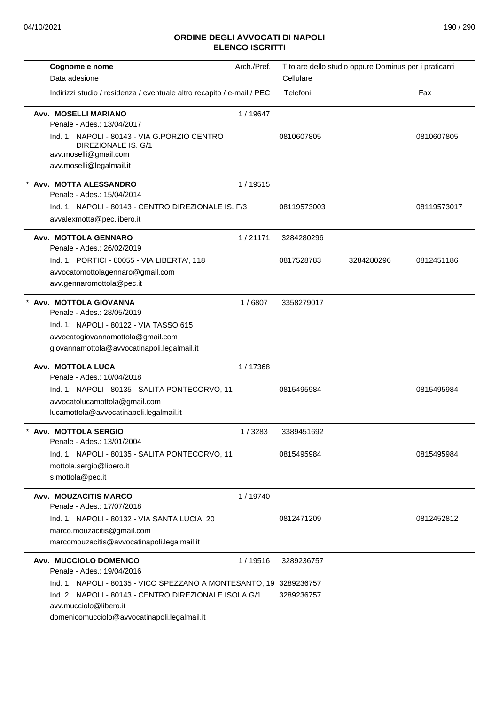| Cognome e nome                                                                                                                                                                                                                                                | Arch./Pref. |                          | Titolare dello studio oppure Dominus per i praticanti |             |
|---------------------------------------------------------------------------------------------------------------------------------------------------------------------------------------------------------------------------------------------------------------|-------------|--------------------------|-------------------------------------------------------|-------------|
| Data adesione                                                                                                                                                                                                                                                 |             | Cellulare                |                                                       |             |
| Indirizzi studio / residenza / eventuale altro recapito / e-mail / PEC                                                                                                                                                                                        |             | Telefoni                 |                                                       | Fax         |
| <b>Avv. MOSELLI MARIANO</b><br>Penale - Ades.: 13/04/2017<br>Ind. 1: NAPOLI - 80143 - VIA G.PORZIO CENTRO<br>DIREZIONALE IS. G/1<br>avv.moselli@gmail.com<br>avv.moselli@legalmail.it                                                                         | 1/19647     | 0810607805               |                                                       | 0810607805  |
| Avv. MOTTA ALESSANDRO<br>Penale - Ades.: 15/04/2014<br>Ind. 1: NAPOLI - 80143 - CENTRO DIREZIONALE IS, F/3<br>avvalexmotta@pec.libero.it                                                                                                                      | 1 / 19515   | 08119573003              |                                                       | 08119573017 |
| Avv. MOTTOLA GENNARO                                                                                                                                                                                                                                          | 1/21171     | 3284280296               |                                                       |             |
| Penale - Ades.: 26/02/2019<br>Ind. 1: PORTICI - 80055 - VIA LIBERTA', 118<br>avvocatomottolagennaro@gmail.com<br>avv.gennaromottola@pec.it                                                                                                                    |             | 0817528783               | 3284280296                                            | 0812451186  |
| Avv. MOTTOLA GIOVANNA<br>Penale - Ades.: 28/05/2019<br>Ind. 1: NAPOLI - 80122 - VIA TASSO 615<br>avvocatogiovannamottola@gmail.com<br>giovannamottola@avvocatinapoli.legalmail.it                                                                             | 1/6807      | 3358279017               |                                                       |             |
| Avv. MOTTOLA LUCA                                                                                                                                                                                                                                             | 1/17368     |                          |                                                       |             |
| Penale - Ades.: 10/04/2018<br>Ind. 1: NAPOLI - 80135 - SALITA PONTECORVO, 11<br>avvocatolucamottola@gmail.com<br>lucamottola@avvocatinapoli.legalmail.it                                                                                                      |             | 0815495984               |                                                       | 0815495984  |
| Avv. MOTTOLA SERGIO<br>Penale - Ades.: 13/01/2004                                                                                                                                                                                                             | 1/3283      | 3389451692               |                                                       |             |
| Ind. 1: NAPOLI - 80135 - SALITA PONTECORVO, 11<br>mottola.sergio@libero.it<br>s.mottola@pec.it                                                                                                                                                                |             | 0815495984               |                                                       | 0815495984  |
| <b>Avv. MOUZACITIS MARCO</b><br>Penale - Ades.: 17/07/2018                                                                                                                                                                                                    | 1 / 19740   |                          |                                                       |             |
| Ind. 1: NAPOLI - 80132 - VIA SANTA LUCIA, 20<br>marco.mouzacitis@gmail.com<br>marcomouzacitis@avvocatinapoli.legalmail.it                                                                                                                                     |             | 0812471209               |                                                       | 0812452812  |
| Avv. MUCCIOLO DOMENICO<br>Penale - Ades.: 19/04/2016<br>Ind. 1: NAPOLI - 80135 - VICO SPEZZANO A MONTESANTO, 19 3289236757<br>Ind. 2: NAPOLI - 80143 - CENTRO DIREZIONALE ISOLA G/1<br>avv.mucciolo@libero.it<br>domenicomucciolo@avvocatinapoli.legalmail.it | 1/19516     | 3289236757<br>3289236757 |                                                       |             |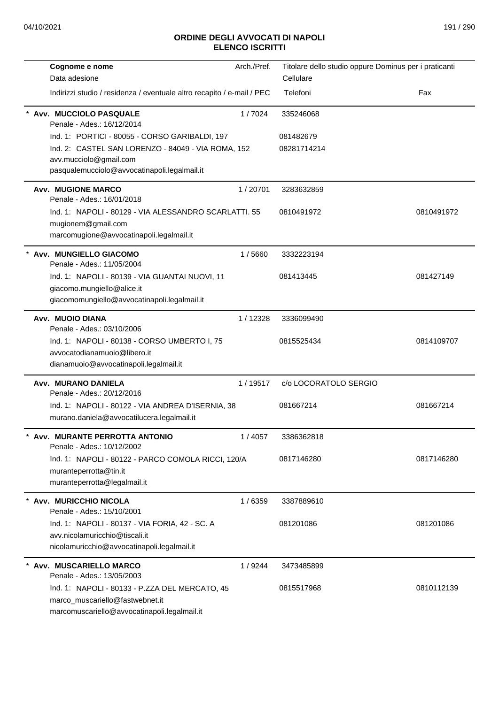| Cognome e nome                                                               | Arch./Pref. | Titolare dello studio oppure Dominus per i praticanti |            |
|------------------------------------------------------------------------------|-------------|-------------------------------------------------------|------------|
| Data adesione                                                                |             | Cellulare                                             |            |
| Indirizzi studio / residenza / eventuale altro recapito / e-mail / PEC       |             | Telefoni                                              | Fax        |
| Avv. MUCCIOLO PASQUALE<br>Penale - Ades.: 16/12/2014                         | 1/7024      | 335246068                                             |            |
| Ind. 1: PORTICI - 80055 - CORSO GARIBALDI, 197                               |             | 081482679                                             |            |
| Ind. 2: CASTEL SAN LORENZO - 84049 - VIA ROMA, 152                           |             | 08281714214                                           |            |
| avv.mucciolo@gmail.com                                                       |             |                                                       |            |
| pasqualemucciolo@avvocatinapoli.legalmail.it                                 |             |                                                       |            |
| <b>Avv. MUGIONE MARCO</b><br>Penale - Ades.: 16/01/2018                      | 1/20701     | 3283632859                                            |            |
| Ind. 1: NAPOLI - 80129 - VIA ALESSANDRO SCARLATTI, 55                        |             | 0810491972                                            | 0810491972 |
| mugionem@gmail.com                                                           |             |                                                       |            |
| marcomugione@avvocatinapoli.legalmail.it                                     |             |                                                       |            |
| Avv. MUNGIELLO GIACOMO                                                       | 1/5660      | 3332223194                                            |            |
| Penale - Ades.: 11/05/2004                                                   |             |                                                       |            |
| Ind. 1: NAPOLI - 80139 - VIA GUANTAI NUOVI, 11                               |             | 081413445                                             | 081427149  |
| giacomo.mungiello@alice.it                                                   |             |                                                       |            |
| giacomomungiello@avvocatinapoli.legalmail.it                                 |             |                                                       |            |
| Avv. MUOIO DIANA                                                             | 1/12328     | 3336099490                                            |            |
| Penale - Ades.: 03/10/2006                                                   |             |                                                       |            |
| Ind. 1: NAPOLI - 80138 - CORSO UMBERTO I, 75<br>avvocatodianamuoio@libero.it |             | 0815525434                                            | 0814109707 |
| dianamuoio@avvocatinapoli.legalmail.it                                       |             |                                                       |            |
|                                                                              |             |                                                       |            |
| Avv. MURANO DANIELA<br>Penale - Ades.: 20/12/2016                            | 1/19517     | c/o LOCORATOLO SERGIO                                 |            |
| Ind. 1: NAPOLI - 80122 - VIA ANDREA D'ISERNIA, 38                            |             | 081667214                                             | 081667214  |
| murano.daniela@avvocatilucera.legalmail.it                                   |             |                                                       |            |
|                                                                              |             |                                                       |            |
| Avv. MURANTE PERROTTA ANTONIO<br>Penale - Ades.: 10/12/2002                  | 1 / 4057    | 3386362818                                            |            |
| Ind. 1: NAPOLI - 80122 - PARCO COMOLA RICCI, 120/A                           |             | 0817146280                                            | 0817146280 |
| muranteperrotta@tin.it                                                       |             |                                                       |            |
| muranteperrotta@legalmail.it                                                 |             |                                                       |            |
| Avv. MURICCHIO NICOLA                                                        | 1/6359      | 3387889610                                            |            |
| Penale - Ades.: 15/10/2001                                                   |             |                                                       |            |
| Ind. 1: NAPOLI - 80137 - VIA FORIA, 42 - SC. A                               |             | 081201086                                             | 081201086  |
| avv.nicolamuricchio@tiscali.it                                               |             |                                                       |            |
| nicolamuricchio@avvocatinapoli.legalmail.it                                  |             |                                                       |            |
| Avv. MUSCARIELLO MARCO<br>Penale - Ades.: 13/05/2003                         | 1/9244      | 3473485899                                            |            |
| Ind. 1: NAPOLI - 80133 - P.ZZA DEL MERCATO, 45                               |             | 0815517968                                            | 0810112139 |
| marco_muscariello@fastwebnet.it                                              |             |                                                       |            |
| marcomuscariello@avvocatinapoli.legalmail.it                                 |             |                                                       |            |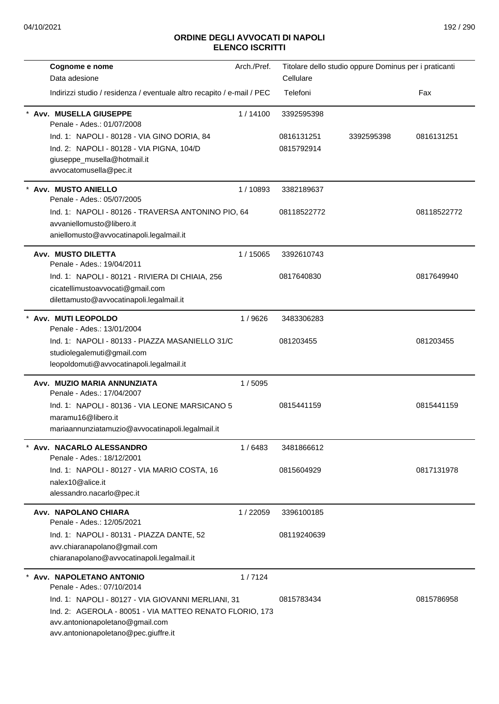| Cognome e nome                                                                                                                                                                                                                                    | Arch./Pref. |                                        | Titolare dello studio oppure Dominus per i praticanti |             |
|---------------------------------------------------------------------------------------------------------------------------------------------------------------------------------------------------------------------------------------------------|-------------|----------------------------------------|-------------------------------------------------------|-------------|
| Data adesione                                                                                                                                                                                                                                     |             | Cellulare                              |                                                       |             |
| Indirizzi studio / residenza / eventuale altro recapito / e-mail / PEC                                                                                                                                                                            |             | Telefoni                               |                                                       | Fax         |
| Avv. MUSELLA GIUSEPPE<br>Penale - Ades.: 01/07/2008<br>Ind. 1: NAPOLI - 80128 - VIA GINO DORIA, 84<br>Ind. 2: NAPOLI - 80128 - VIA PIGNA, 104/D<br>giuseppe_musella@hotmail.it<br>avvocatomusella@pec.it                                          | 1/14100     | 3392595398<br>0816131251<br>0815792914 | 3392595398                                            | 0816131251  |
| Avv. MUSTO ANIELLO<br>Penale - Ades.: 05/07/2005<br>Ind. 1: NAPOLI - 80126 - TRAVERSA ANTONINO PIO, 64<br>avvaniellomusto@libero.it<br>aniellomusto@avvocatinapoli.legalmail.it                                                                   | 1/10893     | 3382189637<br>08118522772              |                                                       | 08118522772 |
| Avv. MUSTO DILETTA<br>Penale - Ades.: 19/04/2011<br>Ind. 1: NAPOLI - 80121 - RIVIERA DI CHIAIA, 256<br>cicatellimustoavvocati@gmail.com<br>dilettamusto@avvocatinapoli.legalmail.it                                                               | 1 / 15065   | 3392610743<br>0817640830               |                                                       | 0817649940  |
| Avv. MUTI LEOPOLDO<br>Penale - Ades.: 13/01/2004<br>Ind. 1: NAPOLI - 80133 - PIAZZA MASANIELLO 31/C<br>studiolegalemuti@gmail.com<br>leopoldomuti@avvocatinapoli.legalmail.it                                                                     | 1/9626      | 3483306283<br>081203455                |                                                       | 081203455   |
| Avv. MUZIO MARIA ANNUNZIATA<br>Penale - Ades.: 17/04/2007<br>Ind. 1: NAPOLI - 80136 - VIA LEONE MARSICANO 5<br>maramu16@libero.it<br>mariaannunziatamuzio@avvocatinapoli.legalmail.it                                                             | 1/5095      | 0815441159                             |                                                       | 0815441159  |
| Avv. NACARLO ALESSANDRO<br>Penale - Ades.: 18/12/2001<br>Ind. 1: NAPOLI - 80127 - VIA MARIO COSTA, 16<br>nalex10@alice.it<br>alessandro.nacarlo@pec.it                                                                                            | 1/6483      | 3481866612<br>0815604929               |                                                       | 0817131978  |
| Avv. NAPOLANO CHIARA<br>Penale - Ades.: 12/05/2021<br>Ind. 1: NAPOLI - 80131 - PIAZZA DANTE, 52<br>avv.chiaranapolano@gmail.com<br>chiaranapolano@avvocatinapoli.legalmail.it                                                                     | 1/22059     | 3396100185<br>08119240639              |                                                       |             |
| Avv. NAPOLETANO ANTONIO<br>Penale - Ades.: 07/10/2014<br>Ind. 1: NAPOLI - 80127 - VIA GIOVANNI MERLIANI, 31<br>Ind. 2: AGEROLA - 80051 - VIA MATTEO RENATO FLORIO, 173<br>avv.antonionapoletano@gmail.com<br>avv.antonionapoletano@pec.giuffre.it | 1/7124      | 0815783434                             |                                                       | 0815786958  |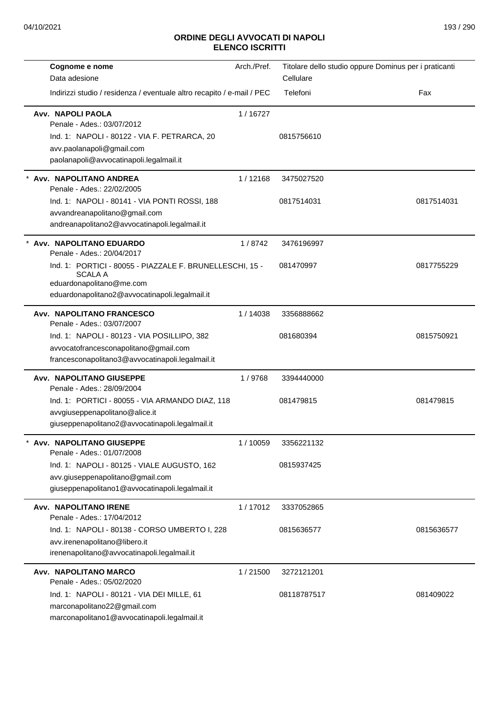| Cognome e nome                                                               | Arch./Pref. |             | Titolare dello studio oppure Dominus per i praticanti |
|------------------------------------------------------------------------------|-------------|-------------|-------------------------------------------------------|
| Data adesione                                                                |             | Cellulare   |                                                       |
| Indirizzi studio / residenza / eventuale altro recapito / e-mail / PEC       |             | Telefoni    | Fax                                                   |
| Avv. NAPOLI PAOLA                                                            | 1/16727     |             |                                                       |
| Penale - Ades.: 03/07/2012                                                   |             |             |                                                       |
| Ind. 1: NAPOLI - 80122 - VIA F. PETRARCA, 20                                 |             | 0815756610  |                                                       |
| avv.paolanapoli@gmail.com                                                    |             |             |                                                       |
| paolanapoli@avvocatinapoli.legalmail.it                                      |             |             |                                                       |
| Avv. NAPOLITANO ANDREA                                                       | 1/12168     | 3475027520  |                                                       |
| Penale - Ades.: 22/02/2005                                                   |             |             |                                                       |
| Ind. 1: NAPOLI - 80141 - VIA PONTI ROSSI, 188                                |             | 0817514031  | 0817514031                                            |
| avvandreanapolitano@gmail.com                                                |             |             |                                                       |
| andreanapolitano2@avvocatinapoli.legalmail.it                                |             |             |                                                       |
| Avv. NAPOLITANO EDUARDO<br>Penale - Ades.: 20/04/2017                        | 1/8742      | 3476196997  |                                                       |
| Ind. 1: PORTICI - 80055 - PIAZZALE F. BRUNELLESCHI, 15 -<br><b>SCALA A</b>   |             | 081470997   | 0817755229                                            |
| eduardonapolitano@me.com<br>eduardonapolitano2@avvocatinapoli.legalmail.it   |             |             |                                                       |
| Avv. NAPOLITANO FRANCESCO<br>Penale - Ades.: 03/07/2007                      | 1/14038     | 3356888662  |                                                       |
| Ind. 1: NAPOLI - 80123 - VIA POSILLIPO, 382                                  |             | 081680394   | 0815750921                                            |
| avvocatofrancesconapolitano@gmail.com                                        |             |             |                                                       |
| francesconapolitano3@avvocatinapoli.legalmail.it                             |             |             |                                                       |
| Avv. NAPOLITANO GIUSEPPE<br>Penale - Ades.: 28/09/2004                       | 1/9768      | 3394440000  |                                                       |
| Ind. 1: PORTICI - 80055 - VIA ARMANDO DIAZ, 118                              |             | 081479815   | 081479815                                             |
| avvgiuseppenapolitano@alice.it                                               |             |             |                                                       |
| giuseppenapolitano2@avvocatinapoli.legalmail.it                              |             |             |                                                       |
| Avv. NAPOLITANO GIUSEPPE<br>Penale - Ades.: 01/07/2008                       | 1/10059     | 3356221132  |                                                       |
| Ind. 1: NAPOLI - 80125 - VIALE AUGUSTO, 162                                  |             | 0815937425  |                                                       |
| avv.giuseppenapolitano@gmail.com                                             |             |             |                                                       |
| giuseppenapolitano1@avvocatinapoli.legalmail.it                              |             |             |                                                       |
| Avv. NAPOLITANO IRENE                                                        | 1/17012     | 3337052865  |                                                       |
| Penale - Ades.: 17/04/2012                                                   |             |             |                                                       |
| Ind. 1: NAPOLI - 80138 - CORSO UMBERTO I, 228                                |             | 0815636577  | 0815636577                                            |
| avv.irenenapolitano@libero.it<br>irenenapolitano@avvocatinapoli.legalmail.it |             |             |                                                       |
| Avv. NAPOLITANO MARCO                                                        | 1/21500     | 3272121201  |                                                       |
| Penale - Ades.: 05/02/2020                                                   |             |             |                                                       |
| Ind. 1: NAPOLI - 80121 - VIA DEI MILLE, 61                                   |             | 08118787517 | 081409022                                             |
| marconapolitano22@gmail.com                                                  |             |             |                                                       |
|                                                                              |             |             |                                                       |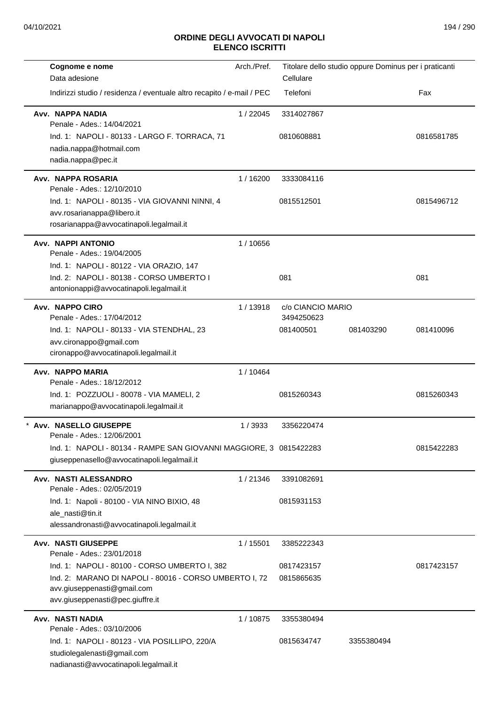| Cognome e nome                                                         | Arch./Pref. |                                 | Titolare dello studio oppure Dominus per i praticanti |            |
|------------------------------------------------------------------------|-------------|---------------------------------|-------------------------------------------------------|------------|
| Data adesione                                                          |             | Cellulare                       |                                                       |            |
| Indirizzi studio / residenza / eventuale altro recapito / e-mail / PEC |             | Telefoni                        |                                                       | Fax        |
| Avv. NAPPA NADIA<br>Penale - Ades.: 14/04/2021                         | 1/22045     | 3314027867                      |                                                       |            |
| Ind. 1: NAPOLI - 80133 - LARGO F. TORRACA, 71                          |             | 0810608881                      |                                                       | 0816581785 |
| nadia.nappa@hotmail.com                                                |             |                                 |                                                       |            |
| nadia.nappa@pec.it                                                     |             |                                 |                                                       |            |
| <b>Avv. NAPPA ROSARIA</b><br>Penale - Ades.: 12/10/2010                | 1/16200     | 3333084116                      |                                                       |            |
| Ind. 1: NAPOLI - 80135 - VIA GIOVANNI NINNI, 4                         |             | 0815512501                      |                                                       | 0815496712 |
| avv.rosarianappa@libero.it                                             |             |                                 |                                                       |            |
| rosarianappa@avvocatinapoli.legalmail.it                               |             |                                 |                                                       |            |
| Avv. NAPPI ANTONIO<br>Penale - Ades.: 19/04/2005                       | 1/10656     |                                 |                                                       |            |
| Ind. 1: NAPOLI - 80122 - VIA ORAZIO, 147                               |             |                                 |                                                       |            |
| Ind. 2: NAPOLI - 80138 - CORSO UMBERTO I                               |             | 081                             |                                                       | 081        |
| antonionappi@avvocatinapoli.legalmail.it                               |             |                                 |                                                       |            |
| Avv. NAPPO CIRO<br>Penale - Ades.: 17/04/2012                          | 1/13918     | c/o CIANCIO MARIO<br>3494250623 |                                                       |            |
| Ind. 1: NAPOLI - 80133 - VIA STENDHAL, 23                              |             | 081400501                       | 081403290                                             | 081410096  |
| avv.cironappo@gmail.com                                                |             |                                 |                                                       |            |
| cironappo@avvocatinapoli.legalmail.it                                  |             |                                 |                                                       |            |
| Avv. NAPPO MARIA                                                       | 1/10464     |                                 |                                                       |            |
| Penale - Ades.: 18/12/2012                                             |             |                                 |                                                       |            |
| Ind. 1: POZZUOLI - 80078 - VIA MAMELI, 2                               |             | 0815260343                      |                                                       | 0815260343 |
| marianappo@avvocatinapoli.legalmail.it                                 |             |                                 |                                                       |            |
| * Avv. NASELLO GIUSEPPE<br>Penale - Ades.: 12/06/2001                  | 1/3933      | 3356220474                      |                                                       |            |
| Ind. 1: NAPOLI - 80134 - RAMPE SAN GIOVANNI MAGGIORE, 3 0815422283     |             |                                 |                                                       | 0815422283 |
| giuseppenasello@avvocatinapoli.legalmail.it                            |             |                                 |                                                       |            |
| Avv. NASTI ALESSANDRO<br>Penale - Ades.: 02/05/2019                    | 1/21346     | 3391082691                      |                                                       |            |
| Ind. 1: Napoli - 80100 - VIA NINO BIXIO, 48                            |             | 0815931153                      |                                                       |            |
| ale_nasti@tin.it                                                       |             |                                 |                                                       |            |
| alessandronasti@avvocatinapoli.legalmail.it                            |             |                                 |                                                       |            |
| <b>Avv. NASTI GIUSEPPE</b><br>Penale - Ades.: 23/01/2018               | 1 / 15501   | 3385222343                      |                                                       |            |
| Ind. 1: NAPOLI - 80100 - CORSO UMBERTO I, 382                          |             | 0817423157                      |                                                       | 0817423157 |
| Ind. 2: MARANO DI NAPOLI - 80016 - CORSO UMBERTO I, 72                 |             | 0815865635                      |                                                       |            |
| avv.giuseppenasti@gmail.com                                            |             |                                 |                                                       |            |
| avv.giuseppenasti@pec.giuffre.it                                       |             |                                 |                                                       |            |
| Avv. NASTI NADIA                                                       | 1/10875     | 3355380494                      |                                                       |            |
| Penale - Ades.: 03/10/2006                                             |             |                                 |                                                       |            |
| Ind. 1: NAPOLI - 80123 - VIA POSILLIPO, 220/A                          |             | 0815634747                      | 3355380494                                            |            |
| studiolegalenasti@gmail.com<br>nadianasti@avvocatinapoli.legalmail.it  |             |                                 |                                                       |            |
|                                                                        |             |                                 |                                                       |            |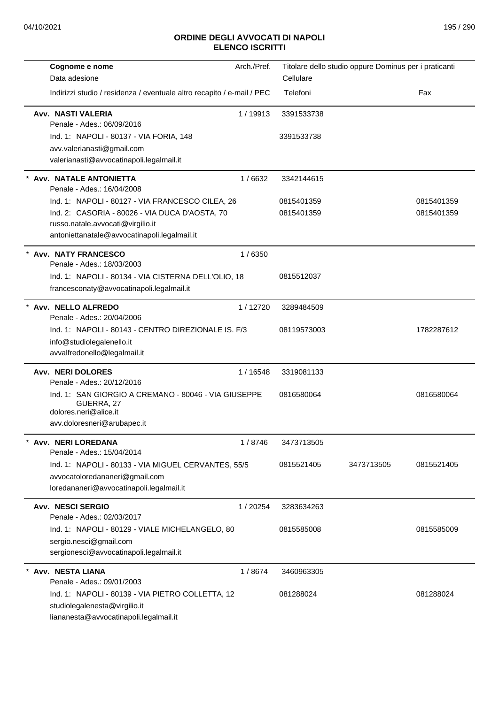| Cognome e nome                                                                              | Arch./Pref. |             | Titolare dello studio oppure Dominus per i praticanti |            |
|---------------------------------------------------------------------------------------------|-------------|-------------|-------------------------------------------------------|------------|
| Data adesione                                                                               |             | Cellulare   |                                                       |            |
| Indirizzi studio / residenza / eventuale altro recapito / e-mail / PEC                      |             | Telefoni    |                                                       | Fax        |
| Avv. NASTI VALERIA<br>Penale - Ades.: 06/09/2016                                            | 1/19913     | 3391533738  |                                                       |            |
| Ind. 1: NAPOLI - 80137 - VIA FORIA, 148                                                     |             | 3391533738  |                                                       |            |
| avv.valerianasti@gmail.com                                                                  |             |             |                                                       |            |
| valerianasti@avvocatinapoli.legalmail.it                                                    |             |             |                                                       |            |
| * Avv. NATALE ANTONIETTA<br>Penale - Ades.: 16/04/2008                                      | 1/6632      | 3342144615  |                                                       |            |
| Ind. 1: NAPOLI - 80127 - VIA FRANCESCO CILEA, 26                                            |             | 0815401359  |                                                       | 0815401359 |
| Ind. 2: CASORIA - 80026 - VIA DUCA D'AOSTA, 70                                              |             | 0815401359  |                                                       | 0815401359 |
| russo.natale.avvocati@virgilio.it<br>antoniettanatale@avvocatinapoli.legalmail.it           |             |             |                                                       |            |
|                                                                                             |             |             |                                                       |            |
| * Avv. NATY FRANCESCO<br>Penale - Ades.: 18/03/2003                                         | 1/6350      |             |                                                       |            |
| Ind. 1: NAPOLI - 80134 - VIA CISTERNA DELL'OLIO, 18                                         |             | 0815512037  |                                                       |            |
| francesconaty@avvocatinapoli.legalmail.it                                                   |             |             |                                                       |            |
| * Avv. NELLO ALFREDO                                                                        | 1/12720     | 3289484509  |                                                       |            |
| Penale - Ades.: 20/04/2006                                                                  |             |             |                                                       |            |
| Ind. 1: NAPOLI - 80143 - CENTRO DIREZIONALE IS, F/3                                         |             | 08119573003 |                                                       | 1782287612 |
| info@studiolegalenello.it                                                                   |             |             |                                                       |            |
| avvalfredonello@legalmail.it                                                                |             |             |                                                       |            |
| <b>Avv. NERI DOLORES</b><br>Penale - Ades.: 20/12/2016                                      | 1 / 16548   | 3319081133  |                                                       |            |
| Ind. 1: SAN GIORGIO A CREMANO - 80046 - VIA GIUSEPPE<br>GUERRA, 27<br>dolores.neri@alice.it |             | 0816580064  |                                                       | 0816580064 |
| avv.doloresneri@arubapec.it                                                                 |             |             |                                                       |            |
| Avv. NERI LOREDANA                                                                          | 1/8746      | 3473713505  |                                                       |            |
| Penale - Ades.: 15/04/2014                                                                  |             |             |                                                       |            |
| Ind. 1: NAPOLI - 80133 - VIA MIGUEL CERVANTES, 55/5                                         |             | 0815521405  | 3473713505                                            | 0815521405 |
| avvocatoloredananeri@gmail.com                                                              |             |             |                                                       |            |
| loredananeri@avvocatinapoli.legalmail.it                                                    |             |             |                                                       |            |
| <b>Avv. NESCI SERGIO</b><br>Penale - Ades.: 02/03/2017                                      | 1 / 20254   | 3283634263  |                                                       |            |
| Ind. 1: NAPOLI - 80129 - VIALE MICHELANGELO, 80                                             |             | 0815585008  |                                                       | 0815585009 |
| sergio.nesci@gmail.com                                                                      |             |             |                                                       |            |
| sergionesci@avvocatinapoli.legalmail.it                                                     |             |             |                                                       |            |
| Avv. NESTA LIANA                                                                            | 1/8674      | 3460963305  |                                                       |            |
| Penale - Ades.: 09/01/2003                                                                  |             |             |                                                       |            |
| Ind. 1: NAPOLI - 80139 - VIA PIETRO COLLETTA, 12<br>studiolegalenesta@virgilio.it           |             | 081288024   |                                                       | 081288024  |
| liananesta@avvocatinapoli.legalmail.it                                                      |             |             |                                                       |            |
|                                                                                             |             |             |                                                       |            |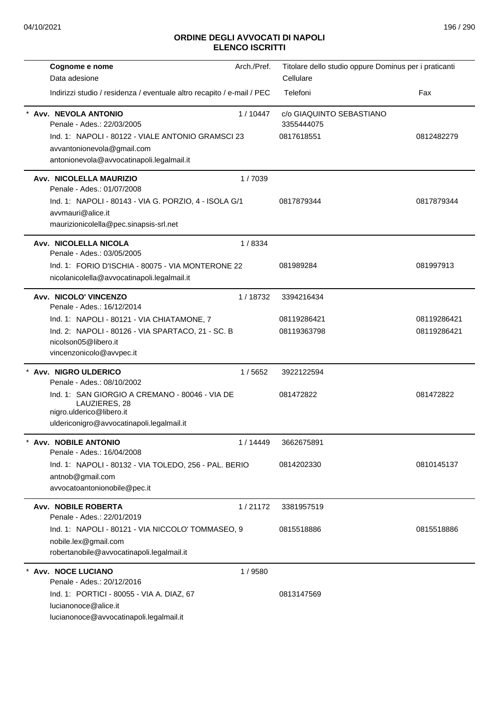| Cognome e nome                                                                                                               | Arch./Pref. | Titolare dello studio oppure Dominus per i praticanti |             |
|------------------------------------------------------------------------------------------------------------------------------|-------------|-------------------------------------------------------|-------------|
| Data adesione                                                                                                                |             | Cellulare                                             |             |
| Indirizzi studio / residenza / eventuale altro recapito / e-mail / PEC                                                       |             | Telefoni                                              | Fax         |
| * Avv. NEVOLA ANTONIO<br>Penale - Ades.: 22/03/2005                                                                          | 1/10447     | c/o GIAQUINTO SEBASTIANO<br>3355444075                |             |
| Ind. 1: NAPOLI - 80122 - VIALE ANTONIO GRAMSCI 23<br>avvantonionevola@gmail.com<br>antonionevola@avvocatinapoli.legalmail.it |             | 0817618551                                            | 0812482279  |
| Avv. NICOLELLA MAURIZIO<br>Penale - Ades.: 01/07/2008                                                                        | 1/7039      |                                                       |             |
| Ind. 1: NAPOLI - 80143 - VIA G. PORZIO, 4 - ISOLA G/1<br>avvmauri@alice.it<br>maurizionicolella@pec.sinapsis-srl.net         |             | 0817879344                                            | 0817879344  |
| Avv. NICOLELLA NICOLA<br>Penale - Ades.: 03/05/2005                                                                          | 1/8334      |                                                       |             |
| Ind. 1: FORIO D'ISCHIA - 80075 - VIA MONTERONE 22<br>nicolanicolella@avvocatinapoli.legalmail.it                             |             | 081989284                                             | 081997913   |
| Avv. NICOLO' VINCENZO<br>Penale - Ades.: 16/12/2014                                                                          | 1/18732     | 3394216434                                            |             |
| Ind. 1: NAPOLI - 80121 - VIA CHIATAMONE, 7                                                                                   |             | 08119286421                                           | 08119286421 |
| Ind. 2: NAPOLI - 80126 - VIA SPARTACO, 21 - SC. B<br>nicolson05@libero.it<br>vincenzonicolo@avvpec.it                        |             | 08119363798                                           | 08119286421 |
| Avv. NIGRO ULDERICO<br>Penale - Ades.: 08/10/2002                                                                            | 1/5652      | 3922122594                                            |             |
| Ind. 1: SAN GIORGIO A CREMANO - 80046 - VIA DE<br>LAUZIERES, 28<br>nigro.ulderico@libero.it                                  |             | 081472822                                             | 081472822   |
| uldericonigro@avvocatinapoli.legalmail.it                                                                                    |             |                                                       |             |
| <b>Avv. NOBILE ANTONIO</b><br>Penale - Ades.: 16/04/2008                                                                     | 1/14449     | 3662675891                                            |             |
| Ind. 1: NAPOLI - 80132 - VIA TOLEDO, 256 - PAL. BERIO<br>antnob@gmail.com<br>avvocatoantonionobile@pec.it                    |             | 0814202330                                            | 0810145137  |
| <b>Avv. NOBILE ROBERTA</b><br>Penale - Ades.: 22/01/2019                                                                     | 1/21172     | 3381957519                                            |             |
| Ind. 1: NAPOLI - 80121 - VIA NICCOLO' TOMMASEO, 9<br>nobile.lex@gmail.com<br>robertanobile@avvocatinapoli.legalmail.it       |             | 0815518886                                            | 0815518886  |
| * Avv. NOCE LUCIANO<br>Penale - Ades.: 20/12/2016                                                                            | 1/9580      |                                                       |             |
| Ind. 1: PORTICI - 80055 - VIA A. DIAZ, 67<br>lucianonoce@alice.it<br>lucianonoce@avvocatinapoli.legalmail.it                 |             | 0813147569                                            |             |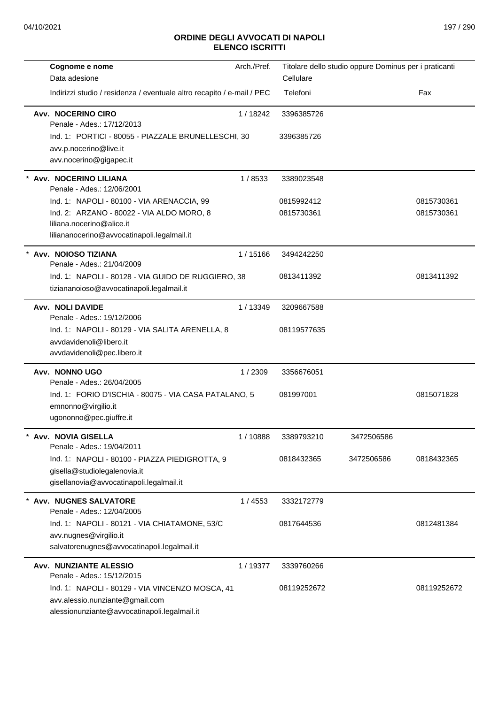| Cognome e nome                                                                                                                     | Arch./Pref. | Titolare dello studio oppure Dominus per i praticanti |            |             |
|------------------------------------------------------------------------------------------------------------------------------------|-------------|-------------------------------------------------------|------------|-------------|
| Data adesione                                                                                                                      |             | Cellulare                                             |            |             |
| Indirizzi studio / residenza / eventuale altro recapito / e-mail / PEC                                                             |             | Telefoni                                              |            | Fax         |
| Avv. NOCERINO CIRO<br>Penale - Ades.: 17/12/2013                                                                                   | 1/18242     | 3396385726                                            |            |             |
| Ind. 1: PORTICI - 80055 - PIAZZALE BRUNELLESCHI, 30<br>avv.p.nocerino@live.it<br>avv.nocerino@gigapec.it                           |             | 3396385726                                            |            |             |
| * Avv. NOCERINO LILIANA<br>Penale - Ades.: 12/06/2001                                                                              | 1/8533      | 3389023548                                            |            |             |
| Ind. 1: NAPOLI - 80100 - VIA ARENACCIA, 99                                                                                         |             | 0815992412                                            |            | 0815730361  |
| Ind. 2: ARZANO - 80022 - VIA ALDO MORO, 8<br>liliana.nocerino@alice.it<br>liliananocerino@avvocatinapoli.legalmail.it              |             | 0815730361                                            |            | 0815730361  |
| Avv. NOIOSO TIZIANA<br>Penale - Ades.: 21/04/2009                                                                                  | 1/15166     | 3494242250                                            |            |             |
| Ind. 1: NAPOLI - 80128 - VIA GUIDO DE RUGGIERO, 38<br>tiziananoioso@avvocatinapoli.legalmail.it                                    |             | 0813411392                                            |            | 0813411392  |
| <b>Avv. NOLI DAVIDE</b><br>Penale - Ades.: 19/12/2006                                                                              | 1/13349     | 3209667588                                            |            |             |
| Ind. 1: NAPOLI - 80129 - VIA SALITA ARENELLA, 8<br>avvdavidenoli@libero.it<br>avvdavidenoli@pec.libero.it                          |             | 08119577635                                           |            |             |
| Avv. NONNO UGO<br>Penale - Ades.: 26/04/2005                                                                                       | 1/2309      | 3356676051                                            |            |             |
| Ind. 1: FORIO D'ISCHIA - 80075 - VIA CASA PATALANO, 5<br>emnonno@virgilio.it<br>ugononno@pec.giuffre.it                            |             | 081997001                                             |            | 0815071828  |
| Avv. NOVIA GISELLA<br>Penale - Ades.: 19/04/2011                                                                                   | 1 / 10888   | 3389793210                                            | 3472506586 |             |
| Ind. 1: NAPOLI - 80100 - PIAZZA PIEDIGROTTA, 9<br>gisella@studiolegalenovia.it<br>gisellanovia@avvocatinapoli.legalmail.it         |             | 0818432365                                            | 3472506586 | 0818432365  |
| <b>Avv. NUGNES SALVATORE</b><br>Penale - Ades.: 12/04/2005                                                                         | 1/4553      | 3332172779                                            |            |             |
| Ind. 1: NAPOLI - 80121 - VIA CHIATAMONE, 53/C<br>avv.nugnes@virgilio.it<br>salvatorenugnes@avvocatinapoli.legalmail.it             |             | 0817644536                                            |            | 0812481384  |
| <b>Avv. NUNZIANTE ALESSIO</b><br>Penale - Ades.: 15/12/2015                                                                        | 1/19377     | 3339760266                                            |            |             |
| Ind. 1: NAPOLI - 80129 - VIA VINCENZO MOSCA, 41<br>avv.alessio.nunziante@gmail.com<br>alessionunziante@avvocatinapoli.legalmail.it |             | 08119252672                                           |            | 08119252672 |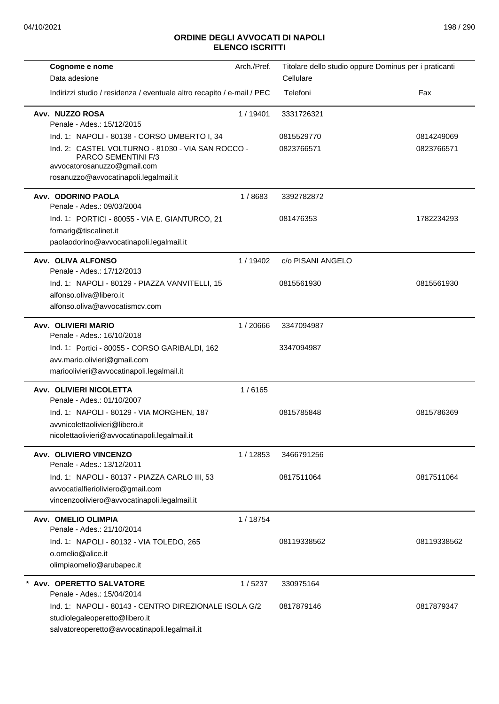| Cognome e nome<br>Data adesione                                                                                                                                                                  | Arch./Pref. | Titolare dello studio oppure Dominus per i praticanti<br>Cellulare |                          |
|--------------------------------------------------------------------------------------------------------------------------------------------------------------------------------------------------|-------------|--------------------------------------------------------------------|--------------------------|
| Indirizzi studio / residenza / eventuale altro recapito / e-mail / PEC                                                                                                                           |             | Telefoni                                                           | Fax                      |
| Avv. NUZZO ROSA                                                                                                                                                                                  | 1/19401     | 3331726321                                                         |                          |
| Penale - Ades.: 15/12/2015                                                                                                                                                                       |             |                                                                    |                          |
| Ind. 1: NAPOLI - 80138 - CORSO UMBERTO I, 34<br>Ind. 2: CASTEL VOLTURNO - 81030 - VIA SAN ROCCO -<br>PARCO SEMENTINI F/3<br>avvocatorosanuzzo@gmail.com<br>rosanuzzo@avvocatinapoli.legalmail.it |             | 0815529770<br>0823766571                                           | 0814249069<br>0823766571 |
| Avv. ODORINO PAOLA<br>Penale - Ades.: 09/03/2004                                                                                                                                                 | 1/8683      | 3392782872                                                         |                          |
| Ind. 1: PORTICI - 80055 - VIA E. GIANTURCO, 21                                                                                                                                                   |             | 081476353                                                          | 1782234293               |
| fornarig@tiscalinet.it<br>paolaodorino@avvocatinapoli.legalmail.it                                                                                                                               |             |                                                                    |                          |
| Avv. OLIVA ALFONSO<br>Penale - Ades.: 17/12/2013                                                                                                                                                 | 1/19402     | c/o PISANI ANGELO                                                  |                          |
| Ind. 1: NAPOLI - 80129 - PIAZZA VANVITELLI, 15<br>alfonso.oliva@libero.it<br>alfonso.oliva@avvocatismcv.com                                                                                      |             | 0815561930                                                         | 0815561930               |
| Avv. OLIVIERI MARIO<br>Penale - Ades.: 16/10/2018                                                                                                                                                | 1/20666     | 3347094987                                                         |                          |
| Ind. 1: Portici - 80055 - CORSO GARIBALDI, 162<br>avv.mario.olivieri@gmail.com<br>marioolivieri@avvocatinapoli.legalmail.it                                                                      |             | 3347094987                                                         |                          |
| Avv. OLIVIERI NICOLETTA<br>Penale - Ades.: 01/10/2007                                                                                                                                            | 1/6165      |                                                                    |                          |
| Ind. 1: NAPOLI - 80129 - VIA MORGHEN, 187<br>avvnicolettaolivieri@libero.it<br>nicolettaolivieri@avvocatinapoli.legalmail.it                                                                     |             | 0815785848                                                         | 0815786369               |
| Avv. OLIVIERO VINCENZO<br>Penale - Ades.: 13/12/2011                                                                                                                                             | 1/12853     | 3466791256                                                         |                          |
| Ind. 1: NAPOLI - 80137 - PIAZZA CARLO III, 53<br>avvocatialfierioliviero@gmail.com<br>vincenzooliviero@avvocatinapoli.legalmail.it                                                               |             | 0817511064                                                         | 0817511064               |
| Avv. OMELIO OLIMPIA<br>Penale - Ades.: 21/10/2014                                                                                                                                                | 1/18754     |                                                                    |                          |
| Ind. 1: NAPOLI - 80132 - VIA TOLEDO, 265<br>o.omelio@alice.it<br>olimpiaomelio@arubapec.it                                                                                                       |             | 08119338562                                                        | 08119338562              |
| Avv. OPERETTO SALVATORE<br>Penale - Ades.: 15/04/2014                                                                                                                                            | 1/5237      | 330975164                                                          |                          |
| Ind. 1: NAPOLI - 80143 - CENTRO DIREZIONALE ISOLA G/2<br>studiolegaleoperetto@libero.it<br>salvatoreoperetto@avvocatinapoli.legalmail.it                                                         |             | 0817879146                                                         | 0817879347               |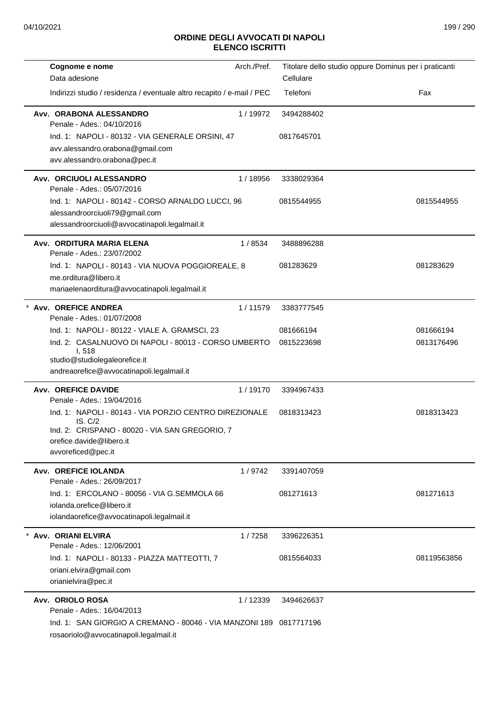| Cognome e nome                                                                     | Arch./Pref. |            | Titolare dello studio oppure Dominus per i praticanti |
|------------------------------------------------------------------------------------|-------------|------------|-------------------------------------------------------|
| Data adesione                                                                      |             | Cellulare  |                                                       |
| Indirizzi studio / residenza / eventuale altro recapito / e-mail / PEC             |             | Telefoni   | Fax                                                   |
| Avv. ORABONA ALESSANDRO<br>Penale - Ades.: 04/10/2016                              | 1/19972     | 3494288402 |                                                       |
| Ind. 1: NAPOLI - 80132 - VIA GENERALE ORSINI, 47                                   |             | 0817645701 |                                                       |
| avv.alessandro.orabona@gmail.com                                                   |             |            |                                                       |
| avv.alessandro.orabona@pec.it                                                      |             |            |                                                       |
| Avv. ORCIUOLI ALESSANDRO                                                           | 1/18956     | 3338029364 |                                                       |
| Penale - Ades.: 05/07/2016                                                         |             |            |                                                       |
| Ind. 1: NAPOLI - 80142 - CORSO ARNALDO LUCCI, 96<br>alessandroorciuoli79@gmail.com |             | 0815544955 | 0815544955                                            |
| alessandroorciuoli@avvocatinapoli.legalmail.it                                     |             |            |                                                       |
| Avv. ORDITURA MARIA ELENA<br>Penale - Ades.: 23/07/2002                            | 1/8534      | 3488896288 |                                                       |
| Ind. 1: NAPOLI - 80143 - VIA NUOVA POGGIOREALE, 8                                  |             | 081283629  | 081283629                                             |
| me.orditura@libero.it                                                              |             |            |                                                       |
| mariaelenaorditura@avvocatinapoli.legalmail.it                                     |             |            |                                                       |
| * Avv. OREFICE ANDREA<br>Penale - Ades.: 01/07/2008                                | 1/11579     | 3383777545 |                                                       |
| Ind. 1: NAPOLI - 80122 - VIALE A. GRAMSCI, 23                                      |             | 081666194  | 081666194                                             |
| Ind. 2: CASALNUOVO DI NAPOLI - 80013 - CORSO UMBERTO                               |             | 0815223698 | 0813176496                                            |
| I, 518<br>studio@studiolegaleorefice.it                                            |             |            |                                                       |
| andreaorefice@avvocatinapoli.legalmail.it                                          |             |            |                                                       |
| <b>Avv. OREFICE DAVIDE</b>                                                         | 1/19170     | 3394967433 |                                                       |
| Penale - Ades.: 19/04/2016                                                         |             |            |                                                       |
| Ind. 1: NAPOLI - 80143 - VIA PORZIO CENTRO DIREZIONALE<br>IS. C/2                  |             | 0818313423 | 0818313423                                            |
| Ind. 2: CRISPANO - 80020 - VIA SAN GREGORIO, 7                                     |             |            |                                                       |
| orefice.davide@libero.it                                                           |             |            |                                                       |
| avvoreficed@pec.it                                                                 |             |            |                                                       |
| Avv. OREFICE IOLANDA<br>Penale - Ades.: 26/09/2017                                 | 1/9742      | 3391407059 |                                                       |
| Ind. 1: ERCOLANO - 80056 - VIA G.SEMMOLA 66                                        |             | 081271613  | 081271613                                             |
| iolanda.orefice@libero.it                                                          |             |            |                                                       |
| iolandaorefice@avvocatinapoli.legalmail.it                                         |             |            |                                                       |
| Avv. ORIANI ELVIRA                                                                 | 1/7258      | 3396226351 |                                                       |
| Penale - Ades.: 12/06/2001                                                         |             |            |                                                       |
| Ind. 1: NAPOLI - 80133 - PIAZZA MATTEOTTI, 7                                       |             | 0815564033 | 08119563856                                           |
| oriani.elvira@gmail.com<br>orianielvira@pec.it                                     |             |            |                                                       |
| Avv. ORIOLO ROSA                                                                   | 1/12339     | 3494626637 |                                                       |
| Penale - Ades.: 16/04/2013                                                         |             |            |                                                       |
| Ind. 1: SAN GIORGIO A CREMANO - 80046 - VIA MANZONI 189 0817717196                 |             |            |                                                       |
| rosaoriolo@avvocatinapoli.legalmail.it                                             |             |            |                                                       |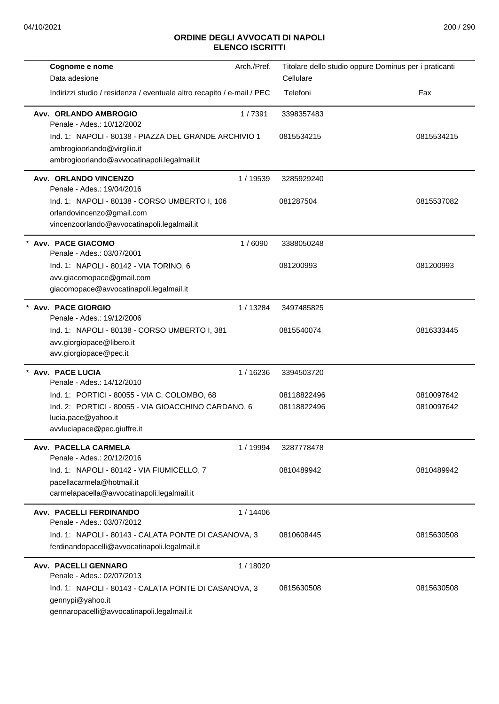| Cognome e nome<br>Data adesione                                                                                                                           | Arch./Pref. | Cellulare                  | Titolare dello studio oppure Dominus per i praticanti |
|-----------------------------------------------------------------------------------------------------------------------------------------------------------|-------------|----------------------------|-------------------------------------------------------|
| Indirizzi studio / residenza / eventuale altro recapito / e-mail / PEC                                                                                    |             | Telefoni                   | Fax                                                   |
| Avv. ORLANDO AMBROGIO<br>Penale - Ades.: 10/12/2002                                                                                                       | 1/7391      | 3398357483                 |                                                       |
| Ind. 1: NAPOLI - 80138 - PIAZZA DEL GRANDE ARCHIVIO 1<br>ambrogioorlando@virgilio.it<br>ambrogioorlando@avvocatinapoli.legalmail.it                       |             | 0815534215                 | 0815534215                                            |
| Avv. ORLANDO VINCENZO<br>Penale - Ades.: 19/04/2016                                                                                                       | 1/19539     | 3285929240                 |                                                       |
| Ind. 1: NAPOLI - 80138 - CORSO UMBERTO I, 106<br>orlandovincenzo@gmail.com<br>vincenzoorlando@avvocatinapoli.legalmail.it                                 |             | 081287504                  | 0815537082                                            |
| * Avv. PACE GIACOMO<br>Penale - Ades.: 03/07/2001                                                                                                         | 1/6090      | 3388050248                 |                                                       |
| Ind. 1: NAPOLI - 80142 - VIA TORINO, 6<br>avv.giacomopace@gmail.com<br>giacomopace@avvocatinapoli.legalmail.it                                            |             | 081200993                  | 081200993                                             |
| <b>Avv. PACE GIORGIO</b><br>Penale - Ades.: 19/12/2006                                                                                                    | 1/13284     | 3497485825                 |                                                       |
| Ind. 1: NAPOLI - 80138 - CORSO UMBERTO I, 381<br>avv.giorgiopace@libero.it<br>avv.giorgiopace@pec.it                                                      |             | 0815540074                 | 0816333445                                            |
| Avv. PACE LUCIA<br>Penale - Ades.: 14/12/2010                                                                                                             | 1/16236     | 3394503720                 |                                                       |
| Ind. 1: PORTICI - 80055 - VIA C. COLOMBO, 68<br>Ind. 2: PORTICI - 80055 - VIA GIOACCHINO CARDANO, 6<br>lucia.pace@yahoo.it<br>avvluciapace@pec.giuffre.it |             | 08118822496<br>08118822496 | 0810097642<br>0810097642                              |
| Avv. PACELLA CARMELA<br>Penale - Ades.: 20/12/2016                                                                                                        | 1 / 19994   | 3287778478                 |                                                       |
| Ind. 1: NAPOLI - 80142 - VIA FIUMICELLO, 7<br>pacellacarmela@hotmail.it<br>carmelapacella@avvocatinapoli.legalmail.it                                     |             | 0810489942                 | 0810489942                                            |
| Avv. PACELLI FERDINANDO<br>Penale - Ades.: 03/07/2012                                                                                                     | 1 / 14406   |                            |                                                       |
| Ind. 1: NAPOLI - 80143 - CALATA PONTE DI CASANOVA, 3<br>ferdinandopacelli@avvocatinapoli.legalmail.it                                                     |             | 0810608445                 | 0815630508                                            |
| Avv. PACELLI GENNARO<br>Penale - Ades.: 02/07/2013                                                                                                        | 1/18020     |                            |                                                       |
| Ind. 1: NAPOLI - 80143 - CALATA PONTE DI CASANOVA, 3<br>gennypi@yahoo.it<br>gennaropacelli@avvocatinapoli.legalmail.it                                    |             | 0815630508                 | 0815630508                                            |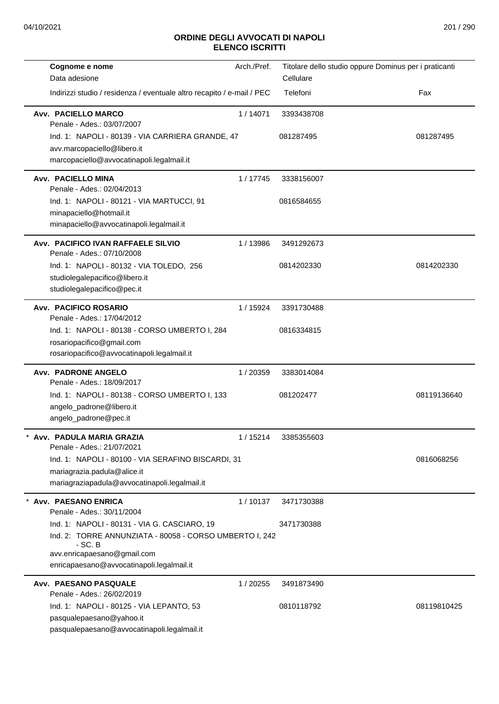| Cognome e nome<br>Data adesione                                                                                                                                                                  | Arch./Pref. | Titolare dello studio oppure Dominus per i praticanti<br>Cellulare |             |
|--------------------------------------------------------------------------------------------------------------------------------------------------------------------------------------------------|-------------|--------------------------------------------------------------------|-------------|
| Indirizzi studio / residenza / eventuale altro recapito / e-mail / PEC                                                                                                                           |             | Telefoni                                                           | Fax         |
| Avv. PACIELLO MARCO<br>Penale - Ades.: 03/07/2007                                                                                                                                                | 1/14071     | 3393438708                                                         |             |
| Ind. 1: NAPOLI - 80139 - VIA CARRIERA GRANDE, 47<br>avv.marcopaciello@libero.it<br>marcopaciello@avvocatinapoli.legalmail.it                                                                     |             | 081287495                                                          | 081287495   |
| Avv. PACIELLO MINA<br>Penale - Ades.: 02/04/2013                                                                                                                                                 | 1/17745     | 3338156007                                                         |             |
| Ind. 1: NAPOLI - 80121 - VIA MARTUCCI, 91<br>minapaciello@hotmail.it<br>minapaciello@avvocatinapoli.legalmail.it                                                                                 |             | 0816584655                                                         |             |
| Avv. PACIFICO IVAN RAFFAELE SILVIO<br>Penale - Ades.: 07/10/2008                                                                                                                                 | 1/13986     | 3491292673                                                         |             |
| Ind. 1: NAPOLI - 80132 - VIA TOLEDO, 256<br>studiolegalepacifico@libero.it<br>studiolegalepacifico@pec.it                                                                                        |             | 0814202330                                                         | 0814202330  |
| Avv. PACIFICO ROSARIO<br>Penale - Ades.: 17/04/2012                                                                                                                                              | 1 / 15924   | 3391730488                                                         |             |
| Ind. 1: NAPOLI - 80138 - CORSO UMBERTO I, 284<br>rosariopacifico@gmail.com<br>rosariopacifico@avvocatinapoli.legalmail.it                                                                        |             | 0816334815                                                         |             |
| Avv. PADRONE ANGELO<br>Penale - Ades.: 18/09/2017                                                                                                                                                | 1/20359     | 3383014084                                                         |             |
| Ind. 1: NAPOLI - 80138 - CORSO UMBERTO I, 133<br>angelo_padrone@libero.it<br>angelo_padrone@pec.it                                                                                               |             | 081202477                                                          | 08119136640 |
| Avv. PADULA MARIA GRAZIA<br>Penale - Ades.: 21/07/2021                                                                                                                                           |             | 1 / 15214 3385355603                                               |             |
| Ind. 1: NAPOLI - 80100 - VIA SERAFINO BISCARDI, 31<br>mariagrazia.padula@alice.it<br>mariagraziapadula@avvocatinapoli.legalmail.it                                                               |             |                                                                    | 0816068256  |
| Avv. PAESANO ENRICA<br>Penale - Ades.: 30/11/2004                                                                                                                                                | 1/10137     | 3471730388                                                         |             |
| Ind. 1: NAPOLI - 80131 - VIA G. CASCIARO, 19<br>Ind. 2: TORRE ANNUNZIATA - 80058 - CORSO UMBERTO I, 242<br>$-$ SC. B<br>avv.enricapaesano@gmail.com<br>enricapaesano@avvocatinapoli.legalmail.it |             | 3471730388                                                         |             |
| Avv. PAESANO PASQUALE<br>Penale - Ades.: 26/02/2019                                                                                                                                              | 1/20255     | 3491873490                                                         |             |
| Ind. 1: NAPOLI - 80125 - VIA LEPANTO, 53<br>pasqualepaesano@yahoo.it<br>pasqualepaesano@avvocatinapoli.legalmail.it                                                                              |             | 0810118792                                                         | 08119810425 |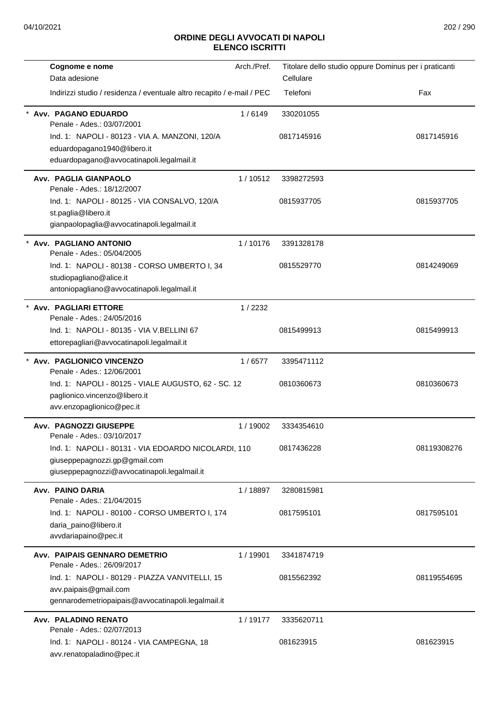| Cognome e nome                                                                | Arch./Pref. | Titolare dello studio oppure Dominus per i praticanti |             |
|-------------------------------------------------------------------------------|-------------|-------------------------------------------------------|-------------|
| Data adesione                                                                 |             | Cellulare                                             |             |
| Indirizzi studio / residenza / eventuale altro recapito / e-mail / PEC        |             | Telefoni                                              | Fax         |
| Avv. PAGANO EDUARDO                                                           | 1/6149      | 330201055                                             |             |
| Penale - Ades.: 03/07/2001                                                    |             |                                                       |             |
| Ind. 1: NAPOLI - 80123 - VIA A. MANZONI, 120/A<br>eduardopagano1940@libero.it |             | 0817145916                                            | 0817145916  |
| eduardopagano@avvocatinapoli.legalmail.it                                     |             |                                                       |             |
| <b>Avv. PAGLIA GIANPAOLO</b>                                                  |             |                                                       |             |
| Penale - Ades.: 18/12/2007                                                    | 1/10512     | 3398272593                                            |             |
| Ind. 1: NAPOLI - 80125 - VIA CONSALVO, 120/A                                  |             | 0815937705                                            | 0815937705  |
| st.paglia@libero.it                                                           |             |                                                       |             |
| gianpaolopaglia@avvocatinapoli.legalmail.it                                   |             |                                                       |             |
| Avv. PAGLIANO ANTONIO                                                         | 1/10176     | 3391328178                                            |             |
| Penale - Ades.: 05/04/2005                                                    |             |                                                       |             |
| Ind. 1: NAPOLI - 80138 - CORSO UMBERTO I, 34                                  |             | 0815529770                                            | 0814249069  |
| studiopagliano@alice.it<br>antoniopagliano@avvocatinapoli.legalmail.it        |             |                                                       |             |
| <b>Avv. PAGLIARI ETTORE</b>                                                   | 1/2232      |                                                       |             |
| Penale - Ades.: 24/05/2016                                                    |             |                                                       |             |
| Ind. 1: NAPOLI - 80135 - VIA V.BELLINI 67                                     |             | 0815499913                                            | 0815499913  |
| ettorepagliari@avvocatinapoli.legalmail.it                                    |             |                                                       |             |
| Avv. PAGLIONICO VINCENZO<br>Penale - Ades.: 12/06/2001                        | 1/6577      | 3395471112                                            |             |
| Ind. 1: NAPOLI - 80125 - VIALE AUGUSTO, 62 - SC. 12                           |             | 0810360673                                            | 0810360673  |
| paglionico.vincenzo@libero.it                                                 |             |                                                       |             |
| avv.enzopaglionico@pec.it                                                     |             |                                                       |             |
| <b>Avv. PAGNOZZI GIUSEPPE</b><br>Penale - Ades.: 03/10/2017                   | 1/19002     | 3334354610                                            |             |
| Ind. 1: NAPOLI - 80131 - VIA EDOARDO NICOLARDI, 110                           |             | 0817436228                                            | 08119308276 |
| giuseppepagnozzi.gp@gmail.com                                                 |             |                                                       |             |
| giuseppepagnozzi@avvocatinapoli.legalmail.it                                  |             |                                                       |             |
| Avv. PAINO DARIA                                                              | 1 / 18897   | 3280815981                                            |             |
| Penale - Ades.: 21/04/2015                                                    |             |                                                       |             |
| Ind. 1: NAPOLI - 80100 - CORSO UMBERTO I, 174<br>daria_paino@libero.it        |             | 0817595101                                            | 0817595101  |
| avvdariapaino@pec.it                                                          |             |                                                       |             |
| <b>Avv. PAIPAIS GENNARO DEMETRIO</b>                                          | 1/19901     | 3341874719                                            |             |
| Penale - Ades.: 26/09/2017                                                    |             |                                                       |             |
| Ind. 1: NAPOLI - 80129 - PIAZZA VANVITELLI, 15                                |             | 0815562392                                            | 08119554695 |
| avv.paipais@gmail.com                                                         |             |                                                       |             |
| gennarodemetriopaipais@avvocatinapoli.legalmail.it                            |             |                                                       |             |
| Avv. PALADINO RENATO<br>Penale - Ades.: 02/07/2013                            | 1/19177     | 3335620711                                            |             |
| Ind. 1: NAPOLI - 80124 - VIA CAMPEGNA, 18                                     |             | 081623915                                             | 081623915   |
| avv.renatopaladino@pec.it                                                     |             |                                                       |             |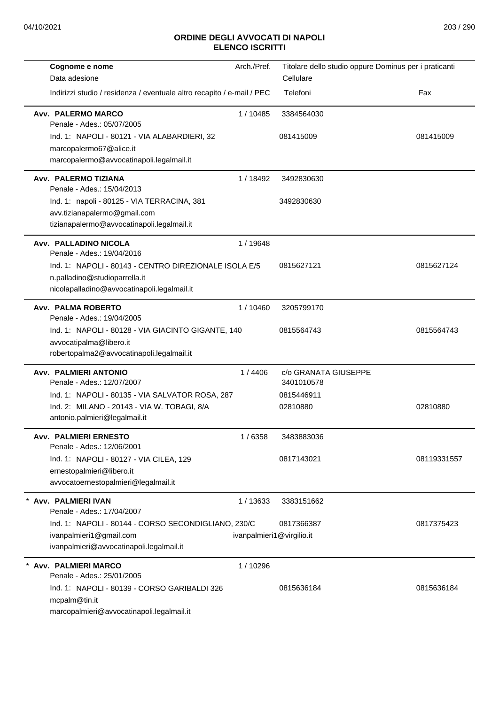| Cognome e nome                                                                                                                        | Arch./Pref.               | Titolare dello studio oppure Dominus per i praticanti<br>Cellulare |             |
|---------------------------------------------------------------------------------------------------------------------------------------|---------------------------|--------------------------------------------------------------------|-------------|
| Data adesione<br>Indirizzi studio / residenza / eventuale altro recapito / e-mail / PEC                                               |                           | Telefoni                                                           | Fax         |
| Avv. PALERMO MARCO<br>Penale - Ades.: 05/07/2005                                                                                      | 1 / 10485                 | 3384564030                                                         |             |
| Ind. 1: NAPOLI - 80121 - VIA ALABARDIERI, 32<br>marcopalermo67@alice.it<br>marcopalermo@avvocatinapoli.legalmail.it                   |                           | 081415009                                                          | 081415009   |
| Avv. PALERMO TIZIANA<br>Penale - Ades.: 15/04/2013                                                                                    | 1 / 18492                 | 3492830630                                                         |             |
| Ind. 1: napoli - 80125 - VIA TERRACINA, 381<br>avv.tizianapalermo@gmail.com<br>tizianapalermo@avvocatinapoli.legalmail.it             |                           | 3492830630                                                         |             |
| Avv. PALLADINO NICOLA<br>Penale - Ades.: 19/04/2016                                                                                   | 1/19648                   |                                                                    |             |
| Ind. 1: NAPOLI - 80143 - CENTRO DIREZIONALE ISOLA E/5<br>n.palladino@studioparrella.it<br>nicolapalladino@avvocatinapoli.legalmail.it |                           | 0815627121                                                         | 0815627124  |
| Avv. PALMA ROBERTO<br>Penale - Ades.: 19/04/2005                                                                                      | 1/10460                   | 3205799170                                                         |             |
| Ind. 1: NAPOLI - 80128 - VIA GIACINTO GIGANTE, 140<br>avvocatipalma@libero.it<br>robertopalma2@avvocatinapoli.legalmail.it            |                           | 0815564743                                                         | 0815564743  |
| <b>Avv. PALMIERI ANTONIO</b><br>Penale - Ades.: 12/07/2007                                                                            | 1/4406                    | c/o GRANATA GIUSEPPE<br>3401010578                                 |             |
| Ind. 1: NAPOLI - 80135 - VIA SALVATOR ROSA, 287                                                                                       |                           | 0815446911                                                         |             |
| Ind. 2: MILANO - 20143 - VIA W. TOBAGI, 8/A<br>antonio.palmieri@legalmail.it                                                          |                           | 02810880                                                           | 02810880    |
| <b>Avv. PALMIERI ERNESTO</b><br>Penale - Ades.: 12/06/2001                                                                            | 1/6358                    | 3483883036                                                         |             |
| Ind. 1: NAPOLI - 80127 - VIA CILEA, 129<br>ernestopalmieri@libero.it<br>avvocatoernestopalmieri@legalmail.it                          |                           | 0817143021                                                         | 08119331557 |
| * Avv. PALMIERI IVAN<br>Penale - Ades.: 17/04/2007                                                                                    | 1/13633                   | 3383151662                                                         |             |
| Ind. 1: NAPOLI - 80144 - CORSO SECONDIGLIANO, 230/C<br>ivanpalmieri1@gmail.com<br>ivanpalmieri@avvocatinapoli.legalmail.it            | ivanpalmieri1@virgilio.it | 0817366387                                                         | 0817375423  |
| Avv. PALMIERI MARCO<br>Penale - Ades.: 25/01/2005                                                                                     | 1/10296                   |                                                                    |             |
| Ind. 1: NAPOLI - 80139 - CORSO GARIBALDI 326<br>mcpalm@tin.it<br>marcopalmieri@avvocatinapoli.legalmail.it                            |                           | 0815636184                                                         | 0815636184  |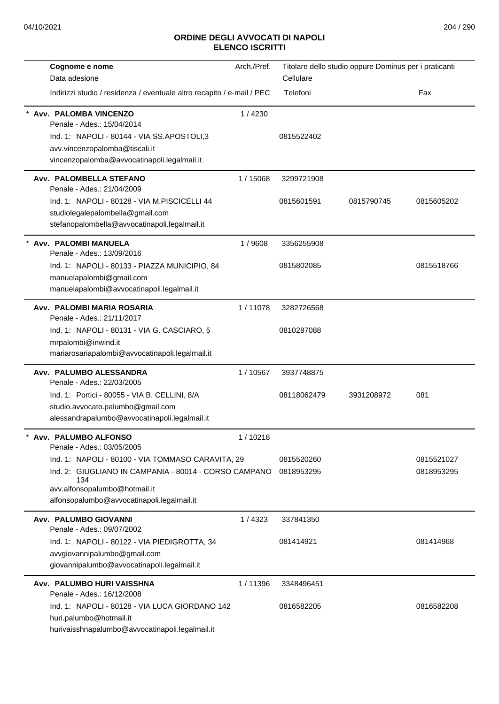| Cognome e nome                                                         | Arch./Pref. |             | Titolare dello studio oppure Dominus per i praticanti |            |
|------------------------------------------------------------------------|-------------|-------------|-------------------------------------------------------|------------|
| Data adesione                                                          |             | Cellulare   |                                                       |            |
| Indirizzi studio / residenza / eventuale altro recapito / e-mail / PEC |             | Telefoni    |                                                       | Fax        |
| Avv. PALOMBA VINCENZO<br>Penale - Ades.: 15/04/2014                    | 1/4230      |             |                                                       |            |
| Ind. 1: NAPOLI - 80144 - VIA SS.APOSTOLI,3                             |             | 0815522402  |                                                       |            |
| avv.vincenzopalomba@tiscali.it                                         |             |             |                                                       |            |
| vincenzopalomba@avvocatinapoli.legalmail.it                            |             |             |                                                       |            |
| Avv. PALOMBELLA STEFANO<br>Penale - Ades.: 21/04/2009                  | 1/15068     | 3299721908  |                                                       |            |
| Ind. 1: NAPOLI - 80128 - VIA M.PISCICELLI 44                           |             | 0815601591  | 0815790745                                            | 0815605202 |
| studiolegalepalombella@gmail.com                                       |             |             |                                                       |            |
| stefanopalombella@avvocatinapoli.legalmail.it                          |             |             |                                                       |            |
| Avv. PALOMBI MANUELA<br>Penale - Ades.: 13/09/2016                     | 1/9608      | 3356255908  |                                                       |            |
| Ind. 1: NAPOLI - 80133 - PIAZZA MUNICIPIO, 84                          |             | 0815802085  |                                                       | 0815518766 |
| manuelapalombi@gmail.com                                               |             |             |                                                       |            |
| manuelapalombi@avvocatinapoli.legalmail.it                             |             |             |                                                       |            |
| Avv. PALOMBI MARIA ROSARIA<br>Penale - Ades.: 21/11/2017               | 1/11078     | 3282726568  |                                                       |            |
| Ind. 1: NAPOLI - 80131 - VIA G. CASCIARO, 5                            |             | 0810287088  |                                                       |            |
| mrpalombi@inwind.it                                                    |             |             |                                                       |            |
| mariarosariapalombi@avvocatinapoli.legalmail.it                        |             |             |                                                       |            |
| Avv. PALUMBO ALESSANDRA<br>Penale - Ades.: 22/03/2005                  | 1/10567     | 3937748875  |                                                       |            |
| Ind. 1: Portici - 80055 - VIA B. CELLINI, 8/A                          |             | 08118062479 | 3931208972                                            | 081        |
| studio.avvocato.palumbo@gmail.com                                      |             |             |                                                       |            |
| alessandrapalumbo@avvocatinapoli.legalmail.it                          |             |             |                                                       |            |
| Avv. PALUMBO ALFONSO<br>Penale - Ades.: 03/05/2005                     | 1/10218     |             |                                                       |            |
| Ind. 1: NAPOLI - 80100 - VIA TOMMASO CARAVITA, 29                      |             | 0815520260  |                                                       | 0815521027 |
| Ind. 2: GIUGLIANO IN CAMPANIA - 80014 - CORSO CAMPANO                  |             | 0818953295  |                                                       | 0818953295 |
| 134<br>avv.alfonsopalumbo@hotmail.it                                   |             |             |                                                       |            |
| alfonsopalumbo@avvocatinapoli.legalmail.it                             |             |             |                                                       |            |
| Avv. PALUMBO GIOVANNI                                                  | 1/4323      | 337841350   |                                                       |            |
| Penale - Ades.: 09/07/2002                                             |             |             |                                                       |            |
| Ind. 1: NAPOLI - 80122 - VIA PIEDIGROTTA, 34                           |             | 081414921   |                                                       | 081414968  |
| avvgiovannipalumbo@gmail.com                                           |             |             |                                                       |            |
| giovannipalumbo@avvocatinapoli.legalmail.it                            |             |             |                                                       |            |
| Avv. PALUMBO HURI VAISSHNA                                             | 1/11396     | 3348496451  |                                                       |            |
| Penale - Ades.: 16/12/2008                                             |             |             |                                                       |            |
| Ind. 1: NAPOLI - 80128 - VIA LUCA GIORDANO 142                         |             | 0816582205  |                                                       | 0816582208 |
| huri.palumbo@hotmail.it                                                |             |             |                                                       |            |
| hurivaisshnapalumbo@avvocatinapoli.legalmail.it                        |             |             |                                                       |            |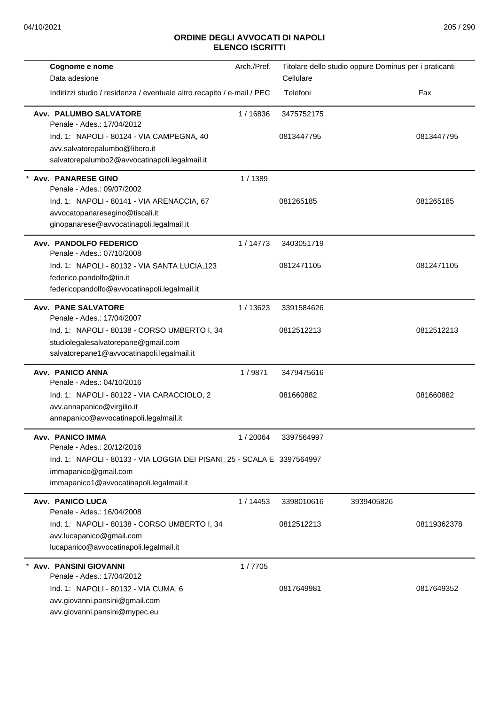| Cognome e nome<br>Data adesione                                                                                                            | Arch./Pref. | Cellulare  | Titolare dello studio oppure Dominus per i praticanti |             |
|--------------------------------------------------------------------------------------------------------------------------------------------|-------------|------------|-------------------------------------------------------|-------------|
| Indirizzi studio / residenza / eventuale altro recapito / e-mail / PEC                                                                     |             | Telefoni   |                                                       | Fax         |
| Avv. PALUMBO SALVATORE<br>Penale - Ades.: 17/04/2012                                                                                       | 1/16836     | 3475752175 |                                                       |             |
| Ind. 1: NAPOLI - 80124 - VIA CAMPEGNA, 40<br>avv.salvatorepalumbo@libero.it<br>salvatorepalumbo2@avvocatinapoli.legalmail.it               |             | 0813447795 |                                                       | 0813447795  |
| <b>Avv. PANARESE GINO</b><br>Penale - Ades.: 09/07/2002<br>Ind. 1: NAPOLI - 80141 - VIA ARENACCIA, 67                                      | 1/1389      | 081265185  |                                                       | 081265185   |
| avvocatopanaresegino@tiscali.it<br>ginopanarese@avvocatinapoli.legalmail.it                                                                |             |            |                                                       |             |
| Avv. PANDOLFO FEDERICO<br>Penale - Ades.: 07/10/2008                                                                                       | 1/14773     | 3403051719 |                                                       |             |
| Ind. 1: NAPOLI - 80132 - VIA SANTA LUCIA, 123<br>federico.pandolfo@tin.it<br>federicopandolfo@avvocatinapoli.legalmail.it                  |             | 0812471105 |                                                       | 0812471105  |
| <b>Avv. PANE SALVATORE</b><br>Penale - Ades.: 17/04/2007                                                                                   | 1/13623     | 3391584626 |                                                       |             |
| Ind. 1: NAPOLI - 80138 - CORSO UMBERTO I, 34<br>studiolegalesalvatorepane@gmail.com<br>salvatorepane1@avvocatinapoli.legalmail.it          |             | 0812512213 |                                                       | 0812512213  |
| Avv. PANICO ANNA<br>Penale - Ades.: 04/10/2016                                                                                             | 1/9871      | 3479475616 |                                                       |             |
| Ind. 1: NAPOLI - 80122 - VIA CARACCIOLO, 2<br>avv.annapanico@virgilio.it<br>annapanico@avvocatinapoli.legalmail.it                         |             | 081660882  |                                                       | 081660882   |
| Avv. PANICO IMMA<br>Penale - Ades.: 20/12/2016                                                                                             | 1 / 20064   | 3397564997 |                                                       |             |
| Ind. 1: NAPOLI - 80133 - VIA LOGGIA DEI PISANI, 25 - SCALA E 3397564997<br>immapanico@gmail.com<br>immapanico1@avvocatinapoli.legalmail.it |             |            |                                                       |             |
| <b>Avv. PANICO LUCA</b><br>Penale - Ades.: 16/04/2008                                                                                      | 1/14453     | 3398010616 | 3939405826                                            |             |
| Ind. 1: NAPOLI - 80138 - CORSO UMBERTO I, 34<br>avv.lucapanico@gmail.com<br>lucapanico@avvocatinapoli.legalmail.it                         |             | 0812512213 |                                                       | 08119362378 |
| <b>Avv. PANSINI GIOVANNI</b><br>Penale - Ades.: 17/04/2012                                                                                 | 1/7705      |            |                                                       |             |
| Ind. 1: NAPOLI - 80132 - VIA CUMA, 6<br>avv.giovanni.pansini@gmail.com<br>avv.giovanni.pansini@mypec.eu                                    |             | 0817649981 |                                                       | 0817649352  |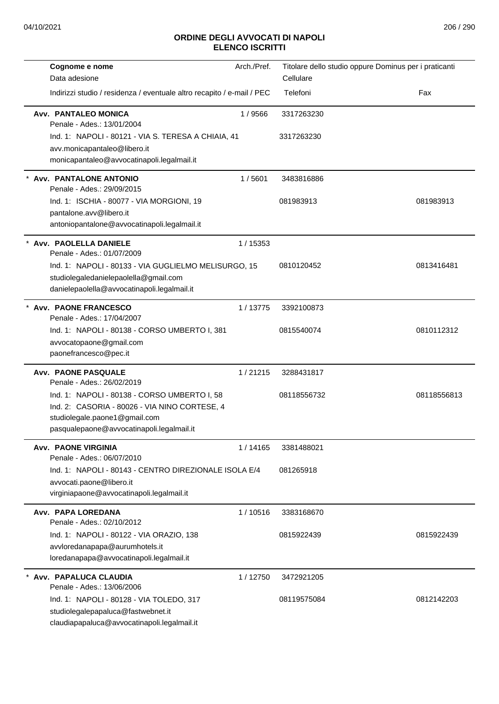| Cognome e nome                                                                 | Arch./Pref. |             | Titolare dello studio oppure Dominus per i praticanti |
|--------------------------------------------------------------------------------|-------------|-------------|-------------------------------------------------------|
| Data adesione                                                                  |             | Cellulare   |                                                       |
| Indirizzi studio / residenza / eventuale altro recapito / e-mail / PEC         |             | Telefoni    | Fax                                                   |
| Avv. PANTALEO MONICA<br>Penale - Ades.: 13/01/2004                             | 1/9566      | 3317263230  |                                                       |
| Ind. 1: NAPOLI - 80121 - VIA S. TERESA A CHIAIA, 41                            |             | 3317263230  |                                                       |
| avv.monicapantaleo@libero.it                                                   |             |             |                                                       |
| monicapantaleo@avvocatinapoli.legalmail.it                                     |             |             |                                                       |
| Avv. PANTALONE ANTONIO<br>Penale - Ades.: 29/09/2015                           | 1/5601      | 3483816886  |                                                       |
| Ind. 1: ISCHIA - 80077 - VIA MORGIONI, 19                                      |             | 081983913   | 081983913                                             |
| pantalone.avv@libero.it                                                        |             |             |                                                       |
| antoniopantalone@avvocatinapoli.legalmail.it                                   |             |             |                                                       |
| * Avv. PAOLELLA DANIELE<br>Penale - Ades.: 01/07/2009                          | 1 / 15353   |             |                                                       |
| Ind. 1: NAPOLI - 80133 - VIA GUGLIELMO MELISURGO, 15                           |             | 0810120452  | 0813416481                                            |
| studiolegaledanielepaolella@gmail.com                                          |             |             |                                                       |
| danielepaolella@avvocatinapoli.legalmail.it                                    |             |             |                                                       |
| * Avv. PAONE FRANCESCO<br>Penale - Ades.: 17/04/2007                           | 1/13775     | 3392100873  |                                                       |
| Ind. 1: NAPOLI - 80138 - CORSO UMBERTO I, 381                                  |             | 0815540074  | 0810112312                                            |
| avvocatopaone@gmail.com                                                        |             |             |                                                       |
| paonefrancesco@pec.it                                                          |             |             |                                                       |
| <b>Avv. PAONE PASQUALE</b><br>Penale - Ades.: 26/02/2019                       | 1/21215     | 3288431817  |                                                       |
| Ind. 1: NAPOLI - 80138 - CORSO UMBERTO I, 58                                   |             | 08118556732 | 08118556813                                           |
| Ind. 2: CASORIA - 80026 - VIA NINO CORTESE, 4                                  |             |             |                                                       |
| studiolegale.paone1@gmail.com                                                  |             |             |                                                       |
| pasqualepaone@avvocatinapoli.legalmail.it                                      |             |             |                                                       |
| <b>Avv. PAONE VIRGINIA</b><br>Penale - Ades.: 06/07/2010                       | 1/14165     | 3381488021  |                                                       |
| Ind. 1: NAPOLI - 80143 - CENTRO DIREZIONALE ISOLA E/4                          |             | 081265918   |                                                       |
| avvocati.paone@libero.it                                                       |             |             |                                                       |
| virginiapaone@avvocatinapoli.legalmail.it                                      |             |             |                                                       |
| Avv. PAPA LOREDANA<br>Penale - Ades.: 02/10/2012                               | 1/10516     | 3383168670  |                                                       |
| Ind. 1: NAPOLI - 80122 - VIA ORAZIO, 138                                       |             | 0815922439  | 0815922439                                            |
| avvloredanapapa@aurumhotels.it                                                 |             |             |                                                       |
| loredanapapa@avvocatinapoli.legalmail.it                                       |             |             |                                                       |
| * Avv. PAPALUCA CLAUDIA                                                        | 1/12750     | 3472921205  |                                                       |
| Penale - Ades.: 13/06/2006                                                     |             |             |                                                       |
| Ind. 1: NAPOLI - 80128 - VIA TOLEDO, 317<br>studiolegalepapaluca@fastwebnet.it |             | 08119575084 | 0812142203                                            |
| claudiapapaluca@avvocatinapoli.legalmail.it                                    |             |             |                                                       |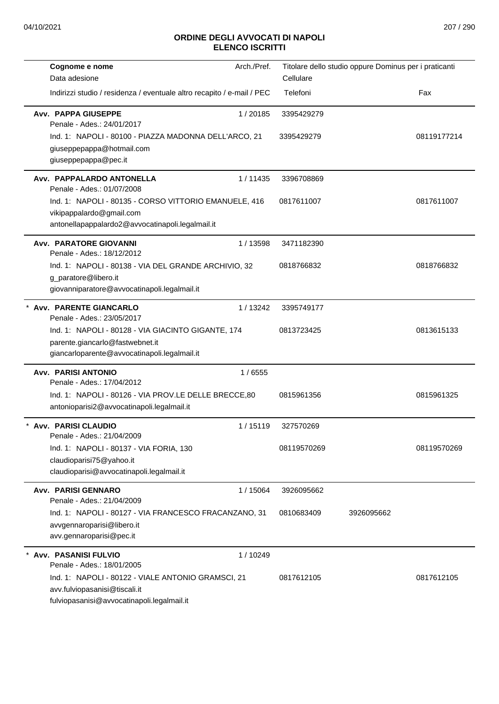| Cognome e nome                                                                                                                        | Arch./Pref. |             | Titolare dello studio oppure Dominus per i praticanti |             |
|---------------------------------------------------------------------------------------------------------------------------------------|-------------|-------------|-------------------------------------------------------|-------------|
| Data adesione                                                                                                                         |             | Cellulare   |                                                       |             |
| Indirizzi studio / residenza / eventuale altro recapito / e-mail / PEC                                                                |             | Telefoni    |                                                       | Fax         |
| Avv. PAPPA GIUSEPPE<br>Penale - Ades.: 24/01/2017                                                                                     | 1/20185     | 3395429279  |                                                       |             |
| Ind. 1: NAPOLI - 80100 - PIAZZA MADONNA DELL'ARCO, 21<br>giuseppepappa@hotmail.com<br>giuseppepappa@pec.it                            |             | 3395429279  |                                                       | 08119177214 |
| Avv. PAPPALARDO ANTONELLA<br>Penale - Ades.: 01/07/2008                                                                               | 1/11435     | 3396708869  |                                                       |             |
| Ind. 1: NAPOLI - 80135 - CORSO VITTORIO EMANUELE, 416<br>vikipappalardo@gmail.com<br>antonellapappalardo2@avvocatinapoli.legalmail.it |             | 0817611007  |                                                       | 0817611007  |
| <b>Avv. PARATORE GIOVANNI</b><br>Penale - Ades.: 18/12/2012                                                                           | 1/13598     | 3471182390  |                                                       |             |
| Ind. 1: NAPOLI - 80138 - VIA DEL GRANDE ARCHIVIO, 32<br>g_paratore@libero.it<br>giovanniparatore@avvocatinapoli.legalmail.it          |             | 0818766832  |                                                       | 0818766832  |
| <b>Avv. PARENTE GIANCARLO</b><br>Penale - Ades.: 23/05/2017                                                                           | 1/13242     | 3395749177  |                                                       |             |
| Ind. 1: NAPOLI - 80128 - VIA GIACINTO GIGANTE, 174<br>parente.giancarlo@fastwebnet.it<br>giancarloparente@avvocatinapoli.legalmail.it |             | 0813723425  |                                                       | 0813615133  |
| <b>Avv. PARISI ANTONIO</b><br>Penale - Ades.: 17/04/2012                                                                              | 1/6555      |             |                                                       |             |
| Ind. 1: NAPOLI - 80126 - VIA PROV.LE DELLE BRECCE,80<br>antonioparisi2@avvocatinapoli.legalmail.it                                    |             | 0815961356  |                                                       | 0815961325  |
| Avv. PARISI CLAUDIO<br>Penale - Ades.: 21/04/2009                                                                                     | 1/15119     | 327570269   |                                                       |             |
| Ind. 1: NAPOLI - 80137 - VIA FORIA, 130<br>claudioparisi75@yahoo.it<br>claudioparisi@avvocatinapoli.legalmail.it                      |             | 08119570269 |                                                       | 08119570269 |
| Avv. PARISI GENNARO<br>Penale - Ades.: 21/04/2009                                                                                     | 1 / 15064   | 3926095662  |                                                       |             |
| Ind. 1: NAPOLI - 80127 - VIA FRANCESCO FRACANZANO, 31<br>avvgennaroparisi@libero.it<br>avv.gennaroparisi@pec.it                       |             | 0810683409  | 3926095662                                            |             |
| <b>Avv. PASANISI FULVIO</b><br>Penale - Ades.: 18/01/2005                                                                             | 1/10249     |             |                                                       |             |
| Ind. 1: NAPOLI - 80122 - VIALE ANTONIO GRAMSCI, 21<br>avv.fulviopasanisi@tiscali.it<br>fulviopasanisi@avvocatinapoli.legalmail.it     |             | 0817612105  |                                                       | 0817612105  |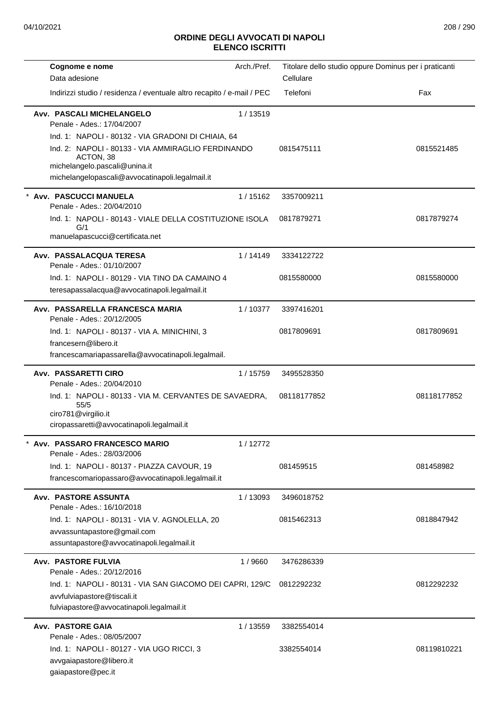| Cognome e nome                                                                                                                        | Arch./Pref. |             | Titolare dello studio oppure Dominus per i praticanti |
|---------------------------------------------------------------------------------------------------------------------------------------|-------------|-------------|-------------------------------------------------------|
| Data adesione                                                                                                                         |             | Cellulare   |                                                       |
| Indirizzi studio / residenza / eventuale altro recapito / e-mail / PEC                                                                |             | Telefoni    | Fax                                                   |
| Avv. PASCALI MICHELANGELO<br>Penale - Ades.: 17/04/2007                                                                               | 1 / 13519   |             |                                                       |
| Ind. 1: NAPOLI - 80132 - VIA GRADONI DI CHIAIA, 64                                                                                    |             |             |                                                       |
| Ind. 2: NAPOLI - 80133 - VIA AMMIRAGLIO FERDINANDO<br>ACTON, 38<br>michelangelo.pascali@unina.it                                      |             | 0815475111  | 0815521485                                            |
| michelangelopascali@avvocatinapoli.legalmail.it                                                                                       |             |             |                                                       |
| Avv. PASCUCCI MANUELA<br>Penale - Ades.: 20/04/2010                                                                                   | 1/15162     | 3357009211  |                                                       |
| Ind. 1: NAPOLI - 80143 - VIALE DELLA COSTITUZIONE ISOLA<br>G/1                                                                        |             | 0817879271  | 0817879274                                            |
| manuelapascucci@certificata.net                                                                                                       |             |             |                                                       |
| Avv. PASSALACQUA TERESA<br>Penale - Ades.: 01/10/2007                                                                                 | 1/14149     | 3334122722  |                                                       |
| Ind. 1: NAPOLI - 80129 - VIA TINO DA CAMAINO 4                                                                                        |             | 0815580000  | 0815580000                                            |
| teresapassalacqua@avvocatinapoli.legalmail.it                                                                                         |             |             |                                                       |
| Avv. PASSARELLA FRANCESCA MARIA<br>Penale - Ades.: 20/12/2005                                                                         | 1/10377     | 3397416201  |                                                       |
| Ind. 1: NAPOLI - 80137 - VIA A. MINICHINI, 3                                                                                          |             | 0817809691  | 0817809691                                            |
| francesern@libero.it                                                                                                                  |             |             |                                                       |
| francescamariapassarella@avvocatinapoli.legalmail.                                                                                    |             |             |                                                       |
| Avv. PASSARETTI CIRO<br>Penale - Ades.: 20/04/2010                                                                                    | 1 / 15759   | 3495528350  |                                                       |
| Ind. 1: NAPOLI - 80133 - VIA M. CERVANTES DE SAVAEDRA,<br>55/5                                                                        |             | 08118177852 | 08118177852                                           |
| ciro781@virgilio.it<br>ciropassaretti@avvocatinapoli.legalmail.it                                                                     |             |             |                                                       |
| Avv. PASSARO FRANCESCO MARIO<br>Penale - Ades.: 28/03/2006                                                                            | 1/12772     |             |                                                       |
| Ind. 1: NAPOLI - 80137 - PIAZZA CAVOUR, 19<br>francescomariopassaro@avvocatinapoli.legalmail.it                                       |             | 081459515   | 081458982                                             |
|                                                                                                                                       |             |             |                                                       |
| <b>Avv. PASTORE ASSUNTA</b><br>Penale - Ades.: 16/10/2018                                                                             | 1/13093     | 3496018752  |                                                       |
| Ind. 1: NAPOLI - 80131 - VIA V. AGNOLELLA, 20                                                                                         |             | 0815462313  | 0818847942                                            |
| avvassuntapastore@gmail.com<br>assuntapastore@avvocatinapoli.legalmail.it                                                             |             |             |                                                       |
| <b>Avv. PASTORE FULVIA</b>                                                                                                            | 1/9660      | 3476286339  |                                                       |
| Penale - Ades.: 20/12/2016                                                                                                            |             |             | 0812292232                                            |
| Ind. 1: NAPOLI - 80131 - VIA SAN GIACOMO DEI CAPRI, 129/C<br>avvfulviapastore@tiscali.it<br>fulviapastore@avvocatinapoli.legalmail.it |             | 0812292232  |                                                       |
| <b>Avv. PASTORE GAIA</b>                                                                                                              | 1/13559     | 3382554014  |                                                       |
| Penale - Ades.: 08/05/2007                                                                                                            |             |             |                                                       |
| Ind. 1: NAPOLI - 80127 - VIA UGO RICCI, 3<br>avvgaiapastore@libero.it<br>gaiapastore@pec.it                                           |             | 3382554014  | 08119810221                                           |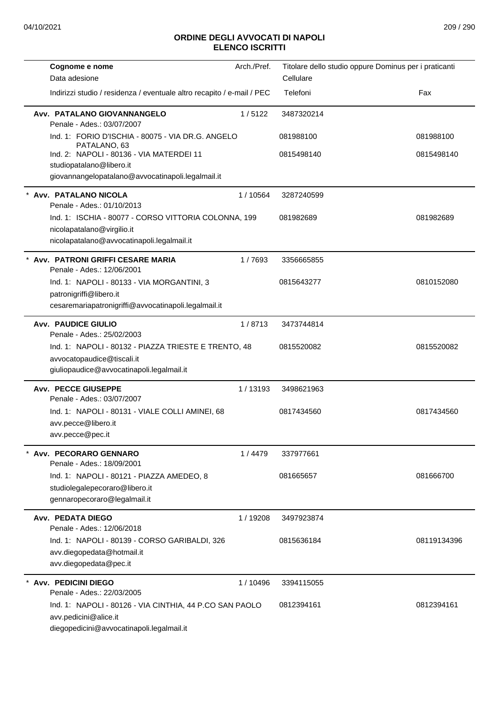| Cognome e nome<br>Data adesione                                                                                                  | Arch./Pref. | Titolare dello studio oppure Dominus per i praticanti<br>Cellulare |             |
|----------------------------------------------------------------------------------------------------------------------------------|-------------|--------------------------------------------------------------------|-------------|
| Indirizzi studio / residenza / eventuale altro recapito / e-mail / PEC                                                           |             | Telefoni                                                           | Fax         |
| Avv. PATALANO GIOVANNANGELO<br>Penale - Ades.: 03/07/2007                                                                        | 1/5122      | 3487320214                                                         |             |
| Ind. 1: FORIO D'ISCHIA - 80075 - VIA DR.G. ANGELO<br>PATALANO, 63                                                                |             | 081988100                                                          | 081988100   |
| Ind. 2: NAPOLI - 80136 - VIA MATERDEI 11<br>studiopatalano@libero.it<br>giovannangelopatalano@avvocatinapoli.legalmail.it        |             | 0815498140                                                         | 0815498140  |
|                                                                                                                                  |             |                                                                    |             |
| Avv. PATALANO NICOLA<br>Penale - Ades.: 01/10/2013                                                                               | 1 / 10564   | 3287240599                                                         |             |
| Ind. 1: ISCHIA - 80077 - CORSO VITTORIA COLONNA, 199<br>nicolapatalano@virgilio.it<br>nicolapatalano@avvocatinapoli.legalmail.it |             | 081982689                                                          | 081982689   |
| * Avv. PATRONI GRIFFI CESARE MARIA<br>Penale - Ades.: 12/06/2001                                                                 | 1/7693      | 3356665855                                                         |             |
| Ind. 1: NAPOLI - 80133 - VIA MORGANTINI, 3<br>patronigriffi@libero.it<br>cesaremariapatronigriffi@avvocatinapoli.legalmail.it    |             | 0815643277                                                         | 0810152080  |
| <b>Avv. PAUDICE GIULIO</b><br>Penale - Ades.: 25/02/2003                                                                         | 1/8713      | 3473744814                                                         |             |
| Ind. 1: NAPOLI - 80132 - PIAZZA TRIESTE E TRENTO, 48<br>avvocatopaudice@tiscali.it<br>giuliopaudice@avvocatinapoli.legalmail.it  |             | 0815520082                                                         | 0815520082  |
| <b>Avv. PECCE GIUSEPPE</b><br>Penale - Ades.: 03/07/2007                                                                         | 1/13193     | 3498621963                                                         |             |
| Ind. 1: NAPOLI - 80131 - VIALE COLLI AMINEI, 68<br>avv.pecce@libero.it<br>avv.pecce@pec.it                                       |             | 0817434560                                                         | 0817434560  |
| Avv. PECORARO GENNARO<br>Penale - Ades.: 18/09/2001                                                                              | 1/4479      | 337977661                                                          |             |
| Ind. 1: NAPOLI - 80121 - PIAZZA AMEDEO, 8<br>studiolegalepecoraro@libero.it<br>gennaropecoraro@legalmail.it                      |             | 081665657                                                          | 081666700   |
| Avv. PEDATA DIEGO<br>Penale - Ades.: 12/06/2018                                                                                  | 1 / 19208   | 3497923874                                                         |             |
| Ind. 1: NAPOLI - 80139 - CORSO GARIBALDI, 326<br>avv.diegopedata@hotmail.it<br>avv.diegopedata@pec.it                            |             | 0815636184                                                         | 08119134396 |
| * Avv. PEDICINI DIEGO<br>Penale - Ades.: 22/03/2005                                                                              | 1/10496     | 3394115055                                                         |             |
| Ind. 1: NAPOLI - 80126 - VIA CINTHIA, 44 P.CO SAN PAOLO<br>avv.pedicini@alice.it<br>diegopedicini@avvocatinapoli.legalmail.it    |             | 0812394161                                                         | 0812394161  |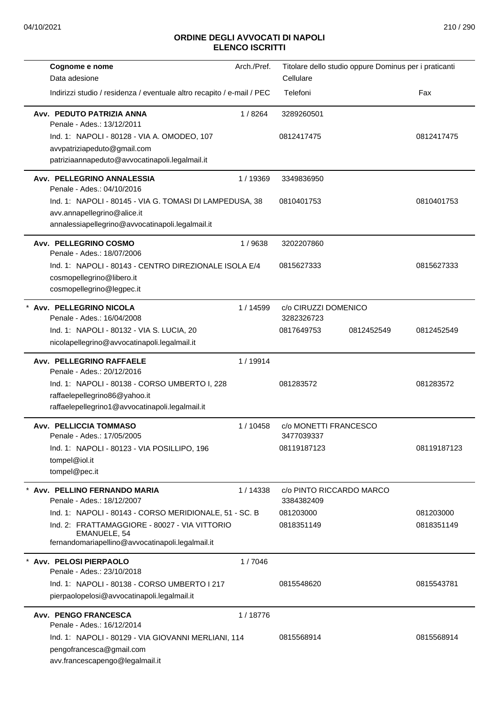| Cognome e nome                                                         | Arch./Pref. | Titolare dello studio oppure Dominus per i praticanti |            |             |
|------------------------------------------------------------------------|-------------|-------------------------------------------------------|------------|-------------|
| Data adesione                                                          |             | Cellulare                                             |            |             |
| Indirizzi studio / residenza / eventuale altro recapito / e-mail / PEC |             | Telefoni                                              |            | Fax         |
| Avv. PEDUTO PATRIZIA ANNA<br>Penale - Ades.: 13/12/2011                | 1/8264      | 3289260501                                            |            |             |
| Ind. 1: NAPOLI - 80128 - VIA A. OMODEO, 107                            |             | 0812417475                                            |            | 0812417475  |
| avvpatriziapeduto@gmail.com                                            |             |                                                       |            |             |
| patriziaannapeduto@avvocatinapoli.legalmail.it                         |             |                                                       |            |             |
| Avv. PELLEGRINO ANNALESSIA<br>Penale - Ades.: 04/10/2016               | 1/19369     | 3349836950                                            |            |             |
| Ind. 1: NAPOLI - 80145 - VIA G. TOMASI DI LAMPEDUSA, 38                |             | 0810401753                                            |            | 0810401753  |
| avv.annapellegrino@alice.it                                            |             |                                                       |            |             |
| annalessiapellegrino@avvocatinapoli.legalmail.it                       |             |                                                       |            |             |
| Avv. PELLEGRINO COSMO<br>Penale - Ades.: 18/07/2006                    | 1/9638      | 3202207860                                            |            |             |
| Ind. 1: NAPOLI - 80143 - CENTRO DIREZIONALE ISOLA E/4                  |             | 0815627333                                            |            | 0815627333  |
| cosmopellegrino@libero.it                                              |             |                                                       |            |             |
| cosmopellegrino@legpec.it                                              |             |                                                       |            |             |
| * Avv. PELLEGRINO NICOLA                                               | 1/14599     | c/o CIRUZZI DOMENICO                                  |            |             |
| Penale - Ades.: 16/04/2008                                             |             | 3282326723                                            |            |             |
| Ind. 1: NAPOLI - 80132 - VIA S. LUCIA, 20                              |             | 0817649753                                            | 0812452549 | 0812452549  |
| nicolapellegrino@avvocatinapoli.legalmail.it                           |             |                                                       |            |             |
| Avv. PELLEGRINO RAFFAELE                                               | 1/19914     |                                                       |            |             |
| Penale - Ades.: 20/12/2016                                             |             |                                                       |            |             |
| Ind. 1: NAPOLI - 80138 - CORSO UMBERTO I, 228                          |             | 081283572                                             |            | 081283572   |
| raffaelepellegrino86@yahoo.it                                          |             |                                                       |            |             |
| raffaelepellegrino1@avvocatinapoli.legalmail.it                        |             |                                                       |            |             |
| <b>Avv. PELLICCIA TOMMASO</b>                                          | 1/10458     | c/o MONETTI FRANCESCO                                 |            |             |
| Penale - Ades.: 17/05/2005                                             |             | 3477039337                                            |            |             |
| Ind. 1: NAPOLI - 80123 - VIA POSILLIPO, 196                            |             | 08119187123                                           |            | 08119187123 |
| tompel@iol.it                                                          |             |                                                       |            |             |
| tompel@pec.it                                                          |             |                                                       |            |             |
| * Avv. PELLINO FERNANDO MARIA<br>Penale - Ades.: 18/12/2007            | 1/14338     | c/o PINTO RICCARDO MARCO<br>3384382409                |            |             |
| Ind. 1: NAPOLI - 80143 - CORSO MERIDIONALE, 51 - SC. B                 |             | 081203000                                             |            | 081203000   |
| Ind. 2: FRATTAMAGGIORE - 80027 - VIA VITTORIO<br>EMANUELE, 54          |             | 0818351149                                            |            | 0818351149  |
| fernandomariapellino@avvocatinapoli.legalmail.it                       |             |                                                       |            |             |
| * Avv. PELOSI PIERPAOLO                                                | 1/7046      |                                                       |            |             |
| Penale - Ades.: 23/10/2018                                             |             |                                                       |            |             |
| Ind. 1: NAPOLI - 80138 - CORSO UMBERTO I 217                           |             | 0815548620                                            |            | 0815543781  |
| pierpaolopelosi@avvocatinapoli.legalmail.it                            |             |                                                       |            |             |
| Avv. PENGO FRANCESCA                                                   | 1/18776     |                                                       |            |             |
| Penale - Ades.: 16/12/2014                                             |             |                                                       |            |             |
| Ind. 1: NAPOLI - 80129 - VIA GIOVANNI MERLIANI, 114                    |             | 0815568914                                            |            | 0815568914  |
| pengofrancesca@gmail.com                                               |             |                                                       |            |             |
| avv.francescapengo@legalmail.it                                        |             |                                                       |            |             |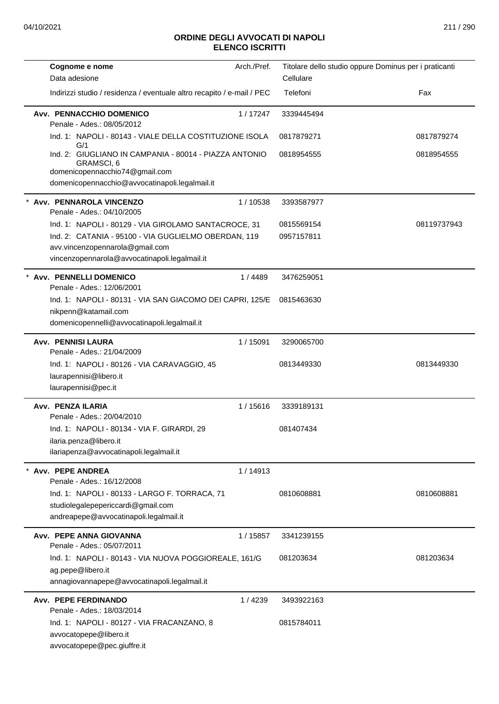| Cognome e nome                                                                                                                                           | Arch./Pref. |            | Titolare dello studio oppure Dominus per i praticanti |
|----------------------------------------------------------------------------------------------------------------------------------------------------------|-------------|------------|-------------------------------------------------------|
| Data adesione                                                                                                                                            |             | Cellulare  |                                                       |
| Indirizzi studio / residenza / eventuale altro recapito / e-mail / PEC                                                                                   |             | Telefoni   | Fax                                                   |
| Avv. PENNACCHIO DOMENICO<br>Penale - Ades.: 08/05/2012                                                                                                   | 1/17247     | 3339445494 |                                                       |
| Ind. 1: NAPOLI - 80143 - VIALE DELLA COSTITUZIONE ISOLA<br>G/1                                                                                           |             | 0817879271 | 0817879274                                            |
| Ind. 2: GIUGLIANO IN CAMPANIA - 80014 - PIAZZA ANTONIO<br>GRAMSCI, 6<br>domenicopennacchio74@gmail.com<br>domenicopennacchio@avvocatinapoli.legalmail.it |             | 0818954555 | 0818954555                                            |
| * Avv. PENNAROLA VINCENZO                                                                                                                                | 1/10538     | 3393587977 |                                                       |
| Penale - Ades.: 04/10/2005                                                                                                                               |             |            |                                                       |
| Ind. 1: NAPOLI - 80129 - VIA GIROLAMO SANTACROCE, 31                                                                                                     |             | 0815569154 | 08119737943                                           |
| Ind. 2: CATANIA - 95100 - VIA GUGLIELMO OBERDAN, 119                                                                                                     |             | 0957157811 |                                                       |
| avv.vincenzopennarola@gmail.com<br>vincenzopennarola@avvocatinapoli.legalmail.it                                                                         |             |            |                                                       |
| * Avv. PENNELLI DOMENICO                                                                                                                                 | 1 / 4489    | 3476259051 |                                                       |
| Penale - Ades.: 12/06/2001                                                                                                                               |             |            |                                                       |
| Ind. 1: NAPOLI - 80131 - VIA SAN GIACOMO DEI CAPRI, 125/E                                                                                                |             | 0815463630 |                                                       |
| nikpenn@katamail.com                                                                                                                                     |             |            |                                                       |
| domenicopennelli@avvocatinapoli.legalmail.it                                                                                                             |             |            |                                                       |
| <b>Avv. PENNISI LAURA</b><br>Penale - Ades.: 21/04/2009                                                                                                  | 1/15091     | 3290065700 |                                                       |
| Ind. 1: NAPOLI - 80126 - VIA CARAVAGGIO, 45                                                                                                              |             | 0813449330 | 0813449330                                            |
| laurapennisi@libero.it                                                                                                                                   |             |            |                                                       |
| laurapennisi@pec.it                                                                                                                                      |             |            |                                                       |
| Avv. PENZA ILARIA                                                                                                                                        | 1/15616     | 3339189131 |                                                       |
| Penale - Ades.: 20/04/2010                                                                                                                               |             |            |                                                       |
| Ind. 1: NAPOLI - 80134 - VIA F. GIRARDI, 29                                                                                                              |             | 081407434  |                                                       |
| ilaria.penza@libero.it                                                                                                                                   |             |            |                                                       |
| ilariapenza@avvocatinapoli.legalmail.it                                                                                                                  |             |            |                                                       |
| * Avv. PEPE ANDREA                                                                                                                                       | 1/14913     |            |                                                       |
| Penale - Ades.: 16/12/2008                                                                                                                               |             |            |                                                       |
| Ind. 1: NAPOLI - 80133 - LARGO F. TORRACA, 71                                                                                                            |             | 0810608881 | 0810608881                                            |
| studiolegalepepericcardi@gmail.com<br>andreapepe@avvocatinapoli.legalmail.it                                                                             |             |            |                                                       |
|                                                                                                                                                          |             |            |                                                       |
| Avv. PEPE ANNA GIOVANNA<br>Penale - Ades.: 05/07/2011                                                                                                    | 1/15857     | 3341239155 |                                                       |
| Ind. 1: NAPOLI - 80143 - VIA NUOVA POGGIOREALE, 161/G                                                                                                    |             | 081203634  | 081203634                                             |
| ag.pepe@libero.it                                                                                                                                        |             |            |                                                       |
| annagiovannapepe@avvocatinapoli.legalmail.it                                                                                                             |             |            |                                                       |
| Avv. PEPE FERDINANDO                                                                                                                                     | 1/4239      | 3493922163 |                                                       |
| Penale - Ades.: 18/03/2014                                                                                                                               |             |            |                                                       |
| Ind. 1: NAPOLI - 80127 - VIA FRACANZANO, 8                                                                                                               |             | 0815784011 |                                                       |
| avvocatopepe@libero.it                                                                                                                                   |             |            |                                                       |
| avvocatopepe@pec.giuffre.it                                                                                                                              |             |            |                                                       |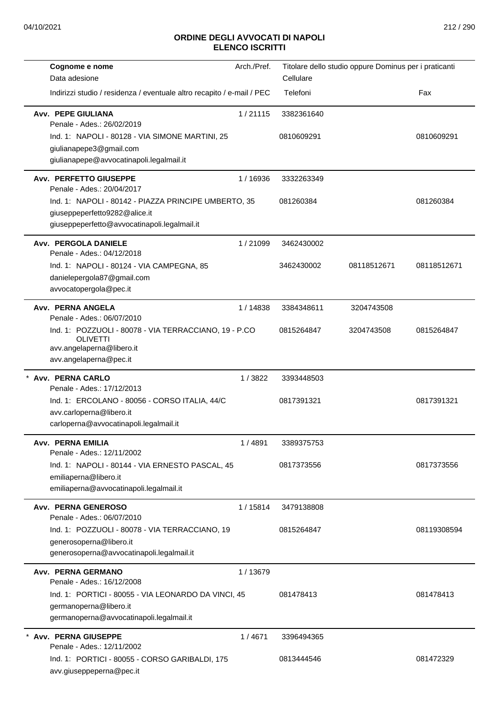| Cognome e nome                                                               | Arch./Pref. | Titolare dello studio oppure Dominus per i praticanti |             |             |
|------------------------------------------------------------------------------|-------------|-------------------------------------------------------|-------------|-------------|
| Data adesione                                                                |             | Cellulare                                             |             |             |
| Indirizzi studio / residenza / eventuale altro recapito / e-mail / PEC       |             | Telefoni                                              |             | Fax         |
| <b>Avv. PEPE GIULIANA</b><br>Penale - Ades.: 26/02/2019                      | 1/21115     | 3382361640                                            |             |             |
| Ind. 1: NAPOLI - 80128 - VIA SIMONE MARTINI, 25                              |             | 0810609291                                            |             | 0810609291  |
| giulianapepe3@gmail.com                                                      |             |                                                       |             |             |
| giulianapepe@avvocatinapoli.legalmail.it                                     |             |                                                       |             |             |
| Avv. PERFETTO GIUSEPPE<br>Penale - Ades.: 20/04/2017                         | 1/16936     | 3332263349                                            |             |             |
| Ind. 1: NAPOLI - 80142 - PIAZZA PRINCIPE UMBERTO, 35                         |             | 081260384                                             |             | 081260384   |
| giuseppeperfetto9282@alice.it                                                |             |                                                       |             |             |
| giuseppeperfetto@avvocatinapoli.legalmail.it                                 |             |                                                       |             |             |
| Avv. PERGOLA DANIELE<br>Penale - Ades.: 04/12/2018                           | 1/21099     | 3462430002                                            |             |             |
| Ind. 1: NAPOLI - 80124 - VIA CAMPEGNA, 85                                    |             | 3462430002                                            | 08118512671 | 08118512671 |
| danielepergola87@gmail.com                                                   |             |                                                       |             |             |
| avvocatopergola@pec.it                                                       |             |                                                       |             |             |
| Avv. PERNA ANGELA<br>Penale - Ades.: 06/07/2010                              | 1/14838     | 3384348611                                            | 3204743508  |             |
| Ind. 1: POZZUOLI - 80078 - VIA TERRACCIANO, 19 - P.CO<br><b>OLIVETTI</b>     |             | 0815264847                                            | 3204743508  | 0815264847  |
| avv.angelaperna@libero.it                                                    |             |                                                       |             |             |
| avv.angelaperna@pec.it                                                       |             |                                                       |             |             |
| * Avv. PERNA CARLO<br>Penale - Ades.: 17/12/2013                             | 1/3822      | 3393448503                                            |             |             |
| Ind. 1: ERCOLANO - 80056 - CORSO ITALIA, 44/C                                |             | 0817391321                                            |             | 0817391321  |
| avv.carloperna@libero.it                                                     |             |                                                       |             |             |
| carloperna@avvocatinapoli.legalmail.it                                       |             |                                                       |             |             |
| <b>Avv. PERNA EMILIA</b>                                                     | 1/4891      | 3389375753                                            |             |             |
| Penale - Ades.: 12/11/2002                                                   |             |                                                       |             |             |
| Ind. 1: NAPOLI - 80144 - VIA ERNESTO PASCAL, 45                              |             | 0817373556                                            |             | 0817373556  |
| emiliaperna@libero.it                                                        |             |                                                       |             |             |
| emiliaperna@avvocatinapoli.legalmail.it                                      |             |                                                       |             |             |
| Avv. PERNA GENEROSO                                                          | 1/15814     | 3479138808                                            |             |             |
| Penale - Ades.: 06/07/2010<br>Ind. 1: POZZUOLI - 80078 - VIA TERRACCIANO, 19 |             | 0815264847                                            |             | 08119308594 |
| generosoperna@libero.it                                                      |             |                                                       |             |             |
| generosoperna@avvocatinapoli.legalmail.it                                    |             |                                                       |             |             |
|                                                                              |             |                                                       |             |             |
| Avv. PERNA GERMANO<br>Penale - Ades.: 16/12/2008                             | 1/13679     |                                                       |             |             |
| Ind. 1: PORTICI - 80055 - VIA LEONARDO DA VINCI, 45                          |             | 081478413                                             |             | 081478413   |
| germanoperna@libero.it                                                       |             |                                                       |             |             |
| germanoperna@avvocatinapoli.legalmail.it                                     |             |                                                       |             |             |
| <b>Avv. PERNA GIUSEPPE</b>                                                   | 1/4671      | 3396494365                                            |             |             |
| Penale - Ades.: 12/11/2002                                                   |             |                                                       |             |             |
| Ind. 1: PORTICI - 80055 - CORSO GARIBALDI, 175                               |             | 0813444546                                            |             | 081472329   |
| avv.giuseppeperna@pec.it                                                     |             |                                                       |             |             |
|                                                                              |             |                                                       |             |             |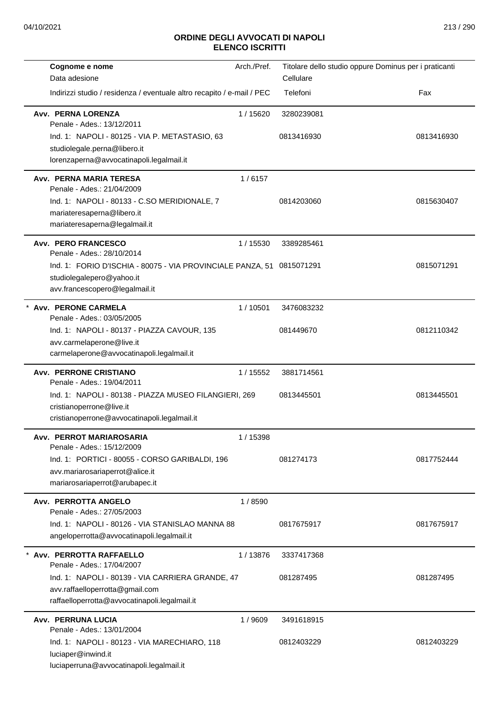| Cognome e nome                                                           | Arch./Pref. | Titolare dello studio oppure Dominus per i praticanti |            |
|--------------------------------------------------------------------------|-------------|-------------------------------------------------------|------------|
| Data adesione                                                            |             | Cellulare                                             |            |
| Indirizzi studio / residenza / eventuale altro recapito / e-mail / PEC   |             | Telefoni                                              | Fax        |
| Avv. PERNA LORENZA<br>Penale - Ades.: 13/12/2011                         | 1/15620     | 3280239081                                            |            |
| Ind. 1: NAPOLI - 80125 - VIA P. METASTASIO, 63                           |             | 0813416930                                            | 0813416930 |
| studiolegale.perna@libero.it                                             |             |                                                       |            |
| lorenzaperna@avvocatinapoli.legalmail.it                                 |             |                                                       |            |
| Avv. PERNA MARIA TERESA<br>Penale - Ades.: 21/04/2009                    | 1/6157      |                                                       |            |
| Ind. 1: NAPOLI - 80133 - C.SO MERIDIONALE, 7                             |             | 0814203060                                            | 0815630407 |
| mariateresaperna@libero.it                                               |             |                                                       |            |
| mariateresaperna@legalmail.it                                            |             |                                                       |            |
| <b>Avv. PERO FRANCESCO</b><br>Penale - Ades.: 28/10/2014                 | 1/15530     | 3389285461                                            |            |
| Ind. 1: FORIO D'ISCHIA - 80075 - VIA PROVINCIALE PANZA, 51 0815071291    |             |                                                       | 0815071291 |
| studiolegalepero@yahoo.it                                                |             |                                                       |            |
| avv.francescopero@legalmail.it                                           |             |                                                       |            |
| * Avv. PERONE CARMELA                                                    | 1/10501     | 3476083232                                            |            |
| Penale - Ades.: 03/05/2005                                               |             |                                                       |            |
| Ind. 1: NAPOLI - 80137 - PIAZZA CAVOUR, 135                              |             | 081449670                                             | 0812110342 |
| avv.carmelaperone@live.it                                                |             |                                                       |            |
| carmelaperone@avvocatinapoli.legalmail.it                                |             |                                                       |            |
| <b>Avv. PERRONE CRISTIANO</b>                                            | 1 / 15552   | 3881714561                                            |            |
| Penale - Ades.: 19/04/2011                                               |             |                                                       |            |
| Ind. 1: NAPOLI - 80138 - PIAZZA MUSEO FILANGIERI, 269                    |             | 0813445501                                            | 0813445501 |
| cristianoperrone@live.it<br>cristianoperrone@avvocatinapoli.legalmail.it |             |                                                       |            |
|                                                                          |             |                                                       |            |
| Avv. PERROT MARIAROSARIA<br>Penale - Ades.: 15/12/2009                   | 1 / 15398   |                                                       |            |
| Ind. 1: PORTICI - 80055 - CORSO GARIBALDI, 196                           |             | 081274173                                             | 0817752444 |
| avv.mariarosariaperrot@alice.it                                          |             |                                                       |            |
| mariarosariaperrot@arubapec.it                                           |             |                                                       |            |
| Avv. PERROTTA ANGELO<br>Penale - Ades.: 27/05/2003                       | 1 / 8590    |                                                       |            |
| Ind. 1: NAPOLI - 80126 - VIA STANISLAO MANNA 88                          |             | 0817675917                                            | 0817675917 |
| angeloperrotta@avvocatinapoli.legalmail.it                               |             |                                                       |            |
| Avv. PERROTTA RAFFAELLO<br>Penale - Ades.: 17/04/2007                    | 1/13876     | 3337417368                                            |            |
| Ind. 1: NAPOLI - 80139 - VIA CARRIERA GRANDE, 47                         |             | 081287495                                             | 081287495  |
| avv.raffaelloperrotta@gmail.com                                          |             |                                                       |            |
| raffaelloperrotta@avvocatinapoli.legalmail.it                            |             |                                                       |            |
| <b>Avv. PERRUNA LUCIA</b>                                                | 1/9609      | 3491618915                                            |            |
| Penale - Ades.: 13/01/2004                                               |             |                                                       |            |
| Ind. 1: NAPOLI - 80123 - VIA MARECHIARO, 118                             |             | 0812403229                                            | 0812403229 |
| luciaper@inwind.it                                                       |             |                                                       |            |
| luciaperruna@avvocatinapoli.legalmail.it                                 |             |                                                       |            |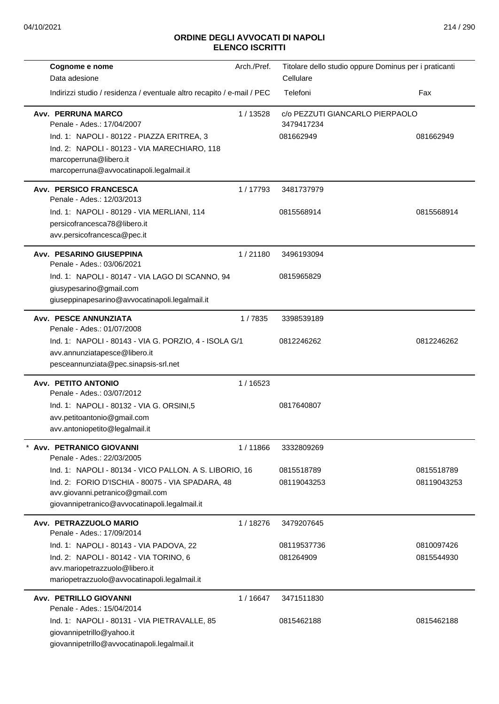| Cognome e nome                                                           | Arch./Pref. | Titolare dello studio oppure Dominus per i praticanti |             |
|--------------------------------------------------------------------------|-------------|-------------------------------------------------------|-------------|
| Data adesione                                                            |             | Cellulare<br>Telefoni                                 | Fax         |
| Indirizzi studio / residenza / eventuale altro recapito / e-mail / PEC   |             |                                                       |             |
| Avv. PERRUNA MARCO                                                       | 1/13528     | c/o PEZZUTI GIANCARLO PIERPAOLO                       |             |
| Penale - Ades.: 17/04/2007<br>Ind. 1: NAPOLI - 80122 - PIAZZA ERITREA, 3 |             | 3479417234<br>081662949                               | 081662949   |
| Ind. 2: NAPOLI - 80123 - VIA MARECHIARO, 118                             |             |                                                       |             |
| marcoperruna@libero.it                                                   |             |                                                       |             |
| marcoperruna@avvocatinapoli.legalmail.it                                 |             |                                                       |             |
| Avv. PERSICO FRANCESCA                                                   | 1/17793     | 3481737979                                            |             |
| Penale - Ades.: 12/03/2013                                               |             |                                                       |             |
| Ind. 1: NAPOLI - 80129 - VIA MERLIANI, 114                               |             | 0815568914                                            | 0815568914  |
| persicofrancesca78@libero.it<br>avv.persicofrancesca@pec.it              |             |                                                       |             |
|                                                                          |             |                                                       |             |
| Avv. PESARINO GIUSEPPINA<br>Penale - Ades.: 03/06/2021                   | 1/21180     | 3496193094                                            |             |
| Ind. 1: NAPOLI - 80147 - VIA LAGO DI SCANNO, 94                          |             | 0815965829                                            |             |
| giusypesarino@gmail.com                                                  |             |                                                       |             |
| giuseppinapesarino@avvocatinapoli.legalmail.it                           |             |                                                       |             |
| Avv. PESCE ANNUNZIATA<br>Penale - Ades.: 01/07/2008                      | 1/7835      | 3398539189                                            |             |
| Ind. 1: NAPOLI - 80143 - VIA G. PORZIO, 4 - ISOLA G/1                    |             | 0812246262                                            | 0812246262  |
| avv.annunziatapesce@libero.it                                            |             |                                                       |             |
| pesceannunziata@pec.sinapsis-srl.net                                     |             |                                                       |             |
| Avv. PETITO ANTONIO                                                      | 1/16523     |                                                       |             |
| Penale - Ades.: 03/07/2012<br>Ind. 1: NAPOLI - 80132 - VIA G. ORSINI,5   |             | 0817640807                                            |             |
| avv.petitoantonio@gmail.com                                              |             |                                                       |             |
| avv.antoniopetito@legalmail.it                                           |             |                                                       |             |
| * Avv. PETRANICO GIOVANNI<br>Penale - Ades.: 22/03/2005                  | 1/11866     | 3332809269                                            |             |
| Ind. 1: NAPOLI - 80134 - VICO PALLON. A S. LIBORIO, 16                   |             | 0815518789                                            | 0815518789  |
| Ind. 2: FORIO D'ISCHIA - 80075 - VIA SPADARA, 48                         |             | 08119043253                                           | 08119043253 |
| avv.giovanni.petranico@gmail.com                                         |             |                                                       |             |
| giovannipetranico@avvocatinapoli.legalmail.it                            |             |                                                       |             |
| Avv. PETRAZZUOLO MARIO<br>Penale - Ades.: 17/09/2014                     | 1/18276     | 3479207645                                            |             |
| Ind. 1: NAPOLI - 80143 - VIA PADOVA, 22                                  |             | 08119537736                                           | 0810097426  |
| Ind. 2: NAPOLI - 80142 - VIA TORINO, 6                                   |             | 081264909                                             | 0815544930  |
| avv.mariopetrazzuolo@libero.it                                           |             |                                                       |             |
| mariopetrazzuolo@avvocatinapoli.legalmail.it                             |             |                                                       |             |
| Avv. PETRILLO GIOVANNI<br>Penale - Ades.: 15/04/2014                     | 1/16647     | 3471511830                                            |             |
| Ind. 1: NAPOLI - 80131 - VIA PIETRAVALLE, 85                             |             | 0815462188                                            | 0815462188  |
| giovannipetrillo@yahoo.it                                                |             |                                                       |             |
| giovannipetrillo@avvocatinapoli.legalmail.it                             |             |                                                       |             |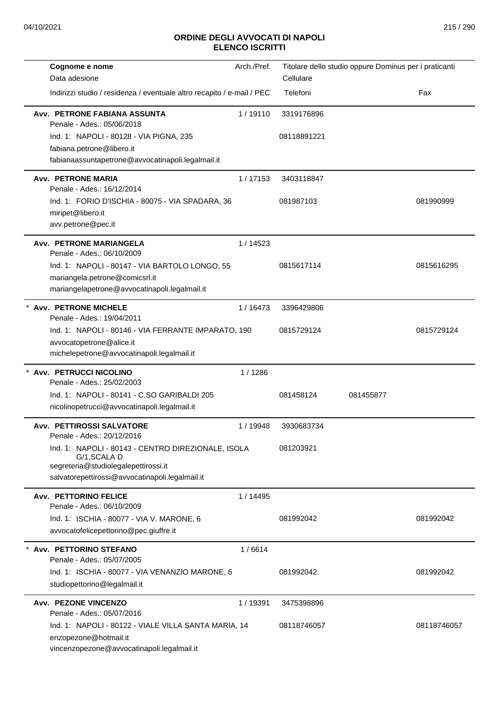| Cognome e nome<br>Data adesione                                                                                                                               | Arch./Pref. | Cellulare   | Titolare dello studio oppure Dominus per i praticanti |             |
|---------------------------------------------------------------------------------------------------------------------------------------------------------------|-------------|-------------|-------------------------------------------------------|-------------|
| Indirizzi studio / residenza / eventuale altro recapito / e-mail / PEC                                                                                        |             | Telefoni    |                                                       | Fax         |
| Avv. PETRONE FABIANA ASSUNTA<br>Penale - Ades.: 05/06/2018                                                                                                    | 1/19110     | 3319176896  |                                                       |             |
| Ind. 1: NAPOLI - 80128 - VIA PIGNA, 235<br>fabiana.petrone@libero.it<br>fabianaassuntapetrone@avvocatinapoli.legalmail.it                                     |             | 08118891221 |                                                       |             |
| <b>Avv. PETRONE MARIA</b><br>Penale - Ades.: 16/12/2014                                                                                                       | 1/17153     | 3403118847  |                                                       |             |
| Ind. 1: FORIO D'ISCHIA - 80075 - VIA SPADARA, 36<br>miripet@libero.it<br>avv.petrone@pec.it                                                                   |             | 081987103   |                                                       | 081990999   |
| <b>Avv. PETRONE MARIANGELA</b><br>Penale - Ades.: 06/10/2009                                                                                                  | 1/14523     |             |                                                       |             |
| Ind. 1: NAPOLI - 80147 - VIA BARTOLO LONGO, 55<br>mariangela.petrone@comicsrl.it<br>mariangelapetrone@avvocatinapoli.legalmail.it                             |             | 0815617114  |                                                       | 0815616295  |
| <b>Avv. PETRONE MICHELE</b><br>Penale - Ades.: 19/04/2011                                                                                                     | 1/16473     | 3396429806  |                                                       |             |
| Ind. 1: NAPOLI - 80146 - VIA FERRANTE IMPARATO, 190<br>avvocatopetrone@alice.it<br>michelepetrone@avvocatinapoli.legalmail.it                                 |             | 0815729124  |                                                       | 0815729124  |
| * Avv. PETRUCCI NICOLINO<br>Penale - Ades.: 25/02/2003                                                                                                        | 1/1286      |             |                                                       |             |
| Ind. 1: NAPOLI - 80141 - C.SO GARIBALDI 205<br>nicolinopetrucci@avvocatinapoli.legalmail.it                                                                   |             | 081458124   | 081455877                                             |             |
| Avv. PETTIROSSI SALVATORE<br>Penale - Ades.: 20/12/2016                                                                                                       | 1/19948     | 3930683734  |                                                       |             |
| Ind. 1: NAPOLI - 80143 - CENTRO DIREZIONALE, ISOLA<br>G/1, SCALA D<br>segreteria@studiolegalepettirossi.it<br>salvatorepettirossi@avvocatinapoli.legalmail.it |             | 081203921   |                                                       |             |
| <b>Avv. PETTORINO FELICE</b><br>Penale - Ades.: 06/10/2009                                                                                                    | 1 / 14495   |             |                                                       |             |
| Ind. 1: ISCHIA - 80077 - VIA V. MARONE, 6<br>avvocatofelicepettorino@pec.giuffre.it                                                                           |             | 081992042   |                                                       | 081992042   |
| Avv. PETTORINO STEFANO<br>Penale - Ades.: 05/07/2005                                                                                                          | 1/6614      |             |                                                       |             |
| Ind. 1: ISCHIA - 80077 - VIA VENANZIO MARONE, 6<br>studiopettorino@legalmail.it                                                                               |             | 081992042   |                                                       | 081992042   |
| Avv. PEZONE VINCENZO<br>Penale - Ades.: 05/07/2016                                                                                                            | 1/19391     | 3475398896  |                                                       |             |
| Ind. 1: NAPOLI - 80122 - VIALE VILLA SANTA MARIA, 14<br>enzopezone@hotmail.it<br>vincenzopezone@avvocatinapoli.legalmail.it                                   |             | 08118746057 |                                                       | 08118746057 |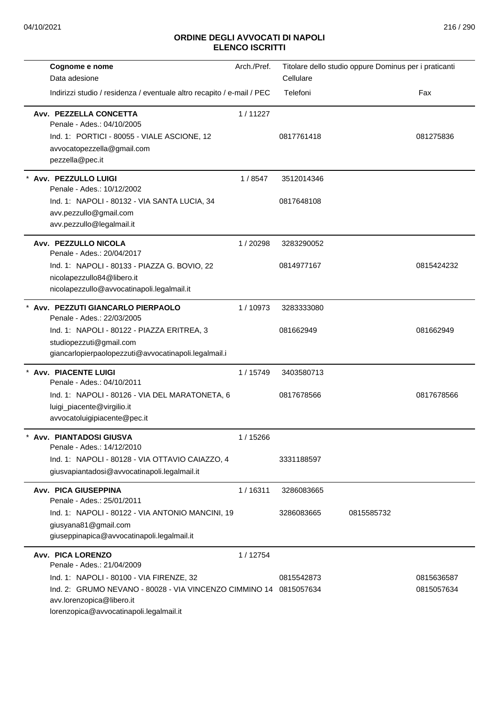| Cognome e nome                                                                                                                                       | Arch./Pref. | Titolare dello studio oppure Dominus per i praticanti |            |            |
|------------------------------------------------------------------------------------------------------------------------------------------------------|-------------|-------------------------------------------------------|------------|------------|
| Data adesione                                                                                                                                        |             | Cellulare                                             |            |            |
| Indirizzi studio / residenza / eventuale altro recapito / e-mail / PEC                                                                               |             | Telefoni                                              |            | Fax        |
| Avv. PEZZELLA CONCETTA<br>Penale - Ades.: 04/10/2005<br>Ind. 1: PORTICI - 80055 - VIALE ASCIONE, 12<br>avvocatopezzella@gmail.com<br>pezzella@pec.it | 1/11227     | 0817761418                                            |            | 081275836  |
| * Avv. PEZZULLO LUIGI<br>Penale - Ades.: 10/12/2002                                                                                                  | 1/8547      | 3512014346                                            |            |            |
| Ind. 1: NAPOLI - 80132 - VIA SANTA LUCIA, 34<br>avv.pezzullo@gmail.com<br>avv.pezzullo@legalmail.it                                                  |             | 0817648108                                            |            |            |
| Avv. PEZZULLO NICOLA<br>Penale - Ades.: 20/04/2017                                                                                                   | 1/20298     | 3283290052                                            |            |            |
| Ind. 1: NAPOLI - 80133 - PIAZZA G. BOVIO, 22<br>nicolapezzullo84@libero.it<br>nicolapezzullo@avvocatinapoli.legalmail.it                             |             | 0814977167                                            |            | 0815424232 |
| * Avv. PEZZUTI GIANCARLO PIERPAOLO<br>Penale - Ades.: 22/03/2005                                                                                     | 1/10973     | 3283333080                                            |            |            |
| Ind. 1: NAPOLI - 80122 - PIAZZA ERITREA, 3<br>studiopezzuti@gmail.com<br>giancarlopierpaolopezzuti@avvocatinapoli.legalmail.i                        |             | 081662949                                             |            | 081662949  |
| * Avv. PIACENTE LUIGI<br>Penale - Ades.: 04/10/2011                                                                                                  | 1 / 15749   | 3403580713                                            |            |            |
| Ind. 1: NAPOLI - 80126 - VIA DEL MARATONETA, 6<br>luigi_piacente@virgilio.it<br>avvocatoluigipiacente@pec.it                                         |             | 0817678566                                            |            | 0817678566 |
| Avv. PIANTADOSI GIUSVA<br>Penale - Ades.: 14/12/2010                                                                                                 | 1 / 15266   |                                                       |            |            |
| Ind. 1: NAPOLI - 80128 - VIA OTTAVIO CAIAZZO, 4<br>giusvapiantadosi@avvocatinapoli.legalmail.it                                                      |             | 3331188597                                            |            |            |
| Avv. PICA GIUSEPPINA<br>Penale - Ades.: 25/01/2011                                                                                                   | 1/16311     | 3286083665                                            |            |            |
| Ind. 1: NAPOLI - 80122 - VIA ANTONIO MANCINI, 19<br>giusyana81@gmail.com<br>giuseppinapica@avvocatinapoli.legalmail.it                               |             | 3286083665                                            | 0815585732 |            |
| Avv. PICA LORENZO<br>Penale - Ades.: 21/04/2009                                                                                                      | 1 / 12754   |                                                       |            |            |
| Ind. 1: NAPOLI - 80100 - VIA FIRENZE, 32                                                                                                             |             | 0815542873                                            |            | 0815636587 |
| Ind. 2: GRUMO NEVANO - 80028 - VIA VINCENZO CIMMINO 14 0815057634<br>avv.lorenzopica@libero.it<br>lorenzopica@avvocatinapoli.legalmail.it            |             |                                                       |            | 0815057634 |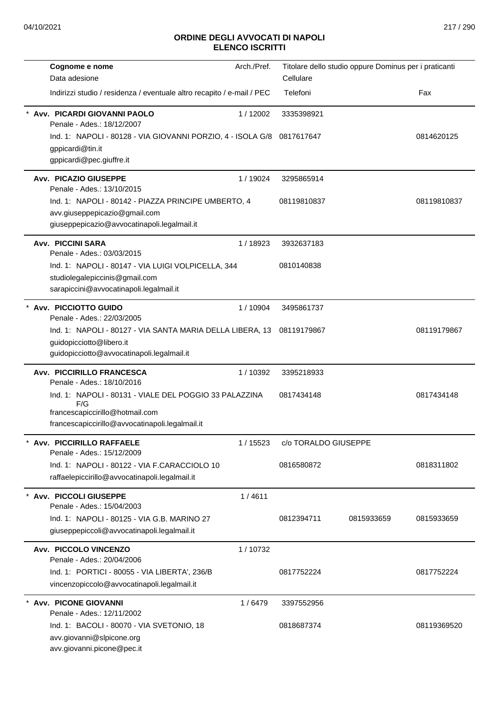| Cognome e nome<br>Data adesione                                                                                                                     | Arch./Pref. | Titolare dello studio oppure Dominus per i praticanti<br>Cellulare |            |             |
|-----------------------------------------------------------------------------------------------------------------------------------------------------|-------------|--------------------------------------------------------------------|------------|-------------|
| Indirizzi studio / residenza / eventuale altro recapito / e-mail / PEC                                                                              |             | Telefoni                                                           |            | Fax         |
| Avv. PICARDI GIOVANNI PAOLO<br>Penale - Ades.: 18/12/2007                                                                                           | 1/12002     | 3335398921                                                         |            |             |
| Ind. 1: NAPOLI - 80128 - VIA GIOVANNI PORZIO, 4 - ISOLA G/8<br>gppicardi@tin.it<br>gppicardi@pec.giuffre.it                                         |             | 0817617647                                                         |            | 0814620125  |
| <b>Avv. PICAZIO GIUSEPPE</b><br>Penale - Ades.: 13/10/2015                                                                                          | 1/19024     | 3295865914                                                         |            |             |
| Ind. 1: NAPOLI - 80142 - PIAZZA PRINCIPE UMBERTO, 4<br>avv.giuseppepicazio@gmail.com<br>giuseppepicazio@avvocatinapoli.legalmail.it                 |             | 08119810837                                                        |            | 08119810837 |
| <b>Avv. PICCINI SARA</b><br>Penale - Ades.: 03/03/2015                                                                                              | 1/18923     | 3932637183                                                         |            |             |
| Ind. 1: NAPOLI - 80147 - VIA LUIGI VOLPICELLA, 344<br>studiolegalepiccinis@gmail.com<br>sarapiccini@avvocatinapoli.legalmail.it                     |             | 0810140838                                                         |            |             |
| * Avv. PICCIOTTO GUIDO<br>Penale - Ades.: 22/03/2005                                                                                                | 1/10904     | 3495861737                                                         |            |             |
| Ind. 1: NAPOLI - 80127 - VIA SANTA MARIA DELLA LIBERA, 13<br>guidopicciotto@libero.it<br>guidopicciotto@avvocatinapoli.legalmail.it                 |             | 08119179867                                                        |            | 08119179867 |
| Avv. PICCIRILLO FRANCESCA<br>Penale - Ades.: 18/10/2016                                                                                             | 1/10392     | 3395218933                                                         |            |             |
| Ind. 1: NAPOLI - 80131 - VIALE DEL POGGIO 33 PALAZZINA<br>F/G<br>francescapiccirillo@hotmail.com<br>francescapiccirillo@avvocatinapoli.legalmail.it |             | 0817434148                                                         |            | 0817434148  |
| * Avv. PICCIRILLO RAFFAELE<br>Penale - Ades.: 15/12/2009                                                                                            | 1/15523     | c/o TORALDO GIUSEPPE                                               |            |             |
| Ind. 1: NAPOLI - 80122 - VIA F.CARACCIOLO 10<br>raffaelepiccirillo@avvocatinapoli.legalmail.it                                                      |             | 0816580872                                                         |            | 0818311802  |
| * Avv. PICCOLI GIUSEPPE<br>Penale - Ades.: 15/04/2003                                                                                               | 1/4611      |                                                                    |            |             |
| Ind. 1: NAPOLI - 80125 - VIA G.B. MARINO 27<br>giuseppepiccoli@avvocatinapoli.legalmail.it                                                          |             | 0812394711                                                         | 0815933659 | 0815933659  |
| Avv. PICCOLO VINCENZO<br>Penale - Ades.: 20/04/2006                                                                                                 | 1/10732     |                                                                    |            |             |
| Ind. 1: PORTICI - 80055 - VIA LIBERTA', 236/B<br>vincenzopiccolo@avvocatinapoli.legalmail.it                                                        |             | 0817752224                                                         |            | 0817752224  |
| * Avv. PICONE GIOVANNI<br>Penale - Ades.: 12/11/2002                                                                                                | 1/6479      | 3397552956                                                         |            |             |
| Ind. 1: BACOLI - 80070 - VIA SVETONIO, 18<br>avv.giovanni@slpicone.org<br>avv.giovanni.picone@pec.it                                                |             | 0818687374                                                         |            | 08119369520 |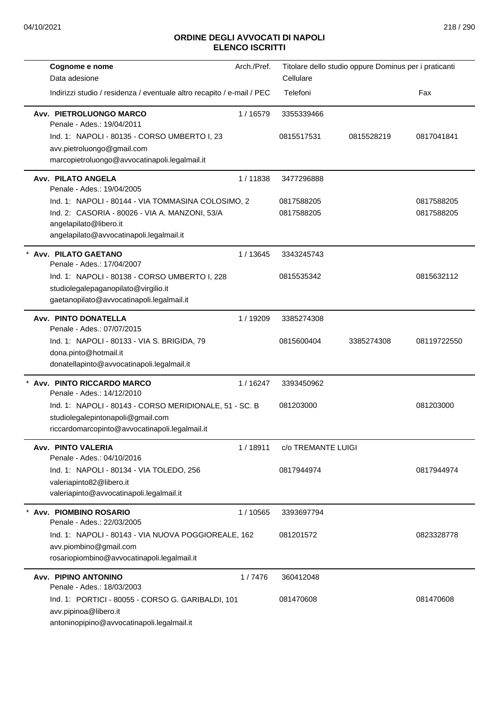| Cognome e nome<br>Data adesione                                                                                                               | Arch./Pref. | Titolare dello studio oppure Dominus per i praticanti<br>Cellulare |            |             |
|-----------------------------------------------------------------------------------------------------------------------------------------------|-------------|--------------------------------------------------------------------|------------|-------------|
| Indirizzi studio / residenza / eventuale altro recapito / e-mail / PEC                                                                        |             | Telefoni                                                           |            | Fax         |
| Avv. PIETROLUONGO MARCO<br>Penale - Ades.: 19/04/2011                                                                                         | 1/16579     | 3355339466                                                         |            |             |
| Ind. 1: NAPOLI - 80135 - CORSO UMBERTO I, 23                                                                                                  |             | 0815517531                                                         | 0815528219 | 0817041841  |
| avv.pietroluongo@gmail.com<br>marcopietroluongo@avvocatinapoli.legalmail.it                                                                   |             |                                                                    |            |             |
| Avv. PILATO ANGELA<br>Penale - Ades.: 19/04/2005                                                                                              | 1/11838     | 3477296888                                                         |            |             |
| Ind. 1: NAPOLI - 80144 - VIA TOMMASINA COLOSIMO, 2                                                                                            |             | 0817588205                                                         |            | 0817588205  |
| Ind. 2: CASORIA - 80026 - VIA A. MANZONI, 53/A<br>angelapilato@libero.it<br>angelapilato@avvocatinapoli.legalmail.it                          |             | 0817588205                                                         |            | 0817588205  |
| * Avv. PILATO GAETANO<br>Penale - Ades.: 17/04/2007                                                                                           | 1/13645     | 3343245743                                                         |            |             |
| Ind. 1: NAPOLI - 80138 - CORSO UMBERTO I, 228<br>studiolegalepaganopilato@virgilio.it<br>gaetanopilato@avvocatinapoli.legalmail.it            |             | 0815535342                                                         |            | 0815632112  |
| Avv. PINTO DONATELLA<br>Penale - Ades.: 07/07/2015                                                                                            | 1 / 19209   | 3385274308                                                         |            |             |
| Ind. 1: NAPOLI - 80133 - VIA S. BRIGIDA, 79<br>dona.pinto@hotmail.it<br>donatellapinto@avvocatinapoli.legalmail.it                            |             | 0815600404                                                         | 3385274308 | 08119722550 |
| Avv. PINTO RICCARDO MARCO<br>Penale - Ades.: 14/12/2010                                                                                       | 1/16247     | 3393450962                                                         |            |             |
| Ind. 1: NAPOLI - 80143 - CORSO MERIDIONALE, 51 - SC. B<br>studiolegalepintonapoli@gmail.com<br>riccardomarcopinto@avvocatinapoli.legalmail.it |             | 081203000                                                          |            | 081203000   |
| Avv. PINTO VALERIA<br>Penale - Ades.: 04/10/2016                                                                                              | 1/18911     | c/o TREMANTE LUIGI                                                 |            |             |
| Ind. 1: NAPOLI - 80134 - VIA TOLEDO, 256<br>valeriapinto82@libero.it<br>valeriapinto@avvocatinapoli.legalmail.it                              |             | 0817944974                                                         |            | 0817944974  |
| * Avv. PIOMBINO ROSARIO<br>Penale - Ades.: 22/03/2005                                                                                         | 1/10565     | 3393697794                                                         |            |             |
| Ind. 1: NAPOLI - 80143 - VIA NUOVA POGGIOREALE, 162<br>avv.piombino@gmail.com<br>rosariopiombino@avvocatinapoli.legalmail.it                  |             | 081201572                                                          |            | 0823328778  |
| Avv. PIPINO ANTONINO<br>Penale - Ades.: 18/03/2003                                                                                            | 1/7476      | 360412048                                                          |            |             |
| Ind. 1: PORTICI - 80055 - CORSO G. GARIBALDI, 101<br>avv.pipinoa@libero.it<br>antoninopipino@avvocatinapoli.legalmail.it                      |             | 081470608                                                          |            | 081470608   |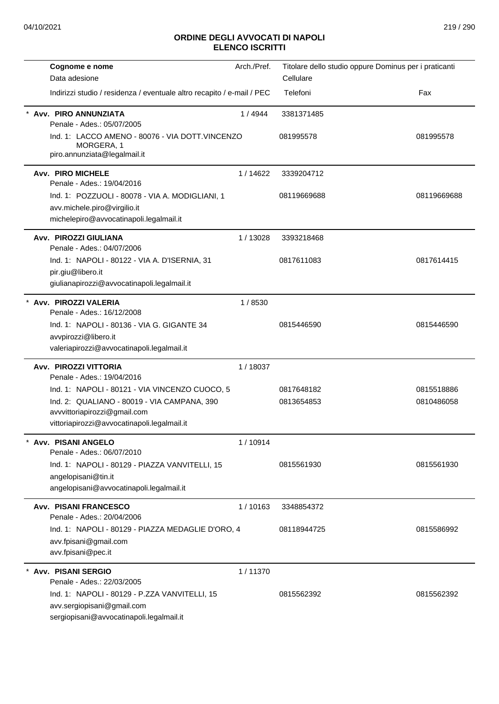| Cognome e nome                                                                                                             | Arch./Pref. | Titolare dello studio oppure Dominus per i praticanti |             |
|----------------------------------------------------------------------------------------------------------------------------|-------------|-------------------------------------------------------|-------------|
| Data adesione                                                                                                              |             | Cellulare                                             |             |
| Indirizzi studio / residenza / eventuale altro recapito / e-mail / PEC                                                     |             | Telefoni                                              | Fax         |
| Avv. PIRO ANNUNZIATA<br>Penale - Ades.: 05/07/2005                                                                         | 1/4944      | 3381371485                                            |             |
| Ind. 1: LACCO AMENO - 80076 - VIA DOTT.VINCENZO<br>MORGERA, 1<br>piro.annunziata@legalmail.it                              |             | 081995578                                             | 081995578   |
| <b>Avv. PIRO MICHELE</b><br>Penale - Ades.: 19/04/2016                                                                     | 1/14622     | 3339204712                                            |             |
| Ind. 1: POZZUOLI - 80078 - VIA A. MODIGLIANI, 1<br>avv.michele.piro@virgilio.it<br>michelepiro@avvocatinapoli.legalmail.it |             | 08119669688                                           | 08119669688 |
| Avv. PIROZZI GIULIANA<br>Penale - Ades.: 04/07/2006                                                                        | 1/13028     | 3393218468                                            |             |
| Ind. 1: NAPOLI - 80122 - VIA A. D'ISERNIA, 31<br>pir.giu@libero.it<br>giulianapirozzi@avvocatinapoli.legalmail.it          |             | 0817611083                                            | 0817614415  |
| * Avv. PIROZZI VALERIA                                                                                                     | 1/8530      |                                                       |             |
| Penale - Ades.: 16/12/2008                                                                                                 |             |                                                       |             |
| Ind. 1: NAPOLI - 80136 - VIA G. GIGANTE 34                                                                                 |             | 0815446590                                            | 0815446590  |
| avvpirozzi@libero.it                                                                                                       |             |                                                       |             |
| valeriapirozzi@avvocatinapoli.legalmail.it                                                                                 |             |                                                       |             |
| Avv. PIROZZI VITTORIA<br>Penale - Ades.: 19/04/2016                                                                        | 1/18037     |                                                       |             |
| Ind. 1: NAPOLI - 80121 - VIA VINCENZO CUOCO, 5                                                                             |             | 0817648182                                            | 0815518886  |
| Ind. 2: QUALIANO - 80019 - VIA CAMPANA, 390                                                                                |             | 0813654853                                            | 0810486058  |
| avvvittoriapirozzi@gmail.com<br>vittoriapirozzi@avvocatinapoli.legalmail.it                                                |             |                                                       |             |
| Avv. PISANI ANGELO<br>Penale - Ades.: 06/07/2010                                                                           | 1/10914     |                                                       |             |
| Ind. 1: NAPOLI - 80129 - PIAZZA VANVITELLI, 15                                                                             |             | 0815561930                                            | 0815561930  |
| angelopisani@tin.it<br>angelopisani@avvocatinapoli.legalmail.it                                                            |             |                                                       |             |
| <b>Avv. PISANI FRANCESCO</b><br>Penale - Ades.: 20/04/2006                                                                 | 1/10163     | 3348854372                                            |             |
| Ind. 1: NAPOLI - 80129 - PIAZZA MEDAGLIE D'ORO, 4                                                                          |             | 08118944725                                           | 0815586992  |
| avv.fpisani@gmail.com<br>avv.fpisani@pec.it                                                                                |             |                                                       |             |
| <b>Avv. PISANI SERGIO</b><br>Penale - Ades.: 22/03/2005                                                                    | 1/11370     |                                                       |             |
| Ind. 1: NAPOLI - 80129 - P.ZZA VANVITELLI, 15                                                                              |             | 0815562392                                            | 0815562392  |
| avv.sergiopisani@gmail.com                                                                                                 |             |                                                       |             |
| sergiopisani@avvocatinapoli.legalmail.it                                                                                   |             |                                                       |             |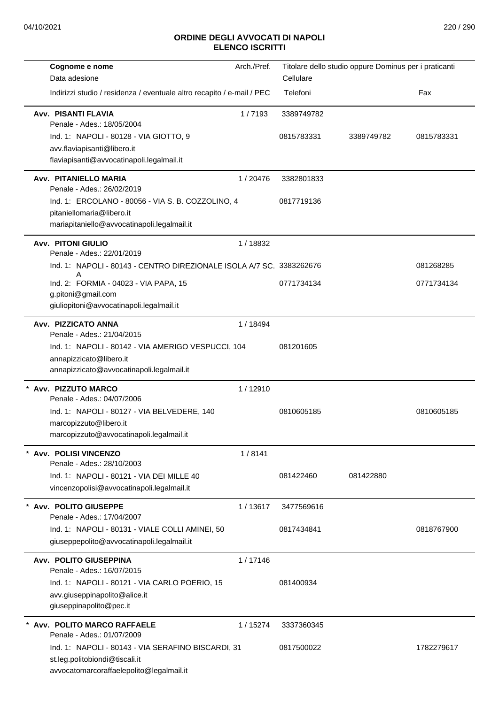|  | Cognome e nome                                                                       | Arch./Pref. |            | Titolare dello studio oppure Dominus per i praticanti |            |
|--|--------------------------------------------------------------------------------------|-------------|------------|-------------------------------------------------------|------------|
|  | Data adesione                                                                        |             | Cellulare  |                                                       |            |
|  | Indirizzi studio / residenza / eventuale altro recapito / e-mail / PEC               |             | Telefoni   |                                                       | Fax        |
|  | <b>Avv. PISANTI FLAVIA</b><br>Penale - Ades.: 18/05/2004                             | 1/7193      | 3389749782 |                                                       |            |
|  | Ind. 1: NAPOLI - 80128 - VIA GIOTTO, 9                                               |             | 0815783331 | 3389749782                                            | 0815783331 |
|  | avv.flaviapisanti@libero.it                                                          |             |            |                                                       |            |
|  | flaviapisanti@avvocatinapoli.legalmail.it                                            |             |            |                                                       |            |
|  | Avv. PITANIELLO MARIA<br>Penale - Ades.: 26/02/2019                                  | 1/20476     | 3382801833 |                                                       |            |
|  | Ind. 1: ERCOLANO - 80056 - VIA S. B. COZZOLINO, 4                                    |             | 0817719136 |                                                       |            |
|  | pitaniellomaria@libero.it                                                            |             |            |                                                       |            |
|  | mariapitaniello@avvocatinapoli.legalmail.it                                          |             |            |                                                       |            |
|  | <b>Avv. PITONI GIULIO</b><br>Penale - Ades.: 22/01/2019                              | 1/18832     |            |                                                       |            |
|  | Ind. 1: NAPOLI - 80143 - CENTRO DIREZIONALE ISOLA A/7 SC. 3383262676<br>A            |             |            |                                                       | 081268285  |
|  | Ind. 2: FORMIA - 04023 - VIA PAPA, 15                                                |             | 0771734134 |                                                       | 0771734134 |
|  | g.pitoni@gmail.com<br>giuliopitoni@avvocatinapoli.legalmail.it                       |             |            |                                                       |            |
|  |                                                                                      |             |            |                                                       |            |
|  | Avv. PIZZICATO ANNA<br>Penale - Ades.: 21/04/2015                                    | 1/18494     |            |                                                       |            |
|  | Ind. 1: NAPOLI - 80142 - VIA AMERIGO VESPUCCI, 104                                   |             | 081201605  |                                                       |            |
|  | annapizzicato@libero.it                                                              |             |            |                                                       |            |
|  | annapizzicato@avvocatinapoli.legalmail.it                                            |             |            |                                                       |            |
|  | * Avv. PIZZUTO MARCO                                                                 | 1/12910     |            |                                                       |            |
|  | Penale - Ades.: 04/07/2006                                                           |             |            |                                                       |            |
|  | Ind. 1: NAPOLI - 80127 - VIA BELVEDERE, 140                                          |             | 0810605185 |                                                       | 0810605185 |
|  | marcopizzuto@libero.it                                                               |             |            |                                                       |            |
|  | marcopizzuto@avvocatinapoli.legalmail.it                                             |             |            |                                                       |            |
|  | * Avv. POLISI VINCENZO<br>Penale - Ades.: 28/10/2003                                 | 1/8141      |            |                                                       |            |
|  | Ind. 1: NAPOLI - 80121 - VIA DEI MILLE 40                                            |             | 081422460  | 081422880                                             |            |
|  | vincenzopolisi@avvocatinapoli.legalmail.it                                           |             |            |                                                       |            |
|  | Avv. POLITO GIUSEPPE                                                                 | 1/13617     | 3477569616 |                                                       |            |
|  | Penale - Ades.: 17/04/2007                                                           |             |            |                                                       |            |
|  | Ind. 1: NAPOLI - 80131 - VIALE COLLI AMINEI, 50                                      |             | 0817434841 |                                                       | 0818767900 |
|  | giuseppepolito@avvocatinapoli.legalmail.it                                           |             |            |                                                       |            |
|  | Avv. POLITO GIUSEPPINA                                                               | 1/17146     |            |                                                       |            |
|  | Penale - Ades.: 16/07/2015                                                           |             |            |                                                       |            |
|  | Ind. 1: NAPOLI - 80121 - VIA CARLO POERIO, 15                                        |             | 081400934  |                                                       |            |
|  | avv.giuseppinapolito@alice.it                                                        |             |            |                                                       |            |
|  | giuseppinapolito@pec.it                                                              |             |            |                                                       |            |
|  | Avv. POLITO MARCO RAFFAELE                                                           | 1/15274     | 3337360345 |                                                       |            |
|  | Penale - Ades.: 01/07/2009                                                           |             |            |                                                       |            |
|  | Ind. 1: NAPOLI - 80143 - VIA SERAFINO BISCARDI, 31<br>st.leg.politobiondi@tiscali.it |             | 0817500022 |                                                       | 1782279617 |
|  | avvocatomarcoraffaelepolito@legalmail.it                                             |             |            |                                                       |            |
|  |                                                                                      |             |            |                                                       |            |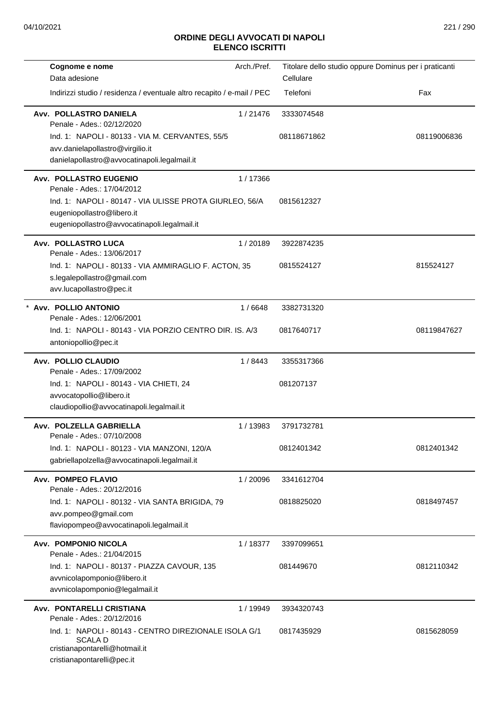| Cognome e nome                                                                      | Arch./Pref. | Titolare dello studio oppure Dominus per i praticanti |             |
|-------------------------------------------------------------------------------------|-------------|-------------------------------------------------------|-------------|
| Data adesione                                                                       |             | Cellulare                                             |             |
| Indirizzi studio / residenza / eventuale altro recapito / e-mail / PEC              |             | Telefoni                                              | Fax         |
| Avv. POLLASTRO DANIELA<br>Penale - Ades.: 02/12/2020                                | 1/21476     | 3333074548                                            |             |
| Ind. 1: NAPOLI - 80133 - VIA M. CERVANTES, 55/5                                     |             | 08118671862                                           | 08119006836 |
| avv.danielapollastro@virgilio.it                                                    |             |                                                       |             |
| danielapollastro@avvocatinapoli.legalmail.it                                        |             |                                                       |             |
| Avv. POLLASTRO EUGENIO<br>Penale - Ades.: 17/04/2012                                | 1/17366     |                                                       |             |
| Ind. 1: NAPOLI - 80147 - VIA ULISSE PROTA GIURLEO, 56/A                             |             | 0815612327                                            |             |
| eugeniopollastro@libero.it                                                          |             |                                                       |             |
| eugeniopollastro@avvocatinapoli.legalmail.it                                        |             |                                                       |             |
| Avv. POLLASTRO LUCA<br>Penale - Ades.: 13/06/2017                                   | 1/20189     | 3922874235                                            |             |
| Ind. 1: NAPOLI - 80133 - VIA AMMIRAGLIO F. ACTON, 35                                |             | 0815524127                                            | 815524127   |
| s.legalepollastro@gmail.com                                                         |             |                                                       |             |
| avv.lucapollastro@pec.it                                                            |             |                                                       |             |
| * Avv. POLLIO ANTONIO<br>Penale - Ades.: 12/06/2001                                 | 1/6648      | 3382731320                                            |             |
| Ind. 1: NAPOLI - 80143 - VIA PORZIO CENTRO DIR. IS. A/3                             |             | 0817640717                                            | 08119847627 |
| antoniopollio@pec.it                                                                |             |                                                       |             |
| Avv. POLLIO CLAUDIO<br>Penale - Ades.: 17/09/2002                                   | 1/8443      | 3355317366                                            |             |
| Ind. 1: NAPOLI - 80143 - VIA CHIETI, 24                                             |             | 081207137                                             |             |
| avvocatopollio@libero.it                                                            |             |                                                       |             |
| claudiopollio@avvocatinapoli.legalmail.it                                           |             |                                                       |             |
| Avv. POLZELLA GABRIELLA<br>Penale - Ades.: 07/10/2008                               | 1/13983     | 3791732781                                            |             |
| Ind. 1: NAPOLI - 80123 - VIA MANZONI, 120/A                                         |             | 0812401342                                            | 0812401342  |
| gabriellapolzella@avvocatinapoli.legalmail.it                                       |             |                                                       |             |
| Avv. POMPEO FLAVIO<br>Penale - Ades.: 20/12/2016                                    | 1/20096     | 3341612704                                            |             |
| Ind. 1: NAPOLI - 80132 - VIA SANTA BRIGIDA, 79                                      |             | 0818825020                                            | 0818497457  |
| avv.pompeo@gmail.com                                                                |             |                                                       |             |
| flaviopompeo@avvocatinapoli.legalmail.it                                            |             |                                                       |             |
| Avv. POMPONIO NICOLA<br>Penale - Ades.: 21/04/2015                                  | 1/18377     | 3397099651                                            |             |
| Ind. 1: NAPOLI - 80137 - PIAZZA CAVOUR, 135                                         |             | 081449670                                             | 0812110342  |
| avvnicolapomponio@libero.it                                                         |             |                                                       |             |
| avvnicolapomponio@legalmail.it                                                      |             |                                                       |             |
| Avv. PONTARELLI CRISTIANA                                                           | 1 / 19949   | 3934320743                                            |             |
| Penale - Ades.: 20/12/2016<br>Ind. 1: NAPOLI - 80143 - CENTRO DIREZIONALE ISOLA G/1 |             | 0817435929                                            | 0815628059  |
| <b>SCALAD</b>                                                                       |             |                                                       |             |
| cristianapontarelli@hotmail.it                                                      |             |                                                       |             |
| cristianapontarelli@pec.it                                                          |             |                                                       |             |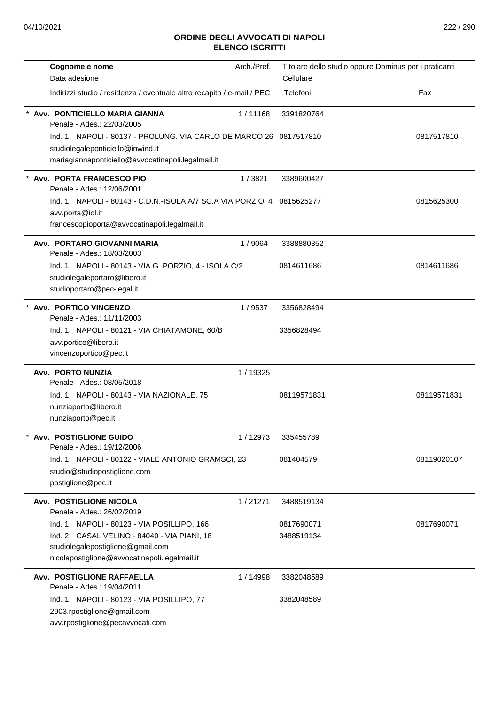| Cognome e nome                                                                    | Arch./Pref. |                          | Titolare dello studio oppure Dominus per i praticanti |
|-----------------------------------------------------------------------------------|-------------|--------------------------|-------------------------------------------------------|
| Data adesione                                                                     |             | Cellulare                |                                                       |
| Indirizzi studio / residenza / eventuale altro recapito / e-mail / PEC            |             | Telefoni                 | Fax                                                   |
| Avv. PONTICIELLO MARIA GIANNA<br>Penale - Ades.: 22/03/2005                       | 1/11168     | 3391820764               |                                                       |
| Ind. 1: NAPOLI - 80137 - PROLUNG. VIA CARLO DE MARCO 26 0817517810                |             |                          | 0817517810                                            |
| studiolegaleponticiello@inwind.it                                                 |             |                          |                                                       |
| mariagiannaponticiello@avvocatinapoli.legalmail.it                                |             |                          |                                                       |
| Avv. PORTA FRANCESCO PIO<br>Penale - Ades.: 12/06/2001                            | 1/3821      | 3389600427               |                                                       |
| Ind. 1: NAPOLI - 80143 - C.D.N.-ISOLA A/7 SC.A VIA PORZIO, 4 0815625277           |             |                          | 0815625300                                            |
| avv.porta@iol.it                                                                  |             |                          |                                                       |
| francescopioporta@avvocatinapoli.legalmail.it                                     |             |                          |                                                       |
| Avv. PORTARO GIOVANNI MARIA<br>Penale - Ades.: 18/03/2003                         | 1/9064      | 3388880352               |                                                       |
| Ind. 1: NAPOLI - 80143 - VIA G. PORZIO, 4 - ISOLA C/2                             |             | 0814611686               | 0814611686                                            |
| studiolegaleportaro@libero.it                                                     |             |                          |                                                       |
| studioportaro@pec-legal.it                                                        |             |                          |                                                       |
| <b>Avv. PORTICO VINCENZO</b><br>Penale - Ades.: 11/11/2003                        | 1/9537      | 3356828494               |                                                       |
| Ind. 1: NAPOLI - 80121 - VIA CHIATAMONE, 60/B                                     |             | 3356828494               |                                                       |
| avv.portico@libero.it                                                             |             |                          |                                                       |
| vincenzoportico@pec.it                                                            |             |                          |                                                       |
| Avv. PORTO NUNZIA                                                                 | 1 / 19325   |                          |                                                       |
| Penale - Ades.: 08/05/2018<br>Ind. 1: NAPOLI - 80143 - VIA NAZIONALE, 75          |             | 08119571831              | 08119571831                                           |
| nunziaporto@libero.it                                                             |             |                          |                                                       |
| nunziaporto@pec.it                                                                |             |                          |                                                       |
|                                                                                   |             |                          |                                                       |
| Avv. POSTIGLIONE GUIDO<br>Penale - Ades.: 19/12/2006                              | 1/12973     | 335455789                |                                                       |
| Ind. 1: NAPOLI - 80122 - VIALE ANTONIO GRAMSCI, 23                                |             | 081404579                | 08119020107                                           |
| studio@studiopostiglione.com                                                      |             |                          |                                                       |
| postiglione@pec.it                                                                |             |                          |                                                       |
| Avv. POSTIGLIONE NICOLA                                                           | 1/21271     | 3488519134               |                                                       |
| Penale - Ades.: 26/02/2019                                                        |             |                          |                                                       |
| Ind. 1: NAPOLI - 80123 - VIA POSILLIPO, 166                                       |             | 0817690071<br>3488519134 | 0817690071                                            |
| Ind. 2: CASAL VELINO - 84040 - VIA PIANI, 18<br>studiolegalepostiglione@gmail.com |             |                          |                                                       |
| nicolapostiglione@avvocatinapoli.legalmail.it                                     |             |                          |                                                       |
| Avv. POSTIGLIONE RAFFAELLA                                                        | 1 / 14998   | 3382048589               |                                                       |
| Penale - Ades.: 19/04/2011                                                        |             |                          |                                                       |
| Ind. 1: NAPOLI - 80123 - VIA POSILLIPO, 77                                        |             | 3382048589               |                                                       |
| 2903.rpostiglione@gmail.com                                                       |             |                          |                                                       |
| avv.rpostiglione@pecavvocati.com                                                  |             |                          |                                                       |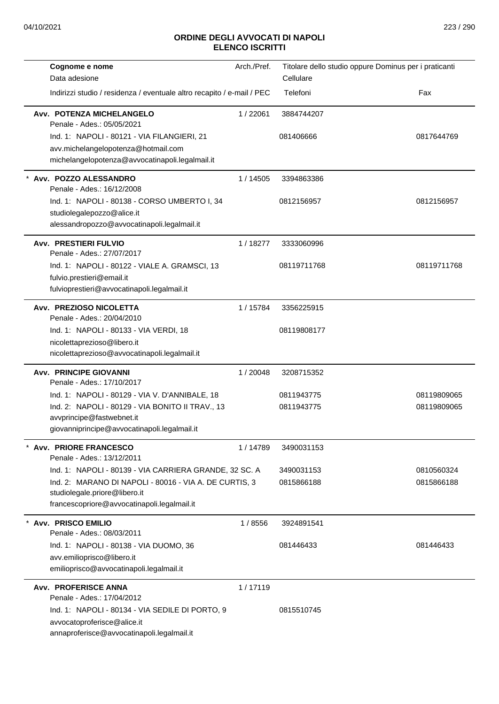| Cognome e nome<br>Data adesione                                               | Arch./Pref. | Titolare dello studio oppure Dominus per i praticanti<br>Cellulare |             |
|-------------------------------------------------------------------------------|-------------|--------------------------------------------------------------------|-------------|
| Indirizzi studio / residenza / eventuale altro recapito / e-mail / PEC        |             | Telefoni                                                           | Fax         |
| Avv. POTENZA MICHELANGELO<br>Penale - Ades.: 05/05/2021                       | 1/22061     | 3884744207                                                         |             |
| Ind. 1: NAPOLI - 80121 - VIA FILANGIERI, 21                                   |             | 081406666                                                          | 0817644769  |
| avv.michelangelopotenza@hotmail.com                                           |             |                                                                    |             |
| michelangelopotenza@avvocatinapoli.legalmail.it                               |             |                                                                    |             |
| * Avv. POZZO ALESSANDRO<br>Penale - Ades.: 16/12/2008                         | 1/14505     | 3394863386                                                         |             |
| Ind. 1: NAPOLI - 80138 - CORSO UMBERTO I, 34                                  |             | 0812156957                                                         | 0812156957  |
| studiolegalepozzo@alice.it                                                    |             |                                                                    |             |
| alessandropozzo@avvocatinapoli.legalmail.it                                   |             |                                                                    |             |
| <b>Avv. PRESTIERI FULVIO</b><br>Penale - Ades.: 27/07/2017                    | 1/18277     | 3333060996                                                         |             |
| Ind. 1: NAPOLI - 80122 - VIALE A. GRAMSCI, 13                                 |             | 08119711768                                                        | 08119711768 |
| fulvio.prestieri@email.it                                                     |             |                                                                    |             |
| fulvioprestieri@avvocatinapoli.legalmail.it                                   |             |                                                                    |             |
| Avv. PREZIOSO NICOLETTA<br>Penale - Ades.: 20/04/2010                         | 1 / 15784   | 3356225915                                                         |             |
| Ind. 1: NAPOLI - 80133 - VIA VERDI, 18                                        |             | 08119808177                                                        |             |
| nicolettaprezioso@libero.it                                                   |             |                                                                    |             |
| nicolettaprezioso@avvocatinapoli.legalmail.it                                 |             |                                                                    |             |
| <b>Avv. PRINCIPE GIOVANNI</b><br>Penale - Ades.: 17/10/2017                   | 1/20048     | 3208715352                                                         |             |
| Ind. 1: NAPOLI - 80129 - VIA V. D'ANNIBALE, 18                                |             | 0811943775                                                         | 08119809065 |
| Ind. 2: NAPOLI - 80129 - VIA BONITO II TRAV., 13<br>avvprincipe@fastwebnet.it |             | 0811943775                                                         | 08119809065 |
| giovanniprincipe@avvocatinapoli.legalmail.it                                  |             |                                                                    |             |
| <b>Avv. PRIORE FRANCESCO</b>                                                  | 1/14789     | 3490031153                                                         |             |
| Penale - Ades.: 13/12/2011                                                    |             |                                                                    |             |
| Ind. 1: NAPOLI - 80139 - VIA CARRIERA GRANDE, 32 SC. A                        |             | 3490031153                                                         | 0810560324  |
| Ind. 2: MARANO DI NAPOLI - 80016 - VIA A. DE CURTIS, 3                        |             | 0815866188                                                         | 0815866188  |
| studiolegale.priore@libero.it                                                 |             |                                                                    |             |
| francescopriore@avvocatinapoli.legalmail.it                                   |             |                                                                    |             |
| <b>Avv. PRISCO EMILIO</b><br>Penale - Ades.: 08/03/2011                       | 1/8556      | 3924891541                                                         |             |
| Ind. 1: NAPOLI - 80138 - VIA DUOMO, 36                                        |             | 081446433                                                          | 081446433   |
| avv.emilioprisco@libero.it                                                    |             |                                                                    |             |
| emilioprisco@avvocatinapoli.legalmail.it                                      |             |                                                                    |             |
| <b>Avv. PROFERISCE ANNA</b><br>Penale - Ades.: 17/04/2012                     | 1/17119     |                                                                    |             |
| Ind. 1: NAPOLI - 80134 - VIA SEDILE DI PORTO, 9                               |             | 0815510745                                                         |             |
| avvocatoproferisce@alice.it                                                   |             |                                                                    |             |
| annaproferisce@avvocatinapoli.legalmail.it                                    |             |                                                                    |             |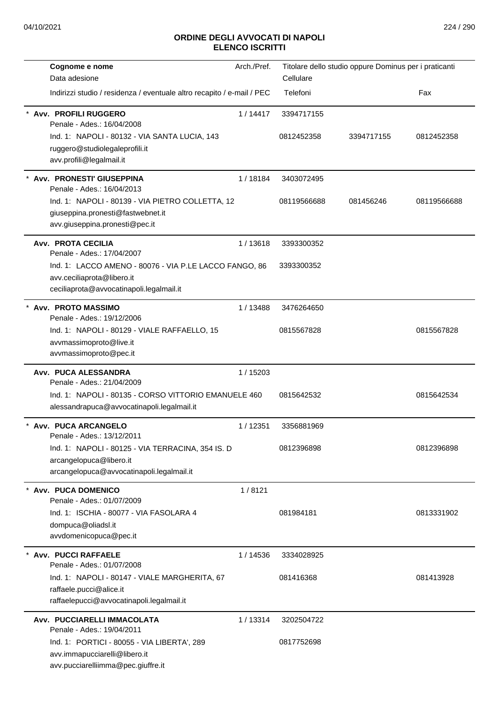| Cognome e nome                                                         | Arch./Pref. |             | Titolare dello studio oppure Dominus per i praticanti |             |
|------------------------------------------------------------------------|-------------|-------------|-------------------------------------------------------|-------------|
| Data adesione                                                          |             | Cellulare   |                                                       |             |
| Indirizzi studio / residenza / eventuale altro recapito / e-mail / PEC |             | Telefoni    |                                                       | Fax         |
| <b>Avv. PROFILI RUGGERO</b><br>Penale - Ades.: 16/04/2008              | 1/14417     | 3394717155  |                                                       |             |
| Ind. 1: NAPOLI - 80132 - VIA SANTA LUCIA, 143                          |             | 0812452358  | 3394717155                                            | 0812452358  |
| ruggero@studiolegaleprofili.it<br>avv.profili@legalmail.it             |             |             |                                                       |             |
| Avv. PRONESTI' GIUSEPPINA<br>Penale - Ades.: 16/04/2013                | 1/18184     | 3403072495  |                                                       |             |
| Ind. 1: NAPOLI - 80139 - VIA PIETRO COLLETTA, 12                       |             | 08119566688 | 081456246                                             | 08119566688 |
| giuseppina.pronesti@fastwebnet.it                                      |             |             |                                                       |             |
| avv.giuseppina.pronesti@pec.it                                         |             |             |                                                       |             |
| <b>Avv. PROTA CECILIA</b><br>Penale - Ades.: 17/04/2007                | 1/13618     | 3393300352  |                                                       |             |
| Ind. 1: LACCO AMENO - 80076 - VIA P.LE LACCO FANGO, 86                 |             | 3393300352  |                                                       |             |
| avv.ceciliaprota@libero.it<br>ceciliaprota@avvocatinapoli.legalmail.it |             |             |                                                       |             |
| * Avv. PROTO MASSIMO<br>Penale - Ades.: 19/12/2006                     | 1/13488     | 3476264650  |                                                       |             |
| Ind. 1: NAPOLI - 80129 - VIALE RAFFAELLO, 15                           |             | 0815567828  |                                                       | 0815567828  |
| avvmassimoproto@live.it                                                |             |             |                                                       |             |
| avvmassimoproto@pec.it                                                 |             |             |                                                       |             |
| Avv. PUCA ALESSANDRA<br>Penale - Ades.: 21/04/2009                     | 1/15203     |             |                                                       |             |
| Ind. 1: NAPOLI - 80135 - CORSO VITTORIO EMANUELE 460                   |             | 0815642532  |                                                       | 0815642534  |
| alessandrapuca@avvocatinapoli.legalmail.it                             |             |             |                                                       |             |
| Avv. PUCA ARCANGELO<br>Penale - Ades.: 13/12/2011                      | 1/12351     | 3356881969  |                                                       |             |
| Ind. 1: NAPOLI - 80125 - VIA TERRACINA, 354 IS. D                      |             | 0812396898  |                                                       | 0812396898  |
| arcangelopuca@libero.it<br>arcangelopuca@avvocatinapoli.legalmail.it   |             |             |                                                       |             |
| <b>Avv. PUCA DOMENICO</b>                                              | 1/8121      |             |                                                       |             |
| Penale - Ades.: 01/07/2009                                             |             |             |                                                       |             |
| Ind. 1: ISCHIA - 80077 - VIA FASOLARA 4                                |             | 081984181   |                                                       | 0813331902  |
| dompuca@oliadsl.it<br>avvdomenicopuca@pec.it                           |             |             |                                                       |             |
|                                                                        |             |             |                                                       |             |
| Avv. PUCCI RAFFAELE<br>Penale - Ades.: 01/07/2008                      | 1/14536     | 3334028925  |                                                       |             |
| Ind. 1: NAPOLI - 80147 - VIALE MARGHERITA, 67                          |             | 081416368   |                                                       | 081413928   |
| raffaele.pucci@alice.it<br>raffaelepucci@avvocatinapoli.legalmail.it   |             |             |                                                       |             |
|                                                                        | 1/13314     |             |                                                       |             |
| Avv. PUCCIARELLI IMMACOLATA<br>Penale - Ades.: 19/04/2011              |             | 3202504722  |                                                       |             |
| Ind. 1: PORTICI - 80055 - VIA LIBERTA', 289                            |             | 0817752698  |                                                       |             |
| avv.immapucciarelli@libero.it                                          |             |             |                                                       |             |
| avv.pucciarelliimma@pec.giuffre.it                                     |             |             |                                                       |             |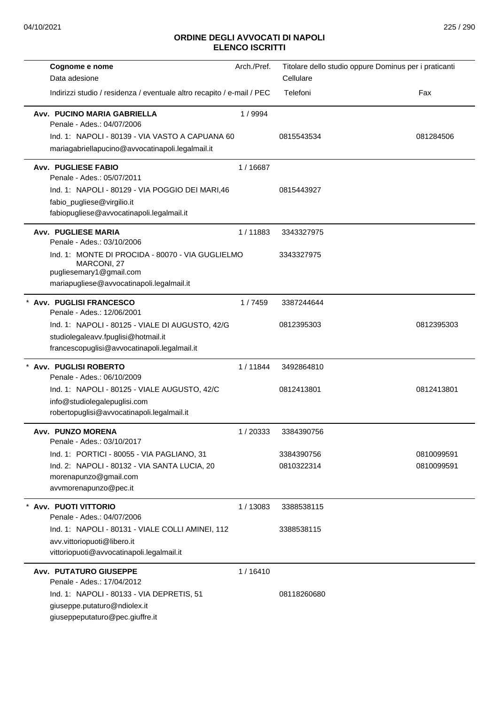| Cognome e nome                                                                             | Arch./Pref. |             | Titolare dello studio oppure Dominus per i praticanti |
|--------------------------------------------------------------------------------------------|-------------|-------------|-------------------------------------------------------|
| Data adesione                                                                              |             | Cellulare   |                                                       |
| Indirizzi studio / residenza / eventuale altro recapito / e-mail / PEC                     |             | Telefoni    | Fax                                                   |
| Avv. PUCINO MARIA GABRIELLA<br>Penale - Ades.: 04/07/2006                                  | 1 / 9994    |             |                                                       |
| Ind. 1: NAPOLI - 80139 - VIA VASTO A CAPUANA 60                                            |             | 0815543534  | 081284506                                             |
| mariagabriellapucino@avvocatinapoli.legalmail.it                                           |             |             |                                                       |
| <b>Avv. PUGLIESE FABIO</b><br>Penale - Ades.: 05/07/2011                                   | 1/16687     |             |                                                       |
| Ind. 1: NAPOLI - 80129 - VIA POGGIO DEI MARI,46                                            |             | 0815443927  |                                                       |
| fabio_pugliese@virgilio.it                                                                 |             |             |                                                       |
| fabiopugliese@avvocatinapoli.legalmail.it                                                  |             |             |                                                       |
| <b>Avv. PUGLIESE MARIA</b><br>Penale - Ades.: 03/10/2006                                   | 1/11883     | 3343327975  |                                                       |
| Ind. 1: MONTE DI PROCIDA - 80070 - VIA GUGLIELMO<br>MARCONI, 27<br>pugliesemary1@gmail.com |             | 3343327975  |                                                       |
| mariapugliese@avvocatinapoli.legalmail.it                                                  |             |             |                                                       |
| * Avv. PUGLISI FRANCESCO<br>Penale - Ades.: 12/06/2001                                     | 1/7459      | 3387244644  |                                                       |
| Ind. 1: NAPOLI - 80125 - VIALE DI AUGUSTO, 42/G                                            |             | 0812395303  | 0812395303                                            |
| studiolegaleavv.fpuglisi@hotmail.it                                                        |             |             |                                                       |
| francescopuglisi@avvocatinapoli.legalmail.it                                               |             |             |                                                       |
| * Avv. PUGLISI ROBERTO<br>Penale - Ades.: 06/10/2009                                       | 1/11844     | 3492864810  |                                                       |
| Ind. 1: NAPOLI - 80125 - VIALE AUGUSTO, 42/C                                               |             | 0812413801  | 0812413801                                            |
| info@studiolegalepuglisi.com                                                               |             |             |                                                       |
| robertopuglisi@avvocatinapoli.legalmail.it                                                 |             |             |                                                       |
| Avv. PUNZO MORENA<br>Penale - Ades.: 03/10/2017                                            | 1/20333     | 3384390756  |                                                       |
| Ind. 1: PORTICI - 80055 - VIA PAGLIANO, 31                                                 |             | 3384390756  | 0810099591                                            |
| Ind. 2: NAPOLI - 80132 - VIA SANTA LUCIA, 20                                               |             | 0810322314  | 0810099591                                            |
| morenapunzo@gmail.com<br>avvmorenapunzo@pec.it                                             |             |             |                                                       |
|                                                                                            |             |             |                                                       |
| * Avv. PUOTI VITTORIO<br>Penale - Ades.: 04/07/2006                                        | 1/13083     | 3388538115  |                                                       |
| Ind. 1: NAPOLI - 80131 - VIALE COLLI AMINEI, 112                                           |             | 3388538115  |                                                       |
| avv.vittoriopuoti@libero.it                                                                |             |             |                                                       |
| vittoriopuoti@avvocatinapoli.legalmail.it                                                  |             |             |                                                       |
| <b>Avv. PUTATURO GIUSEPPE</b>                                                              | 1/16410     |             |                                                       |
| Penale - Ades.: 17/04/2012                                                                 |             |             |                                                       |
| Ind. 1: NAPOLI - 80133 - VIA DEPRETIS, 51<br>giuseppe.putaturo@ndiolex.it                  |             | 08118260680 |                                                       |
| giuseppeputaturo@pec.giuffre.it                                                            |             |             |                                                       |
|                                                                                            |             |             |                                                       |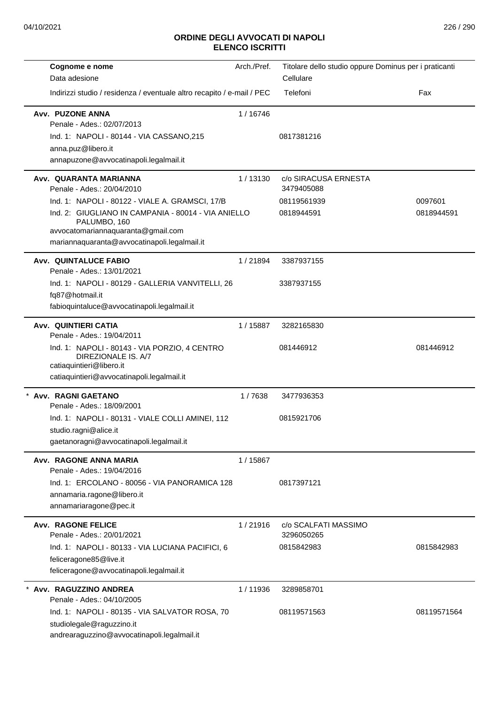| Cognome e nome                                                                                                                                            | Arch./Pref. | Titolare dello studio oppure Dominus per i praticanti |             |
|-----------------------------------------------------------------------------------------------------------------------------------------------------------|-------------|-------------------------------------------------------|-------------|
| Data adesione                                                                                                                                             |             | Cellulare                                             |             |
| Indirizzi studio / residenza / eventuale altro recapito / e-mail / PEC                                                                                    |             | Telefoni                                              | Fax         |
| Avv. PUZONE ANNA<br>Penale - Ades.: 02/07/2013                                                                                                            | 1/16746     |                                                       |             |
| Ind. 1: NAPOLI - 80144 - VIA CASSANO,215                                                                                                                  |             | 0817381216                                            |             |
| anna.puz@libero.it                                                                                                                                        |             |                                                       |             |
| annapuzone@avvocatinapoli.legalmail.it                                                                                                                    |             |                                                       |             |
| Avv. QUARANTA MARIANNA<br>Penale - Ades.: 20/04/2010                                                                                                      | 1/13130     | c/o SIRACUSA ERNESTA<br>3479405088                    |             |
| Ind. 1: NAPOLI - 80122 - VIALE A. GRAMSCI, 17/B                                                                                                           |             | 08119561939                                           | 0097601     |
| Ind. 2: GIUGLIANO IN CAMPANIA - 80014 - VIA ANIELLO<br>PALUMBO, 160<br>avvocatomariannaquaranta@gmail.com<br>mariannaquaranta@avvocatinapoli.legalmail.it |             | 0818944591                                            | 0818944591  |
| <b>Avv. QUINTALUCE FABIO</b><br>Penale - Ades.: 13/01/2021                                                                                                | 1/21894     | 3387937155                                            |             |
| Ind. 1: NAPOLI - 80129 - GALLERIA VANVITELLI, 26                                                                                                          |             | 3387937155                                            |             |
| fq87@hotmail.it<br>fabioquintaluce@avvocatinapoli.legalmail.it                                                                                            |             |                                                       |             |
| Avv. QUINTIERI CATIA<br>Penale - Ades.: 19/04/2011                                                                                                        | 1/15887     | 3282165830                                            |             |
| Ind. 1: NAPOLI - 80143 - VIA PORZIO, 4 CENTRO<br>DIREZIONALE IS, A/7<br>catiaquintieri@libero.it<br>catiaquintieri@avvocatinapoli.legalmail.it            |             | 081446912                                             | 081446912   |
| Avv. RAGNI GAETANO<br>Penale - Ades.: 18/09/2001                                                                                                          | 1/7638      | 3477936353                                            |             |
| Ind. 1: NAPOLI - 80131 - VIALE COLLI AMINEI, 112                                                                                                          |             | 0815921706                                            |             |
| studio.ragni@alice.it                                                                                                                                     |             |                                                       |             |
| gaetanoragni@avvocatinapoli.legalmail.it                                                                                                                  |             |                                                       |             |
| Avv. RAGONE ANNA MARIA<br>Penale - Ades.: 19/04/2016                                                                                                      | 1/15867     |                                                       |             |
| Ind. 1: ERCOLANO - 80056 - VIA PANORAMICA 128                                                                                                             |             | 0817397121                                            |             |
| annamaria.ragone@libero.it                                                                                                                                |             |                                                       |             |
| annamariaragone@pec.it                                                                                                                                    |             |                                                       |             |
| <b>Avv. RAGONE FELICE</b><br>Penale - Ades.: 20/01/2021                                                                                                   | 1/21916     | c/o SCALFATI MASSIMO<br>3296050265                    |             |
| Ind. 1: NAPOLI - 80133 - VIA LUCIANA PACIFICI, 6                                                                                                          |             | 0815842983                                            | 0815842983  |
| feliceragone85@live.it<br>feliceragone@avvocatinapoli.legalmail.it                                                                                        |             |                                                       |             |
| Avv. RAGUZZINO ANDREA<br>Penale - Ades.: 04/10/2005                                                                                                       | 1/11936     | 3289858701                                            |             |
|                                                                                                                                                           |             | 08119571563                                           | 08119571564 |
| Ind. 1: NAPOLI - 80135 - VIA SALVATOR ROSA, 70<br>studiolegale@raguzzino.it                                                                               |             |                                                       |             |
| andrearaguzzino@avvocatinapoli.legalmail.it                                                                                                               |             |                                                       |             |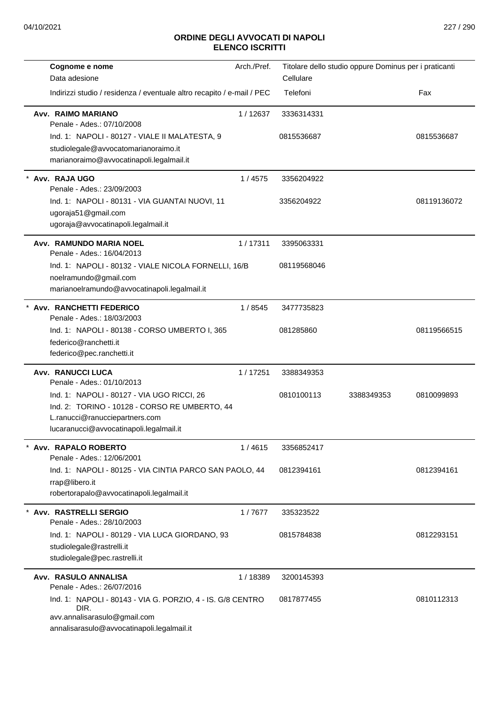| Cognome e nome<br>Data adesione                                                                                                                                          | Arch./Pref. | Cellulare   | Titolare dello studio oppure Dominus per i praticanti |             |
|--------------------------------------------------------------------------------------------------------------------------------------------------------------------------|-------------|-------------|-------------------------------------------------------|-------------|
| Indirizzi studio / residenza / eventuale altro recapito / e-mail / PEC                                                                                                   |             | Telefoni    |                                                       | Fax         |
| Avv. RAIMO MARIANO<br>Penale - Ades.: 07/10/2008                                                                                                                         | 1/12637     | 3336314331  |                                                       |             |
| Ind. 1: NAPOLI - 80127 - VIALE II MALATESTA, 9<br>studiolegale@avvocatomarianoraimo.it<br>marianoraimo@avvocatinapoli.legalmail.it                                       |             | 0815536687  |                                                       | 0815536687  |
| Avv. RAJA UGO<br>Penale - Ades.: 23/09/2003                                                                                                                              | 1/4575      | 3356204922  |                                                       |             |
| Ind. 1: NAPOLI - 80131 - VIA GUANTAI NUOVI, 11<br>ugoraja51@gmail.com<br>ugoraja@avvocatinapoli.legalmail.it                                                             |             | 3356204922  |                                                       | 08119136072 |
| Avv. RAMUNDO MARIA NOEL<br>Penale - Ades.: 16/04/2013                                                                                                                    | 1/17311     | 3395063331  |                                                       |             |
| Ind. 1: NAPOLI - 80132 - VIALE NICOLA FORNELLI, 16/B<br>noelramundo@gmail.com<br>marianoelramundo@avvocatinapoli.legalmail.it                                            |             | 08119568046 |                                                       |             |
| Avv. RANCHETTI FEDERICO<br>Penale - Ades.: 18/03/2003                                                                                                                    | 1/8545      | 3477735823  |                                                       |             |
| Ind. 1: NAPOLI - 80138 - CORSO UMBERTO I, 365<br>federico@ranchetti.it<br>federico@pec.ranchetti.it                                                                      |             | 081285860   |                                                       | 08119566515 |
| Avv. RANUCCI LUCA<br>Penale - Ades.: 01/10/2013                                                                                                                          | 1/17251     | 3388349353  |                                                       |             |
| Ind. 1: NAPOLI - 80127 - VIA UGO RICCI, 26<br>Ind. 2: TORINO - 10128 - CORSO RE UMBERTO, 44<br>L.ranucci@ranucciepartners.com<br>lucaranucci@avvocatinapoli.legalmail.it |             | 0810100113  | 3388349353                                            | 0810099893  |
| Avv. RAPALO ROBERTO<br>Penale - Ades.: 12/06/2001                                                                                                                        | 1/4615      | 3356852417  |                                                       |             |
| Ind. 1: NAPOLI - 80125 - VIA CINTIA PARCO SAN PAOLO, 44<br>rrap@libero.it<br>robertorapalo@avvocatinapoli.legalmail.it                                                   |             | 0812394161  |                                                       | 0812394161  |
| * Avv. RASTRELLI SERGIO<br>Penale - Ades.: 28/10/2003                                                                                                                    | 1/7677      | 335323522   |                                                       |             |
| Ind. 1: NAPOLI - 80129 - VIA LUCA GIORDANO, 93<br>studiolegale@rastrelli.it<br>studiolegale@pec.rastrelli.it                                                             |             | 0815784838  |                                                       | 0812293151  |
| Avv. RASULO ANNALISA<br>Penale - Ades.: 26/07/2016                                                                                                                       | 1/18389     | 3200145393  |                                                       |             |
| Ind. 1: NAPOLI - 80143 - VIA G. PORZIO, 4 - IS. G/8 CENTRO<br>DIR.<br>avv.annalisarasulo@gmail.com<br>annalisarasulo@avvocatinapoli.legalmail.it                         |             | 0817877455  |                                                       | 0810112313  |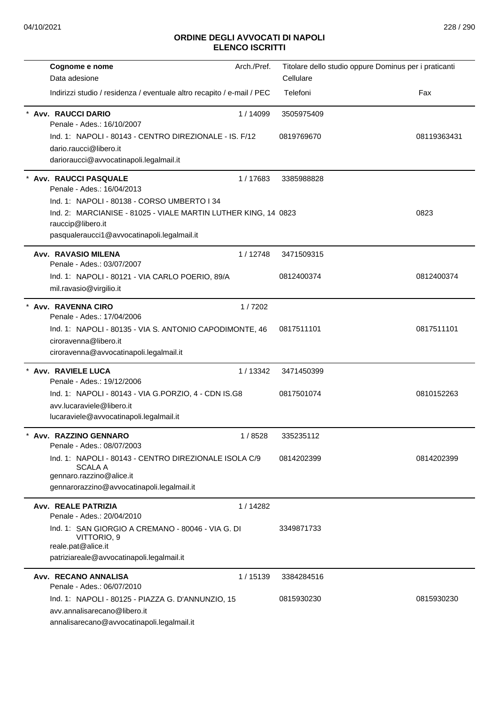| Cognome e nome                                                                      | Arch./Pref. | Titolare dello studio oppure Dominus per i praticanti |             |
|-------------------------------------------------------------------------------------|-------------|-------------------------------------------------------|-------------|
| Data adesione                                                                       |             | Cellulare                                             |             |
| Indirizzi studio / residenza / eventuale altro recapito / e-mail / PEC              |             | Telefoni                                              | Fax         |
| <b>Avv. RAUCCI DARIO</b><br>Penale - Ades.: 16/10/2007                              | 1/14099     | 3505975409                                            |             |
| Ind. 1: NAPOLI - 80143 - CENTRO DIREZIONALE - IS. F/12                              |             | 0819769670                                            | 08119363431 |
| dario.raucci@libero.it                                                              |             |                                                       |             |
| darioraucci@avvocatinapoli.legalmail.it                                             |             |                                                       |             |
| <b>Avv. RAUCCI PASQUALE</b><br>Penale - Ades.: 16/04/2013                           | 1/17683     | 3385988828                                            |             |
| Ind. 1: NAPOLI - 80138 - CORSO UMBERTO I 34                                         |             |                                                       |             |
| Ind. 2: MARCIANISE - 81025 - VIALE MARTIN LUTHER KING, 14 0823<br>rauccip@libero.it |             |                                                       | 0823        |
| pasqualeraucci1@avvocatinapoli.legalmail.it                                         |             |                                                       |             |
| Avv. RAVASIO MILENA<br>Penale - Ades.: 03/07/2007                                   | 1 / 12748   | 3471509315                                            |             |
| Ind. 1: NAPOLI - 80121 - VIA CARLO POERIO, 89/A<br>mil.ravasio@virgilio.it          |             | 0812400374                                            | 0812400374  |
| * Avv. RAVENNA CIRO<br>Penale - Ades.: 17/04/2006                                   | 1/7202      |                                                       |             |
| Ind. 1: NAPOLI - 80135 - VIA S. ANTONIO CAPODIMONTE, 46                             |             | 0817511101                                            | 0817511101  |
| ciroravenna@libero.it                                                               |             |                                                       |             |
| ciroravenna@avvocatinapoli.legalmail.it                                             |             |                                                       |             |
| Avv. RAVIELE LUCA<br>Penale - Ades.: 19/12/2006                                     | 1/13342     | 3471450399                                            |             |
| Ind. 1: NAPOLI - 80143 - VIA G.PORZIO, 4 - CDN IS.G8                                |             | 0817501074                                            | 0810152263  |
| avv.lucaraviele@libero.it                                                           |             |                                                       |             |
| lucaraviele@avvocatinapoli.legalmail.it                                             |             |                                                       |             |
| Avv. RAZZINO GENNARO                                                                | 1/8528      | 335235112                                             |             |
| Penale - Ades.: 08/07/2003                                                          |             |                                                       |             |
| Ind. 1: NAPOLI - 80143 - CENTRO DIREZIONALE ISOLA C/9                               |             | 0814202399                                            | 0814202399  |
| SCALA A<br>gennaro.razzino@alice.it                                                 |             |                                                       |             |
| gennarorazzino@avvocatinapoli.legalmail.it                                          |             |                                                       |             |
| Avv. REALE PATRIZIA                                                                 | 1/14282     |                                                       |             |
| Penale - Ades.: 20/04/2010                                                          |             |                                                       |             |
| Ind. 1: SAN GIORGIO A CREMANO - 80046 - VIA G. DI<br>VITTORIO, 9                    |             | 3349871733                                            |             |
| reale.pat@alice.it<br>patriziareale@avvocatinapoli.legalmail.it                     |             |                                                       |             |
|                                                                                     |             |                                                       |             |
| Avv. RECANO ANNALISA<br>Penale - Ades.: 06/07/2010                                  | 1/15139     | 3384284516                                            |             |
| Ind. 1: NAPOLI - 80125 - PIAZZA G. D'ANNUNZIO, 15                                   |             | 0815930230                                            | 0815930230  |
| avv.annalisarecano@libero.it                                                        |             |                                                       |             |
| annalisarecano@avvocatinapoli.legalmail.it                                          |             |                                                       |             |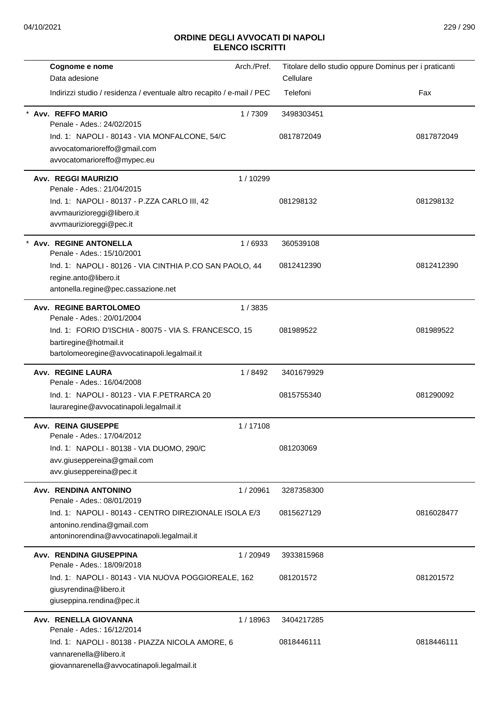| Cognome e nome                                                         | Arch./Pref. | Titolare dello studio oppure Dominus per i praticanti |            |
|------------------------------------------------------------------------|-------------|-------------------------------------------------------|------------|
| Data adesione                                                          |             | Cellulare                                             |            |
| Indirizzi studio / residenza / eventuale altro recapito / e-mail / PEC |             | Telefoni                                              | Fax        |
| Avv. REFFO MARIO<br>Penale - Ades.: 24/02/2015                         | 1/7309      | 3498303451                                            |            |
| Ind. 1: NAPOLI - 80143 - VIA MONFALCONE, 54/C                          |             | 0817872049                                            | 0817872049 |
| avvocatomarioreffo@gmail.com                                           |             |                                                       |            |
| avvocatomarioreffo@mypec.eu                                            |             |                                                       |            |
| Avv. REGGI MAURIZIO<br>Penale - Ades.: 21/04/2015                      | 1/10299     |                                                       |            |
| Ind. 1: NAPOLI - 80137 - P.ZZA CARLO III, 42                           |             | 081298132                                             | 081298132  |
| avvmaurizioreggi@libero.it                                             |             |                                                       |            |
| avvmaurizioreggi@pec.it                                                |             |                                                       |            |
| * Avv. REGINE ANTONELLA<br>Penale - Ades.: 15/10/2001                  | 1/6933      | 360539108                                             |            |
| Ind. 1: NAPOLI - 80126 - VIA CINTHIA P.CO SAN PAOLO, 44                |             | 0812412390                                            | 0812412390 |
| regine.anto@libero.it                                                  |             |                                                       |            |
| antonella.regine@pec.cassazione.net                                    |             |                                                       |            |
| <b>Avv. REGINE BARTOLOMEO</b><br>Penale - Ades.: 20/01/2004            | 1/3835      |                                                       |            |
| Ind. 1: FORIO D'ISCHIA - 80075 - VIA S. FRANCESCO, 15                  |             | 081989522                                             | 081989522  |
| bartiregine@hotmail.it                                                 |             |                                                       |            |
| bartolomeoregine@avvocatinapoli.legalmail.it                           |             |                                                       |            |
| Avv. REGINE LAURA<br>Penale - Ades.: 16/04/2008                        | 1/8492      | 3401679929                                            |            |
| Ind. 1: NAPOLI - 80123 - VIA F.PETRARCA 20                             |             | 0815755340                                            | 081290092  |
| lauraregine@avvocatinapoli.legalmail.it                                |             |                                                       |            |
|                                                                        |             |                                                       |            |
| <b>Avv. REINA GIUSEPPE</b><br>Penale - Ades.: 17/04/2012               | 1/17108     |                                                       |            |
| Ind. 1: NAPOLI - 80138 - VIA DUOMO, 290/C                              |             | 081203069                                             |            |
| avv.giuseppereina@gmail.com                                            |             |                                                       |            |
| avv.giuseppereina@pec.it                                               |             |                                                       |            |
| Avv. RENDINA ANTONINO                                                  | 1/20961     | 3287358300                                            |            |
| Penale - Ades.: 08/01/2019                                             |             |                                                       |            |
| Ind. 1: NAPOLI - 80143 - CENTRO DIREZIONALE ISOLA E/3                  |             | 0815627129                                            | 0816028477 |
| antonino.rendina@gmail.com                                             |             |                                                       |            |
| antoninorendina@avvocatinapoli.legalmail.it                            |             |                                                       |            |
| Avv. RENDINA GIUSEPPINA                                                | 1/20949     | 3933815968                                            |            |
| Penale - Ades.: 18/09/2018                                             |             |                                                       |            |
| Ind. 1: NAPOLI - 80143 - VIA NUOVA POGGIOREALE, 162                    |             | 081201572                                             | 081201572  |
| giusyrendina@libero.it<br>giuseppina.rendina@pec.it                    |             |                                                       |            |
| Avv. RENELLA GIOVANNA                                                  | 1/18963     | 3404217285                                            |            |
| Penale - Ades.: 16/12/2014                                             |             |                                                       |            |
| Ind. 1: NAPOLI - 80138 - PIAZZA NICOLA AMORE, 6                        |             | 0818446111                                            | 0818446111 |
| vannarenella@libero.it                                                 |             |                                                       |            |
| giovannarenella@avvocatinapoli.legalmail.it                            |             |                                                       |            |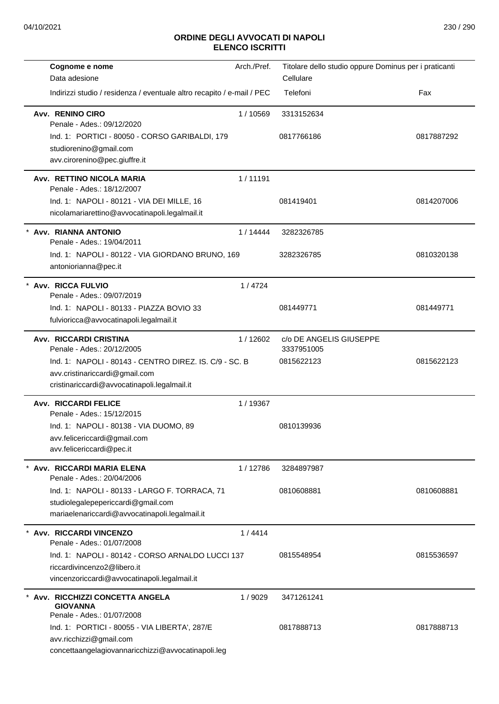| Cognome e nome                                                                 | Arch./Pref. | Titolare dello studio oppure Dominus per i praticanti |            |
|--------------------------------------------------------------------------------|-------------|-------------------------------------------------------|------------|
| Data adesione                                                                  |             | Cellulare                                             |            |
| Indirizzi studio / residenza / eventuale altro recapito / e-mail / PEC         |             | Telefoni                                              | Fax        |
| Avv. RENINO CIRO<br>Penale - Ades.: 09/12/2020                                 | 1/10569     | 3313152634                                            |            |
| Ind. 1: PORTICI - 80050 - CORSO GARIBALDI, 179                                 |             | 0817766186                                            | 0817887292 |
| studiorenino@gmail.com                                                         |             |                                                       |            |
| avv.cirorenino@pec.giuffre.it                                                  |             |                                                       |            |
| Avv. RETTINO NICOLA MARIA<br>Penale - Ades.: 18/12/2007                        | 1/11191     |                                                       |            |
| Ind. 1: NAPOLI - 80121 - VIA DEI MILLE, 16                                     |             | 081419401                                             | 0814207006 |
| nicolamariarettino@avvocatinapoli.legalmail.it                                 |             |                                                       |            |
| * Avv. RIANNA ANTONIO<br>Penale - Ades.: 19/04/2011                            | 1/14444     | 3282326785                                            |            |
| Ind. 1: NAPOLI - 80122 - VIA GIORDANO BRUNO, 169                               |             | 3282326785                                            | 0810320138 |
| antoniorianna@pec.it                                                           |             |                                                       |            |
| * Avv. RICCA FULVIO<br>Penale - Ades.: 09/07/2019                              | 1/4724      |                                                       |            |
| Ind. 1: NAPOLI - 80133 - PIAZZA BOVIO 33                                       |             | 081449771                                             | 081449771  |
| fulvioricca@avvocatinapoli.legalmail.it                                        |             |                                                       |            |
| Avv. RICCARDI CRISTINA                                                         | 1/12602     | c/o DE ANGELIS GIUSEPPE                               |            |
| Penale - Ades.: 20/12/2005                                                     |             | 3337951005                                            |            |
| Ind. 1: NAPOLI - 80143 - CENTRO DIREZ. IS. C/9 - SC. B                         |             | 0815622123                                            | 0815622123 |
| avv.cristinariccardi@gmail.com<br>cristinariccardi@avvocatinapoli.legalmail.it |             |                                                       |            |
| <b>Avv. RICCARDI FELICE</b><br>Penale - Ades.: 15/12/2015                      | 1/19367     |                                                       |            |
| Ind. 1: NAPOLI - 80138 - VIA DUOMO, 89                                         |             | 0810139936                                            |            |
| avv.felicericcardi@gmail.com                                                   |             |                                                       |            |
| avv.felicericcardi@pec.it                                                      |             |                                                       |            |
| * Avv. RICCARDI MARIA ELENA<br>Penale - Ades.: 20/04/2006                      | 1/12786     | 3284897987                                            |            |
| Ind. 1: NAPOLI - 80133 - LARGO F. TORRACA, 71                                  |             | 0810608881                                            | 0810608881 |
| studiolegalepepericcardi@gmail.com                                             |             |                                                       |            |
| mariaelenariccardi@avvocatinapoli.legalmail.it                                 |             |                                                       |            |
| Avv. RICCARDI VINCENZO                                                         | 1/4414      |                                                       |            |
| Penale - Ades.: 01/07/2008                                                     |             |                                                       |            |
| Ind. 1: NAPOLI - 80142 - CORSO ARNALDO LUCCI 137                               |             | 0815548954                                            | 0815536597 |
| riccardivincenzo2@libero.it                                                    |             |                                                       |            |
| vincenzoriccardi@avvocatinapoli.legalmail.it                                   |             |                                                       |            |
| Avv. RICCHIZZI CONCETTA ANGELA<br><b>GIOVANNA</b>                              | 1/9029      | 3471261241                                            |            |
| Penale - Ades.: 01/07/2008                                                     |             |                                                       |            |
| Ind. 1: PORTICI - 80055 - VIA LIBERTA', 287/E                                  |             | 0817888713                                            | 0817888713 |
| avv.ricchizzi@gmail.com<br>concettaangelagiovannaricchizzi@avvocatinapoli.leg  |             |                                                       |            |
|                                                                                |             |                                                       |            |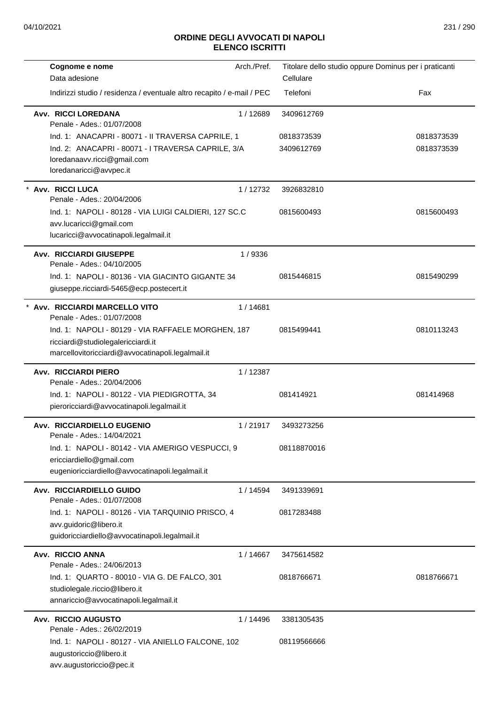| Cognome e nome<br>Data adesione                                                                                                               | Arch./Pref. | Titolare dello studio oppure Dominus per i praticanti<br>Cellulare |            |
|-----------------------------------------------------------------------------------------------------------------------------------------------|-------------|--------------------------------------------------------------------|------------|
| Indirizzi studio / residenza / eventuale altro recapito / e-mail / PEC                                                                        |             | Telefoni                                                           | Fax        |
| <b>Avv. RICCI LOREDANA</b><br>Penale - Ades.: 01/07/2008                                                                                      | 1/12689     | 3409612769                                                         |            |
| Ind. 1: ANACAPRI - 80071 - II TRAVERSA CAPRILE, 1                                                                                             |             | 0818373539                                                         | 0818373539 |
| Ind. 2: ANACAPRI - 80071 - I TRAVERSA CAPRILE, 3/A<br>loredanaavv.ricci@gmail.com<br>loredanaricci@avvpec.it                                  |             | 3409612769                                                         | 0818373539 |
| Avv. RICCI LUCA<br>Penale - Ades.: 20/04/2006                                                                                                 | 1/12732     | 3926832810                                                         |            |
| Ind. 1: NAPOLI - 80128 - VIA LUIGI CALDIERI, 127 SC.C<br>avv.lucaricci@gmail.com<br>lucaricci@avvocatinapoli.legalmail.it                     |             | 0815600493                                                         | 0815600493 |
| <b>Avv. RICCIARDI GIUSEPPE</b><br>Penale - Ades.: 04/10/2005                                                                                  | 1/9336      |                                                                    |            |
| Ind. 1: NAPOLI - 80136 - VIA GIACINTO GIGANTE 34<br>giuseppe.ricciardi-5465@ecp.postecert.it                                                  |             | 0815446815                                                         | 0815490299 |
| Avv. RICCIARDI MARCELLO VITO<br>Penale - Ades.: 01/07/2008                                                                                    | 1/14681     |                                                                    |            |
| Ind. 1: NAPOLI - 80129 - VIA RAFFAELE MORGHEN, 187<br>ricciardi@studiolegalericciardi.it<br>marcellovitoricciardi@avvocatinapoli.legalmail.it |             | 0815499441                                                         | 0810113243 |
| <b>Avv. RICCIARDI PIERO</b><br>Penale - Ades.: 20/04/2006                                                                                     | 1/12387     |                                                                    |            |
| Ind. 1: NAPOLI - 80122 - VIA PIEDIGROTTA, 34<br>pieroricciardi@avvocatinapoli.legalmail.it                                                    |             | 081414921                                                          | 081414968  |
| Avv. RICCIARDIELLO EUGENIO<br>Penale - Ades.: 14/04/2021                                                                                      | 1/21917     | 3493273256                                                         |            |
| Ind. 1: NAPOLI - 80142 - VIA AMERIGO VESPUCCI, 9<br>ericciardiello@gmail.com<br>eugenioricciardiello@avvocatinapoli.legalmail.it              |             | 08118870016                                                        |            |
| Avv. RICCIARDIELLO GUIDO<br>Penale - Ades.: 01/07/2008                                                                                        | 1 / 14594   | 3491339691                                                         |            |
| Ind. 1: NAPOLI - 80126 - VIA TARQUINIO PRISCO, 4<br>avv.guidoric@libero.it<br>guidoricciardiello@avvocatinapoli.legalmail.it                  |             | 0817283488                                                         |            |
| Avv. RICCIO ANNA<br>Penale - Ades.: 24/06/2013                                                                                                | 1 / 14667   | 3475614582                                                         |            |
| Ind. 1: QUARTO - 80010 - VIA G. DE FALCO, 301<br>studiolegale.riccio@libero.it<br>annariccio@avvocatinapoli.legalmail.it                      |             | 0818766671                                                         | 0818766671 |
| <b>Avv. RICCIO AUGUSTO</b><br>Penale - Ades.: 26/02/2019                                                                                      | 1 / 14496   | 3381305435                                                         |            |
| Ind. 1: NAPOLI - 80127 - VIA ANIELLO FALCONE, 102<br>augustoriccio@libero.it<br>avv.augustoriccio@pec.it                                      |             | 08119566666                                                        |            |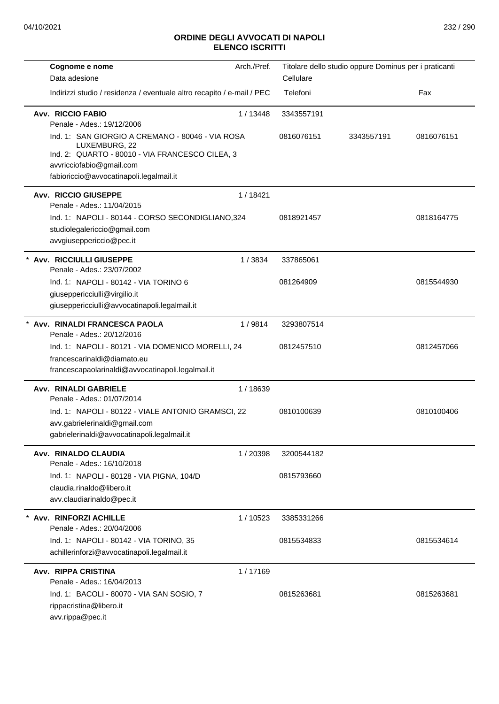| Cognome e nome                                                                                                                                                                              | Arch./Pref. | Titolare dello studio oppure Dominus per i praticanti |            |            |
|---------------------------------------------------------------------------------------------------------------------------------------------------------------------------------------------|-------------|-------------------------------------------------------|------------|------------|
| Data adesione                                                                                                                                                                               |             | Cellulare                                             |            |            |
| Indirizzi studio / residenza / eventuale altro recapito / e-mail / PEC                                                                                                                      |             | Telefoni                                              |            | Fax        |
| Avv. RICCIO FABIO<br>Penale - Ades.: 19/12/2006                                                                                                                                             | 1/13448     | 3343557191                                            |            |            |
| Ind. 1: SAN GIORGIO A CREMANO - 80046 - VIA ROSA<br>LUXEMBURG, 22<br>Ind. 2: QUARTO - 80010 - VIA FRANCESCO CILEA, 3<br>avvricciofabio@gmail.com<br>fabioriccio@avvocatinapoli.legalmail.it |             | 0816076151                                            | 3343557191 | 0816076151 |
| <b>Avv. RICCIO GIUSEPPE</b>                                                                                                                                                                 | 1/18421     |                                                       |            |            |
| Penale - Ades.: 11/04/2015<br>Ind. 1: NAPOLI - 80144 - CORSO SECONDIGLIANO,324<br>studiolegalericcio@gmail.com<br>avvgiuseppericcio@pec.it                                                  |             | 0818921457                                            |            | 0818164775 |
| * Avv. RICCIULLI GIUSEPPE<br>Penale - Ades.: 23/07/2002                                                                                                                                     | 1/3834      | 337865061                                             |            |            |
| Ind. 1: NAPOLI - 80142 - VIA TORINO 6<br>giuseppericciulli@virgilio.it<br>giuseppericciulli@avvocatinapoli.legalmail.it                                                                     |             | 081264909                                             |            | 0815544930 |
| * Avv. RINALDI FRANCESCA PAOLA<br>Penale - Ades.: 20/12/2016                                                                                                                                | 1/9814      | 3293807514                                            |            |            |
| Ind. 1: NAPOLI - 80121 - VIA DOMENICO MORELLI, 24<br>francescarinaldi@diamato.eu<br>francescapaolarinaldi@avvocatinapoli.legalmail.it                                                       |             | 0812457510                                            |            | 0812457066 |
| Avv. RINALDI GABRIELE<br>Penale - Ades.: 01/07/2014                                                                                                                                         | 1/18639     |                                                       |            |            |
| Ind. 1: NAPOLI - 80122 - VIALE ANTONIO GRAMSCI, 22<br>avv.gabrielerinaldi@gmail.com<br>gabrielerinaldi@avvocatinapoli.legalmail.it                                                          |             | 0810100639                                            |            | 0810100406 |
| Avv. RINALDO CLAUDIA<br>Penale - Ades.: 16/10/2018                                                                                                                                          | 1/20398     | 3200544182                                            |            |            |
| Ind. 1: NAPOLI - 80128 - VIA PIGNA, 104/D<br>claudia.rinaldo@libero.it<br>avv.claudiarinaldo@pec.it                                                                                         |             | 0815793660                                            |            |            |
| * Avv. RINFORZI ACHILLE<br>Penale - Ades.: 20/04/2006                                                                                                                                       | 1/10523     | 3385331266                                            |            |            |
| Ind. 1: NAPOLI - 80142 - VIA TORINO, 35<br>achillerinforzi@avvocatinapoli.legalmail.it                                                                                                      |             | 0815534833                                            |            | 0815534614 |
| <b>Avv. RIPPA CRISTINA</b><br>Penale - Ades.: 16/04/2013                                                                                                                                    | 1/17169     |                                                       |            |            |
| Ind. 1: BACOLI - 80070 - VIA SAN SOSIO, 7<br>rippacristina@libero.it<br>avv.rippa@pec.it                                                                                                    |             | 0815263681                                            |            | 0815263681 |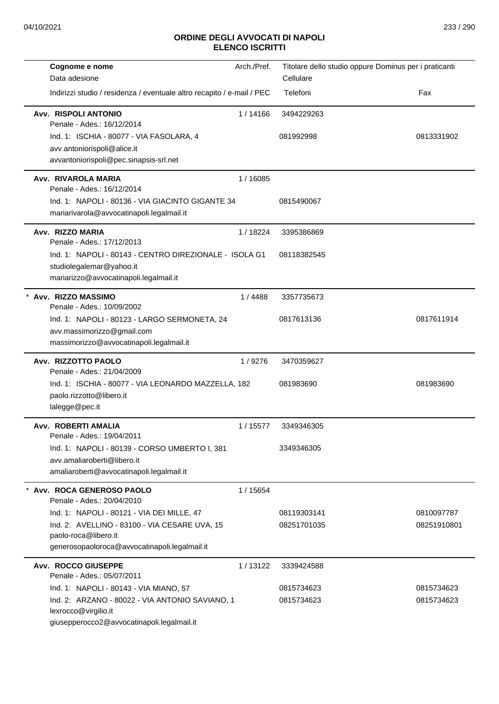| Cognome e nome                                                                  | Arch./Pref. | Titolare dello studio oppure Dominus per i praticanti |             |
|---------------------------------------------------------------------------------|-------------|-------------------------------------------------------|-------------|
| Data adesione                                                                   |             | Cellulare                                             |             |
| Indirizzi studio / residenza / eventuale altro recapito / e-mail / PEC          |             | Telefoni                                              | Fax         |
| <b>Avv. RISPOLI ANTONIO</b><br>Penale - Ades.: 16/12/2014                       | 1/14166     | 3494229263                                            |             |
| Ind. 1: ISCHIA - 80077 - VIA FASOLARA, 4                                        |             | 081992998                                             | 0813331902  |
| avv.antoniorispoli@alice.it                                                     |             |                                                       |             |
| avvantoniorispoli@pec.sinapsis-srl.net                                          |             |                                                       |             |
| Avv. RIVAROLA MARIA<br>Penale - Ades.: 16/12/2014                               | 1/16085     |                                                       |             |
| Ind. 1: NAPOLI - 80136 - VIA GIACINTO GIGANTE 34                                |             | 0815490067                                            |             |
| mariarivarola@avvocatinapoli.legalmail.it                                       |             |                                                       |             |
| Avv. RIZZO MARIA<br>Penale - Ades.: 17/12/2013                                  | 1/18224     | 3395386869                                            |             |
| Ind. 1: NAPOLI - 80143 - CENTRO DIREZIONALE - ISOLA G1                          |             | 08118382545                                           |             |
| studiolegalemar@yahoo.it                                                        |             |                                                       |             |
| mariarizzo@avvocatinapoli.legalmail.it                                          |             |                                                       |             |
| * Avv. RIZZO MASSIMO<br>Penale - Ades.: 10/09/2002                              | 1/4488      | 3357735673                                            |             |
| Ind. 1: NAPOLI - 80123 - LARGO SERMONETA, 24                                    |             | 0817613136                                            | 0817611914  |
| avv.massimorizzo@gmail.com                                                      |             |                                                       |             |
| massimorizzo@avvocatinapoli.legalmail.it                                        |             |                                                       |             |
| Avv. RIZZOTTO PAOLO                                                             | 1/9276      | 3470359627                                            |             |
| Penale - Ades.: 21/04/2009                                                      |             |                                                       |             |
| Ind. 1: ISCHIA - 80077 - VIA LEONARDO MAZZELLA, 182<br>paolo.rizzotto@libero.it |             | 081983690                                             | 081983690   |
| lalegge@pec.it                                                                  |             |                                                       |             |
|                                                                                 |             |                                                       |             |
| Avv. ROBERTI AMALIA<br>Penale - Ades.: 19/04/2011                               | 1/15577     | 3349346305                                            |             |
| Ind. 1: NAPOLI - 80139 - CORSO UMBERTO I, 381                                   |             | 3349346305                                            |             |
| avv.amaliaroberti@libero.it                                                     |             |                                                       |             |
| amaliaroberti@avvocatinapoli.legalmail.it                                       |             |                                                       |             |
| * Avv. ROCA GENEROSO PAOLO                                                      | 1/15654     |                                                       |             |
| Penale - Ades.: 20/04/2010                                                      |             |                                                       |             |
| Ind. 1: NAPOLI - 80121 - VIA DEI MILLE, 47                                      |             | 08119303141                                           | 0810097787  |
| Ind. 2: AVELLINO - 83100 - VIA CESARE UVA, 15<br>paolo-roca@libero.it           |             | 08251701035                                           | 08251910801 |
| generosopaoloroca@avvocatinapoli.legalmail.it                                   |             |                                                       |             |
|                                                                                 |             |                                                       |             |
| <b>Avv. ROCCO GIUSEPPE</b><br>Penale - Ades.: 05/07/2011                        | 1/13122     | 3339424588                                            |             |
| Ind. 1: NAPOLI - 80143 - VIA MIANO, 57                                          |             | 0815734623                                            | 0815734623  |
| Ind. 2: ARZANO - 80022 - VIA ANTONIO SAVIANO, 1                                 |             | 0815734623                                            | 0815734623  |
| lexrocco@virgilio.it                                                            |             |                                                       |             |
| giusepperocco2@avvocatinapoli.legalmail.it                                      |             |                                                       |             |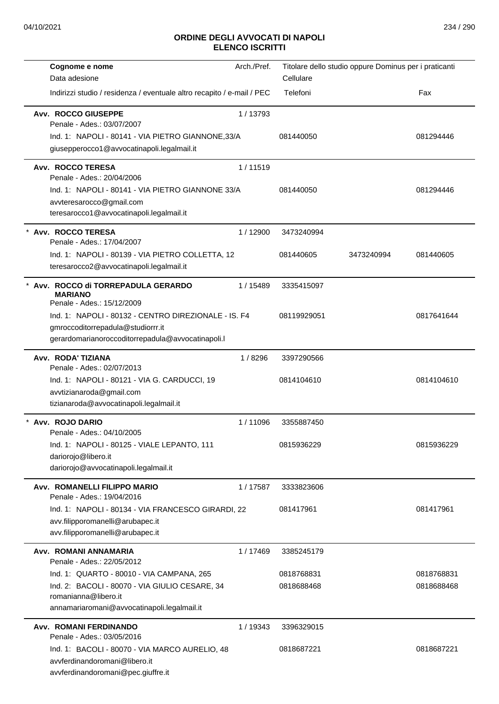| Cognome e nome<br>Data adesione                                                                                                                                    | Arch./Pref. | Cellulare                | Titolare dello studio oppure Dominus per i praticanti |                          |
|--------------------------------------------------------------------------------------------------------------------------------------------------------------------|-------------|--------------------------|-------------------------------------------------------|--------------------------|
| Indirizzi studio / residenza / eventuale altro recapito / e-mail / PEC                                                                                             |             | Telefoni                 |                                                       | Fax                      |
| Avv. ROCCO GIUSEPPE<br>Penale - Ades.: 03/07/2007<br>Ind. 1: NAPOLI - 80141 - VIA PIETRO GIANNONE, 33/A                                                            | 1/13793     | 081440050                |                                                       | 081294446                |
| giusepperocco1@avvocatinapoli.legalmail.it                                                                                                                         |             |                          |                                                       |                          |
| Avv. ROCCO TERESA<br>Penale - Ades.: 20/04/2006                                                                                                                    | 1/11519     |                          |                                                       |                          |
| Ind. 1: NAPOLI - 80141 - VIA PIETRO GIANNONE 33/A<br>avvteresarocco@gmail.com<br>teresarocco1@avvocatinapoli.legalmail.it                                          |             | 081440050                |                                                       | 081294446                |
| Avv. ROCCO TERESA<br>Penale - Ades.: 17/04/2007                                                                                                                    | 1/12900     | 3473240994               |                                                       |                          |
| Ind. 1: NAPOLI - 80139 - VIA PIETRO COLLETTA, 12<br>teresarocco2@avvocatinapoli.legalmail.it                                                                       |             | 081440605                | 3473240994                                            | 081440605                |
| Avv. ROCCO di TORREPADULA GERARDO<br><b>MARIANO</b><br>Penale - Ades.: 15/12/2009                                                                                  | 1/15489     | 3335415097               |                                                       |                          |
| Ind. 1: NAPOLI - 80132 - CENTRO DIREZIONALE - IS. F4<br>gmroccoditorrepadula@studiorrr.it<br>gerardomarianoroccoditorrepadula@avvocatinapoli.l                     |             | 08119929051              |                                                       | 0817641644               |
| Avv. RODA' TIZIANA<br>Penale - Ades.: 02/07/2013                                                                                                                   | 1/8296      | 3397290566               |                                                       |                          |
| Ind. 1: NAPOLI - 80121 - VIA G. CARDUCCI, 19<br>avvtizianaroda@gmail.com<br>tizianaroda@avvocatinapoli.legalmail.it                                                |             | 0814104610               |                                                       | 0814104610               |
| Avv. ROJO DARIO<br>Penale - Ades.: 04/10/2005                                                                                                                      | 1/11096     | 3355887450               |                                                       |                          |
| Ind. 1: NAPOLI - 80125 - VIALE LEPANTO, 111<br>dariorojo@libero.it<br>dariorojo@avvocatinapoli.legalmail.it                                                        |             | 0815936229               |                                                       | 0815936229               |
| Avv. ROMANELLI FILIPPO MARIO<br>Penale - Ades.: 19/04/2016                                                                                                         | 1/17587     | 3333823606               |                                                       |                          |
| Ind. 1: NAPOLI - 80134 - VIA FRANCESCO GIRARDI, 22<br>avv.filipporomanelli@arubapec.it<br>avv.filipporomanelli@arubapec.it                                         |             | 081417961                |                                                       | 081417961                |
| Avv. ROMANI ANNAMARIA<br>Penale - Ades.: 22/05/2012                                                                                                                | 1/17469     | 3385245179               |                                                       |                          |
| Ind. 1: QUARTO - 80010 - VIA CAMPANA, 265<br>Ind. 2: BACOLI - 80070 - VIA GIULIO CESARE, 34<br>romanianna@libero.it<br>annamariaromani@avvocatinapoli.legalmail.it |             | 0818768831<br>0818688468 |                                                       | 0818768831<br>0818688468 |
| Avv. ROMANI FERDINANDO<br>Penale - Ades.: 03/05/2016                                                                                                               | 1/19343     | 3396329015               |                                                       |                          |
| Ind. 1: BACOLI - 80070 - VIA MARCO AURELIO, 48<br>avvferdinandoromani@libero.it<br>avvferdinandoromani@pec.giuffre.it                                              |             | 0818687221               |                                                       | 0818687221               |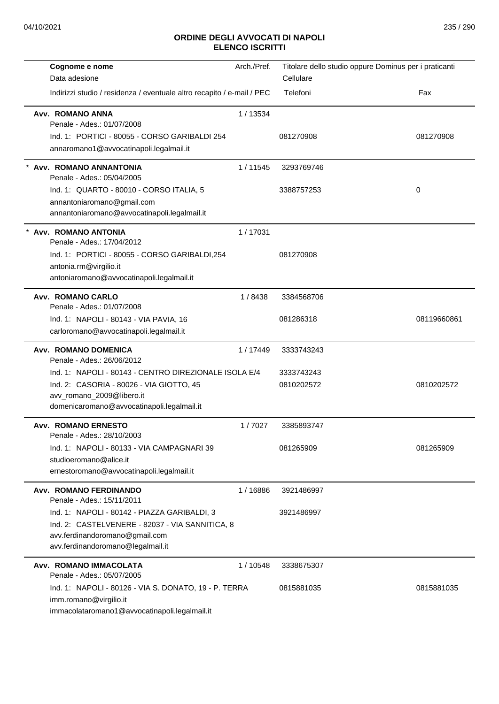| Cognome e nome                                                         | Arch./Pref. | Titolare dello studio oppure Dominus per i praticanti |             |
|------------------------------------------------------------------------|-------------|-------------------------------------------------------|-------------|
| Data adesione                                                          |             | Cellulare                                             |             |
| Indirizzi studio / residenza / eventuale altro recapito / e-mail / PEC |             | Telefoni                                              | Fax         |
| Avv. ROMANO ANNA                                                       | 1/13534     |                                                       |             |
| Penale - Ades.: 01/07/2008                                             |             |                                                       |             |
| Ind. 1: PORTICI - 80055 - CORSO GARIBALDI 254                          |             | 081270908                                             | 081270908   |
| annaromano1@avvocatinapoli.legalmail.it                                |             |                                                       |             |
| Avv. ROMANO ANNANTONIA<br>Penale - Ades.: 05/04/2005                   | 1/11545     | 3293769746                                            |             |
| Ind. 1: QUARTO - 80010 - CORSO ITALIA, 5                               |             | 3388757253                                            | 0           |
| annantoniaromano@gmail.com                                             |             |                                                       |             |
| annantoniaromano@avvocatinapoli.legalmail.it                           |             |                                                       |             |
|                                                                        |             |                                                       |             |
| * Avv. ROMANO ANTONIA<br>Penale - Ades.: 17/04/2012                    | 1/17031     |                                                       |             |
| Ind. 1: PORTICI - 80055 - CORSO GARIBALDI,254                          |             | 081270908                                             |             |
| antonia.rm@virgilio.it                                                 |             |                                                       |             |
| antoniaromano@avvocatinapoli.legalmail.it                              |             |                                                       |             |
| Avv. ROMANO CARLO                                                      | 1/8438      | 3384568706                                            |             |
| Penale - Ades.: 01/07/2008                                             |             |                                                       |             |
| Ind. 1: NAPOLI - 80143 - VIA PAVIA, 16                                 |             | 081286318                                             | 08119660861 |
| carloromano@avvocatinapoli.legalmail.it                                |             |                                                       |             |
| <b>Avv. ROMANO DOMENICA</b>                                            | 1/17449     | 3333743243                                            |             |
| Penale - Ades.: 26/06/2012                                             |             |                                                       |             |
| Ind. 1: NAPOLI - 80143 - CENTRO DIREZIONALE ISOLA E/4                  |             | 3333743243                                            |             |
| Ind. 2: CASORIA - 80026 - VIA GIOTTO, 45                               |             | 0810202572                                            | 0810202572  |
| avv_romano_2009@libero.it                                              |             |                                                       |             |
| domenicaromano@avvocatinapoli.legalmail.it                             |             |                                                       |             |
| <b>Avv. ROMANO ERNESTO</b>                                             | 1/7027      | 3385893747                                            |             |
| Penale - Ades.: 28/10/2003                                             |             |                                                       |             |
| Ind. 1: NAPOLI - 80133 - VIA CAMPAGNARI 39                             |             | 081265909                                             | 081265909   |
| studioeromano@alice.it<br>ernestoromano@avvocatinapoli.legalmail.it    |             |                                                       |             |
|                                                                        |             |                                                       |             |
| <b>Avv. ROMANO FERDINANDO</b><br>Penale - Ades.: 15/11/2011            | 1/16886     | 3921486997                                            |             |
| Ind. 1: NAPOLI - 80142 - PIAZZA GARIBALDI, 3                           |             | 3921486997                                            |             |
| Ind. 2: CASTELVENERE - 82037 - VIA SANNITICA, 8                        |             |                                                       |             |
| avv.ferdinandoromano@gmail.com                                         |             |                                                       |             |
| avv.ferdinandoromano@legalmail.it                                      |             |                                                       |             |
| Avv. ROMANO IMMACOLATA                                                 | 1 / 10548   | 3338675307                                            |             |
| Penale - Ades.: 05/07/2005                                             |             |                                                       |             |
| Ind. 1: NAPOLI - 80126 - VIA S. DONATO, 19 - P. TERRA                  |             | 0815881035                                            | 0815881035  |
| imm.romano@virgilio.it                                                 |             |                                                       |             |
| immacolataromano1@avvocatinapoli.legalmail.it                          |             |                                                       |             |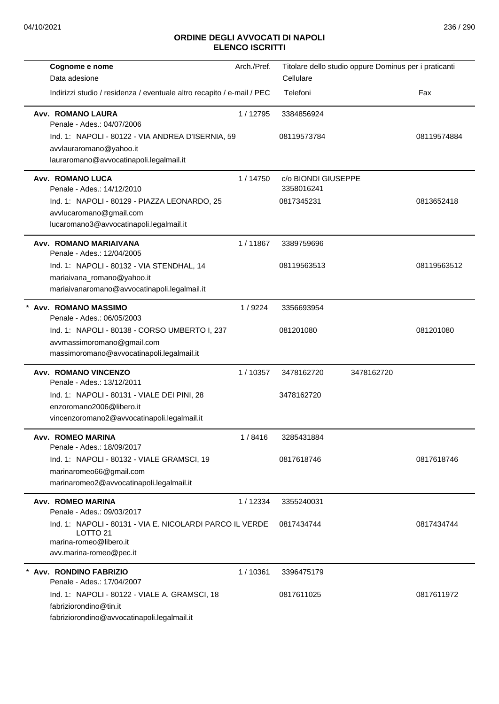| Cognome e nome                                                                                                                                                             | Arch./Pref. | Titolare dello studio oppure Dominus per i praticanti |            |             |
|----------------------------------------------------------------------------------------------------------------------------------------------------------------------------|-------------|-------------------------------------------------------|------------|-------------|
| Data adesione                                                                                                                                                              |             | Cellulare                                             |            |             |
| Indirizzi studio / residenza / eventuale altro recapito / e-mail / PEC                                                                                                     |             | Telefoni                                              |            | Fax         |
| Avv. ROMANO LAURA<br>Penale - Ades.: 04/07/2006<br>Ind. 1: NAPOLI - 80122 - VIA ANDREA D'ISERNIA, 59<br>avvlauraromano@yahoo.it<br>lauraromano@avvocatinapoli.legalmail.it | 1/12795     | 3384856924<br>08119573784                             |            | 08119574884 |
| <b>Avv. ROMANO LUCA</b>                                                                                                                                                    | 1/14750     | c/o BIONDI GIUSEPPE                                   |            |             |
| Penale - Ades.: 14/12/2010<br>Ind. 1: NAPOLI - 80129 - PIAZZA LEONARDO, 25<br>avvlucaromano@gmail.com                                                                      |             | 3358016241<br>0817345231                              |            | 0813652418  |
| lucaromano3@avvocatinapoli.legalmail.it                                                                                                                                    |             |                                                       |            |             |
| Avv. ROMANO MARIAIVANA<br>Penale - Ades.: 12/04/2005                                                                                                                       | 1/11867     | 3389759696                                            |            |             |
| Ind. 1: NAPOLI - 80132 - VIA STENDHAL, 14<br>mariaivana_romano@yahoo.it<br>mariaivanaromano@avvocatinapoli.legalmail.it                                                    |             | 08119563513                                           |            | 08119563512 |
| * Avv. ROMANO MASSIMO<br>Penale - Ades.: 06/05/2003                                                                                                                        | 1/9224      | 3356693954                                            |            |             |
| Ind. 1: NAPOLI - 80138 - CORSO UMBERTO I, 237<br>avvmassimoromano@gmail.com<br>massimoromano@avvocatinapoli.legalmail.it                                                   |             | 081201080                                             |            | 081201080   |
| <b>Avv. ROMANO VINCENZO</b>                                                                                                                                                | 1/10357     | 3478162720                                            | 3478162720 |             |
| Penale - Ades.: 13/12/2011<br>Ind. 1: NAPOLI - 80131 - VIALE DEI PINI, 28<br>enzoromano2006@libero.it<br>vincenzoromano2@avvocatinapoli.legalmail.it                       |             | 3478162720                                            |            |             |
| Avv. ROMEO MARINA<br>Penale - Ades.: 18/09/2017                                                                                                                            | 1/8416      | 3285431884                                            |            |             |
| Ind. 1: NAPOLI - 80132 - VIALE GRAMSCI, 19<br>marinaromeo66@gmail.com<br>marinaromeo2@avvocatinapoli.legalmail.it                                                          |             | 0817618746                                            |            | 0817618746  |
| <b>Avv. ROMEO MARINA</b><br>Penale - Ades.: 09/03/2017                                                                                                                     | 1 / 12334   | 3355240031                                            |            |             |
| Ind. 1: NAPOLI - 80131 - VIA E. NICOLARDI PARCO IL VERDE<br>LOTTO <sub>21</sub><br>marina-romeo@libero.it<br>avv.marina-romeo@pec.it                                       |             | 0817434744                                            |            | 0817434744  |
| * Avv. RONDINO FABRIZIO<br>Penale - Ades.: 17/04/2007                                                                                                                      | 1/10361     | 3396475179                                            |            |             |
| Ind. 1: NAPOLI - 80122 - VIALE A. GRAMSCI, 18<br>fabriziorondino@tin.it<br>fabriziorondino@avvocatinapoli.legalmail.it                                                     |             | 0817611025                                            |            | 0817611972  |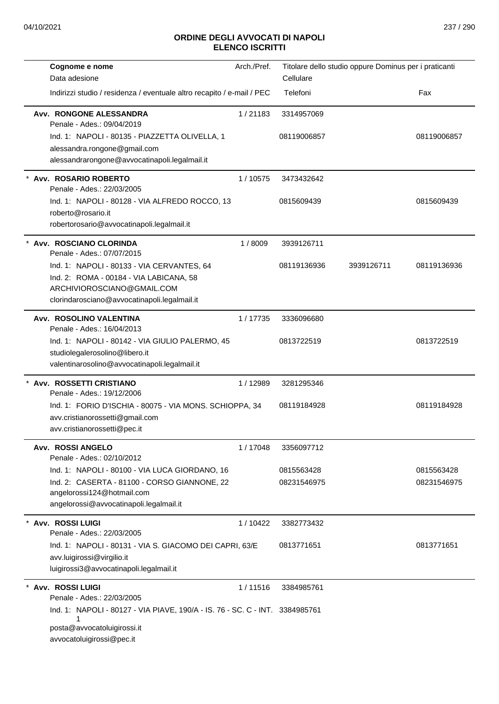| Cognome e nome                                                                             | Arch./Pref. | Titolare dello studio oppure Dominus per i praticanti |            |             |
|--------------------------------------------------------------------------------------------|-------------|-------------------------------------------------------|------------|-------------|
| Data adesione                                                                              |             | Cellulare                                             |            |             |
| Indirizzi studio / residenza / eventuale altro recapito / e-mail / PEC                     |             | Telefoni                                              |            | Fax         |
| Avv. RONGONE ALESSANDRA<br>Penale - Ades.: 09/04/2019                                      | 1/21183     | 3314957069                                            |            |             |
| Ind. 1: NAPOLI - 80135 - PIAZZETTA OLIVELLA, 1                                             |             | 08119006857                                           |            | 08119006857 |
| alessandra.rongone@gmail.com                                                               |             |                                                       |            |             |
| alessandrarongone@avvocatinapoli.legalmail.it                                              |             |                                                       |            |             |
| * Avv. ROSARIO ROBERTO<br>Penale - Ades.: 22/03/2005                                       | 1/10575     | 3473432642                                            |            |             |
| Ind. 1: NAPOLI - 80128 - VIA ALFREDO ROCCO, 13                                             |             | 0815609439                                            |            | 0815609439  |
| roberto@rosario.it                                                                         |             |                                                       |            |             |
| robertorosario@avvocatinapoli.legalmail.it                                                 |             |                                                       |            |             |
| * Avv. ROSCIANO CLORINDA<br>Penale - Ades.: 07/07/2015                                     | 1/8009      | 3939126711                                            |            |             |
| Ind. 1: NAPOLI - 80133 - VIA CERVANTES, 64                                                 |             | 08119136936                                           | 3939126711 | 08119136936 |
| Ind. 2: ROMA - 00184 - VIA LABICANA, 58                                                    |             |                                                       |            |             |
| ARCHIVIOROSCIANO@GMAIL.COM<br>clorindarosciano@avvocatinapoli.legalmail.it                 |             |                                                       |            |             |
|                                                                                            |             |                                                       |            |             |
| Avv. ROSOLINO VALENTINA<br>Penale - Ades.: 16/04/2013                                      | 1/17735     | 3336096680                                            |            |             |
| Ind. 1: NAPOLI - 80142 - VIA GIULIO PALERMO, 45                                            |             | 0813722519                                            |            | 0813722519  |
| studiolegalerosolino@libero.it                                                             |             |                                                       |            |             |
| valentinarosolino@avvocatinapoli.legalmail.it                                              |             |                                                       |            |             |
| * Avv. ROSSETTI CRISTIANO                                                                  | 1/12989     | 3281295346                                            |            |             |
| Penale - Ades.: 19/12/2006                                                                 |             |                                                       |            |             |
| Ind. 1: FORIO D'ISCHIA - 80075 - VIA MONS. SCHIOPPA, 34<br>avv.cristianorossetti@gmail.com |             | 08119184928                                           |            | 08119184928 |
| avv.cristianorossetti@pec.it                                                               |             |                                                       |            |             |
| <b>Avv. ROSSI ANGELO</b>                                                                   |             |                                                       |            |             |
| Penale - Ades.: 02/10/2012                                                                 | 1/17048     | 3356097712                                            |            |             |
| Ind. 1: NAPOLI - 80100 - VIA LUCA GIORDANO, 16                                             |             | 0815563428                                            |            | 0815563428  |
| Ind. 2: CASERTA - 81100 - CORSO GIANNONE, 22                                               |             | 08231546975                                           |            | 08231546975 |
| angelorossi124@hotmail.com                                                                 |             |                                                       |            |             |
| angelorossi@avvocatinapoli.legalmail.it                                                    |             |                                                       |            |             |
| * Avv. ROSSI LUIGI<br>Penale - Ades.: 22/03/2005                                           | 1/10422     | 3382773432                                            |            |             |
| Ind. 1: NAPOLI - 80131 - VIA S. GIACOMO DEI CAPRI, 63/E                                    |             | 0813771651                                            |            | 0813771651  |
| avv.luigirossi@virgilio.it                                                                 |             |                                                       |            |             |
| luigirossi3@avvocatinapoli.legalmail.it                                                    |             |                                                       |            |             |
| Avv. ROSSI LUIGI<br>Penale - Ades.: 22/03/2005                                             | 1/11516     | 3384985761                                            |            |             |
| Ind. 1: NAPOLI - 80127 - VIA PIAVE, 190/A - IS. 76 - SC. C - INT. 3384985761               |             |                                                       |            |             |
| 1<br>posta@avvocatoluigirossi.it                                                           |             |                                                       |            |             |
| avvocatoluigirossi@pec.it                                                                  |             |                                                       |            |             |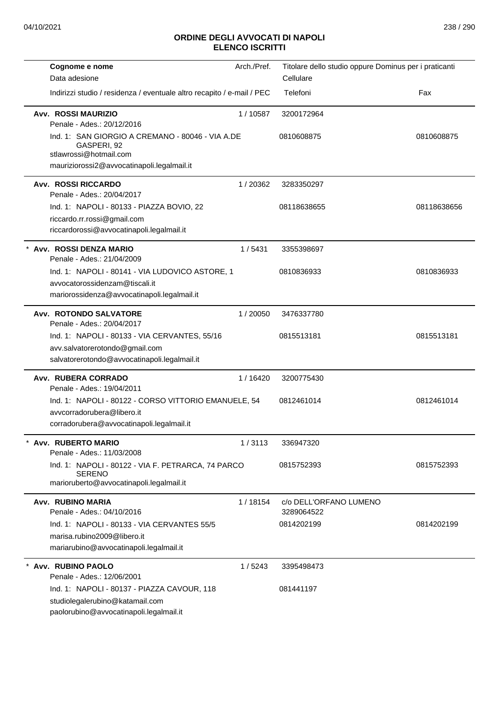| Cognome e nome                                                                                                                          | Arch./Pref. | Titolare dello studio oppure Dominus per i praticanti |             |
|-----------------------------------------------------------------------------------------------------------------------------------------|-------------|-------------------------------------------------------|-------------|
| Data adesione                                                                                                                           |             | Cellulare                                             |             |
| Indirizzi studio / residenza / eventuale altro recapito / e-mail / PEC                                                                  |             | Telefoni                                              | Fax         |
| <b>Avv. ROSSI MAURIZIO</b><br>Penale - Ades.: 20/12/2016                                                                                | 1/10587     | 3200172964                                            |             |
| Ind. 1: SAN GIORGIO A CREMANO - 80046 - VIA A.DE<br>GASPERI, 92<br>stlawrossi@hotmail.com<br>mauriziorossi2@avvocatinapoli.legalmail.it |             | 0810608875                                            | 0810608875  |
|                                                                                                                                         |             |                                                       |             |
| <b>Avv. ROSSI RICCARDO</b><br>Penale - Ades.: 20/04/2017                                                                                | 1/20362     | 3283350297                                            |             |
| Ind. 1: NAPOLI - 80133 - PIAZZA BOVIO, 22<br>riccardo.rr.rossi@gmail.com                                                                |             | 08118638655                                           | 08118638656 |
| riccardorossi@avvocatinapoli.legalmail.it                                                                                               |             |                                                       |             |
| Avv. ROSSI DENZA MARIO<br>Penale - Ades.: 21/04/2009                                                                                    | 1/5431      | 3355398697                                            |             |
| Ind. 1: NAPOLI - 80141 - VIA LUDOVICO ASTORE, 1<br>avvocatorossidenzam@tiscali.it<br>mariorossidenza@avvocatinapoli.legalmail.it        |             | 0810836933                                            | 0810836933  |
| Avv. ROTONDO SALVATORE                                                                                                                  | 1/20050     | 3476337780                                            |             |
| Penale - Ades.: 20/04/2017                                                                                                              |             |                                                       |             |
| Ind. 1: NAPOLI - 80133 - VIA CERVANTES, 55/16                                                                                           |             | 0815513181                                            | 0815513181  |
| avv.salvatorerotondo@gmail.com<br>salvatorerotondo@avvocatinapoli.legalmail.it                                                          |             |                                                       |             |
| Avv. RUBERA CORRADO<br>Penale - Ades.: 19/04/2011                                                                                       | 1/16420     | 3200775430                                            |             |
| Ind. 1: NAPOLI - 80122 - CORSO VITTORIO EMANUELE, 54<br>avvcorradorubera@libero.it<br>corradorubera@avvocatinapoli.legalmail.it         |             | 0812461014                                            | 0812461014  |
| Avv. RUBERTO MARIO<br>Penale - Ades.: 11/03/2008                                                                                        | 1/3113      | 336947320                                             |             |
| Ind. 1: NAPOLI - 80122 - VIA F. PETRARCA, 74 PARCO<br><b>SERENO</b><br>marioruberto@avvocatinapoli.legalmail.it                         |             | 0815752393                                            | 0815752393  |
| Avv. RUBINO MARIA<br>Penale - Ades.: 04/10/2016                                                                                         | 1/18154     | c/o DELL'ORFANO LUMENO<br>3289064522                  |             |
| Ind. 1: NAPOLI - 80133 - VIA CERVANTES 55/5                                                                                             |             | 0814202199                                            | 0814202199  |
| marisa.rubino2009@libero.it<br>mariarubino@avvocatinapoli.legalmail.it                                                                  |             |                                                       |             |
| * Avv. RUBINO PAOLO<br>Penale - Ades.: 12/06/2001                                                                                       | 1/5243      | 3395498473                                            |             |
| Ind. 1: NAPOLI - 80137 - PIAZZA CAVOUR, 118<br>studiolegalerubino@katamail.com<br>paolorubino@avvocatinapoli.legalmail.it               |             | 081441197                                             |             |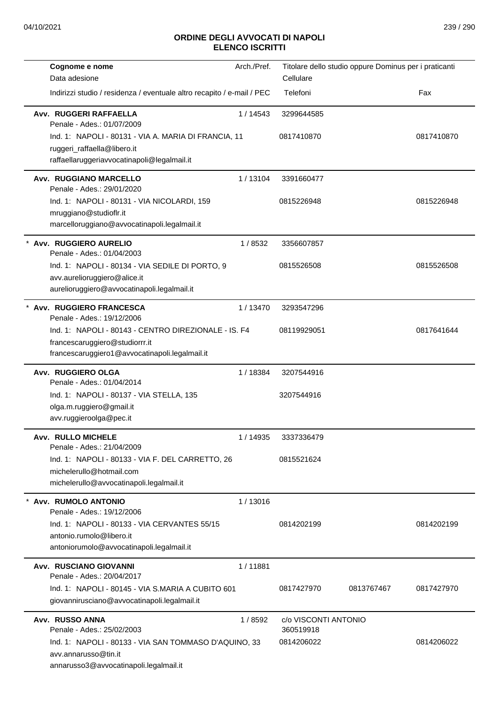| Cognome e nome                                                                                    | Arch./Pref. | Titolare dello studio oppure Dominus per i praticanti |            |            |
|---------------------------------------------------------------------------------------------------|-------------|-------------------------------------------------------|------------|------------|
| Data adesione                                                                                     |             | Cellulare                                             |            |            |
| Indirizzi studio / residenza / eventuale altro recapito / e-mail / PEC                            |             | Telefoni                                              |            | Fax        |
| Avv. RUGGERI RAFFAELLA<br>Penale - Ades.: 01/07/2009                                              | 1 / 14543   | 3299644585                                            |            |            |
| Ind. 1: NAPOLI - 80131 - VIA A. MARIA DI FRANCIA, 11                                              |             | 0817410870                                            |            | 0817410870 |
| ruggeri_raffaella@libero.it                                                                       |             |                                                       |            |            |
| raffaellaruggeriavvocatinapoli@legalmail.it                                                       |             |                                                       |            |            |
| Avv. RUGGIANO MARCELLO<br>Penale - Ades.: 29/01/2020                                              | 1/13104     | 3391660477                                            |            |            |
| Ind. 1: NAPOLI - 80131 - VIA NICOLARDI, 159                                                       |             | 0815226948                                            |            | 0815226948 |
| mruggiano@studioflr.it                                                                            |             |                                                       |            |            |
| marcelloruggiano@avvocatinapoli.legalmail.it                                                      |             |                                                       |            |            |
| * Avv. RUGGIERO AURELIO<br>Penale - Ades.: 01/04/2003                                             | 1/8532      | 3356607857                                            |            |            |
| Ind. 1: NAPOLI - 80134 - VIA SEDILE DI PORTO, 9                                                   |             | 0815526508                                            |            | 0815526508 |
| avv.aurelioruggiero@alice.it                                                                      |             |                                                       |            |            |
| aurelioruggiero@avvocatinapoli.legalmail.it                                                       |             |                                                       |            |            |
| * Avv. RUGGIERO FRANCESCA<br>Penale - Ades.: 19/12/2006                                           | 1/13470     | 3293547296                                            |            |            |
| Ind. 1: NAPOLI - 80143 - CENTRO DIREZIONALE - IS. F4                                              |             | 08119929051                                           |            | 0817641644 |
| francescaruggiero@studiorrr.it                                                                    |             |                                                       |            |            |
| francescaruggiero1@avvocatinapoli.legalmail.it                                                    |             |                                                       |            |            |
| Avv. RUGGIERO OLGA<br>Penale - Ades.: 01/04/2014                                                  | 1/18384     | 3207544916                                            |            |            |
| Ind. 1: NAPOLI - 80137 - VIA STELLA, 135                                                          |             | 3207544916                                            |            |            |
| olga.m.ruggiero@gmail.it                                                                          |             |                                                       |            |            |
| avv.ruggieroolga@pec.it                                                                           |             |                                                       |            |            |
| <b>Avv. RULLO MICHELE</b><br>Penale - Ades.: 21/04/2009                                           | 1 / 14935   | 3337336479                                            |            |            |
| Ind. 1: NAPOLI - 80133 - VIA F. DEL CARRETTO, 26                                                  |             | 0815521624                                            |            |            |
| michelerullo@hotmail.com                                                                          |             |                                                       |            |            |
| michelerullo@avvocatinapoli.legalmail.it                                                          |             |                                                       |            |            |
| * Avv. RUMOLO ANTONIO<br>Penale - Ades.: 19/12/2006                                               | 1/13016     |                                                       |            |            |
| Ind. 1: NAPOLI - 80133 - VIA CERVANTES 55/15                                                      |             | 0814202199                                            |            | 0814202199 |
| antonio.rumolo@libero.it                                                                          |             |                                                       |            |            |
| antoniorumolo@avvocatinapoli.legalmail.it                                                         |             |                                                       |            |            |
| Avv. RUSCIANO GIOVANNI<br>Penale - Ades.: 20/04/2017                                              | 1/11881     |                                                       |            |            |
| Ind. 1: NAPOLI - 80145 - VIA S.MARIA A CUBITO 601<br>giovannirusciano@avvocatinapoli.legalmail.it |             | 0817427970                                            | 0813767467 | 0817427970 |
| Avv. RUSSO ANNA                                                                                   | 1/8592      | c/o VISCONTI ANTONIO                                  |            |            |
| Penale - Ades.: 25/02/2003                                                                        |             | 360519918                                             |            |            |
| Ind. 1: NAPOLI - 80133 - VIA SAN TOMMASO D'AQUINO, 33                                             |             | 0814206022                                            |            | 0814206022 |
| avv.annarusso@tin.it                                                                              |             |                                                       |            |            |
| annarusso3@avvocatinapoli.legalmail.it                                                            |             |                                                       |            |            |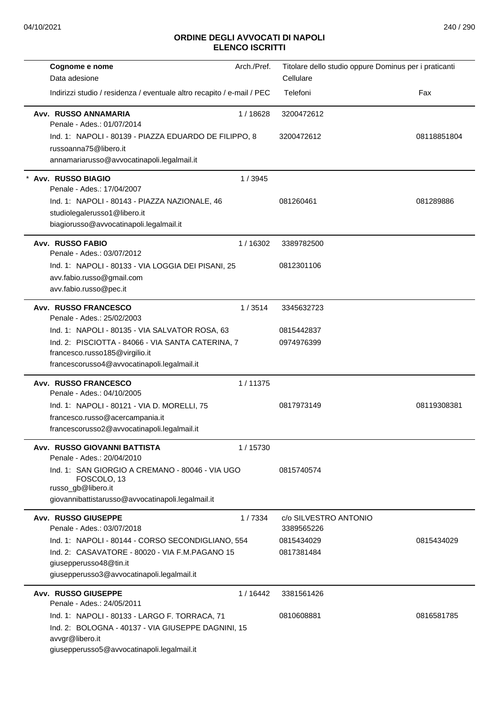| Arch./Pref.<br>Cognome e nome                                           | Titolare dello studio oppure Dominus per i praticanti |             |
|-------------------------------------------------------------------------|-------------------------------------------------------|-------------|
| Data adesione                                                           | Cellulare                                             |             |
| Indirizzi studio / residenza / eventuale altro recapito / e-mail / PEC  | Telefoni                                              | Fax         |
| Avv. RUSSO ANNAMARIA<br>1/18628<br>Penale - Ades.: 01/07/2014           | 3200472612                                            |             |
| Ind. 1: NAPOLI - 80139 - PIAZZA EDUARDO DE FILIPPO, 8                   | 3200472612                                            | 08118851804 |
| russoanna75@libero.it                                                   |                                                       |             |
| annamariarusso@avvocatinapoli.legalmail.it                              |                                                       |             |
| Avv. RUSSO BIAGIO<br>1/3945                                             |                                                       |             |
| Penale - Ades.: 17/04/2007                                              |                                                       |             |
| Ind. 1: NAPOLI - 80143 - PIAZZA NAZIONALE, 46                           | 081260461                                             | 081289886   |
| studiolegalerusso1@libero.it<br>biagiorusso@avvocatinapoli.legalmail.it |                                                       |             |
|                                                                         |                                                       |             |
| <b>Avv. RUSSO FABIO</b><br>1/16302<br>Penale - Ades.: 03/07/2012        | 3389782500                                            |             |
| Ind. 1: NAPOLI - 80133 - VIA LOGGIA DEI PISANI, 25                      | 0812301106                                            |             |
| avv.fabio.russo@gmail.com                                               |                                                       |             |
| avv.fabio.russo@pec.it                                                  |                                                       |             |
| <b>Avv. RUSSO FRANCESCO</b><br>1/3514<br>Penale - Ades.: 25/02/2003     | 3345632723                                            |             |
| Ind. 1: NAPOLI - 80135 - VIA SALVATOR ROSA, 63                          | 0815442837                                            |             |
| Ind. 2: PISCIOTTA - 84066 - VIA SANTA CATERINA, 7                       | 0974976399                                            |             |
| francesco.russo185@virgilio.it                                          |                                                       |             |
| francescorusso4@avvocatinapoli.legalmail.it                             |                                                       |             |
| 1/11375<br><b>Avv. RUSSO FRANCESCO</b><br>Penale - Ades.: 04/10/2005    |                                                       |             |
| Ind. 1: NAPOLI - 80121 - VIA D. MORELLI, 75                             | 0817973149                                            | 08119308381 |
| francesco.russo@acercampania.it                                         |                                                       |             |
| francescorusso2@avvocatinapoli.legalmail.it                             |                                                       |             |
| Avv. RUSSO GIOVANNI BATTISTA<br>1/15730<br>Penale - Ades.: 20/04/2010   |                                                       |             |
| Ind. 1: SAN GIORGIO A CREMANO - 80046 - VIA UGO                         | 0815740574                                            |             |
| FOSCOLO, 13<br>russo_gb@libero.it                                       |                                                       |             |
| giovannibattistarusso@avvocatinapoli.legalmail.it                       |                                                       |             |
|                                                                         |                                                       |             |
| <b>Avv. RUSSO GIUSEPPE</b><br>1/7334<br>Penale - Ades.: 03/07/2018      | c/o SILVESTRO ANTONIO<br>3389565226                   |             |
| Ind. 1: NAPOLI - 80144 - CORSO SECONDIGLIANO, 554                       | 0815434029                                            | 0815434029  |
| Ind. 2: CASAVATORE - 80020 - VIA F.M.PAGANO 15                          | 0817381484                                            |             |
| giusepperusso48@tin.it                                                  |                                                       |             |
| giusepperusso3@avvocatinapoli.legalmail.it                              |                                                       |             |
| Avv. RUSSO GIUSEPPE<br>1 / 16442<br>Penale - Ades.: 24/05/2011          | 3381561426                                            |             |
| Ind. 1: NAPOLI - 80133 - LARGO F. TORRACA, 71                           | 0810608881                                            | 0816581785  |
| Ind. 2: BOLOGNA - 40137 - VIA GIUSEPPE DAGNINI, 15                      |                                                       |             |
| avvgr@libero.it                                                         |                                                       |             |
| giusepperusso5@avvocatinapoli.legalmail.it                              |                                                       |             |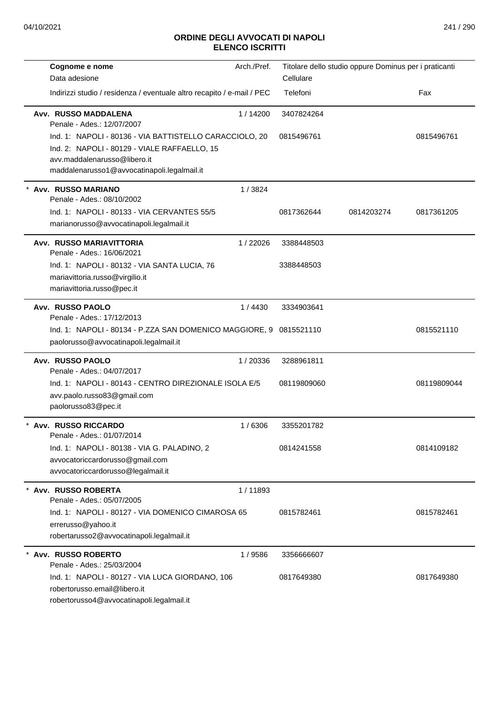| Cognome e nome<br>Data adesione                                                                                                                                                        | Arch./Pref. | Titolare dello studio oppure Dominus per i praticanti<br>Cellulare |            |             |
|----------------------------------------------------------------------------------------------------------------------------------------------------------------------------------------|-------------|--------------------------------------------------------------------|------------|-------------|
| Indirizzi studio / residenza / eventuale altro recapito / e-mail / PEC                                                                                                                 |             | Telefoni                                                           |            | Fax         |
| Avv. RUSSO MADDALENA<br>Penale - Ades.: 12/07/2007                                                                                                                                     | 1/14200     | 3407824264                                                         |            |             |
| Ind. 1: NAPOLI - 80136 - VIA BATTISTELLO CARACCIOLO, 20<br>Ind. 2: NAPOLI - 80129 - VIALE RAFFAELLO, 15<br>avv.maddalenarusso@libero.it<br>maddalenarusso1@avvocatinapoli.legalmail.it |             | 0815496761                                                         |            | 0815496761  |
| Avv. RUSSO MARIANO                                                                                                                                                                     | 1/3824      |                                                                    |            |             |
| Penale - Ades.: 08/10/2002<br>Ind. 1: NAPOLI - 80133 - VIA CERVANTES 55/5<br>marianorusso@avvocatinapoli.legalmail.it                                                                  |             | 0817362644                                                         | 0814203274 | 0817361205  |
| Avv. RUSSO MARIAVITTORIA<br>Penale - Ades.: 16/06/2021                                                                                                                                 | 1/22026     | 3388448503                                                         |            |             |
| Ind. 1: NAPOLI - 80132 - VIA SANTA LUCIA, 76<br>mariavittoria.russo@virgilio.it<br>mariavittoria.russo@pec.it                                                                          |             | 3388448503                                                         |            |             |
| Avv. RUSSO PAOLO                                                                                                                                                                       | 1/4430      | 3334903641                                                         |            |             |
| Penale - Ades.: 17/12/2013<br>Ind. 1: NAPOLI - 80134 - P.ZZA SAN DOMENICO MAGGIORE, 9 0815521110<br>paolorusso@avvocatinapoli.legalmail.it                                             |             |                                                                    |            | 0815521110  |
| Avv. RUSSO PAOLO<br>Penale - Ades.: 04/07/2017                                                                                                                                         | 1/20336     | 3288961811                                                         |            |             |
| Ind. 1: NAPOLI - 80143 - CENTRO DIREZIONALE ISOLA E/5<br>avv.paolo.russo83@gmail.com<br>paolorusso83@pec.it                                                                            |             | 08119809060                                                        |            | 08119809044 |
| Avv. RUSSO RICCARDO<br>Penale - Ades.: 01/07/2014                                                                                                                                      | 1/6306      | 3355201782                                                         |            |             |
| Ind. 1: NAPOLI - 80138 - VIA G. PALADINO, 2<br>avvocatoriccardorusso@gmail.com<br>avvocatoriccardorusso@legalmail.it                                                                   |             | 0814241558                                                         |            | 0814109182  |
| Avv. RUSSO ROBERTA<br>Penale - Ades.: 05/07/2005                                                                                                                                       | 1/11893     |                                                                    |            |             |
| Ind. 1: NAPOLI - 80127 - VIA DOMENICO CIMAROSA 65<br>errerusso@yahoo.it<br>robertarusso2@avvocatinapoli.legalmail.it                                                                   |             | 0815782461                                                         |            | 0815782461  |
| Avv. RUSSO ROBERTO<br>Penale - Ades.: 25/03/2004                                                                                                                                       | 1/9586      | 3356666607                                                         |            |             |
| Ind. 1: NAPOLI - 80127 - VIA LUCA GIORDANO, 106<br>robertorusso.email@libero.it<br>robertorusso4@avvocatinapoli.legalmail.it                                                           |             | 0817649380                                                         |            | 0817649380  |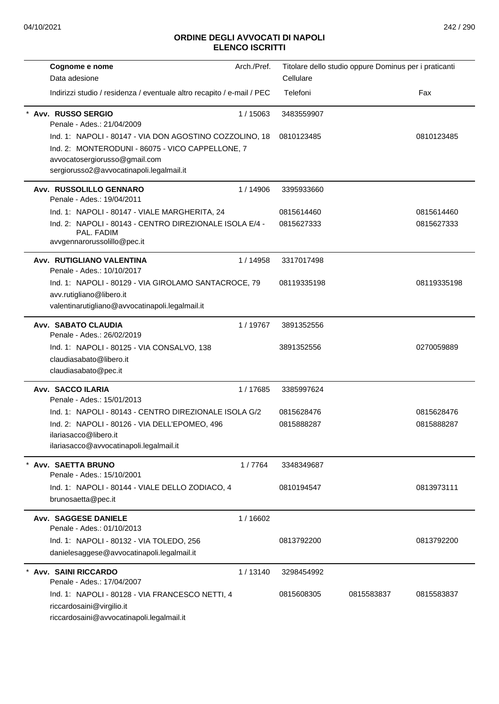| Cognome e nome                                                                                                                                                                           | Arch./Pref. |             | Titolare dello studio oppure Dominus per i praticanti |             |
|------------------------------------------------------------------------------------------------------------------------------------------------------------------------------------------|-------------|-------------|-------------------------------------------------------|-------------|
| Data adesione                                                                                                                                                                            |             | Cellulare   |                                                       |             |
| Indirizzi studio / residenza / eventuale altro recapito / e-mail / PEC                                                                                                                   |             | Telefoni    | Fax                                                   |             |
| Avv. RUSSO SERGIO<br>Penale - Ades.: 21/04/2009                                                                                                                                          | 1/15063     | 3483559907  |                                                       |             |
| Ind. 1: NAPOLI - 80147 - VIA DON AGOSTINO COZZOLINO, 18<br>Ind. 2: MONTERODUNI - 86075 - VICO CAPPELLONE, 7<br>avvocatosergiorusso@gmail.com<br>sergiorusso2@avvocatinapoli.legalmail.it |             | 0810123485  |                                                       | 0810123485  |
| Avv. RUSSOLILLO GENNARO<br>Penale - Ades.: 19/04/2011                                                                                                                                    | 1/14906     | 3395933660  |                                                       |             |
| Ind. 1: NAPOLI - 80147 - VIALE MARGHERITA, 24                                                                                                                                            |             | 0815614460  |                                                       | 0815614460  |
| Ind. 2: NAPOLI - 80143 - CENTRO DIREZIONALE ISOLA E/4 -<br>PAL. FADIM<br>avvgennarorussolillo@pec.it                                                                                     |             | 0815627333  |                                                       | 0815627333  |
| Avv. RUTIGLIANO VALENTINA<br>Penale - Ades.: 10/10/2017                                                                                                                                  | 1/14958     | 3317017498  |                                                       |             |
| Ind. 1: NAPOLI - 80129 - VIA GIROLAMO SANTACROCE, 79<br>avv.rutigliano@libero.it<br>valentinarutigliano@avvocatinapoli.legalmail.it                                                      |             | 08119335198 |                                                       | 08119335198 |
| <b>Avv. SABATO CLAUDIA</b><br>Penale - Ades.: 26/02/2019                                                                                                                                 | 1/19767     | 3891352556  |                                                       |             |
| Ind. 1: NAPOLI - 80125 - VIA CONSALVO, 138<br>claudiasabato@libero.it<br>claudiasabato@pec.it                                                                                            |             | 3891352556  |                                                       | 0270059889  |
| Avv. SACCO ILARIA<br>Penale - Ades.: 15/01/2013                                                                                                                                          | 1/17685     | 3385997624  |                                                       |             |
| Ind. 1: NAPOLI - 80143 - CENTRO DIREZIONALE ISOLA G/2                                                                                                                                    |             | 0815628476  |                                                       | 0815628476  |
| Ind. 2: NAPOLI - 80126 - VIA DELL'EPOMEO, 496<br>ilariasacco@libero.it<br>ilariasacco@avvocatinapoli.legalmail.it                                                                        |             | 0815888287  |                                                       | 0815888287  |
|                                                                                                                                                                                          |             |             |                                                       |             |
| Avv. SAETTA BRUNO<br>Penale - Ades.: 15/10/2001                                                                                                                                          | 1/7764      | 3348349687  |                                                       |             |
| Ind. 1: NAPOLI - 80144 - VIALE DELLO ZODIACO, 4<br>brunosaetta@pec.it                                                                                                                    |             | 0810194547  |                                                       | 0813973111  |
| Avv. SAGGESE DANIELE<br>Penale - Ades.: 01/10/2013                                                                                                                                       | 1/16602     |             |                                                       |             |
| Ind. 1: NAPOLI - 80132 - VIA TOLEDO, 256<br>danielesaggese@avvocatinapoli.legalmail.it                                                                                                   |             | 0813792200  |                                                       | 0813792200  |
| <b>Avv. SAINI RICCARDO</b><br>Penale - Ades.: 17/04/2007                                                                                                                                 | 1/13140     | 3298454992  |                                                       |             |
| Ind. 1: NAPOLI - 80128 - VIA FRANCESCO NETTI, 4<br>riccardosaini@virgilio.it<br>riccardosaini@avvocatinapoli.legalmail.it                                                                |             | 0815608305  | 0815583837                                            | 0815583837  |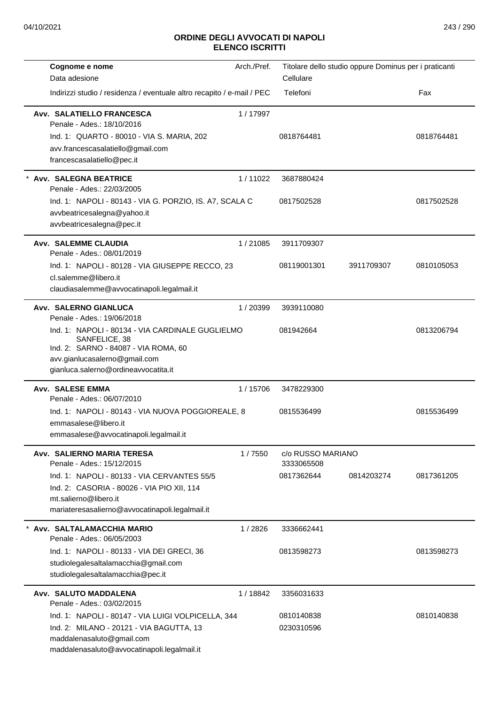| Cognome e nome                                                                                                                                                                                                                            | Arch./Pref. |                                               | Titolare dello studio oppure Dominus per i praticanti |            |
|-------------------------------------------------------------------------------------------------------------------------------------------------------------------------------------------------------------------------------------------|-------------|-----------------------------------------------|-------------------------------------------------------|------------|
| Data adesione                                                                                                                                                                                                                             |             | Cellulare                                     |                                                       |            |
| Indirizzi studio / residenza / eventuale altro recapito / e-mail / PEC                                                                                                                                                                    |             | Telefoni                                      |                                                       | Fax        |
| Avv. SALATIELLO FRANCESCA<br>Penale - Ades.: 18/10/2016<br>Ind. 1: QUARTO - 80010 - VIA S. MARIA, 202<br>avv.francescasalatiello@gmail.com<br>francescasalatiello@pec.it                                                                  | 1/17997     | 0818764481                                    |                                                       | 0818764481 |
| <b>Avv. SALEGNA BEATRICE</b><br>Penale - Ades.: 22/03/2005<br>Ind. 1: NAPOLI - 80143 - VIA G. PORZIO, IS. A7, SCALA C<br>avvbeatricesalegna@yahoo.it<br>avvbeatricesalegna@pec.it                                                         | 1/11022     | 3687880424<br>0817502528                      |                                                       | 0817502528 |
| <b>Avv. SALEMME CLAUDIA</b><br>Penale - Ades.: 08/01/2019<br>Ind. 1: NAPOLI - 80128 - VIA GIUSEPPE RECCO, 23<br>cl.salemme@libero.it<br>claudiasalemme@avvocatinapoli.legalmail.it                                                        | 1/21085     | 3911709307<br>08119001301                     | 3911709307                                            | 0810105053 |
| Avv. SALERNO GIANLUCA<br>Penale - Ades.: 19/06/2018<br>Ind. 1: NAPOLI - 80134 - VIA CARDINALE GUGLIELMO<br>SANFELICE, 38<br>Ind. 2: SARNO - 84087 - VIA ROMA, 60<br>avv.gianlucasalerno@gmail.com<br>gianluca.salerno@ordineavvocatita.it | 1/20399     | 3939110080<br>081942664                       |                                                       | 0813206794 |
| Avv. SALESE EMMA<br>Penale - Ades.: 06/07/2010<br>Ind. 1: NAPOLI - 80143 - VIA NUOVA POGGIOREALE, 8<br>emmasalese@libero.it<br>emmasalese@avvocatinapoli.legalmail.it                                                                     | 1/15706     | 3478229300<br>0815536499                      |                                                       | 0815536499 |
| Avv. SALIERNO MARIA TERESA<br>Penale - Ades.: 15/12/2015<br>Ind. 1: NAPOLI - 80133 - VIA CERVANTES 55/5<br>Ind. 2: CASORIA - 80026 - VIA PIO XII, 114<br>mt.salierno@libero.it<br>mariateresasalierno@avvocatinapoli.legalmail.it         | 1/7550      | c/o RUSSO MARIANO<br>3333065508<br>0817362644 | 0814203274                                            | 0817361205 |
| * Avv. SALTALAMACCHIA MARIO<br>Penale - Ades.: 06/05/2003<br>Ind. 1: NAPOLI - 80133 - VIA DEI GRECI, 36<br>studiolegalesaltalamacchia@gmail.com<br>studiolegalesaltalamacchia@pec.it                                                      | 1/2826      | 3336662441<br>0813598273                      |                                                       | 0813598273 |
| Avv. SALUTO MADDALENA<br>Penale - Ades.: 03/02/2015<br>Ind. 1: NAPOLI - 80147 - VIA LUIGI VOLPICELLA, 344<br>Ind. 2: MILANO - 20121 - VIA BAGUTTA, 13<br>maddalenasaluto@gmail.com<br>maddalenasaluto@avvocatinapoli.legalmail.it         | 1/18842     | 3356031633<br>0810140838<br>0230310596        |                                                       | 0810140838 |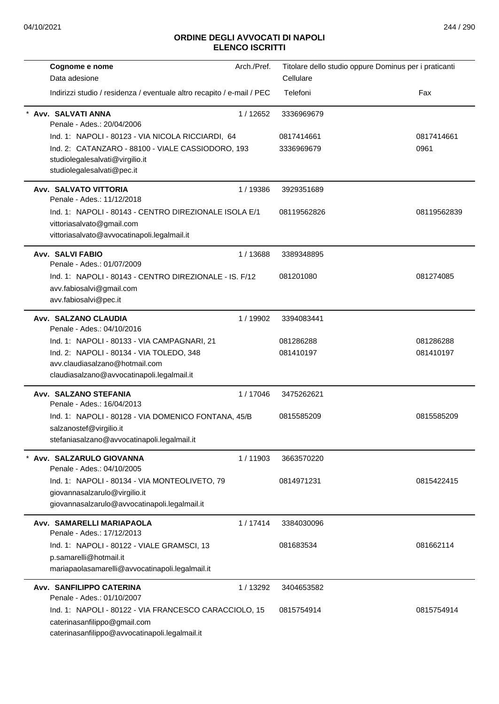| Cognome e nome                                                                                                                    | Arch./Pref. | Titolare dello studio oppure Dominus per i praticanti |             |
|-----------------------------------------------------------------------------------------------------------------------------------|-------------|-------------------------------------------------------|-------------|
| Data adesione                                                                                                                     |             | Cellulare                                             |             |
| Indirizzi studio / residenza / eventuale altro recapito / e-mail / PEC                                                            |             | Telefoni                                              | Fax         |
| Avv. SALVATI ANNA<br>Penale - Ades.: 20/04/2006                                                                                   | 1/12652     | 3336969679                                            |             |
| Ind. 1: NAPOLI - 80123 - VIA NICOLA RICCIARDI, 64                                                                                 |             | 0817414661                                            | 0817414661  |
| Ind. 2: CATANZARO - 88100 - VIALE CASSIODORO, 193<br>studiolegalesalvati@virgilio.it<br>studiolegalesalvati@pec.it                |             | 3336969679                                            | 0961        |
| Avv. SALVATO VITTORIA<br>Penale - Ades.: 11/12/2018                                                                               | 1 / 19386   | 3929351689                                            |             |
| Ind. 1: NAPOLI - 80143 - CENTRO DIREZIONALE ISOLA E/1<br>vittoriasalvato@gmail.com<br>vittoriasalvato@avvocatinapoli.legalmail.it |             | 08119562826                                           | 08119562839 |
| Avv. SALVI FABIO<br>Penale - Ades.: 01/07/2009                                                                                    | 1/13688     | 3389348895                                            |             |
| Ind. 1: NAPOLI - 80143 - CENTRO DIREZIONALE - IS. F/12<br>avv.fabiosalvi@gmail.com<br>avv.fabiosalvi@pec.it                       |             | 081201080                                             | 081274085   |
| Avv. SALZANO CLAUDIA<br>Penale - Ades.: 04/10/2016                                                                                | 1 / 19902   | 3394083441                                            |             |
| Ind. 1: NAPOLI - 80133 - VIA CAMPAGNARI, 21                                                                                       |             | 081286288                                             | 081286288   |
| Ind. 2: NAPOLI - 80134 - VIA TOLEDO, 348                                                                                          |             | 081410197                                             | 081410197   |
| avv.claudiasalzano@hotmail.com<br>claudiasalzano@avvocatinapoli.legalmail.it                                                      |             |                                                       |             |
| Avv. SALZANO STEFANIA<br>Penale - Ades.: 16/04/2013                                                                               | 1/17046     | 3475262621                                            |             |
| Ind. 1: NAPOLI - 80128 - VIA DOMENICO FONTANA, 45/B<br>salzanostef@virgilio.it<br>stefaniasalzano@avvocatinapoli.legalmail.it     |             | 0815585209                                            | 0815585209  |
| Avv. SALZARULO GIOVANNA<br>Penale - Ades.: 04/10/2005                                                                             | 1/11903     | 3663570220                                            |             |
| Ind. 1: NAPOLI - 80134 - VIA MONTEOLIVETO, 79<br>giovannasalzarulo@virgilio.it<br>giovannasalzarulo@avvocatinapoli.legalmail.it   |             | 0814971231                                            | 0815422415  |
| Avv. SAMARELLI MARIAPAOLA                                                                                                         | 1/17414     | 3384030096                                            |             |
| Penale - Ades.: 17/12/2013                                                                                                        |             |                                                       |             |
| Ind. 1: NAPOLI - 80122 - VIALE GRAMSCI, 13                                                                                        |             | 081683534                                             | 081662114   |
| p.samarelli@hotmail.it<br>mariapaolasamarelli@avvocatinapoli.legalmail.it                                                         |             |                                                       |             |
| Avv. SANFILIPPO CATERINA<br>Penale - Ades.: 01/10/2007                                                                            | 1/13292     | 3404653582                                            |             |
| Ind. 1: NAPOLI - 80122 - VIA FRANCESCO CARACCIOLO, 15                                                                             |             | 0815754914                                            | 0815754914  |
| caterinasanfilippo@gmail.com<br>caterinasanfilippo@avvocatinapoli.legalmail.it                                                    |             |                                                       |             |
|                                                                                                                                   |             |                                                       |             |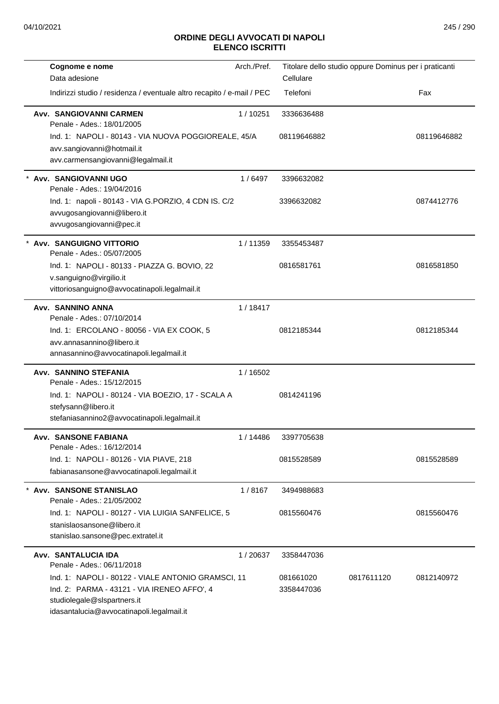| Cognome e nome<br>Data adesione                                                                                                                                               | Arch./Pref. | Cellulare               | Titolare dello studio oppure Dominus per i praticanti |             |
|-------------------------------------------------------------------------------------------------------------------------------------------------------------------------------|-------------|-------------------------|-------------------------------------------------------|-------------|
| Indirizzi studio / residenza / eventuale altro recapito / e-mail / PEC                                                                                                        |             | Telefoni                |                                                       | Fax         |
| Avv. SANGIOVANNI CARMEN<br>Penale - Ades.: 18/01/2005                                                                                                                         | 1/10251     | 3336636488              |                                                       |             |
| Ind. 1: NAPOLI - 80143 - VIA NUOVA POGGIOREALE, 45/A<br>avv.sangiovanni@hotmail.it<br>avv.carmensangiovanni@legalmail.it                                                      |             | 08119646882             |                                                       | 08119646882 |
| Avv. SANGIOVANNI UGO<br>Penale - Ades.: 19/04/2016                                                                                                                            | 1/6497      | 3396632082              |                                                       |             |
| Ind. 1: napoli - 80143 - VIA G.PORZIO, 4 CDN IS. C/2<br>avvugosangiovanni@libero.it<br>avvugosangiovanni@pec.it                                                               |             | 3396632082              |                                                       | 0874412776  |
| Avv. SANGUIGNO VITTORIO<br>Penale - Ades.: 05/07/2005                                                                                                                         | 1/11359     | 3355453487              |                                                       |             |
| Ind. 1: NAPOLI - 80133 - PIAZZA G. BOVIO, 22<br>v.sanguigno@virgilio.it<br>vittoriosanguigno@avvocatinapoli.legalmail.it                                                      |             | 0816581761              |                                                       | 0816581850  |
| Avv. SANNINO ANNA<br>Penale - Ades.: 07/10/2014                                                                                                                               | 1/18417     |                         |                                                       |             |
| Ind. 1: ERCOLANO - 80056 - VIA EX COOK, 5<br>avv.annasannino@libero.it<br>annasannino@avvocatinapoli.legalmail.it                                                             |             | 0812185344              |                                                       | 0812185344  |
| <b>Avv. SANNINO STEFANIA</b><br>Penale - Ades.: 15/12/2015                                                                                                                    | 1 / 16502   |                         |                                                       |             |
| Ind. 1: NAPOLI - 80124 - VIA BOEZIO, 17 - SCALA A<br>stefysann@libero.it<br>stefaniasannino2@avvocatinapoli.legalmail.it                                                      |             | 0814241196              |                                                       |             |
| <b>Avv. SANSONE FABIANA</b><br>Penale - Ades.: 16/12/2014                                                                                                                     | 1 / 14486   | 3397705638              |                                                       |             |
| Ind. 1: NAPOLI - 80126 - VIA PIAVE, 218<br>fabianasansone@avvocatinapoli.legalmail.it                                                                                         |             | 0815528589              |                                                       | 0815528589  |
| <b>Avv. SANSONE STANISLAO</b><br>Penale - Ades.: 21/05/2002                                                                                                                   | 1/8167      | 3494988683              |                                                       |             |
| Ind. 1: NAPOLI - 80127 - VIA LUIGIA SANFELICE, 5<br>stanislaosansone@libero.it<br>stanislao.sansone@pec.extratel.it                                                           |             | 0815560476              |                                                       | 0815560476  |
| Avv. SANTALUCIA IDA<br>Penale - Ades.: 06/11/2018                                                                                                                             | 1/20637     | 3358447036              |                                                       |             |
| Ind. 1: NAPOLI - 80122 - VIALE ANTONIO GRAMSCI, 11<br>Ind. 2: PARMA - 43121 - VIA IRENEO AFFO', 4<br>studiolegale@slspartners.it<br>idasantalucia@avvocatinapoli.legalmail.it |             | 081661020<br>3358447036 | 0817611120                                            | 0812140972  |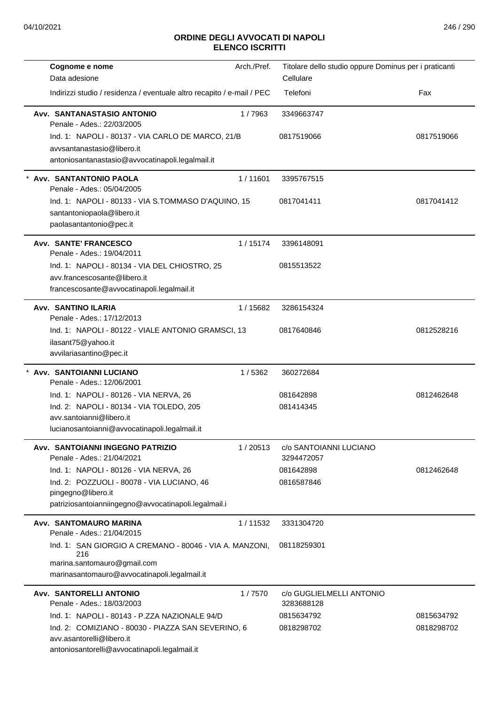|                                                                             | Arch./Pref. | Titolare dello studio oppure Dominus per i praticanti |            |
|-----------------------------------------------------------------------------|-------------|-------------------------------------------------------|------------|
| Data adesione                                                               |             | Cellulare                                             |            |
| Indirizzi studio / residenza / eventuale altro recapito / e-mail / PEC      |             | Telefoni                                              | Fax        |
| Avv. SANTANASTASIO ANTONIO<br>Penale - Ades.: 22/03/2005                    | 1/7963      | 3349663747                                            |            |
| Ind. 1: NAPOLI - 80137 - VIA CARLO DE MARCO, 21/B                           |             | 0817519066                                            | 0817519066 |
| avysantanastasio@libero.it                                                  |             |                                                       |            |
| antoniosantanastasio@avvocatinapoli.legalmail.it                            |             |                                                       |            |
| * Avv. SANTANTONIO PAOLA<br>Penale - Ades.: 05/04/2005                      | 1/11601     | 3395767515                                            |            |
| Ind. 1: NAPOLI - 80133 - VIA S.TOMMASO D'AQUINO, 15                         |             | 0817041411                                            | 0817041412 |
| santantoniopaola@libero.it                                                  |             |                                                       |            |
| paolasantantonio@pec.it                                                     |             |                                                       |            |
| Avv. SANTE' FRANCESCO                                                       | 1/15174     | 3396148091                                            |            |
| Penale - Ades.: 19/04/2011                                                  |             |                                                       |            |
| Ind. 1: NAPOLI - 80134 - VIA DEL CHIOSTRO, 25                               |             | 0815513522                                            |            |
| avv.francescosante@libero.it                                                |             |                                                       |            |
| francescosante@avvocatinapoli.legalmail.it                                  |             |                                                       |            |
| <b>Avv. SANTINO ILARIA</b>                                                  | 1 / 15682   | 3286154324                                            |            |
| Penale - Ades.: 17/12/2013                                                  |             |                                                       |            |
| Ind. 1: NAPOLI - 80122 - VIALE ANTONIO GRAMSCI, 13                          |             | 0817640846                                            | 0812528216 |
| ilasant75@yahoo.it                                                          |             |                                                       |            |
| avvilariasantino@pec.it                                                     |             |                                                       |            |
| Avv. SANTOIANNI LUCIANO<br>Penale - Ades.: 12/06/2001                       | 1/5362      | 360272684                                             |            |
|                                                                             |             |                                                       |            |
| Ind. 1: NAPOLI - 80126 - VIA NERVA, 26                                      |             | 081642898                                             | 0812462648 |
| Ind. 2: NAPOLI - 80134 - VIA TOLEDO, 205                                    |             | 081414345                                             |            |
| avv.santoianni@libero.it                                                    |             |                                                       |            |
| lucianosantoianni@avvocatinapoli.legalmail.it                               |             |                                                       |            |
| Avv. SANTOIANNI INGEGNO PATRIZIO<br>Penale - Ades.: 21/04/2021              | 1/20513     | c/o SANTOIANNI LUCIANO<br>3294472057                  |            |
| Ind. 1: NAPOLI - 80126 - VIA NERVA, 26                                      |             | 081642898                                             | 0812462648 |
| Ind. 2: POZZUOLI - 80078 - VIA LUCIANO, 46                                  |             | 0816587846                                            |            |
| pingegno@libero.it                                                          |             |                                                       |            |
| patriziosantoianniingegno@avvocatinapoli.legalmail.i                        |             |                                                       |            |
| Avv. SANTOMAURO MARINA<br>Penale - Ades.: 21/04/2015                        | 1/11532     | 3331304720                                            |            |
| Ind. 1: SAN GIORGIO A CREMANO - 80046 - VIA A. MANZONI.                     |             | 08118259301                                           |            |
| 216                                                                         |             |                                                       |            |
| marina.santomauro@gmail.com<br>marinasantomauro@avvocatinapoli.legalmail.it |             |                                                       |            |
|                                                                             |             |                                                       |            |
| Avv. SANTORELLI ANTONIO<br>Penale - Ades.: 18/03/2003                       | 1/7570      | c/o GUGLIELMELLI ANTONIO<br>3283688128                |            |
| Ind. 1: NAPOLI - 80143 - P.ZZA NAZIONALE 94/D                               |             | 0815634792                                            | 0815634792 |
| Ind. 2: COMIZIANO - 80030 - PIAZZA SAN SEVERINO, 6                          |             | 0818298702                                            | 0818298702 |
| avv.asantorelli@libero.it                                                   |             |                                                       |            |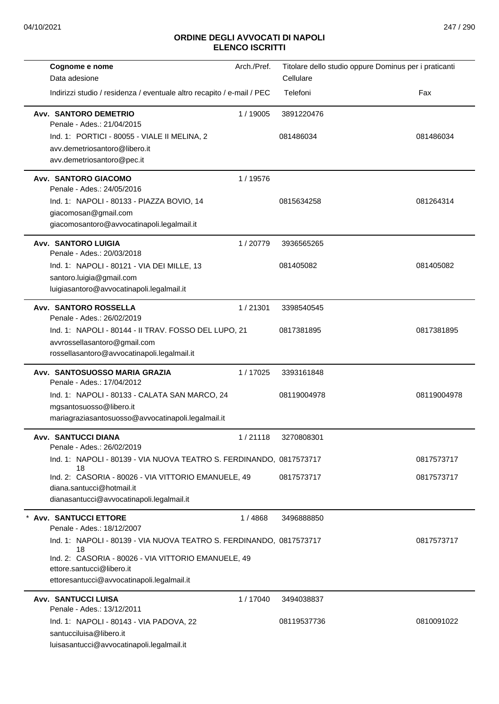| Cognome e nome                                                                | Arch./Pref. |             | Titolare dello studio oppure Dominus per i praticanti |
|-------------------------------------------------------------------------------|-------------|-------------|-------------------------------------------------------|
| Data adesione                                                                 |             | Cellulare   |                                                       |
| Indirizzi studio / residenza / eventuale altro recapito / e-mail / PEC        |             | Telefoni    | Fax                                                   |
| <b>Avv. SANTORO DEMETRIO</b>                                                  | 1 / 19005   | 3891220476  |                                                       |
| Penale - Ades.: 21/04/2015                                                    |             |             |                                                       |
| Ind. 1: PORTICI - 80055 - VIALE II MELINA, 2<br>avv.demetriosantoro@libero.it |             | 081486034   | 081486034                                             |
| avv.demetriosantoro@pec.it                                                    |             |             |                                                       |
| Avv. SANTORO GIACOMO                                                          | 1 / 19576   |             |                                                       |
| Penale - Ades.: 24/05/2016                                                    |             |             |                                                       |
| Ind. 1: NAPOLI - 80133 - PIAZZA BOVIO, 14                                     |             | 0815634258  | 081264314                                             |
| giacomosan@gmail.com                                                          |             |             |                                                       |
| giacomosantoro@avvocatinapoli.legalmail.it                                    |             |             |                                                       |
| <b>Avv. SANTORO LUIGIA</b>                                                    | 1/20779     | 3936565265  |                                                       |
| Penale - Ades.: 20/03/2018                                                    |             |             |                                                       |
| Ind. 1: NAPOLI - 80121 - VIA DEI MILLE, 13<br>santoro.luigia@gmail.com        |             | 081405082   | 081405082                                             |
| luigiasantoro@avvocatinapoli.legalmail.it                                     |             |             |                                                       |
| <b>Avv. SANTORO ROSSELLA</b>                                                  | 1/21301     | 3398540545  |                                                       |
| Penale - Ades.: 26/02/2019                                                    |             |             |                                                       |
| Ind. 1: NAPOLI - 80144 - II TRAV. FOSSO DEL LUPO, 21                          |             | 0817381895  | 0817381895                                            |
| avvrossellasantoro@gmail.com                                                  |             |             |                                                       |
| rossellasantoro@avvocatinapoli.legalmail.it                                   |             |             |                                                       |
| Avv. SANTOSUOSSO MARIA GRAZIA                                                 | 1/17025     | 3393161848  |                                                       |
| Penale - Ades.: 17/04/2012                                                    |             |             |                                                       |
| Ind. 1: NAPOLI - 80133 - CALATA SAN MARCO, 24<br>mgsantosuosso@libero.it      |             | 08119004978 | 08119004978                                           |
| mariagraziasantosuosso@avvocatinapoli.legalmail.it                            |             |             |                                                       |
|                                                                               |             |             |                                                       |
| <b>Avv. SANTUCCI DIANA</b><br>Penale - Ades.: 26/02/2019                      | 1/21118     | 3270808301  |                                                       |
| Ind. 1: NAPOLI - 80139 - VIA NUOVA TEATRO S. FERDINANDO, 0817573717           |             |             | 0817573717                                            |
| 18<br>Ind. 2: CASORIA - 80026 - VIA VITTORIO EMANUELE, 49                     |             | 0817573717  | 0817573717                                            |
| diana.santucci@hotmail.it                                                     |             |             |                                                       |
| dianasantucci@avvocatinapoli.legalmail.it                                     |             |             |                                                       |
| <b>Avv. SANTUCCI ETTORE</b>                                                   | 1 / 4868    | 3496888850  |                                                       |
| Penale - Ades.: 18/12/2007                                                    |             |             |                                                       |
| Ind. 1: NAPOLI - 80139 - VIA NUOVA TEATRO S. FERDINANDO, 0817573717<br>18     |             |             | 0817573717                                            |
| Ind. 2: CASORIA - 80026 - VIA VITTORIO EMANUELE, 49                           |             |             |                                                       |
| ettore.santucci@libero.it                                                     |             |             |                                                       |
| ettoresantucci@avvocatinapoli.legalmail.it                                    |             |             |                                                       |
| <b>Avv. SANTUCCI LUISA</b><br>Penale - Ades.: 13/12/2011                      | 1/17040     | 3494038837  |                                                       |
| Ind. 1: NAPOLI - 80143 - VIA PADOVA, 22                                       |             | 08119537736 | 0810091022                                            |
| santucciluisa@libero.it                                                       |             |             |                                                       |
| luisasantucci@avvocatinapoli.legalmail.it                                     |             |             |                                                       |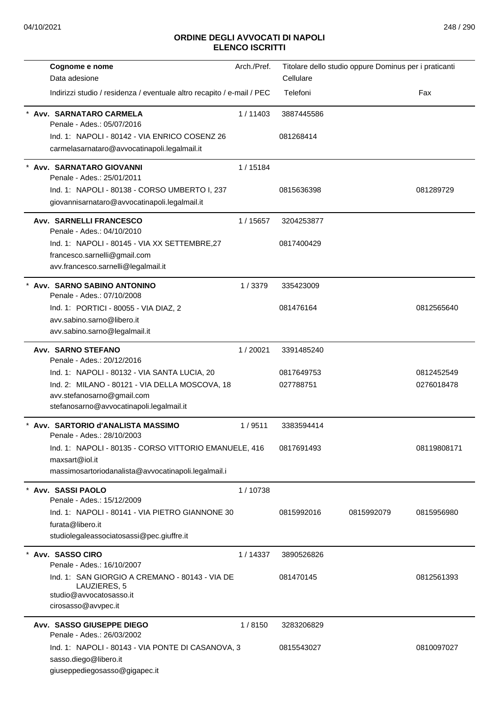| Cognome e nome                                                             | Arch./Pref. |            | Titolare dello studio oppure Dominus per i praticanti |             |
|----------------------------------------------------------------------------|-------------|------------|-------------------------------------------------------|-------------|
| Data adesione                                                              |             | Cellulare  |                                                       |             |
| Indirizzi studio / residenza / eventuale altro recapito / e-mail / PEC     |             | Telefoni   |                                                       | Fax         |
| Avv. SARNATARO CARMELA<br>Penale - Ades.: 05/07/2016                       | 1/11403     | 3887445586 |                                                       |             |
| Ind. 1: NAPOLI - 80142 - VIA ENRICO COSENZ 26                              |             | 081268414  |                                                       |             |
| carmelasarnataro@avvocatinapoli.legalmail.it                               |             |            |                                                       |             |
| Avv. SARNATARO GIOVANNI<br>Penale - Ades.: 25/01/2011                      | 1/15184     |            |                                                       |             |
| Ind. 1: NAPOLI - 80138 - CORSO UMBERTO I, 237                              |             | 0815636398 |                                                       | 081289729   |
| giovannisarnataro@avvocatinapoli.legalmail.it                              |             |            |                                                       |             |
| <b>Avv. SARNELLI FRANCESCO</b><br>Penale - Ades.: 04/10/2010               | 1 / 15657   | 3204253877 |                                                       |             |
| Ind. 1: NAPOLI - 80145 - VIA XX SETTEMBRE, 27                              |             | 0817400429 |                                                       |             |
| francesco.sarnelli@gmail.com<br>avv.francesco.sarnelli@legalmail.it        |             |            |                                                       |             |
| * Avv. SARNO SABINO ANTONINO<br>Penale - Ades.: 07/10/2008                 | 1/3379      | 335423009  |                                                       |             |
| Ind. 1: PORTICI - 80055 - VIA DIAZ, 2                                      |             | 081476164  |                                                       | 0812565640  |
| avv.sabino.sarno@libero.it                                                 |             |            |                                                       |             |
| avv.sabino.sarno@legalmail.it                                              |             |            |                                                       |             |
| Avv. SARNO STEFANO                                                         | 1/20021     | 3391485240 |                                                       |             |
| Penale - Ades.: 20/12/2016<br>Ind. 1: NAPOLI - 80132 - VIA SANTA LUCIA, 20 |             | 0817649753 |                                                       | 0812452549  |
| Ind. 2: MILANO - 80121 - VIA DELLA MOSCOVA, 18                             |             | 027788751  |                                                       | 0276018478  |
| avv.stefanosarno@gmail.com                                                 |             |            |                                                       |             |
| stefanosarno@avvocatinapoli.legalmail.it                                   |             |            |                                                       |             |
| Avv. SARTORIO d'ANALISTA MASSIMO<br>Penale - Ades.: 28/10/2003             | 1/9511      | 3383594414 |                                                       |             |
| Ind. 1: NAPOLI - 80135 - CORSO VITTORIO EMANUELE, 416                      |             | 0817691493 |                                                       | 08119808171 |
| maxsart@iol.it                                                             |             |            |                                                       |             |
| massimosartoriodanalista@avvocatinapoli.legalmail.i                        |             |            |                                                       |             |
| Avv. SASSI PAOLO<br>Penale - Ades.: 15/12/2009                             | 1/10738     |            |                                                       |             |
| Ind. 1: NAPOLI - 80141 - VIA PIETRO GIANNONE 30                            |             | 0815992016 | 0815992079                                            | 0815956980  |
| furata@libero.it                                                           |             |            |                                                       |             |
| studiolegaleassociatosassi@pec.giuffre.it                                  |             |            |                                                       |             |
| Avy. SASSO CIRO<br>Penale - Ades.: 16/10/2007                              | 1/14337     | 3890526826 |                                                       |             |
| Ind. 1: SAN GIORGIO A CREMANO - 80143 - VIA DE                             |             | 081470145  |                                                       | 0812561393  |
| LAUZIERES, 5<br>studio@avvocatosasso.it                                    |             |            |                                                       |             |
| cirosasso@avvpec.it                                                        |             |            |                                                       |             |
| Avv. SASSO GIUSEPPE DIEGO                                                  | 1/8150      | 3283206829 |                                                       |             |
| Penale - Ades.: 26/03/2002                                                 |             |            |                                                       |             |
| Ind. 1: NAPOLI - 80143 - VIA PONTE DI CASANOVA, 3                          |             | 0815543027 |                                                       | 0810097027  |
| sasso.diego@libero.it                                                      |             |            |                                                       |             |
| giuseppediegosasso@gigapec.it                                              |             |            |                                                       |             |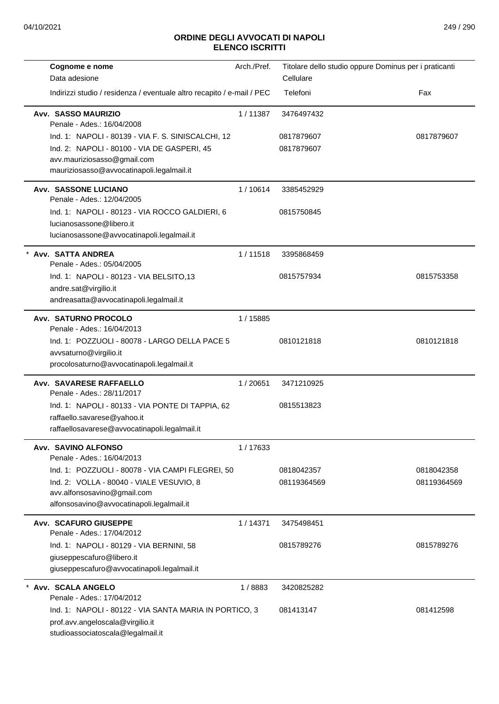| Data adesione<br>Cellulare<br>Indirizzi studio / residenza / eventuale altro recapito / e-mail / PEC<br>Telefoni<br>Fax<br>Avv. SASSO MAURIZIO<br>1/11387<br>3476497432<br>Penale - Ades.: 16/04/2008<br>Ind. 1: NAPOLI - 80139 - VIA F. S. SINISCALCHI, 12<br>0817879607<br>0817879607<br>Ind. 2: NAPOLI - 80100 - VIA DE GASPERI, 45<br>0817879607<br>avv.mauriziosasso@gmail.com<br>mauriziosasso@avvocatinapoli.legalmail.it<br><b>Avv. SASSONE LUCIANO</b><br>1/10614<br>3385452929<br>Penale - Ades.: 12/04/2005<br>Ind. 1: NAPOLI - 80123 - VIA ROCCO GALDIERI, 6<br>0815750845<br>lucianosassone@libero.it<br>lucianosassone@avvocatinapoli.legalmail.it<br>* Avv. SATTA ANDREA<br>1/11518<br>3395868459<br>Penale - Ades.: 05/04/2005<br>Ind. 1: NAPOLI - 80123 - VIA BELSITO,13<br>0815757934<br>0815753358<br>andre.sat@virgilio.it<br>andreasatta@avvocatinapoli.legalmail.it<br><b>Avv. SATURNO PROCOLO</b><br>1 / 15885<br>Penale - Ades.: 16/04/2013<br>Ind. 1: POZZUOLI - 80078 - LARGO DELLA PACE 5<br>0810121818<br>0810121818<br>avvsaturno@virgilio.it<br>procolosaturno@avvocatinapoli.legalmail.it<br>1/20651<br>Avv. SAVARESE RAFFAELLO<br>3471210925<br>Penale - Ades.: 28/11/2017<br>Ind. 1: NAPOLI - 80133 - VIA PONTE DI TAPPIA, 62<br>0815513823<br>raffaello.savarese@yahoo.it<br>raffaellosavarese@avvocatinapoli.legalmail.it<br>Avv. SAVINO ALFONSO<br>1/17633<br>Penale - Ades.: 16/04/2013<br>0818042358<br>Ind. 1: POZZUOLI - 80078 - VIA CAMPI FLEGREI, 50<br>0818042357<br>Ind. 2: VOLLA - 80040 - VIALE VESUVIO, 8<br>08119364569<br>08119364569<br>avv.alfonsosavino@gmail.com<br>alfonsosavino@avvocatinapoli.legalmail.it<br><b>Avv. SCAFURO GIUSEPPE</b><br>1/14371<br>3475498451<br>Penale - Ades.: 17/04/2012<br>Ind. 1: NAPOLI - 80129 - VIA BERNINI, 58<br>0815789276<br>0815789276<br>giuseppescafuro@libero.it<br>giuseppescafuro@avvocatinapoli.legalmail.it<br>Avv. SCALA ANGELO<br>1/8883<br>3420825282 | Cognome e nome             | Arch./Pref. | Titolare dello studio oppure Dominus per i praticanti |  |
|------------------------------------------------------------------------------------------------------------------------------------------------------------------------------------------------------------------------------------------------------------------------------------------------------------------------------------------------------------------------------------------------------------------------------------------------------------------------------------------------------------------------------------------------------------------------------------------------------------------------------------------------------------------------------------------------------------------------------------------------------------------------------------------------------------------------------------------------------------------------------------------------------------------------------------------------------------------------------------------------------------------------------------------------------------------------------------------------------------------------------------------------------------------------------------------------------------------------------------------------------------------------------------------------------------------------------------------------------------------------------------------------------------------------------------------------------------------------------------------------------------------------------------------------------------------------------------------------------------------------------------------------------------------------------------------------------------------------------------------------------------------------------------------------------------------------------------------------------------------------------------------------------------------------------------------------------------|----------------------------|-------------|-------------------------------------------------------|--|
|                                                                                                                                                                                                                                                                                                                                                                                                                                                                                                                                                                                                                                                                                                                                                                                                                                                                                                                                                                                                                                                                                                                                                                                                                                                                                                                                                                                                                                                                                                                                                                                                                                                                                                                                                                                                                                                                                                                                                            |                            |             |                                                       |  |
|                                                                                                                                                                                                                                                                                                                                                                                                                                                                                                                                                                                                                                                                                                                                                                                                                                                                                                                                                                                                                                                                                                                                                                                                                                                                                                                                                                                                                                                                                                                                                                                                                                                                                                                                                                                                                                                                                                                                                            |                            |             |                                                       |  |
|                                                                                                                                                                                                                                                                                                                                                                                                                                                                                                                                                                                                                                                                                                                                                                                                                                                                                                                                                                                                                                                                                                                                                                                                                                                                                                                                                                                                                                                                                                                                                                                                                                                                                                                                                                                                                                                                                                                                                            |                            |             |                                                       |  |
|                                                                                                                                                                                                                                                                                                                                                                                                                                                                                                                                                                                                                                                                                                                                                                                                                                                                                                                                                                                                                                                                                                                                                                                                                                                                                                                                                                                                                                                                                                                                                                                                                                                                                                                                                                                                                                                                                                                                                            |                            |             |                                                       |  |
|                                                                                                                                                                                                                                                                                                                                                                                                                                                                                                                                                                                                                                                                                                                                                                                                                                                                                                                                                                                                                                                                                                                                                                                                                                                                                                                                                                                                                                                                                                                                                                                                                                                                                                                                                                                                                                                                                                                                                            |                            |             |                                                       |  |
|                                                                                                                                                                                                                                                                                                                                                                                                                                                                                                                                                                                                                                                                                                                                                                                                                                                                                                                                                                                                                                                                                                                                                                                                                                                                                                                                                                                                                                                                                                                                                                                                                                                                                                                                                                                                                                                                                                                                                            |                            |             |                                                       |  |
|                                                                                                                                                                                                                                                                                                                                                                                                                                                                                                                                                                                                                                                                                                                                                                                                                                                                                                                                                                                                                                                                                                                                                                                                                                                                                                                                                                                                                                                                                                                                                                                                                                                                                                                                                                                                                                                                                                                                                            |                            |             |                                                       |  |
|                                                                                                                                                                                                                                                                                                                                                                                                                                                                                                                                                                                                                                                                                                                                                                                                                                                                                                                                                                                                                                                                                                                                                                                                                                                                                                                                                                                                                                                                                                                                                                                                                                                                                                                                                                                                                                                                                                                                                            |                            |             |                                                       |  |
|                                                                                                                                                                                                                                                                                                                                                                                                                                                                                                                                                                                                                                                                                                                                                                                                                                                                                                                                                                                                                                                                                                                                                                                                                                                                                                                                                                                                                                                                                                                                                                                                                                                                                                                                                                                                                                                                                                                                                            |                            |             |                                                       |  |
|                                                                                                                                                                                                                                                                                                                                                                                                                                                                                                                                                                                                                                                                                                                                                                                                                                                                                                                                                                                                                                                                                                                                                                                                                                                                                                                                                                                                                                                                                                                                                                                                                                                                                                                                                                                                                                                                                                                                                            |                            |             |                                                       |  |
|                                                                                                                                                                                                                                                                                                                                                                                                                                                                                                                                                                                                                                                                                                                                                                                                                                                                                                                                                                                                                                                                                                                                                                                                                                                                                                                                                                                                                                                                                                                                                                                                                                                                                                                                                                                                                                                                                                                                                            |                            |             |                                                       |  |
|                                                                                                                                                                                                                                                                                                                                                                                                                                                                                                                                                                                                                                                                                                                                                                                                                                                                                                                                                                                                                                                                                                                                                                                                                                                                                                                                                                                                                                                                                                                                                                                                                                                                                                                                                                                                                                                                                                                                                            |                            |             |                                                       |  |
|                                                                                                                                                                                                                                                                                                                                                                                                                                                                                                                                                                                                                                                                                                                                                                                                                                                                                                                                                                                                                                                                                                                                                                                                                                                                                                                                                                                                                                                                                                                                                                                                                                                                                                                                                                                                                                                                                                                                                            |                            |             |                                                       |  |
|                                                                                                                                                                                                                                                                                                                                                                                                                                                                                                                                                                                                                                                                                                                                                                                                                                                                                                                                                                                                                                                                                                                                                                                                                                                                                                                                                                                                                                                                                                                                                                                                                                                                                                                                                                                                                                                                                                                                                            |                            |             |                                                       |  |
|                                                                                                                                                                                                                                                                                                                                                                                                                                                                                                                                                                                                                                                                                                                                                                                                                                                                                                                                                                                                                                                                                                                                                                                                                                                                                                                                                                                                                                                                                                                                                                                                                                                                                                                                                                                                                                                                                                                                                            |                            |             |                                                       |  |
|                                                                                                                                                                                                                                                                                                                                                                                                                                                                                                                                                                                                                                                                                                                                                                                                                                                                                                                                                                                                                                                                                                                                                                                                                                                                                                                                                                                                                                                                                                                                                                                                                                                                                                                                                                                                                                                                                                                                                            |                            |             |                                                       |  |
|                                                                                                                                                                                                                                                                                                                                                                                                                                                                                                                                                                                                                                                                                                                                                                                                                                                                                                                                                                                                                                                                                                                                                                                                                                                                                                                                                                                                                                                                                                                                                                                                                                                                                                                                                                                                                                                                                                                                                            |                            |             |                                                       |  |
|                                                                                                                                                                                                                                                                                                                                                                                                                                                                                                                                                                                                                                                                                                                                                                                                                                                                                                                                                                                                                                                                                                                                                                                                                                                                                                                                                                                                                                                                                                                                                                                                                                                                                                                                                                                                                                                                                                                                                            |                            |             |                                                       |  |
|                                                                                                                                                                                                                                                                                                                                                                                                                                                                                                                                                                                                                                                                                                                                                                                                                                                                                                                                                                                                                                                                                                                                                                                                                                                                                                                                                                                                                                                                                                                                                                                                                                                                                                                                                                                                                                                                                                                                                            |                            |             |                                                       |  |
|                                                                                                                                                                                                                                                                                                                                                                                                                                                                                                                                                                                                                                                                                                                                                                                                                                                                                                                                                                                                                                                                                                                                                                                                                                                                                                                                                                                                                                                                                                                                                                                                                                                                                                                                                                                                                                                                                                                                                            |                            |             |                                                       |  |
|                                                                                                                                                                                                                                                                                                                                                                                                                                                                                                                                                                                                                                                                                                                                                                                                                                                                                                                                                                                                                                                                                                                                                                                                                                                                                                                                                                                                                                                                                                                                                                                                                                                                                                                                                                                                                                                                                                                                                            |                            |             |                                                       |  |
|                                                                                                                                                                                                                                                                                                                                                                                                                                                                                                                                                                                                                                                                                                                                                                                                                                                                                                                                                                                                                                                                                                                                                                                                                                                                                                                                                                                                                                                                                                                                                                                                                                                                                                                                                                                                                                                                                                                                                            |                            |             |                                                       |  |
|                                                                                                                                                                                                                                                                                                                                                                                                                                                                                                                                                                                                                                                                                                                                                                                                                                                                                                                                                                                                                                                                                                                                                                                                                                                                                                                                                                                                                                                                                                                                                                                                                                                                                                                                                                                                                                                                                                                                                            |                            |             |                                                       |  |
|                                                                                                                                                                                                                                                                                                                                                                                                                                                                                                                                                                                                                                                                                                                                                                                                                                                                                                                                                                                                                                                                                                                                                                                                                                                                                                                                                                                                                                                                                                                                                                                                                                                                                                                                                                                                                                                                                                                                                            |                            |             |                                                       |  |
|                                                                                                                                                                                                                                                                                                                                                                                                                                                                                                                                                                                                                                                                                                                                                                                                                                                                                                                                                                                                                                                                                                                                                                                                                                                                                                                                                                                                                                                                                                                                                                                                                                                                                                                                                                                                                                                                                                                                                            |                            |             |                                                       |  |
|                                                                                                                                                                                                                                                                                                                                                                                                                                                                                                                                                                                                                                                                                                                                                                                                                                                                                                                                                                                                                                                                                                                                                                                                                                                                                                                                                                                                                                                                                                                                                                                                                                                                                                                                                                                                                                                                                                                                                            |                            |             |                                                       |  |
|                                                                                                                                                                                                                                                                                                                                                                                                                                                                                                                                                                                                                                                                                                                                                                                                                                                                                                                                                                                                                                                                                                                                                                                                                                                                                                                                                                                                                                                                                                                                                                                                                                                                                                                                                                                                                                                                                                                                                            |                            |             |                                                       |  |
|                                                                                                                                                                                                                                                                                                                                                                                                                                                                                                                                                                                                                                                                                                                                                                                                                                                                                                                                                                                                                                                                                                                                                                                                                                                                                                                                                                                                                                                                                                                                                                                                                                                                                                                                                                                                                                                                                                                                                            |                            |             |                                                       |  |
|                                                                                                                                                                                                                                                                                                                                                                                                                                                                                                                                                                                                                                                                                                                                                                                                                                                                                                                                                                                                                                                                                                                                                                                                                                                                                                                                                                                                                                                                                                                                                                                                                                                                                                                                                                                                                                                                                                                                                            |                            |             |                                                       |  |
|                                                                                                                                                                                                                                                                                                                                                                                                                                                                                                                                                                                                                                                                                                                                                                                                                                                                                                                                                                                                                                                                                                                                                                                                                                                                                                                                                                                                                                                                                                                                                                                                                                                                                                                                                                                                                                                                                                                                                            |                            |             |                                                       |  |
|                                                                                                                                                                                                                                                                                                                                                                                                                                                                                                                                                                                                                                                                                                                                                                                                                                                                                                                                                                                                                                                                                                                                                                                                                                                                                                                                                                                                                                                                                                                                                                                                                                                                                                                                                                                                                                                                                                                                                            |                            |             |                                                       |  |
|                                                                                                                                                                                                                                                                                                                                                                                                                                                                                                                                                                                                                                                                                                                                                                                                                                                                                                                                                                                                                                                                                                                                                                                                                                                                                                                                                                                                                                                                                                                                                                                                                                                                                                                                                                                                                                                                                                                                                            |                            |             |                                                       |  |
|                                                                                                                                                                                                                                                                                                                                                                                                                                                                                                                                                                                                                                                                                                                                                                                                                                                                                                                                                                                                                                                                                                                                                                                                                                                                                                                                                                                                                                                                                                                                                                                                                                                                                                                                                                                                                                                                                                                                                            |                            |             |                                                       |  |
|                                                                                                                                                                                                                                                                                                                                                                                                                                                                                                                                                                                                                                                                                                                                                                                                                                                                                                                                                                                                                                                                                                                                                                                                                                                                                                                                                                                                                                                                                                                                                                                                                                                                                                                                                                                                                                                                                                                                                            |                            |             |                                                       |  |
|                                                                                                                                                                                                                                                                                                                                                                                                                                                                                                                                                                                                                                                                                                                                                                                                                                                                                                                                                                                                                                                                                                                                                                                                                                                                                                                                                                                                                                                                                                                                                                                                                                                                                                                                                                                                                                                                                                                                                            |                            |             |                                                       |  |
|                                                                                                                                                                                                                                                                                                                                                                                                                                                                                                                                                                                                                                                                                                                                                                                                                                                                                                                                                                                                                                                                                                                                                                                                                                                                                                                                                                                                                                                                                                                                                                                                                                                                                                                                                                                                                                                                                                                                                            |                            |             |                                                       |  |
|                                                                                                                                                                                                                                                                                                                                                                                                                                                                                                                                                                                                                                                                                                                                                                                                                                                                                                                                                                                                                                                                                                                                                                                                                                                                                                                                                                                                                                                                                                                                                                                                                                                                                                                                                                                                                                                                                                                                                            | Penale - Ades.: 17/04/2012 |             |                                                       |  |
| 081413147<br>081412598<br>Ind. 1: NAPOLI - 80122 - VIA SANTA MARIA IN PORTICO, 3                                                                                                                                                                                                                                                                                                                                                                                                                                                                                                                                                                                                                                                                                                                                                                                                                                                                                                                                                                                                                                                                                                                                                                                                                                                                                                                                                                                                                                                                                                                                                                                                                                                                                                                                                                                                                                                                           |                            |             |                                                       |  |
| prof.avv.angeloscala@virgilio.it<br>studioassociatoscala@legalmail.it                                                                                                                                                                                                                                                                                                                                                                                                                                                                                                                                                                                                                                                                                                                                                                                                                                                                                                                                                                                                                                                                                                                                                                                                                                                                                                                                                                                                                                                                                                                                                                                                                                                                                                                                                                                                                                                                                      |                            |             |                                                       |  |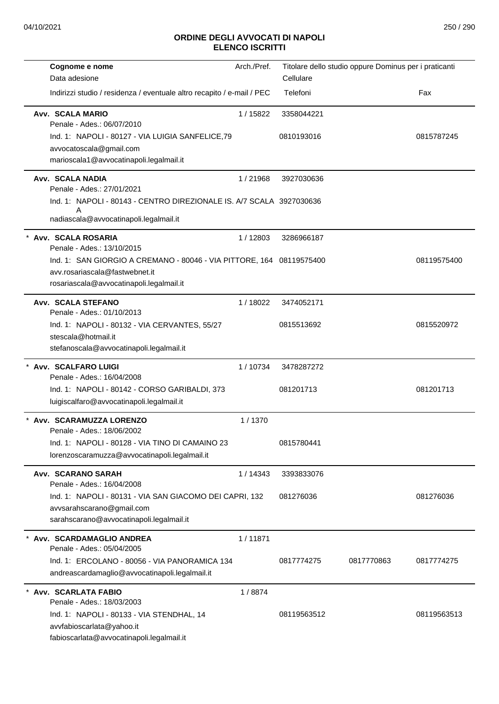| Cognome e nome                                                                                         | Arch./Pref. |             | Titolare dello studio oppure Dominus per i praticanti |             |
|--------------------------------------------------------------------------------------------------------|-------------|-------------|-------------------------------------------------------|-------------|
| Data adesione                                                                                          |             | Cellulare   |                                                       |             |
| Indirizzi studio / residenza / eventuale altro recapito / e-mail / PEC                                 |             | Telefoni    |                                                       | Fax         |
| Avv. SCALA MARIO<br>Penale - Ades.: 06/07/2010                                                         | 1/15822     | 3358044221  |                                                       |             |
| Ind. 1: NAPOLI - 80127 - VIA LUIGIA SANFELICE, 79                                                      |             | 0810193016  |                                                       | 0815787245  |
| avvocatoscala@gmail.com                                                                                |             |             |                                                       |             |
| marioscala1@avvocatinapoli.legalmail.it                                                                |             |             |                                                       |             |
| Avv. SCALA NADIA<br>Penale - Ades.: 27/01/2021                                                         | 1/21968     | 3927030636  |                                                       |             |
| Ind. 1: NAPOLI - 80143 - CENTRO DIREZIONALE IS. A/7 SCALA 3927030636                                   |             |             |                                                       |             |
| Α                                                                                                      |             |             |                                                       |             |
| nadiascala@avvocatinapoli.legalmail.it                                                                 |             |             |                                                       |             |
| * Avv. SCALA ROSARIA                                                                                   | 1/12803     | 3286966187  |                                                       |             |
| Penale - Ades.: 13/10/2015                                                                             |             |             |                                                       |             |
| Ind. 1: SAN GIORGIO A CREMANO - 80046 - VIA PITTORE, 164 08119575400<br>avv.rosariascala@fastwebnet.it |             |             |                                                       | 08119575400 |
| rosariascala@avvocatinapoli.legalmail.it                                                               |             |             |                                                       |             |
| Avv. SCALA STEFANO                                                                                     | 1/18022     | 3474052171  |                                                       |             |
| Penale - Ades.: 01/10/2013                                                                             |             |             |                                                       |             |
| Ind. 1: NAPOLI - 80132 - VIA CERVANTES, 55/27                                                          |             | 0815513692  |                                                       | 0815520972  |
| stescala@hotmail.it                                                                                    |             |             |                                                       |             |
| stefanoscala@avvocatinapoli.legalmail.it                                                               |             |             |                                                       |             |
| Avv. SCALFARO LUIGI                                                                                    | 1 / 10734   | 3478287272  |                                                       |             |
| Penale - Ades.: 16/04/2008<br>Ind. 1: NAPOLI - 80142 - CORSO GARIBALDI, 373                            |             | 081201713   |                                                       | 081201713   |
| luigiscalfaro@avvocatinapoli.legalmail.it                                                              |             |             |                                                       |             |
| Avv. SCARAMUZZA LORENZO                                                                                | 1/1370      |             |                                                       |             |
| Penale - Ades.: 18/06/2002                                                                             |             |             |                                                       |             |
| Ind. 1: NAPOLI - 80128 - VIA TINO DI CAMAINO 23                                                        |             | 0815780441  |                                                       |             |
| lorenzoscaramuzza@avvocatinapoli.legalmail.it                                                          |             |             |                                                       |             |
| Avv. SCARANO SARAH<br>Penale - Ades.: 16/04/2008                                                       | 1/14343     | 3393833076  |                                                       |             |
| Ind. 1: NAPOLI - 80131 - VIA SAN GIACOMO DEI CAPRI, 132                                                |             | 081276036   |                                                       | 081276036   |
| avvsarahscarano@gmail.com                                                                              |             |             |                                                       |             |
| sarahscarano@avvocatinapoli.legalmail.it                                                               |             |             |                                                       |             |
| Avv. SCARDAMAGLIO ANDREA                                                                               | 1/11871     |             |                                                       |             |
| Penale - Ades.: 05/04/2005                                                                             |             |             |                                                       |             |
| Ind. 1: ERCOLANO - 80056 - VIA PANORAMICA 134                                                          |             | 0817774275  | 0817770863                                            | 0817774275  |
| andreascardamaglio@avvocatinapoli.legalmail.it                                                         |             |             |                                                       |             |
| * Avv. SCARLATA FABIO                                                                                  | 1/8874      |             |                                                       |             |
| Penale - Ades.: 18/03/2003                                                                             |             |             |                                                       |             |
| Ind. 1: NAPOLI - 80133 - VIA STENDHAL, 14                                                              |             | 08119563512 |                                                       | 08119563513 |
| avvfabioscarlata@yahoo.it                                                                              |             |             |                                                       |             |
| fabioscarlata@avvocatinapoli.legalmail.it                                                              |             |             |                                                       |             |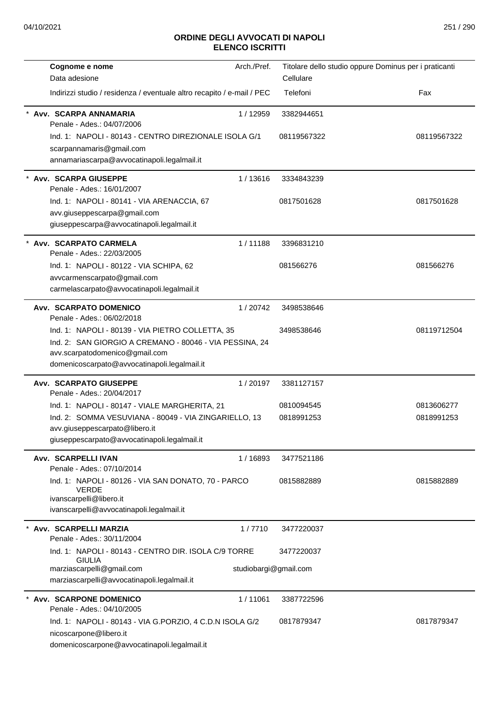| Arch./Pref.<br>Cognome e nome                                                  | Titolare dello studio oppure Dominus per i praticanti |             |
|--------------------------------------------------------------------------------|-------------------------------------------------------|-------------|
| Data adesione                                                                  | Cellulare                                             |             |
| Indirizzi studio / residenza / eventuale altro recapito / e-mail / PEC         | Telefoni                                              | Fax         |
| Avv. SCARPA ANNAMARIA<br>1 / 12959<br>Penale - Ades.: 04/07/2006               | 3382944651                                            |             |
| Ind. 1: NAPOLI - 80143 - CENTRO DIREZIONALE ISOLA G/1                          | 08119567322                                           | 08119567322 |
| scarpannamaris@gmail.com                                                       |                                                       |             |
| annamariascarpa@avvocatinapoli.legalmail.it                                    |                                                       |             |
| Avv. SCARPA GIUSEPPE<br>1/13616                                                | 3334843239                                            |             |
| Penale - Ades.: 16/01/2007                                                     |                                                       |             |
| Ind. 1: NAPOLI - 80141 - VIA ARENACCIA, 67                                     | 0817501628                                            | 0817501628  |
| avv.giuseppescarpa@gmail.com<br>giuseppescarpa@avvocatinapoli.legalmail.it     |                                                       |             |
|                                                                                |                                                       |             |
| Avv. SCARPATO CARMELA<br>1/11188<br>Penale - Ades.: 22/03/2005                 | 3396831210                                            |             |
| Ind. 1: NAPOLI - 80122 - VIA SCHIPA, 62                                        | 081566276                                             | 081566276   |
| avvcarmenscarpato@gmail.com                                                    |                                                       |             |
| carmelascarpato@avvocatinapoli.legalmail.it                                    |                                                       |             |
| Avv. SCARPATO DOMENICO<br>1/20742<br>Penale - Ades.: 06/02/2018                | 3498538646                                            |             |
| Ind. 1: NAPOLI - 80139 - VIA PIETRO COLLETTA, 35                               | 3498538646                                            | 08119712504 |
| Ind. 2: SAN GIORGIO A CREMANO - 80046 - VIA PESSINA, 24                        |                                                       |             |
| avv.scarpatodomenico@gmail.com                                                 |                                                       |             |
| domenicoscarpato@avvocatinapoli.legalmail.it                                   |                                                       |             |
| <b>Avv. SCARPATO GIUSEPPE</b><br>1/20197<br>Penale - Ades.: 20/04/2017         | 3381127157                                            |             |
| Ind. 1: NAPOLI - 80147 - VIALE MARGHERITA, 21                                  | 0810094545                                            | 0813606277  |
| Ind. 2: SOMMA VESUVIANA - 80049 - VIA ZINGARIELLO, 13                          | 0818991253                                            | 0818991253  |
| avv.giuseppescarpato@libero.it<br>giuseppescarpato@avvocatinapoli.legalmail.it |                                                       |             |
|                                                                                |                                                       |             |
| Avv. SCARPELLI IVAN<br>1/16893<br>Penale - Ades.: 07/10/2014                   | 3477521186                                            |             |
| Ind. 1: NAPOLI - 80126 - VIA SAN DONATO, 70 - PARCO<br><b>VERDE</b>            | 0815882889                                            | 0815882889  |
| ivanscarpelli@libero.it                                                        |                                                       |             |
| ivanscarpelli@avvocatinapoli.legalmail.it                                      |                                                       |             |
| Avv. SCARPELLI MARZIA<br>1/7710<br>Penale - Ades.: 30/11/2004                  | 3477220037                                            |             |
| Ind. 1: NAPOLI - 80143 - CENTRO DIR. ISOLA C/9 TORRE<br><b>GIULIA</b>          | 3477220037                                            |             |
| marziascarpelli@gmail.com                                                      | studiobargi@gmail.com                                 |             |
| marziascarpelli@avvocatinapoli.legalmail.it                                    |                                                       |             |
| <b>Avv. SCARPONE DOMENICO</b><br>1/11061                                       | 3387722596                                            |             |
| Penale - Ades.: 04/10/2005                                                     |                                                       |             |
| Ind. 1: NAPOLI - 80143 - VIA G.PORZIO, 4 C.D.N ISOLA G/2                       | 0817879347                                            | 0817879347  |
| nicoscarpone@libero.it<br>domenicoscarpone@avvocatinapoli.legalmail.it         |                                                       |             |
|                                                                                |                                                       |             |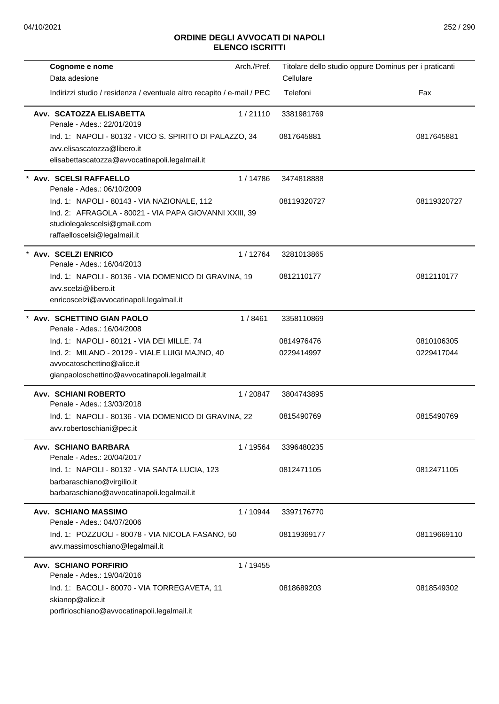| Cognome e nome                                                         | Arch./Pref. |             | Titolare dello studio oppure Dominus per i praticanti |
|------------------------------------------------------------------------|-------------|-------------|-------------------------------------------------------|
| Data adesione                                                          |             | Cellulare   |                                                       |
| Indirizzi studio / residenza / eventuale altro recapito / e-mail / PEC |             | Telefoni    | Fax                                                   |
| Avv. SCATOZZA ELISABETTA<br>Penale - Ades.: 22/01/2019                 | 1/21110     | 3381981769  |                                                       |
| Ind. 1: NAPOLI - 80132 - VICO S. SPIRITO DI PALAZZO, 34                |             | 0817645881  | 0817645881                                            |
| avv.elisascatozza@libero.it                                            |             |             |                                                       |
| elisabettascatozza@avvocatinapoli.legalmail.it                         |             |             |                                                       |
| Avv. SCELSI RAFFAELLO<br>Penale - Ades.: 06/10/2009                    | 1/14786     | 3474818888  |                                                       |
| Ind. 1: NAPOLI - 80143 - VIA NAZIONALE, 112                            |             | 08119320727 | 08119320727                                           |
| Ind. 2: AFRAGOLA - 80021 - VIA PAPA GIOVANNI XXIII, 39                 |             |             |                                                       |
| studiolegalescelsi@gmail.com<br>raffaelloscelsi@legalmail.it           |             |             |                                                       |
|                                                                        |             |             |                                                       |
| Avv. SCELZI ENRICO<br>Penale - Ades.: 16/04/2013                       | 1/12764     | 3281013865  |                                                       |
| Ind. 1: NAPOLI - 80136 - VIA DOMENICO DI GRAVINA, 19                   |             | 0812110177  | 0812110177                                            |
| avv.scelzi@libero.it                                                   |             |             |                                                       |
| enricoscelzi@avvocatinapoli.legalmail.it                               |             |             |                                                       |
| * Avv. SCHETTINO GIAN PAOLO<br>Penale - Ades.: 16/04/2008              | 1/8461      | 3358110869  |                                                       |
| Ind. 1: NAPOLI - 80121 - VIA DEI MILLE, 74                             |             | 0814976476  | 0810106305                                            |
| Ind. 2: MILANO - 20129 - VIALE LUIGI MAJNO, 40                         |             | 0229414997  | 0229417044                                            |
| avvocatoschettino@alice.it                                             |             |             |                                                       |
| gianpaoloschettino@avvocatinapoli.legalmail.it                         |             |             |                                                       |
| <b>Avv. SCHIANI ROBERTO</b><br>Penale - Ades.: 13/03/2018              | 1/20847     | 3804743895  |                                                       |
| Ind. 1: NAPOLI - 80136 - VIA DOMENICO DI GRAVINA, 22                   |             | 0815490769  | 0815490769                                            |
| avv.robertoschiani@pec.it                                              |             |             |                                                       |
| Avv. SCHIANO BARBARA<br>Penale - Ades.: 20/04/2017                     | 1 / 19564   | 3396480235  |                                                       |
| Ind. 1: NAPOLI - 80132 - VIA SANTA LUCIA, 123                          |             | 0812471105  | 0812471105                                            |
| barbaraschiano@virgilio.it                                             |             |             |                                                       |
| barbaraschiano@avvocatinapoli.legalmail.it                             |             |             |                                                       |
| <b>Avv. SCHIANO MASSIMO</b><br>Penale - Ades.: 04/07/2006              | 1 / 10944   | 3397176770  |                                                       |
| Ind. 1: POZZUOLI - 80078 - VIA NICOLA FASANO, 50                       |             | 08119369177 | 08119669110                                           |
| avv.massimoschiano@legalmail.it                                        |             |             |                                                       |
| <b>Avv. SCHIANO PORFIRIO</b>                                           | 1 / 19455   |             |                                                       |
| Penale - Ades.: 19/04/2016                                             |             |             |                                                       |
| Ind. 1: BACOLI - 80070 - VIA TORREGAVETA, 11                           |             | 0818689203  | 0818549302                                            |
| skianop@alice.it                                                       |             |             |                                                       |
| porfirioschiano@avvocatinapoli.legalmail.it                            |             |             |                                                       |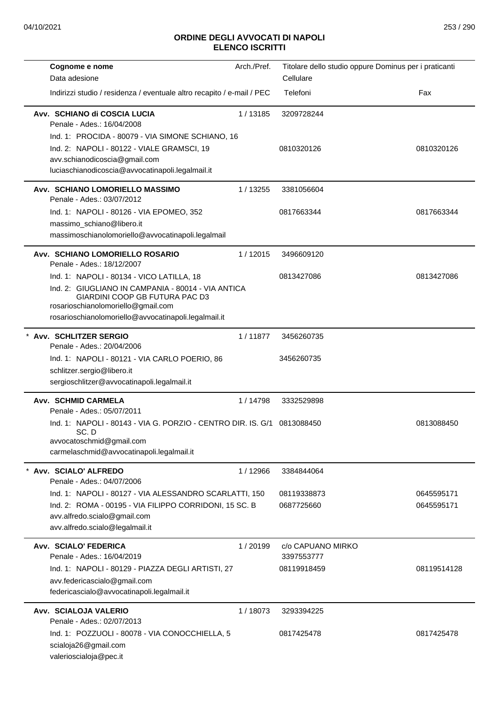| Cognome e nome                                                                                                                                                                     | Arch./Pref. | Titolare dello studio oppure Dominus per i praticanti |             |
|------------------------------------------------------------------------------------------------------------------------------------------------------------------------------------|-------------|-------------------------------------------------------|-------------|
| Data adesione                                                                                                                                                                      |             | Cellulare                                             |             |
| Indirizzi studio / residenza / eventuale altro recapito / e-mail / PEC                                                                                                             |             | Telefoni                                              | Fax         |
| Avv. SCHIANO di COSCIA LUCIA<br>Penale - Ades.: 16/04/2008                                                                                                                         | 1/13185     | 3209728244                                            |             |
| Ind. 1: PROCIDA - 80079 - VIA SIMONE SCHIANO, 16                                                                                                                                   |             |                                                       |             |
| Ind. 2: NAPOLI - 80122 - VIALE GRAMSCI, 19                                                                                                                                         |             | 0810320126                                            | 0810320126  |
| avv.schianodicoscia@gmail.com                                                                                                                                                      |             |                                                       |             |
| luciaschianodicoscia@avvocatinapoli.legalmail.it                                                                                                                                   |             |                                                       |             |
| Avv. SCHIANO LOMORIELLO MASSIMO<br>Penale - Ades.: 03/07/2012                                                                                                                      | 1/13255     | 3381056604                                            |             |
| Ind. 1: NAPOLI - 80126 - VIA EPOMEO, 352                                                                                                                                           |             | 0817663344                                            | 0817663344  |
| massimo_schiano@libero.it                                                                                                                                                          |             |                                                       |             |
| massimoschianolomoriello@avvocatinapoli.legalmail                                                                                                                                  |             |                                                       |             |
| Avv. SCHIANO LOMORIELLO ROSARIO<br>Penale - Ades.: 18/12/2007                                                                                                                      | 1/12015     | 3496609120                                            |             |
| Ind. 1: NAPOLI - 80134 - VICO LATILLA, 18                                                                                                                                          |             | 0813427086                                            | 0813427086  |
| Ind. 2: GIUGLIANO IN CAMPANIA - 80014 - VIA ANTICA<br>GIARDINI COOP GB FUTURA PAC D3<br>rosarioschianolomoriello@gmail.com<br>rosarioschianolomoriello@avvocatinapoli.legalmail.it |             |                                                       |             |
| * Avv. SCHLITZER SERGIO                                                                                                                                                            | 1/11877     | 3456260735                                            |             |
| Penale - Ades.: 20/04/2006                                                                                                                                                         |             |                                                       |             |
| Ind. 1: NAPOLI - 80121 - VIA CARLO POERIO, 86                                                                                                                                      |             | 3456260735                                            |             |
| schlitzer.sergio@libero.it                                                                                                                                                         |             |                                                       |             |
| sergioschlitzer@avvocatinapoli.legalmail.it                                                                                                                                        |             |                                                       |             |
| Avv. SCHMID CARMELA<br>Penale - Ades.: 05/07/2011                                                                                                                                  | 1 / 14798   | 3332529898                                            |             |
| Ind. 1: NAPOLI - 80143 - VIA G. PORZIO - CENTRO DIR. IS. G/1 0813088450<br>SC.D<br>avvocatoschmid@gmail.com<br>carmelaschmid@avvocatinapoli.legalmail.it                           |             |                                                       | 0813088450  |
|                                                                                                                                                                                    |             |                                                       |             |
| Avv. SCIALO' ALFREDO<br>Penale - Ades.: 04/07/2006                                                                                                                                 | 1/12966     | 3384844064                                            |             |
| Ind. 1: NAPOLI - 80127 - VIA ALESSANDRO SCARLATTI, 150                                                                                                                             |             | 08119338873                                           | 0645595171  |
| Ind. 2: ROMA - 00195 - VIA FILIPPO CORRIDONI, 15 SC. B                                                                                                                             |             | 0687725660                                            | 0645595171  |
| avv.alfredo.scialo@gmail.com                                                                                                                                                       |             |                                                       |             |
| avv.alfredo.scialo@legalmail.it                                                                                                                                                    |             |                                                       |             |
| Avv. SCIALO' FEDERICA<br>Penale - Ades.: 16/04/2019                                                                                                                                | 1/20199     | c/o CAPUANO MIRKO<br>3397553777                       |             |
| Ind. 1: NAPOLI - 80129 - PIAZZA DEGLI ARTISTI, 27                                                                                                                                  |             | 08119918459                                           | 08119514128 |
| avv.federicascialo@gmail.com<br>federicascialo@avvocatinapoli.legalmail.it                                                                                                         |             |                                                       |             |
| Avv. SCIALOJA VALERIO<br>Penale - Ades.: 02/07/2013                                                                                                                                | 1/18073     | 3293394225                                            |             |
| Ind. 1: POZZUOLI - 80078 - VIA CONOCCHIELLA, 5                                                                                                                                     |             | 0817425478                                            | 0817425478  |
| scialoja26@gmail.com<br>valerioscialoja@pec.it                                                                                                                                     |             |                                                       |             |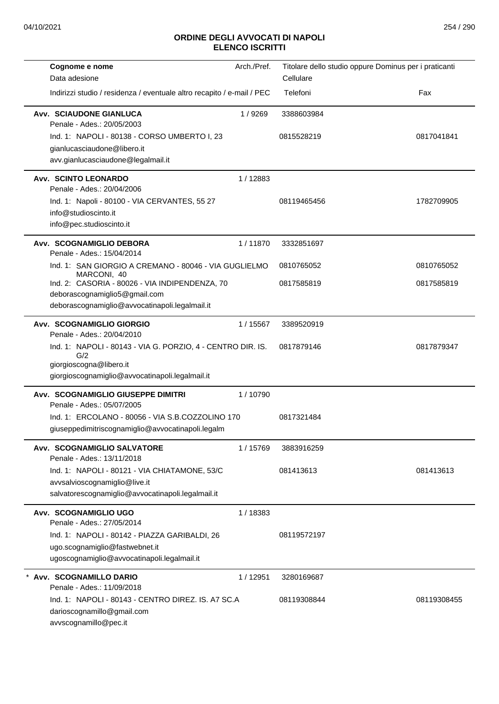| Cognome e nome                                                                                 | Arch./Pref. |             | Titolare dello studio oppure Dominus per i praticanti |
|------------------------------------------------------------------------------------------------|-------------|-------------|-------------------------------------------------------|
| Data adesione                                                                                  |             | Cellulare   |                                                       |
| Indirizzi studio / residenza / eventuale altro recapito / e-mail / PEC                         |             | Telefoni    | Fax                                                   |
| <b>Avv. SCIAUDONE GIANLUCA</b><br>Penale - Ades.: 20/05/2003                                   | 1/9269      | 3388603984  |                                                       |
| Ind. 1: NAPOLI - 80138 - CORSO UMBERTO I, 23                                                   |             | 0815528219  | 0817041841                                            |
| gianlucasciaudone@libero.it                                                                    |             |             |                                                       |
| avv.gianlucasciaudone@legalmail.it                                                             |             |             |                                                       |
| <b>Avv. SCINTO LEONARDO</b><br>Penale - Ades.: 20/04/2006                                      | 1/12883     |             |                                                       |
| Ind. 1: Napoli - 80100 - VIA CERVANTES, 55 27                                                  |             | 08119465456 | 1782709905                                            |
| info@studioscinto.it                                                                           |             |             |                                                       |
| info@pec.studioscinto.it                                                                       |             |             |                                                       |
| Avv. SCOGNAMIGLIO DEBORA<br>Penale - Ades.: 15/04/2014                                         | 1/11870     | 3332851697  |                                                       |
| Ind. 1: SAN GIORGIO A CREMANO - 80046 - VIA GUGLIELMO                                          |             | 0810765052  | 0810765052                                            |
| MARCONI, 40<br>Ind. 2: CASORIA - 80026 - VIA INDIPENDENZA, 70<br>deborascognamiglio5@gmail.com |             | 0817585819  | 0817585819                                            |
| deborascognamiglio@avvocatinapoli.legalmail.it                                                 |             |             |                                                       |
|                                                                                                |             |             |                                                       |
| Avv. SCOGNAMIGLIO GIORGIO<br>Penale - Ades.: 20/04/2010                                        | 1 / 15567   | 3389520919  |                                                       |
| Ind. 1: NAPOLI - 80143 - VIA G. PORZIO, 4 - CENTRO DIR. IS.                                    |             | 0817879146  | 0817879347                                            |
| G/2<br>giorgioscogna@libero.it                                                                 |             |             |                                                       |
| giorgioscognamiglio@avvocatinapoli.legalmail.it                                                |             |             |                                                       |
| <b>Avv. SCOGNAMIGLIO GIUSEPPE DIMITRI</b>                                                      |             |             |                                                       |
| Penale - Ades.: 05/07/2005                                                                     | 1/10790     |             |                                                       |
| Ind. 1: ERCOLANO - 80056 - VIA S.B.COZZOLINO 170                                               |             | 0817321484  |                                                       |
| giuseppedimitriscognamiglio@avvocatinapoli.legalm                                              |             |             |                                                       |
| Avv. SCOGNAMIGLIO SALVATORE                                                                    | 1 / 15769   | 3883916259  |                                                       |
| Penale - Ades.: 13/11/2018                                                                     |             |             |                                                       |
| Ind. 1: NAPOLI - 80121 - VIA CHIATAMONE, 53/C                                                  |             | 081413613   | 081413613                                             |
| avvsalvioscognamiglio@live.it                                                                  |             |             |                                                       |
| salvatorescognamiglio@avvocatinapoli.legalmail.it                                              |             |             |                                                       |
| Avv. SCOGNAMIGLIO UGO<br>Penale - Ades.: 27/05/2014                                            | 1/18383     |             |                                                       |
| Ind. 1: NAPOLI - 80142 - PIAZZA GARIBALDI, 26                                                  |             | 08119572197 |                                                       |
| ugo.scognamiglio@fastwebnet.it                                                                 |             |             |                                                       |
| ugoscognamiglio@avvocatinapoli.legalmail.it                                                    |             |             |                                                       |
| Avv. SCOGNAMILLO DARIO<br>Penale - Ades.: 11/09/2018                                           | 1/12951     | 3280169687  |                                                       |
| Ind. 1: NAPOLI - 80143 - CENTRO DIREZ. IS. A7 SC.A                                             |             | 08119308844 | 08119308455                                           |
| darioscognamillo@gmail.com<br>avvscognamillo@pec.it                                            |             |             |                                                       |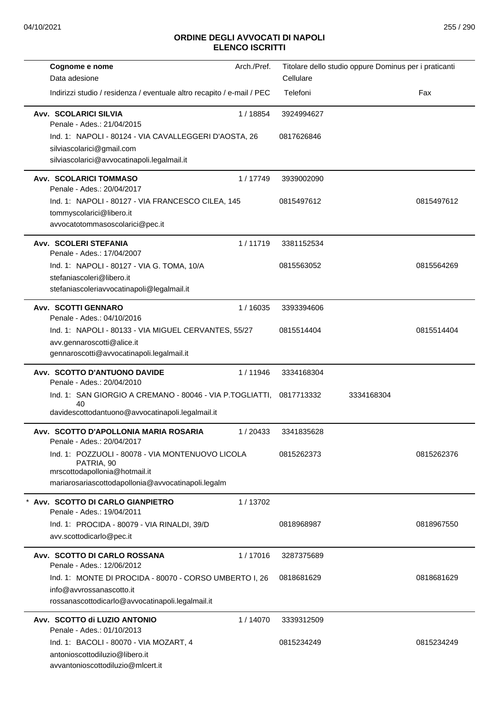| Cognome e nome                                                                                                | Arch./Pref. |            | Titolare dello studio oppure Dominus per i praticanti |            |
|---------------------------------------------------------------------------------------------------------------|-------------|------------|-------------------------------------------------------|------------|
| Data adesione                                                                                                 |             | Cellulare  |                                                       |            |
| Indirizzi studio / residenza / eventuale altro recapito / e-mail / PEC                                        |             | Telefoni   |                                                       | Fax        |
| <b>Avv. SCOLARICI SILVIA</b><br>Penale - Ades.: 21/04/2015                                                    | 1/18854     | 3924994627 |                                                       |            |
| Ind. 1: NAPOLI - 80124 - VIA CAVALLEGGERI D'AOSTA, 26                                                         |             | 0817626846 |                                                       |            |
| silviascolarici@gmail.com                                                                                     |             |            |                                                       |            |
| silviascolarici@avvocatinapoli.legalmail.it                                                                   |             |            |                                                       |            |
| Avv. SCOLARICI TOMMASO<br>Penale - Ades.: 20/04/2017                                                          | 1/17749     | 3939002090 |                                                       |            |
| Ind. 1: NAPOLI - 80127 - VIA FRANCESCO CILEA, 145                                                             |             | 0815497612 |                                                       | 0815497612 |
| tommyscolarici@libero.it                                                                                      |             |            |                                                       |            |
| avvocatotommasoscolarici@pec.it                                                                               |             |            |                                                       |            |
| Avv. SCOLERI STEFANIA<br>Penale - Ades.: 17/04/2007                                                           | 1/11719     | 3381152534 |                                                       |            |
| Ind. 1: NAPOLI - 80127 - VIA G. TOMA, 10/A                                                                    |             | 0815563052 |                                                       | 0815564269 |
| stefaniascoleri@libero.it                                                                                     |             |            |                                                       |            |
| stefaniascoleriavvocatinapoli@legalmail.it                                                                    |             |            |                                                       |            |
| Avv. SCOTTI GENNARO<br>Penale - Ades.: 04/10/2016                                                             | 1/16035     | 3393394606 |                                                       |            |
| Ind. 1: NAPOLI - 80133 - VIA MIGUEL CERVANTES, 55/27                                                          |             | 0815514404 |                                                       | 0815514404 |
| avv.gennaroscotti@alice.it                                                                                    |             |            |                                                       |            |
| gennaroscotti@avvocatinapoli.legalmail.it                                                                     |             |            |                                                       |            |
| Avv. SCOTTO D'ANTUONO DAVIDE<br>Penale - Ades.: 20/04/2010                                                    | 1/11946     | 3334168304 |                                                       |            |
| Ind. 1: SAN GIORGIO A CREMANO - 80046 - VIA P.TOGLIATTI,<br>40                                                |             | 0817713332 | 3334168304                                            |            |
| davidescottodantuono@avvocatinapoli.legalmail.it                                                              |             |            |                                                       |            |
| Avv.  SCOTTO D'APOLLONIA MARIA ROSARIA<br>Penale - Ades.: 20/04/2017                                          | 1 / 20433   | 3341835628 |                                                       |            |
| Ind. 1: POZZUOLI - 80078 - VIA MONTENUOVO LICOLA<br>PATRIA, 90                                                |             | 0815262373 |                                                       | 0815262376 |
| mrscottodapollonia@hotmail.it<br>mariarosariascottodapollonia@avvocatinapoli.legalm                           |             |            |                                                       |            |
|                                                                                                               |             |            |                                                       |            |
| Avv. SCOTTO DI CARLO GIANPIETRO<br>Penale - Ades.: 19/04/2011                                                 | 1/13702     |            |                                                       |            |
| Ind. 1: PROCIDA - 80079 - VIA RINALDI, 39/D                                                                   |             | 0818968987 |                                                       | 0818967550 |
| avv.scottodicarlo@pec.it                                                                                      |             |            |                                                       |            |
| Avv. SCOTTO DI CARLO ROSSANA<br>Penale - Ades.: 12/06/2012                                                    | 1/17016     | 3287375689 |                                                       |            |
| Ind. 1: MONTE DI PROCIDA - 80070 - CORSO UMBERTO I, 26                                                        |             | 0818681629 |                                                       | 0818681629 |
| info@avvrossanascotto.it<br>rossanascottodicarlo@avvocatinapoli.legalmail.it                                  |             |            |                                                       |            |
| Avv. SCOTTO di LUZIO ANTONIO                                                                                  | 1/14070     | 3339312509 |                                                       |            |
| Penale - Ades.: 01/10/2013                                                                                    |             |            |                                                       |            |
| Ind. 1: BACOLI - 80070 - VIA MOZART, 4<br>antonioscottodiluzio@libero.it<br>avvantonioscottodiluzio@mlcert.it |             | 0815234249 |                                                       | 0815234249 |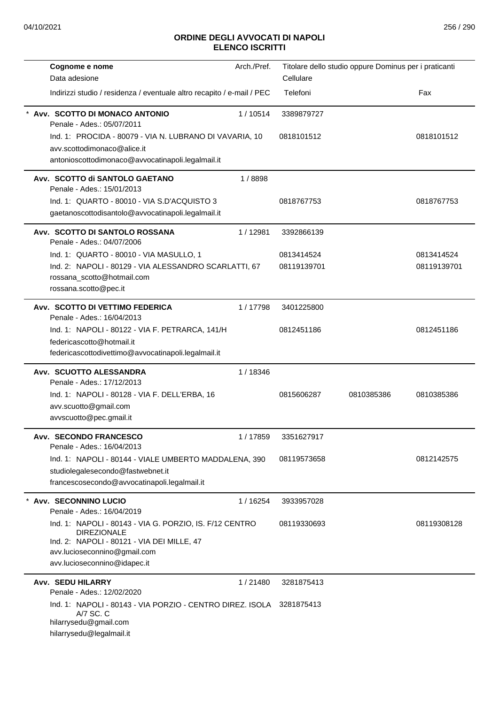| Cognome e nome                                                                                                                              | Arch./Pref. |             | Titolare dello studio oppure Dominus per i praticanti |             |
|---------------------------------------------------------------------------------------------------------------------------------------------|-------------|-------------|-------------------------------------------------------|-------------|
| Data adesione                                                                                                                               |             | Cellulare   |                                                       |             |
| Indirizzi studio / residenza / eventuale altro recapito / e-mail / PEC                                                                      |             | Telefoni    |                                                       | Fax         |
| Avv. SCOTTO DI MONACO ANTONIO<br>Penale - Ades.: 05/07/2011                                                                                 | 1/10514     | 3389879727  |                                                       |             |
| Ind. 1: PROCIDA - 80079 - VIA N. LUBRANO DI VAVARIA, 10<br>avv.scottodimonaco@alice.it<br>antonioscottodimonaco@avvocatinapoli.legalmail.it |             | 0818101512  |                                                       | 0818101512  |
| Avv. SCOTTO di SANTOLO GAETANO                                                                                                              | 1/8898      |             |                                                       |             |
| Penale - Ades.: 15/01/2013                                                                                                                  |             |             |                                                       |             |
| Ind. 1: QUARTO - 80010 - VIA S.D'ACQUISTO 3                                                                                                 |             | 0818767753  |                                                       | 0818767753  |
| gaetanoscottodisantolo@avvocatinapoli.legalmail.it                                                                                          |             |             |                                                       |             |
| Avv. SCOTTO DI SANTOLO ROSSANA<br>Penale - Ades.: 04/07/2006                                                                                | 1/12981     | 3392866139  |                                                       |             |
| Ind. 1: QUARTO - 80010 - VIA MASULLO, 1                                                                                                     |             | 0813414524  |                                                       | 0813414524  |
| Ind. 2: NAPOLI - 80129 - VIA ALESSANDRO SCARLATTI, 67                                                                                       |             | 08119139701 |                                                       | 08119139701 |
| rossana_scotto@hotmail.com<br>rossana.scotto@pec.it                                                                                         |             |             |                                                       |             |
| Avv. SCOTTO DI VETTIMO FEDERICA<br>Penale - Ades.: 16/04/2013                                                                               | 1/17798     | 3401225800  |                                                       |             |
| Ind. 1: NAPOLI - 80122 - VIA F. PETRARCA, 141/H                                                                                             |             | 0812451186  |                                                       | 0812451186  |
| federicascotto@hotmail.it                                                                                                                   |             |             |                                                       |             |
| federicascottodivettimo@avvocatinapoli.legalmail.it                                                                                         |             |             |                                                       |             |
| Avv. SCUOTTO ALESSANDRA<br>Penale - Ades.: 17/12/2013                                                                                       | 1/18346     |             |                                                       |             |
| Ind. 1: NAPOLI - 80128 - VIA F. DELL'ERBA, 16                                                                                               |             | 0815606287  | 0810385386                                            | 0810385386  |
| avv.scuotto@gmail.com                                                                                                                       |             |             |                                                       |             |
| avvscuotto@pec.gmail.it                                                                                                                     |             |             |                                                       |             |
| Avv. SECONDO FRANCESCO<br>Penale - Ades.: 16/04/2013                                                                                        | 1 / 17859   | 3351627917  |                                                       |             |
| Ind. 1: NAPOLI - 80144 - VIALE UMBERTO MADDALENA, 390                                                                                       |             | 08119573658 |                                                       | 0812142575  |
| studiolegalesecondo@fastwebnet.it                                                                                                           |             |             |                                                       |             |
| francescosecondo@avvocatinapoli.legalmail.it                                                                                                |             |             |                                                       |             |
| <b>Avv. SECONNINO LUCIO</b><br>Penale - Ades.: 16/04/2019                                                                                   | 1 / 16254   | 3933957028  |                                                       |             |
| Ind. 1: NAPOLI - 80143 - VIA G. PORZIO, IS. F/12 CENTRO<br><b>DIREZIONALE</b>                                                               |             | 08119330693 |                                                       | 08119308128 |
| Ind. 2: NAPOLI - 80121 - VIA DEI MILLE, 47                                                                                                  |             |             |                                                       |             |
| avv.lucioseconnino@gmail.com<br>avv.lucioseconnino@idapec.it                                                                                |             |             |                                                       |             |
|                                                                                                                                             |             |             |                                                       |             |
| Avv. SEDU HILARRY<br>Penale - Ades.: 12/02/2020                                                                                             | 1/21480     | 3281875413  |                                                       |             |
| Ind. 1: NAPOLI - 80143 - VIA PORZIO - CENTRO DIREZ. ISOLA 3281875413<br>A/7 SC, C<br>hilarrysedu@gmail.com<br>hilarrysedu@legalmail.it      |             |             |                                                       |             |
|                                                                                                                                             |             |             |                                                       |             |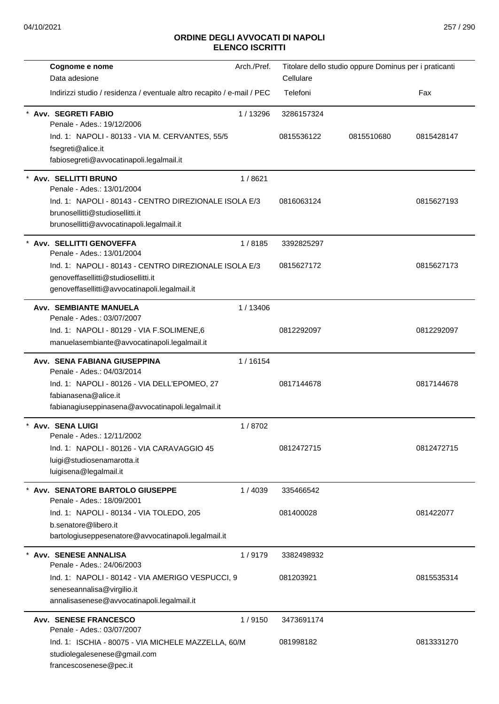| Cognome e nome                                                         | Arch./Pref. |            | Titolare dello studio oppure Dominus per i praticanti |            |
|------------------------------------------------------------------------|-------------|------------|-------------------------------------------------------|------------|
| Data adesione                                                          |             | Cellulare  |                                                       |            |
| Indirizzi studio / residenza / eventuale altro recapito / e-mail / PEC |             | Telefoni   |                                                       | Fax        |
| Avv. SEGRETI FABIO<br>Penale - Ades.: 19/12/2006                       | 1/13296     | 3286157324 |                                                       |            |
| Ind. 1: NAPOLI - 80133 - VIA M. CERVANTES, 55/5                        |             | 0815536122 | 0815510680                                            | 0815428147 |
| fsegreti@alice.it                                                      |             |            |                                                       |            |
| fabiosegreti@avvocatinapoli.legalmail.it                               |             |            |                                                       |            |
| Avv. SELLITTI BRUNO<br>Penale - Ades.: 13/01/2004                      | 1/8621      |            |                                                       |            |
| Ind. 1: NAPOLI - 80143 - CENTRO DIREZIONALE ISOLA E/3                  |             | 0816063124 |                                                       | 0815627193 |
| brunosellitti@studiosellitti.it                                        |             |            |                                                       |            |
| brunosellitti@avvocatinapoli.legalmail.it                              |             |            |                                                       |            |
| Avv. SELLITTI GENOVEFFA<br>Penale - Ades.: 13/01/2004                  | 1/8185      | 3392825297 |                                                       |            |
| Ind. 1: NAPOLI - 80143 - CENTRO DIREZIONALE ISOLA E/3                  |             | 0815627172 |                                                       | 0815627173 |
| genoveffasellitti@studiosellitti.it                                    |             |            |                                                       |            |
| genoveffasellitti@avvocatinapoli.legalmail.it                          |             |            |                                                       |            |
| <b>Avv. SEMBIANTE MANUELA</b><br>Penale - Ades.: 03/07/2007            | 1/13406     |            |                                                       |            |
| Ind. 1: NAPOLI - 80129 - VIA F.SOLIMENE, 6                             |             | 0812292097 |                                                       | 0812292097 |
| manuelasembiante@avvocatinapoli.legalmail.it                           |             |            |                                                       |            |
| Avv. SENA FABIANA GIUSEPPINA                                           | 1/16154     |            |                                                       |            |
| Penale - Ades.: 04/03/2014                                             |             |            |                                                       |            |
| Ind. 1: NAPOLI - 80126 - VIA DELL'EPOMEO, 27<br>fabianasena@alice.it   |             | 0817144678 |                                                       | 0817144678 |
| fabianagiuseppinasena@avvocatinapoli.legalmail.it                      |             |            |                                                       |            |
|                                                                        |             |            |                                                       |            |
| Avv. SENA LUIGI<br>Penale - Ades.: 12/11/2002                          | 1/8702      |            |                                                       |            |
| Ind. 1: NAPOLI - 80126 - VIA CARAVAGGIO 45                             |             | 0812472715 |                                                       | 0812472715 |
| luigi@studiosenamarotta.it                                             |             |            |                                                       |            |
| luigisena@legalmail.it                                                 |             |            |                                                       |            |
| Avv. SENATORE BARTOLO GIUSEPPE                                         | 1/4039      | 335466542  |                                                       |            |
| Penale - Ades.: 18/09/2001                                             |             |            |                                                       |            |
| Ind. 1: NAPOLI - 80134 - VIA TOLEDO, 205<br>b.senatore@libero.it       |             | 081400028  |                                                       | 081422077  |
| bartologiuseppesenatore@avvocatinapoli.legalmail.it                    |             |            |                                                       |            |
|                                                                        |             |            |                                                       |            |
| Avv. SENESE ANNALISA<br>Penale - Ades.: 24/06/2003                     | 1/9179      | 3382498932 |                                                       |            |
| Ind. 1: NAPOLI - 80142 - VIA AMERIGO VESPUCCI, 9                       |             | 081203921  |                                                       | 0815535314 |
| seneseannalisa@virgilio.it                                             |             |            |                                                       |            |
| annalisasenese@avvocatinapoli.legalmail.it                             |             |            |                                                       |            |
| <b>Avv. SENESE FRANCESCO</b>                                           | 1/9150      | 3473691174 |                                                       |            |
| Penale - Ades.: 03/07/2007                                             |             |            |                                                       |            |
| Ind. 1: ISCHIA - 80075 - VIA MICHELE MAZZELLA, 60/M                    |             | 081998182  |                                                       | 0813331270 |
| studiolegalesenese@gmail.com<br>francescosenese@pec.it                 |             |            |                                                       |            |
|                                                                        |             |            |                                                       |            |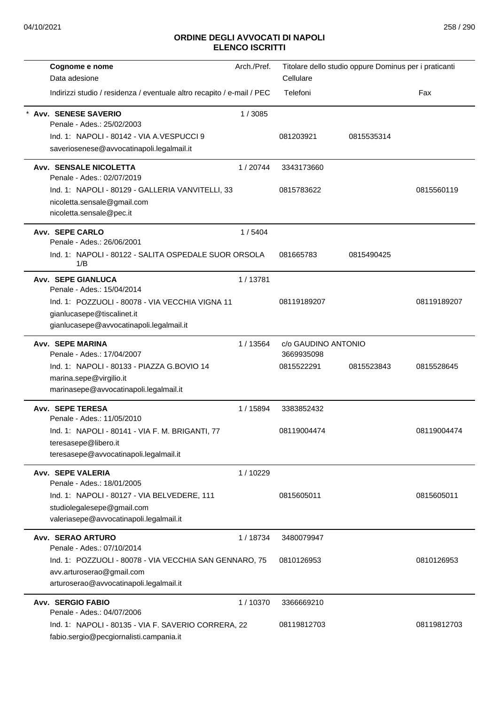| Cognome e nome                                                                                                                                     | Arch./Pref. |                                   | Titolare dello studio oppure Dominus per i praticanti |             |
|----------------------------------------------------------------------------------------------------------------------------------------------------|-------------|-----------------------------------|-------------------------------------------------------|-------------|
| Data adesione                                                                                                                                      |             | Cellulare                         |                                                       |             |
| Indirizzi studio / residenza / eventuale altro recapito / e-mail / PEC                                                                             |             | Telefoni                          |                                                       | Fax         |
| <b>Avv. SENESE SAVERIO</b><br>Penale - Ades.: 25/02/2003<br>Ind. 1: NAPOLI - 80142 - VIA A.VESPUCCI 9<br>saveriosenese@avvocatinapoli.legalmail.it | 1/3085      | 081203921                         | 0815535314                                            |             |
| Avv. SENSALE NICOLETTA<br>Penale - Ades.: 02/07/2019                                                                                               | 1/20744     | 3343173660                        |                                                       |             |
| Ind. 1: NAPOLI - 80129 - GALLERIA VANVITELLI, 33<br>nicoletta.sensale@gmail.com<br>nicoletta.sensale@pec.it                                        |             | 0815783622                        |                                                       | 0815560119  |
| Avv. SEPE CARLO<br>Penale - Ades.: 26/06/2001                                                                                                      | 1/5404      |                                   |                                                       |             |
| Ind. 1: NAPOLI - 80122 - SALITA OSPEDALE SUOR ORSOLA<br>1/B                                                                                        |             | 081665783                         | 0815490425                                            |             |
| Avv. SEPE GIANLUCA<br>Penale - Ades.: 15/04/2014                                                                                                   | 1/13781     |                                   |                                                       |             |
| Ind. 1: POZZUOLI - 80078 - VIA VECCHIA VIGNA 11<br>gianlucasepe@tiscalinet.it<br>gianlucasepe@avvocatinapoli.legalmail.it                          |             | 08119189207                       |                                                       | 08119189207 |
| <b>Avv. SEPE MARINA</b><br>Penale - Ades.: 17/04/2007                                                                                              | 1/13564     | c/o GAUDINO ANTONIO<br>3669935098 |                                                       |             |
| Ind. 1: NAPOLI - 80133 - PIAZZA G.BOVIO 14<br>marina.sepe@virgilio.it<br>marinasepe@avvocatinapoli.legalmail.it                                    |             | 0815522291                        | 0815523843                                            | 0815528645  |
| Avv. SEPE TERESA<br>Penale - Ades.: 11/05/2010                                                                                                     | 1 / 15894   | 3383852432                        |                                                       |             |
| Ind. 1: NAPOLI - 80141 - VIA F. M. BRIGANTI, 77<br>teresasepe@libero.it<br>teresasepe@avvocatinapoli.legalmail.it                                  |             | 08119004474                       |                                                       | 08119004474 |
| Avv. SEPE VALERIA<br>Penale - Ades.: 18/01/2005                                                                                                    | 1/10229     |                                   |                                                       |             |
| Ind. 1: NAPOLI - 80127 - VIA BELVEDERE, 111<br>studiolegalesepe@gmail.com<br>valeriasepe@avvocatinapoli.legalmail.it                               |             | 0815605011                        |                                                       | 0815605011  |
| Avv. SERAO ARTURO<br>Penale - Ades.: 07/10/2014                                                                                                    | 1/18734     | 3480079947                        |                                                       |             |
| Ind. 1: POZZUOLI - 80078 - VIA VECCHIA SAN GENNARO, 75<br>avv.arturoserao@gmail.com<br>arturoserao@avvocatinapoli.legalmail.it                     |             | 0810126953                        |                                                       | 0810126953  |
| <b>Avv. SERGIO FABIO</b><br>Penale - Ades.: 04/07/2006                                                                                             | 1/10370     | 3366669210                        |                                                       |             |
| Ind. 1: NAPOLI - 80135 - VIA F. SAVERIO CORRERA, 22<br>fabio.sergio@pecgiornalisti.campania.it                                                     |             | 08119812703                       |                                                       | 08119812703 |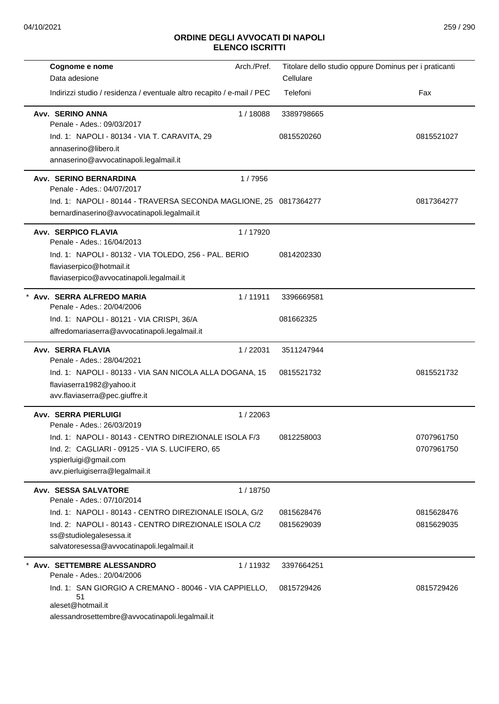| Cognome e nome                                                                                                    | Arch./Pref. | Titolare dello studio oppure Dominus per i praticanti |                          |
|-------------------------------------------------------------------------------------------------------------------|-------------|-------------------------------------------------------|--------------------------|
| Data adesione                                                                                                     |             | Cellulare                                             |                          |
| Indirizzi studio / residenza / eventuale altro recapito / e-mail / PEC                                            |             | Telefoni                                              | Fax                      |
| Avv. SERINO ANNA<br>Penale - Ades.: 09/03/2017                                                                    | 1/18088     | 3389798665                                            |                          |
| Ind. 1: NAPOLI - 80134 - VIA T. CARAVITA, 29                                                                      |             | 0815520260                                            | 0815521027               |
| annaserino@libero.it                                                                                              |             |                                                       |                          |
| annaserino@avvocatinapoli.legalmail.it                                                                            |             |                                                       |                          |
| Avv. SERINO BERNARDINA<br>Penale - Ades.: 04/07/2017                                                              | 1/7956      |                                                       |                          |
| Ind. 1: NAPOLI - 80144 - TRAVERSA SECONDA MAGLIONE, 25 0817364277<br>bernardinaserino@avvocatinapoli.legalmail.it |             |                                                       | 0817364277               |
| <b>Avv. SERPICO FLAVIA</b>                                                                                        | 1/17920     |                                                       |                          |
| Penale - Ades.: 16/04/2013                                                                                        |             |                                                       |                          |
| Ind. 1: NAPOLI - 80132 - VIA TOLEDO, 256 - PAL. BERIO<br>flaviaserpico@hotmail.it                                 |             | 0814202330                                            |                          |
| flaviaserpico@avvocatinapoli.legalmail.it                                                                         |             |                                                       |                          |
| * Avv. SERRA ALFREDO MARIA                                                                                        | 1/11911     | 3396669581                                            |                          |
| Penale - Ades.: 20/04/2006                                                                                        |             |                                                       |                          |
| Ind. 1: NAPOLI - 80121 - VIA CRISPI, 36/A                                                                         |             | 081662325                                             |                          |
| alfredomariaserra@avvocatinapoli.legalmail.it                                                                     |             |                                                       |                          |
| Avv. SERRA FLAVIA<br>Penale - Ades.: 28/04/2021                                                                   | 1/22031     | 3511247944                                            |                          |
| Ind. 1: NAPOLI - 80133 - VIA SAN NICOLA ALLA DOGANA, 15                                                           |             | 0815521732                                            | 0815521732               |
| flaviaserra1982@yahoo.it                                                                                          |             |                                                       |                          |
| avv.flaviaserra@pec.giuffre.it                                                                                    |             |                                                       |                          |
| <b>Avv. SERRA PIERLUIGI</b>                                                                                       | 1/22063     |                                                       |                          |
| Penale - Ades.: 26/03/2019<br>Ind. 1: NAPOLI - 80143 - CENTRO DIREZIONALE ISOLA F/3                               |             | 0812258003                                            |                          |
| Ind. 2: CAGLIARI - 09125 - VIA S. LUCIFERO, 65                                                                    |             |                                                       | 0707961750<br>0707961750 |
| yspierluigi@gmail.com                                                                                             |             |                                                       |                          |
| avv.pierluigiserra@legalmail.it                                                                                   |             |                                                       |                          |
| Avv. SESSA SALVATORE                                                                                              | 1/18750     |                                                       |                          |
| Penale - Ades.: 07/10/2014                                                                                        |             |                                                       |                          |
| Ind. 1: NAPOLI - 80143 - CENTRO DIREZIONALE ISOLA, G/2                                                            |             | 0815628476                                            | 0815628476               |
| Ind. 2: NAPOLI - 80143 - CENTRO DIREZIONALE ISOLA C/2<br>ss@studiolegalesessa.it                                  |             | 0815629039                                            | 0815629035               |
| salvatoresessa@avvocatinapoli.legalmail.it                                                                        |             |                                                       |                          |
| Avv. SETTEMBRE ALESSANDRO                                                                                         | 1/11932     | 3397664251                                            |                          |
| Penale - Ades.: 20/04/2006                                                                                        |             |                                                       |                          |
| Ind. 1: SAN GIORGIO A CREMANO - 80046 - VIA CAPPIELLO,<br>51<br>aleset@hotmail.it                                 |             | 0815729426                                            | 0815729426               |
| alessandrosettembre@avvocatinapoli.legalmail.it                                                                   |             |                                                       |                          |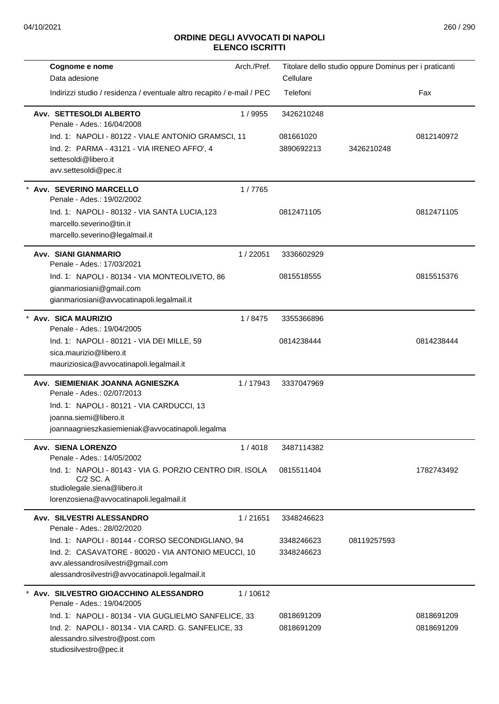| Cognome e nome                                                                                                 | Arch./Pref. |            | Titolare dello studio oppure Dominus per i praticanti |            |
|----------------------------------------------------------------------------------------------------------------|-------------|------------|-------------------------------------------------------|------------|
| Data adesione                                                                                                  |             | Cellulare  |                                                       |            |
| Indirizzi studio / residenza / eventuale altro recapito / e-mail / PEC                                         |             | Telefoni   |                                                       | Fax        |
| Avv. SETTESOLDI ALBERTO<br>Penale - Ades.: 16/04/2008                                                          | 1/9955      | 3426210248 |                                                       |            |
| Ind. 1: NAPOLI - 80122 - VIALE ANTONIO GRAMSCI, 11                                                             |             | 081661020  |                                                       | 0812140972 |
| Ind. 2: PARMA - 43121 - VIA IRENEO AFFO', 4                                                                    |             | 3890692213 | 3426210248                                            |            |
| settesoldi@libero.it                                                                                           |             |            |                                                       |            |
| avv.settesoldi@pec.it                                                                                          |             |            |                                                       |            |
| * Avv. SEVERINO MARCELLO<br>Penale - Ades.: 19/02/2002                                                         | 1/7765      |            |                                                       |            |
| Ind. 1: NAPOLI - 80132 - VIA SANTA LUCIA, 123                                                                  |             | 0812471105 |                                                       | 0812471105 |
| marcello.severino@tin.it                                                                                       |             |            |                                                       |            |
| marcello.severino@legalmail.it                                                                                 |             |            |                                                       |            |
| Avv. SIANI GIANMARIO<br>Penale - Ades.: 17/03/2021                                                             | 1/22051     | 3336602929 |                                                       |            |
| Ind. 1: NAPOLI - 80134 - VIA MONTEOLIVETO, 86                                                                  |             | 0815518555 |                                                       | 0815515376 |
| gianmariosiani@gmail.com                                                                                       |             |            |                                                       |            |
| gianmariosiani@avvocatinapoli.legalmail.it                                                                     |             |            |                                                       |            |
| * Avv. SICA MAURIZIO<br>Penale - Ades.: 19/04/2005                                                             | 1/8475      | 3355366896 |                                                       |            |
| Ind. 1: NAPOLI - 80121 - VIA DEI MILLE, 59                                                                     |             | 0814238444 |                                                       | 0814238444 |
| sica.maurizio@libero.it                                                                                        |             |            |                                                       |            |
| mauriziosica@avvocatinapoli.legalmail.it                                                                       |             |            |                                                       |            |
| Avv. SIEMIENIAK JOANNA AGNIESZKA                                                                               | 1/17943     | 3337047969 |                                                       |            |
| Penale - Ades.: 02/07/2013                                                                                     |             |            |                                                       |            |
| Ind. 1: NAPOLI - 80121 - VIA CARDUCCI, 13                                                                      |             |            |                                                       |            |
| joanna.siemi@libero.it                                                                                         |             |            |                                                       |            |
| joannaagnieszkasiemieniak@avvocatinapoli.legalma                                                               |             |            |                                                       |            |
| Avv. SIENA LORENZO<br>Penale - Ades.: 14/05/2002                                                               | 1/4018      | 3487114382 |                                                       |            |
| Ind. 1: NAPOLI - 80143 - VIA G. PORZIO CENTRO DIR. ISOLA<br>$C/2$ SC. A                                        |             | 0815511404 |                                                       | 1782743492 |
| studiolegale.siena@libero.it                                                                                   |             |            |                                                       |            |
| lorenzosiena@avvocatinapoli.legalmail.it                                                                       |             |            |                                                       |            |
| Avv. SILVESTRI ALESSANDRO<br>Penale - Ades.: 28/02/2020                                                        | 1/21651     | 3348246623 |                                                       |            |
| Ind. 1: NAPOLI - 80144 - CORSO SECONDIGLIANO, 94                                                               |             | 3348246623 | 08119257593                                           |            |
| Ind. 2: CASAVATORE - 80020 - VIA ANTONIO MEUCCI, 10                                                            |             | 3348246623 |                                                       |            |
| avv.alessandrosilvestri@gmail.com<br>alessandrosilvestri@avvocatinapoli.legalmail.it                           |             |            |                                                       |            |
|                                                                                                                |             |            |                                                       |            |
| * Avv. SILVESTRO GIOACCHINO ALESSANDRO<br>Penale - Ades.: 19/04/2005                                           | 1/10612     |            |                                                       |            |
| Ind. 1: NAPOLI - 80134 - VIA GUGLIELMO SANFELICE, 33                                                           |             | 0818691209 |                                                       | 0818691209 |
| Ind. 2: NAPOLI - 80134 - VIA CARD. G. SANFELICE, 33<br>alessandro.silvestro@post.com<br>studiosilvestro@pec.it |             | 0818691209 |                                                       | 0818691209 |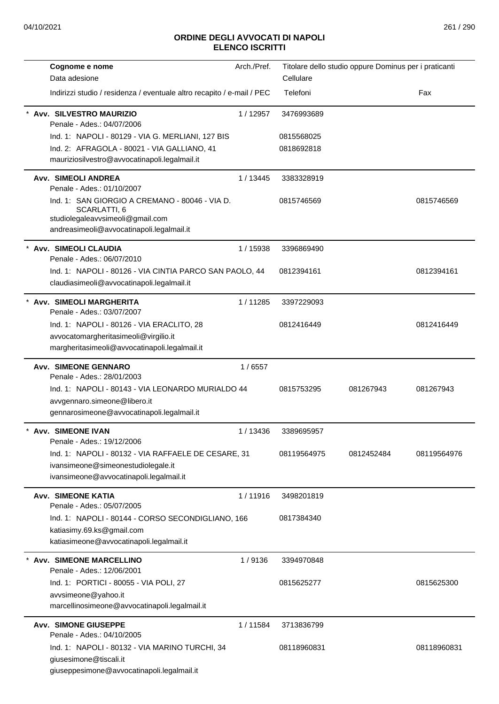| Cognome e nome                                                                                                                                  | Arch./Pref. |             | Titolare dello studio oppure Dominus per i praticanti |             |
|-------------------------------------------------------------------------------------------------------------------------------------------------|-------------|-------------|-------------------------------------------------------|-------------|
| Data adesione                                                                                                                                   |             | Cellulare   |                                                       |             |
| Indirizzi studio / residenza / eventuale altro recapito / e-mail / PEC                                                                          |             | Telefoni    |                                                       | Fax         |
| Avv. SILVESTRO MAURIZIO<br>Penale - Ades.: 04/07/2006                                                                                           | 1/12957     | 3476993689  |                                                       |             |
| Ind. 1: NAPOLI - 80129 - VIA G. MERLIANI, 127 BIS                                                                                               |             | 0815568025  |                                                       |             |
| Ind. 2: AFRAGOLA - 80021 - VIA GALLIANO, 41                                                                                                     |             | 0818692818  |                                                       |             |
| mauriziosilvestro@avvocatinapoli.legalmail.it                                                                                                   |             |             |                                                       |             |
| <b>Avv. SIMEOLI ANDREA</b><br>Penale - Ades.: 01/10/2007                                                                                        | 1/13445     | 3383328919  |                                                       |             |
| Ind. 1: SAN GIORGIO A CREMANO - 80046 - VIA D.<br>SCARLATTI, 6<br>studiolegaleavvsimeoli@gmail.com<br>andreasimeoli@avvocatinapoli.legalmail.it |             | 0815746569  |                                                       | 0815746569  |
| <b>Avv. SIMEOLI CLAUDIA</b><br>Penale - Ades.: 06/07/2010                                                                                       | 1 / 15938   | 3396869490  |                                                       |             |
| Ind. 1: NAPOLI - 80126 - VIA CINTIA PARCO SAN PAOLO, 44<br>claudiasimeoli@avvocatinapoli.legalmail.it                                           |             | 0812394161  |                                                       | 0812394161  |
| <b>Avv. SIMEOLI MARGHERITA</b><br>Penale - Ades.: 03/07/2007                                                                                    | 1/11285     | 3397229093  |                                                       |             |
| Ind. 1: NAPOLI - 80126 - VIA ERACLITO, 28                                                                                                       |             | 0812416449  |                                                       | 0812416449  |
| avvocatomargheritasimeoli@virgilio.it                                                                                                           |             |             |                                                       |             |
| margheritasimeoli@avvocatinapoli.legalmail.it                                                                                                   |             |             |                                                       |             |
| <b>Avv. SIMEONE GENNARO</b>                                                                                                                     | 1/6557      |             |                                                       |             |
| Penale - Ades.: 28/01/2003<br>Ind. 1: NAPOLI - 80143 - VIA LEONARDO MURIALDO 44                                                                 |             | 0815753295  | 081267943                                             | 081267943   |
| avvgennaro.simeone@libero.it                                                                                                                    |             |             |                                                       |             |
| gennarosimeone@avvocatinapoli.legalmail.it                                                                                                      |             |             |                                                       |             |
| Avv. SIMEONE IVAN<br>Penale - Ades.: 19/12/2006                                                                                                 | 1 / 13436   | 3389695957  |                                                       |             |
| Ind. 1: NAPOLI - 80132 - VIA RAFFAELE DE CESARE, 31                                                                                             |             | 08119564975 | 0812452484                                            | 08119564976 |
| ivansimeone@simeonestudiolegale.it                                                                                                              |             |             |                                                       |             |
| ivansimeone@avvocatinapoli.legalmail.it                                                                                                         |             |             |                                                       |             |
| <b>Avv. SIMEONE KATIA</b><br>Penale - Ades.: 05/07/2005                                                                                         | 1/11916     | 3498201819  |                                                       |             |
| Ind. 1: NAPOLI - 80144 - CORSO SECONDIGLIANO, 166                                                                                               |             | 0817384340  |                                                       |             |
| katiasimy.69.ks@gmail.com                                                                                                                       |             |             |                                                       |             |
| katiasimeone@avvocatinapoli.legalmail.it                                                                                                        |             |             |                                                       |             |
| <b>Avv. SIMEONE MARCELLINO</b><br>Penale - Ades.: 12/06/2001                                                                                    | 1/9136      | 3394970848  |                                                       |             |
| Ind. 1: PORTICI - 80055 - VIA POLI, 27                                                                                                          |             | 0815625277  |                                                       | 0815625300  |
| avvsimeone@yahoo.it                                                                                                                             |             |             |                                                       |             |
| marcellinosimeone@avvocatinapoli.legalmail.it                                                                                                   |             |             |                                                       |             |
| <b>Avv. SIMONE GIUSEPPE</b>                                                                                                                     | 1/11584     | 3713836799  |                                                       |             |
| Penale - Ades.: 04/10/2005                                                                                                                      |             |             |                                                       |             |
| Ind. 1: NAPOLI - 80132 - VIA MARINO TURCHI, 34                                                                                                  |             | 08118960831 |                                                       | 08118960831 |
| giusesimone@tiscali.it                                                                                                                          |             |             |                                                       |             |
| giuseppesimone@avvocatinapoli.legalmail.it                                                                                                      |             |             |                                                       |             |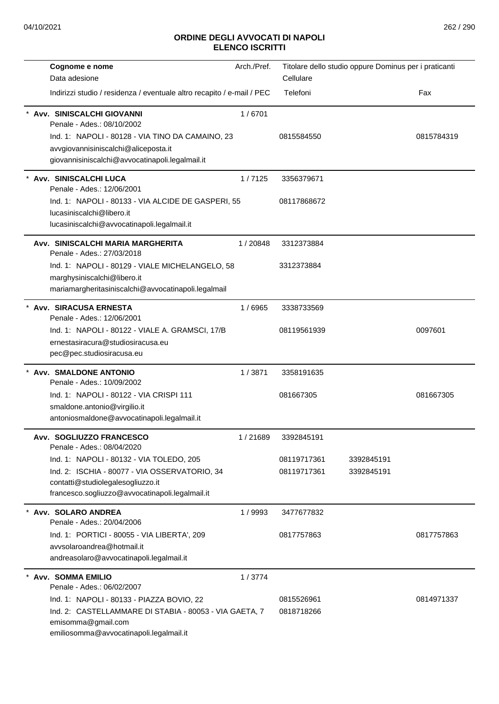| Cognome e nome                                                                                                                                                       | Arch./Pref. |                          | Titolare dello studio oppure Dominus per i praticanti |            |
|----------------------------------------------------------------------------------------------------------------------------------------------------------------------|-------------|--------------------------|-------------------------------------------------------|------------|
| Data adesione                                                                                                                                                        |             | Cellulare                |                                                       |            |
| Indirizzi studio / residenza / eventuale altro recapito / e-mail / PEC                                                                                               |             | Telefoni                 |                                                       | Fax        |
| Avv. SINISCALCHI GIOVANNI<br>Penale - Ades.: 08/10/2002                                                                                                              | 1/6701      |                          |                                                       |            |
| Ind. 1: NAPOLI - 80128 - VIA TINO DA CAMAINO, 23<br>avvgiovannisiniscalchi@aliceposta.it<br>giovannisiniscalchi@avvocatinapoli.legalmail.it                          |             | 0815584550               |                                                       | 0815784319 |
| Avv. SINISCALCHI LUCA<br>Penale - Ades.: 12/06/2001                                                                                                                  | 1/7125      | 3356379671               |                                                       |            |
| Ind. 1: NAPOLI - 80133 - VIA ALCIDE DE GASPERI, 55<br>lucasiniscalchi@libero.it<br>lucasiniscalchi@avvocatinapoli.legalmail.it                                       |             | 08117868672              |                                                       |            |
| Avv. SINISCALCHI MARIA MARGHERITA<br>Penale - Ades.: 27/03/2018                                                                                                      | 1/20848     | 3312373884               |                                                       |            |
| Ind. 1: NAPOLI - 80129 - VIALE MICHELANGELO, 58<br>marghysiniscalchi@libero.it<br>mariamargheritasiniscalchi@avvocatinapoli.legalmail                                |             | 3312373884               |                                                       |            |
| Avv. SIRACUSA ERNESTA<br>Penale - Ades.: 12/06/2001                                                                                                                  | 1/6965      | 3338733569               |                                                       |            |
| Ind. 1: NAPOLI - 80122 - VIALE A. GRAMSCI, 17/B<br>ernestasiracura@studiosiracusa.eu<br>pec@pec.studiosiracusa.eu                                                    |             | 08119561939              |                                                       | 0097601    |
| * Avv. SMALDONE ANTONIO<br>Penale - Ades.: 10/09/2002                                                                                                                | 1/3871      | 3358191635               |                                                       |            |
| Ind. 1: NAPOLI - 80122 - VIA CRISPI 111<br>smaldone.antonio@virgilio.it<br>antoniosmaldone@avvocatinapoli.legalmail.it                                               |             | 081667305                |                                                       | 081667305  |
| Avv. SOGLIUZZO FRANCESCO<br>Penale - Ades.: 08/04/2020                                                                                                               | 1/21689     | 3392845191               |                                                       |            |
| Ind. 1: NAPOLI - 80132 - VIA TOLEDO, 205                                                                                                                             |             | 08119717361              | 3392845191                                            |            |
| Ind. 2: ISCHIA - 80077 - VIA OSSERVATORIO, 34<br>contatti@studiolegalesogliuzzo.it<br>francesco.sogliuzzo@avvocatinapoli.legalmail.it                                |             | 08119717361              | 3392845191                                            |            |
| * Avv. SOLARO ANDREA<br>Penale - Ades.: 20/04/2006                                                                                                                   | 1/9993      | 3477677832               |                                                       |            |
| Ind. 1: PORTICI - 80055 - VIA LIBERTA', 209<br>avvsolaroandrea@hotmail.it<br>andreasolaro@avvocatinapoli.legalmail.it                                                |             | 0817757863               |                                                       | 0817757863 |
| <b>Avv. SOMMA EMILIO</b><br>Penale - Ades.: 06/02/2007                                                                                                               | 1/3774      |                          |                                                       |            |
| Ind. 1: NAPOLI - 80133 - PIAZZA BOVIO, 22<br>Ind. 2: CASTELLAMMARE DI STABIA - 80053 - VIA GAETA, 7<br>emisomma@gmail.com<br>emiliosomma@avvocatinapoli.legalmail.it |             | 0815526961<br>0818718266 |                                                       | 0814971337 |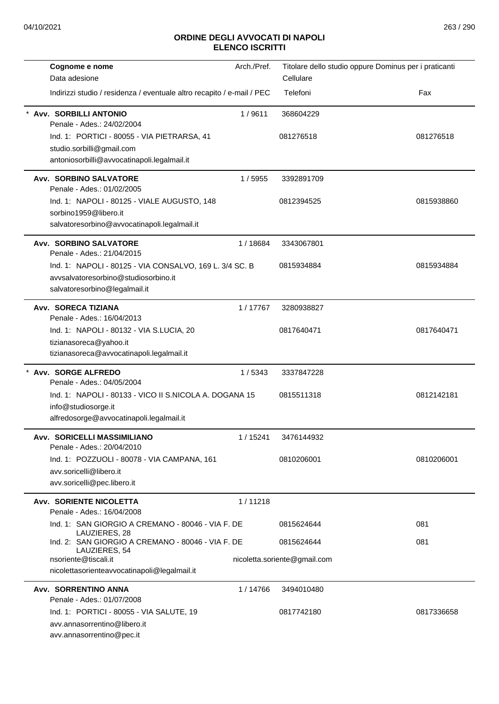| Cognome e nome<br>Data adesione                                                                                                  | Arch./Pref. | Titolare dello studio oppure Dominus per i praticanti<br>Cellulare |            |
|----------------------------------------------------------------------------------------------------------------------------------|-------------|--------------------------------------------------------------------|------------|
| Indirizzi studio / residenza / eventuale altro recapito / e-mail / PEC                                                           |             | Telefoni                                                           | Fax        |
| <b>Avv. SORBILLI ANTONIO</b><br>Penale - Ades.: 24/02/2004                                                                       | 1/9611      | 368604229                                                          |            |
| Ind. 1: PORTICI - 80055 - VIA PIETRARSA, 41<br>studio.sorbilli@gmail.com<br>antoniosorbilli@avvocatinapoli.legalmail.it          |             | 081276518                                                          | 081276518  |
| <b>Avv. SORBINO SALVATORE</b><br>Penale - Ades.: 01/02/2005                                                                      | 1/5955      | 3392891709                                                         |            |
| Ind. 1: NAPOLI - 80125 - VIALE AUGUSTO, 148<br>sorbino1959@libero.it<br>salvatoresorbino@avvocatinapoli.legalmail.it             |             | 0812394525                                                         | 0815938860 |
| Avv. SORBINO SALVATORE<br>Penale - Ades.: 21/04/2015                                                                             | 1/18684     | 3343067801                                                         |            |
| Ind. 1: NAPOLI - 80125 - VIA CONSALVO, 169 L. 3/4 SC. B<br>avvsalvatoresorbino@studiosorbino.it<br>salvatoresorbino@legalmail.it |             | 0815934884                                                         | 0815934884 |
| Avv. SORECA TIZIANA<br>Penale - Ades.: 16/04/2013                                                                                | 1/17767     | 3280938827                                                         |            |
| Ind. 1: NAPOLI - 80132 - VIA S.LUCIA, 20<br>tizianasoreca@yahoo.it<br>tizianasoreca@avvocatinapoli.legalmail.it                  |             | 0817640471                                                         | 0817640471 |
| Avv. SORGE ALFREDO<br>Penale - Ades.: 04/05/2004                                                                                 | 1/5343      | 3337847228                                                         |            |
| Ind. 1: NAPOLI - 80133 - VICO II S.NICOLA A. DOGANA 15<br>info@studiosorge.it<br>alfredosorge@avvocatinapoli.legalmail.it        |             | 0815511318                                                         | 0812142181 |
| Avv. SORICELLI MASSIMILIANO<br>Penale - Ades.: 20/04/2010                                                                        | 1/15241     | 3476144932                                                         |            |
| Ind. 1: POZZUOLI - 80078 - VIA CAMPANA, 161<br>avv.soricelli@libero.it<br>avv.soricelli@pec.libero.it                            |             | 0810206001                                                         | 0810206001 |
| <b>Avv. SORIENTE NICOLETTA</b><br>Penale - Ades.: 16/04/2008                                                                     | 1/11218     |                                                                    |            |
| Ind. 1: SAN GIORGIO A CREMANO - 80046 - VIA F. DE<br>LAUZIERES, 28                                                               |             | 0815624644                                                         | 081        |
| Ind. 2: SAN GIORGIO A CREMANO - 80046 - VIA F. DE<br>LAUZIERES, 54<br>nsoriente@tiscali.it                                       |             | 0815624644<br>nicoletta.soriente@gmail.com                         | 081        |
| nicolettasorienteavvocatinapoli@legalmail.it                                                                                     |             |                                                                    |            |
| Avv. SORRENTINO ANNA<br>Penale - Ades.: 01/07/2008                                                                               | 1 / 14766   | 3494010480                                                         |            |
| Ind. 1: PORTICI - 80055 - VIA SALUTE, 19<br>avv.annasorrentino@libero.it<br>avv.annasorrentino@pec.it                            |             | 0817742180                                                         | 0817336658 |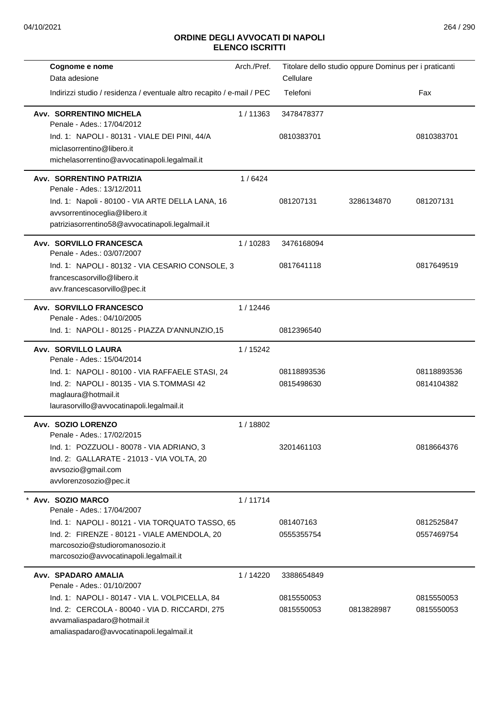| Cognome e nome                                                         | Arch./Pref. | Titolare dello studio oppure Dominus per i praticanti |            |             |
|------------------------------------------------------------------------|-------------|-------------------------------------------------------|------------|-------------|
| Data adesione                                                          |             | Cellulare                                             |            |             |
| Indirizzi studio / residenza / eventuale altro recapito / e-mail / PEC |             | Telefoni                                              |            | Fax         |
| Avv. SORRENTINO MICHELA                                                | 1/11363     | 3478478377                                            |            |             |
| Penale - Ades.: 17/04/2012                                             |             |                                                       |            |             |
| Ind. 1: NAPOLI - 80131 - VIALE DEI PINI, 44/A                          |             | 0810383701                                            |            | 0810383701  |
| miclasorrentino@libero.it                                              |             |                                                       |            |             |
| michelasorrentino@avvocatinapoli.legalmail.it                          |             |                                                       |            |             |
| Avv. SORRENTINO PATRIZIA<br>Penale - Ades.: 13/12/2011                 | 1/6424      |                                                       |            |             |
| Ind. 1: Napoli - 80100 - VIA ARTE DELLA LANA, 16                       |             | 081207131                                             | 3286134870 | 081207131   |
| avvsorrentinoceglia@libero.it                                          |             |                                                       |            |             |
| patriziasorrentino58@avvocatinapoli.legalmail.it                       |             |                                                       |            |             |
| <b>Avv. SORVILLO FRANCESCA</b><br>Penale - Ades.: 03/07/2007           | 1/10283     | 3476168094                                            |            |             |
| Ind. 1: NAPOLI - 80132 - VIA CESARIO CONSOLE, 3                        |             | 0817641118                                            |            | 0817649519  |
| francescasorvillo@libero.it                                            |             |                                                       |            |             |
| avv.francescasorvillo@pec.it                                           |             |                                                       |            |             |
| <b>Avv. SORVILLO FRANCESCO</b>                                         | 1/12446     |                                                       |            |             |
| Penale - Ades.: 04/10/2005                                             |             |                                                       |            |             |
| Ind. 1: NAPOLI - 80125 - PIAZZA D'ANNUNZIO,15                          |             | 0812396540                                            |            |             |
| Avv. SORVILLO LAURA<br>Penale - Ades.: 15/04/2014                      | 1/15242     |                                                       |            |             |
| Ind. 1: NAPOLI - 80100 - VIA RAFFAELE STASI, 24                        |             | 08118893536                                           |            | 08118893536 |
| Ind. 2: NAPOLI - 80135 - VIA S.TOMMASI 42                              |             | 0815498630                                            |            | 0814104382  |
| maglaura@hotmail.it                                                    |             |                                                       |            |             |
| laurasorvillo@avvocatinapoli.legalmail.it                              |             |                                                       |            |             |
| Avv. SOZIO LORENZO<br>Penale - Ades.: 17/02/2015                       | 1/18802     |                                                       |            |             |
| Ind. 1: POZZUOLI - 80078 - VIA ADRIANO, 3                              |             | 3201461103                                            |            | 0818664376  |
| Ind. 2: GALLARATE - 21013 - VIA VOLTA, 20                              |             |                                                       |            |             |
| avvsozio@gmail.com                                                     |             |                                                       |            |             |
| avvlorenzosozio@pec.it                                                 |             |                                                       |            |             |
| Avv. SOZIO MARCO<br>Penale - Ades.: 17/04/2007                         | 1/11714     |                                                       |            |             |
| Ind. 1: NAPOLI - 80121 - VIA TORQUATO TASSO, 65                        |             | 081407163                                             |            | 0812525847  |
| Ind. 2: FIRENZE - 80121 - VIALE AMENDOLA, 20                           |             | 0555355754                                            |            | 0557469754  |
| marcosozio@studioromanosozio.it                                        |             |                                                       |            |             |
| marcosozio@avvocatinapoli.legalmail.it                                 |             |                                                       |            |             |
| Avv. SPADARO AMALIA<br>Penale - Ades.: 01/10/2007                      | 1/14220     | 3388654849                                            |            |             |
| Ind. 1: NAPOLI - 80147 - VIA L. VOLPICELLA, 84                         |             | 0815550053                                            |            | 0815550053  |
| Ind. 2: CERCOLA - 80040 - VIA D. RICCARDI, 275                         |             | 0815550053                                            | 0813828987 | 0815550053  |
| avvamaliaspadaro@hotmail.it                                            |             |                                                       |            |             |
| amaliaspadaro@avvocatinapoli.legalmail.it                              |             |                                                       |            |             |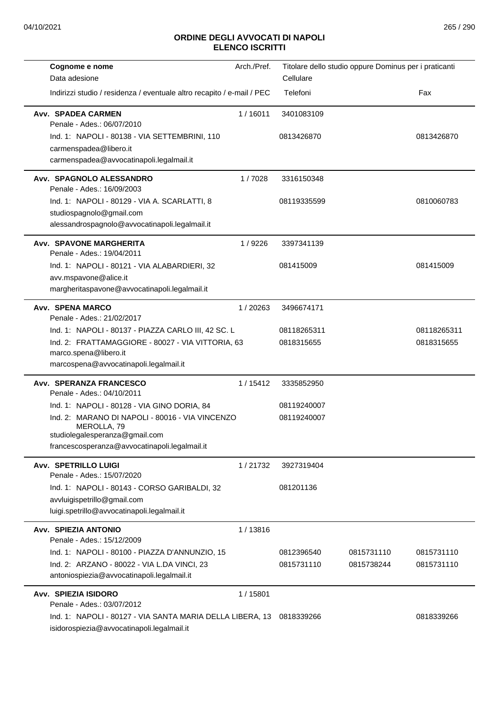| Cognome e nome<br>Data adesione                                                                                                                                                                  | Arch./Pref. | Titolare dello studio oppure Dominus per i praticanti<br>Cellulare |                          |                          |
|--------------------------------------------------------------------------------------------------------------------------------------------------------------------------------------------------|-------------|--------------------------------------------------------------------|--------------------------|--------------------------|
| Indirizzi studio / residenza / eventuale altro recapito / e-mail / PEC                                                                                                                           |             | Telefoni                                                           |                          | Fax                      |
| <b>Avv. SPADEA CARMEN</b><br>Penale - Ades.: 06/07/2010                                                                                                                                          | 1/16011     | 3401083109                                                         |                          |                          |
| Ind. 1: NAPOLI - 80138 - VIA SETTEMBRINI, 110<br>carmenspadea@libero.it<br>carmenspadea@avvocatinapoli.legalmail.it                                                                              |             | 0813426870                                                         |                          | 0813426870               |
| Avv. SPAGNOLO ALESSANDRO<br>Penale - Ades.: 16/09/2003                                                                                                                                           | 1/7028      | 3316150348                                                         |                          |                          |
| Ind. 1: NAPOLI - 80129 - VIA A. SCARLATTI, 8<br>studiospagnolo@gmail.com<br>alessandrospagnolo@avvocatinapoli.legalmail.it                                                                       |             | 08119335599                                                        |                          | 0810060783               |
| <b>Avv. SPAVONE MARGHERITA</b><br>Penale - Ades.: 19/04/2011                                                                                                                                     | 1/9226      | 3397341139                                                         |                          |                          |
| Ind. 1: NAPOLI - 80121 - VIA ALABARDIERI, 32<br>avv.mspavone@alice.it<br>margheritaspavone@avvocatinapoli.legalmail.it                                                                           |             | 081415009                                                          |                          | 081415009                |
| Avv. SPENA MARCO<br>Penale - Ades.: 21/02/2017                                                                                                                                                   | 1 / 20263   | 3496674171                                                         |                          |                          |
| Ind. 1: NAPOLI - 80137 - PIAZZA CARLO III, 42 SC. L                                                                                                                                              |             | 08118265311                                                        |                          | 08118265311              |
| Ind. 2: FRATTAMAGGIORE - 80027 - VIA VITTORIA, 63<br>marco.spena@libero.it<br>marcospena@avvocatinapoli.legalmail.it                                                                             |             | 0818315655                                                         |                          | 0818315655               |
| Avv. SPERANZA FRANCESCO<br>Penale - Ades.: 04/10/2011                                                                                                                                            | 1/15412     | 3335852950                                                         |                          |                          |
| Ind. 1: NAPOLI - 80128 - VIA GINO DORIA, 84<br>Ind. 2: MARANO DI NAPOLI - 80016 - VIA VINCENZO<br>MEROLLA, 79<br>studiolegalesperanza@gmail.com<br>francescosperanza@avvocatinapoli.legalmail.it |             | 08119240007<br>08119240007                                         |                          |                          |
| <b>Avv. SPETRILLO LUIGI</b>                                                                                                                                                                      | 1/21732     | 3927319404                                                         |                          |                          |
| Penale - Ades.: 15/07/2020<br>Ind. 1: NAPOLI - 80143 - CORSO GARIBALDI, 32<br>avvluigispetrillo@gmail.com<br>luigi.spetrillo@avvocatinapoli.legalmail.it                                         |             | 081201136                                                          |                          |                          |
| Avv. SPIEZIA ANTONIO                                                                                                                                                                             | 1/13816     |                                                                    |                          |                          |
| Penale - Ades.: 15/12/2009<br>Ind. 1: NAPOLI - 80100 - PIAZZA D'ANNUNZIO, 15<br>Ind. 2: ARZANO - 80022 - VIA L.DA VINCI, 23<br>antoniospiezia@avvocatinapoli.legalmail.it                        |             | 0812396540<br>0815731110                                           | 0815731110<br>0815738244 | 0815731110<br>0815731110 |
| Avv. SPIEZIA ISIDORO<br>Penale - Ades.: 03/07/2012                                                                                                                                               | 1/15801     |                                                                    |                          |                          |
| Ind. 1: NAPOLI - 80127 - VIA SANTA MARIA DELLA LIBERA, 13<br>isidorospiezia@avvocatinapoli.legalmail.it                                                                                          |             | 0818339266                                                         |                          | 0818339266               |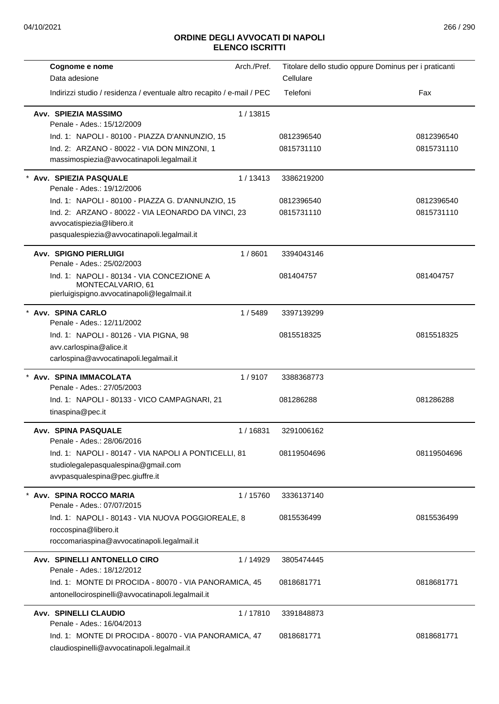| Cognome e nome                                                                                                                 | Arch./Pref. |             | Titolare dello studio oppure Dominus per i praticanti |
|--------------------------------------------------------------------------------------------------------------------------------|-------------|-------------|-------------------------------------------------------|
| Data adesione                                                                                                                  |             | Cellulare   |                                                       |
| Indirizzi studio / residenza / eventuale altro recapito / e-mail / PEC                                                         |             | Telefoni    | Fax                                                   |
| Avv. SPIEZIA MASSIMO<br>Penale - Ades.: 15/12/2009                                                                             | 1/13815     |             |                                                       |
| Ind. 1: NAPOLI - 80100 - PIAZZA D'ANNUNZIO, 15                                                                                 |             | 0812396540  | 0812396540                                            |
| Ind. 2: ARZANO - 80022 - VIA DON MINZONI, 1<br>massimospiezia@avvocatinapoli.legalmail.it                                      |             | 0815731110  | 0815731110                                            |
| Avv. SPIEZIA PASQUALE<br>Penale - Ades.: 19/12/2006                                                                            | 1/13413     | 3386219200  |                                                       |
| Ind. 1: NAPOLI - 80100 - PIAZZA G. D'ANNUNZIO, 15                                                                              |             | 0812396540  | 0812396540                                            |
| Ind. 2: ARZANO - 80022 - VIA LEONARDO DA VINCI, 23<br>avvocatispiezia@libero.it<br>pasqualespiezia@avvocatinapoli.legalmail.it |             | 0815731110  | 0815731110                                            |
| <b>Avv. SPIGNO PIERLUIGI</b><br>Penale - Ades.: 25/02/2003                                                                     | 1/8601      | 3394043146  |                                                       |
| Ind. 1: NAPOLI - 80134 - VIA CONCEZIONE A<br>MONTECALVARIO, 61<br>pierluigispigno.avvocatinapoli@legalmail.it                  |             | 081404757   | 081404757                                             |
| * Avv. SPINA CARLO<br>Penale - Ades.: 12/11/2002                                                                               | 1/5489      | 3397139299  |                                                       |
| Ind. 1: NAPOLI - 80126 - VIA PIGNA, 98<br>avv.carlospina@alice.it<br>carlospina@avvocatinapoli.legalmail.it                    |             | 0815518325  | 0815518325                                            |
| Avv. SPINA IMMACOLATA<br>Penale - Ades.: 27/05/2003                                                                            | 1/9107      | 3388368773  |                                                       |
| Ind. 1: NAPOLI - 80133 - VICO CAMPAGNARI, 21<br>tinaspina@pec.it                                                               |             | 081286288   | 081286288                                             |
| Avv. SPINA PASQUALE<br>Penale - Ades.: 28/06/2016                                                                              | 1/16831     | 3291006162  |                                                       |
| Ind. 1: NAPOLI - 80147 - VIA NAPOLI A PONTICELLI, 81<br>studiolegalepasqualespina@gmail.com<br>avvpasqualespina@pec.giuffre.it |             | 08119504696 | 08119504696                                           |
| Avv. SPINA ROCCO MARIA<br>Penale - Ades.: 07/07/2015                                                                           | 1/15760     | 3336137140  |                                                       |
| Ind. 1: NAPOLI - 80143 - VIA NUOVA POGGIOREALE, 8<br>roccospina@libero.it<br>roccomariaspina@avvocatinapoli.legalmail.it       |             | 0815536499  | 0815536499                                            |
| Avv. SPINELLI ANTONELLO CIRO<br>Penale - Ades.: 18/12/2012                                                                     | 1/14929     | 3805474445  |                                                       |
| Ind. 1: MONTE DI PROCIDA - 80070 - VIA PANORAMICA, 45<br>antonellocirospinelli@avvocatinapoli.legalmail.it                     |             | 0818681771  | 0818681771                                            |
| Avv. SPINELLI CLAUDIO<br>Penale - Ades.: 16/04/2013                                                                            | 1/17810     | 3391848873  |                                                       |
| Ind. 1: MONTE DI PROCIDA - 80070 - VIA PANORAMICA, 47<br>claudiospinelli@avvocatinapoli.legalmail.it                           |             | 0818681771  | 0818681771                                            |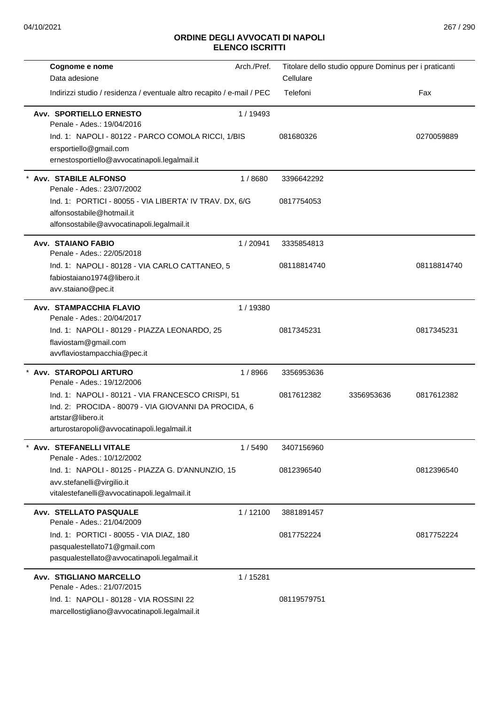| Cognome e nome<br>Data adesione                                                                                                                                               | Arch./Pref. | Titolare dello studio oppure Dominus per i praticanti<br>Cellulare |            |             |
|-------------------------------------------------------------------------------------------------------------------------------------------------------------------------------|-------------|--------------------------------------------------------------------|------------|-------------|
| Indirizzi studio / residenza / eventuale altro recapito / e-mail / PEC                                                                                                        |             | Telefoni                                                           |            | Fax         |
| <b>Avv. SPORTIELLO ERNESTO</b><br>Penale - Ades.: 19/04/2016                                                                                                                  | 1 / 19493   |                                                                    |            |             |
| Ind. 1: NAPOLI - 80122 - PARCO COMOLA RICCI, 1/BIS<br>ersportiello@gmail.com<br>ernestosportiello@avvocatinapoli.legalmail.it                                                 |             | 081680326                                                          |            | 0270059889  |
| * Avv. STABILE ALFONSO<br>Penale - Ades.: 23/07/2002                                                                                                                          | 1/8680      | 3396642292                                                         |            |             |
| Ind. 1: PORTICI - 80055 - VIA LIBERTA' IV TRAV. DX, 6/G<br>alfonsostabile@hotmail.it<br>alfonsostabile@avvocatinapoli.legalmail.it                                            |             | 0817754053                                                         |            |             |
| <b>Avv. STAIANO FABIO</b><br>Penale - Ades.: 22/05/2018                                                                                                                       | 1/20941     | 3335854813                                                         |            |             |
| Ind. 1: NAPOLI - 80128 - VIA CARLO CATTANEO, 5<br>fabiostaiano1974@libero.it<br>avv.staiano@pec.it                                                                            |             | 08118814740                                                        |            | 08118814740 |
| <b>Avv. STAMPACCHIA FLAVIO</b><br>Penale - Ades.: 20/04/2017                                                                                                                  | 1/19380     |                                                                    |            |             |
| Ind. 1: NAPOLI - 80129 - PIAZZA LEONARDO, 25<br>flaviostam@gmail.com<br>avvflaviostampacchia@pec.it                                                                           |             | 0817345231                                                         |            | 0817345231  |
| Avv. STAROPOLI ARTURO<br>Penale - Ades.: 19/12/2006                                                                                                                           | 1/8966      | 3356953636                                                         |            |             |
| Ind. 1: NAPOLI - 80121 - VIA FRANCESCO CRISPI, 51<br>Ind. 2: PROCIDA - 80079 - VIA GIOVANNI DA PROCIDA, 6<br>artstar@libero.it<br>arturostaropoli@avvocatinapoli.legalmail.it |             | 0817612382                                                         | 3356953636 | 0817612382  |
| <b>Avv. STEFANELLI VITALE</b><br>Penale - Ades.: 10/12/2002                                                                                                                   | 1/5490      | 3407156960                                                         |            |             |
| Ind. 1: NAPOLI - 80125 - PIAZZA G. D'ANNUNZIO, 15<br>avv.stefanelli@virgilio.it<br>vitalestefanelli@avvocatinapoli.legalmail.it                                               |             | 0812396540                                                         |            | 0812396540  |
| <b>Avv. STELLATO PASQUALE</b><br>Penale - Ades.: 21/04/2009                                                                                                                   | 1/12100     | 3881891457                                                         |            |             |
| Ind. 1: PORTICI - 80055 - VIA DIAZ, 180<br>pasqualestellato71@gmail.com<br>pasqualestellato@avvocatinapoli.legalmail.it                                                       |             | 0817752224                                                         |            | 0817752224  |
| <b>Avv. STIGLIANO MARCELLO</b><br>Penale - Ades.: 21/07/2015                                                                                                                  | 1/15281     |                                                                    |            |             |
| Ind. 1: NAPOLI - 80128 - VIA ROSSINI 22<br>marcellostigliano@avvocatinapoli.legalmail.it                                                                                      |             | 08119579751                                                        |            |             |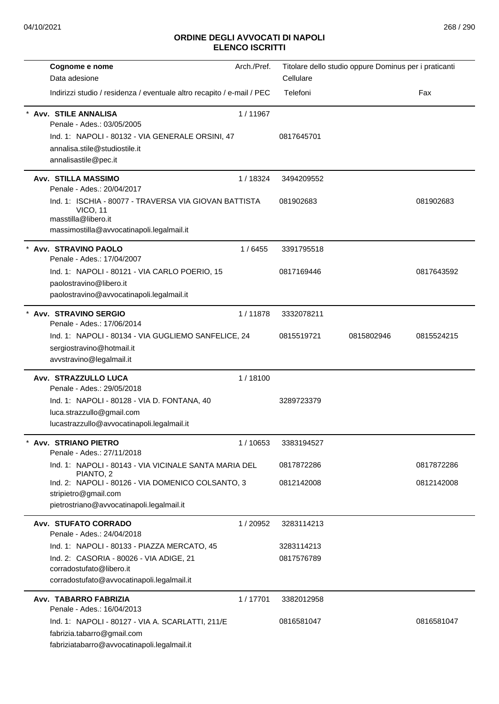| Cognome e nome                                                                                                                                                 | Arch./Pref. |            | Titolare dello studio oppure Dominus per i praticanti |            |
|----------------------------------------------------------------------------------------------------------------------------------------------------------------|-------------|------------|-------------------------------------------------------|------------|
| Data adesione                                                                                                                                                  |             | Cellulare  |                                                       |            |
| Indirizzi studio / residenza / eventuale altro recapito / e-mail / PEC                                                                                         |             | Telefoni   |                                                       | Fax        |
| Avv. STILE ANNALISA<br>Penale - Ades.: 03/05/2005<br>Ind. 1: NAPOLI - 80132 - VIA GENERALE ORSINI, 47<br>annalisa.stile@studiostile.it<br>annalisastile@pec.it | 1/11967     | 0817645701 |                                                       |            |
| <b>Avv. STILLA MASSIMO</b><br>Penale - Ades.: 20/04/2017                                                                                                       | 1/18324     | 3494209552 |                                                       |            |
| Ind. 1: ISCHIA - 80077 - TRAVERSA VIA GIOVAN BATTISTA<br><b>VICO, 11</b><br>masstilla@libero.it<br>massimostilla@avvocatinapoli.legalmail.it                   |             | 081902683  |                                                       | 081902683  |
| Avv. STRAVINO PAOLO<br>Penale - Ades.: 17/04/2007                                                                                                              | 1/6455      | 3391795518 |                                                       |            |
| Ind. 1: NAPOLI - 80121 - VIA CARLO POERIO, 15<br>paolostravino@libero.it<br>paolostravino@avvocatinapoli.legalmail.it                                          |             | 0817169446 |                                                       | 0817643592 |
| Avv. STRAVINO SERGIO<br>Penale - Ades.: 17/06/2014                                                                                                             | 1/11878     | 3332078211 |                                                       |            |
| Ind. 1: NAPOLI - 80134 - VIA GUGLIEMO SANFELICE, 24<br>sergiostravino@hotmail.it<br>avvstravino@legalmail.it                                                   |             | 0815519721 | 0815802946                                            | 0815524215 |
| Avv. STRAZZULLO LUCA<br>Penale - Ades.: 29/05/2018                                                                                                             | 1/18100     |            |                                                       |            |
| Ind. 1: NAPOLI - 80128 - VIA D. FONTANA, 40<br>luca.strazzullo@gmail.com<br>lucastrazzullo@avvocatinapoli.legalmail.it                                         |             | 3289723379 |                                                       |            |
| * Avv. STRIANO PIETRO<br>Penale - Ades.: 27/11/2018                                                                                                            | 1/10653     | 3383194527 |                                                       |            |
| Ind. 1: NAPOLI - 80143 - VIA VICINALE SANTA MARIA DEL<br>PIANTO, 2                                                                                             |             | 0817872286 |                                                       | 0817872286 |
| Ind. 2: NAPOLI - 80126 - VIA DOMENICO COLSANTO, 3<br>stripietro@gmail.com<br>pietrostriano@avvocatinapoli.legalmail.it                                         |             | 0812142008 |                                                       | 0812142008 |
| Avv. STUFATO CORRADO<br>Penale - Ades.: 24/04/2018                                                                                                             | 1/20952     | 3283114213 |                                                       |            |
| Ind. 1: NAPOLI - 80133 - PIAZZA MERCATO, 45                                                                                                                    |             | 3283114213 |                                                       |            |
| Ind. 2: CASORIA - 80026 - VIA ADIGE, 21<br>corradostufato@libero.it<br>corradostufato@avvocatinapoli.legalmail.it                                              |             | 0817576789 |                                                       |            |
| Avv. TABARRO FABRIZIA<br>Penale - Ades.: 16/04/2013                                                                                                            | 1/17701     | 3382012958 |                                                       |            |
| Ind. 1: NAPOLI - 80127 - VIA A. SCARLATTI, 211/E<br>fabrizia.tabarro@gmail.com<br>fabriziatabarro@avvocatinapoli.legalmail.it                                  |             | 0816581047 |                                                       | 0816581047 |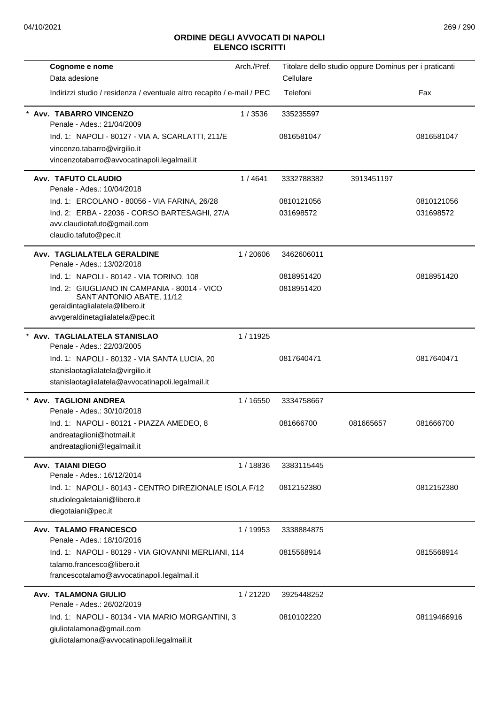| Cognome e nome                                                         | Arch./Pref. | Titolare dello studio oppure Dominus per i praticanti |            |             |
|------------------------------------------------------------------------|-------------|-------------------------------------------------------|------------|-------------|
| Data adesione                                                          |             | Cellulare                                             |            |             |
| Indirizzi studio / residenza / eventuale altro recapito / e-mail / PEC |             | Telefoni                                              |            | Fax         |
| Avv. TABARRO VINCENZO<br>Penale - Ades.: 21/04/2009                    | 1/3536      | 335235597                                             |            |             |
| Ind. 1: NAPOLI - 80127 - VIA A. SCARLATTI, 211/E                       |             | 0816581047                                            |            | 0816581047  |
| vincenzo.tabarro@virgilio.it                                           |             |                                                       |            |             |
| vincenzotabarro@avvocatinapoli.legalmail.it                            |             |                                                       |            |             |
| Avv. TAFUTO CLAUDIO<br>Penale - Ades.: 10/04/2018                      | 1/4641      | 3332788382                                            | 3913451197 |             |
| Ind. 1: ERCOLANO - 80056 - VIA FARINA, 26/28                           |             | 0810121056                                            |            | 0810121056  |
| Ind. 2: ERBA - 22036 - CORSO BARTESAGHI, 27/A                          |             | 031698572                                             |            | 031698572   |
| avv.claudiotafuto@gmail.com<br>claudio.tafuto@pec.it                   |             |                                                       |            |             |
| Avv. TAGLIALATELA GERALDINE<br>Penale - Ades.: 13/02/2018              | 1/20606     | 3462606011                                            |            |             |
| Ind. 1: NAPOLI - 80142 - VIA TORINO, 108                               |             | 0818951420                                            |            | 0818951420  |
| Ind. 2: GIUGLIANO IN CAMPANIA - 80014 - VICO                           |             | 0818951420                                            |            |             |
| SANT'ANTONIO ABATE, 11/12                                              |             |                                                       |            |             |
| geraldintaglialatela@libero.it<br>avvgeraldinetaglialatela@pec.it      |             |                                                       |            |             |
|                                                                        |             |                                                       |            |             |
| * Avv. TAGLIALATELA STANISLAO<br>Penale - Ades.: 22/03/2005            | 1/11925     |                                                       |            |             |
| Ind. 1: NAPOLI - 80132 - VIA SANTA LUCIA, 20                           |             | 0817640471                                            |            | 0817640471  |
| stanislaotaglialatela@virgilio.it                                      |             |                                                       |            |             |
| stanislaotaglialatela@avvocatinapoli.legalmail.it                      |             |                                                       |            |             |
| <b>Avv. TAGLIONI ANDREA</b>                                            | 1 / 16550   | 3334758667                                            |            |             |
| Penale - Ades.: 30/10/2018                                             |             |                                                       |            |             |
| Ind. 1: NAPOLI - 80121 - PIAZZA AMEDEO, 8                              |             | 081666700                                             | 081665657  | 081666700   |
| andreataglioni@hotmail.it                                              |             |                                                       |            |             |
| andreataglioni@legalmail.it                                            |             |                                                       |            |             |
| <b>Avv. TAIANI DIEGO</b><br>Penale - Ades.: 16/12/2014                 | 1/18836     | 3383115445                                            |            |             |
| Ind. 1: NAPOLI - 80143 - CENTRO DIREZIONALE ISOLA F/12                 |             | 0812152380                                            |            | 0812152380  |
| studiolegaletaiani@libero.it                                           |             |                                                       |            |             |
| diegotaiani@pec.it                                                     |             |                                                       |            |             |
| Avv. TALAMO FRANCESCO<br>Penale - Ades.: 18/10/2016                    | 1 / 19953   | 3338884875                                            |            |             |
| Ind. 1: NAPOLI - 80129 - VIA GIOVANNI MERLIANI, 114                    |             | 0815568914                                            |            | 0815568914  |
| talamo.francesco@libero.it                                             |             |                                                       |            |             |
| francescotalamo@avvocatinapoli.legalmail.it                            |             |                                                       |            |             |
| <b>Avv. TALAMONA GIULIO</b>                                            | 1/21220     | 3925448252                                            |            |             |
| Penale - Ades.: 26/02/2019                                             |             |                                                       |            |             |
| Ind. 1: NAPOLI - 80134 - VIA MARIO MORGANTINI, 3                       |             | 0810102220                                            |            | 08119466916 |
| giuliotalamona@gmail.com                                               |             |                                                       |            |             |
| giuliotalamona@avvocatinapoli.legalmail.it                             |             |                                                       |            |             |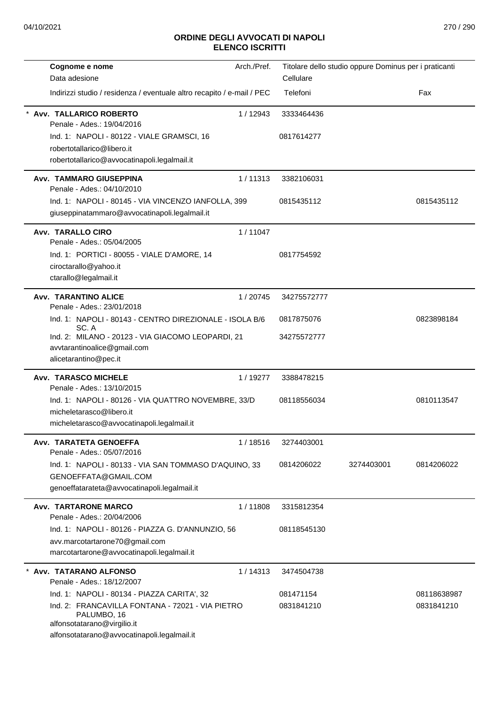| Cognome e nome                                                                  | Arch./Pref. | Titolare dello studio oppure Dominus per i praticanti |            |             |
|---------------------------------------------------------------------------------|-------------|-------------------------------------------------------|------------|-------------|
| Data adesione                                                                   |             | Cellulare                                             |            |             |
| Indirizzi studio / residenza / eventuale altro recapito / e-mail / PEC          |             | Telefoni                                              |            | Fax         |
| Avv. TALLARICO ROBERTO<br>Penale - Ades.: 19/04/2016                            | 1/12943     | 3333464436                                            |            |             |
| Ind. 1: NAPOLI - 80122 - VIALE GRAMSCI, 16                                      |             | 0817614277                                            |            |             |
| robertotallarico@libero.it                                                      |             |                                                       |            |             |
| robertotallarico@avvocatinapoli.legalmail.it                                    |             |                                                       |            |             |
| <b>Avv. TAMMARO GIUSEPPINA</b><br>Penale - Ades.: 04/10/2010                    | 1/11313     | 3382106031                                            |            |             |
| Ind. 1: NAPOLI - 80145 - VIA VINCENZO IANFOLLA, 399                             |             | 0815435112                                            |            | 0815435112  |
| giuseppinatammaro@avvocatinapoli.legalmail.it                                   |             |                                                       |            |             |
| Avv. TARALLO CIRO<br>Penale - Ades.: 05/04/2005                                 | 1/11047     |                                                       |            |             |
| Ind. 1: PORTICI - 80055 - VIALE D'AMORE, 14                                     |             | 0817754592                                            |            |             |
| ciroctarallo@yahoo.it                                                           |             |                                                       |            |             |
| ctarallo@legalmail.it                                                           |             |                                                       |            |             |
| <b>Avv. TARANTINO ALICE</b><br>Penale - Ades.: 23/01/2018                       | 1/20745     | 34275572777                                           |            |             |
| Ind. 1: NAPOLI - 80143 - CENTRO DIREZIONALE - ISOLA B/6                         |             | 0817875076                                            |            | 0823898184  |
| SC. A<br>Ind. 2: MILANO - 20123 - VIA GIACOMO LEOPARDI, 21                      |             | 34275572777                                           |            |             |
| avvtarantinoalice@gmail.com                                                     |             |                                                       |            |             |
| alicetarantino@pec.it                                                           |             |                                                       |            |             |
| <b>Avv. TARASCO MICHELE</b>                                                     | 1/19277     | 3388478215                                            |            |             |
| Penale - Ades.: 13/10/2015                                                      |             |                                                       |            |             |
| Ind. 1: NAPOLI - 80126 - VIA QUATTRO NOVEMBRE, 33/D<br>micheletarasco@libero.it |             | 08118556034                                           |            | 0810113547  |
| micheletarasco@avvocatinapoli.legalmail.it                                      |             |                                                       |            |             |
| Avv. TARATETA GENOEFFA                                                          | 1/18516     | 3274403001                                            |            |             |
| Penale - Ades.: 05/07/2016                                                      |             |                                                       |            |             |
| Ind. 1: NAPOLI - 80133 - VIA SAN TOMMASO D'AQUINO, 33                           |             | 0814206022                                            | 3274403001 | 0814206022  |
| GENOEFFATA@GMAIL.COM                                                            |             |                                                       |            |             |
| genoeffatarateta@avvocatinapoli.legalmail.it                                    |             |                                                       |            |             |
| <b>Avv. TARTARONE MARCO</b><br>Penale - Ades.: 20/04/2006                       | 1/11808     | 3315812354                                            |            |             |
| Ind. 1: NAPOLI - 80126 - PIAZZA G. D'ANNUNZIO, 56                               |             | 08118545130                                           |            |             |
| avv.marcotartarone70@gmail.com                                                  |             |                                                       |            |             |
| marcotartarone@avvocatinapoli.legalmail.it                                      |             |                                                       |            |             |
| Avv. TATARANO ALFONSO<br>Penale - Ades.: 18/12/2007                             | 1 / 14313   | 3474504738                                            |            |             |
| Ind. 1: NAPOLI - 80134 - PIAZZA CARITA', 32                                     |             | 081471154                                             |            | 08118638987 |
| Ind. 2: FRANCAVILLA FONTANA - 72021 - VIA PIETRO<br>PALUMBO, 16                 |             | 0831841210                                            |            | 0831841210  |
| alfonsotatarano@virgilio.it<br>alfonsotatarano@avvocatinapoli.legalmail.it      |             |                                                       |            |             |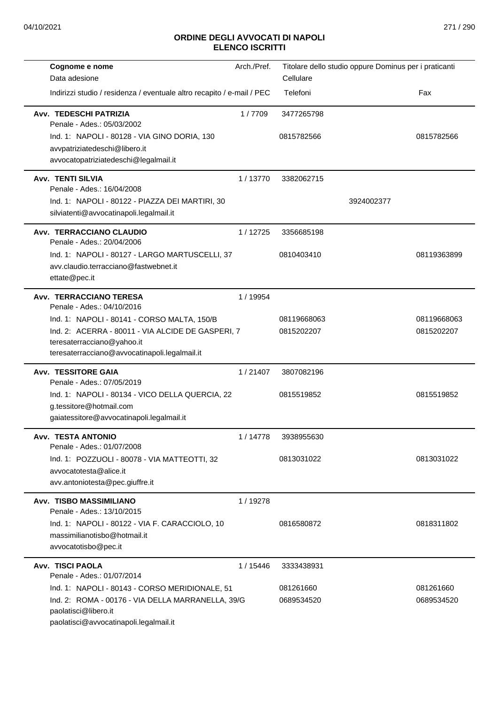L

L.

L

| Cognome e nome                                                                             | Arch./Pref. | Titolare dello studio oppure Dominus per i praticanti |             |
|--------------------------------------------------------------------------------------------|-------------|-------------------------------------------------------|-------------|
| Data adesione                                                                              |             | Cellulare                                             |             |
| Indirizzi studio / residenza / eventuale altro recapito / e-mail / PEC                     |             | Telefoni                                              | Fax         |
| Avv. TEDESCHI PATRIZIA<br>Penale - Ades.: 05/03/2002                                       | 1/7709      | 3477265798                                            |             |
| Ind. 1: NAPOLI - 80128 - VIA GINO DORIA, 130                                               |             | 0815782566                                            | 0815782566  |
| avvpatriziatedeschi@libero.it                                                              |             |                                                       |             |
| avvocatopatriziatedeschi@legalmail.it                                                      |             |                                                       |             |
| <b>Avv. TENTI SILVIA</b>                                                                   | 1/13770     | 3382062715                                            |             |
| Penale - Ades.: 16/04/2008                                                                 |             |                                                       |             |
| Ind. 1: NAPOLI - 80122 - PIAZZA DEI MARTIRI, 30<br>silviatenti@avvocatinapoli.legalmail.it |             | 3924002377                                            |             |
|                                                                                            |             |                                                       |             |
| Avv. TERRACCIANO CLAUDIO<br>Penale - Ades.: 20/04/2006                                     | 1/12725     | 3356685198                                            |             |
| Ind. 1: NAPOLI - 80127 - LARGO MARTUSCELLI, 37                                             |             | 0810403410                                            | 08119363899 |
| avv.claudio.terracciano@fastwebnet.it                                                      |             |                                                       |             |
| ettate@pec.it                                                                              |             |                                                       |             |
| Avv. TERRACCIANO TERESA<br>Penale - Ades.: 04/10/2016                                      | 1 / 19954   |                                                       |             |
| Ind. 1: NAPOLI - 80141 - CORSO MALTA, 150/B                                                |             | 08119668063                                           | 08119668063 |
| Ind. 2: ACERRA - 80011 - VIA ALCIDE DE GASPERI, 7                                          |             | 0815202207                                            | 0815202207  |
| teresaterracciano@yahoo.it                                                                 |             |                                                       |             |
| teresaterracciano@avvocatinapoli.legalmail.it                                              |             |                                                       |             |
| <b>Avv. TESSITORE GAIA</b><br>Penale - Ades.: 07/05/2019                                   | 1/21407     | 3807082196                                            |             |
| Ind. 1: NAPOLI - 80134 - VICO DELLA QUERCIA, 22                                            |             | 0815519852                                            | 0815519852  |
| g.tessitore@hotmail.com                                                                    |             |                                                       |             |
| gaiatessitore@avvocatinapoli.legalmail.it                                                  |             |                                                       |             |
| <b>Avv. TESTA ANTONIO</b><br>Penale - Ades.: 01/07/2008                                    | 1 / 14778   | 3938955630                                            |             |
| Ind. 1: POZZUOLI - 80078 - VIA MATTEOTTI, 32                                               |             | 0813031022                                            | 0813031022  |
| avvocatotesta@alice.it                                                                     |             |                                                       |             |
| avv.antoniotesta@pec.giuffre.it                                                            |             |                                                       |             |
| Avv. TISBO MASSIMILIANO                                                                    | 1/19278     |                                                       |             |
| Penale - Ades.: 13/10/2015                                                                 |             | 0816580872                                            | 0818311802  |
| Ind. 1: NAPOLI - 80122 - VIA F. CARACCIOLO, 10<br>massimilianotisbo@hotmail.it             |             |                                                       |             |
| avvocatotisbo@pec.it                                                                       |             |                                                       |             |
| <b>Avv. TISCI PAOLA</b>                                                                    | 1/15446     | 3333438931                                            |             |
| Penale - Ades.: 01/07/2014                                                                 |             |                                                       |             |
| Ind. 1: NAPOLI - 80143 - CORSO MERIDIONALE, 51                                             |             | 081261660                                             | 081261660   |
| Ind. 2: ROMA - 00176 - VIA DELLA MARRANELLA, 39/G                                          |             | 0689534520                                            | 0689534520  |
| paolatisci@libero.it                                                                       |             |                                                       |             |
| paolatisci@avvocatinapoli.legalmail.it                                                     |             |                                                       |             |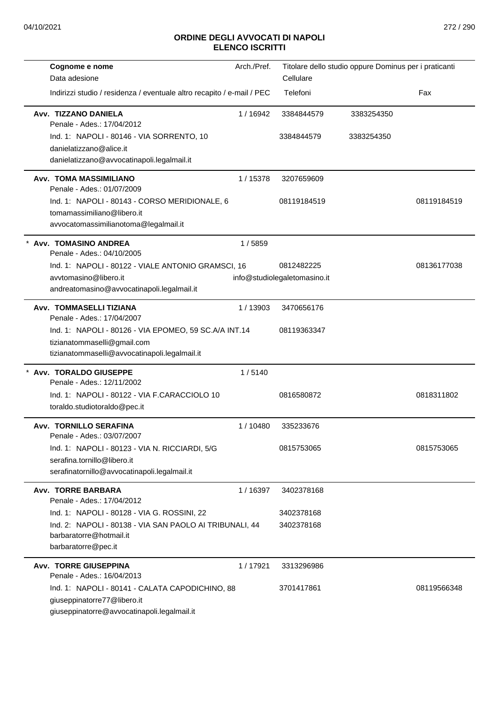| Cognome e nome                                                             | Arch./Pref. |                              | Titolare dello studio oppure Dominus per i praticanti |             |
|----------------------------------------------------------------------------|-------------|------------------------------|-------------------------------------------------------|-------------|
| Data adesione                                                              |             | Cellulare                    |                                                       |             |
| Indirizzi studio / residenza / eventuale altro recapito / e-mail / PEC     |             | Telefoni                     |                                                       | Fax         |
| Avv. TIZZANO DANIELA<br>Penale - Ades.: 17/04/2012                         | 1/16942     | 3384844579                   | 3383254350                                            |             |
| Ind. 1: NAPOLI - 80146 - VIA SORRENTO, 10                                  |             | 3384844579                   | 3383254350                                            |             |
| danielatizzano@alice.it                                                    |             |                              |                                                       |             |
| danielatizzano@avvocatinapoli.legalmail.it                                 |             |                              |                                                       |             |
| <b>Avv. TOMA MASSIMILIANO</b><br>Penale - Ades.: 01/07/2009                | 1/15378     | 3207659609                   |                                                       |             |
| Ind. 1: NAPOLI - 80143 - CORSO MERIDIONALE, 6                              |             | 08119184519                  |                                                       | 08119184519 |
| tomamassimiliano@libero.it                                                 |             |                              |                                                       |             |
| avvocatomassimilianotoma@legalmail.it                                      |             |                              |                                                       |             |
| Avv. TOMASINO ANDREA                                                       | 1/5859      |                              |                                                       |             |
| Penale - Ades.: 04/10/2005                                                 |             |                              |                                                       |             |
| Ind. 1: NAPOLI - 80122 - VIALE ANTONIO GRAMSCI, 16                         |             | 0812482225                   |                                                       | 08136177038 |
| avvtomasino@libero.it<br>andreatomasino@avvocatinapoli.legalmail.it        |             | info@studiolegaletomasino.it |                                                       |             |
|                                                                            |             |                              |                                                       |             |
| Avv. TOMMASELLI TIZIANA<br>Penale - Ades.: 17/04/2007                      | 1/13903     | 3470656176                   |                                                       |             |
| Ind. 1: NAPOLI - 80126 - VIA EPOMEO, 59 SC.A/A INT.14                      |             | 08119363347                  |                                                       |             |
| tizianatommaselli@gmail.com                                                |             |                              |                                                       |             |
| tizianatommaselli@avvocatinapoli.legalmail.it                              |             |                              |                                                       |             |
| * Avv. TORALDO GIUSEPPE                                                    | 1/5140      |                              |                                                       |             |
| Penale - Ades.: 12/11/2002<br>Ind. 1: NAPOLI - 80122 - VIA F.CARACCIOLO 10 |             | 0816580872                   |                                                       | 0818311802  |
| toraldo.studiotoraldo@pec.it                                               |             |                              |                                                       |             |
| Avv. TORNILLO SERAFINA                                                     | 1 / 10480   | 335233676                    |                                                       |             |
| Penale - Ades.: 03/07/2007                                                 |             |                              |                                                       |             |
| Ind. 1: NAPOLI - 80123 - VIA N. RICCIARDI, 5/G                             |             | 0815753065                   |                                                       | 0815753065  |
| serafina.tornillo@libero.it                                                |             |                              |                                                       |             |
| serafinatornillo@avvocatinapoli.legalmail.it                               |             |                              |                                                       |             |
| Avv. TORRE BARBARA<br>Penale - Ades.: 17/04/2012                           | 1/16397     | 3402378168                   |                                                       |             |
| Ind. 1: NAPOLI - 80128 - VIA G. ROSSINI, 22                                |             | 3402378168                   |                                                       |             |
| Ind. 2: NAPOLI - 80138 - VIA SAN PAOLO AI TRIBUNALI, 44                    |             | 3402378168                   |                                                       |             |
| barbaratorre@hotmail.it<br>barbaratorre@pec.it                             |             |                              |                                                       |             |
| Avv. TORRE GIUSEPPINA                                                      | 1/17921     | 3313296986                   |                                                       |             |
| Penale - Ades.: 16/04/2013                                                 |             |                              |                                                       |             |
| Ind. 1: NAPOLI - 80141 - CALATA CAPODICHINO, 88                            |             | 3701417861                   |                                                       | 08119566348 |
| giuseppinatorre77@libero.it                                                |             |                              |                                                       |             |
| giuseppinatorre@avvocatinapoli.legalmail.it                                |             |                              |                                                       |             |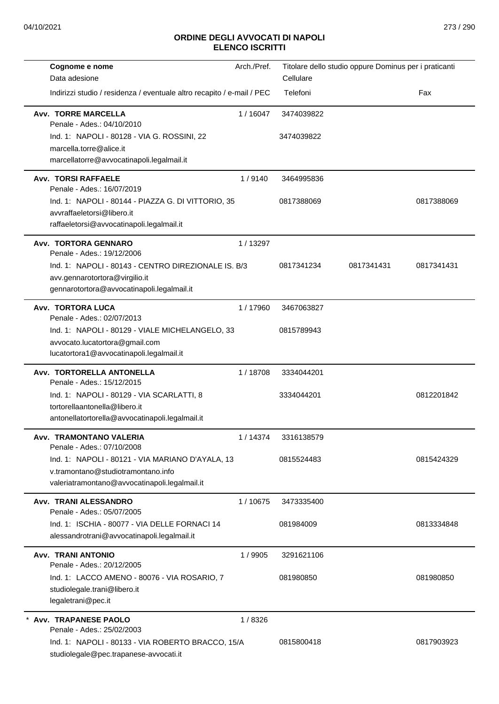| Cognome e nome                                                               | Arch./Pref. |            | Titolare dello studio oppure Dominus per i praticanti |            |
|------------------------------------------------------------------------------|-------------|------------|-------------------------------------------------------|------------|
| Data adesione                                                                |             | Cellulare  |                                                       |            |
| Indirizzi studio / residenza / eventuale altro recapito / e-mail / PEC       |             | Telefoni   |                                                       | Fax        |
| <b>Avv. TORRE MARCELLA</b><br>Penale - Ades.: 04/10/2010                     | 1/16047     | 3474039822 |                                                       |            |
| Ind. 1: NAPOLI - 80128 - VIA G. ROSSINI, 22                                  |             | 3474039822 |                                                       |            |
| marcella.torre@alice.it                                                      |             |            |                                                       |            |
| marcellatorre@avvocatinapoli.legalmail.it                                    |             |            |                                                       |            |
| <b>Avv. TORSI RAFFAELE</b><br>Penale - Ades.: 16/07/2019                     | 1/9140      | 3464995836 |                                                       |            |
| Ind. 1: NAPOLI - 80144 - PIAZZA G. DI VITTORIO, 35                           |             | 0817388069 |                                                       | 0817388069 |
| avvraffaeletorsi@libero.it                                                   |             |            |                                                       |            |
| raffaeletorsi@avvocatinapoli.legalmail.it                                    |             |            |                                                       |            |
| Avv. TORTORA GENNARO                                                         | 1/13297     |            |                                                       |            |
| Penale - Ades.: 19/12/2006                                                   |             |            |                                                       |            |
| Ind. 1: NAPOLI - 80143 - CENTRO DIREZIONALE IS. B/3                          |             | 0817341234 | 0817341431                                            | 0817341431 |
| avv.gennarotortora@virgilio.it<br>gennarotortora@avvocatinapoli.legalmail.it |             |            |                                                       |            |
| Avv. TORTORA LUCA                                                            | 1/17960     | 3467063827 |                                                       |            |
| Penale - Ades.: 02/07/2013                                                   |             |            |                                                       |            |
| Ind. 1: NAPOLI - 80129 - VIALE MICHELANGELO, 33                              |             | 0815789943 |                                                       |            |
| avvocato.lucatortora@gmail.com                                               |             |            |                                                       |            |
| lucatortora1@avvocatinapoli.legalmail.it                                     |             |            |                                                       |            |
| Avv. TORTORELLA ANTONELLA<br>Penale - Ades.: 15/12/2015                      | 1/18708     | 3334044201 |                                                       |            |
| Ind. 1: NAPOLI - 80129 - VIA SCARLATTI, 8                                    |             | 3334044201 |                                                       | 0812201842 |
| tortorellaantonella@libero.it                                                |             |            |                                                       |            |
| antonellatortorella@avvocatinapoli.legalmail.it                              |             |            |                                                       |            |
| Avv. TRAMONTANO VALERIA<br>Penale - Ades.: 07/10/2008                        | 1/14374     | 3316138579 |                                                       |            |
| Ind. 1: NAPOLI - 80121 - VIA MARIANO D'AYALA, 13                             |             | 0815524483 |                                                       | 0815424329 |
| v.tramontano@studiotramontano.info                                           |             |            |                                                       |            |
| valeriatramontano@avvocatinapoli.legalmail.it                                |             |            |                                                       |            |
| Avv. TRANI ALESSANDRO<br>Penale - Ades.: 05/07/2005                          | 1/10675     | 3473335400 |                                                       |            |
| Ind. 1: ISCHIA - 80077 - VIA DELLE FORNACI 14                                |             | 081984009  |                                                       | 0813334848 |
| alessandrotrani@avvocatinapoli.legalmail.it                                  |             |            |                                                       |            |
| <b>Avv. TRANI ANTONIO</b><br>Penale - Ades.: 20/12/2005                      | 1/9905      | 3291621106 |                                                       |            |
| Ind. 1: LACCO AMENO - 80076 - VIA ROSARIO, 7                                 |             | 081980850  |                                                       | 081980850  |
| studiolegale.trani@libero.it                                                 |             |            |                                                       |            |
| legaletrani@pec.it                                                           |             |            |                                                       |            |
| <b>Avv. TRAPANESE PAOLO</b>                                                  | 1/8326      |            |                                                       |            |
| Penale - Ades.: 25/02/2003                                                   |             |            |                                                       |            |
| Ind. 1: NAPOLI - 80133 - VIA ROBERTO BRACCO, 15/A                            |             | 0815800418 |                                                       | 0817903923 |
| studiolegale@pec.trapanese-avvocati.it                                       |             |            |                                                       |            |
|                                                                              |             |            |                                                       |            |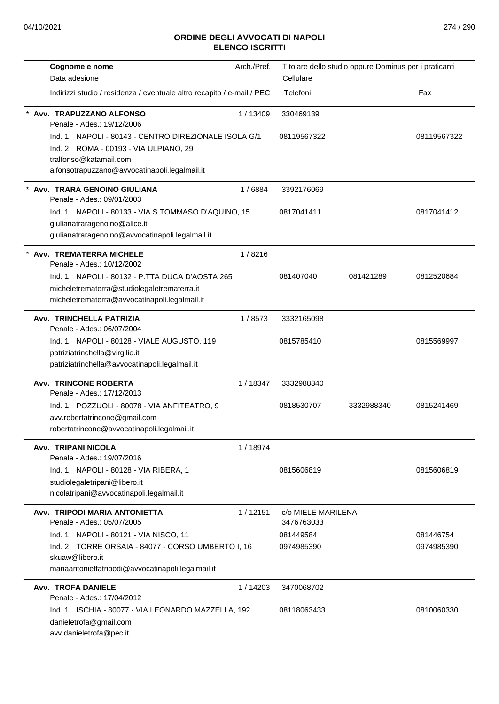| Cognome e nome<br>Data adesione                                                                                                                                            | Arch./Pref. | Titolare dello studio oppure Dominus per i praticanti<br>Cellulare |            |                         |
|----------------------------------------------------------------------------------------------------------------------------------------------------------------------------|-------------|--------------------------------------------------------------------|------------|-------------------------|
| Indirizzi studio / residenza / eventuale altro recapito / e-mail / PEC                                                                                                     |             | Telefoni                                                           |            | Fax                     |
| Avv. TRAPUZZANO ALFONSO<br>Penale - Ades.: 19/12/2006                                                                                                                      | 1/13409     | 330469139                                                          |            |                         |
| Ind. 1: NAPOLI - 80143 - CENTRO DIREZIONALE ISOLA G/1<br>Ind. 2: ROMA - 00193 - VIA ULPIANO, 29<br>tralfonso@katamail.com<br>alfonsotrapuzzano@avvocatinapoli.legalmail.it |             | 08119567322                                                        |            | 08119567322             |
| Avv. TRARA GENOINO GIULIANA<br>Penale - Ades.: 09/01/2003                                                                                                                  | 1/6884      | 3392176069                                                         |            |                         |
| Ind. 1: NAPOLI - 80133 - VIA S.TOMMASO D'AQUINO, 15<br>giulianatraragenoino@alice.it<br>giulianatraragenoino@avvocatinapoli.legalmail.it                                   |             | 0817041411                                                         |            | 0817041412              |
| Avv. TREMATERRA MICHELE<br>Penale - Ades.: 10/12/2002                                                                                                                      | 1/8216      |                                                                    |            |                         |
| Ind. 1: NAPOLI - 80132 - P.TTA DUCA D'AOSTA 265<br>micheletrematerra@studiolegaletrematerra.it<br>micheletrematerra@avvocatinapoli.legalmail.it                            |             | 081407040                                                          | 081421289  | 0812520684              |
| Avv. TRINCHELLA PATRIZIA<br>Penale - Ades.: 06/07/2004                                                                                                                     | 1/8573      | 3332165098                                                         |            |                         |
| Ind. 1: NAPOLI - 80128 - VIALE AUGUSTO, 119<br>patriziatrinchella@virgilio.it<br>patriziatrinchella@avvocatinapoli.legalmail.it                                            |             | 0815785410                                                         |            | 0815569997              |
| Avv. TRINCONE ROBERTA<br>Penale - Ades.: 17/12/2013                                                                                                                        | 1/18347     | 3332988340                                                         |            |                         |
| Ind. 1: POZZUOLI - 80078 - VIA ANFITEATRO, 9<br>avv.robertatrincone@gmail.com<br>robertatrincone@avvocatinapoli.legalmail.it                                               |             | 0818530707                                                         | 3332988340 | 0815241469              |
| Avv. TRIPANI NICOLA<br>Penale - Ades.: 19/07/2016                                                                                                                          | 1 / 18974   |                                                                    |            |                         |
| Ind. 1: NAPOLI - 80128 - VIA RIBERA, 1<br>studiolegaletripani@libero.it<br>nicolatripani@avvocatinapoli.legalmail.it                                                       |             | 0815606819                                                         |            | 0815606819              |
| Avv. TRIPODI MARIA ANTONIETTA<br>Penale - Ades.: 05/07/2005                                                                                                                | 1/12151     | c/o MIELE MARILENA<br>3476763033                                   |            |                         |
| Ind. 1: NAPOLI - 80121 - VIA NISCO, 11<br>Ind. 2: TORRE ORSAIA - 84077 - CORSO UMBERTO I, 16<br>skuaw@libero.it<br>mariaantoniettatripodi@avvocatinapoli.legalmail.it      |             | 081449584<br>0974985390                                            |            | 081446754<br>0974985390 |
| <b>Avv. TROFA DANIELE</b><br>Penale - Ades.: 17/04/2012                                                                                                                    | 1/14203     | 3470068702                                                         |            |                         |
| Ind. 1: ISCHIA - 80077 - VIA LEONARDO MAZZELLA, 192<br>danieletrofa@gmail.com<br>avv.danieletrofa@pec.it                                                                   |             | 08118063433                                                        |            | 0810060330              |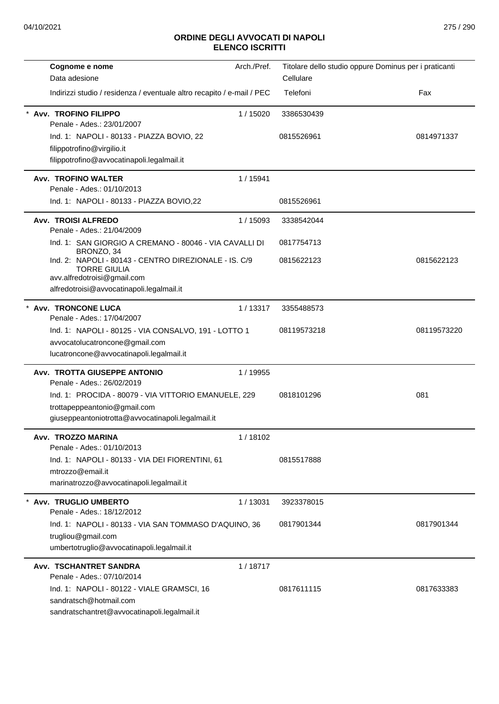| Cognome e nome                                                               | Arch./Pref. | Titolare dello studio oppure Dominus per i praticanti |             |
|------------------------------------------------------------------------------|-------------|-------------------------------------------------------|-------------|
| Data adesione                                                                |             | Cellulare                                             |             |
| Indirizzi studio / residenza / eventuale altro recapito / e-mail / PEC       |             | Telefoni                                              | Fax         |
| <b>Avv. TROFINO FILIPPO</b><br>Penale - Ades.: 23/01/2007                    | 1/15020     | 3386530439                                            |             |
| Ind. 1: NAPOLI - 80133 - PIAZZA BOVIO, 22                                    |             | 0815526961                                            | 0814971337  |
| filippotrofino@virgilio.it                                                   |             |                                                       |             |
| filippotrofino@avvocatinapoli.legalmail.it                                   |             |                                                       |             |
| Avv. TROFINO WALTER<br>Penale - Ades.: 01/10/2013                            | 1 / 15941   |                                                       |             |
| Ind. 1: NAPOLI - 80133 - PIAZZA BOVIO,22                                     |             | 0815526961                                            |             |
| Avv. TROISI ALFREDO<br>Penale - Ades.: 21/04/2009                            | 1/15093     | 3338542044                                            |             |
| Ind. 1: SAN GIORGIO A CREMANO - 80046 - VIA CAVALLI DI<br>BRONZO, 34         |             | 0817754713                                            |             |
| Ind. 2: NAPOLI - 80143 - CENTRO DIREZIONALE - IS. C/9<br><b>TORRE GIULIA</b> |             | 0815622123                                            | 0815622123  |
| avv.alfredotroisi@gmail.com                                                  |             |                                                       |             |
| alfredotroisi@avvocatinapoli.legalmail.it                                    |             |                                                       |             |
| * Avv. TRONCONE LUCA<br>Penale - Ades.: 17/04/2007                           | 1/13317     | 3355488573                                            |             |
| Ind. 1: NAPOLI - 80125 - VIA CONSALVO, 191 - LOTTO 1                         |             | 08119573218                                           | 08119573220 |
| avvocatolucatroncone@gmail.com                                               |             |                                                       |             |
| lucatroncone@avvocatinapoli.legalmail.it                                     |             |                                                       |             |
| Avv. TROTTA GIUSEPPE ANTONIO<br>Penale - Ades.: 26/02/2019                   | 1 / 19955   |                                                       |             |
| Ind. 1: PROCIDA - 80079 - VIA VITTORIO EMANUELE, 229                         |             | 0818101296                                            | 081         |
| trottapeppeantonio@gmail.com                                                 |             |                                                       |             |
| giuseppeantoniotrotta@avvocatinapoli.legalmail.it                            |             |                                                       |             |
| Avv. TROZZO MARINA                                                           | 1/18102     |                                                       |             |
| Penale - Ades.: 01/10/2013                                                   |             |                                                       |             |
| Ind. 1: NAPOLI - 80133 - VIA DEI FIORENTINI, 61<br>mtrozzo@email.it          |             | 0815517888                                            |             |
| marinatrozzo@avvocatinapoli.legalmail.it                                     |             |                                                       |             |
| Avv. TRUGLIO UMBERTO                                                         | 1/13031     | 3923378015                                            |             |
| Penale - Ades.: 18/12/2012                                                   |             |                                                       |             |
| Ind. 1: NAPOLI - 80133 - VIA SAN TOMMASO D'AQUINO, 36                        |             | 0817901344                                            | 0817901344  |
| trugliou@gmail.com<br>umbertotruglio@avvocatinapoli.legalmail.it             |             |                                                       |             |
| Avv. TSCHANTRET SANDRA                                                       | 1/18717     |                                                       |             |
| Penale - Ades.: 07/10/2014                                                   |             |                                                       |             |
| Ind. 1: NAPOLI - 80122 - VIALE GRAMSCI, 16                                   |             | 0817611115                                            | 0817633383  |
| sandratsch@hotmail.com<br>sandratschantret@avvocatinapoli.legalmail.it       |             |                                                       |             |
|                                                                              |             |                                                       |             |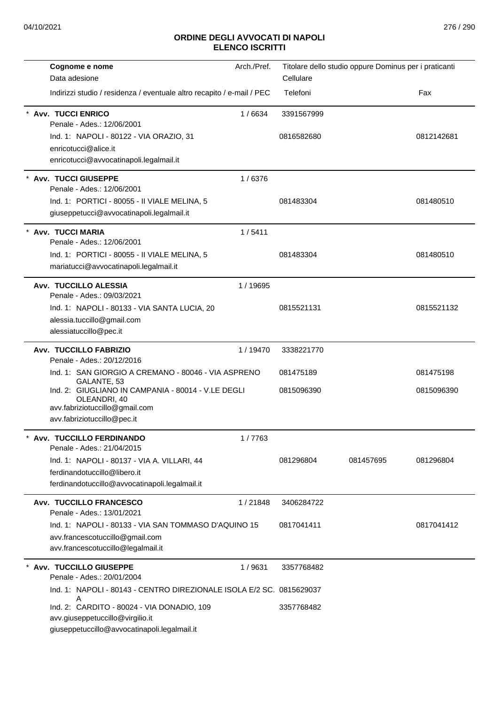| Cognome e nome                                                                                                                      | Arch./Pref. |            | Titolare dello studio oppure Dominus per i praticanti |            |
|-------------------------------------------------------------------------------------------------------------------------------------|-------------|------------|-------------------------------------------------------|------------|
| Data adesione                                                                                                                       |             | Cellulare  |                                                       |            |
| Indirizzi studio / residenza / eventuale altro recapito / e-mail / PEC                                                              |             | Telefoni   |                                                       | Fax        |
| <b>Avv. TUCCI ENRICO</b><br>Penale - Ades.: 12/06/2001                                                                              | 1/6634      | 3391567999 |                                                       |            |
| Ind. 1: NAPOLI - 80122 - VIA ORAZIO, 31                                                                                             |             | 0816582680 |                                                       | 0812142681 |
| enricotucci@alice.it                                                                                                                |             |            |                                                       |            |
| enricotucci@avvocatinapoli.legalmail.it                                                                                             |             |            |                                                       |            |
| <b>Avv. TUCCI GIUSEPPE</b><br>Penale - Ades.: 12/06/2001                                                                            | 1/6376      |            |                                                       |            |
| Ind. 1: PORTICI - 80055 - II VIALE MELINA, 5                                                                                        |             | 081483304  |                                                       | 081480510  |
| giuseppetucci@avvocatinapoli.legalmail.it                                                                                           |             |            |                                                       |            |
| Avv. TUCCI MARIA<br>Penale - Ades.: 12/06/2001                                                                                      | 1/5411      |            |                                                       |            |
| Ind. 1: PORTICI - 80055 - II VIALE MELINA, 5                                                                                        |             | 081483304  |                                                       | 081480510  |
| mariatucci@avvocatinapoli.legalmail.it                                                                                              |             |            |                                                       |            |
| Avv. TUCCILLO ALESSIA                                                                                                               | 1/19695     |            |                                                       |            |
| Penale - Ades.: 09/03/2021                                                                                                          |             |            |                                                       |            |
| Ind. 1: NAPOLI - 80133 - VIA SANTA LUCIA, 20                                                                                        |             | 0815521131 |                                                       | 0815521132 |
| alessia.tuccillo@gmail.com                                                                                                          |             |            |                                                       |            |
| alessiatuccillo@pec.it                                                                                                              |             |            |                                                       |            |
| <b>Avv. TUCCILLO FABRIZIO</b>                                                                                                       | 1/19470     | 3338221770 |                                                       |            |
| Penale - Ades.: 20/12/2016                                                                                                          |             |            |                                                       |            |
| Ind. 1: SAN GIORGIO A CREMANO - 80046 - VIA ASPRENO<br>GALANTE, 53                                                                  |             | 081475189  |                                                       | 081475198  |
| Ind. 2: GIUGLIANO IN CAMPANIA - 80014 - V.LE DEGLI<br>OLEANDRI, 40<br>avv.fabriziotuccillo@gmail.com                                |             | 0815096390 |                                                       | 0815096390 |
| avv.fabriziotuccillo@pec.it                                                                                                         |             |            |                                                       |            |
|                                                                                                                                     |             |            |                                                       |            |
| <b>Avv. TUCCILLO FERDINANDO</b><br>Penale - Ades.: 21/04/2015                                                                       | 1/7763      |            |                                                       |            |
| Ind. 1: NAPOLI - 80137 - VIA A. VILLARI, 44                                                                                         |             | 081296804  | 081457695                                             | 081296804  |
| ferdinandotuccillo@libero.it                                                                                                        |             |            |                                                       |            |
| ferdinandotuccillo@avvocatinapoli.legalmail.it                                                                                      |             |            |                                                       |            |
| Avv. TUCCILLO FRANCESCO<br>Penale - Ades.: 13/01/2021                                                                               | 1/21848     | 3406284722 |                                                       |            |
| Ind. 1: NAPOLI - 80133 - VIA SAN TOMMASO D'AQUINO 15                                                                                |             | 0817041411 |                                                       | 0817041412 |
| avv.francescotuccillo@gmail.com                                                                                                     |             |            |                                                       |            |
| avv.francescotuccillo@legalmail.it                                                                                                  |             |            |                                                       |            |
| * Avv. TUCCILLO GIUSEPPE<br>Penale - Ades.: 20/01/2004                                                                              | 1/9631      | 3357768482 |                                                       |            |
| Ind. 1: NAPOLI - 80143 - CENTRO DIREZIONALE ISOLA E/2 SC. 0815629037                                                                |             |            |                                                       |            |
| Α<br>Ind. 2: CARDITO - 80024 - VIA DONADIO, 109<br>avv.giuseppetuccillo@virgilio.it<br>giuseppetuccillo@avvocatinapoli.legalmail.it |             | 3357768482 |                                                       |            |
|                                                                                                                                     |             |            |                                                       |            |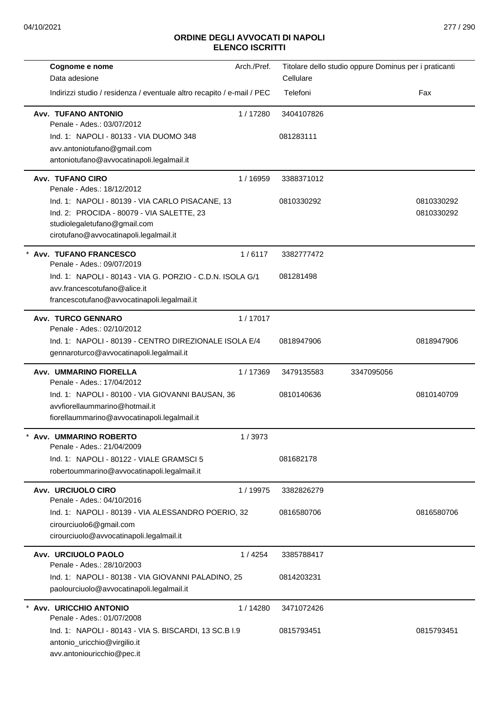| Cognome e nome                                                         | Arch./Pref. |            | Titolare dello studio oppure Dominus per i praticanti |            |
|------------------------------------------------------------------------|-------------|------------|-------------------------------------------------------|------------|
| Data adesione                                                          |             | Cellulare  |                                                       |            |
| Indirizzi studio / residenza / eventuale altro recapito / e-mail / PEC |             | Telefoni   |                                                       | Fax        |
| <b>Avv. TUFANO ANTONIO</b><br>Penale - Ades.: 03/07/2012               | 1/17280     | 3404107826 |                                                       |            |
| Ind. 1: NAPOLI - 80133 - VIA DUOMO 348                                 |             | 081283111  |                                                       |            |
| avv.antoniotufano@gmail.com                                            |             |            |                                                       |            |
| antoniotufano@avvocatinapoli.legalmail.it                              |             |            |                                                       |            |
| <b>Avv. TUFANO CIRO</b><br>Penale - Ades.: 18/12/2012                  | 1/16959     | 3388371012 |                                                       |            |
| Ind. 1: NAPOLI - 80139 - VIA CARLO PISACANE, 13                        |             | 0810330292 |                                                       | 0810330292 |
| Ind. 2: PROCIDA - 80079 - VIA SALETTE, 23                              |             |            |                                                       | 0810330292 |
| studiolegaletufano@gmail.com                                           |             |            |                                                       |            |
| cirotufano@avvocatinapoli.legalmail.it                                 |             |            |                                                       |            |
| * Avv. TUFANO FRANCESCO<br>Penale - Ades.: 09/07/2019                  | 1/6117      | 3382777472 |                                                       |            |
| Ind. 1: NAPOLI - 80143 - VIA G. PORZIO - C.D.N. ISOLA G/1              |             | 081281498  |                                                       |            |
| avv.francescotufano@alice.it                                           |             |            |                                                       |            |
| francescotufano@avvocatinapoli.legalmail.it                            |             |            |                                                       |            |
| <b>Avv. TURCO GENNARO</b>                                              | 1/17017     |            |                                                       |            |
| Penale - Ades.: 02/10/2012                                             |             |            |                                                       |            |
| Ind. 1: NAPOLI - 80139 - CENTRO DIREZIONALE ISOLA E/4                  |             | 0818947906 |                                                       | 0818947906 |
| gennaroturco@avvocatinapoli.legalmail.it                               |             |            |                                                       |            |
| <b>Avv. UMMARINO FIORELLA</b><br>Penale - Ades.: 17/04/2012            | 1/17369     | 3479135583 | 3347095056                                            |            |
| Ind. 1: NAPOLI - 80100 - VIA GIOVANNI BAUSAN, 36                       |             | 0810140636 |                                                       | 0810140709 |
| avvfiorellaummarino@hotmail.it                                         |             |            |                                                       |            |
| fiorellaummarino@avvocatinapoli.legalmail.it                           |             |            |                                                       |            |
| Avv. UMMARINO ROBERTO<br>Penale - Ades.: 21/04/2009                    | 1/3973      |            |                                                       |            |
| Ind. 1: NAPOLI - 80122 - VIALE GRAMSCI 5                               |             | 081682178  |                                                       |            |
| robertoummarino@avvocatinapoli.legalmail.it                            |             |            |                                                       |            |
| Avv. URCIUOLO CIRO<br>Penale - Ades.: 04/10/2016                       | 1/19975     | 3382826279 |                                                       |            |
| Ind. 1: NAPOLI - 80139 - VIA ALESSANDRO POERIO, 32                     |             | 0816580706 |                                                       | 0816580706 |
| cirourciuolo6@gmail.com                                                |             |            |                                                       |            |
| cirourciuolo@avvocatinapoli.legalmail.it                               |             |            |                                                       |            |
| Avv. URCIUOLO PAOLO<br>Penale - Ades.: 28/10/2003                      | 1/4254      | 3385788417 |                                                       |            |
| Ind. 1: NAPOLI - 80138 - VIA GIOVANNI PALADINO, 25                     |             | 0814203231 |                                                       |            |
| paolourciuolo@avvocatinapoli.legalmail.it                              |             |            |                                                       |            |
| * Avv. URICCHIO ANTONIO                                                | 1/14280     | 3471072426 |                                                       |            |
| Penale - Ades.: 01/07/2008                                             |             |            |                                                       |            |
| Ind. 1: NAPOLI - 80143 - VIA S. BISCARDI, 13 SC.B I.9                  |             | 0815793451 |                                                       | 0815793451 |
| antonio_uricchio@virgilio.it                                           |             |            |                                                       |            |
| avv.antoniouricchio@pec.it                                             |             |            |                                                       |            |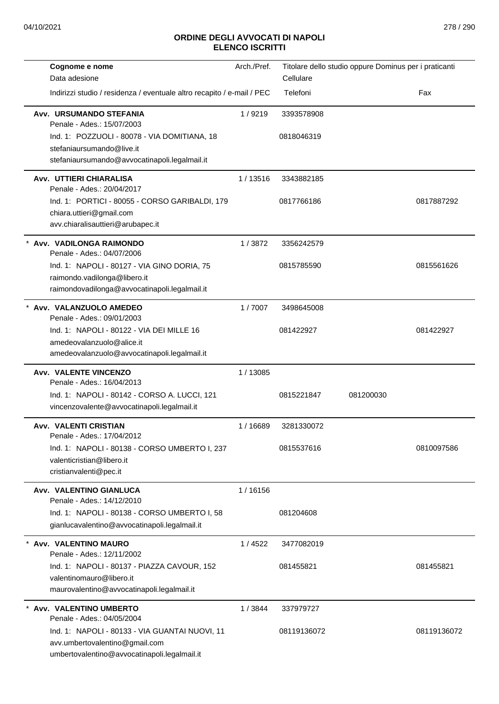| Cognome e nome                                                                | Arch./Pref. |             | Titolare dello studio oppure Dominus per i praticanti |             |
|-------------------------------------------------------------------------------|-------------|-------------|-------------------------------------------------------|-------------|
| Data adesione                                                                 |             | Cellulare   |                                                       |             |
| Indirizzi studio / residenza / eventuale altro recapito / e-mail / PEC        |             | Telefoni    |                                                       | Fax         |
| Avv. URSUMANDO STEFANIA<br>Penale - Ades.: 15/07/2003                         | 1/9219      | 3393578908  |                                                       |             |
| Ind. 1: POZZUOLI - 80078 - VIA DOMITIANA, 18                                  |             | 0818046319  |                                                       |             |
| stefaniaursumando@live.it                                                     |             |             |                                                       |             |
| stefaniaursumando@avvocatinapoli.legalmail.it                                 |             |             |                                                       |             |
| Avv. UTTIERI CHIARALISA<br>Penale - Ades.: 20/04/2017                         | 1 / 13516   | 3343882185  |                                                       |             |
| Ind. 1: PORTICI - 80055 - CORSO GARIBALDI, 179                                |             | 0817766186  |                                                       | 0817887292  |
| chiara.uttieri@gmail.com                                                      |             |             |                                                       |             |
| avv.chiaralisauttieri@arubapec.it                                             |             |             |                                                       |             |
| Avv. VADILONGA RAIMONDO<br>Penale - Ades.: 04/07/2006                         | 1/3872      | 3356242579  |                                                       |             |
| Ind. 1: NAPOLI - 80127 - VIA GINO DORIA, 75                                   |             | 0815785590  |                                                       | 0815561626  |
| raimondo.vadilonga@libero.it<br>raimondovadilonga@avvocatinapoli.legalmail.it |             |             |                                                       |             |
| * Avv. VALANZUOLO AMEDEO<br>Penale - Ades.: 09/01/2003                        | 1/7007      | 3498645008  |                                                       |             |
| Ind. 1: NAPOLI - 80122 - VIA DEI MILLE 16                                     |             | 081422927   |                                                       | 081422927   |
| amedeovalanzuolo@alice.it                                                     |             |             |                                                       |             |
| amedeovalanzuolo@avvocatinapoli.legalmail.it                                  |             |             |                                                       |             |
| <b>Avv. VALENTE VINCENZO</b><br>Penale - Ades.: 16/04/2013                    | 1/13085     |             |                                                       |             |
| Ind. 1: NAPOLI - 80142 - CORSO A. LUCCI, 121                                  |             | 0815221847  | 081200030                                             |             |
| vincenzovalente@avvocatinapoli.legalmail.it                                   |             |             |                                                       |             |
| <b>Avv. VALENTI CRISTIAN</b><br>Penale - Ades.: 17/04/2012                    | 1/16689     | 3281330072  |                                                       |             |
| Ind. 1: NAPOLI - 80138 - CORSO UMBERTO I, 237                                 |             | 0815537616  |                                                       | 0810097586  |
| valenticristian@libero.it                                                     |             |             |                                                       |             |
| cristianvalenti@pec.it                                                        |             |             |                                                       |             |
| Avv. VALENTINO GIANLUCA<br>Penale - Ades.: 14/12/2010                         | 1/16156     |             |                                                       |             |
| Ind. 1: NAPOLI - 80138 - CORSO UMBERTO I, 58                                  |             | 081204608   |                                                       |             |
| gianlucavalentino@avvocatinapoli.legalmail.it                                 |             |             |                                                       |             |
| * Avv. VALENTINO MAURO                                                        | 1/4522      | 3477082019  |                                                       |             |
| Penale - Ades.: 12/11/2002                                                    |             |             |                                                       |             |
| Ind. 1: NAPOLI - 80137 - PIAZZA CAVOUR, 152                                   |             | 081455821   |                                                       | 081455821   |
| valentinomauro@libero.it                                                      |             |             |                                                       |             |
| maurovalentino@avvocatinapoli.legalmail.it                                    |             |             |                                                       |             |
| * Avv. VALENTINO UMBERTO<br>Penale - Ades.: 04/05/2004                        | 1/3844      | 337979727   |                                                       |             |
| Ind. 1: NAPOLI - 80133 - VIA GUANTAI NUOVI, 11                                |             | 08119136072 |                                                       | 08119136072 |
| avv.umbertovalentino@gmail.com                                                |             |             |                                                       |             |
| umbertovalentino@avvocatinapoli.legalmail.it                                  |             |             |                                                       |             |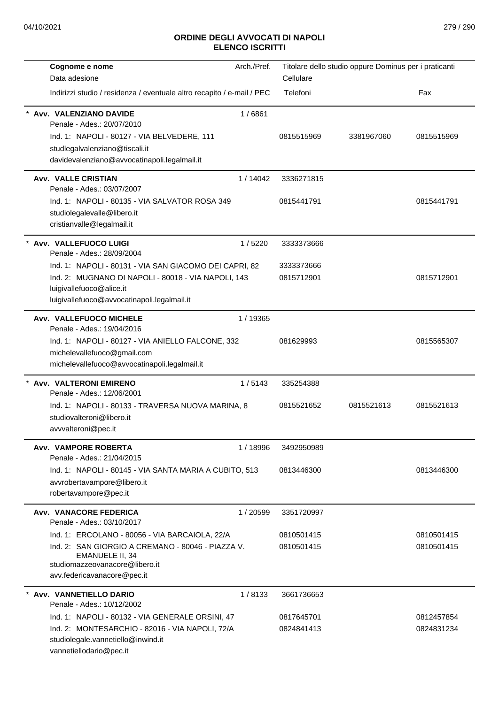| Cognome e nome                                                                 | Arch./Pref. |            | Titolare dello studio oppure Dominus per i praticanti |            |
|--------------------------------------------------------------------------------|-------------|------------|-------------------------------------------------------|------------|
| Data adesione                                                                  |             | Cellulare  |                                                       |            |
| Indirizzi studio / residenza / eventuale altro recapito / e-mail / PEC         |             | Telefoni   |                                                       | Fax        |
| Avv. VALENZIANO DAVIDE                                                         | 1/6861      |            |                                                       |            |
| Penale - Ades.: 20/07/2010                                                     |             |            |                                                       |            |
| Ind. 1: NAPOLI - 80127 - VIA BELVEDERE, 111                                    |             | 0815515969 | 3381967060                                            | 0815515969 |
| studlegalvalenziano@tiscali.it<br>davidevalenziano@avvocatinapoli.legalmail.it |             |            |                                                       |            |
|                                                                                |             |            |                                                       |            |
| <b>Avv. VALLE CRISTIAN</b>                                                     | 1/14042     | 3336271815 |                                                       |            |
| Penale - Ades.: 03/07/2007                                                     |             |            |                                                       |            |
| Ind. 1: NAPOLI - 80135 - VIA SALVATOR ROSA 349                                 |             | 0815441791 |                                                       | 0815441791 |
| studiolegalevalle@libero.it<br>cristianvalle@legalmail.it                      |             |            |                                                       |            |
|                                                                                |             |            |                                                       |            |
| Avv. VALLEFUOCO LUIGI<br>Penale - Ades.: 28/09/2004                            | 1/5220      | 3333373666 |                                                       |            |
| Ind. 1: NAPOLI - 80131 - VIA SAN GIACOMO DEI CAPRI, 82                         |             | 3333373666 |                                                       |            |
| Ind. 2: MUGNANO DI NAPOLI - 80018 - VIA NAPOLI, 143                            |             | 0815712901 |                                                       | 0815712901 |
| luigivallefuoco@alice.it<br>luigivallefuoco@avvocatinapoli.legalmail.it        |             |            |                                                       |            |
| Avv. VALLEFUOCO MICHELE                                                        | 1 / 19365   |            |                                                       |            |
| Penale - Ades.: 19/04/2016                                                     |             |            |                                                       |            |
| Ind. 1: NAPOLI - 80127 - VIA ANIELLO FALCONE, 332                              |             | 081629993  |                                                       | 0815565307 |
| michelevallefuoco@gmail.com                                                    |             |            |                                                       |            |
| michelevallefuoco@avvocatinapoli.legalmail.it                                  |             |            |                                                       |            |
| * Avv. VALTERONI EMIRENO                                                       | 1/5143      | 335254388  |                                                       |            |
| Penale - Ades.: 12/06/2001                                                     |             |            |                                                       |            |
| Ind. 1: NAPOLI - 80133 - TRAVERSA NUOVA MARINA, 8                              |             | 0815521652 | 0815521613                                            | 0815521613 |
| studiovalteroni@libero.it                                                      |             |            |                                                       |            |
| avvvalteroni@pec.it                                                            |             |            |                                                       |            |
| Avv. VAMPORE ROBERTA                                                           | 1/18996     | 3492950989 |                                                       |            |
| Penale - Ades.: 21/04/2015                                                     |             |            |                                                       |            |
| Ind. 1: NAPOLI - 80145 - VIA SANTA MARIA A CUBITO, 513                         |             | 0813446300 |                                                       | 0813446300 |
| avvrobertavampore@libero.it                                                    |             |            |                                                       |            |
| robertavampore@pec.it                                                          |             |            |                                                       |            |
| Avv. VANACORE FEDERICA<br>Penale - Ades.: 03/10/2017                           | 1/20599     | 3351720997 |                                                       |            |
| Ind. 1: ERCOLANO - 80056 - VIA BARCAIOLA, 22/A                                 |             | 0810501415 |                                                       | 0810501415 |
| Ind. 2: SAN GIORGIO A CREMANO - 80046 - PIAZZA V.                              |             | 0810501415 |                                                       | 0810501415 |
| <b>EMANUELE II, 34</b>                                                         |             |            |                                                       |            |
| studiomazzeovanacore@libero.it                                                 |             |            |                                                       |            |
| avv.federicavanacore@pec.it                                                    |             |            |                                                       |            |
| Avv. VANNETIELLO DARIO                                                         | 1/8133      | 3661736653 |                                                       |            |
| Penale - Ades.: 10/12/2002                                                     |             |            |                                                       |            |
| Ind. 1: NAPOLI - 80132 - VIA GENERALE ORSINI, 47                               |             | 0817645701 |                                                       | 0812457854 |
| Ind. 2: MONTESARCHIO - 82016 - VIA NAPOLI, 72/A                                |             | 0824841413 |                                                       | 0824831234 |
| studiolegale.vannetiello@inwind.it<br>vannetiellodario@pec.it                  |             |            |                                                       |            |
|                                                                                |             |            |                                                       |            |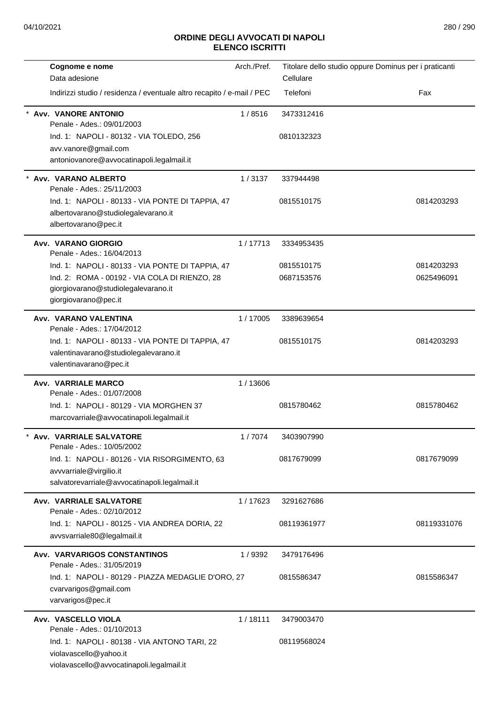| Cognome e nome                                                                                                            | Arch./Pref. | Titolare dello studio oppure Dominus per i praticanti |             |
|---------------------------------------------------------------------------------------------------------------------------|-------------|-------------------------------------------------------|-------------|
| Data adesione                                                                                                             |             | Cellulare                                             |             |
| Indirizzi studio / residenza / eventuale altro recapito / e-mail / PEC                                                    |             | Telefoni                                              | Fax         |
| <b>Avv. VANORE ANTONIO</b><br>Penale - Ades.: 09/01/2003                                                                  | 1/8516      | 3473312416                                            |             |
| Ind. 1: NAPOLI - 80132 - VIA TOLEDO, 256                                                                                  |             | 0810132323                                            |             |
| avv.vanore@gmail.com<br>antoniovanore@avvocatinapoli.legalmail.it                                                         |             |                                                       |             |
| Avv. VARANO ALBERTO<br>Penale - Ades.: 25/11/2003                                                                         | 1/3137      | 337944498                                             |             |
| Ind. 1: NAPOLI - 80133 - VIA PONTE DI TAPPIA, 47<br>albertovarano@studiolegalevarano.it<br>albertovarano@pec.it           |             | 0815510175                                            | 0814203293  |
| <b>Avv. VARANO GIORGIO</b><br>Penale - Ades.: 16/04/2013                                                                  | 1/17713     | 3334953435                                            |             |
| Ind. 1: NAPOLI - 80133 - VIA PONTE DI TAPPIA, 47                                                                          |             | 0815510175                                            | 0814203293  |
| Ind. 2: ROMA - 00192 - VIA COLA DI RIENZO, 28<br>giorgiovarano@studiolegalevarano.it<br>giorgiovarano@pec.it              |             | 0687153576                                            | 0625496091  |
| Avv. VARANO VALENTINA<br>Penale - Ades.: 17/04/2012                                                                       | 1/17005     | 3389639654                                            |             |
| Ind. 1: NAPOLI - 80133 - VIA PONTE DI TAPPIA, 47<br>valentinavarano@studiolegalevarano.it<br>valentinavarano@pec.it       |             | 0815510175                                            | 0814203293  |
| <b>Avv. VARRIALE MARCO</b><br>Penale - Ades.: 01/07/2008                                                                  | 1/13606     |                                                       |             |
| Ind. 1: NAPOLI - 80129 - VIA MORGHEN 37<br>marcovarriale@avvocatinapoli.legalmail.it                                      |             | 0815780462                                            | 0815780462  |
| <b>Avv. VARRIALE SALVATORE</b><br>Penale - Ades.: 10/05/2002                                                              | 1/7074      | 3403907990                                            |             |
| Ind. 1: NAPOLI - 80126 - VIA RISORGIMENTO, 63<br>avvvarriale@virgilio.it<br>salvatorevarriale@avvocatinapoli.legalmail.it |             | 0817679099                                            | 0817679099  |
| <b>Avv. VARRIALE SALVATORE</b><br>Penale - Ades.: 02/10/2012                                                              | 1/17623     | 3291627686                                            |             |
| Ind. 1: NAPOLI - 80125 - VIA ANDREA DORIA, 22<br>avvsvarriale80@legalmail.it                                              |             | 08119361977                                           | 08119331076 |
| <b>Avv. VARVARIGOS CONSTANTINOS</b><br>Penale - Ades.: 31/05/2019                                                         | 1/9392      | 3479176496                                            |             |
| Ind. 1: NAPOLI - 80129 - PIAZZA MEDAGLIE D'ORO, 27<br>cvarvarigos@gmail.com<br>varvarigos@pec.it                          |             | 0815586347                                            | 0815586347  |
| Avv. VASCELLO VIOLA<br>Penale - Ades.: 01/10/2013                                                                         | 1/18111     | 3479003470                                            |             |
| Ind. 1: NAPOLI - 80138 - VIA ANTONO TARI, 22<br>violavascello@yahoo.it<br>violavascello@avvocatinapoli.legalmail.it       |             | 08119568024                                           |             |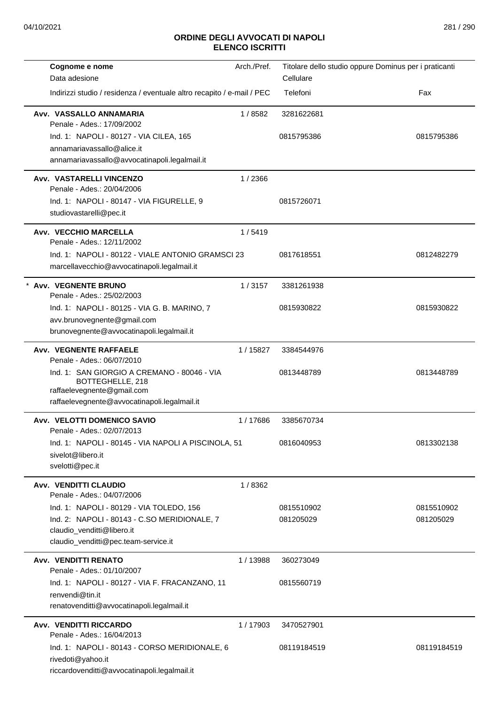| Cognome e nome                                                                                                     | Arch./Pref. | Titolare dello studio oppure Dominus per i praticanti |             |
|--------------------------------------------------------------------------------------------------------------------|-------------|-------------------------------------------------------|-------------|
| Data adesione                                                                                                      |             | Cellulare                                             |             |
| Indirizzi studio / residenza / eventuale altro recapito / e-mail / PEC                                             |             | Telefoni                                              | Fax         |
| Avv. VASSALLO ANNAMARIA<br>Penale - Ades.: 17/09/2002                                                              | 1/8582      | 3281622681                                            |             |
| Ind. 1: NAPOLI - 80127 - VIA CILEA, 165                                                                            |             | 0815795386                                            | 0815795386  |
| annamariavassallo@alice.it                                                                                         |             |                                                       |             |
| annamariavassallo@avvocatinapoli.legalmail.it                                                                      |             |                                                       |             |
| Avv. VASTARELLI VINCENZO<br>Penale - Ades.: 20/04/2006                                                             | 1/2366      |                                                       |             |
| Ind. 1: NAPOLI - 80147 - VIA FIGURELLE, 9                                                                          |             | 0815726071                                            |             |
| studiovastarelli@pec.it                                                                                            |             |                                                       |             |
| Avv. VECCHIO MARCELLA<br>Penale - Ades.: 12/11/2002                                                                | 1/5419      |                                                       |             |
| Ind. 1: NAPOLI - 80122 - VIALE ANTONIO GRAMSCI 23                                                                  |             | 0817618551                                            | 0812482279  |
| marcellavecchio@avvocatinapoli.legalmail.it                                                                        |             |                                                       |             |
| <b>Avv. VEGNENTE BRUNO</b><br>Penale - Ades.: 25/02/2003                                                           | 1/3157      | 3381261938                                            |             |
| Ind. 1: NAPOLI - 80125 - VIA G. B. MARINO, 7                                                                       |             | 0815930822                                            | 0815930822  |
| avv.brunovegnente@gmail.com                                                                                        |             |                                                       |             |
| brunovegnente@avvocatinapoli.legalmail.it                                                                          |             |                                                       |             |
| <b>Avv. VEGNENTE RAFFAELE</b><br>Penale - Ades.: 06/07/2010                                                        | 1/15827     | 3384544976                                            |             |
| Ind. 1: SAN GIORGIO A CREMANO - 80046 - VIA<br>BOTTEGHELLE, 218<br>raffaelevegnente@gmail.com                      |             | 0813448789                                            | 0813448789  |
| raffaelevegnente@avvocatinapoli.legalmail.it                                                                       |             |                                                       |             |
| Avv. VELOTTI DOMENICO SAVIO<br>Penale - Ades.: 02/07/2013                                                          | 1/17686     | 3385670734                                            |             |
| Ind. 1: NAPOLI - 80145 - VIA NAPOLI A PISCINOLA, 51                                                                |             | 0816040953                                            | 0813302138  |
| sivelot@libero.it                                                                                                  |             |                                                       |             |
| svelotti@pec.it                                                                                                    |             |                                                       |             |
| Avv. VENDITTI CLAUDIO<br>Penale - Ades.: 04/07/2006                                                                | 1/8362      |                                                       |             |
| Ind. 1: NAPOLI - 80129 - VIA TOLEDO, 156                                                                           |             | 0815510902                                            | 0815510902  |
| Ind. 2: NAPOLI - 80143 - C.SO MERIDIONALE, 7                                                                       |             | 081205029                                             | 081205029   |
| claudio_venditti@libero.it                                                                                         |             |                                                       |             |
| claudio_venditti@pec.team-service.it                                                                               |             |                                                       |             |
| Avv. VENDITTI RENATO<br>Penale - Ades.: 01/10/2007                                                                 | 1/13988     | 360273049                                             |             |
| Ind. 1: NAPOLI - 80127 - VIA F. FRACANZANO, 11                                                                     |             | 0815560719                                            |             |
| renvendi@tin.it<br>renatovenditti@avvocatinapoli.legalmail.it                                                      |             |                                                       |             |
| <b>Avv. VENDITTI RICCARDO</b>                                                                                      | 1/17903     | 3470527901                                            |             |
| Penale - Ades.: 16/04/2013                                                                                         |             |                                                       |             |
| Ind. 1: NAPOLI - 80143 - CORSO MERIDIONALE, 6<br>rivedoti@yahoo.it<br>riccardovenditti@avvocatinapoli.legalmail.it |             | 08119184519                                           | 08119184519 |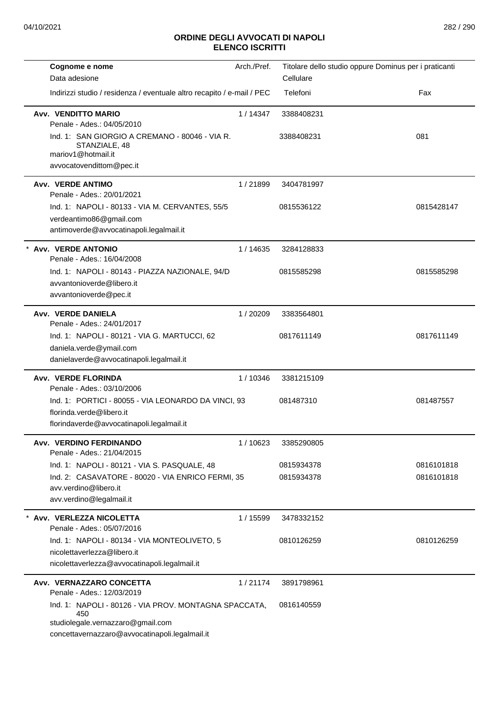| Cognome e nome                                                                                                                                      | Arch./Pref. | Titolare dello studio oppure Dominus per i praticanti |            |
|-----------------------------------------------------------------------------------------------------------------------------------------------------|-------------|-------------------------------------------------------|------------|
| Data adesione                                                                                                                                       |             | Cellulare                                             |            |
| Indirizzi studio / residenza / eventuale altro recapito / e-mail / PEC                                                                              |             | Telefoni                                              | Fax        |
| Avv. VENDITTO MARIO<br>Penale - Ades.: 04/05/2010                                                                                                   | 1/14347     | 3388408231                                            |            |
| Ind. 1: SAN GIORGIO A CREMANO - 80046 - VIA R.<br>STANZIALE, 48<br>mariov1@hotmail.it<br>avvocatovendittom@pec.it                                   |             | 3388408231                                            | 081        |
|                                                                                                                                                     |             |                                                       |            |
| Avv. VERDE ANTIMO<br>Penale - Ades.: 20/01/2021                                                                                                     | 1/21899     | 3404781997                                            |            |
| Ind. 1: NAPOLI - 80133 - VIA M. CERVANTES, 55/5                                                                                                     |             | 0815536122                                            | 0815428147 |
| verdeantimo86@gmail.com                                                                                                                             |             |                                                       |            |
| antimoverde@avvocatinapoli.legalmail.it                                                                                                             |             |                                                       |            |
| <b>Avv. VERDE ANTONIO</b>                                                                                                                           | 1/14635     | 3284128833                                            |            |
| Penale - Ades.: 16/04/2008                                                                                                                          |             |                                                       |            |
| Ind. 1: NAPOLI - 80143 - PIAZZA NAZIONALE, 94/D                                                                                                     |             | 0815585298                                            | 0815585298 |
| avvantonioverde@libero.it                                                                                                                           |             |                                                       |            |
| avvantonioverde@pec.it                                                                                                                              |             |                                                       |            |
| Avv. VERDE DANIELA                                                                                                                                  | 1/20209     | 3383564801                                            |            |
| Penale - Ades.: 24/01/2017                                                                                                                          |             |                                                       |            |
| Ind. 1: NAPOLI - 80121 - VIA G. MARTUCCI, 62                                                                                                        |             | 0817611149                                            | 0817611149 |
| daniela.verde@ymail.com                                                                                                                             |             |                                                       |            |
| danielaverde@avvocatinapoli.legalmail.it                                                                                                            |             |                                                       |            |
| <b>Avv. VERDE FLORINDA</b>                                                                                                                          | 1/10346     | 3381215109                                            |            |
| Penale - Ades.: 03/10/2006                                                                                                                          |             |                                                       |            |
| Ind. 1: PORTICI - 80055 - VIA LEONARDO DA VINCI, 93                                                                                                 |             | 081487310                                             | 081487557  |
| florinda.verde@libero.it                                                                                                                            |             |                                                       |            |
| florindaverde@avvocatinapoli.legalmail.it                                                                                                           |             |                                                       |            |
| Avv. VERDINO FERDINANDO<br>Penale - Ades.: 21/04/2015                                                                                               | 1/10623     | 3385290805                                            |            |
| Ind. 1: NAPOLI - 80121 - VIA S. PASQUALE, 48                                                                                                        |             | 0815934378                                            | 0816101818 |
| Ind. 2: CASAVATORE - 80020 - VIA ENRICO FERMI, 35                                                                                                   |             | 0815934378                                            | 0816101818 |
| avv.verdino@libero.it                                                                                                                               |             |                                                       |            |
| avv.verdino@legalmail.it                                                                                                                            |             |                                                       |            |
| Avv. VERLEZZA NICOLETTA                                                                                                                             | 1/15599     | 3478332152                                            |            |
| Penale - Ades.: 05/07/2016                                                                                                                          |             |                                                       |            |
| Ind. 1: NAPOLI - 80134 - VIA MONTEOLIVETO, 5                                                                                                        |             | 0810126259                                            | 0810126259 |
| nicolettaverlezza@libero.it                                                                                                                         |             |                                                       |            |
| nicolettaverlezza@avvocatinapoli.legalmail.it                                                                                                       |             |                                                       |            |
| Avv. VERNAZZARO CONCETTA                                                                                                                            | 1/21174     | 3891798961                                            |            |
| Penale - Ades.: 12/03/2019                                                                                                                          |             |                                                       |            |
| Ind. 1: NAPOLI - 80126 - VIA PROV. MONTAGNA SPACCATA,<br>450<br>studiolegale.vernazzaro@gmail.com<br>concettavernazzaro@avvocatinapoli.legalmail.it |             | 0816140559                                            |            |
|                                                                                                                                                     |             |                                                       |            |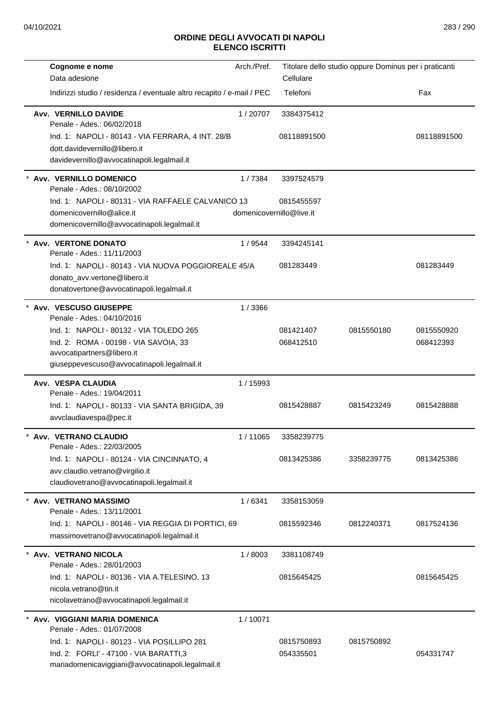| Cognome e nome                                                                                   | Arch./Pref.              |             | Titolare dello studio oppure Dominus per i praticanti |             |
|--------------------------------------------------------------------------------------------------|--------------------------|-------------|-------------------------------------------------------|-------------|
| Data adesione                                                                                    |                          | Cellulare   |                                                       |             |
| Indirizzi studio / residenza / eventuale altro recapito / e-mail / PEC                           |                          | Telefoni    |                                                       | Fax         |
| <b>Avv. VERNILLO DAVIDE</b><br>Penale - Ades.: 06/02/2018                                        | 1/20707                  | 3384375412  |                                                       |             |
| Ind. 1: NAPOLI - 80143 - VIA FERRARA, 4 INT. 28/B                                                |                          | 08118891500 |                                                       | 08118891500 |
| dott.davidevernillo@libero.it                                                                    |                          |             |                                                       |             |
| davidevernillo@avvocatinapoli.legalmail.it                                                       |                          |             |                                                       |             |
| * Avv. VERNILLO DOMENICO<br>Penale - Ades.: 08/10/2002                                           | 1/7384                   | 3397524579  |                                                       |             |
| Ind. 1: NAPOLI - 80131 - VIA RAFFAELE CALVANICO 13                                               |                          | 0815455597  |                                                       |             |
| domenicovernillo@alice.it<br>domenicovernillo@avvocatinapoli.legalmail.it                        | domenicovernillo@live.it |             |                                                       |             |
| * Avv. VERTONE DONATO<br>Penale - Ades.: 11/11/2003                                              | 1/9544                   | 3394245141  |                                                       |             |
| Ind. 1: NAPOLI - 80143 - VIA NUOVA POGGIOREALE 45/A<br>donato_avv.vertone@libero.it              |                          | 081283449   |                                                       | 081283449   |
| donatovertone@avvocatinapoli.legalmail.it                                                        |                          |             |                                                       |             |
| * Avv. VESCUSO GIUSEPPE                                                                          | 1/3366                   |             |                                                       |             |
| Penale - Ades.: 04/10/2016                                                                       |                          |             |                                                       |             |
| Ind. 1: NAPOLI - 80132 - VIA TOLEDO 265                                                          |                          | 081421407   | 0815550180                                            | 0815550920  |
| Ind. 2: ROMA - 00198 - VIA SAVOIA, 33<br>avvocatipartners@libero.it                              |                          | 068412510   |                                                       | 068412393   |
| giuseppevescuso@avvocatinapoli.legalmail.it                                                      |                          |             |                                                       |             |
| Avv. VESPA CLAUDIA                                                                               | 1 / 15993                |             |                                                       |             |
| Penale - Ades.: 19/04/2011                                                                       |                          |             |                                                       |             |
| Ind. 1: NAPOLI - 80133 - VIA SANTA BRIGIDA, 39                                                   |                          | 0815428887  | 0815423249                                            | 0815428888  |
| avvclaudiavespa@pec.it                                                                           |                          |             |                                                       |             |
| Avv. VETRANO CLAUDIO<br>Penale - Ades.: 22/03/2005                                               | 1/11065                  | 3358239775  |                                                       |             |
| Ind. 1: NAPOLI - 80124 - VIA CINCINNATO, 4                                                       |                          | 0813425386  | 3358239775                                            | 0813425386  |
| avv.claudio.vetrano@virgilio.it                                                                  |                          |             |                                                       |             |
| claudiovetrano@avvocatinapoli.legalmail.it                                                       |                          |             |                                                       |             |
| * Avv. VETRANO MASSIMO<br>Penale - Ades.: 13/11/2001                                             | 1/6341                   | 3358153059  |                                                       |             |
| Ind. 1: NAPOLI - 80146 - VIA REGGIA DI PORTICI, 69<br>massimovetrano@avvocatinapoli.legalmail.it |                          | 0815592346  | 0812240371                                            | 0817524136  |
|                                                                                                  |                          |             |                                                       |             |
| * Avv. VETRANO NICOLA<br>Penale - Ades.: 28/01/2003                                              | 1/8003                   | 3381108749  |                                                       |             |
| Ind. 1: NAPOLI - 80136 - VIA A.TELESINO, 13                                                      |                          | 0815645425  |                                                       | 0815645425  |
| nicola.vetrano@tin.it<br>nicolavetrano@avvocatinapoli.legalmail.it                               |                          |             |                                                       |             |
|                                                                                                  |                          |             |                                                       |             |
| * Avv. VIGGIANI MARIA DOMENICA<br>Penale - Ades.: 01/07/2008                                     | 1/10071                  |             |                                                       |             |
| Ind. 1: NAPOLI - 80123 - VIA POSILLIPO 281                                                       |                          | 0815750893  | 0815750892                                            |             |
| Ind. 2: FORLI' - 47100 - VIA BARATTI,3<br>mariadomenicaviggiani@avvocatinapoli.legalmail.it      |                          | 054335501   |                                                       | 054331747   |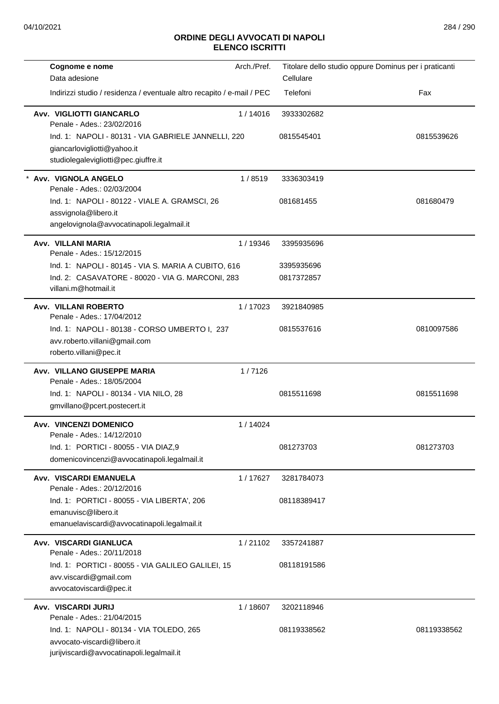| Cognome e nome                                                                       | Arch./Pref. | Titolare dello studio oppure Dominus per i praticanti |             |
|--------------------------------------------------------------------------------------|-------------|-------------------------------------------------------|-------------|
| Data adesione                                                                        |             | Cellulare                                             |             |
| Indirizzi studio / residenza / eventuale altro recapito / e-mail / PEC               |             | Telefoni                                              | Fax         |
| Avv. VIGLIOTTI GIANCARLO<br>Penale - Ades.: 23/02/2016                               | 1/14016     | 3933302682                                            |             |
| Ind. 1: NAPOLI - 80131 - VIA GABRIELE JANNELLI, 220                                  |             | 0815545401                                            | 0815539626  |
| giancarlovigliotti@yahoo.it                                                          |             |                                                       |             |
| studiolegalevigliotti@pec.giuffre.it                                                 |             |                                                       |             |
| Avv. VIGNOLA ANGELO<br>Penale - Ades.: 02/03/2004                                    | 1/8519      | 3336303419                                            |             |
| Ind. 1: NAPOLI - 80122 - VIALE A. GRAMSCI, 26                                        |             | 081681455                                             | 081680479   |
| assvignola@libero.it                                                                 |             |                                                       |             |
| angelovignola@avvocatinapoli.legalmail.it                                            |             |                                                       |             |
| Avv. VILLANI MARIA<br>Penale - Ades.: 15/12/2015                                     | 1 / 19346   | 3395935696                                            |             |
| Ind. 1: NAPOLI - 80145 - VIA S. MARIA A CUBITO, 616                                  |             | 3395935696                                            |             |
| Ind. 2: CASAVATORE - 80020 - VIA G. MARCONI, 283                                     |             | 0817372857                                            |             |
| villani.m@hotmail.it                                                                 |             |                                                       |             |
| Avv. VILLANI ROBERTO<br>Penale - Ades.: 17/04/2012                                   | 1/17023     | 3921840985                                            |             |
| Ind. 1: NAPOLI - 80138 - CORSO UMBERTO I, 237                                        |             | 0815537616                                            | 0810097586  |
| avv.roberto.villani@gmail.com                                                        |             |                                                       |             |
| roberto.villani@pec.it                                                               |             |                                                       |             |
| Avv. VILLANO GIUSEPPE MARIA<br>Penale - Ades.: 18/05/2004                            | 1/7126      |                                                       |             |
| Ind. 1: NAPOLI - 80134 - VIA NILO, 28                                                |             | 0815511698                                            | 0815511698  |
| gmvillano@pcert.postecert.it                                                         |             |                                                       |             |
| Avv. VINCENZI DOMENICO                                                               | 1/14024     |                                                       |             |
| Penale - Ades.: 14/12/2010                                                           |             |                                                       |             |
| Ind. 1: PORTICI - 80055 - VIA DIAZ,9<br>domenicovincenzi@avvocatinapoli.legalmail.it |             | 081273703                                             | 081273703   |
|                                                                                      |             |                                                       |             |
| Avv. VISCARDI EMANUELA<br>Penale - Ades.: 20/12/2016                                 | 1/17627     | 3281784073                                            |             |
| Ind. 1: PORTICI - 80055 - VIA LIBERTA', 206                                          |             | 08118389417                                           |             |
| emanuvisc@libero.it                                                                  |             |                                                       |             |
| emanuelaviscardi@avvocatinapoli.legalmail.it                                         |             |                                                       |             |
| Avv. VISCARDI GIANLUCA<br>Penale - Ades.: 20/11/2018                                 | 1/21102     | 3357241887                                            |             |
| Ind. 1: PORTICI - 80055 - VIA GALILEO GALILEI, 15                                    |             | 08118191586                                           |             |
| avv.viscardi@gmail.com                                                               |             |                                                       |             |
| avvocatoviscardi@pec.it                                                              |             |                                                       |             |
| Avv. VISCARDI JURIJ                                                                  | 1/18607     | 3202118946                                            |             |
| Penale - Ades.: 21/04/2015                                                           |             |                                                       |             |
| Ind. 1: NAPOLI - 80134 - VIA TOLEDO, 265                                             |             | 08119338562                                           | 08119338562 |
| avvocato-viscardi@libero.it                                                          |             |                                                       |             |
| jurijviscardi@avvocatinapoli.legalmail.it                                            |             |                                                       |             |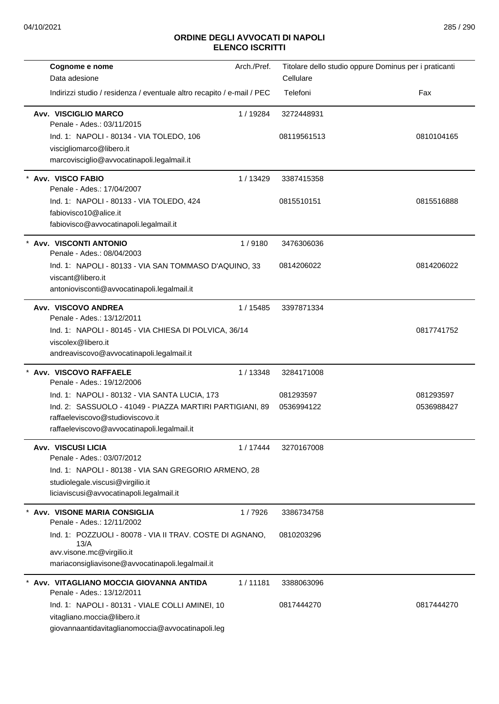| Cognome e nome<br>Data adesione                                                                                                                                                                 | Arch./Pref. | Titolare dello studio oppure Dominus per i praticanti<br>Cellulare |                         |
|-------------------------------------------------------------------------------------------------------------------------------------------------------------------------------------------------|-------------|--------------------------------------------------------------------|-------------------------|
| Indirizzi studio / residenza / eventuale altro recapito / e-mail / PEC                                                                                                                          |             | Telefoni                                                           | Fax                     |
| Avv. VISCIGLIO MARCO<br>Penale - Ades.: 03/11/2015                                                                                                                                              | 1/19284     | 3272448931                                                         |                         |
| Ind. 1: NAPOLI - 80134 - VIA TOLEDO, 106<br>viscigliomarco@libero.it<br>marcovisciglio@avvocatinapoli.legalmail.it                                                                              |             | 08119561513                                                        | 0810104165              |
| Avv. VISCO FABIO<br>Penale - Ades.: 17/04/2007                                                                                                                                                  | 1 / 13429   | 3387415358                                                         |                         |
| Ind. 1: NAPOLI - 80133 - VIA TOLEDO, 424<br>fabiovisco10@alice.it<br>fabiovisco@avvocatinapoli.legalmail.it                                                                                     |             | 0815510151                                                         | 0815516888              |
| * Avv. VISCONTI ANTONIO<br>Penale - Ades.: 08/04/2003                                                                                                                                           | 1/9180      | 3476306036                                                         |                         |
| Ind. 1: NAPOLI - 80133 - VIA SAN TOMMASO D'AQUINO, 33<br>viscant@libero.it<br>antoniovisconti@avvocatinapoli.legalmail.it                                                                       |             | 0814206022                                                         | 0814206022              |
| Avv. VISCOVO ANDREA<br>Penale - Ades.: 13/12/2011                                                                                                                                               | 1 / 15485   | 3397871334                                                         |                         |
| Ind. 1: NAPOLI - 80145 - VIA CHIESA DI POLVICA, 36/14<br>viscolex@libero.it<br>andreaviscovo@avvocatinapoli.legalmail.it                                                                        |             |                                                                    | 0817741752              |
| Avv. VISCOVO RAFFAELE<br>Penale - Ades.: 19/12/2006                                                                                                                                             | 1/13348     | 3284171008                                                         |                         |
| Ind. 1: NAPOLI - 80132 - VIA SANTA LUCIA, 173<br>Ind. 2: SASSUOLO - 41049 - PIAZZA MARTIRI PARTIGIANI, 89<br>raffaeleviscovo@studioviscovo.it<br>raffaeleviscovo@avvocatinapoli.legalmail.it    |             | 081293597<br>0536994122                                            | 081293597<br>0536988427 |
| <b>Avv. VISCUSI LICIA</b><br>Penale - Ades.: 03/07/2012<br>Ind. 1: NAPOLI - 80138 - VIA SAN GREGORIO ARMENO, 28<br>studiolegale.viscusi@virgilio.it<br>liciaviscusi@avvocatinapoli.legalmail.it | 1/17444     | 3270167008                                                         |                         |
| Avv. VISONE MARIA CONSIGLIA<br>Penale - Ades.: 12/11/2002                                                                                                                                       | 1/7926      | 3386734758                                                         |                         |
| Ind. 1: POZZUOLI - 80078 - VIA II TRAV. COSTE DI AGNANO,<br>13/A<br>avv.visone.mc@virgilio.it<br>mariaconsigliavisone@avvocatinapoli.legalmail.it                                               |             | 0810203296                                                         |                         |
| Avv. VITAGLIANO MOCCIA GIOVANNA ANTIDA<br>Penale - Ades.: 13/12/2011                                                                                                                            | 1/11181     | 3388063096                                                         |                         |
| Ind. 1: NAPOLI - 80131 - VIALE COLLI AMINEI, 10<br>vitagliano.moccia@libero.it<br>giovannaantidavitaglianomoccia@avvocatinapoli.leg                                                             |             | 0817444270                                                         | 0817444270              |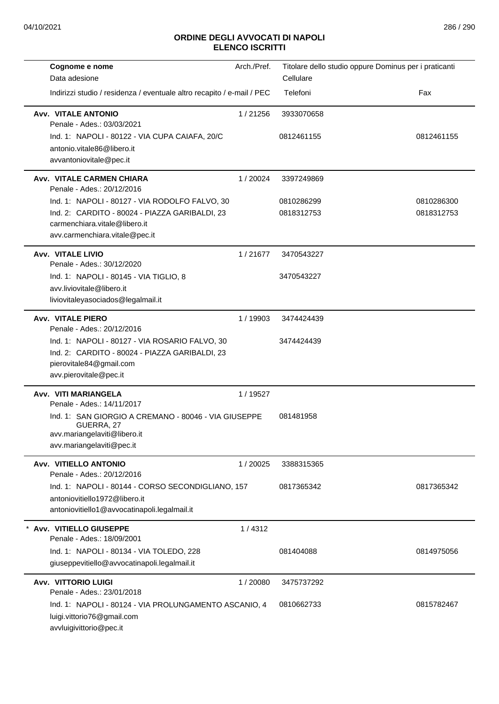| Cognome e nome                                                                     | Arch./Pref. | Titolare dello studio oppure Dominus per i praticanti |            |
|------------------------------------------------------------------------------------|-------------|-------------------------------------------------------|------------|
| Data adesione                                                                      |             | Cellulare                                             |            |
| Indirizzi studio / residenza / eventuale altro recapito / e-mail / PEC             |             | Telefoni                                              | Fax        |
| <b>Avv. VITALE ANTONIO</b><br>Penale - Ades.: 03/03/2021                           | 1/21256     | 3933070658                                            |            |
| Ind. 1: NAPOLI - 80122 - VIA CUPA CAIAFA, 20/C                                     |             | 0812461155                                            | 0812461155 |
| antonio.vitale86@libero.it                                                         |             |                                                       |            |
| avvantoniovitale@pec.it                                                            |             |                                                       |            |
| Avv. VITALE CARMEN CHIARA<br>Penale - Ades.: 20/12/2016                            | 1/20024     | 3397249869                                            |            |
| Ind. 1: NAPOLI - 80127 - VIA RODOLFO FALVO, 30                                     |             | 0810286299                                            | 0810286300 |
| Ind. 2: CARDITO - 80024 - PIAZZA GARIBALDI, 23                                     |             | 0818312753                                            | 0818312753 |
| carmenchiara.vitale@libero.it<br>avv.carmenchiara.vitale@pec.it                    |             |                                                       |            |
|                                                                                    |             |                                                       |            |
| Avv. VITALE LIVIO<br>Penale - Ades.: 30/12/2020                                    | 1/21677     | 3470543227                                            |            |
| Ind. 1: NAPOLI - 80145 - VIA TIGLIO, 8                                             |             | 3470543227                                            |            |
| avv.liviovitale@libero.it                                                          |             |                                                       |            |
| liviovitaleyasociados@legalmail.it                                                 |             |                                                       |            |
| <b>Avv. VITALE PIERO</b>                                                           | 1/19903     | 3474424439                                            |            |
| Penale - Ades.: 20/12/2016                                                         |             |                                                       |            |
| Ind. 1: NAPOLI - 80127 - VIA ROSARIO FALVO, 30                                     |             | 3474424439                                            |            |
| Ind. 2: CARDITO - 80024 - PIAZZA GARIBALDI, 23<br>pierovitale84@gmail.com          |             |                                                       |            |
| avv.pierovitale@pec.it                                                             |             |                                                       |            |
|                                                                                    |             |                                                       |            |
| Avv. VITI MARIANGELA<br>Penale - Ades.: 14/11/2017                                 | 1 / 19527   |                                                       |            |
| Ind. 1: SAN GIORGIO A CREMANO - 80046 - VIA GIUSEPPE<br>GUERRA, 27                 |             | 081481958                                             |            |
| avv.mariangelaviti@libero.it                                                       |             |                                                       |            |
| avv.mariangelaviti@pec.it                                                          |             |                                                       |            |
| Avv. VITIELLO ANTONIO                                                              | 1/20025     | 3388315365                                            |            |
| Penale - Ades.: 20/12/2016                                                         |             |                                                       |            |
| Ind. 1: NAPOLI - 80144 - CORSO SECONDIGLIANO, 157<br>antoniovitiello1972@libero.it |             | 0817365342                                            | 0817365342 |
| antoniovitiello1@avvocatinapoli.legalmail.it                                       |             |                                                       |            |
|                                                                                    |             |                                                       |            |
| * Avv. VITIELLO GIUSEPPE<br>Penale - Ades.: 18/09/2001                             | 1/4312      |                                                       |            |
| Ind. 1: NAPOLI - 80134 - VIA TOLEDO, 228                                           |             | 081404088                                             | 0814975056 |
| giuseppevitiello@avvocatinapoli.legalmail.it                                       |             |                                                       |            |
| <b>Avv. VITTORIO LUIGI</b>                                                         | 1/20080     | 3475737292                                            |            |
| Penale - Ades.: 23/01/2018                                                         |             |                                                       |            |
| Ind. 1: NAPOLI - 80124 - VIA PROLUNGAMENTO ASCANIO, 4                              |             | 0810662733                                            | 0815782467 |
| luigi.vittorio76@gmail.com                                                         |             |                                                       |            |
| avvluigivittorio@pec.it                                                            |             |                                                       |            |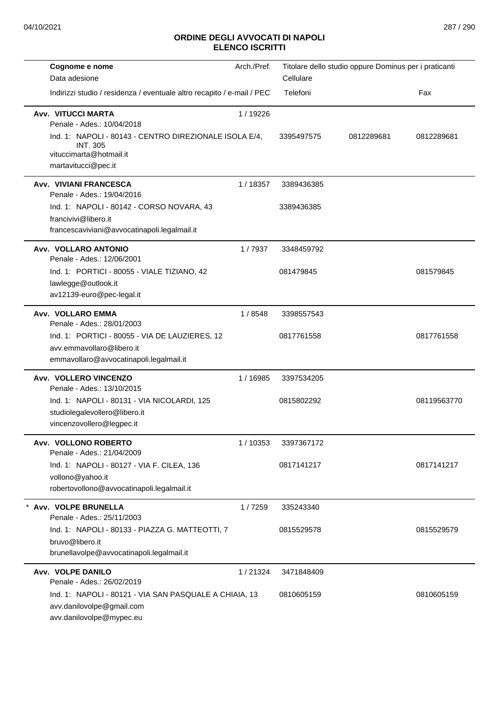| Cognome e nome                                                                                                         | Arch./Pref. |            | Titolare dello studio oppure Dominus per i praticanti |             |
|------------------------------------------------------------------------------------------------------------------------|-------------|------------|-------------------------------------------------------|-------------|
| Data adesione                                                                                                          |             | Cellulare  |                                                       |             |
| Indirizzi studio / residenza / eventuale altro recapito / e-mail / PEC                                                 |             | Telefoni   |                                                       | Fax         |
| <b>Avv. VITUCCI MARTA</b><br>Penale - Ades.: 10/04/2018<br>Ind. 1: NAPOLI - 80143 - CENTRO DIREZIONALE ISOLA E/4,      | 1/19226     | 3395497575 | 0812289681                                            | 0812289681  |
| <b>INT. 305</b><br>vituccimarta@hotmail.it<br>martavitucci@pec.it                                                      |             |            |                                                       |             |
| Avv. VIVIANI FRANCESCA<br>Penale - Ades.: 19/04/2016                                                                   | 1/18357     | 3389436385 |                                                       |             |
| Ind. 1: NAPOLI - 80142 - CORSO NOVARA, 43<br>francivivi@libero.it<br>francescaviviani@avvocatinapoli.legalmail.it      |             | 3389436385 |                                                       |             |
| Avv. VOLLARO ANTONIO<br>Penale - Ades.: 12/06/2001                                                                     | 1/7937      | 3348459792 |                                                       |             |
| Ind. 1: PORTICI - 80055 - VIALE TIZIANO, 42<br>lawlegge@outlook.it<br>av12139-euro@pec-legal.it                        |             | 081479845  |                                                       | 081579845   |
| Avv. VOLLARO EMMA<br>Penale - Ades.: 28/01/2003                                                                        | 1/8548      | 3398557543 |                                                       |             |
| Ind. 1: PORTICI - 80055 - VIA DE LAUZIERES, 12<br>avv.emmavollaro@libero.it<br>emmavollaro@avvocatinapoli.legalmail.it |             | 0817761558 |                                                       | 0817761558  |
| Avv. VOLLERO VINCENZO<br>Penale - Ades.: 13/10/2015                                                                    | 1/16985     | 3397534205 |                                                       |             |
| Ind. 1: NAPOLI - 80131 - VIA NICOLARDI, 125<br>studiolegalevollero@libero.it<br>vincenzovollero@legpec.it              |             | 0815802292 |                                                       | 08119563770 |
| Avv. VOLLONO ROBERTO<br>Penale - Ades.: 21/04/2009                                                                     | 1/10353     | 3397367172 |                                                       |             |
| Ind. 1: NAPOLI - 80127 - VIA F. CILEA, 136<br>vollono@yahoo.it<br>robertovollono@avvocatinapoli.legalmail.it           |             | 0817141217 |                                                       | 0817141217  |
| * Avv. VOLPE BRUNELLA<br>Penale - Ades.: 25/11/2003                                                                    | 1/7259      | 335243340  |                                                       |             |
| Ind. 1: NAPOLI - 80133 - PIAZZA G. MATTEOTTI, 7<br>bruvo@libero.it<br>brunellavolpe@avvocatinapoli.legalmail.it        |             | 0815529578 |                                                       | 0815529579  |
| Avv. VOLPE DANILO<br>Penale - Ades.: 26/02/2019                                                                        | 1/21324     | 3471848409 |                                                       |             |
| Ind. 1: NAPOLI - 80121 - VIA SAN PASQUALE A CHIAIA, 13<br>avv.danilovolpe@gmail.com<br>avv.danilovolpe@mypec.eu        |             | 0810605159 |                                                       | 0810605159  |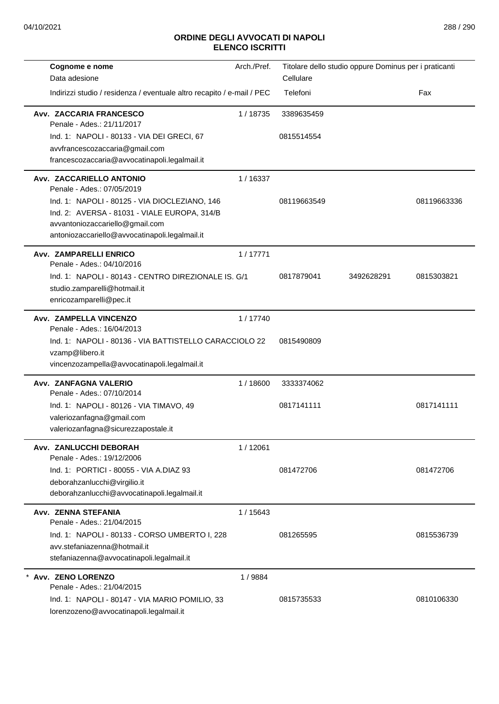| Cognome e nome<br>Data adesione                                        | Arch./Pref. | Titolare dello studio oppure Dominus per i praticanti |            |             |
|------------------------------------------------------------------------|-------------|-------------------------------------------------------|------------|-------------|
| Indirizzi studio / residenza / eventuale altro recapito / e-mail / PEC |             | Cellulare<br>Telefoni                                 |            | Fax         |
|                                                                        |             |                                                       |            |             |
| Avv. ZACCARIA FRANCESCO<br>Penale - Ades.: 21/11/2017                  | 1/18735     | 3389635459                                            |            |             |
| Ind. 1: NAPOLI - 80133 - VIA DEI GRECI, 67                             |             | 0815514554                                            |            |             |
| avvfrancescozaccaria@gmail.com                                         |             |                                                       |            |             |
| francescozaccaria@avvocatinapoli.legalmail.it                          |             |                                                       |            |             |
| Avv. ZACCARIELLO ANTONIO<br>Penale - Ades.: 07/05/2019                 | 1/16337     |                                                       |            |             |
| Ind. 1: NAPOLI - 80125 - VIA DIOCLEZIANO, 146                          |             | 08119663549                                           |            | 08119663336 |
| Ind. 2: AVERSA - 81031 - VIALE EUROPA, 314/B                           |             |                                                       |            |             |
| avvantoniozaccariello@gmail.com                                        |             |                                                       |            |             |
| antoniozaccariello@avvocatinapoli.legalmail.it                         |             |                                                       |            |             |
| Avv. ZAMPARELLI ENRICO<br>Penale - Ades.: 04/10/2016                   | 1/17771     |                                                       |            |             |
| Ind. 1: NAPOLI - 80143 - CENTRO DIREZIONALE IS. G/1                    |             | 0817879041                                            | 3492628291 | 0815303821  |
| studio.zamparelli@hotmail.it                                           |             |                                                       |            |             |
| enricozamparelli@pec.it                                                |             |                                                       |            |             |
| Avv. ZAMPELLA VINCENZO<br>Penale - Ades.: 16/04/2013                   | 1/17740     |                                                       |            |             |
| Ind. 1: NAPOLI - 80136 - VIA BATTISTELLO CARACCIOLO 22                 |             | 0815490809                                            |            |             |
| vzamp@libero.it                                                        |             |                                                       |            |             |
| vincenzozampella@avvocatinapoli.legalmail.it                           |             |                                                       |            |             |
| Avv. ZANFAGNA VALERIO<br>Penale - Ades.: 07/10/2014                    | 1/18600     | 3333374062                                            |            |             |
| Ind. 1: NAPOLI - 80126 - VIA TIMAVO, 49                                |             | 0817141111                                            |            | 0817141111  |
| valeriozanfagna@gmail.com                                              |             |                                                       |            |             |
| valeriozanfagna@sicurezzapostale.it                                    |             |                                                       |            |             |
| Avv. ZANLUCCHI DEBORAH<br>Penale - Ades.: 19/12/2006                   | 1/12061     |                                                       |            |             |
| Ind. 1: PORTICI - 80055 - VIA A.DIAZ 93                                |             | 081472706                                             |            | 081472706   |
| deborahzanlucchi@virgilio.it                                           |             |                                                       |            |             |
| deborahzanlucchi@avvocatinapoli.legalmail.it                           |             |                                                       |            |             |
| Avv. ZENNA STEFANIA<br>Penale - Ades.: 21/04/2015                      | 1/15643     |                                                       |            |             |
| Ind. 1: NAPOLI - 80133 - CORSO UMBERTO I, 228                          |             | 081265595                                             |            | 0815536739  |
| avv.stefaniazenna@hotmail.it                                           |             |                                                       |            |             |
| stefaniazenna@avvocatinapoli.legalmail.it                              |             |                                                       |            |             |
| Avv. ZENO LORENZO<br>Penale - Ades.: 21/04/2015                        | 1/9884      |                                                       |            |             |
| Ind. 1: NAPOLI - 80147 - VIA MARIO POMILIO, 33                         |             | 0815735533                                            |            | 0810106330  |
| lorenzozeno@avvocatinapoli.legalmail.it                                |             |                                                       |            |             |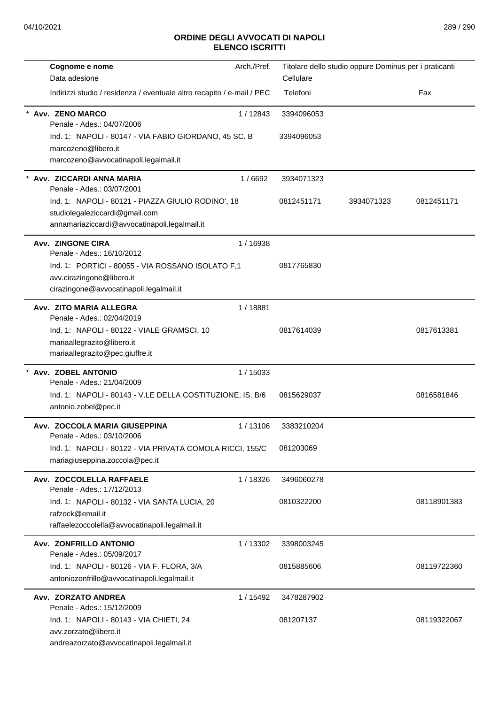## **ELENCO ISCRITTI**

| Cognome e nome                                                                             | Arch./Pref. | Titolare dello studio oppure Dominus per i praticanti |            |             |
|--------------------------------------------------------------------------------------------|-------------|-------------------------------------------------------|------------|-------------|
| Data adesione                                                                              |             | Cellulare                                             |            |             |
| Indirizzi studio / residenza / eventuale altro recapito / e-mail / PEC                     |             | Telefoni                                              |            | Fax         |
| Avv. ZENO MARCO<br>Penale - Ades.: 04/07/2006                                              | 1/12843     | 3394096053                                            |            |             |
| Ind. 1: NAPOLI - 80147 - VIA FABIO GIORDANO, 45 SC. B                                      |             | 3394096053                                            |            |             |
| marcozeno@libero.it                                                                        |             |                                                       |            |             |
| marcozeno@avvocatinapoli.legalmail.it                                                      |             |                                                       |            |             |
| Avv. ZICCARDI ANNA MARIA                                                                   | 1/6692      | 3934071323                                            |            |             |
| Penale - Ades.: 03/07/2001                                                                 |             |                                                       |            |             |
| Ind. 1: NAPOLI - 80121 - PIAZZA GIULIO RODINO', 18                                         |             | 0812451171                                            | 3934071323 | 0812451171  |
| studiolegaleziccardi@gmail.com<br>annamariaziccardi@avvocatinapoli.legalmail.it            |             |                                                       |            |             |
|                                                                                            |             |                                                       |            |             |
| Avv. ZINGONE CIRA<br>Penale - Ades.: 16/10/2012                                            | 1/16938     |                                                       |            |             |
| Ind. 1: PORTICI - 80055 - VIA ROSSANO ISOLATO F,1                                          |             | 0817765830                                            |            |             |
| avv.cirazingone@libero.it                                                                  |             |                                                       |            |             |
| cirazingone@avvocatinapoli.legalmail.it                                                    |             |                                                       |            |             |
| Avv. ZITO MARIA ALLEGRA                                                                    | 1/18881     |                                                       |            |             |
| Penale - Ades.: 02/04/2019                                                                 |             |                                                       |            |             |
| Ind. 1: NAPOLI - 80122 - VIALE GRAMSCI, 10                                                 |             | 0817614039                                            |            | 0817613381  |
| mariaallegrazito@libero.it<br>mariaallegrazito@pec.giuffre.it                              |             |                                                       |            |             |
|                                                                                            |             |                                                       |            |             |
| * Avv. ZOBEL ANTONIO<br>Penale - Ades.: 21/04/2009                                         | 1/15033     |                                                       |            |             |
| Ind. 1: NAPOLI - 80143 - V.LE DELLA COSTITUZIONE, IS. B/6                                  |             | 0815629037                                            |            | 0816581846  |
| antonio.zobel@pec.it                                                                       |             |                                                       |            |             |
| Avv. ZOCCOLA MARIA GIUSEPPINA                                                              | 1/13106     | 3383210204                                            |            |             |
| Penale - Ades.: 03/10/2006                                                                 |             |                                                       |            |             |
| Ind. 1: NAPOLI - 80122 - VIA PRIVATA COMOLA RICCI, 155/C<br>mariagiuseppina.zoccola@pec.it |             | 081203069                                             |            |             |
|                                                                                            |             |                                                       |            |             |
| Avv. ZOCCOLELLA RAFFAELE<br>Penale - Ades.: 17/12/2013                                     | 1/18326     | 3496060278                                            |            |             |
| Ind. 1: NAPOLI - 80132 - VIA SANTA LUCIA, 20                                               |             | 0810322200                                            |            | 08118901383 |
| rafzock@email.it                                                                           |             |                                                       |            |             |
| raffaelezoccolella@avvocatinapoli.legalmail.it                                             |             |                                                       |            |             |
| Avv. ZONFRILLO ANTONIO                                                                     | 1/13302     | 3398003245                                            |            |             |
| Penale - Ades.: 05/09/2017<br>Ind. 1: NAPOLI - 80126 - VIA F. FLORA, 3/A                   |             | 0815885606                                            |            | 08119722360 |
| antoniozonfrillo@avvocatinapoli.legalmail.it                                               |             |                                                       |            |             |
|                                                                                            |             |                                                       |            |             |
| Avv. ZORZATO ANDREA<br>Penale - Ades.: 15/12/2009                                          | 1 / 15492   | 3478287902                                            |            |             |
| Ind. 1: NAPOLI - 80143 - VIA CHIETI, 24                                                    |             | 081207137                                             |            | 08119322067 |
| avv.zorzato@libero.it                                                                      |             |                                                       |            |             |
| andreazorzato@avvocatinapoli.legalmail.it                                                  |             |                                                       |            |             |